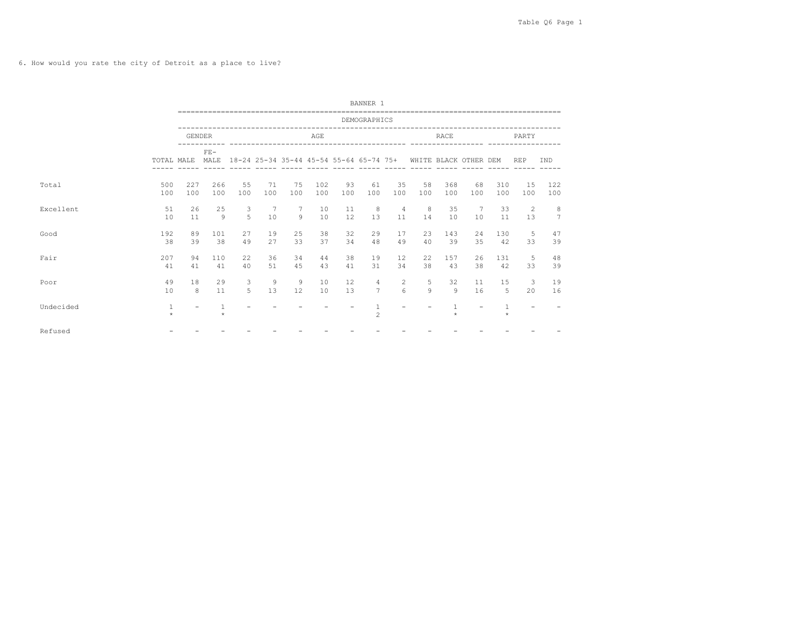6. How would you rate the city of Detroit as a place to live?

|           |                       |               |                       |                                        |           |                     |            |           | BANNER 1                                |                                    |           |             |                          |                   |                   |                     |
|-----------|-----------------------|---------------|-----------------------|----------------------------------------|-----------|---------------------|------------|-----------|-----------------------------------------|------------------------------------|-----------|-------------|--------------------------|-------------------|-------------------|---------------------|
|           |                       |               |                       | -------------------------------------- |           |                     |            |           | DEMOGRAPHICS                            |                                    |           |             |                          |                   |                   |                     |
|           |                       | <b>GENDER</b> |                       |                                        |           |                     | AGE        |           |                                         |                                    |           | <b>RACE</b> |                          |                   | PARTY             |                     |
|           | TOTAL MALE            |               | $FF-$<br>MAT.F.       |                                        |           |                     |            | $------$  | 18-24 25-34 35-44 45-54 55-64 65-74 75+ |                                    |           |             | WHITE BLACK OTHER DEM    |                   | <b>REP</b>        | <b>TND</b>          |
| Total     | 500<br>100            | 227<br>100    | 266<br>100            | 55<br>100                              | 71<br>100 | 75<br>100           | 102<br>100 | 93<br>100 | 61<br>100                               | 35<br>100                          | 58<br>100 | 368<br>100  | 68<br>100                | 310<br>100        | 1.5<br>100        | 122<br>100          |
| Excellent | 51<br>10              | 26<br>11      | 25<br>9               | 3<br>5                                 | 7<br>10   | $\overline{7}$<br>9 | 10<br>10   | 11<br>12  | 8<br>13                                 | $\overline{4}$<br>11               | 8<br>14   | 35<br>10    | 7<br>10                  | 33<br>11          | 2<br>1.3          | 8<br>$\overline{7}$ |
| Good      | 192<br>38             | 89<br>39      | 101<br>38             | 27<br>49                               | 19<br>27  | 25<br>33            | 38<br>37   | 32<br>34  | 29<br>48                                | 17<br>49                           | 23<br>40  | 143<br>39   | 24<br>35                 | 130<br>42         | -5<br>33          | 47<br>39            |
| Fair      | 207<br>41             | 94<br>41      | 110<br>41             | 22<br>40                               | 36<br>51  | 34<br>45            | 44<br>43   | 38<br>41  | 19<br>31                                | 12<br>34                           | 22<br>38  | 157<br>43   | 26<br>38                 | 131<br>42         | 5<br>33           | 48<br>39            |
| Poor      | 49<br>10              | 18<br>8       | 29<br>11              | 3<br>$5 -$                             | 9<br>13   | 9<br>12             | 10<br>10   | 12<br>13  | 4<br>$\overline{7}$                     | $\overline{2}$<br>$6 \overline{6}$ | 5<br>Q    | 32<br>Q     | 11<br>16                 | 15<br>$5^{\circ}$ | 3<br>$20^{\circ}$ | 19<br>16            |
| Undecided | $\mathbf{1}$<br>$\pm$ | -             | $\mathbf{1}$<br>$\pm$ |                                        |           |                     |            |           | $\mathbf{1}$<br>$\overline{c}$          |                                    |           |             | $\overline{\phantom{a}}$ | $\star$           |                   |                     |
| Refused   |                       |               |                       |                                        |           |                     |            |           |                                         |                                    |           |             |                          |                   |                   |                     |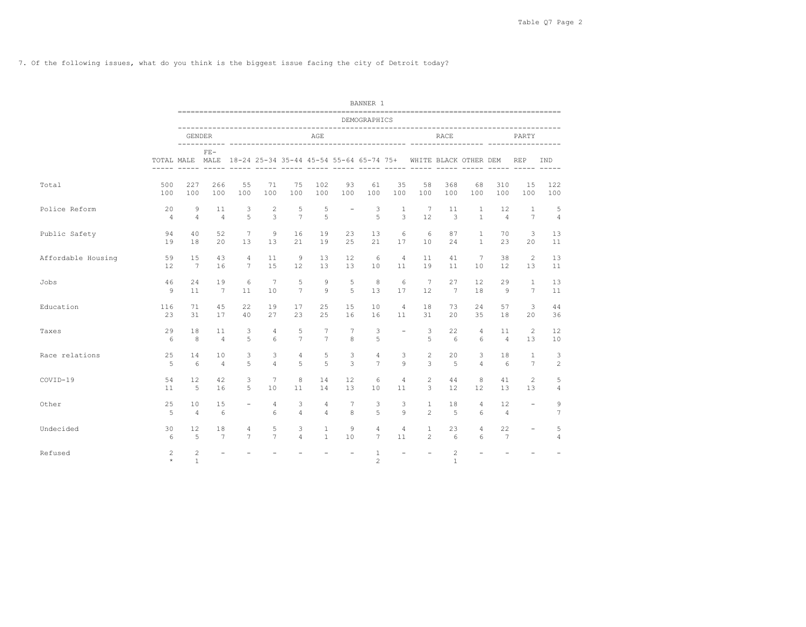7. Of the following issues, what do you think is the biggest issue facing the city of Detroit today?

|                    |                           |                                                                              |                          |                               |                       |                                 |                                  |                          | BANNER 1                         |                          |                                |                                        |                                |                                     |                                   |                     |
|--------------------|---------------------------|------------------------------------------------------------------------------|--------------------------|-------------------------------|-----------------------|---------------------------------|----------------------------------|--------------------------|----------------------------------|--------------------------|--------------------------------|----------------------------------------|--------------------------------|-------------------------------------|-----------------------------------|---------------------|
|                    |                           |                                                                              |                          |                               |                       |                                 |                                  |                          | DEMOGRAPHICS                     |                          |                                |                                        |                                |                                     |                                   |                     |
|                    |                           | <b>GENDER</b>                                                                |                          |                               |                       |                                 | AGE                              |                          |                                  |                          |                                | RACE                                   |                                |                                     | PARTY                             |                     |
|                    |                           | TOTAL MALE MALE 18-24 25-34 35-44 45-54 55-64 65-74 75+<br>----- ----- ----- | $FE-$                    |                               |                       | <u> ----- ----- ----- -----</u> |                                  |                          |                                  |                          | ----- -----                    | WHITE BLACK OTHER DEM<br>$\frac{1}{2}$ |                                |                                     | REP                               | IND                 |
| Total              | 500<br>100                | 227<br>100                                                                   | 266<br>100               | 55<br>100                     | 71<br>100             | 75<br>100                       | 102<br>100                       | 93<br>100                | 61<br>100                        | 35<br>100                | 58<br>100                      | 368<br>100                             | 68<br>100                      | 310<br>100                          | 15<br>100                         | 122<br>100          |
| Police Reform      | 20<br>$\overline{4}$      | 9<br>$\overline{4}$                                                          | 11<br>$\overline{4}$     | 3<br>5                        | 2<br>3                | 5<br>$\overline{7}$             | 5<br>5                           | $\overline{\phantom{a}}$ | 3<br>5                           | <sup>1</sup><br>3        | 7<br>12                        | 11<br>3                                | $\overline{1}$<br>$\mathbf{1}$ | $12 \overline{ }$<br>$\overline{4}$ | $\overline{1}$<br>$7\overline{ }$ | 5<br>$\overline{4}$ |
| Public Safety      | 94<br>19                  | 40<br>18                                                                     | 52<br>20                 | $7\phantom{.0}$<br>13         | 9<br>13               | 16<br>21                        | 19<br>19                         | 23<br>25                 | 13<br>21                         | 6<br>17                  | 6<br>10                        | 87<br>24                               | $\overline{1}$<br>$\mathbf{1}$ | 70<br>23                            | 3<br>20                           | 13<br>11            |
| Affordable Housing | 59<br>12                  | 15<br>7                                                                      | 43<br>16                 | $\overline{4}$<br>$7^{\circ}$ | 11<br>15              | 9<br>12                         | 1.3<br>13                        | 12<br>13                 | 6<br>10                          | $\overline{4}$<br>11     | 11<br>19                       | 41<br>11                               | $7\phantom{.0}$<br>10          | 38<br>12                            | 2<br>13                           | 13<br>11            |
| Jobs               | 46<br>$\mathsf{Q}$        | 24<br>11                                                                     | 19<br>$7\phantom{.0}$    | 6<br>11                       | $7\phantom{.0}$<br>10 | 5<br>$7\phantom{.0}$            | 9<br>9                           | 5<br>$\overline{5}$      | 8<br>13                          | 6<br>17                  | $7\phantom{.0}$<br>12          | 27<br>$7\phantom{.0}$                  | $12 \overline{ }$<br>18        | 29<br>-9                            | $\overline{1}$<br>$7\overline{ }$ | 13<br>11            |
| Education          | 116<br>23                 | 71<br>31                                                                     | 45<br>17                 | 22<br>40                      | 19<br>27              | 17<br>23                        | 25<br>2.5                        | 15<br>16                 | 10<br>16                         | $\overline{4}$<br>11     | 18<br>31                       | 73<br>$20^{\circ}$                     | 24<br>35                       | 57<br>18                            | 3<br>20                           | 44<br>36            |
| Taxes              | 29<br>6                   | 18<br>8                                                                      | 11<br>$\overline{4}$     | 3<br>5                        | $\overline{4}$<br>6   | 5<br>$7\overline{ }$            | $7\phantom{.0}$<br>$7^{\circ}$   | 7<br>8                   | 3<br>5                           | $\overline{\phantom{a}}$ | 3<br>5                         | 22<br>-6                               | $\overline{4}$<br>6            | 11<br>$\overline{4}$                | $\overline{2}$<br>13              | 12<br>10            |
| Race relations     | 25<br>$\overline{5}$      | 14<br>6                                                                      | 10<br>$\overline{4}$     | 3<br>5                        | 3<br>$\overline{4}$   | $\overline{4}$<br>5             | 5<br>5                           | 3<br>3                   | $\overline{4}$<br>$\overline{7}$ | 3<br>$\circ$             | $\overline{2}$<br>3            | 20<br>$\overline{5}$                   | 3<br>$\overline{4}$            | 18<br>6                             | $\mathbf{1}$<br>$7\overline{ }$   | 3<br>$\overline{c}$ |
| COVID-19           | 54<br>11                  | 12<br>5                                                                      | 42<br>16                 | 3<br>.5                       | $7\phantom{.0}$<br>10 | 8<br>11                         | 14<br>14                         | $12 \overline{ }$<br>13  | 6<br>10                          | $\overline{4}$<br>11     | $\overline{c}$<br>3            | 44<br>12                               | 8<br>12                        | 41<br>13                            | $\mathbf{2}^{\prime}$<br>13       | 5<br>$\overline{4}$ |
| Other              | 25<br>5                   | 10<br>$\overline{4}$                                                         | 15<br>6                  | $\overline{\phantom{a}}$      | $\overline{4}$<br>6   | 3<br>$\overline{4}$             | $\overline{4}$<br>$\overline{4}$ | 7<br>8                   | 3<br>5                           | 3<br>$\circ$             | $\mathbf{1}$<br>$\mathfrak{D}$ | 18<br>$\overline{5}$                   | $\overline{4}$<br>6            | $12 \overline{ }$<br>$\overline{4}$ | $\overline{\phantom{a}}$          | 9<br>$\overline{7}$ |
| Undecided          | 30<br>6                   | 12<br>5                                                                      | 18<br>$7\overline{ }$    | 4<br>$7\overline{ }$          | 5<br>$\overline{7}$   | 3<br>$\overline{4}$             | $\mathbf{1}$<br>$\mathbf{1}$     | 9<br>10                  | $\overline{4}$<br>$7^{\circ}$    | $\overline{4}$<br>11     | $\mathbf{1}$<br>$\overline{2}$ | 23<br>6                                | $\overline{4}$<br>6            | 22<br>$7\overline{ }$               | $\overline{\phantom{a}}$          | 5<br>$\overline{4}$ |
| Refused            | $\overline{c}$<br>$\star$ | $\overline{c}$<br>$\mathbf{1}$                                               | $\overline{\phantom{a}}$ | $\overline{\phantom{a}}$      |                       | $\overline{\phantom{m}}$        | $\overline{\phantom{a}}$         | $\overline{\phantom{a}}$ | $\mathbf{1}$<br>$\overline{c}$   | $\sim$                   | $\equiv$                       | $\overline{c}$<br>$\mathbf{1}$         | $\overline{\phantom{a}}$       | $\overline{\phantom{a}}$            |                                   |                     |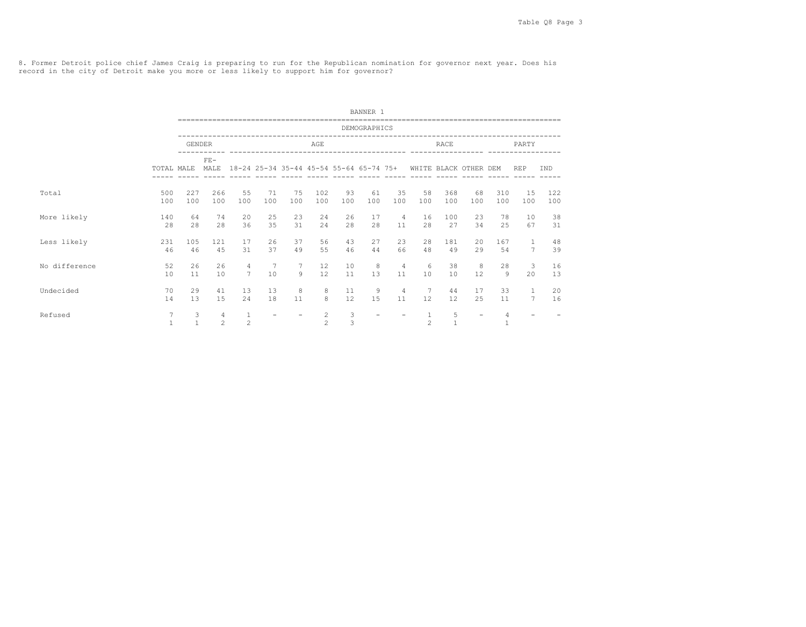8. Former Detroit police chief James Craig is preparing to run for the Republican nomination for governor next year. Does his record in the city of Detroit make you more or less likely to support him for governor?

|               |                   |                   |                                  |                                   |                          |                          |                     |                                         | BANNER 1                 |                      |                      |                       |                          |                      |                                  |            |
|---------------|-------------------|-------------------|----------------------------------|-----------------------------------|--------------------------|--------------------------|---------------------|-----------------------------------------|--------------------------|----------------------|----------------------|-----------------------|--------------------------|----------------------|----------------------------------|------------|
|               |                   |                   |                                  |                                   |                          |                          |                     |                                         | DEMOGRAPHICS             |                      |                      |                       |                          |                      |                                  |            |
|               |                   | <b>GENDER</b>     |                                  |                                   |                          |                          | AGE                 |                                         |                          |                      |                      | RACE                  |                          |                      | PARTY                            |            |
|               | TOTAL MALE        |                   | $FE-$<br>MALE                    |                                   | $- - - - - -$            |                          |                     | 18-24 25-34 35-44 45-54 55-64 65-74 75+ |                          |                      |                      | WHITE BLACK OTHER DEM |                          |                      | <b>REP</b>                       | IND        |
| Total         | 500<br>100        | 227<br>100        | 266<br>100                       | 55<br>100                         | 71<br>100                | 75<br>100                | 102<br>100          | 93<br>100                               | 61<br>100                | 35<br>100            | 58<br>100            | 368<br>100            | 68<br>100                | 310<br>100           | 1.5<br>100                       | 122<br>100 |
| More likely   | 140<br>2.8        | 64<br>28          | 74<br>2.8                        | 20<br>36                          | 25<br>3.5                | 23<br>31                 | 24<br>24            | 26<br>2.8                               | 17<br>2.8                | $\overline{4}$<br>11 | 16<br>28             | 100<br>27             | 23<br>34                 | 78<br>2.5            | 10<br>67                         | 38<br>31   |
| Less likely   | 231<br>46         | 105<br>46         | 121<br>4.5                       | 17<br>31                          | 26<br>37                 | 37<br>49                 | 56<br>55            | 43<br>46                                | 27<br>44                 | 23<br>66             | 28<br>48             | 181<br>49             | 20<br>29                 | 167<br>54            | $\overline{1}$<br>$\overline{7}$ | 48<br>39   |
| No difference | 52<br>10          | 26<br>11          | 26<br>10                         | $\overline{4}$<br>$7\phantom{.0}$ | $7\phantom{.0}$<br>10    | 7<br>9                   | 12<br>12            | 10<br>11                                | 8<br>13                  | $\overline{4}$<br>11 | 6<br>10 <sup>°</sup> | 38<br>10              | 8<br>12                  | 28<br>$\overline{9}$ | 3<br>20                          | 16<br>13   |
| Undecided     | 70<br>14          | 29<br>13          | 41<br>15                         | 1.3<br>24                         | 13<br>18                 | 8<br>11                  | 8<br>8              | 11<br>12                                | 9<br>15                  | $\overline{4}$<br>11 | 7<br>12              | 44<br>12              | 17<br>25                 | 33<br>11             | <sup>1</sup><br>$7\phantom{.0}$  | 20<br>16   |
| Refused       | 7<br>$\mathbf{1}$ | 3<br>$\mathbf{1}$ | $\overline{4}$<br>$\overline{c}$ | $\mathbf{1}$<br>$\mathfrak{D}$    | $\overline{\phantom{a}}$ | $\overline{\phantom{a}}$ | 2<br>$\mathfrak{D}$ | 3<br>3                                  | $\overline{\phantom{a}}$ |                      | $\mathbf{1}$<br>2    | 5<br>$\mathbf{1}$     | $\overline{\phantom{a}}$ | 4                    |                                  |            |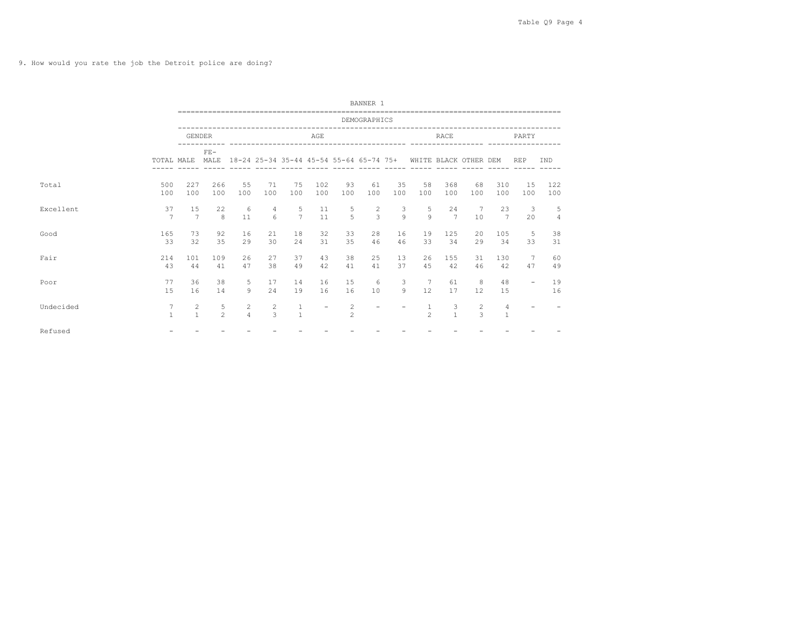9. How would you rate the job the Detroit police are doing?

|           |                   |                      |                     |                     |           |                     |                          |                                                                                                          | BANNER 1                 |                          |                   |                       |           |                       |                          |                     |
|-----------|-------------------|----------------------|---------------------|---------------------|-----------|---------------------|--------------------------|----------------------------------------------------------------------------------------------------------|--------------------------|--------------------------|-------------------|-----------------------|-----------|-----------------------|--------------------------|---------------------|
|           |                   |                      |                     |                     |           |                     |                          |                                                                                                          | DEMOGRAPHICS             |                          |                   |                       |           |                       |                          |                     |
|           |                   | <b>GENDER</b>        |                     |                     |           |                     | AGE                      |                                                                                                          |                          |                          |                   | RACE                  |           |                       | PARTY                    |                     |
|           | TOTAL MALE        |                      | $FF -$<br>MALE      |                     |           |                     |                          | 18-24 25-34 35-44 45-54 55-64 65-74 75+ WHITE BLACK OTHER DEM<br>----- ----- ----- ----- ---- ----- ---- |                          |                          |                   |                       |           |                       | <b>REP</b>               | IND                 |
| Total     | 500<br>100        | 227<br>100           | 266<br>100          | 55<br>100           | 71<br>100 | 75<br>100           | 102<br>100               | 93<br>100                                                                                                | 61<br>100                | 35<br>100                | 58<br>100         | 368<br>100            | 68<br>100 | 310<br>100            | 1.5<br>100               | 122<br>100          |
| Excellent | 37<br>7           | 15<br>$\overline{7}$ | 22<br>8             | 6<br>11             | 4<br>6    | 5<br>$\overline{7}$ | 11<br>11                 | 5<br>$\overline{5}$                                                                                      | 2<br>$\mathcal{E}$       | 3<br>$\circ$             | 5<br>$\mathbf{Q}$ | 2.4<br>$\overline{7}$ | 7<br>10   | 23<br>$7\overline{ }$ | 3<br>20                  | 5<br>$\overline{4}$ |
| Good      | 165<br>33         | 73<br>32             | 92<br>35            | 16<br>29            | 21<br>30  | 18<br>2.4           | 32<br>31                 | 33<br>35                                                                                                 | 28<br>46                 | 16<br>46                 | 19<br>33          | 125<br>34             | 20<br>29  | 105<br>34             | 5<br>33                  | 38<br>31            |
| Fair      | 214<br>43         | 101<br>44            | 109<br>41           | 26<br>47            | 27<br>38  | 37<br>49            | 43<br>42                 | 38<br>41                                                                                                 | 25<br>41                 | 13<br>37                 | 26<br>4.5         | 1.55<br>42            | 31<br>46  | 130<br>42             | 7<br>47                  | 60<br>49            |
| Poor      | 77<br>15          | 36<br>16             | 38<br>14            | 5<br>$\mathsf{Q}$   | 17<br>24  | 14<br>19            | 16<br>16                 | 15<br>16                                                                                                 | 6<br>10                  | 3<br>Q                   | 7<br>12           | 61<br>17              | 8<br>12   | 48<br>15              | $\overline{\phantom{0}}$ | 19<br>16            |
| Undecided | 7<br>$\mathbf{1}$ | 2<br>$\mathbf{1}$    | 5<br>$\mathfrak{D}$ | 2<br>$\overline{4}$ | 2<br>3    | $\mathbf{1}$        | $\overline{\phantom{a}}$ | 2<br>$\overline{2}$                                                                                      | $\overline{\phantom{a}}$ | $\overline{\phantom{a}}$ | $\mathfrak{D}$    | 3<br>$\mathbf{1}$     | 2<br>3    | 4<br>$\mathbf{1}$     |                          |                     |
| Refused   |                   |                      |                     |                     |           |                     |                          |                                                                                                          |                          |                          |                   |                       |           |                       |                          |                     |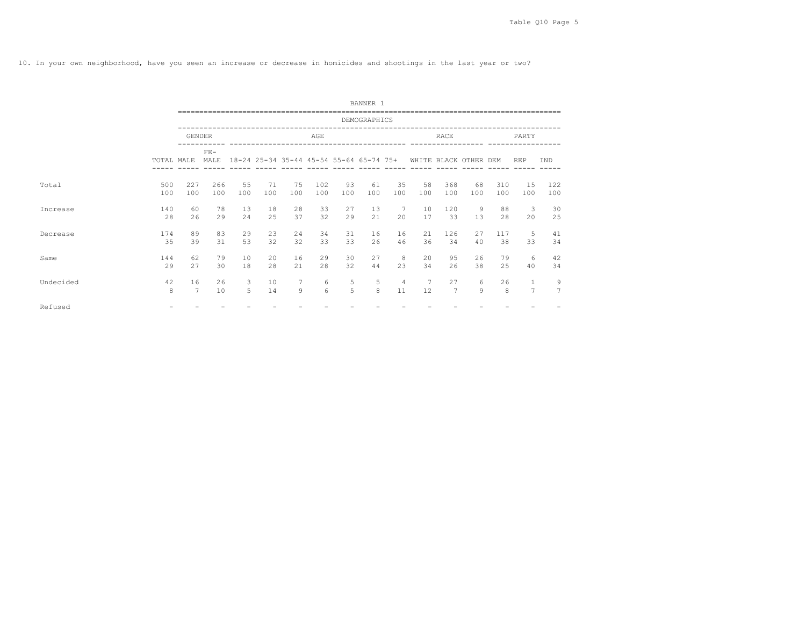10. In your own neighborhood, have you seen an increase or decrease in homicides and shootings in the last year or two?

|           |            |               |               |           |           |                                         |            |           | BANNER 1     |                      |           |                       |           |            |                                |                     |
|-----------|------------|---------------|---------------|-----------|-----------|-----------------------------------------|------------|-----------|--------------|----------------------|-----------|-----------------------|-----------|------------|--------------------------------|---------------------|
|           |            |               |               |           |           |                                         |            |           | DEMOGRAPHICS |                      |           |                       |           |            |                                |                     |
|           |            | <b>GENDER</b> |               |           |           |                                         | AGE        |           |              |                      |           | RACE                  |           |            | PARTY                          |                     |
|           | TOTAL MALE |               | $FF-$<br>MALE |           |           | 18-24 25-34 35-44 45-54 55-64 65-74 75+ |            |           |              |                      |           | WHITE BLACK OTHER DEM |           |            | <b>REP</b>                     | IND                 |
|           |            |               |               |           |           |                                         |            |           |              |                      |           |                       |           |            |                                |                     |
| Total     | 500<br>100 | 227<br>100    | 266<br>100    | 55<br>100 | 71<br>100 | 75<br>100                               | 102<br>100 | 93<br>100 | 61<br>100    | 35<br>100            | 58<br>100 | 368<br>100            | 68<br>100 | 310<br>100 | 15<br>100                      | 122<br>100          |
| Increase  | 140<br>28  | 60<br>26      | 78<br>29      | 13<br>24  | 18<br>25  | 28<br>37                                | 33<br>32   | 27<br>29  | 13<br>21     | 7<br>20              | 10<br>17  | 120<br>33             | 9<br>13   | 88<br>28   | 3<br>20                        | 30<br>25            |
| Decrease  | 174<br>35  | 89<br>39      | 83<br>31      | 29<br>53  | 23<br>32  | 24<br>32                                | 34<br>33   | 31<br>33  | 16<br>26     | 16<br>46             | 21<br>36  | 126<br>34             | 27<br>40  | 117<br>38  | 5<br>33                        | 41<br>34            |
| Same      | 144<br>29  | 62<br>27      | 79<br>30      | 10<br>18  | 20<br>28  | 16<br>21                                | 29<br>28   | 30<br>32  | 27<br>44     | 8<br>23              | 20<br>34  | 95<br>26              | 26<br>38  | 79<br>25   | 6<br>40                        | 42<br>34            |
| Undecided | 42<br>8    | 16<br>7       | 26<br>10      | 3<br>5    | 10<br>14  | 7<br>9                                  | 6<br>6     | 5<br>5    | 5<br>8       | $\overline{4}$<br>11 | 7<br>12   | 27<br>7               | 6<br>9    | 26<br>8    | $\mathbf{1}$<br>$\overline{7}$ | 9<br>$\overline{7}$ |
| Refused   |            |               |               |           |           |                                         |            |           |              |                      |           |                       |           |            |                                |                     |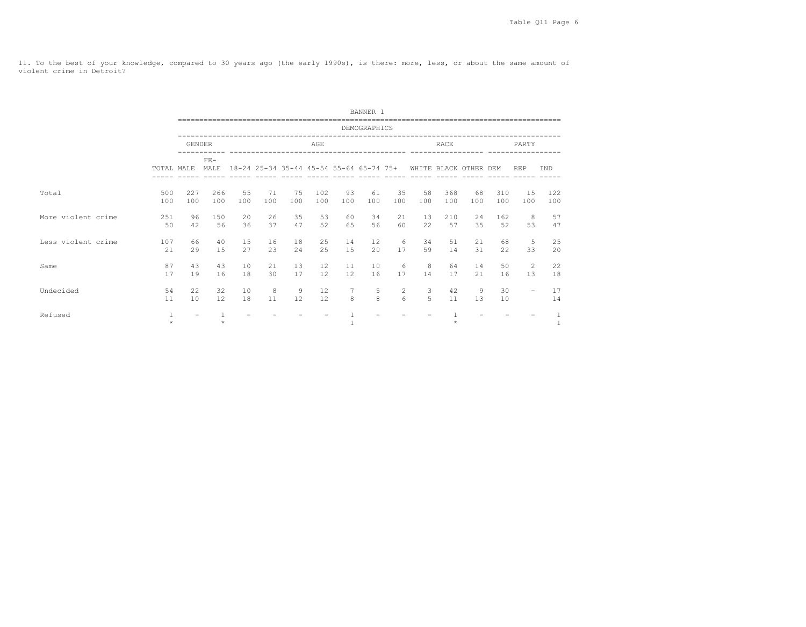11. To the best of your knowledge, compared to 30 years ago (the early 1990s), is there: more, less, or about the same amount of violent crime in Detroit?

|                    |            |                   |               |           |           |           |            |                                         | BANNER 1     |                                     |           |                       |                      |            |                          |            |
|--------------------|------------|-------------------|---------------|-----------|-----------|-----------|------------|-----------------------------------------|--------------|-------------------------------------|-----------|-----------------------|----------------------|------------|--------------------------|------------|
|                    |            |                   |               |           |           |           |            |                                         | DEMOGRAPHICS |                                     |           |                       |                      |            |                          |            |
|                    |            | <b>GENDER</b>     |               |           |           |           | AGE        |                                         |              |                                     |           | <b>RACE</b>           |                      |            | PARTY                    |            |
|                    | TOTAL MALE |                   | $FE-$<br>MALE |           |           |           |            | 18-24 25-34 35-44 45-54 55-64 65-74 75+ |              |                                     |           | WHITE BLACK OTHER DEM |                      |            | <b>REP</b>               | IND        |
| Total              | 500<br>100 | 227<br>100        | 266<br>100    | 55<br>100 | 71<br>100 | 75<br>100 | 102<br>100 | 93<br>100                               | 61<br>100    | 35<br>100                           | 58<br>100 | 368<br>100            | 68<br>100            | 310<br>100 | 15<br>100                | 122<br>100 |
| More violent crime | 251<br>50  | 96<br>42          | 150<br>56     | 20<br>36  | 26<br>37  | 35<br>47  | 53<br>52   | 60<br>65                                | 34<br>56     | 21<br>60                            | 13<br>22  | 210<br>57             | 24<br>35             | 162<br>52  | 8<br>53                  | 57<br>47   |
| Less violent crime | 107<br>21  | 66<br>29          | 40<br>1.5     | 15<br>27  | 16<br>23  | 18<br>24  | 25<br>25   | 14<br>1.5                               | 12<br>20     | -6<br>17                            | 34<br>59  | 51<br>14              | 21<br>31             | 68<br>22   | 5<br>33                  | 25<br>20   |
| Same               | 87<br>17   | 43<br>19          | 43<br>16      | 10<br>18  | 21<br>30  | 13<br>17  | 12<br>12   | 11<br>12                                | 10<br>16     | 6<br>17                             | 8<br>14   | 64<br>17              | 14<br>2.1            | 50<br>16   | 2<br>13                  | 22<br>18   |
| Undecided          | 54<br>11   | 22<br>10          | 32<br>12      | 10<br>18  | 8<br>11   | 9<br>12   | 12<br>12   | $\overline{7}$<br>8                     | 5<br>8       | $\mathbf{2}^{\prime}$<br>$\epsilon$ | 3<br>5    | 42<br>11              | $\overline{9}$<br>13 | 30<br>10   | $\overline{\phantom{m}}$ | 17<br>14   |
| Refused            |            | $\qquad \qquad -$ | $\star$       |           |           |           |            |                                         |              |                                     |           | $\star$               |                      |            |                          | 1<br>$1\,$ |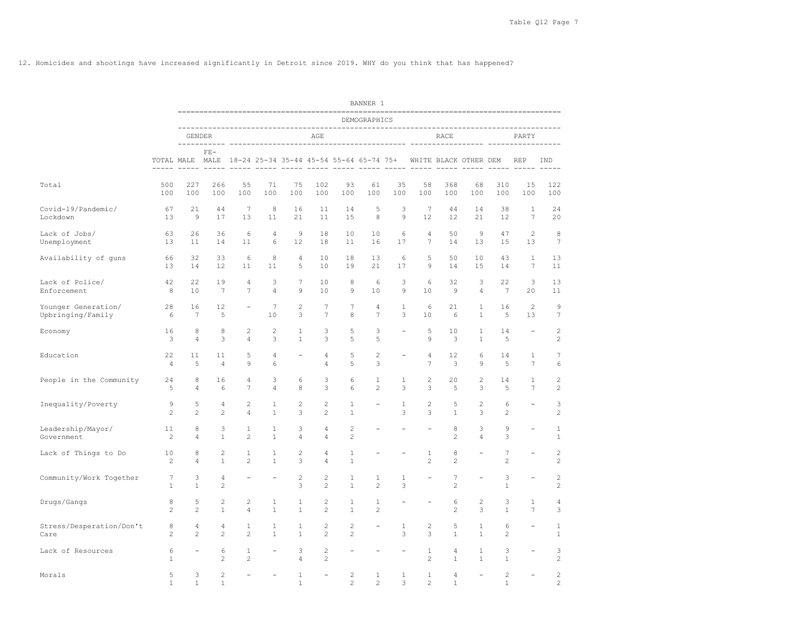12. Homicides and shootings have increased significantly in Detroit since 2019. WHY do you think that has happened?

|                                          |                      |                                  |                                |                                  |                              |                              |                                  |                                  | BANNER 1                                                |                   |                                |                                        |                              |                       |                                 |                                  |
|------------------------------------------|----------------------|----------------------------------|--------------------------------|----------------------------------|------------------------------|------------------------------|----------------------------------|----------------------------------|---------------------------------------------------------|-------------------|--------------------------------|----------------------------------------|------------------------------|-----------------------|---------------------------------|----------------------------------|
|                                          |                      |                                  |                                |                                  |                              |                              |                                  |                                  | DEMOGRAPHICS                                            |                   |                                |                                        |                              |                       |                                 |                                  |
|                                          |                      |                                  | <b>GENDER</b>                  |                                  |                              |                              | AGE                              |                                  |                                                         |                   |                                | RACE                                   |                              |                       | PARTY                           |                                  |
|                                          |                      |                                  | $FE-$                          |                                  |                              |                              |                                  |                                  | TOTAL MALE MALE 18-24 25-34 35-44 45-54 55-64 65-74 75+ |                   |                                | WHITE BLACK OTHER DEM<br>$\frac{1}{2}$ | $\frac{1}{2}$                |                       | <b>REP</b><br>$\frac{1}{2}$     | IND<br>$- - - - -$               |
| Total                                    | 500<br>100           | 227<br>100                       | 266<br>100                     | 55<br>100                        | 71<br>100                    | 75<br>100                    | 102<br>100                       | 93<br>100                        | 61<br>100                                               | 35<br>100         | 58<br>100                      | 368<br>100                             | 68<br>100                    | 310<br>100            | 15<br>100                       | 122<br>100                       |
| Covid-19/Pandemic/<br>Lockdown           | 67<br>13             | 21<br>$\mathcal{Q}$              | 44<br>17                       | $7\overline{ }$<br>13            | 8<br>11                      | 16<br>21                     | 11<br>11                         | 14<br>15                         | 5<br>8                                                  | 3<br>$\circ$      | $7\phantom{.0}$<br>12          | 44<br>12                               | 14<br>21                     | 38<br>12              | $\mathbf{1}$<br>7               | 24<br>20                         |
| Lack of Jobs/<br>Unemployment            | 63<br>13             | 26<br>11                         | 36<br>14                       | 6<br>11                          | $\overline{4}$<br>6          | $\overline{9}$<br>12         | 18<br>18                         | 10<br>11                         | 10<br>16                                                | 6<br>17           | $\overline{4}$<br>7            | 50<br>14                               | $\mathcal{G}$<br>13          | 47<br>15              | 2<br>13                         | $\,8\,$<br>$\boldsymbol{7}$      |
| Availability of guns                     | 66<br>13             | 32<br>14                         | 33<br>12                       | 6<br>11                          | 8<br>11                      | $\overline{4}$<br>5          | 10<br>10                         | 18<br>19                         | 13<br>21                                                | 6<br>17           | 5<br>$\mathcal{Q}$             | 50<br>14                               | 10<br>15                     | 43<br>14              | $\mathbf{1}$<br>$7\phantom{.0}$ | 13<br>11                         |
| Lack of Police/<br>Enforcement           | 42<br>8              | 22<br>10                         | 19<br>7                        | $\overline{4}$<br>$\overline{7}$ | 3<br>4                       | 7<br>9                       | 10<br>10                         | 8<br>9                           | 6<br>10                                                 | 3<br>9            | 6<br>10                        | 32<br>9                                | 3<br>4                       | 22<br>$7\phantom{.0}$ | 3<br>20                         | 13<br>11                         |
| Younger Generation/<br>Upbringing/Family | 28<br>6              | 16<br>$\overline{7}$             | 12<br>5                        |                                  | $7\phantom{.0}$<br>10        | $\overline{c}$<br>3          | 7<br>$\overline{7}$              | $7\phantom{.0}$<br>8             | $\overline{4}$<br>$\overline{7}$                        | $\mathbf{1}$<br>3 | 6<br>10                        | 21<br>6                                | $\mathbf{1}$<br>$\mathbf{1}$ | 16<br>5               | 2<br>13                         | 9<br>$\overline{7}$              |
| Economy                                  | 16<br>3              | 8<br>$\overline{4}$              | 8<br>3                         | $\overline{c}$<br>$\overline{4}$ | $\overline{c}$<br>3          | $\mathbf{1}$<br>$\mathbf{1}$ | 3<br>3                           | 5<br>5                           | 3<br>5                                                  |                   | 5<br>$\mathcal{Q}$             | 10<br>$\mathbf{3}$                     | $\mathbf{1}$<br>$\mathbf{1}$ | 14<br>5               |                                 | $\overline{c}$<br>$\overline{c}$ |
| Education                                | 22<br>$\overline{4}$ | 11<br>5                          | 11<br>$\overline{4}$           | 5<br>9                           | 4<br>6                       |                              | 4<br>$\overline{4}$              | 5<br>5                           | $\mathbf{2}$<br>3                                       |                   | 4<br>$\overline{7}$            | 12<br>3                                | 6<br>9                       | 14<br>5               | $\mathbf{1}$<br>$7\phantom{.0}$ | 7<br>6                           |
| People in the Community                  | 24<br>5              | 8<br>$\overline{4}$              | 16<br>6                        | 4<br>$\overline{7}$              | 3<br>4                       | 6<br>8                       | 3<br>3                           | 6<br>6                           | $\mathbf{1}$<br>$\overline{c}$                          | 1<br>3            | $\mathbf{2}$<br>3              | 20<br>5                                | 2<br>3                       | 14<br>5               | $\mathbf{1}$<br>$7\phantom{.0}$ | $\overline{c}$<br>$\overline{c}$ |
| Inequality/Poverty                       | 9<br>$\overline{c}$  | 5<br>$\overline{c}$              | 4<br>$\mathbf{2}$              | $\overline{c}$<br>$\overline{4}$ | 1<br>$\mathbf{1}$            | $\overline{c}$<br>3          | $\overline{c}$<br>$\overline{c}$ | $\mathbf{1}$<br>$\mathbf{1}$     |                                                         | $\mathbf{1}$<br>3 | $\mathbf{2}$<br>3              | 5<br>$\mathbf{1}$                      | $\mathbf{2}$<br>3            | 6<br>$\mathbf{2}$     | $\sim$                          | 3<br>$\overline{c}$              |
| Leadership/Mayor/<br>Government          | 11<br>$\mathbf{2}$   | 8<br>$\overline{4}$              | 3<br>$\mathbf{1}$              | $\mathbf{1}$<br>$\mathbf{2}$     | $\mathbf{1}$<br>$\mathbf{1}$ | 3<br>$\overline{4}$          | $\overline{4}$<br>$\overline{4}$ | $\overline{c}$<br>$\overline{c}$ |                                                         |                   | $\equiv$                       | 8<br>$\overline{c}$                    | 3<br>$\overline{4}$          | 9<br>3                | $\equiv$                        | $1\,$<br>$1\,$                   |
| Lack of Things to Do                     | 10<br>2              | 8<br>4                           | $\mathbf{2}$<br>$\mathbf{1}$   | $\mathbf{1}$<br>2                | $\mathbf{1}$<br>$\mathbf{1}$ | $\overline{c}$<br>3          | $\overline{4}$<br>$\overline{4}$ | 1<br>$\mathbf{1}$                | $\overline{\phantom{0}}$                                |                   | $\mathbf{1}$<br>$\mathbf{2}$   | 8<br>$\overline{c}$                    | $\equiv$                     | 7<br>$\overline{c}$   | $\overline{\phantom{m}}$        | $\overline{c}$<br>$\overline{c}$ |
| Community/Work Together                  | 7<br>$\mathbf{1}$    | 3<br>$\mathbf{1}$                | 4<br>$\mathbf{2}$              |                                  |                              | $\overline{c}$<br>3          | $\overline{c}$<br>$\overline{c}$ | 1<br>$\mathbf{1}$                | 1<br>$\overline{2}$                                     | 1<br>3            |                                | 7<br>$\overline{c}$                    |                              | 3<br>$\mathbf{1}$     |                                 | $\sqrt{2}$<br>$\overline{c}$     |
| Drugs/Gangs                              | 8<br>$\overline{c}$  | 5<br>2                           | $\overline{c}$<br>$\mathbf{1}$ | $\mathbf{2}$<br>$\overline{4}$   | 1<br>$\mathbf{1}$            | $\mathbf{1}$<br>$\mathbf{1}$ | $\sqrt{2}$<br>$\overline{c}$     | $\mathbf{1}$<br>$\mathbf{1}$     | $\mathbf{1}$<br>$\overline{c}$                          |                   | $\equiv$                       | 6<br>2                                 | 2<br>3                       | 3<br>$\mathbf{1}$     | $\mathbf{1}$<br>$7\phantom{.0}$ | $\overline{4}$<br>3              |
| Stress/Desperation/Don't<br>Care         | 8<br>$\overline{c}$  | $\overline{4}$<br>$\overline{2}$ | $\overline{4}$<br>2            | $\mathbf{1}$<br>$\overline{c}$   | $\mathbf{1}$<br>$\mathbf{1}$ | $\mathbf{1}$<br>$\mathbf{1}$ | $\overline{c}$<br>$\overline{c}$ | 2<br>2                           |                                                         | $\mathbf{1}$<br>3 | 2<br>3                         | 5<br>$\mathbf{1}$                      | $\mathbf{1}$<br>$\mathbf{1}$ | 6<br>$\overline{c}$   | $\sim$                          | $\mathbf{1}$<br>$\mathbf{1}$     |
| Lack of Resources                        | 6<br>$\mathbf{1}$    |                                  | 6<br>$\overline{c}$            | $\mathbf{1}$<br>$\overline{c}$   |                              | 3<br>$\overline{4}$          | $\sqrt{2}$<br>$\overline{c}$     |                                  |                                                         |                   | $\mathbf{1}$<br>$\overline{c}$ | $\overline{4}$<br>$\mathbf{1}$         | $\mathbf{1}$<br>$\mathbf{1}$ | 3<br>$\mathbf{1}$     |                                 | 3<br>$\overline{c}$              |
| Morals                                   | 5<br>1               | 3<br>1                           | $\mathbf{2}$<br>$\mathbf{1}$   | $\equiv$                         | $\equiv$                     | $\mathbf{1}$<br>$\mathbf{1}$ | $\equiv$                         | $\mathbf{2}$<br>$\overline{c}$   | $\mathbf{1}$<br>$\overline{2}$                          | $\mathbf{1}$<br>3 | $\mathbf{1}$<br>$\overline{c}$ | 4<br>1                                 | $\equiv$                     | $\overline{c}$<br>1   | $\equiv$                        | $\overline{c}$<br>$\overline{c}$ |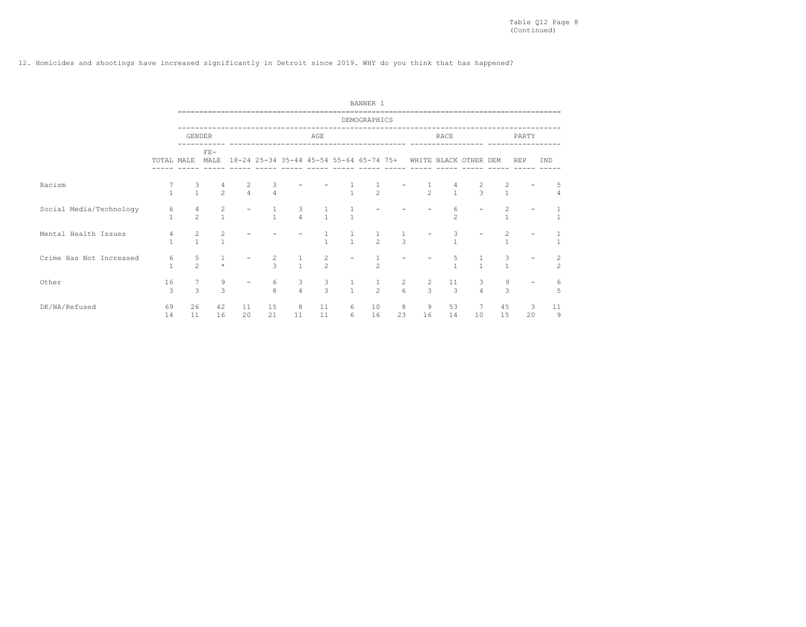## 12. Homicides and shootings have increased significantly in Detroit since 2019. WHY do you think that has happened?

|                         |                   |                                  |                                |                          |                     |                     |                     |                                         | BANNER 1       |                                       |                     |                       |                     |                   |                   |     |                                           |
|-------------------------|-------------------|----------------------------------|--------------------------------|--------------------------|---------------------|---------------------|---------------------|-----------------------------------------|----------------|---------------------------------------|---------------------|-----------------------|---------------------|-------------------|-------------------|-----|-------------------------------------------|
|                         |                   |                                  |                                |                          |                     |                     |                     |                                         | DEMOGRAPHICS   |                                       |                     |                       |                     |                   |                   |     |                                           |
|                         |                   | <b>GENDER</b>                    |                                |                          |                     |                     | AGE                 |                                         |                |                                       |                     | RACE                  |                     |                   | PARTY             |     |                                           |
|                         |                   | TOTAL MALE                       | $FE-$<br>MALE                  |                          |                     |                     |                     | 18-24 25-34 35-44 45-54 55-64 65-74 75+ |                |                                       |                     | WHITE BLACK OTHER DEM |                     |                   | <b>REP</b>        | IND |                                           |
| Racism                  | $\mathbf{1}$      | 3<br>$\mathbf{1}$                | 4<br>$\overline{2}$            | $\frac{2}{4}$            | 3<br>$\overline{4}$ |                     |                     | $\mathbf{1}$                            | $\overline{c}$ |                                       | $\overline{c}$      | $\mathbf{1}$          | 2<br>$\overline{3}$ | 2<br>$\mathbf{1}$ |                   |     | 5<br>4                                    |
| Social Media/Technology | 6<br>$\mathbf{1}$ | $\overline{4}$<br>$\mathfrak{D}$ | $\overline{c}$<br>$\mathbf{1}$ |                          | $\mathbf{1}$        | 3<br>$\overline{4}$ | $\mathbf{1}$        | $\overline{1}$                          |                |                                       |                     | 6<br>$\mathfrak{D}$   |                     | 2                 |                   |     | $\mathbf{1}$                              |
| Mental Health Issues    | 4<br>$\mathbf{1}$ | $\overline{c}$<br>$\mathbf{1}$   | 2<br>$\mathbf{1}$              |                          |                     |                     | $\mathbf{1}$        | $\overline{1}$                          | $\frac{1}{2}$  | $\mathcal{R}$                         |                     | $\mathbf{I}$          |                     | 2                 |                   |     | $\mathbf{1}$                              |
| Crime Has Not Increased | 6<br>$\mathbf{1}$ | 5<br>$\overline{2}$              | $\star$                        | $\overline{\phantom{a}}$ | $\frac{2}{3}$       | $\mathbf{1}$        | $\frac{2}{2}$       |                                         | $\overline{2}$ |                                       |                     | 5<br>$\mathbf{1}$     | $\mathbf{1}$        | 3                 |                   |     | $\overline{\mathbf{c}}$<br>$\overline{c}$ |
| Other                   | 16<br>3           | 3                                | 9<br>3                         | $\overline{\phantom{a}}$ | 6<br>$\mathbf{8}$   | $_4^3$              | 3<br>$\overline{3}$ | $\mathbf{1}$<br>$\frac{1}{1}$           | $\frac{1}{2}$  | $\begin{array}{c} 2 \\ 6 \end{array}$ | $\overline{c}$<br>3 | 11<br>$\mathcal{B}$   | $\frac{3}{4}$       | 9<br>3            | $\qquad \qquad -$ |     | 6<br>5                                    |
| DK/NA/Refused           | 69<br>14          | 26<br>11                         | 42<br>16                       | 11<br>20                 | 15<br>21            | 8<br>11             | 11<br>11            | 6<br>6                                  | 10<br>16       | 8<br>23                               | 9<br>16             | 53<br>14              | 10                  | 45<br>15          | 3<br>20           | 11  | 9                                         |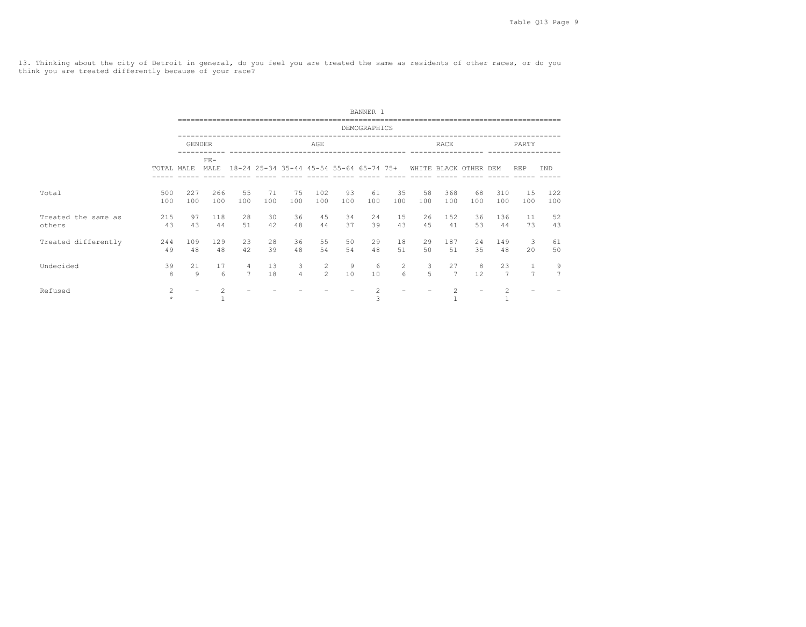13. Thinking about the city of Detroit in general, do you feel you are treated the same as residents of other races, or do you think you are treated differently because of your race?

|                               |            |                          |                |                     |                                         |                     |                    |           | BANNER 1            |                              |           |                                |           |                      |                     |                     |
|-------------------------------|------------|--------------------------|----------------|---------------------|-----------------------------------------|---------------------|--------------------|-----------|---------------------|------------------------------|-----------|--------------------------------|-----------|----------------------|---------------------|---------------------|
|                               |            |                          |                |                     |                                         |                     |                    |           | DEMOGRAPHICS        |                              |           |                                |           |                      |                     |                     |
|                               |            | <b>GENDER</b>            |                |                     |                                         |                     | AGE                |           |                     |                              |           | RACE                           |           |                      | PARTY               |                     |
|                               | TOTAL MALE |                          | $FE-$<br>MALE  |                     | 18-24 25-34 35-44 45-54 55-64 65-74 75+ |                     |                    |           |                     |                              |           | WHITE BLACK OTHER DEM          |           |                      | <b>REP</b>          | <b>IND</b>          |
| Total                         | 500<br>100 | 227<br>100               | 266<br>100     | 55<br>100           | 71<br>100                               | 75<br>100           | 102<br>100         | 93<br>100 | 61<br>100           | 35<br>100                    | 58<br>100 | 368<br>100                     | 68<br>100 | 310<br>100           | 15<br>100           | 122<br>100          |
| Treated the same as<br>others | 215<br>43  | 97<br>43                 | 118<br>44      | 2.8<br>51           | 30<br>42                                | 36<br>48            | 45<br>44           | 34<br>37  | 24<br>39            | 1.5<br>43                    | 26<br>45  | 152<br>41                      | 36<br>53  | 136<br>44            | 11<br>73            | 52<br>43            |
| Treated differently           | 244<br>49  | 109<br>48                | 129<br>48      | 23<br>42            | 28<br>39                                | 36<br>48            | 55<br>54           | 50<br>54  | 29<br>48            | 18<br>51                     | 29<br>50  | 187<br>51                      | 2.4<br>35 | 149<br>48            | 3<br>20             | 61<br>50            |
| Undecided                     | 39<br>8    | 21<br>9                  | 17<br>6        | 4<br>$\overline{7}$ | 13<br>18                                | 3<br>$\overline{4}$ | 2<br>$\mathcal{L}$ | 9<br>10   | 6<br>10             | $\overline{2}$<br>$\epsilon$ | 3<br>5    | 27<br>$\overline{7}$           | 8<br>12   | 23<br>$\overline{7}$ | 1<br>$\overline{7}$ | 9<br>$\overline{7}$ |
| Refused                       | 2          | $\overline{\phantom{0}}$ | $\overline{2}$ |                     |                                         |                     |                    |           | $\overline{c}$<br>3 |                              |           | $\overline{c}$<br>$\mathbf{1}$ |           | $\mathfrak{D}$       |                     |                     |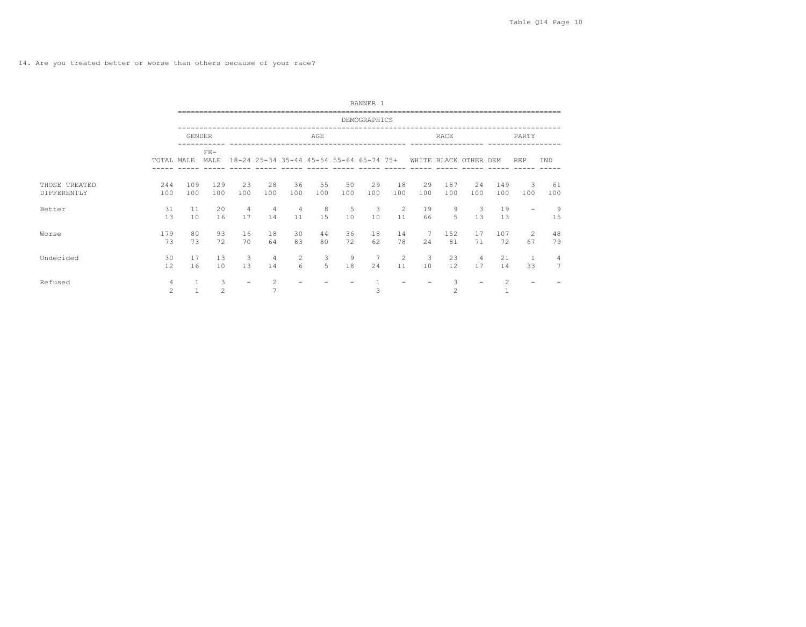14. Are you treated better or worse than others because of your race?

|                              |                     |            |                     |                          |           |                      |           |           | BANNER 1                                |           |                       |                     |                      |            |                   |                     |
|------------------------------|---------------------|------------|---------------------|--------------------------|-----------|----------------------|-----------|-----------|-----------------------------------------|-----------|-----------------------|---------------------|----------------------|------------|-------------------|---------------------|
|                              |                     |            |                     |                          |           |                      |           |           | DEMOGRAPHICS                            |           |                       |                     |                      |            |                   |                     |
|                              |                     | GENDER     |                     |                          |           |                      | AGE       |           |                                         |           |                       | <b>RACE</b>         |                      |            | PARTY             |                     |
|                              | TOTAL MALE          |            | $FE-$<br>MALE       |                          |           |                      |           |           | 18-24 25-34 35-44 45-54 55-64 65-74 75+ |           | WHITE BLACK OTHER DEM |                     |                      |            | <b>REP</b>        | IND                 |
| THOSE TREATED<br>DIFFERENTLY | 244<br>100          | 109<br>100 | 129<br>100          | 23<br>100                | 28<br>100 | 36<br>100            | 55<br>100 | 50<br>100 | 29<br>100                               | 18<br>100 | 29<br>100             | 187<br>100          | 24<br>100            | 149<br>100 | 3<br>100          | 61<br>100           |
| Better                       | 31<br>13            | 11<br>10   | 2.0<br>16           | 4<br>17                  | 4<br>14   | $\overline{4}$<br>11 | 8<br>15   | 5<br>10   | 3<br>10                                 | 2<br>11   | 19<br>66              | 9<br>5              | $\mathbf{3}$<br>13   | 19<br>13   | $\qquad \qquad -$ | 9<br>15             |
| Worse                        | 179<br>73           | 80<br>73   | 93<br>72            | 16<br>70                 | 18<br>64  | 30<br>83             | 44<br>80  | 36<br>72  | 18<br>62                                | 14<br>78  | 24                    | 152<br>81           | 17<br>71             | 107<br>72  | 2<br>67           | 48<br>79            |
| Undecided                    | 30<br>12            | 17<br>16   | 13<br>10            | 3<br>13                  | 4<br>14   | 2<br>6               | 3<br>5    | 9<br>18   | $\overline{7}$<br>24                    | 2<br>11   | 3<br>10               | 23<br>12            | $\overline{4}$<br>17 | 21<br>14   | 33                | 4<br>$\overline{ }$ |
| Refused                      | $\overline{4}$<br>2 |            | 3<br>$\overline{c}$ | $\overline{\phantom{0}}$ | 2         |                      |           |           | 3                                       |           |                       | 3<br>$\overline{c}$ |                      |            |                   |                     |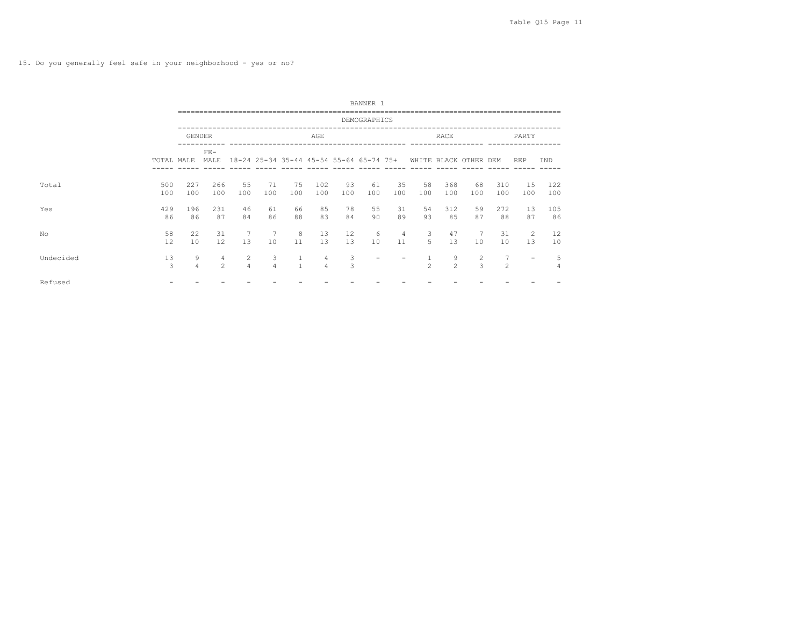15. Do you generally feel safe in your neighborhood - yes or no?

|           |                         |                     |                                  |                     |                                         |                              |                     |                    | BANNER 1     |                   |                |                       |                     |                     |            |            |
|-----------|-------------------------|---------------------|----------------------------------|---------------------|-----------------------------------------|------------------------------|---------------------|--------------------|--------------|-------------------|----------------|-----------------------|---------------------|---------------------|------------|------------|
|           |                         |                     |                                  |                     |                                         |                              |                     |                    | DEMOGRAPHICS |                   |                |                       |                     |                     |            |            |
|           |                         | <b>GENDER</b>       |                                  |                     |                                         |                              | AGE                 |                    |              |                   |                | RACE                  |                     |                     | PARTY      |            |
|           | TOTAL MALE              |                     | $FE-$<br>MALE                    |                     | 18-24 25-34 35-44 45-54 55-64 65-74 75+ |                              |                     |                    |              |                   |                | WHITE BLACK OTHER DEM |                     |                     | <b>REP</b> | TND        |
| Total     | 500<br>100              | 227<br>100          | 266<br>100                       | 55<br>100           | 71<br>100                               | 75<br>100                    | 102<br>100          | 93<br>100          | 61<br>100    | 35<br>100         | 58<br>100      | 368<br>100            | 68<br>100           | 310<br>100          | 1.5<br>100 | 122<br>100 |
| Yes       | 429<br>86               | 196<br>86           | 231<br>87                        | 46<br>84            | 61<br>86                                | 66<br>88                     | 85<br>83            | 78<br>84           | 55<br>90     | 31<br>89          | 54<br>93       | 312<br>85             | 59<br>87            | 272<br>88           | 13<br>87   | 105<br>86  |
| No        | 58<br>$12 \overline{ }$ | 22<br>10            | 31<br>12                         | 13                  | 7<br>10                                 | 8<br>11                      | 13<br>13            | 12<br>13           | 6<br>10      | 4<br>11           | 3<br>5         | 47<br>13              | 7<br>10             | 31<br>10            | 2<br>13    | 12<br>10   |
| Undecided | 13<br>3                 | 9<br>$\overline{4}$ | $\overline{4}$<br>$\mathfrak{D}$ | $\overline{2}$<br>4 | 3<br>$\overline{4}$                     | $\mathbf{1}$<br>$\mathbf{1}$ | 4<br>$\overline{4}$ | 3<br>$\mathcal{R}$ |              | $\qquad \qquad -$ | $\mathfrak{D}$ | 9<br>$\mathfrak{D}$   | $\overline{2}$<br>3 | 7<br>$\mathfrak{D}$ |            | 5<br>4     |
| Refused   |                         |                     |                                  |                     |                                         |                              |                     |                    |              |                   |                |                       |                     |                     |            |            |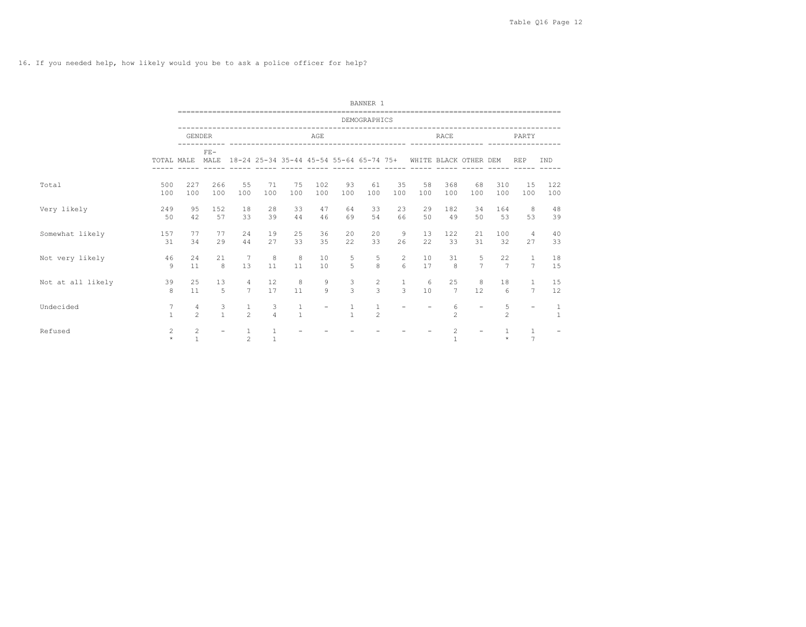16. If you needed help, how likely would you be to ask a police officer for help?

|                   |                           |                                |                      |                                  |                     | -----------------------------------     |              |                     | BANNER 1                        |                                    |           |                       |                     |                      | -------------------------------------- |                   |
|-------------------|---------------------------|--------------------------------|----------------------|----------------------------------|---------------------|-----------------------------------------|--------------|---------------------|---------------------------------|------------------------------------|-----------|-----------------------|---------------------|----------------------|----------------------------------------|-------------------|
|                   |                           |                                |                      |                                  |                     |                                         |              |                     | DEMOGRAPHICS                    |                                    |           |                       |                     |                      |                                        |                   |
|                   |                           | <b>GENDER</b>                  |                      |                                  |                     |                                         | AGE          |                     |                                 |                                    |           | <b>RACE</b>           |                     |                      | PARTY                                  |                   |
|                   | TOTAL MALE                |                                | $FE-$<br>MALE        |                                  |                     | 18-24 25-34 35-44 45-54 55-64 65-74 75+ |              |                     |                                 |                                    |           | WHITE BLACK OTHER DEM |                     |                      | <b>REP</b>                             | IND               |
| Total             | 500<br>100                | 227<br>100                     | 266<br>100           | 55<br>100                        | 71<br>100           | 75<br>100                               | 102<br>100   | 93<br>100           | 61<br>100                       | 35<br>100                          | 58<br>100 | 368<br>100            | 68<br>100           | 310<br>100           | 15<br>100                              | 122<br>100        |
| Very likely       | 249<br>50                 | 95<br>42                       | 152<br>57            | 18<br>33                         | 28<br>39            | 33<br>44                                | 47<br>46     | 64<br>69            | 33<br>54                        | 23<br>66                           | 29<br>50  | 182<br>49             | 34<br>50            | 164<br>53            | 8<br>53                                | 48<br>39          |
| Somewhat likely   | 157<br>31                 | 77<br>34                       | 77<br>29             | 24<br>44                         | 19<br>27            | 25<br>33                                | 36<br>35     | 20<br>22            | 20<br>33                        | 9<br>26                            | 13<br>2.2 | 122<br>33             | 21<br>31            | 100<br>32            | $\overline{4}$<br>27                   | 40<br>33          |
| Not very likely   | 46<br>9                   | 24<br>11                       | 21<br>$\mathbf{g}$   | 7<br>13                          | 8<br>11             | 8<br>11                                 | 10<br>10     | 5<br>$\overline{5}$ | 5<br>$\mathbf{g}$               | $\overline{2}$<br>$6 \overline{6}$ | 10<br>17  | 31<br>$\mathbf{8}$    | 5<br>$\overline{7}$ | 22<br>$\overline{7}$ | $\mathbf{1}$<br>$\overline{7}$         | 18<br>15          |
| Not at all likely | 39<br>8                   | 25<br>11                       | 13<br>$\overline{5}$ | $\overline{4}$<br>$\overline{7}$ | 12<br>17            | 8<br>11                                 | 9<br>$\circ$ | 3<br>$\mathcal{L}$  | $\overline{c}$<br>$\mathcal{L}$ | 1<br>$\overline{3}$                | 6<br>10   | 25<br>$\overline{7}$  | 8<br>12             | 18<br>6              | $\mathbf{1}$<br>$7\overline{ }$        | 15<br>12          |
| Undecided         | 7<br>$\mathbf{1}$         | 4<br>$\mathfrak{D}$            | 3<br>$\mathbf{1}$    | $\mathbf{1}$<br>$\mathfrak{D}$   | 3<br>$\overline{a}$ | $\mathbf{1}$<br>$\mathbf{1}$            |              | 1<br>$\mathbf{1}$   | $\mathbf{1}$<br>$\mathfrak{D}$  |                                    |           | 6<br>$\mathfrak{D}$   |                     | 5<br>$\mathfrak{D}$  | $\equiv$                               | 1<br>$\mathbf{1}$ |
| Refused           | $\mathfrak{D}$<br>$\star$ | $\overline{c}$<br>$\mathbf{1}$ |                      | $\mathfrak{D}$                   |                     |                                         |              |                     |                                 |                                    |           | $\mathfrak{D}$        |                     | $\star$              | $\mathbf{1}$<br>$\overline{7}$         |                   |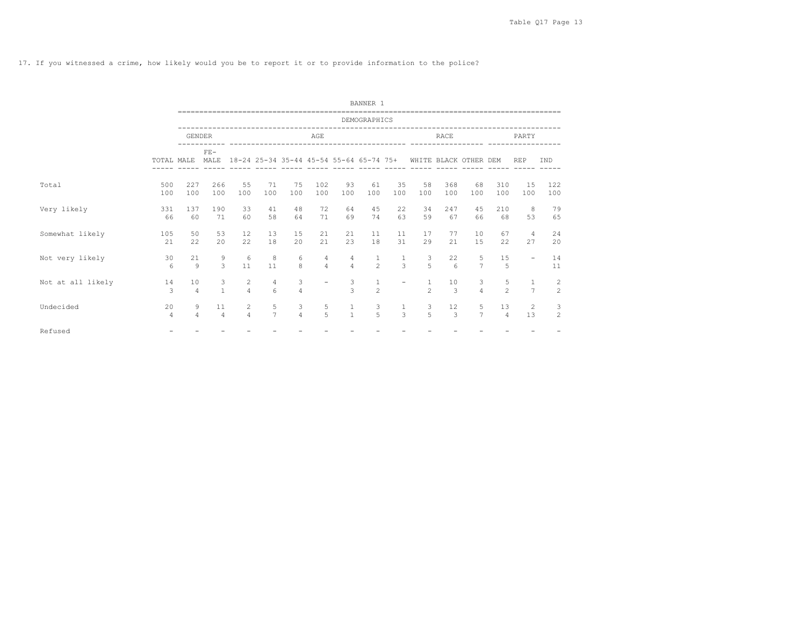17. If you witnessed a crime, how likely would you be to report it or to provide information to the police?

|                   |            |                      |                      |                                  |                               |                     |                                  |                                         | BANNER 1                       |                               |                                |                       |                     |                      |                                |                                  |
|-------------------|------------|----------------------|----------------------|----------------------------------|-------------------------------|---------------------|----------------------------------|-----------------------------------------|--------------------------------|-------------------------------|--------------------------------|-----------------------|---------------------|----------------------|--------------------------------|----------------------------------|
|                   |            |                      |                      |                                  |                               |                     |                                  |                                         | DEMOGRAPHICS                   |                               |                                |                       |                     |                      |                                |                                  |
|                   |            | <b>GENDER</b>        |                      |                                  |                               |                     | AGE                              |                                         |                                |                               |                                | RACE                  |                     |                      | PARTY                          |                                  |
|                   | TOTAL MALE |                      | $FF-$<br>MALE        |                                  |                               |                     |                                  | 18-24 25-34 35-44 45-54 55-64 65-74 75+ |                                |                               |                                | WHITE BLACK OTHER DEM |                     |                      | <b>REP</b>                     | IND                              |
| Total             | 500<br>100 | 227<br>100           | 266<br>100           | 55<br>100                        | 71<br>100                     | 75<br>100           | 102<br>100                       | 93<br>100                               | 61<br>100                      | 35<br>100                     | 58<br>100                      | 368<br>100            | 68<br>100           | 310<br>100           | 15<br>100                      | 122<br>100                       |
| Very likely       | 331<br>66  | 137<br>60            | 190<br>71            | 33<br>60                         | 41<br>58                      | 48<br>64            | 72<br>71                         | 64<br>69                                | 45<br>74                       | 22<br>63                      | 34<br>59                       | 247<br>67             | 4.5<br>66           | 210<br>68            | 8<br>53                        | 79<br>65                         |
| Somewhat likely   | 105<br>21  | 50<br>22             | 53<br>2.0            | 12<br>22                         | 13<br>18                      | 15<br>20            | 21<br>21                         | 21<br>23                                | 11<br>18                       | 11<br>31                      | 17<br>29                       | 77<br>2.1             | 10<br>1.5           | 67<br>22.2           | $\overline{4}$<br>27           | 24<br>20                         |
| Not very likely   | 30<br>6    | 21<br>9              | 9<br>3               | 6<br>11                          | 8<br>11                       | 6<br>8              | $\overline{4}$<br>$\overline{4}$ | $\overline{4}$<br>$\overline{4}$        | $\mathbf{1}$<br>$\overline{2}$ | $\mathbf{1}$<br>$\mathcal{L}$ | 3<br>$\overline{5}$            | 22<br>$6\overline{6}$ | 5<br>$\overline{7}$ | 15<br>$\overline{5}$ | $\overline{\phantom{a}}$       | 14<br>11                         |
| Not at all likely | 14<br>3    | 10<br>$\overline{4}$ | 3<br>$\mathbf{1}$    | $\overline{c}$<br>$\overline{4}$ | $\overline{4}$<br>$6^{\circ}$ | 3<br>$\overline{4}$ | $\overline{\phantom{0}}$         | 3<br>$\mathcal{R}$                      | $\mathbf{1}$<br>$\mathfrak{D}$ | $\rightarrow$                 | $\mathbf{1}$<br>$\mathfrak{D}$ | 10<br>$\mathcal{L}$   | 3<br>$\overline{4}$ | 5<br>$\mathfrak{D}$  | $\mathbf{1}$<br>$\overline{7}$ | $\overline{c}$<br>$\overline{c}$ |
| Undecided         | 20<br>4    | 9<br>$\overline{4}$  | 11<br>$\overline{4}$ | $\overline{2}$<br>$\overline{4}$ | 5<br>$\overline{7}$           | 3<br>$\overline{4}$ | 5<br>5                           | $\mathbf{1}$<br>$\mathbf{1}$            | 3<br>$\overline{5}$            | $\overline{3}$                | 3<br>5                         | 12<br>$\mathcal{B}$   | 5<br>$\overline{7}$ | 13<br>$\overline{4}$ | 2<br>13                        | 3<br>2                           |
| Refused           |            |                      |                      |                                  |                               |                     |                                  |                                         |                                |                               |                                |                       |                     |                      |                                |                                  |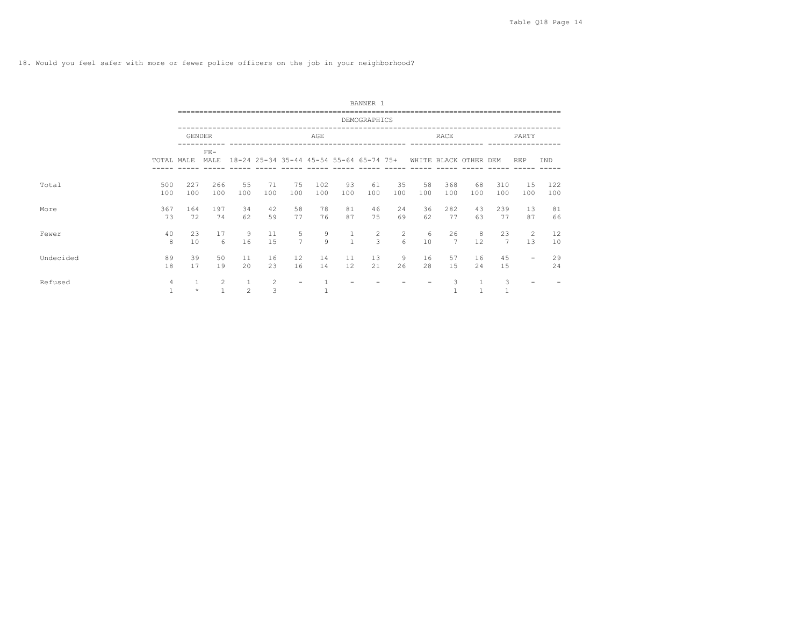18. Would you feel safer with more or fewer police officers on the job in your neighborhood?

|           |            |                         |                        |                |           |                                         |            |              | BANNER 1            |           |           |                       |           |                   |                          |            |
|-----------|------------|-------------------------|------------------------|----------------|-----------|-----------------------------------------|------------|--------------|---------------------|-----------|-----------|-----------------------|-----------|-------------------|--------------------------|------------|
|           |            |                         |                        |                |           |                                         |            |              | DEMOGRAPHICS        |           |           |                       |           |                   |                          |            |
|           |            |                         | <b>GENDER</b>          |                |           |                                         | AGE        |              |                     |           |           | RACE                  |           |                   | PARTY                    |            |
|           | TOTAL MALE |                         | $FE-$<br>MALE          |                |           | 18-24 25-34 35-44 45-54 55-64 65-74 75+ |            |              |                     |           |           | WHITE BLACK OTHER DEM |           |                   | <b>REP</b>               | IND        |
| Total     | 500<br>100 | 227<br>100              | 266<br>100             | 55<br>100      | 71<br>100 | 75<br>100                               | 102<br>100 | 93<br>100    | 61<br>100           | 35<br>100 | 58<br>100 | 368<br>100            | 68<br>100 | 310<br>100        | 15<br>100                | 122<br>100 |
| More      | 367<br>73  | 164<br>72               | 197<br>74              | 34<br>62       | 42<br>59  | 58<br>77                                | 78<br>76   | 81<br>87     | 46<br>75            | 24<br>69  | 36<br>62  | 282<br>77             | 43<br>63  | 239<br>77         | 13<br>87                 | 81<br>66   |
| Fewer     | 40<br>8    | 23<br>10                | 17<br>$6 \overline{6}$ | 9<br>16        | 11<br>15  | 5<br>$\overline{7}$                     | 9<br>9     | $\mathbf{1}$ | $\overline{2}$<br>3 | 2<br>6    | 6<br>10   | 26<br>7               | 8<br>12   | 23<br>7           | 2<br>13                  | 12<br>10   |
| Undecided | 89<br>18   | 39<br>17                | 50<br>19               | 11<br>20       | 16<br>23  | $12 \overline{ }$<br>16                 | 14<br>14   | 11<br>12     | 13<br>21            | 9<br>26   | 16<br>28  | 57<br>1.5             | 16<br>24  | 45<br>15          | $\overline{\phantom{a}}$ | 29<br>24   |
| Refused   | 4          | $\mathbf{1}$<br>$\star$ | $\overline{2}$<br>1    | $\overline{c}$ | 2<br>3    | $\qquad \qquad -$                       | 1          |              |                     |           |           | 3                     |           | 3<br>$\mathbf{1}$ |                          |            |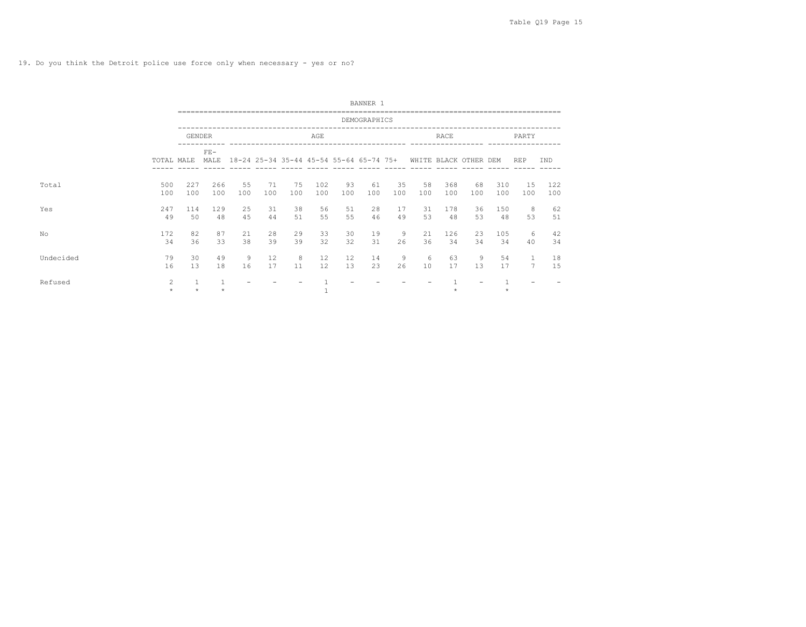19. Do you think the Detroit police use force only when necessary - yes or no?

|           |              |            |               |           |           |           |            |           | BANNER 1                                |           |                       |            |           |            |                |            |
|-----------|--------------|------------|---------------|-----------|-----------|-----------|------------|-----------|-----------------------------------------|-----------|-----------------------|------------|-----------|------------|----------------|------------|
|           |              |            |               |           |           |           |            |           | DEMOGRAPHICS                            |           |                       |            |           |            |                |            |
|           |              | GENDER     |               |           |           |           | AGE        |           |                                         |           |                       | RACE       |           |            | PARTY          |            |
|           | TOTAL MALE   |            | $FE-$<br>MALE |           |           |           |            |           | 18-24 25-34 35-44 45-54 55-64 65-74 75+ |           | WHITE BLACK OTHER DEM |            |           |            | <b>REP</b>     | IND        |
| Total     | 500<br>100   | 227<br>100 | 266<br>100    | 55<br>100 | 71<br>100 | 75<br>100 | 102<br>100 | 93<br>100 | 61<br>100                               | 35<br>100 | 58<br>100             | 368<br>100 | 68<br>100 | 310<br>100 | 15<br>100      | 122<br>100 |
| Yes       | 247<br>49    | 114<br>50  | 129<br>48     | 25<br>45  | 31<br>44  | 38<br>51  | 56<br>55   | 51<br>55  | 28<br>46                                | 17<br>49  | 31<br>53              | 178<br>48  | 36<br>53  | 150<br>48  | 8<br>53        | 62<br>51   |
| No        | 172<br>34    | 82<br>36   | 87<br>33      | 21<br>38  | 28<br>39  | 29<br>39  | 33<br>32   | 30<br>32  | 19<br>31                                | 9<br>26   | 21<br>36              | 126<br>34  | 23<br>34  | 105<br>34  | 6<br>40        | 42<br>34   |
| Undecided | 79<br>16     | 30<br>13   | 49<br>18      | 9<br>16   | 12<br>17  | 8<br>11   | 12<br>12   | 12<br>13  | 14<br>23                                | 9<br>26   | 6<br>10               | 63<br>17   | 9<br>13   | 54<br>17   | $\overline{7}$ | 18<br>15   |
| Refused   | 2<br>$\star$ | $\star$    | $\star$       |           |           |           |            |           |                                         |           |                       | $\star$    |           | $\star$    |                |            |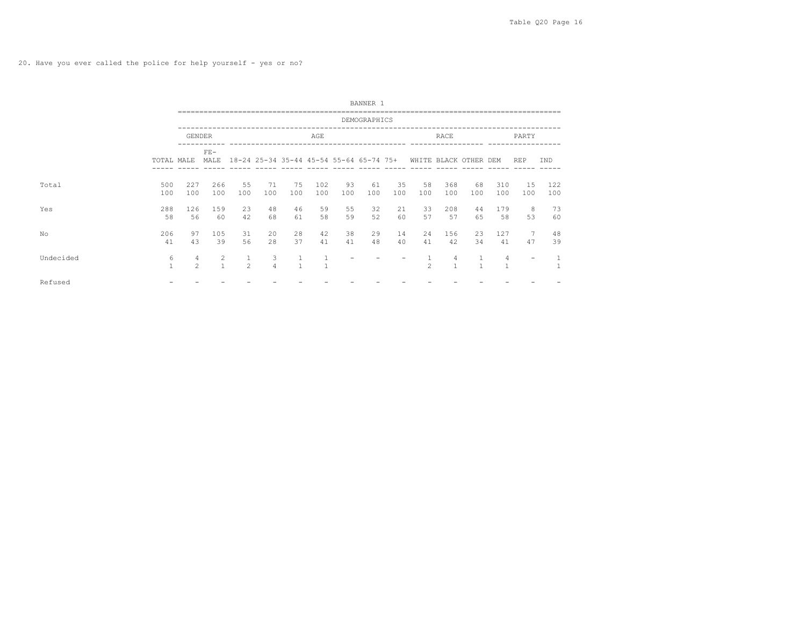20. Have you ever called the police for help yourself - yes or no?

|           |                   |                     |                                |                     |                     |                                         |            |           | BANNER 1     |           |                       |            |           |            |            |            |
|-----------|-------------------|---------------------|--------------------------------|---------------------|---------------------|-----------------------------------------|------------|-----------|--------------|-----------|-----------------------|------------|-----------|------------|------------|------------|
|           |                   |                     |                                |                     |                     |                                         |            |           | DEMOGRAPHICS |           |                       |            |           |            |            |            |
|           |                   | GENDER              |                                |                     |                     |                                         | AGE        |           |              |           |                       | RACE       |           |            | PARTY      |            |
|           | TOTAL MALE        |                     | $\rm{FE}-$<br>MALE             |                     |                     | 18-24 25-34 35-44 45-54 55-64 65-74 75+ |            |           |              |           | WHITE BLACK OTHER DEM |            |           |            | <b>REP</b> | <b>TND</b> |
| Total     | 500<br>100        | 227<br>100          | 266<br>100                     | 55<br>100           | 71<br>100           | 75<br>100                               | 102<br>100 | 93<br>100 | 61<br>100    | 35<br>100 | 58<br>100             | 368<br>100 | 68<br>100 | 310<br>100 | 15<br>100  | 122<br>100 |
| Yes       | 288<br>58         | 126<br>56           | 159<br>60                      | 23<br>42            | 48<br>68            | 46<br>61                                | 59<br>58   | 55<br>59  | 32<br>52     | 21<br>60  | 33<br>57              | 208<br>57  | 44<br>65  | 179<br>58  | 8<br>53    | 73<br>60   |
| No        | 206<br>41         | 97<br>43            | 105<br>39                      | 31<br>56            | 20<br>28            | 28<br>37                                | 42<br>41   | 38<br>41  | 29<br>48     | 14<br>40  | 24<br>41              | 156<br>42  | 23<br>34  | 127<br>41  | 47         | 48<br>39   |
| Undecided | 6<br>$\mathbf{1}$ | 4<br>$\overline{2}$ | $\overline{2}$<br>$\mathbf{1}$ | 1<br>$\mathfrak{D}$ | 3<br>$\overline{4}$ |                                         |            |           |              |           | $\mathfrak{D}$        | 4          |           | 4          |            |            |
| Refused   |                   |                     |                                |                     |                     |                                         |            |           |              |           |                       |            |           |            |            |            |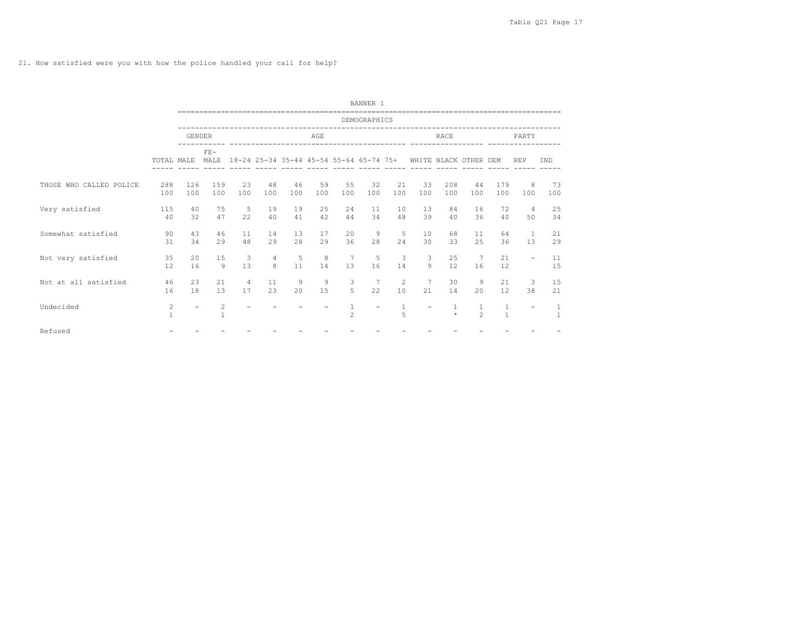21. How satisfied were you with how the police handled your call for help?

|                         |                   |               |                   |                      |                     |           |           |                                         | BANNER 1     |                      |           |                       |                                |                              |                          |                              |
|-------------------------|-------------------|---------------|-------------------|----------------------|---------------------|-----------|-----------|-----------------------------------------|--------------|----------------------|-----------|-----------------------|--------------------------------|------------------------------|--------------------------|------------------------------|
|                         |                   |               |                   |                      |                     |           |           |                                         | DEMOGRAPHICS |                      |           |                       |                                |                              |                          |                              |
|                         |                   | <b>GENDER</b> |                   |                      |                     |           | AGE       |                                         |              |                      |           | <b>RACE</b>           |                                |                              | PARTY                    |                              |
|                         | TOTAL MALE        |               | $FE-$<br>MAT.F.   |                      |                     |           |           | 18-24 25-34 35-44 45-54 55-64 65-74 75+ |              |                      |           | WHITE BLACK OTHER DEM |                                |                              | <b>REP</b>               | TND                          |
| THOSE WHO CALLED POLICE | 288<br>100        | 126<br>100    | 159<br>100        | 2.3<br>100           | 48<br>100           | 46<br>100 | 59<br>100 | 55<br>100                               | 32<br>100    | 21<br>100            | 33<br>100 | 208<br>100            | 44<br>100                      | 179<br>100                   | 8<br>100                 | 73<br>100                    |
| Very satisfied          | 115<br>40         | 40<br>32      | 75<br>47          | 5<br>22              | 19<br>40            | 19<br>41  | 25<br>42  | 2.4<br>44                               | 11<br>34     | 10<br>48             | 1.3<br>39 | 84<br>40              | 16<br>36                       | 72<br>40                     | $\overline{4}$<br>50     | 25<br>34                     |
| Somewhat satisfied      | 90<br>31          | 43<br>34      | 46<br>29          | 11<br>48             | 14<br>29            | 13<br>2.8 | 17<br>2.9 | 20<br>36                                | 9<br>2.8     | 5<br>2.4             | 10<br>30  | 68<br>33              | 11<br>2.5                      | 64<br>36                     | $\mathbf{1}$<br>13       | 21<br>2.9                    |
| Not very satisfied      | 35<br>12          | 2.0<br>16     | 15<br>Q           | 3<br>13              | $\overline{4}$<br>8 | 5<br>11   | 8<br>14   | 7<br>13                                 | 5<br>16      | 3<br>14              | 3<br>Q    | 25<br>12              | 7<br>16                        | 21<br>12.                    | $\overline{\phantom{a}}$ | 11<br>15                     |
| Not at all satisfied    | 46<br>16          | 2.3<br>18     | 21<br>13          | $\overline{4}$<br>17 | 11<br>23            | 9<br>20   | 9<br>15   | 3<br>5                                  | 22           | $\overline{c}$<br>10 | 7<br>21   | 30<br>14              | 9<br>20                        | 21<br>12                     | 3<br>38                  | 15<br>21                     |
| Undecided               | 2<br>$\mathbf{1}$ | $\equiv$      | 2<br>$\mathbf{1}$ |                      |                     |           |           | $\mathbf{1}$<br>$\mathfrak{D}$          |              | $\mathbf{1}$<br>5    |           | 1<br>$\star$          | $\mathbf{1}$<br>$\mathfrak{D}$ | $\mathbf{1}$<br>$\mathbf{1}$ | $\equiv$                 | $\mathbf{1}$<br>$\mathbf{1}$ |
| Refused                 |                   |               |                   |                      |                     |           |           |                                         |              |                      |           |                       |                                |                              |                          |                              |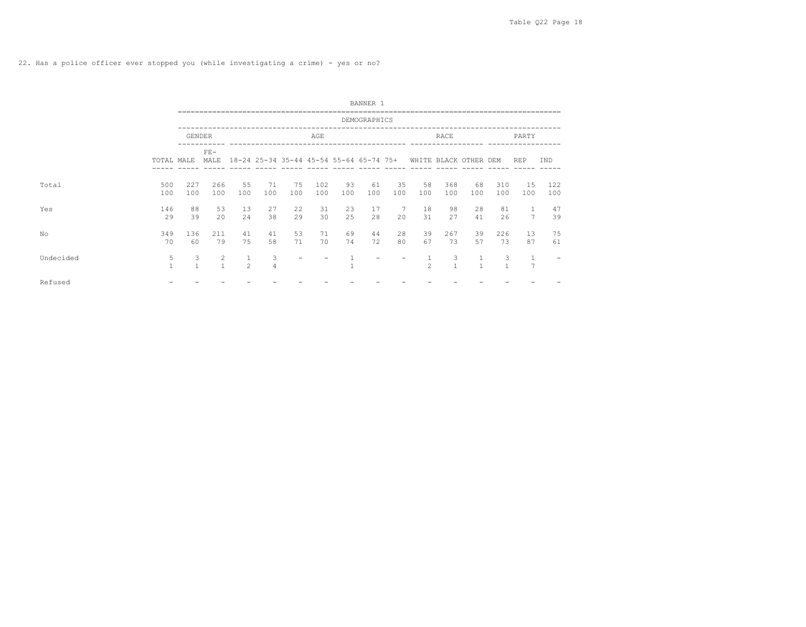22. Has a police officer ever stopped you (while investigating a crime) - yes or no?

|           |                   |                   |                                |                |                     |                                                               |            |           | BANNER 1     |           |                |                   |                |                   |                                |            |
|-----------|-------------------|-------------------|--------------------------------|----------------|---------------------|---------------------------------------------------------------|------------|-----------|--------------|-----------|----------------|-------------------|----------------|-------------------|--------------------------------|------------|
|           |                   |                   |                                |                |                     |                                                               |            |           | DEMOGRAPHICS |           |                |                   |                |                   |                                |            |
|           |                   | <b>GENDER</b>     |                                |                |                     |                                                               | AGE        |           |              |           |                | RACE              |                |                   | PARTY                          |            |
|           | TOTAL MALE        |                   | $FE-$<br>MALE                  |                |                     | 18-24 25-34 35-44 45-54 55-64 65-74 75+ WHITE BLACK OTHER DEM |            |           |              |           |                |                   |                |                   | <b>REP</b>                     | IND        |
| Total     | 500<br>100        | 227<br>100        | 266<br>100                     | 55<br>100      | 71<br>100           | 75<br>100                                                     | 102<br>100 | 93<br>100 | 61<br>100    | 35<br>100 | 58<br>100      | 368<br>100        | 68<br>100      | 310<br>100        | 15<br>100                      | 122<br>100 |
| Yes       | 146<br>29         | 88<br>39          | 53<br>2.0                      | 13<br>24       | 27<br>38            | 22<br>29                                                      | 31<br>30   | 23<br>25  | 17<br>28     | 7<br>20   | 18<br>31       | 98<br>27          | 28<br>41       | 81<br>26          | $\overline{7}$                 | 47<br>39   |
| No        | 349<br>70         | 136<br>60         | 211<br>79                      | 41<br>75       | 41<br>58            | 53<br>71                                                      | 71<br>70   | 69<br>74  | 44<br>72     | 28<br>80  | 39<br>67       | 267<br>73         | 39<br>57       | 226<br>73         | 13<br>87                       | 75<br>61   |
| Undecided | 5<br>$\mathbf{1}$ | 3<br>$\mathbf{1}$ | $\overline{2}$<br>$\mathbf{1}$ | $\mathfrak{D}$ | 3<br>$\overline{4}$ |                                                               |            |           |              |           | $\mathfrak{D}$ | 3<br>$\mathbf{1}$ | $\overline{1}$ | 3<br>$\mathbf{1}$ | $\mathbf{1}$<br>$\overline{7}$ |            |
| Refused   |                   |                   |                                |                |                     |                                                               |            |           |              |           |                |                   |                |                   |                                |            |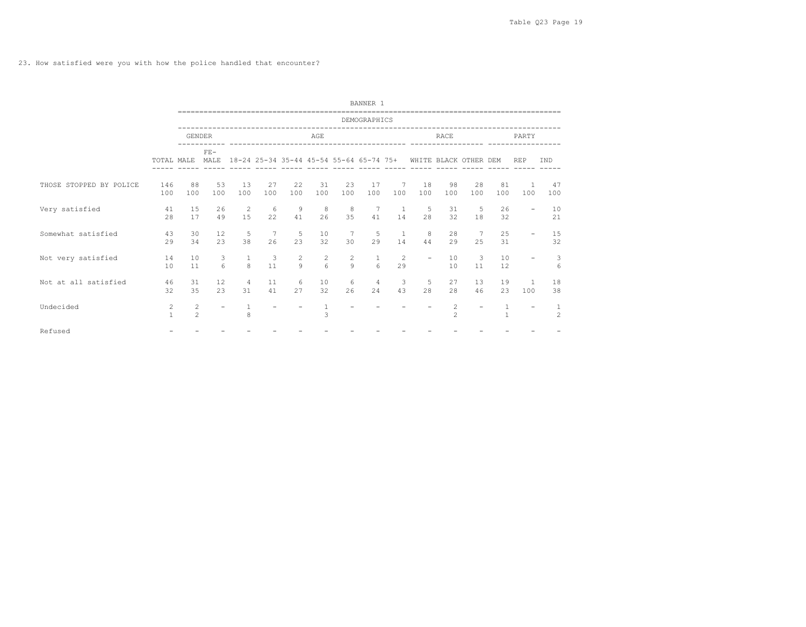23. How satisfied were you with how the police handled that encounter?

|                         |                                       |                                  |                       |                              |                      |                      |                            |                                         | BANNER 1                 |                      |                          |                                |                          |                                |                          |                     |
|-------------------------|---------------------------------------|----------------------------------|-----------------------|------------------------------|----------------------|----------------------|----------------------------|-----------------------------------------|--------------------------|----------------------|--------------------------|--------------------------------|--------------------------|--------------------------------|--------------------------|---------------------|
|                         |                                       |                                  |                       |                              |                      |                      |                            |                                         | DEMOGRAPHICS             |                      |                          |                                |                          |                                |                          |                     |
|                         |                                       | <b>GENDER</b>                    |                       |                              |                      |                      | AGE                        |                                         |                          |                      |                          | <b>RACE</b>                    |                          |                                | PARTY                    |                     |
|                         | TOTAL MALE                            |                                  | $FE-$<br>MAT.F.       |                              |                      |                      |                            | 18-24 25-34 35-44 45-54 55-64 65-74 75+ |                          |                      |                          | WHITE BLACK OTHER DEM          |                          |                                | <b>REP</b>               | TND                 |
| THOSE STOPPED BY POLICE | 146<br>100                            | 88<br>100                        | 53<br>100             | 13<br>100                    | 27<br>100            | 22<br>100            | 31<br>100                  | 23<br>100                               | 17<br>100                | 7<br>100             | 18<br>100                | 98<br>100                      | 28<br>100                | 81<br>100                      | $\mathbf{1}$<br>100      | 47<br>100           |
| Very satisfied          | 41<br>28                              | 15<br>17                         | 26<br>49              | 2<br>1.5                     | -6<br>22             | $\overline{9}$<br>41 | 8<br>26                    | 8<br>35                                 | 7<br>41                  | $\overline{1}$<br>14 | 5<br>2.8                 | 31<br>32                       | 5<br>18                  | 26<br>32                       | $\overline{\phantom{0}}$ | 10<br>21            |
| Somewhat satisfied      | 43<br>29                              | 30<br>34                         | 12<br>23              | 5<br>38                      | 7<br>26              | 5<br>23              | 10<br>32                   | $7\phantom{.0}$<br>30                   | -5<br>29                 | $\overline{1}$<br>14 | 8<br>44                  | 2.8<br>29                      | $\overline{7}$<br>2.5    | 25<br>31                       | -                        | 15<br>32            |
| Not very satisfied      | 14<br>10                              | 10<br>11                         | 3<br>$6 \overline{6}$ | $\mathbf{1}$<br>$\mathsf{R}$ | $\overline{3}$<br>11 | 2<br>9               | $\overline{c}$<br>$\kappa$ | $\overline{c}$<br>$\mathsf{Q}$          | $\mathbf{1}$<br>$\kappa$ | 2<br>29              | $\overline{\phantom{a}}$ | 10<br>10                       | 3<br>11                  | 10<br>12                       | $\overline{\phantom{0}}$ | 3<br>6              |
| Not at all satisfied    | 46<br>32                              | 31<br>35                         | 12<br>23              | $\overline{4}$<br>31         | 11<br>41             | 6<br>27              | 10<br>32                   | 6<br>26                                 | 4<br>24                  | 3<br>43              | 5<br>2.8                 | 27<br>2.8                      | 13<br>46                 | 19<br>23                       | 100                      | 18<br>38            |
| Undecided               | $\begin{array}{c} 2 \\ 1 \end{array}$ | $\overline{c}$<br>$\overline{2}$ |                       | 8                            |                      |                      | 3                          |                                         |                          |                      |                          | $\mathbf{2}$<br>$\mathfrak{D}$ | $\overline{\phantom{a}}$ | $\mathbf{1}$<br>$\overline{1}$ |                          | 1<br>$\mathfrak{D}$ |
| Refused                 |                                       |                                  |                       |                              |                      |                      |                            |                                         |                          |                      |                          |                                |                          |                                |                          |                     |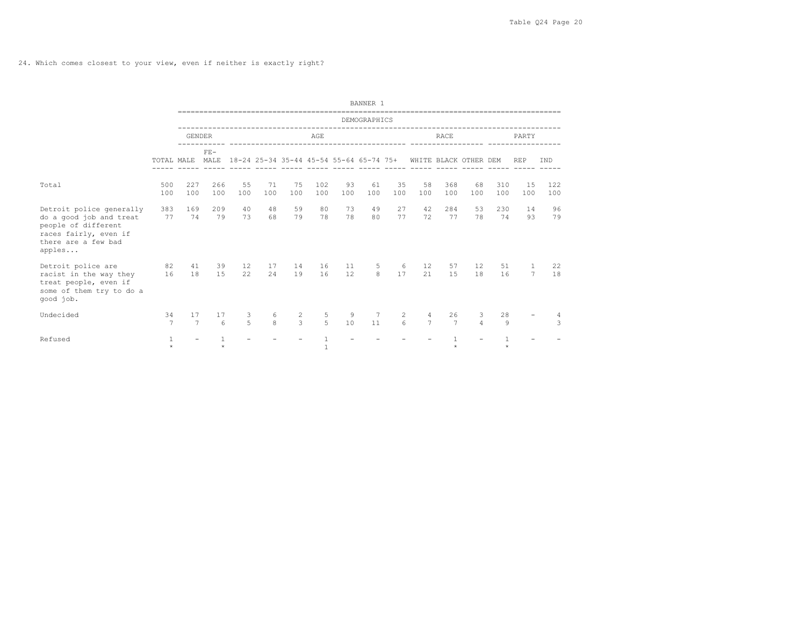24. Which comes closest to your view, even if neither is exactly right?

|                                                                                                                                      |                      |                          |                |                     |                   |               |                     |                                         | BANNER 1            |                     |                       |                      |                       |            |                     |               |
|--------------------------------------------------------------------------------------------------------------------------------------|----------------------|--------------------------|----------------|---------------------|-------------------|---------------|---------------------|-----------------------------------------|---------------------|---------------------|-----------------------|----------------------|-----------------------|------------|---------------------|---------------|
|                                                                                                                                      |                      |                          |                |                     |                   |               |                     |                                         | DEMOGRAPHICS        |                     |                       |                      |                       |            |                     |               |
|                                                                                                                                      |                      | <b>GENDER</b>            |                |                     |                   |               | AGE                 |                                         |                     |                     |                       | <b>RACE</b>          |                       |            | PARTY               |               |
|                                                                                                                                      | TOTAL MALE           |                          | $FF -$<br>MALE |                     |                   |               |                     | 18-24 25-34 35-44 45-54 55-64 65-74 75+ |                     |                     |                       |                      | WHITE BLACK OTHER DEM |            | <b>REP</b>          | IND           |
| Total                                                                                                                                | 500<br>100           | 227<br>100               | 266<br>100     | 55<br>100           | 71<br>100         | 75<br>100     | 102<br>100          | 93<br>100                               | 61<br>100           | 35<br>100           | 58<br>100             | 368<br>100           | 68<br>100             | 310<br>100 | 15<br>100           | 122<br>100    |
| Detroit police generally<br>do a good job and treat<br>people of different<br>races fairly, even if<br>there are a few bad<br>apples | 383<br>77            | 169<br>74                | 209<br>79      | 40<br>73            | 48<br>68          | 59<br>79      | 80<br>78            | 73<br>78                                | 49<br>80            | 27<br>77            | 42<br>72              | 284<br>77            | 53<br>78              | 230<br>74  | 14<br>93            | 96<br>79      |
| Detroit police are<br>racist in the way they<br>treat people, even if<br>some of them try to do a<br>good job.                       | 82<br>16             | 41<br>18                 | 39<br>1.5      | 12<br>22            | 17<br>24          | 14<br>19      | 16<br>16            | 11<br>12                                | 5<br>8 <sup>1</sup> | 6<br>17             | 12 <sup>°</sup><br>21 | 57<br>1.5            | 12<br>18              | 51<br>16   | 1<br>$\overline{7}$ | 22<br>18      |
| Undecided                                                                                                                            | 34<br>$\overline{7}$ | 17<br>$\overline{7}$     | 17<br>$\kappa$ | 3<br>$\overline{5}$ | 6<br>$\mathbf{8}$ | $\frac{2}{3}$ | 5<br>$\overline{5}$ | 9<br>10                                 | 7<br>11             | $\overline{2}$<br>6 | 4<br>$\overline{7}$   | 26<br>$\overline{7}$ | 3<br>$\overline{4}$   | 28<br>9    |                     | $\mathcal{L}$ |
| Refused                                                                                                                              | 1<br>$\star$         | $\overline{\phantom{a}}$ | $\star$        |                     |                   |               | $\mathbf{1}$        |                                         |                     |                     |                       |                      |                       | $\star$    |                     |               |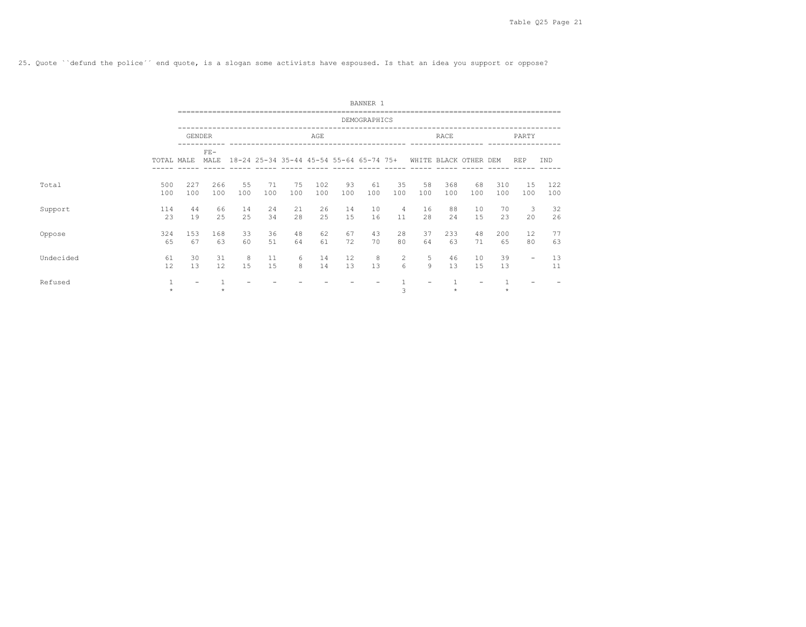25. Quote ``defund the police´´ end quote, is a slogan some activists have espoused. Is that an idea you support or oppose?

|           |                  |               |               |           |           |           |                                         |           | BANNER 1     |                      |                       |            |                          |            |                          |            |
|-----------|------------------|---------------|---------------|-----------|-----------|-----------|-----------------------------------------|-----------|--------------|----------------------|-----------------------|------------|--------------------------|------------|--------------------------|------------|
|           |                  |               |               |           |           |           |                                         |           | DEMOGRAPHICS |                      |                       |            |                          |            |                          |            |
|           |                  | <b>GENDER</b> |               |           |           |           | AGE                                     |           |              |                      |                       | RACE       |                          |            | PARTY                    |            |
|           | TOTAL MALE       |               | $FE-$<br>MALE |           |           |           | 18-24 25-34 35-44 45-54 55-64 65-74 75+ |           |              |                      | WHITE BLACK OTHER DEM |            |                          |            | <b>REP</b>               | IND        |
| Total     | 500<br>100       | 227<br>100    | 266<br>100    | 55<br>100 | 71<br>100 | 75<br>100 | 102<br>100                              | 93<br>100 | 61<br>100    | 35<br>100            | 58<br>100             | 368<br>100 | 68<br>100                | 310<br>100 | 15<br>100                | 122<br>100 |
| Support   | 114<br>23        | 44<br>19      | 66<br>2.5     | 14<br>25  | 24<br>34  | 21<br>28  | 26<br>25                                | 14<br>15  | 10<br>16     | $\overline{4}$<br>11 | 16<br>28              | 88<br>24   | 10<br>15                 | 70<br>23   | 3<br>20                  | 32<br>26   |
| Oppose    | 324<br>65        | 153<br>67     | 168<br>63     | 33<br>60  | 36<br>51  | 48<br>64  | 62<br>61                                | 67<br>72  | 43<br>70     | 28<br>80             | 37<br>64              | 233<br>63  | 48<br>71                 | 200<br>65  | 12<br>80                 | 77<br>63   |
| Undecided | 61<br>12         | 30<br>13      | 31<br>12      | 8<br>15   | 11<br>15  | 6<br>8    | 14<br>14                                | 12<br>13  | 8<br>13      | 2<br>6               | 5<br>9                | 46<br>13   | 10<br>15                 | 39<br>13   | $\overline{\phantom{0}}$ | 13<br>11   |
| Refused   | $1\,$<br>$\star$ | -             | $\star$       |           |           |           |                                         |           |              | 3                    |                       | $\star$    | $\overline{\phantom{a}}$ | $\star$    |                          |            |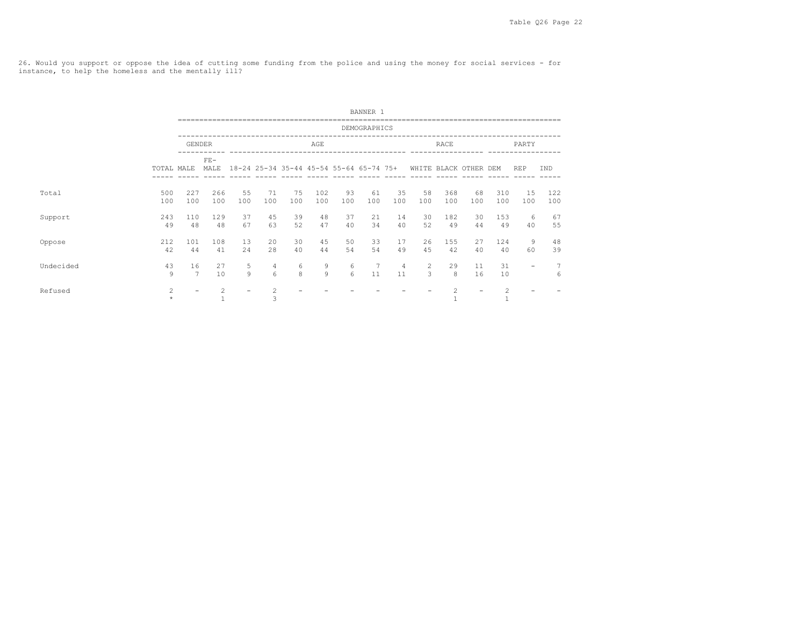26. Would you support or oppose the idea of cutting some funding from the police and using the money for social services - for instance, to help the homeless and the mentally ill?

|           |            |                          |                   |           |                     |           |                                                               |           | BANNER 1     |                      |           |                                |           |                                                                                                                                                               |                          |                     |
|-----------|------------|--------------------------|-------------------|-----------|---------------------|-----------|---------------------------------------------------------------|-----------|--------------|----------------------|-----------|--------------------------------|-----------|---------------------------------------------------------------------------------------------------------------------------------------------------------------|--------------------------|---------------------|
|           |            |                          |                   |           |                     |           |                                                               |           | DEMOGRAPHICS |                      |           |                                |           |                                                                                                                                                               |                          |                     |
|           |            | <b>GENDER</b>            |                   |           |                     |           | AGE                                                           |           |              |                      |           | RACE                           |           |                                                                                                                                                               | PARTY                    |                     |
|           | TOTAL MALE |                          | $FE-$<br>MALE     |           |                     |           | 18-24 25-34 35-44 45-54 55-64 65-74 75+ WHITE BLACK OTHER DEM |           |              |                      |           |                                |           |                                                                                                                                                               | <b>REP</b>               | IND                 |
| Total     | 500<br>100 | 227<br>100               | 266<br>100        | 55<br>100 | 71<br>100           | 75<br>100 | 102<br>100                                                    | 93<br>100 | 61<br>100    | 35<br>100            | 58<br>100 | 368<br>100                     | 68<br>100 | 310<br>100                                                                                                                                                    | 15<br>100                | 122<br>100          |
| Support   | 243<br>49  | 110<br>48                | 129<br>48         | 37<br>67  | 45<br>63            | 39<br>52  | 48<br>47                                                      | 37<br>40  | 21<br>34     | 14<br>40             | 30<br>52  | 182<br>49                      | 30<br>44  | 153<br>49                                                                                                                                                     | 6<br>40                  | 67<br>55            |
| Oppose    | 212<br>42  | 101<br>44                | 108<br>41         | 13<br>24  | 20<br>28            | 30<br>40  | 45<br>44                                                      | 50<br>54  | 33<br>54     | 17<br>49             | 26<br>45  | 155<br>42                      | 27<br>40  | 124<br>40                                                                                                                                                     | 9<br>60                  | 48<br>39            |
| Undecided | 43<br>9    | 16<br>7                  | 27<br>10          | 5<br>9    | 4<br>6              | 6<br>8    | 9<br>9                                                        | 6<br>6    | 7<br>11      | $\overline{4}$<br>11 | 2<br>3    | 29<br>8                        | 11<br>16  | 31<br>10                                                                                                                                                      | $\overline{\phantom{a}}$ | $\overline{7}$<br>6 |
| Refused   | 2          | $\overline{\phantom{0}}$ | 2<br>$\mathbf{1}$ |           | $\overline{c}$<br>3 |           |                                                               |           |              |                      |           | $\overline{2}$<br>$\mathbf{1}$ |           | $\mathfrak{D}_{1}^{2}(\mathfrak{D}_{1})=\mathfrak{D}_{2}^{2}(\mathfrak{D}_{2})=\mathfrak{D}_{2}^{2}(\mathfrak{D}_{1})=\mathfrak{D}_{2}^{2}(\mathfrak{D}_{2})$ |                          |                     |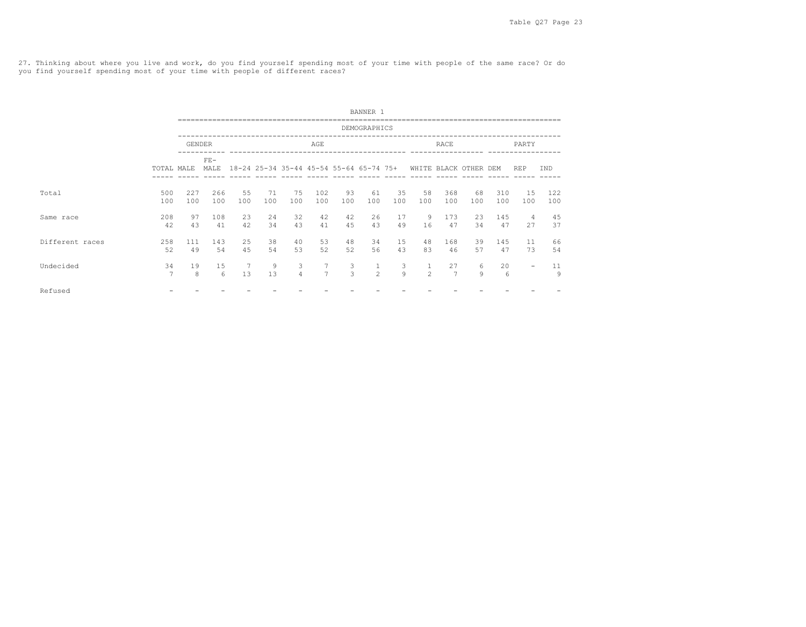27. Thinking about where you live and work, do you find yourself spending most of your time with people of the same race? Or do you find yourself spending most of your time with people of different races?

|                 |            |               |                     |            |                                         |                     |                                  |                    | BANNER 1       |           |                |                      |                       |            |                          |            |
|-----------------|------------|---------------|---------------------|------------|-----------------------------------------|---------------------|----------------------------------|--------------------|----------------|-----------|----------------|----------------------|-----------------------|------------|--------------------------|------------|
|                 |            |               |                     |            |                                         |                     |                                  |                    | DEMOGRAPHICS   |           |                |                      |                       |            |                          |            |
|                 |            | <b>GENDER</b> |                     |            |                                         |                     | AGE                              |                    |                |           |                | RACE                 |                       |            | PARTY                    |            |
|                 | TOTAL MALE |               | ${\rm FE}-$<br>MALE |            | 18-24 25-34 35-44 45-54 55-64 65-74 75+ |                     |                                  |                    |                |           |                |                      | WHITE BLACK OTHER DEM |            | <b>REP</b>               | IND        |
| Total           | 500<br>100 | 227<br>100    | 266<br>100          | 55<br>100  | 71<br>100                               | 75<br>100           | 102<br>100                       | 93<br>100          | 61<br>100      | 35<br>100 | 58<br>100      | 368<br>100           | 68<br>100             | 310<br>100 | 15<br>100                | 122<br>100 |
| Same race       | 208<br>42  | 97<br>43      | 108<br>41           | 23<br>42   | 24<br>34                                | 32<br>43            | 42<br>41                         | 42<br>45           | 26<br>43       | 17<br>49  | 9<br>16        | 173<br>47            | 23<br>34              | 145<br>47  | $\overline{4}$<br>27     | 45<br>37   |
| Different races | 258<br>52  | 111<br>49     | 143<br>54           | 2.5<br>4.5 | 38<br>54                                | 40<br>53            | 53<br>52                         | 48<br>52           | 34<br>56       | 15<br>43  | 48<br>83       | 168<br>46            | 39<br>57              | 145<br>47  | 11<br>73                 | 66<br>54   |
| Undecided       | 34<br>7    | 19<br>8       | 15<br>6             | 7<br>13    | 9<br>13                                 | 3<br>$\overline{4}$ | $\overline{7}$<br>$\overline{7}$ | 3<br>$\mathcal{L}$ | $\mathfrak{D}$ | 3<br>Q    | $\mathfrak{D}$ | 27<br>$\overline{7}$ | 6<br>$\mathsf{Q}$     | 20<br>6    | $\overline{\phantom{a}}$ | 11<br>9    |
| Refused         |            |               |                     |            |                                         |                     |                                  |                    |                |           |                |                      |                       |            |                          |            |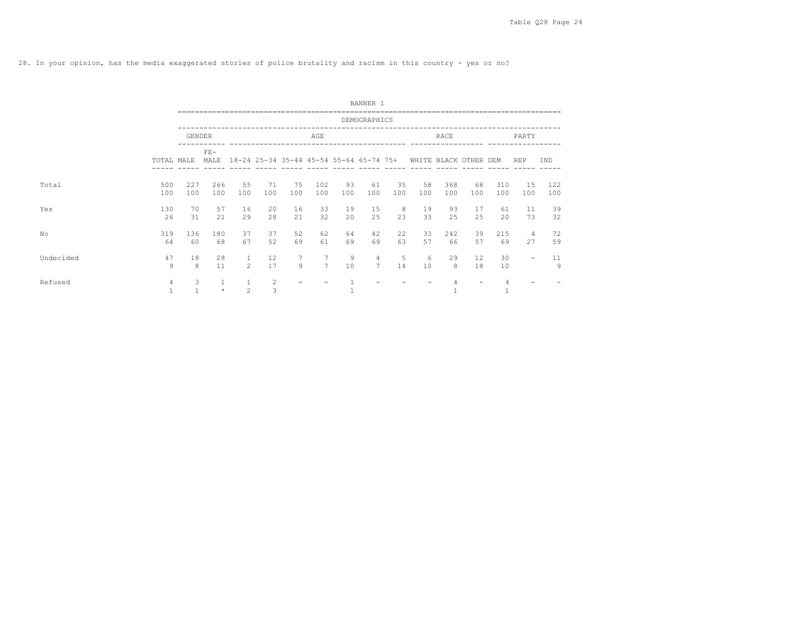28. In your opinion, has the media exaggerated stories of police brutality and racism in this country - yes or no?

|           |                      |                   |               |                |           |           |                               |           | BANNER 1                                |           |           |                       |                         |            |                          |            |
|-----------|----------------------|-------------------|---------------|----------------|-----------|-----------|-------------------------------|-----------|-----------------------------------------|-----------|-----------|-----------------------|-------------------------|------------|--------------------------|------------|
|           |                      |                   |               |                |           |           |                               |           | DEMOGRAPHICS                            |           |           |                       |                         |            |                          |            |
|           |                      |                   | <b>GENDER</b> |                |           |           | AGE                           |           |                                         |           |           | RACE                  |                         |            | PARTY                    |            |
|           | TOTAL MALE           |                   | $FE-$<br>MALE |                |           |           |                               |           | 18-24 25-34 35-44 45-54 55-64 65-74 75+ |           |           | WHITE BLACK OTHER DEM |                         |            | <b>REP</b>               | IND        |
| Total     | 500<br>100           | 227<br>100        | 266<br>100    | 55<br>100      | 71<br>100 | 75<br>100 | 102<br>100                    | 93<br>100 | 61<br>100                               | 35<br>100 | 58<br>100 | 368<br>100            | 68<br>100               | 310<br>100 | 15<br>100                | 122<br>100 |
| Yes       | 130<br>26            | 70<br>31          | 57<br>21      | 16<br>29       | 20<br>28  | 16<br>21  | 33<br>32                      | 19<br>20  | 15<br>25                                | 8<br>23   | 19<br>33  | 93<br>25              | 17<br>25                | 61<br>20   | 11<br>73                 | 39<br>32   |
| No        | 319<br>64            | 136<br>60         | 180<br>68     | 37<br>67       | 37<br>52  | 52<br>69  | 62<br>61                      | 64<br>69  | 42<br>69                                | 22<br>63  | 33<br>57  | 242<br>66             | 39<br>57                | 215<br>69  | 4<br>27                  | 72<br>59   |
| Undecided | 47<br>$\overline{9}$ | 18<br>8           | 28<br>11      | $\mathfrak{D}$ | 12<br>17  | 7<br>9    | $\overline{7}$<br>$7^{\circ}$ | 9<br>10   | $\overline{4}$<br>$\overline{7}$        | 5<br>14   | 6<br>10   | 29<br>8               | $12 \overline{ }$<br>18 | 30<br>10   | $\overline{\phantom{0}}$ | 11<br>9    |
| Refused   | 4                    | 3<br>$\mathbf{1}$ | $\star$       | $\overline{c}$ | 2<br>3    |           |                               |           |                                         |           |           |                       |                         | 4          |                          |            |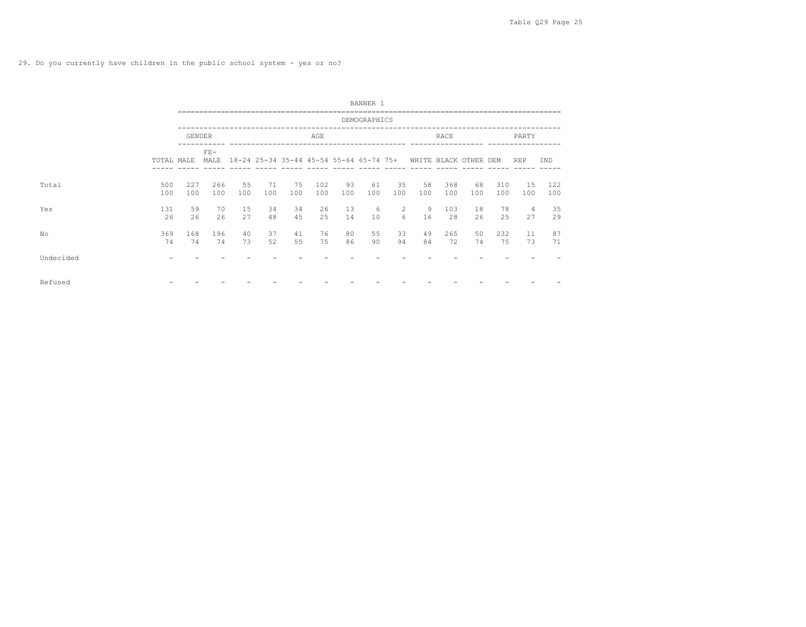29. Do you currently have children in the public school system - yes or no?

|           |            |               |               |           |           |                                                               |            |           | BANNER 1     |                     |           |            |           |            |                      |            |
|-----------|------------|---------------|---------------|-----------|-----------|---------------------------------------------------------------|------------|-----------|--------------|---------------------|-----------|------------|-----------|------------|----------------------|------------|
|           |            |               |               |           |           |                                                               |            |           | DEMOGRAPHICS |                     |           |            |           |            |                      |            |
|           |            | <b>GENDER</b> |               |           |           |                                                               | AGE        |           |              |                     |           | RACE       |           |            | PARTY                |            |
|           | TOTAL MALE |               | $FE-$<br>MALE |           |           | 18-24 25-34 35-44 45-54 55-64 65-74 75+ WHITE BLACK OTHER DEM |            |           |              |                     |           |            |           |            | <b>REP</b>           | <b>IND</b> |
| Total     | 500<br>100 | 227<br>100    | 266<br>100    | 55<br>100 | 71<br>100 | 75<br>100                                                     | 102<br>100 | 93<br>100 | 61<br>100    | 35<br>100           | 58<br>100 | 368<br>100 | 68<br>100 | 310<br>100 | 1.5<br>100           | 122<br>100 |
| Yes       | 131<br>26  | 59<br>26      | 70<br>26      | 15<br>27  | 34<br>48  | 34<br>45                                                      | 26<br>2.5  | 13<br>14  | 6<br>10      | $\overline{2}$<br>6 | 9<br>16   | 103<br>28  | 18<br>26  | 78<br>25   | $\overline{4}$<br>27 | 35<br>29   |
| No        | 369<br>74  | 168<br>74     | 196<br>74     | 40<br>73  | 37<br>52  | 41<br>55                                                      | 76<br>75   | 80<br>86  | 55<br>90     | 33<br>94            | 49<br>84  | 265<br>72  | 50<br>74  | 232<br>75  | 11<br>73             | 87<br>71   |
| Undecided |            |               |               |           |           |                                                               |            |           |              |                     |           |            |           |            |                      |            |
| Refused   |            |               |               |           |           |                                                               |            |           |              |                     |           |            |           |            |                      |            |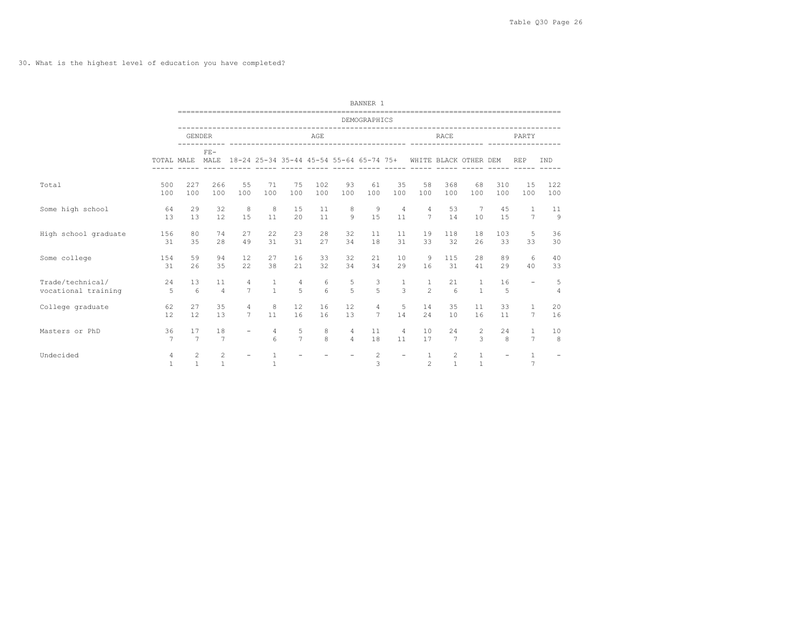30. What is the highest level of education you have completed?

|                      |                                |                                |                   |                          |                              |                     |                   |                                                               | BANNER 1       |                          |                                |                                |                                 |                          |                                |                     |
|----------------------|--------------------------------|--------------------------------|-------------------|--------------------------|------------------------------|---------------------|-------------------|---------------------------------------------------------------|----------------|--------------------------|--------------------------------|--------------------------------|---------------------------------|--------------------------|--------------------------------|---------------------|
|                      |                                |                                |                   |                          |                              |                     |                   |                                                               | DEMOGRAPHICS   |                          |                                |                                |                                 |                          |                                |                     |
|                      |                                | <b>GENDER</b>                  |                   |                          |                              |                     | AGE               |                                                               |                |                          |                                | RACE                           |                                 |                          | PARTY                          |                     |
|                      |                                | TOTAL MALE MALE                | $FF-$             |                          |                              |                     |                   | 18-24 25-34 35-44 45-54 55-64 65-74 75+ WHITE BLACK OTHER DEM |                |                          |                                |                                |                                 | --------- -------        | <b>REP</b>                     | <b>IND</b>          |
| Total                | 500                            | 227                            | 266               | 55                       | 71                           | 75                  | 102               | 93                                                            | 61             | 35                       | 58                             | 368                            | 68                              | 310                      | 15                             | 122                 |
|                      | 100                            | 100                            | 100               | 100                      | 100                          | 100                 | 100               | 100                                                           | 100            | 100                      | 100                            | 100                            | 100                             | 100                      | 100                            | 100                 |
| Some high school     | 64                             | 29                             | 32                | 8                        | 8                            | 15                  | 11                | 8                                                             | 9              | $\overline{4}$           | $\overline{4}$                 | 53                             | $7\phantom{.0}\phantom{.0}7$    | 45                       | 1                              | 11                  |
|                      | 1.3                            | 13                             | 12                | 15                       | 11                           | 20                  | 11                | $\circ$                                                       | 15             | 11                       | $7\phantom{0}$                 | 14                             | 10                              | 15                       | $\overline{7}$                 | $\mathbf{Q}$        |
| High school graduate | 156                            | 80                             | 74                | 27                       | 22                           | 23                  | 28                | 32                                                            | 11             | 11                       | 19                             | 118                            | 18                              | 103                      | 5                              | 36                  |
|                      | 31                             | 35                             | 28                | 49                       | 31                           | 31                  | 27                | 34                                                            | 18             | 31                       | 33                             | 32                             | 26                              | 33                       | 33                             | 30                  |
| Some college         | 154                            | 59                             | 94                | 12                       | 27                           | 16                  | 33                | 32                                                            | 21             | 10                       | 9                              | 115                            | 28                              | 89                       | 6                              | 40                  |
|                      | 31                             | 26                             | 35                | 22                       | 38                           | 21                  | 32                | 34                                                            | 34             | 29                       | 16                             | 31                             | 41                              | 29                       | 40                             | 33                  |
| Trade/technical/     | 2.4                            | 1.3                            | 11                | 4                        | $\mathbf{1}$                 | 4                   | 6                 | 5                                                             | 3              | 1                        | 1                              | 21                             | $\overline{1}$                  | 16                       | $\equiv$                       | 5                   |
| vocational training  | - 5                            | $6^{\circ}$                    | $\overline{4}$    | $\overline{7}$           | $\mathbf{1}$                 | $\overline{5}$      | $6 \overline{6}$  | $\overline{5}$                                                | $\overline{5}$ | $\mathcal{L}$            | $\mathfrak{D}$                 | 6 <sup>6</sup>                 | $\mathbf{1}$                    | 5                        |                                | $\overline{A}$      |
| College graduate     | 62                             | 27                             | 35                | $\overline{4}$           | 8                            | 12                  | 16                | 12                                                            | 4              | -5                       | 14                             | 35                             | 11                              | 33                       | 1                              | 20                  |
|                      | 12                             | 12                             | 13                | 7                        | 11                           | 16                  | 16                | 1.3                                                           | 7              | 14                       | 2.4                            | 10                             | 16                              | 11                       | $7\overline{ }$                | 16                  |
| Masters or PhD       | 36<br>$\overline{7}$           | 17<br>$\overline{7}$           | 18<br>7           | $\overline{\phantom{a}}$ | $\overline{4}$<br>$\epsilon$ | 5<br>$\overline{7}$ | 8<br>$\mathsf{R}$ | $\overline{4}$<br>$\overline{4}$                              | 11<br>18       | $\overline{4}$<br>11     | 10<br>17                       | 24<br>7                        | $\overline{2}$<br>$\mathcal{L}$ | 24<br>$\mathsf{R}$       | 1<br>$\overline{7}$            | 10<br>$\mathcal{R}$ |
| Undecided            | $\overline{4}$<br>$\mathbf{1}$ | $\overline{c}$<br>$\mathbf{1}$ | 2<br>$\mathbf{1}$ | $\overline{\phantom{m}}$ | $\mathbf{1}$<br>$\mathbf{1}$ |                     |                   |                                                               | 2<br>3         | $\overline{\phantom{a}}$ | $\mathbf{1}$<br>$\mathfrak{D}$ | $\overline{2}$<br>$\mathbf{1}$ | $\mathbf{1}$<br>$\mathbf{1}$    | $\overline{\phantom{a}}$ | $\mathbf{1}$<br>$\overline{7}$ |                     |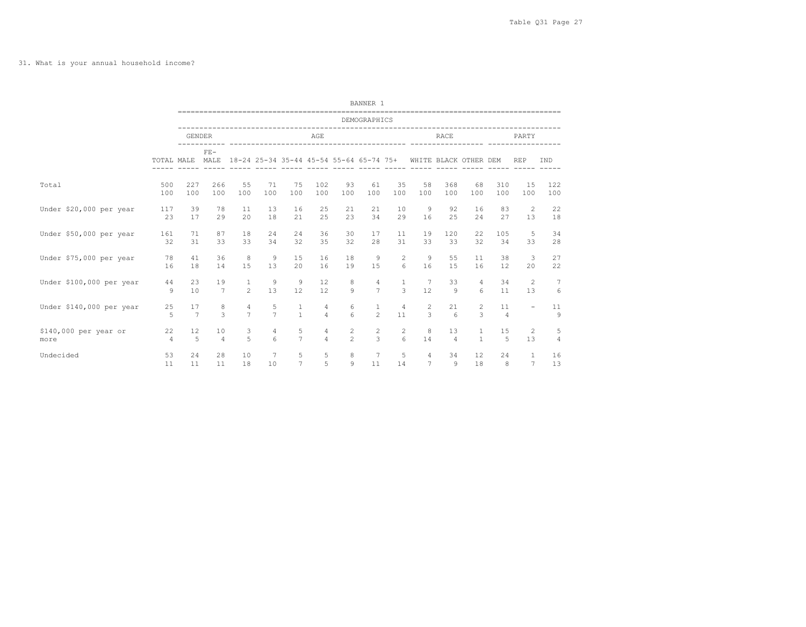31. What is your annual household income?

|                          |                |                      |                    |                                  |               |                                         |                     |                      | BANNER 1                |                      |                 |                       |                       |                      |                          |         |
|--------------------------|----------------|----------------------|--------------------|----------------------------------|---------------|-----------------------------------------|---------------------|----------------------|-------------------------|----------------------|-----------------|-----------------------|-----------------------|----------------------|--------------------------|---------|
|                          |                |                      |                    |                                  |               |                                         |                     |                      | DEMOGRAPHICS            |                      |                 |                       |                       |                      |                          |         |
|                          |                | <b>GENDER</b>        |                    |                                  |               |                                         | AGE                 |                      |                         |                      |                 | <b>RACE</b>           |                       |                      | PARTY                    |         |
|                          |                | TOTAL MALE           | $FE-$<br>MALE      |                                  |               | 18-24 25-34 35-44 45-54 55-64 65-74 75+ |                     |                      |                         |                      |                 |                       | WHITE BLACK OTHER DEM |                      | <b>REP</b>               | IND     |
| Total                    | 500            | 227                  | 266                | 55                               | 71            | 75                                      | 102                 | 93                   | 61                      | 35                   | 58              | 368                   | 68                    | 310                  | 15                       | 122     |
|                          | 100            | 100                  | 100                | 100                              | 100           | 100                                     | 100                 | 100                  | 100                     | 100                  | 100             | 100                   | 100                   | 100                  | 100                      | 100     |
| Under \$20,000 per year  | 117            | 39                   | 78                 | 11                               | 13            | 16                                      | 25                  | 21                   | 21                      | 10                   | 9               | 92                    | 16                    | 83                   | 2                        | 22      |
|                          | 23             | 17                   | 29                 | 20                               | 18            | 21                                      | 25                  | 23                   | 34                      | 29                   | 16              | 25                    | 24                    | 27                   | 13                       | 18      |
| Under \$50,000 per year  | 161            | 71                   | 87                 | 18                               | 24            | 24                                      | 36                  | 30                   | 17                      | 11                   | 19              | 120                   | 22                    | 105                  | 5                        | 34      |
|                          | 32             | 31                   | 33                 | 33                               | 34            | 32                                      | 35                  | 32                   | 28                      | 31                   | 33              | 33                    | 32                    | 34                   | 33                       | 28      |
| Under \$75,000 per year  | 78             | 41                   | 36                 | 8                                | 9             | 15                                      | 16                  | 18                   | 9                       | 2                    | 9               | 55                    | 11                    | 38                   | 3                        | 27      |
|                          | 16             | 18                   | 14                 | 1.5                              | 13            | 20                                      | 16                  | 19                   | 15                      | 6                    | 16              | 1.5                   | 16                    | 12                   | 20                       | 22      |
| Under \$100,000 per year | 44             | 23                   | 19                 | $\mathbf{1}$                     | 9             | 9                                       | 12                  | 8                    | $\overline{4}$          | $\mathbf{1}$         | $\overline{7}$  | 33                    | 4                     | 34                   | -2                       | 7       |
|                          | 9              | 10                   | 7                  | $\mathfrak{D}$                   | 13            | 12                                      | 12                  | $\circ$              | $\overline{7}$          | 3                    | 12              | $\mathcal{Q}$         | $6 \overline{6}$      | 11                   | 13                       | 6       |
| Under \$140,000 per year | 25<br>5        | 17<br>$\overline{7}$ | 8<br>$\mathcal{L}$ | $\overline{4}$<br>$\overline{7}$ | $\frac{5}{7}$ | $\mathbf{1}$<br>$\mathbf{1}$            | 4<br>$\overline{4}$ | 6<br>$6\overline{6}$ | $1\,$<br>$\mathfrak{D}$ | $\overline{4}$<br>11 | 2<br>3          | 21<br>$6\overline{6}$ | $\overline{c}$<br>3   | 11<br>$\overline{4}$ | $\overline{\phantom{a}}$ | 11<br>9 |
| \$140,000 per year or    | 22             | 12                   | 10                 | 3                                | 4             | 5                                       | 4                   | 2                    | $\overline{c}$          | 2                    | 8               | 13                    | $\mathbf{1}$          | 15                   | 2                        | 5       |
| more                     | $\overline{4}$ | 5                    | $\overline{4}$     | $\overline{a}$                   | 6             | $7\overline{ }$                         | $\overline{4}$      | $\mathfrak{D}$       | 3                       | 6                    | 14              | $\overline{4}$        | $\mathbf{1}$          | 5                    | 13                       | 4       |
| Undecided                | 53             | 24                   | 28                 | 10                               | 7             | 5                                       | 5                   | 8                    | $7\phantom{.0}$         | 5                    | 4               | 34                    | 12                    | 24                   | 1                        | 16      |
|                          | 11             | 11                   | 11                 | 18                               | 10            | $\overline{7}$                          | 5                   | 9                    | 11                      | 14                   | $7\overline{ }$ | 9                     | 18                    | 8                    | $7\overline{ }$          | 13      |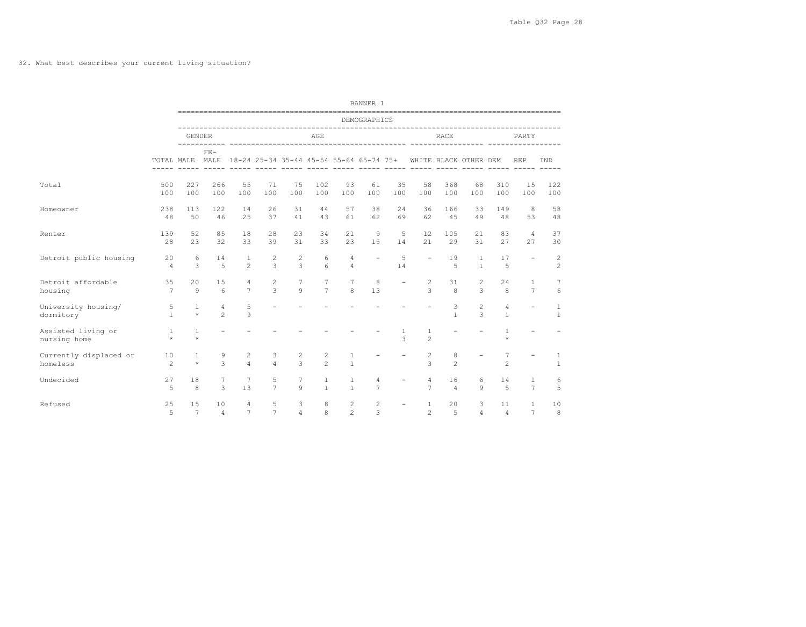32. What best describes your current living situation?

|                                    |                         |                         |                                  |                                         |                                 |              |                              |                                 | BANNER 1                 |                          |                                 |                      |                                 |                                |                          |                              |
|------------------------------------|-------------------------|-------------------------|----------------------------------|-----------------------------------------|---------------------------------|--------------|------------------------------|---------------------------------|--------------------------|--------------------------|---------------------------------|----------------------|---------------------------------|--------------------------------|--------------------------|------------------------------|
|                                    |                         |                         |                                  |                                         |                                 |              |                              |                                 | DEMOGRAPHICS             |                          |                                 |                      |                                 |                                |                          |                              |
|                                    |                         | <b>GENDER</b>           |                                  |                                         |                                 |              | AGE                          |                                 |                          |                          |                                 | <b>RACE</b>          |                                 |                                | PARTY                    |                              |
|                                    |                         |                         | -----------<br>$FF-$             |                                         |                                 |              |                              |                                 |                          |                          |                                 |                      |                                 |                                |                          |                              |
|                                    |                         | TOTAL MALE MALE         |                                  | 18-24 25-34 35-44 45-54 55-64 65-74 75+ |                                 |              |                              |                                 |                          | ---- --                  |                                 |                      | WHITE BLACK OTHER DEM           |                                | <b>REP</b>               | <b>TND</b>                   |
| Total                              | 500<br>100              | 227<br>100              | 266<br>100                       | 55<br>100                               | 71<br>100                       | 75<br>100    | 102<br>100                   | 93<br>100                       | 61<br>100                | 35<br>100                | 58<br>100                       | 368<br>100           | 68<br>100                       | 310<br>100                     | 1.5<br>100               | 122<br>100                   |
| Homeowner                          | 238<br>48               | 113<br>50               | 122<br>46                        | 14<br>25                                | 26<br>37                        | 31<br>41     | 44<br>43                     | 57<br>61                        | 38<br>62                 | 24<br>69                 | 36<br>62                        | 166<br>4.5           | 33<br>49                        | 149<br>48                      | 8<br>53                  | 58<br>48                     |
| Renter                             | 139<br>28               | 52<br>23                | 85<br>32                         | 18<br>33                                | 28<br>39                        | 23<br>31     | 34<br>33                     | 21<br>23                        | 9<br>15                  | 5<br>14                  | 12<br>21                        | 105<br>29            | 21<br>31                        | 83<br>27                       | $\overline{4}$<br>27     | 37<br>30                     |
| Detroit public housing             | 20<br>$\overline{4}$    | 6<br>3                  | 14<br>5                          | $\mathbf{1}$<br>$\mathfrak{D}$          | 2<br>3                          | 2<br>3       | 6<br>6                       | 4<br>$\overline{4}$             | $\overline{\phantom{a}}$ | 5<br>14                  | $\equiv$                        | 19<br>5              | $\mathbf{1}$<br>$\mathbf{1}$    | 17<br>5                        | $\equiv$                 | 2<br>$\overline{c}$          |
| Detroit affordable<br>housing      | 35<br>$\overline{7}$    | 2.0<br>$\circ$          | 15<br>6                          | $\overline{4}$<br>$\overline{7}$        | $\overline{c}$<br>$\mathcal{L}$ | 7<br>$\circ$ | 7<br>$\overline{7}$          | $7\phantom{.0}$<br>$\mathsf{R}$ | 8<br>13                  | $\overline{\phantom{a}}$ | $\overline{c}$<br>$\mathcal{L}$ | 31<br>8              | $\overline{c}$<br>$\mathcal{L}$ | 24<br>8                        | 1<br>$\overline{7}$      | 7<br>$6\overline{6}$         |
| University housing/<br>dormitory   | 5<br>$\mathbf{1}$       | $\mathbf{1}$<br>$\star$ | $\overline{4}$<br>$\overline{2}$ | 5<br>$\circ$                            | $\overline{\phantom{0}}$        |              |                              |                                 |                          |                          |                                 | 3<br>$\mathbf{1}$    | $\overline{2}$<br>$\mathcal{L}$ | $\overline{4}$<br>$\mathbf{1}$ | $\equiv$                 | $\mathbf{1}$<br>$\mathbf{1}$ |
| Assisted living or<br>nursing home | $\mathbf{1}$<br>$\star$ | $\mathbf{1}$<br>$\star$ | $\equiv$                         |                                         |                                 |              |                              |                                 |                          | $\overline{1}$<br>3      | $\mathbf{1}$<br>2               |                      |                                 | $\mathbf{1}$<br>$\star$        | $\equiv$                 |                              |
| Currently displaced or<br>homeless | 10<br>$\mathfrak{D}$    | 1<br>$\star$            | 9<br>$\mathcal{L}$               | 2<br>$\Delta$                           | 3<br>$\overline{4}$             | 2<br>3       | 2<br>$\mathcal{P}$           | 1<br>$\mathbf{1}$               | $\qquad \qquad -$        | $\overline{\phantom{m}}$ | 2<br>3                          | 8<br>$\mathfrak{D}$  | $\overline{\phantom{0}}$        | 7<br>$\mathfrak{D}$            | $\overline{\phantom{a}}$ | 1<br>$\mathbf{1}$            |
| Undecided                          | 27<br>5                 | 18<br>8                 | 7<br>3                           | 7<br>13                                 | 5<br>$\overline{7}$             | 7<br>$\circ$ | $\mathbf{1}$<br>$\mathbf{1}$ | 1<br>$\mathbf{1}$               | 4<br>$\overline{7}$      |                          | 4<br>$\overline{7}$             | 16<br>$\overline{4}$ | 6<br>9                          | 14<br>5                        | 1<br>$\overline{7}$      | 6<br>5                       |
| Refused                            | 25<br>5                 | 15<br>$\overline{7}$    | 10<br>$\overline{4}$             | $\overline{4}$<br>$\overline{7}$        | 5<br>7                          | 3<br>4       | 8<br>$\mathsf{R}$            | 2<br>$\mathfrak{D}$             | $\overline{c}$<br>3      |                          | $\mathbf{1}$<br>$\overline{2}$  | 20<br>5              | 3<br>$\Delta$                   | 11<br>$\Delta$                 | 1<br>$\overline{7}$      | 10<br>8                      |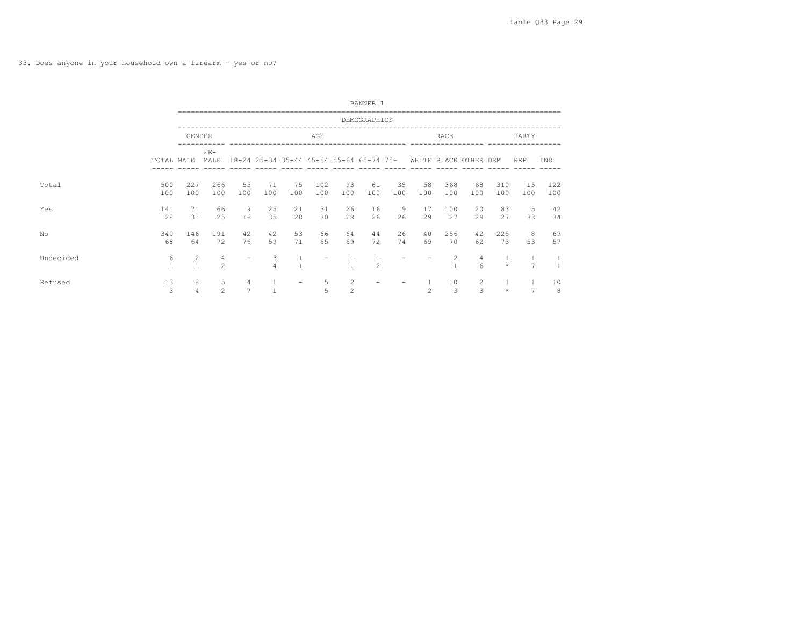33. Does anyone in your household own a firearm - yes or no?

|           |                   |                                |                     |                     |                     |                   |                 |                                  | BANNER 1                                |           |                |                       |                     |                         |                |                      |
|-----------|-------------------|--------------------------------|---------------------|---------------------|---------------------|-------------------|-----------------|----------------------------------|-----------------------------------------|-----------|----------------|-----------------------|---------------------|-------------------------|----------------|----------------------|
|           |                   |                                |                     |                     |                     |                   |                 |                                  | DEMOGRAPHICS                            |           |                |                       |                     |                         |                |                      |
|           |                   | <b>GENDER</b>                  |                     |                     |                     |                   | AGE             |                                  |                                         |           |                | <b>RACE</b>           |                     |                         | <b>PARTY</b>   |                      |
|           | TOTAL MALE        |                                | $FE-$<br>MALE       |                     |                     |                   |                 |                                  | 18-24 25-34 35-44 45-54 55-64 65-74 75+ |           |                | WHITE BLACK OTHER DEM |                     |                         | <b>REP</b>     | IND                  |
| Total     | 500<br>100        | 227<br>100                     | 266<br>100          | 55<br>100           | 71<br>100           | 75<br>100         | 102<br>100      | 93<br>100                        | 61<br>100                               | 35<br>100 | 58<br>100      | 368<br>100            | 68<br>100           | 310<br>100              | 1.5<br>100     | 122<br>100           |
| Yes       | 141<br>28         | 71<br>31                       | 66<br>25            | 9<br>16             | 25<br>35            | 21<br>28          | 31<br>30        | 26<br>28                         | 16<br>26                                | 9<br>26   | 17<br>29       | 100<br>27             | 20<br>29            | 83<br>27                | 5<br>33        | 42<br>34             |
| No        | 340<br>68         | 146<br>64                      | 191<br>72           | 42<br>76            | 42<br>59            | 53<br>71          | 66<br>65        | 64<br>69                         | 44<br>72                                | 26<br>74  | 40<br>69       | 256<br>70             | 42<br>62            | 225<br>73               | 8<br>53        | 69<br>57             |
| Undecided | 6<br>$\mathbf{1}$ | $\overline{c}$<br>$\mathbf{1}$ | $\overline{4}$<br>2 |                     | 3<br>$\overline{4}$ | $\mathbf{1}$      | $\qquad \qquad$ |                                  | $\overline{c}$                          |           |                | $\mathcal{L}$         | $\overline{4}$<br>6 | $\star$                 | $\overline{7}$ | -1<br>$\overline{1}$ |
| Refused   | 13<br>3           | 8<br>$\overline{4}$            | 5<br>2              | 4<br>$\overline{7}$ |                     | $\qquad \qquad -$ | 5<br>5          | $\overline{2}$<br>$\overline{c}$ |                                         |           | $\overline{c}$ | 10<br>3               | 2<br>3              | $\mathbf{1}$<br>$\star$ | $\overline{ }$ | 10<br>8              |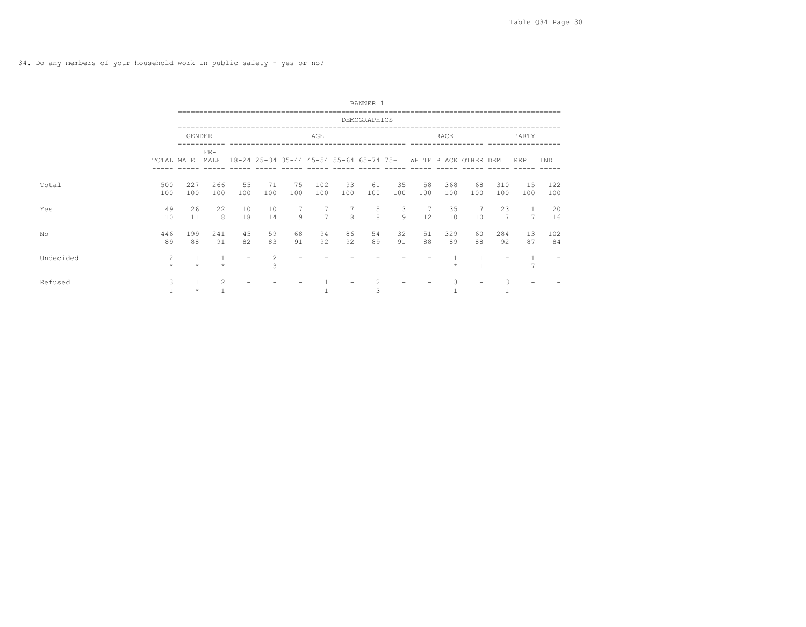|           |                   |               |               |           |           |           |                                         |               | BANNER 1     |           |           |            |                                |            |                |            |
|-----------|-------------------|---------------|---------------|-----------|-----------|-----------|-----------------------------------------|---------------|--------------|-----------|-----------|------------|--------------------------------|------------|----------------|------------|
|           |                   |               |               |           |           |           |                                         |               | DEMOGRAPHICS |           |           |            |                                |            |                |            |
|           |                   | <b>GENDER</b> |               |           |           |           | AGE                                     |               |              |           |           | RACE       |                                |            | PARTY          |            |
|           | TOTAL MALE        |               | $FE-$<br>MALE |           |           |           | 18-24 25-34 35-44 45-54 55-64 65-74 75+ |               |              |           |           |            | WHITE BLACK OTHER DEM          |            | <b>REP</b>     | IND        |
| Total     | 500<br>100        | 227<br>100    | 266<br>100    | 55<br>100 | 71<br>100 | 75<br>100 | 102<br>100                              | 93<br>100     | 61<br>100    | 35<br>100 | 58<br>100 | 368<br>100 | 68<br>100                      | 310<br>100 | 15<br>100      | 122<br>100 |
| Yes       | 49<br>10          | 26<br>11      | 22<br>8       | 10<br>18  | 10<br>14  | 9         | $\overline{7}$                          | $\mathcal{R}$ | 5<br>8       | 3<br>Q    | 12        | 35<br>10   | 7<br>10                        | 23<br>7    | $\overline{7}$ | 20<br>16   |
| No        | 446<br>89         | 199<br>88     | 241<br>91     | 45<br>82  | 59<br>83  | 68<br>91  | 94<br>92                                | 86<br>92      | 54<br>89     | 32<br>91  | 51<br>88  | 329<br>89  | 60<br>88                       | 284<br>92  | 13<br>87       | 102<br>84  |
| Undecided | 2<br>$\star$      | $\star$       | $\star$       |           | 2<br>3    |           |                                         |               |              |           |           | $\star$    | $\mathbf{1}$<br>$\overline{1}$ |            | $\overline{ }$ |            |
| Refused   | 3<br>$\mathbf{1}$ | $\star$       | 2             |           |           |           |                                         |               | 3            |           |           | 3          |                                | 3          |                |            |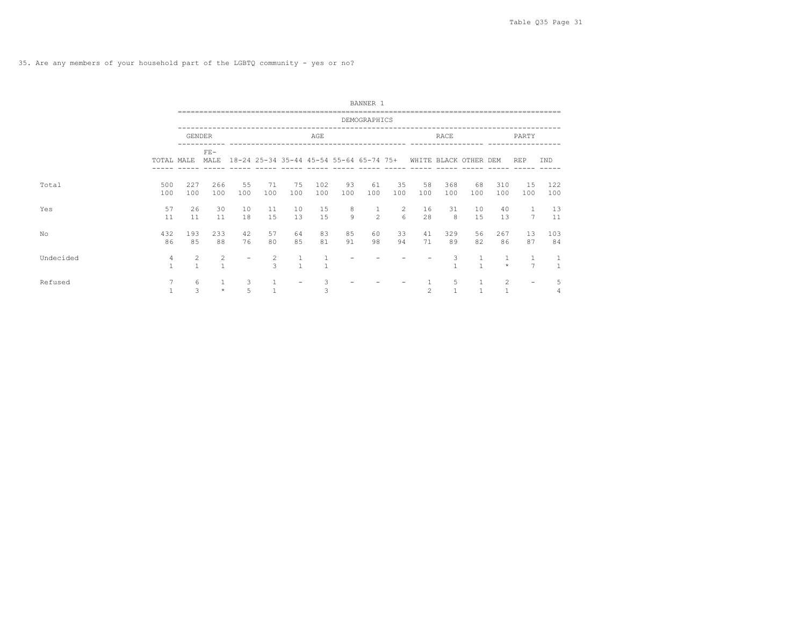35. Are any members of your household part of the LGBTQ community - yes or no?

|           |                   |                                |                   |                          |           |                |              |                                         | BANNER 1          |           |                       |            |                              |                |                     |              |
|-----------|-------------------|--------------------------------|-------------------|--------------------------|-----------|----------------|--------------|-----------------------------------------|-------------------|-----------|-----------------------|------------|------------------------------|----------------|---------------------|--------------|
|           |                   |                                |                   |                          |           |                |              |                                         | DEMOGRAPHICS      |           |                       |            |                              |                |                     |              |
|           |                   | <b>GENDER</b>                  |                   |                          |           |                | AGE          |                                         |                   |           |                       | RACE       |                              |                | PARTY               |              |
|           | TOTAL MALE        |                                | $FE-$<br>MALE     |                          |           |                |              | 18-24 25-34 35-44 45-54 55-64 65-74 75+ |                   |           | WHITE BLACK OTHER DEM |            |                              |                | <b>REP</b>          | IND          |
| Total     | 500<br>100        | 227<br>100                     | 266<br>100        | 55<br>100                | 71<br>100 | 75<br>100      | 102<br>100   | 93<br>100                               | 61<br>100         | 35<br>100 | 58<br>100             | 368<br>100 | 68<br>100                    | 310<br>100     | 15<br>100           | 122<br>100   |
| Yes       | 57<br>11          | 26<br>11                       | 30<br>11          | 10<br>18                 | 11<br>15  | 10<br>13       | 15<br>15     | 8<br>9                                  | $\mathbf{1}$<br>2 | 2<br>6    | 16<br>28              | 31<br>8    | 10<br>15                     | 40<br>13       | 1<br>$\overline{7}$ | 13<br>11     |
| No        | 432<br>86         | 193<br>85                      | 233<br>88         | 42<br>76                 | 57<br>80  | 64<br>85       | 83<br>81     | 85<br>91                                | 60<br>98          | 33<br>94  | 41<br>71              | 329<br>89  | 56<br>82                     | 267<br>86      | 13<br>87            | 103<br>84    |
| Undecided | 4<br>$\mathbf{1}$ | $\overline{c}$<br>$\mathbf{1}$ | 2<br>$\mathbf{1}$ | $\overline{\phantom{0}}$ | 2<br>3    | $\overline{1}$ | $\mathbf{1}$ |                                         |                   |           |                       | 3          | $\mathbf{1}$<br>$\mathbf{1}$ | $\star$        | $\overline{7}$      | $\mathbf{1}$ |
| Refused   | $\overline{7}$    | 6<br>3                         | $\star$           | 3<br>5                   |           | -              | 3<br>3       |                                         |                   |           | $\overline{c}$        | 5<br>1     |                              | $\overline{c}$ | $\qquad \qquad -$   | 5            |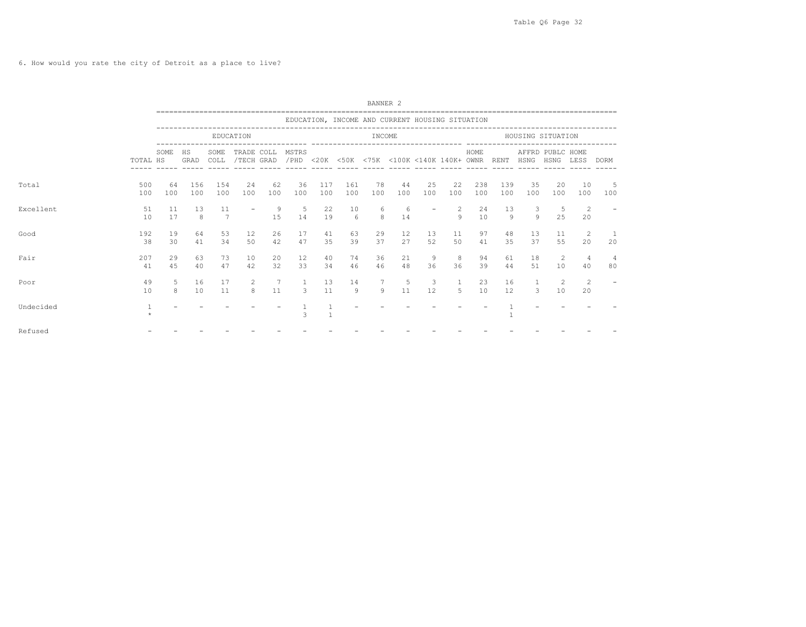6. How would you rate the city of Detroit as a place to live?

|           |            |           |            | ------------------------------ |            |                    |                                                                      |              |            | BANNER <sub>2</sub> |                                                 |           |             |            |            |                                |                  |                      |                     |
|-----------|------------|-----------|------------|--------------------------------|------------|--------------------|----------------------------------------------------------------------|--------------|------------|---------------------|-------------------------------------------------|-----------|-------------|------------|------------|--------------------------------|------------------|----------------------|---------------------|
|           |            |           |            |                                |            |                    |                                                                      |              |            |                     | EDUCATION, INCOME AND CURRENT HOUSING SITUATION |           |             |            |            |                                |                  |                      |                     |
|           |            |           |            |                                | EDUCATION  |                    |                                                                      |              |            | INCOME              |                                                 |           |             |            |            | HOUSING SITUATION              |                  |                      |                     |
|           | TOTAL HS   | SOME      | HS<br>GRAD | SOME<br>COLL                   | TRADE COLL | ------ ----- ----- | MSTRS<br>/TECH GRAD / PHD <20K <50K <75K <100K <140K 140K+ OWNR RENT |              |            |                     | ______ _____ _____ _____ _____                  |           |             | HOME       |            | HSNG HSNG LESS DORM            | AFFRD PUBLC HOME |                      |                     |
| Total     | 500<br>100 | 64<br>100 | 156<br>100 | 154<br>100                     | 24<br>100  | 62<br>100          | 36<br>100                                                            | 117<br>100   | 161<br>100 | 78<br>100           | 44<br>100                                       | 25<br>100 | 22<br>100   | 238<br>100 | 139<br>100 | 35<br>100                      | 20<br>100        | 10<br>100            | - 5<br>100          |
| Excellent | 51<br>10   | 11<br>17  | 13<br>8    | 11<br>7                        |            | 9<br>15            | 5<br>14                                                              | 22<br>19     | 10<br>-6   | -6<br>8             | 6<br>14                                         |           | 2<br>9      | 24<br>10   | 13<br>9    | $\mathbf{3}$<br>$\overline{9}$ | -5<br>25         | 2<br>20              |                     |
| Good      | 192<br>38  | 19<br>30  | 64<br>41   | 53<br>34                       | 12<br>50   | 26<br>42           | 17<br>47                                                             | 41<br>35     | 63<br>39   | 29<br>37            | 12<br>27                                        | 13<br>52  | 11<br>50    | 97<br>41   | 48<br>35   | 13<br>37                       | 11<br>55         | $\overline{2}$<br>20 | 20                  |
| Fair      | 207<br>41  | 29<br>45  | 63<br>40   | 73<br>47                       | 10<br>42   | 20<br>32           | 12<br>33                                                             | 40<br>34     | 74<br>46   | 36<br>46            | 21<br>48                                        | 9<br>36   | 8<br>36     | 94<br>39   | 61<br>44   | 18<br>51                       | 2<br>10          | 4<br>40              | $\frac{4}{3}$<br>80 |
| Poor      | 49<br>10   | 5<br>8    | 16<br>10   | 17<br>11                       | 2<br>8     | 7<br>11            | 3                                                                    | 13<br>11     | 14<br>9    | 7<br>9              | 5<br>11                                         | 3<br>12   | -1<br>$5 -$ | 23<br>10   | 16<br>12   | $\mathbf{1}$<br>$\mathbf{3}$   | 2<br>10          | 2<br>20              |                     |
| Undecided |            |           |            |                                |            |                    | 3                                                                    | $\mathbf{1}$ |            |                     |                                                 |           |             |            |            |                                |                  |                      |                     |
| Refused   |            |           |            |                                |            |                    |                                                                      |              |            |                     |                                                 |           |             |            |            |                                |                  |                      |                     |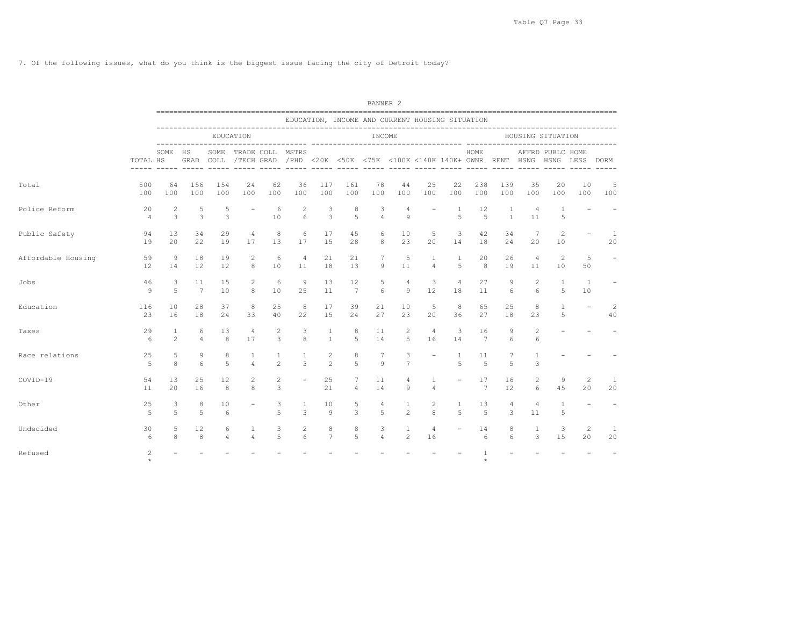7. Of the following issues, what do you think is the biggest issue facing the city of Detroit today?

|                    |                      |                     |                     |                     |                          |                     |                          |                              |                                                                                                          | BANNER <sub>2</sub> |                                  |                          |                          |                       |                   |                     |                               |                          |                          |
|--------------------|----------------------|---------------------|---------------------|---------------------|--------------------------|---------------------|--------------------------|------------------------------|----------------------------------------------------------------------------------------------------------|---------------------|----------------------------------|--------------------------|--------------------------|-----------------------|-------------------|---------------------|-------------------------------|--------------------------|--------------------------|
|                    |                      |                     |                     |                     |                          |                     |                          |                              | EDUCATION, INCOME AND CURRENT HOUSING SITUATION                                                          |                     |                                  |                          |                          |                       |                   |                     |                               |                          |                          |
|                    |                      |                     |                     |                     | EDUCATION                |                     |                          |                              |                                                                                                          | INCOME              |                                  |                          |                          |                       |                   | HOUSING SITUATION   |                               |                          |                          |
|                    | TOTAL HS             | SOME                | ΗS<br>GRAD          | SOME<br>COLL        |                          | TRADE COLL          | MSTRS<br>----- -----     |                              | /TECH GRAD / PHD <20K <50K <75K <100K <140K 140K+ OWNR RENT HSNG<br>______ _____ _____ _____ _____ _____ |                     |                                  |                          |                          | HOME                  | $- - - - - -$     |                     | AFFRD PUBLC HOME<br>HSNG LESS |                          | <b>DORM</b>              |
| Total              | 500<br>100           | 64<br>100           | 156<br>100          | 154<br>100          | 24<br>100                | 62<br>100           | 36<br>100                | 117<br>100                   | 161<br>100                                                                                               | 78<br>100           | 44<br>100                        | 25<br>100                | 22<br>100                | 238<br>100            | 139<br>100        | 35<br>100           | 20<br>100                     | 10<br>100                | 5<br>100                 |
| Police Reform      | 20<br>$\overline{4}$ | 2<br>3              | 5<br>3              | 5<br>3              |                          | 6<br>10             | 2<br>$6\overline{6}$     | 3<br>3                       | 8<br>5                                                                                                   | 3<br>$\overline{4}$ | $\overline{4}$<br>$\overline{9}$ |                          | 1<br>5                   | 12<br>5               | 1<br>$\mathbf{1}$ | 4<br>11             | 1<br>5                        |                          |                          |
| Public Safety      | 94<br>19             | 13<br>20            | 34<br>22            | 29<br>19            | 4<br>17                  | 8<br>13             | 6<br>17                  | 17<br>15                     | 45<br>28                                                                                                 | 6<br>8              | 10<br>23                         | 5<br>20                  | 3<br>14                  | 42<br>18              | 34<br>24          | 7<br>20             | 2<br>10                       |                          | 1<br>20                  |
| Affordable Housing | 59<br>12             | 9<br>14             | 18<br>12            | 19<br>12            | 2<br>8                   | 6<br>10             | 4<br>11                  | 21<br>18                     | 21<br>13                                                                                                 | 7<br>9              | 5<br>11                          | 1<br>$\overline{4}$      | 1<br>5                   | 20<br>8               | 26<br>19          | 4<br>11             | $\overline{c}$<br>10          | 5<br>50                  | $\overline{\phantom{a}}$ |
| Jobs               | 46<br>9              | 3<br>$\overline{5}$ | 11<br>7             | 15<br>10            | 2<br>8                   | 6<br>10             | 9<br>2.5                 | 13<br>11                     | 12<br>$7\phantom{.0}$                                                                                    | 5<br>6              | 4<br>9                           | 3<br>12                  | 4<br>18                  | 27<br>11              | 9<br>6            | 2<br>6              | 1<br>5                        | 1<br>10                  |                          |
| Education          | 116<br>23            | 10<br>16            | 28<br>18            | 37<br>24            | 8<br>33                  | 25<br>40            | 8<br>22                  | 17<br>15                     | 39<br>24                                                                                                 | 21<br>27            | 10<br>23                         | 5<br>20                  | 8<br>36                  | 65<br>27              | 25<br>18          | 8<br>23             | $\mathbf{1}$<br>5             | $\overline{\phantom{a}}$ | 2<br>40                  |
| Taxes              | 29<br>6              | 1<br>$\overline{c}$ | 6<br>$\overline{4}$ | 13<br>8             | 4<br>17                  | $\overline{c}$<br>3 | 3<br>8                   | $\mathbf{1}$<br>$\mathbf{1}$ | 8<br>5                                                                                                   | 11<br>14            | 2<br>5                           | $\overline{4}$<br>16     | 3<br>14                  | 16<br>$\overline{7}$  | 9<br>6            | $\overline{c}$<br>6 |                               |                          |                          |
| Race relations     | 25<br>5              | 5<br>8              | 9<br>6              | 8<br>5              | 1<br>$\overline{4}$      | 1<br>$\mathbf{2}$   | 1<br>3                   | $\mathbf{2}$<br>$\mathbf{2}$ | 8<br>5                                                                                                   | 7<br>$\circ$        | 3<br>$7\phantom{.0}$             | $\overline{\phantom{a}}$ | 1<br>5                   | 11<br>5               | 7<br>5            | 3                   |                               |                          |                          |
| COVID-19           | 54<br>11             | 13<br>20            | 25<br>16            | 12<br>8             | 2<br>8                   | 2<br>3              | $\overline{\phantom{a}}$ | 25<br>21                     | 7<br>4                                                                                                   | 11<br>14            | 4<br>9                           | 1<br>$\overline{4}$      | $\equiv$                 | 17<br>$7\phantom{.0}$ | 16<br>12          | 2<br>6              | 9<br>45                       | 2<br>20                  | 1<br>20                  |
| Other              | 25<br>5              | 3<br>5              | 8<br>5              | 10<br>6             | $\overline{\phantom{0}}$ | 3<br>5              | 1<br>3                   | 10<br>9                      | 5<br>3                                                                                                   | 4<br>5              | 1<br>$\overline{c}$              | 2<br>8                   | 1<br>5                   | 13<br>5               | 4<br>3            | 4<br>11             | 1<br>5                        | $\overline{\phantom{a}}$ | $\equiv$                 |
| Undecided          | 30<br>6              | 5<br>8              | 12<br>8             | 6<br>$\overline{4}$ | 1<br>$\overline{4}$      | 3<br>5              | 2<br>6                   | 8<br>$\overline{7}$          | 8<br>5                                                                                                   | 3<br>$\overline{4}$ | 1<br>$\mathfrak{D}$              | 4<br>16                  | $\overline{\phantom{a}}$ | 14<br>6               | 8<br>6            | 1<br>3              | 3<br>1.5                      | 2<br>$20^{\circ}$        | 1<br>20                  |
| Refused            | 2<br>$\star$         |                     |                     |                     |                          |                     |                          |                              |                                                                                                          |                     |                                  |                          |                          | $\star$               |                   |                     |                               |                          |                          |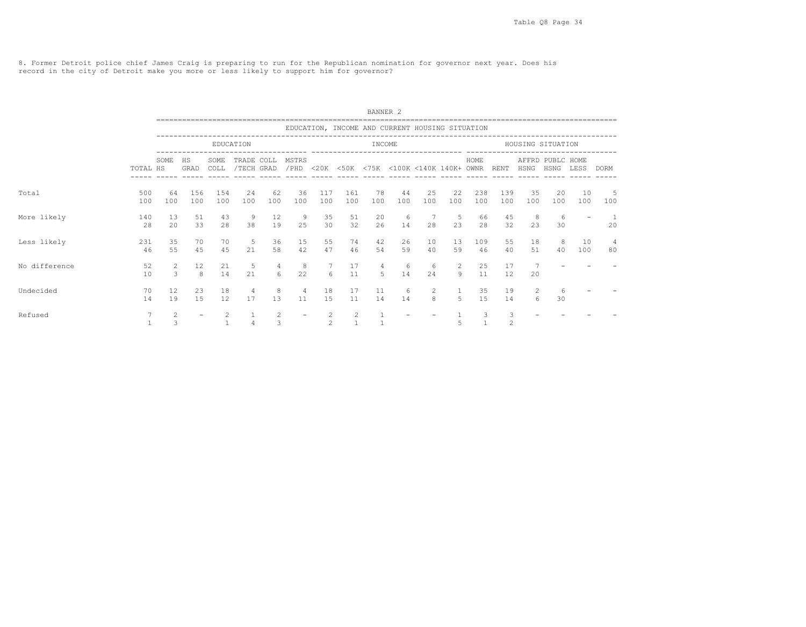8. Former Detroit police chief James Craig is preparing to run for the Republican nomination for governor next year. Does his record in the city of Detroit make you more or less likely to support him for governor?

|               |            |                                 |            |              |                          |                         |                      |                           |                                                 | BANNER <sub>2</sub> |           |           |           |            |                                                                                                                             |           |                          |           |             |
|---------------|------------|---------------------------------|------------|--------------|--------------------------|-------------------------|----------------------|---------------------------|-------------------------------------------------|---------------------|-----------|-----------|-----------|------------|-----------------------------------------------------------------------------------------------------------------------------|-----------|--------------------------|-----------|-------------|
|               |            |                                 |            |              |                          |                         |                      |                           | EDUCATION, INCOME AND CURRENT HOUSING SITUATION |                     |           |           |           |            |                                                                                                                             |           |                          |           |             |
|               |            |                                 |            |              | EDUCATION                |                         |                      |                           |                                                 | INCOME              |           |           |           |            |                                                                                                                             |           | HOUSING SITUATION        |           |             |
|               | TOTAL HS   | SOME                            | HS<br>GRAD | SOME<br>COLL | TRADE COLL<br>/TECH GRAD |                         | MSTRS<br>/PHD        |                           | <20K <50K <75K <100K <140K 140K+ OWNR           |                     |           |           |           | HOME       | RENT                                                                                                                        | HSNG      | AFFRD PUBLC HOME<br>HSNG | LESS      | <b>DORM</b> |
| Total         | 500<br>100 | 64<br>100                       | 156<br>100 | 154<br>100   | 24<br>100                | 62<br>100               | 36<br>100            | 117<br>100                | 161<br>100                                      | 78<br>100           | 44<br>100 | 25<br>100 | 22<br>100 | 238<br>100 | 139<br>100                                                                                                                  | 35<br>100 | 20<br>100                | 10<br>100 | 5<br>100    |
| More likely   | 140<br>28  | 13<br>20                        | 51<br>33   | 43<br>28     | 9<br>38                  | $12 \overline{ }$<br>19 | 9<br>25              | 35<br>30                  | 51<br>32                                        | 20<br>26            | 6<br>14   | 28        | -5<br>23  | 66<br>28   | 45<br>32                                                                                                                    | 8<br>23   | -6<br>30                 |           | 20          |
| Less likely   | 231<br>46  | 35<br>55                        | 70<br>45   | 70<br>45     | -5<br>21                 | 36<br>58                | 15<br>42             | 55<br>47                  | 74<br>46                                        | 42<br>54            | 26<br>59  | 10<br>40  | 13<br>59  | 109<br>46  | 55<br>40                                                                                                                    | 18<br>51  | 8<br>40                  | 10<br>100 | 4<br>80     |
| No difference | 52<br>10   | $\overline{2}$<br>$\mathcal{L}$ | 12<br>8    | 21<br>14     | 5<br>21                  | $\overline{4}$<br>6     | 8<br>22              | 7<br>6                    | 17<br>11                                        | $\overline{4}$<br>5 | 6<br>14   | -6<br>2.4 | 2<br>9    | 25<br>11   | 17<br>12                                                                                                                    | 20        |                          |           |             |
| Undecided     | 70<br>14   | 12<br>19                        | 23<br>15   | 18<br>12     | 4<br>17                  | 8<br>13                 | $\overline{4}$<br>11 | 18<br>15                  | 17<br>11                                        | 11<br>14            | 6<br>14   | 2<br>8    | 5         | 35<br>15   | 19<br>14                                                                                                                    | 2<br>6    | 6<br>30                  |           |             |
| Refused       |            | $\mathbf{2}$<br>$\mathcal{L}$   |            |              |                          | $\overline{c}$<br>3     |                      | $\mathbf{2}$<br>$\hat{ }$ | 2                                               |                     |           |           |           | 3          | 3<br>$\mathfrak{D}_{1}^{2}(\mathfrak{D}_{1})=\mathfrak{D}_{2}^{2}(\mathfrak{D}_{2})=\mathfrak{D}_{2}^{2}(\mathfrak{D}_{1})$ |           |                          |           |             |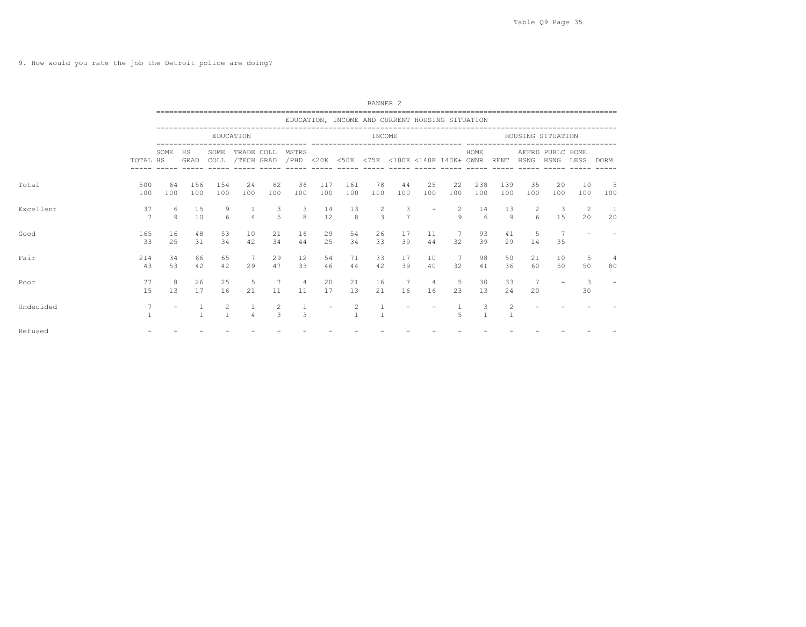9. How would you rate the job the Detroit police are doing?

|           |                      |           |              |                                | -------------------------------    |                     |                              |                          |                     |               |                     |                                                 |                     |                  |            |                                         |                                |                   |            |
|-----------|----------------------|-----------|--------------|--------------------------------|------------------------------------|---------------------|------------------------------|--------------------------|---------------------|---------------|---------------------|-------------------------------------------------|---------------------|------------------|------------|-----------------------------------------|--------------------------------|-------------------|------------|
|           |                      |           |              |                                |                                    |                     |                              |                          |                     |               |                     | EDUCATION, INCOME AND CURRENT HOUSING SITUATION |                     |                  |            |                                         |                                |                   |            |
|           |                      |           |              |                                | EDUCATION                          |                     |                              |                          |                     | INCOME        |                     |                                                 |                     |                  |            | HOUSING SITUATION                       |                                |                   |            |
|           | TOTAL HS             | SOME      | HS<br>GRAD   | SOME<br>COLL                   | TRADE COLL<br>/TECH GRAD           |                     | MSTRS                        |                          |                     |               |                     | /PHD <20K <50K <75K <100K <140K 140K+ OWNR RENT |                     | HOME             |            | AFFRD PUBLC HOME<br>HSNG HSNG LESS DORM |                                |                   |            |
| Total     | 500<br>100           | 64<br>100 | 156<br>100   | 154<br>100                     | 24<br>100                          | 62<br>100           | 36<br>100                    | 117<br>100               | 161<br>100          | 78<br>100     | 44<br>100           | 25<br>100                                       | 22<br>100           | 238<br>100       | 139<br>100 | 35<br>100                               | 20<br>100                      | 10<br>100         | - 5<br>100 |
| Excellent | 37<br>$\overline{7}$ | 6<br>9    | 15<br>10     | 9<br>6                         | $\overline{4}$                     | 3<br>$\overline{a}$ | $\overline{\mathbf{3}}$<br>8 | 14<br>12                 | 13<br>8             | $\frac{2}{3}$ | 3<br>$\overline{7}$ |                                                 | $\overline{2}$<br>9 | 14<br>$\epsilon$ | 13<br>9    | 2<br>$6 \overline{6}$                   | $\overline{\mathbf{3}}$<br>1.5 | 2<br>$20^{\circ}$ | - 1<br>20  |
| Good      | 165<br>33            | 16<br>25  | 48<br>31     | 53<br>34                       | 10<br>42                           | 21<br>34            | 16<br>44                     | 29<br>25                 | 54<br>34            | 26<br>33      | 17<br>39            | 11<br>44                                        | 7<br>32             | 93<br>39         | 41<br>29   | 5<br>14                                 | 7<br>35                        |                   |            |
| Fair      | 214<br>43            | 34<br>53  | 66<br>42     | 65<br>42                       | $7\phantom{.0}\phantom{.0}7$<br>29 | 29<br>47            | 12<br>33                     | 54<br>46                 | 71<br>44            | 33<br>42      | 17<br>39            | 10<br>40                                        | 7<br>32             | 98<br>41         | 50<br>36   | 21<br>60                                | 10<br>50                       | -5<br>50          | 80         |
| Poor      | 77<br>15             | 8<br>13   | 26<br>17     | 25<br>16                       | 5<br>21                            | 7<br>11             | $\overline{4}$<br>11         | 20<br>17                 | 21<br>13            | 16<br>21      | 7<br>16             | 4<br>16                                         | -5<br>23            | 30<br>13         | 33<br>24   | $7\phantom{.0}$<br>20                   |                                | -3<br>30          |            |
| Undecided | 7                    |           | $\mathbf{1}$ | $\overline{c}$<br>$\mathbf{1}$ | $\overline{4}$                     | 2<br>$\mathcal{L}$  | $\mathbf{1}$<br>3            | $\overline{\phantom{a}}$ | 2<br>$\overline{1}$ |               |                     |                                                 | 5                   |                  | 2          |                                         |                                |                   |            |
| Refused   |                      |           |              |                                |                                    |                     |                              |                          |                     |               |                     |                                                 |                     |                  |            |                                         |                                |                   |            |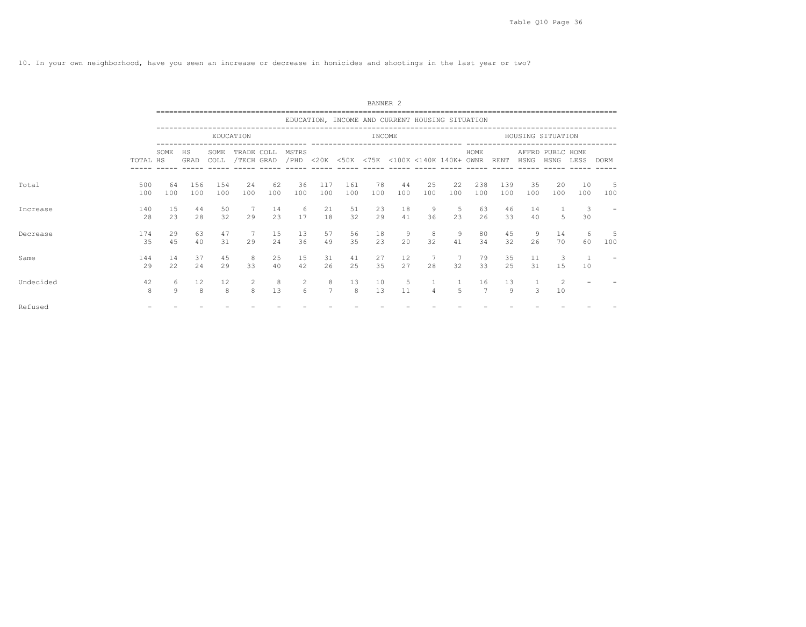10. In your own neighborhood, have you seen an increase or decrease in homicides and shootings in the last year or two?

|           |            |                   |                     |              |                          |           |                       |            |            | BANNER <sub>2</sub> |                                                 |                     |           |                      |            |           |                          |           |             |
|-----------|------------|-------------------|---------------------|--------------|--------------------------|-----------|-----------------------|------------|------------|---------------------|-------------------------------------------------|---------------------|-----------|----------------------|------------|-----------|--------------------------|-----------|-------------|
|           |            |                   |                     |              |                          |           |                       |            |            |                     | EDUCATION, INCOME AND CURRENT HOUSING SITUATION |                     |           |                      |            |           |                          |           |             |
|           |            |                   |                     |              | EDUCATION                |           |                       |            |            | INCOME              |                                                 |                     |           |                      |            |           | HOUSING SITUATION        |           |             |
|           | TOTAL HS   | SOME              | HS<br>GRAD          | SOME<br>COLL | TRADE COLL<br>/TECH GRAD |           | MSTRS<br>/PHD         | $<$ 20K    |            |                     | <50K <75K <100K <140K 140K+ OWNR                |                     |           | HOME                 | RENT       | HSNG      | AFFRD PUBLC HOME<br>HSNG | LESS      | <b>DORM</b> |
| Total     | 500<br>100 | 64<br>100         | 156<br>100          | 154<br>100   | 24<br>100                | 62<br>100 | 36<br>100             | 117<br>100 | 161<br>100 | 78<br>100           | 44<br>100                                       | 25<br>100           | 22<br>100 | 238<br>100           | 139<br>100 | 35<br>100 | 20<br>100                | 10<br>100 | 5<br>100    |
| Increase  | 140<br>28  | 15<br>23          | 44<br>28            | 50<br>32     | 29                       | 14<br>23  | 6<br>17               | 21<br>18   | 51<br>32   | 23<br>29            | 18<br>41                                        | 9<br>36             | 5<br>23   | 63<br>26             | 46<br>33   | 14<br>40  | 5                        | 3<br>30   |             |
| Decrease  | 174<br>35  | 29<br>45          | 63<br>40            | 47<br>31     | 29                       | 15<br>24  | 13<br>36              | 57<br>49   | 56<br>35   | 18<br>23            | 9<br>20                                         | 8<br>32             | 9<br>41   | 80<br>34             | 45<br>32   | 9<br>26   | 14<br>70                 | -6<br>60  | 5<br>100    |
| Same      | 144<br>29  | 14<br>22          | 37<br>24            | 45<br>29     | 8<br>33                  | 25<br>40  | 15<br>42              | 31<br>26   | 41<br>25   | 27<br>35            | 12<br>27                                        | 28                  | 32        | 79<br>33             | 35<br>25   | 11<br>31  | 3<br>15                  | 10        |             |
| Undecided | 42<br>8    | 6<br>$\mathbf{Q}$ | 12<br>$\mathcal{R}$ | 12<br>8      | 2<br>8                   | 8<br>13   | 2<br>$6 \overline{6}$ | 8          | 13<br>8    | 10<br>13            | 5<br>11                                         | 1<br>$\overline{4}$ |           | 16<br>$\overline{7}$ | 13<br>9    | 1<br>3    | $\overline{c}$<br>10     |           |             |
| Refused   |            |                   |                     |              |                          |           |                       |            |            |                     |                                                 |                     |           |                      |            |           |                          |           |             |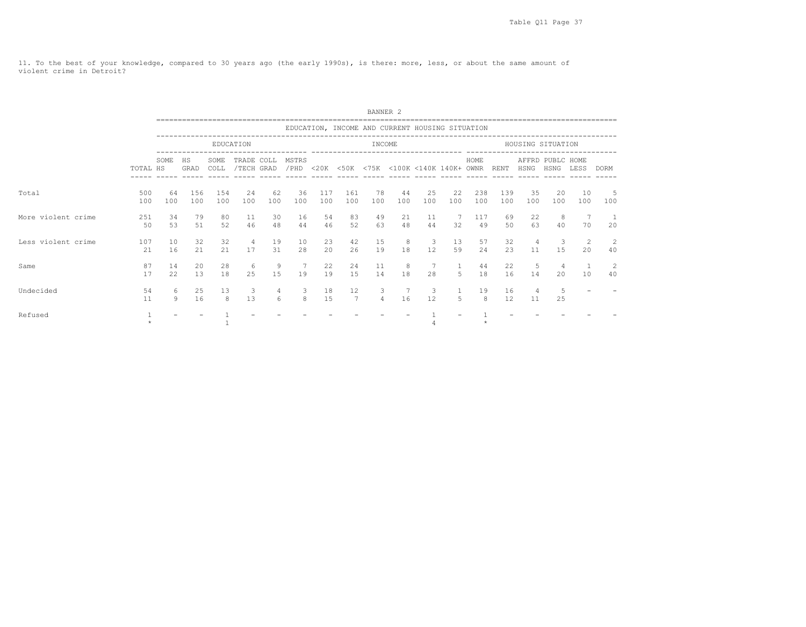11. To the best of your knowledge, compared to 30 years ago (the early 1990s), is there: more, less, or about the same amount of violent crime in Detroit?

|                    |            |           |            |              |                          |           |               |            |              | BANNER <sub>2</sub> |                                                 |                               |                       |            |                         |                      |                          |           |                      |
|--------------------|------------|-----------|------------|--------------|--------------------------|-----------|---------------|------------|--------------|---------------------|-------------------------------------------------|-------------------------------|-----------------------|------------|-------------------------|----------------------|--------------------------|-----------|----------------------|
|                    |            |           |            |              |                          |           |               |            |              |                     | EDUCATION, INCOME AND CURRENT HOUSING SITUATION |                               |                       |            |                         |                      |                          |           |                      |
|                    |            |           |            |              | EDUCATION                |           |               |            |              | INCOME              |                                                 |                               |                       |            |                         |                      | HOUSING SITUATION        |           |                      |
|                    | TOTAL HS   | SOME      | HS<br>GRAD | SOME<br>COLL | TRADE COLL<br>/TECH GRAD |           | MSTRS<br>/PHD |            |              |                     | <20K <50K <75K <100K <140K 140K+ OWNR           |                               |                       | HOME       | RENT                    | HSNG                 | AFFRD PUBLC HOME<br>HSNG | LESS      | <b>DORM</b>          |
| Total              | 500<br>100 | 64<br>100 | 156<br>100 | 154<br>100   | 24<br>100                | 62<br>100 | 36<br>100     | 117<br>100 | 161<br>100   | 78<br>100           | 44<br>100                                       | 25<br>100                     | 22<br>100             | 238<br>100 | 139<br>100              | 35<br>100            | 20<br>100                | 10<br>100 | 5<br>100             |
| More violent crime | 251<br>50  | 34<br>53  | 79<br>51   | 80<br>52     | 11<br>46                 | 30<br>48  | 16<br>44      | 54<br>46   | 83<br>52     | 49<br>63            | 21<br>48                                        | 11<br>44                      | 32                    | 117<br>49  | 69<br>50                | 22<br>63             | 8<br>40                  | 70        | $\overline{1}$<br>20 |
| Less violent crime | 107<br>21  | 10<br>16  | 32<br>21   | 32<br>21     | $\overline{4}$<br>17     | 19<br>31  | 10<br>2.8     | 23<br>2.0  | 42<br>26     | 15<br>19            | 8<br>18                                         | $\overline{\mathbf{3}}$<br>12 | 13<br>59              | 57<br>24   | 32<br>23                | $\overline{4}$<br>11 | -3<br>15                 | 2<br>20   | 2<br>40              |
| Same               | 87<br>17   | 14<br>22  | 20<br>13   | 28<br>18     | 6<br>25                  | 9<br>15   | 7<br>19       | 22<br>19   | 24<br>15     | 11<br>14            | 8<br>18                                         | 28                            | $\mathbf{1}$<br>$5 -$ | 44<br>18   | 22<br>16                | 5<br>14              | 4<br>20                  | 10        | 2<br>40              |
| Undecided          | 54<br>11   | 6<br>Q    | 25<br>16   | 13<br>8      | 3<br>13                  | 4<br>6    | 3<br>8        | 18<br>15   | 12<br>$\tau$ | 3<br>$\overline{4}$ | 16                                              | 3<br>12                       | 5                     | 19<br>8    | 16<br>$12 \overline{ }$ | $\overline{4}$<br>11 | -5<br>25                 |           |                      |
| Refused            |            |           |            |              |                          |           |               |            |              |                     |                                                 |                               |                       |            |                         |                      |                          |           |                      |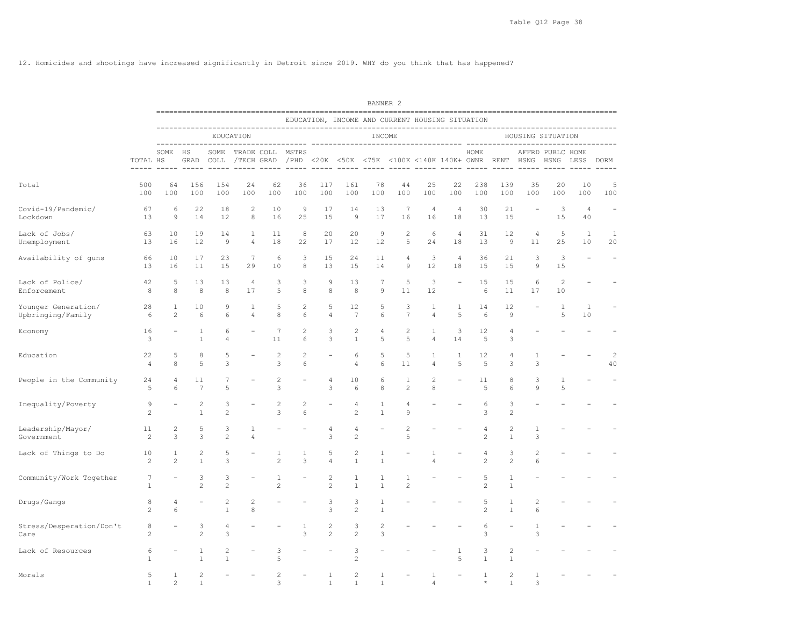12. Homicides and shootings have increased significantly in Detroit since 2019. WHY do you think that has happened?

|                                          |                      |                     |                                         |                                |                                |                     |                   |                                  |                                                                  | BANNER <sub>2</sub>          |                              |                                |                      |                                  |                                |                     |                          |                          |                          |
|------------------------------------------|----------------------|---------------------|-----------------------------------------|--------------------------------|--------------------------------|---------------------|-------------------|----------------------------------|------------------------------------------------------------------|------------------------------|------------------------------|--------------------------------|----------------------|----------------------------------|--------------------------------|---------------------|--------------------------|--------------------------|--------------------------|
|                                          |                      |                     |                                         |                                |                                |                     |                   |                                  | EDUCATION, INCOME AND CURRENT HOUSING SITUATION                  |                              |                              |                                |                      |                                  |                                |                     |                          |                          |                          |
|                                          |                      |                     |                                         |                                | EDUCATION                      |                     |                   |                                  |                                                                  | INCOME                       |                              |                                |                      |                                  |                                | HOUSING SITUATION   |                          |                          |                          |
|                                          | TOTAL HS             | SOME                | HS<br>GRAD                              | SOME<br>COLL                   |                                | TRADE COLL MSTRS    |                   |                                  | /TECH GRAD / PHD <20K <50K <75K <100K <140K 140K+ OWNR RENT HSNG |                              | $- - -$                      |                                |                      | HOME                             |                                |                     | AFFRD PUBLC HOME<br>HSNG | LESS                     | DORM                     |
| Total                                    | 500<br>100           | 64<br>100           | 156<br>100                              | 154<br>100                     | 24<br>100                      | 62<br>100           | 36<br>100         | 117<br>100                       | 161<br>100                                                       | 78<br>100                    | 44<br>100                    | 25<br>100                      | 22<br>100            | 238<br>100                       | 139<br>100                     | 35<br>100           | 20<br>100                | 10<br>100                | 5<br>100                 |
| Covid-19/Pandemic/<br>Lockdown           | 67<br>13             | 6<br>$\overline{9}$ | 22<br>14                                | 18<br>12                       | $\overline{c}$<br>8            | 10<br>16            | 9<br>25           | 17<br>15                         | 14<br>9                                                          | 13<br>17                     | $\sqrt{ }$<br>16             | 4<br>16                        | $\overline{4}$<br>18 | 30<br>13                         | 21<br>15                       | $\equiv$            | 3<br>15                  | $\overline{4}$<br>40     |                          |
| Lack of Jobs/<br>Unemployment            | 63<br>13             | 10<br>16            | 19<br>12                                | 14<br>9                        | $\mathbf{1}$<br>$\overline{4}$ | 11<br>18            | 8<br>22           | 20<br>17                         | 20<br>12                                                         | $\overline{9}$<br>12         | 2<br>5                       | 6<br>24                        | $\overline{4}$<br>18 | 31<br>13                         | 12<br>$\overline{9}$           | $\sqrt{4}$<br>11    | 5<br>25                  | $\mathbf{1}$<br>10       | $\mathbf{1}$<br>20       |
| Availability of guns                     | 66<br>13             | 10<br>16            | 17<br>11                                | 23<br>15                       | $7\phantom{.0}$<br>29          | 6<br>10             | 3<br>8            | 15<br>13                         | 24<br>15                                                         | 11<br>14                     | $\overline{4}$<br>9          | 3<br>12                        | $\overline{4}$<br>18 | 36<br>15                         | 21<br>15                       | 3<br>9              | 3<br>15                  | $\overline{\phantom{a}}$ | $\overline{\phantom{a}}$ |
| Lack of Police/<br>Enforcement           | 42<br>8              | 5<br>8              | 13<br>8                                 | 13<br>8                        | 4<br>17                        | 3<br>5              | 3<br>8            | 9<br>8                           | 13<br>8                                                          | 7<br>$\mathcal{G}$           | 5<br>11                      | 3<br>12                        |                      | 15<br>6                          | 15<br>11                       | 6<br>17             | $\overline{c}$<br>10     |                          |                          |
| Younger Generation/<br>Upbringing/Family | 28<br>6              | 1<br>$\overline{c}$ | 10<br>6                                 | 9<br>6                         | $\mathbf{1}$<br>$\overline{4}$ | 5<br>8              | 2<br>6            | 5<br>4                           | 12<br>$7\phantom{.0}$                                            | 5<br>6                       | 3<br>7                       | $\mathbf{1}$<br>$\overline{4}$ | 1<br>5               | 14<br>6                          | 12<br>$\overline{9}$           |                     | 1<br>5                   | 1<br>10                  |                          |
| Economy                                  | 16<br>3              |                     | 1<br>$\mathbf{1}$                       | 6<br>$\overline{4}$            |                                | 7<br>11             | 2<br>6            | 3<br>3                           | 2<br>$\mathbf{1}$                                                | $\sqrt{4}$<br>5              | $\overline{c}$<br>5          | 1<br>$\overline{4}$            | 3<br>14              | 12<br>5                          | $\sqrt{4}$<br>3                |                     |                          |                          |                          |
| Education                                | 22<br>$\overline{4}$ | 5<br>8              | 8<br>5                                  | 5<br>3                         |                                | 2<br>3              | 2<br>6            |                                  | 6<br>4                                                           | 5<br>6                       | 5<br>11                      | 1<br>$\overline{4}$            | 1<br>5               | 12<br>5                          | 4<br>3                         | 1<br>3              |                          |                          | 2<br>40                  |
| People in the Community                  | 24<br>5              | 4<br>6              | 11<br>$\overline{7}$                    | 7<br>5                         |                                | $\sqrt{2}$<br>3     |                   | 4<br>3                           | 10<br>6                                                          | 6<br>8                       | $\mathbf{1}$<br>$\mathbf{2}$ | $\sqrt{2}$<br>8                |                      | 11<br>5                          | 8<br>6                         | 3<br>$\circ$        | $\mathbf{1}$<br>5        |                          |                          |
| Inequality/Poverty                       | 9<br>$\overline{c}$  |                     | $\overline{\mathbf{c}}$<br>$\mathbf{1}$ | 3<br>$\overline{c}$            |                                | $\overline{c}$<br>3 | 2<br>6            |                                  | 4<br>$\mathbf{2}$                                                | 1<br>$\mathbf{1}$            | 4<br>9                       |                                |                      | 6<br>3                           | 3<br>$\overline{c}$            |                     |                          |                          |                          |
| Leadership/Mayor/<br>Government          | 11<br>2              | 2<br>3              | 5<br>3                                  | 3<br>$\overline{c}$            | 1<br>$\overline{4}$            |                     |                   | 4<br>3                           | 4<br>$\overline{2}$                                              |                              | $\overline{c}$<br>5          |                                |                      | 4<br>$\overline{c}$              | 2<br>1                         | 1<br>3              |                          |                          |                          |
| Lack of Things to Do                     | 10<br>2              | 1<br>$\overline{c}$ | $\overline{c}$<br>$\mathbf{1}$          | 5<br>3                         |                                | 1<br>$\overline{c}$ | $\mathbf{1}$<br>3 | 5<br>4                           | 2<br>$\mathbf{1}$                                                | $\mathbf{1}$<br>$\mathbf{1}$ |                              | $\mathbf{1}$<br>$\Delta$       |                      | $\overline{4}$<br>$\overline{c}$ | 3<br>$\overline{c}$            | $\overline{c}$<br>6 |                          |                          |                          |
| Community/Work Together                  | 7<br>$\mathbf{1}$    |                     | 3<br>$\overline{c}$                     | 3<br>$\overline{c}$            |                                | 1<br>$\mathbf{2}$   |                   | $\mathbf{2}$<br>$\overline{c}$   | 1<br>$\mathbf{1}$                                                | 1<br>$\mathbf{1}$            | 1<br>$\overline{c}$          |                                |                      | 5<br>2                           | 1<br>$\mathbf{1}$              |                     |                          |                          |                          |
| Drugs/Gangs                              | 8<br>$\overline{c}$  | $\overline{4}$<br>6 |                                         | $\overline{c}$<br>$\mathbf{1}$ | 2<br>8                         |                     |                   | 3<br>3                           | 3<br>$\overline{2}$                                              | $\mathbf{1}$<br>$\mathbf{1}$ |                              |                                |                      | 5<br>$\overline{c}$              | 1<br>$\mathbf{1}$              | $\overline{c}$<br>6 |                          |                          |                          |
| Stress/Desperation/Don't<br>Care         | 8<br>$\overline{c}$  |                     | 3<br>$\overline{c}$                     | 4<br>3                         |                                |                     | 1<br>3            | $\overline{c}$<br>$\overline{c}$ | 3<br>$\overline{c}$                                              | $\overline{c}$<br>3          |                              |                                |                      | 6<br>3                           |                                | 1<br>3              |                          |                          |                          |
| Lack of Resources                        | 6<br>$\mathbf{1}$    |                     | 1<br>$\mathbf{1}$                       | 2<br>$\mathbf{1}$              |                                | 3<br>5              |                   |                                  | 3<br>$\overline{c}$                                              |                              |                              |                                | 1<br>5               | 3<br>$\mathbf{1}$                | $\overline{c}$<br>$\mathbf{1}$ |                     |                          |                          |                          |
| Morals                                   | 5<br>$\mathbf{1}$    | $\mathbf{1}$<br>2   | $\overline{c}$<br>1                     |                                |                                | $\mathfrak{D}$<br>3 |                   | $\mathbf{1}$<br>1                | $\mathbf{2}$<br>1                                                | $\mathbf{1}$<br>1            |                              | $\mathbf{1}$<br>4              |                      | $\mathbf{1}$<br>$\star$          | $\mathbf{2}$<br>$\mathbf{1}$   | $\mathbf{1}$<br>3   |                          |                          |                          |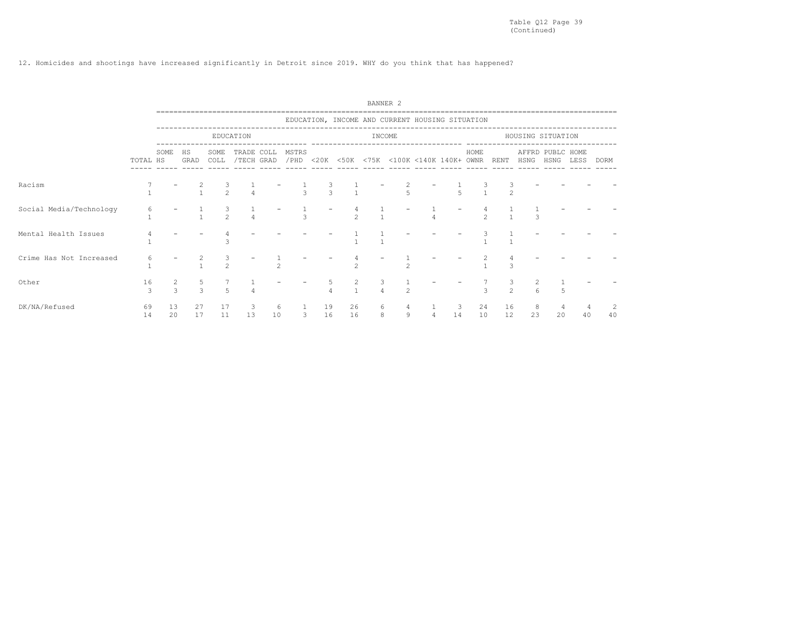12. Homicides and shootings have increased significantly in Detroit since 2019. WHY do you think that has happened?

|                         |          |                    |                    |                |                          |         |               |               |           |   | BANNER <sub>2</sub>                             |          |          |          |                   |                          |      |             |  |
|-------------------------|----------|--------------------|--------------------|----------------|--------------------------|---------|---------------|---------------|-----------|---|-------------------------------------------------|----------|----------|----------|-------------------|--------------------------|------|-------------|--|
|                         |          |                    |                    |                |                          |         |               |               |           |   | EDUCATION, INCOME AND CURRENT HOUSING SITUATION |          |          |          |                   |                          |      |             |  |
|                         |          |                    |                    |                | EDUCATION                |         |               |               |           |   | INCOME                                          |          |          |          | HOUSING SITUATION |                          |      |             |  |
|                         | TOTAL HS | SOME               | HS<br>GRAD         | SOME<br>COLL   | TRADE COLL<br>/TECH GRAD |         | MSTRS<br>/PHD |               |           |   | <20K <50K <75K <100K <140K 140K+ OWNR RENT      |          | HOME     |          | HSNG              | AFFRD PUBLC HOME<br>HSNG | LESS | <b>DORM</b> |  |
| Racism                  |          |                    |                    | $\mathfrak{D}$ |                          |         |               | $\mathcal{R}$ |           |   |                                                 |          |          |          |                   |                          |      |             |  |
| Social Media/Technology |          |                    |                    | $\mathfrak{D}$ |                          |         |               |               |           |   |                                                 |          |          |          |                   |                          |      |             |  |
| Mental Health Issues    |          |                    |                    | ₹              |                          |         |               |               |           |   |                                                 |          |          |          |                   |                          |      |             |  |
| Crime Has Not Increased |          |                    |                    | $\mathfrak{D}$ |                          |         |               |               | $\hat{ }$ |   |                                                 |          |          |          |                   |                          |      |             |  |
| Other                   | 16<br>3  | 2<br>$\mathcal{L}$ | 5<br>$\mathcal{L}$ | $\overline{5}$ |                          |         |               |               |           |   |                                                 |          |          |          |                   |                          |      |             |  |
| DK/NA/Refused           | 69<br>14 | 13<br>20           | 27<br>17           | 17<br>11       | 3<br>13                  | 6<br>10 | 3             | 19<br>16      | 26<br>16  | 8 | $\begin{array}{c} 4 \\ 9 \end{array}$           | -3<br>14 | 24<br>10 | 16<br>12 | 23                | 20                       | 40   | 40          |  |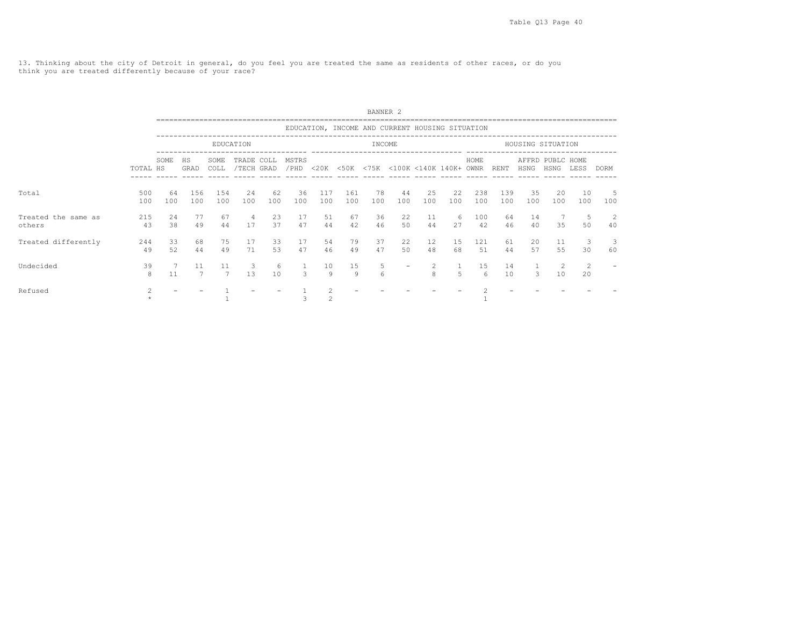13. Thinking about the city of Detroit in general, do you feel you are treated the same as residents of other races, or do you think you are treated differently because of your race?

|                               |            |           |                   |                      |                          |           |               |            |            | BANNER <sub>2</sub> |                                                 |           |           |            |            |           |                          |                      |          |
|-------------------------------|------------|-----------|-------------------|----------------------|--------------------------|-----------|---------------|------------|------------|---------------------|-------------------------------------------------|-----------|-----------|------------|------------|-----------|--------------------------|----------------------|----------|
|                               |            |           |                   |                      |                          |           |               |            |            |                     | EDUCATION, INCOME AND CURRENT HOUSING SITUATION |           |           |            |            |           |                          |                      |          |
|                               |            |           |                   |                      | EDUCATION                |           |               |            |            | INCOME              |                                                 |           |           |            |            |           | HOUSING SITUATION        |                      |          |
|                               | TOTAL HS   | SOME      | <b>HS</b><br>GRAD | SOME<br>COLL         | TRADE COLL<br>/TECH GRAD |           | MSTRS<br>/PHD |            |            |                     | <20K <50K <75K <100K <140K 140K+ OWNR           |           |           | HOME       | RENT       | HSNG      | AFFRD PUBLC HOME<br>HSNG | LESS                 | DORM     |
| Total                         | 500<br>100 | 64<br>100 | 156<br>100        | 154<br>100           | 2.4<br>100               | 62<br>100 | 36<br>100     | 117<br>100 | 161<br>100 | 78<br>100           | 44<br>100                                       | 25<br>100 | 22<br>100 | 238<br>100 | 139<br>100 | 35<br>100 | 20<br>100                | 10<br>100            | 5<br>100 |
| Treated the same as<br>others | 215<br>43  | 2.4<br>38 | 77<br>49          | 67<br>44             | 4<br>17                  | 23<br>37  | 17<br>47      | 51<br>44   | 67<br>42   | 36<br>46            | 22<br>50                                        | 11<br>44  | -6<br>27  | 100<br>42  | 64<br>46   | 14<br>40  | 35                       | -5<br>50             | 2<br>40  |
| Treated differently           | 244<br>49  | 33<br>52  | 68<br>44          | 75<br>49             | 17<br>71                 | 33<br>53  | 17<br>47      | 54<br>46   | 79<br>49   | 37<br>47            | 22<br>50                                        | 12<br>48  | 15<br>68  | 121<br>51  | 61<br>44   | 20<br>57  | 11<br>55                 | -3<br>30             | -3<br>60 |
| Undecided                     | 39<br>8    | 11        | 11<br>7           | 11<br>$\overline{7}$ | 3<br>1.3                 | 6<br>10   | $\mathcal{L}$ | 10<br>9    | 15<br>9    | 5<br>6              |                                                 | 2<br>8    | -5        | 15<br>6    | 14<br>10   | 3         | 10                       | $\overline{2}$<br>20 |          |
| Refused                       |            |           |                   |                      |                          |           |               |            |            |                     |                                                 |           |           |            |            |           |                          |                      |          |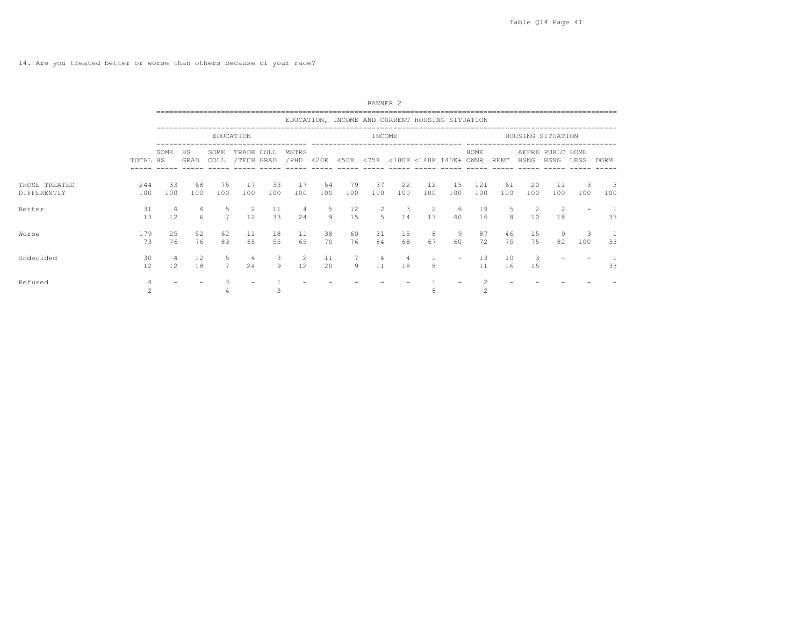14. Are you treated better or worse than others because of your race?

|                              |            |           |            |                      |                          |           |               |           |           | BANNER <sub>2</sub> |                                                 |           |                          |            |           |                      |                          |          |                    |
|------------------------------|------------|-----------|------------|----------------------|--------------------------|-----------|---------------|-----------|-----------|---------------------|-------------------------------------------------|-----------|--------------------------|------------|-----------|----------------------|--------------------------|----------|--------------------|
|                              |            |           |            |                      |                          |           |               |           |           |                     | EDUCATION, INCOME AND CURRENT HOUSING SITUATION |           |                          |            |           |                      |                          |          |                    |
|                              |            |           |            |                      | EDUCATION                |           |               |           |           | INCOME              |                                                 |           |                          |            |           |                      | HOUSING SITUATION        |          |                    |
|                              | TOTAL HS   | SOME      | HS<br>GRAD | SOME<br>COLL         | TRADE COLL<br>/TECH GRAD |           | MSTRS<br>/PHD |           |           |                     | <20K <50K <75K <100K <140K 140K+ OWNR           |           |                          | HOME       | RENT      | HSNG                 | AFFRD PUBLC HOME<br>HSNG | LESS     | <b>DORM</b>        |
| THOSE TREATED<br>DIFFERENTLY | 244<br>100 | 33<br>100 | 68<br>100  | 75<br>100            | 17<br>100                | 33<br>100 | 17<br>100     | 54<br>100 | 79<br>100 | -37<br>100          | 22<br>100                                       | 12<br>100 | 15<br>100                | 121<br>100 | 61<br>100 | 20<br>100            | 11<br>100                | 3<br>100 | 3<br>100           |
| Better                       | 31<br>13   | 12        | 4<br>6     | $7^{\circ}$          | 2<br>12                  | 11<br>33  | 4<br>24       | - 5<br>9  | 12<br>15  | 5                   | 3<br>14                                         | 2<br>17   | - 6<br>40                | 19<br>16   | 5<br>8    | $\overline{2}$<br>10 | 2<br>18                  |          | 33                 |
| Worse                        | 179<br>73  | 25<br>76  | 52<br>76   | 62<br>83             | 11<br>65                 | 18<br>55  | 11<br>65      | 38<br>70  | 60<br>76  | 31<br>84            | 15<br>68                                        | 8<br>67   | 9<br>60                  | 87<br>72   | 46<br>75  | 15<br>75             | 82                       | 3<br>100 | $\mathbf{1}$<br>33 |
| Undecided                    | 30<br>12   | 12        | 12<br>18   | 5.<br>$\overline{7}$ | 4<br>24                  | 3<br>9    | 2<br>12       | 11<br>20  | 9         | 4<br>11             | 4<br>18                                         | 8         | $\overline{\phantom{0}}$ | 13<br>11   | 10<br>16  | 3<br>15              |                          |          | 33                 |
| Refused                      |            |           |            |                      |                          |           |               |           |           |                     |                                                 |           |                          | $\hat{ }$  |           |                      |                          |          |                    |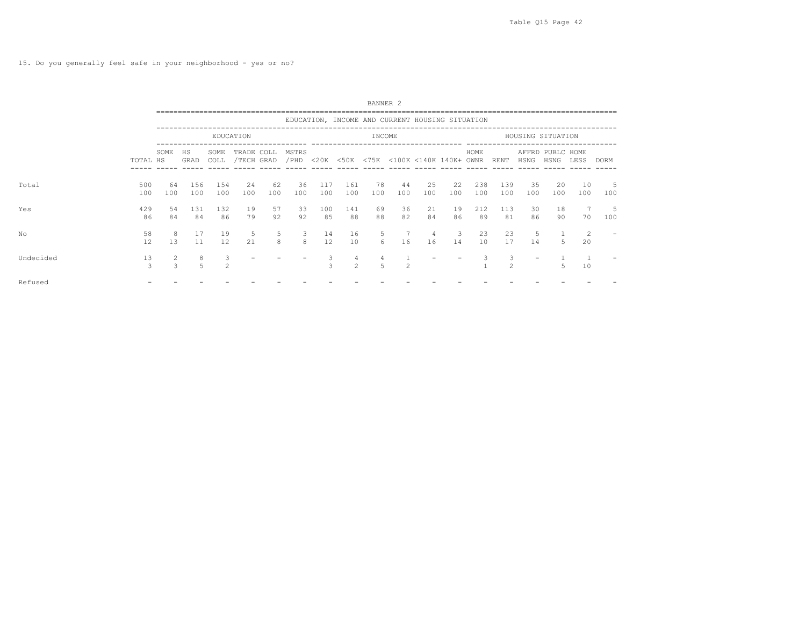|           |            |                    |            |                |                          |           |               |                    |                     | BANNER <sub>2</sub> |                                                 |           |           |            |               |           |                          |           |             |  |
|-----------|------------|--------------------|------------|----------------|--------------------------|-----------|---------------|--------------------|---------------------|---------------------|-------------------------------------------------|-----------|-----------|------------|---------------|-----------|--------------------------|-----------|-------------|--|
|           |            |                    |            |                |                          |           |               |                    |                     |                     | EDUCATION, INCOME AND CURRENT HOUSING SITUATION |           |           |            |               |           |                          |           |             |  |
|           |            |                    |            |                | EDUCATION                |           |               |                    |                     | INCOME              |                                                 |           |           |            |               |           | HOUSING SITUATION        |           |             |  |
|           | TOTAL HS   | SOME               | HS<br>GRAD | SOME<br>COLL   | TRADE COLL<br>/TECH GRAD |           | MSTRS<br>/PHD | $<$ 20K            |                     |                     | <50K <75K <100K <140K 140K+ OWNR                |           |           | HOME       | RENT          | HSNG      | AFFRD PUBLC HOME<br>HSNG | LESS      | <b>DORM</b> |  |
| Total     | 500<br>100 | 64<br>100          | 156<br>100 | 154<br>100     | 24<br>100                | 62<br>100 | 36<br>100     | 117<br>100         | 161<br>100          | 78<br>100           | 44<br>100                                       | 25<br>100 | 22<br>100 | 238<br>100 | 139<br>100    | 35<br>100 | 20<br>100                | 10<br>100 | -5<br>100   |  |
| Yes       | 429<br>86  | 54<br>84           | 131<br>84  | 132<br>86      | 19<br>79                 | 57<br>92  | 33<br>92      | 100<br>85          | 141<br>88           | 69<br>88            | 36<br>82                                        | 21<br>84  | 19<br>86  | 212<br>89  | 113<br>81     | 30<br>86  | 18<br>90                 | 70        | -5<br>100   |  |
| No        | 58<br>12   | 8<br>13            | 17<br>11   | 19<br>12       | 5<br>21                  | 5<br>8    | 3<br>8        | 14<br>12           | 16<br>10            | 5.<br>6             | 16                                              | 4<br>16   | 3<br>14   | 23<br>10   | 23<br>17      | 5<br>14   | 5                        | -2<br>20  |             |  |
| Undecided | 13<br>3    | 2<br>$\mathcal{L}$ | 8<br>5     | $\mathfrak{D}$ |                          |           |               | 3<br>$\mathcal{L}$ | 4<br>$\mathfrak{D}$ | $\overline{5}$      | $\mathfrak{D}$                                  |           |           |            | $\mathcal{P}$ |           | 5                        | 10        |             |  |
| Refused   |            |                    |            |                |                          |           |               |                    |                     |                     |                                                 |           |           |            |               |           |                          |           |             |  |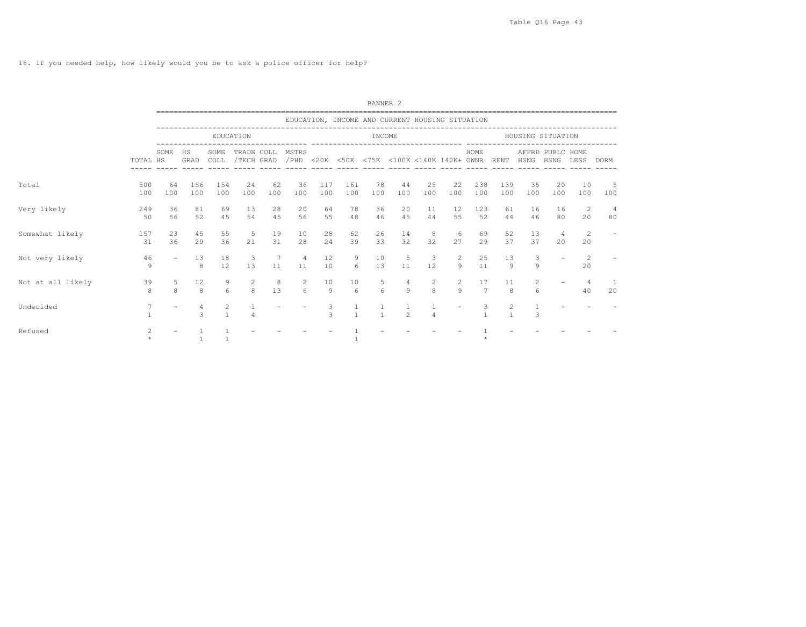|                   |                |                          |            |                              |                          |           |               |                     |                       | BANNER <sub>2</sub>                             |                |                                       |                           |                      |                     |                   |                          |           |                      |
|-------------------|----------------|--------------------------|------------|------------------------------|--------------------------|-----------|---------------|---------------------|-----------------------|-------------------------------------------------|----------------|---------------------------------------|---------------------------|----------------------|---------------------|-------------------|--------------------------|-----------|----------------------|
|                   |                |                          |            |                              |                          |           |               |                     |                       | EDUCATION, INCOME AND CURRENT HOUSING SITUATION |                |                                       |                           |                      |                     |                   |                          |           |                      |
|                   |                |                          |            |                              | EDUCATION                |           |               |                     |                       | INCOME                                          |                |                                       |                           |                      |                     | HOUSING SITUATION |                          |           |                      |
|                   | TOTAL HS       | SOME                     | HS<br>GRAD | SOME<br>COLL                 | TRADE COLL<br>/TECH GRAD |           | MSTRS<br>/PHD |                     |                       | <20K <50K <75K <100K <140K 140K+ OWNR           |                |                                       |                           | HOME                 | RENT                | HSNG              | AFFRD PUBLC HOME<br>HSNG | LESS      | DORM                 |
| Total             | 500<br>100     | 64<br>100                | 156<br>100 | 154<br>100                   | 24<br>100                | 62<br>100 | 36<br>100     | 117<br>100          | 161<br>100            | 78<br>100                                       | 44<br>100      | 25<br>100                             | 22<br>100                 | 238<br>100           | 139<br>100          | 35<br>100         | 20<br>100                | 10<br>100 | -5<br>100            |
| Very likely       | 249<br>50      | 36<br>56                 | 81<br>52   | 69<br>45                     | 13<br>54                 | 28<br>45  | 20<br>56      | 64<br>55            | 78<br>48              | 36<br>46                                        | 20<br>45       | 11<br>44                              | 12<br>55                  | 123<br>52            | 61<br>44            | 16<br>46          | 16<br>80                 | -2<br>20  | $\overline{4}$<br>80 |
| Somewhat likely   | 157<br>31      | 23<br>36                 | 45<br>29   | 55<br>36                     | 5<br>21                  | 19<br>31  | 10<br>28      | 28<br>24            | 62<br>39              | 26<br>33                                        | 14<br>32       | 8<br>32                               | -6<br>27                  | 69<br>29             | 52<br>37            | 13<br>37          | $\overline{4}$<br>20     | 2<br>20   |                      |
| Not very likely   | 46<br>9        | $\overline{\phantom{0}}$ | 13<br>8    | 18<br>12                     | 3<br>13                  | 7<br>11   | 4<br>11       | 12<br>10            | 9<br>$6 \overline{6}$ | 10<br>13                                        | 5<br>11        | 3<br>12                               | $\overline{2}$<br>$\circ$ | 25<br>11             | 13<br>$\mathcal{Q}$ | 3<br>9            |                          | 2<br>20   |                      |
| Not at all likely | 39<br>8        | 5<br>$\mathcal{R}$       | 12<br>8    | 9<br>$6 \overline{6}$        | 2<br>8                   | 8<br>13   | 2<br>6        | 10<br>$\mathcal{Q}$ | 10<br>6               | 5<br>6                                          | 4<br>$\circ$   | $\begin{array}{c} 2 \\ 8 \end{array}$ | $\overline{c}$<br>$\circ$ | 17<br>$\overline{7}$ | 11<br>8             | 2<br>6            |                          | 4<br>40   | 20                   |
| Undecided         |                |                          | 4<br>3     | $\mathbf{2}$<br>$\mathbf{1}$ | $\overline{4}$           |           |               | 3<br>3              |                       |                                                 | $\mathfrak{D}$ | $\overline{4}$                        |                           |                      | 2                   | 3                 |                          |           |                      |
| Refused           | $\overline{c}$ |                          |            |                              |                          |           |               |                     |                       |                                                 |                |                                       |                           |                      |                     |                   |                          |           |                      |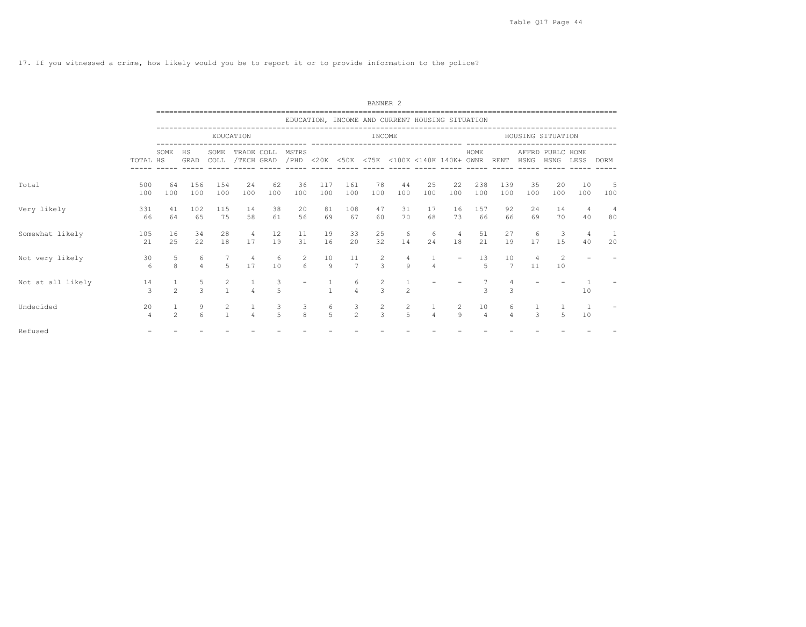17. If you witnessed a crime, how likely would you be to report it or to provide information to the police?

|                   |                      |                     |                     |                                |                          |           |                   |                     |                      | BANNER <sub>2</sub>                             |                                  |                                |                          |                      |                      |                      |                                 |                      |                      |
|-------------------|----------------------|---------------------|---------------------|--------------------------------|--------------------------|-----------|-------------------|---------------------|----------------------|-------------------------------------------------|----------------------------------|--------------------------------|--------------------------|----------------------|----------------------|----------------------|---------------------------------|----------------------|----------------------|
|                   |                      |                     |                     |                                |                          |           |                   |                     |                      | EDUCATION, INCOME AND CURRENT HOUSING SITUATION |                                  |                                |                          |                      |                      |                      |                                 |                      |                      |
|                   |                      |                     |                     |                                | EDUCATION                |           |                   |                     |                      | INCOME                                          |                                  |                                |                          |                      |                      | HOUSING SITUATION    |                                 |                      |                      |
|                   | TOTAL HS             | SOME                | <b>HS</b><br>GRAD   | SOME<br>COLL                   | TRADE COLL<br>/TECH GRAD |           | MSTRS<br>/PHD     |                     |                      | <20K <50K <75K <100K <140K 140K+ OWNR           | ------ -----                     |                                |                          | HOME                 | <b>RENT</b>          | HSNG                 | AFFRD PUBLC HOME<br><b>HSNG</b> | LESS                 | <b>DORM</b>          |
| Total             | 500<br>100           | 64<br>100           | 156<br>100          | 154<br>100                     | 24<br>100                | 62<br>100 | 36<br>100         | 117<br>100          | 161<br>100           | 78<br>100                                       | 44<br>100                        | 25<br>100                      | 22<br>100                | 238<br>100           | 139<br>100           | 35<br>100            | 20<br>100                       | 10<br>100            | 5<br>100             |
| Very likely       | 331<br>66            | 41<br>64            | 102<br>65           | 115<br>75                      | 14<br>58                 | 38<br>61  | 20<br>56          | 81<br>69            | 108<br>67            | 47<br>60                                        | 31<br>70                         | 17<br>68                       | 16<br>73                 | 157<br>66            | 92<br>66             | 24<br>69             | 14<br>70                        | 4<br>40              | $\overline{4}$<br>80 |
| Somewhat likely   | 105<br>21            | 16<br>2.5           | 34<br>22            | 28<br>18                       | 4<br>17                  | 12<br>19  | 11<br>31          | 19<br>16            | 33<br>20             | 25<br>32                                        | 6<br>14                          | 6<br>24                        | $\overline{4}$<br>18     | 51<br>21             | 27<br>19             | 6<br>17              | 3<br>1.5                        | $\overline{4}$<br>40 | -1<br>20             |
| Not very likely   | 30<br>6              | 5<br>8              | 6<br>$\overline{4}$ | $\overline{2}$                 | $\overline{4}$<br>17     | 6<br>10   | $\overline{c}$    | 10<br>$\circ$       | 11<br>$\overline{7}$ | $\frac{2}{3}$                                   | $\overline{4}$<br>$\circ$        | $\mathbf{1}$<br>$\overline{4}$ | $\overline{\phantom{a}}$ | 13<br>$\overline{a}$ | 10<br>$\overline{7}$ | $\overline{4}$<br>11 | 2<br>10                         |                      |                      |
| Not at all likely | 14<br>3              | 1<br>$\mathfrak{D}$ | 5<br>$\mathcal{L}$  | 2<br>$\mathbf{1}$              | 1<br>$\overline{4}$      | 3<br>5    |                   |                     | 6<br>4               | 2<br>$\mathcal{L}$                              | $\mathfrak{D}$                   |                                |                          | $\mathcal{L}$        | $\mathcal{L}$        |                      |                                 | 10                   |                      |
| Undecided         | 20<br>$\overline{4}$ | $\mathfrak{D}$      | 6                   | $\overline{2}$<br>$\mathbf{1}$ | $\overline{4}$           | 3<br>5    | 3<br>$\mathbf{8}$ | 6<br>$\overline{5}$ | $\frac{3}{2}$        | $\frac{2}{3}$                                   | $\overline{c}$<br>$\overline{5}$ | $\overline{4}$                 | 2<br>$\circ$             | 10<br>$\overline{4}$ | 6<br>$\overline{4}$  | 3                    | 5                               | - 1<br>10            |                      |
| Refused           |                      |                     |                     |                                |                          |           |                   |                     |                      |                                                 |                                  |                                |                          |                      |                      |                      |                                 |                      |                      |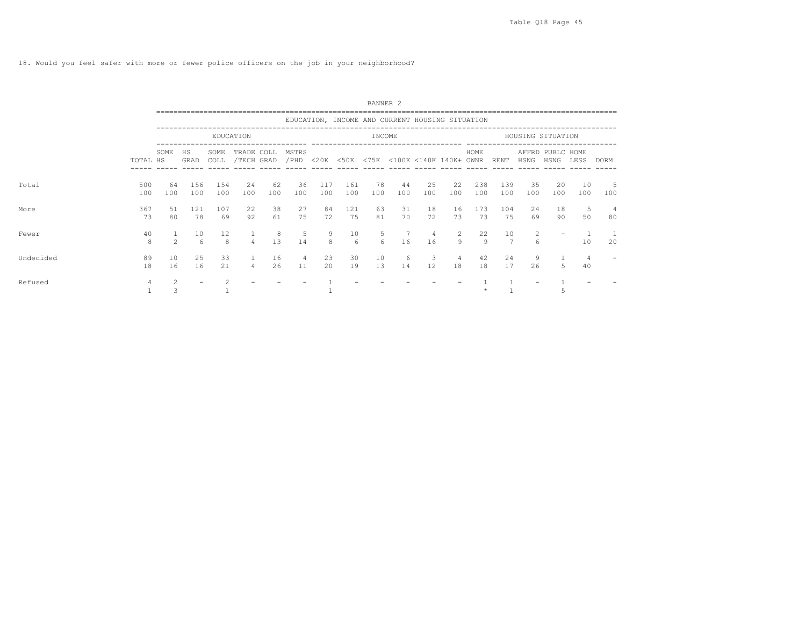18. Would you feel safer with more or fewer police officers on the job in your neighborhood?

|           |            |                |            |                        |                          |           |               |            |            | BANNER <sub>2</sub> |                                                 |           |           |            |                      |           |                          |           |             |
|-----------|------------|----------------|------------|------------------------|--------------------------|-----------|---------------|------------|------------|---------------------|-------------------------------------------------|-----------|-----------|------------|----------------------|-----------|--------------------------|-----------|-------------|
|           |            |                |            |                        |                          |           |               |            |            |                     | EDUCATION, INCOME AND CURRENT HOUSING SITUATION |           |           |            |                      |           |                          |           |             |
|           |            |                |            |                        | EDUCATION                |           |               |            |            | INCOME              |                                                 |           |           |            |                      |           | HOUSING SITUATION        |           |             |
|           | TOTAL HS   | SOME           | HS<br>GRAD | SOME<br>COLL           | TRADE COLL<br>/TECH GRAD |           | MSTRS<br>/PHD |            |            |                     | <20K <50K <75K <100K <140K 140K+ OWNR           |           |           | HOME       | RENT                 | HSNG      | AFFRD PUBLC HOME<br>HSNG | LESS      | <b>DORM</b> |
| Total     | 500<br>100 | 64<br>100      | 156<br>100 | 154<br>100             | 24<br>100                | 62<br>100 | 36<br>100     | 117<br>100 | 161<br>100 | 78<br>100           | 44<br>100                                       | 25<br>100 | 22<br>100 | 238<br>100 | 139<br>100           | 35<br>100 | 20<br>100                | 10<br>100 | 5<br>100    |
| More      | 367<br>73  | 51<br>80       | 121<br>78  | 107<br>69              | 22<br>92                 | 38<br>61  | 27<br>75      | 84<br>72   | 121<br>75  | 63<br>81            | 31<br>70                                        | 18<br>72  | 16<br>73  | 173<br>73  | 104<br>75            | 24<br>69  | 18<br>90                 | 5<br>50   | 4<br>80     |
| Fewer     | 40<br>8    | $\mathfrak{D}$ | 10<br>6    | $12 \overline{ }$<br>8 | $\overline{4}$           | 8<br>13   | - 5<br>14     | 9<br>8     | 10<br>6    | 5<br>6              | 7<br>16                                         | -4<br>16  | -2<br>9   | 22<br>9    | 10<br>$\overline{7}$ | 2<br>6    |                          | 10        | 20          |
| Undecided | 89<br>18   | 10<br>16       | 25<br>16   | 33<br>21               | $\overline{4}$           | 16<br>26  | 4<br>11       | 23<br>20   | 30<br>19   | 10<br>13            | 6<br>14                                         | 3<br>12   | 4<br>18   | 42<br>18   | 24<br>17             | 9<br>26   | 5                        | 40        |             |
| Refused   |            |                |            |                        |                          |           |               |            |            |                     |                                                 |           |           |            |                      |           |                          |           |             |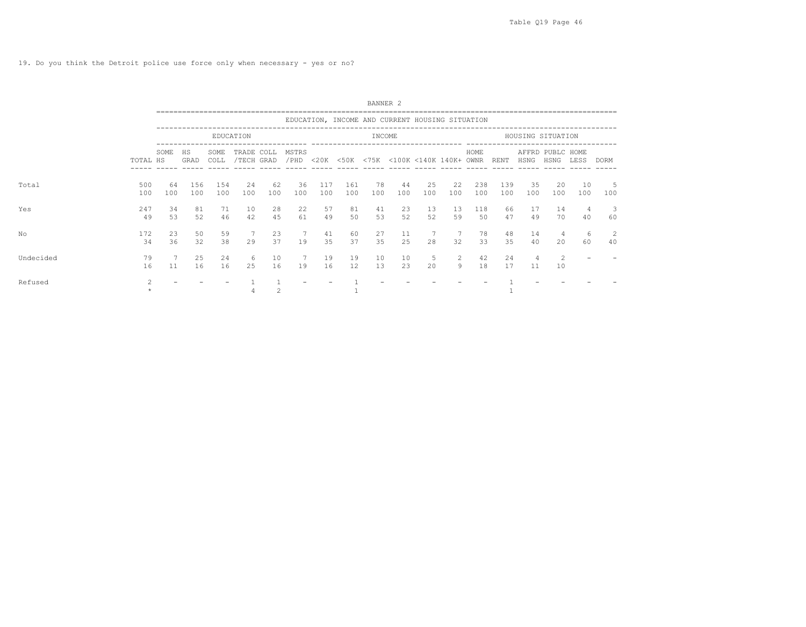|           |                |           |            |              |                          |           |                |            |                         | BANNER <sub>2</sub>                             |           |           |           |            |            |                   |                          |           |             |  |
|-----------|----------------|-----------|------------|--------------|--------------------------|-----------|----------------|------------|-------------------------|-------------------------------------------------|-----------|-----------|-----------|------------|------------|-------------------|--------------------------|-----------|-------------|--|
|           |                |           |            |              |                          |           |                |            |                         | EDUCATION, INCOME AND CURRENT HOUSING SITUATION |           |           |           |            |            |                   |                          |           |             |  |
|           |                |           |            |              | EDUCATION                |           |                |            |                         | INCOME                                          |           |           |           |            |            | HOUSING SITUATION |                          |           |             |  |
|           | TOTAL HS       | SOME      | HS<br>GRAD | SOME<br>COLL | TRADE COLL<br>/TECH GRAD |           | MSTRS<br>/ PHD |            |                         | <20K <50K <75K <100K <140K 140K+ OWNR           |           |           |           | HOME       | RENT       | HSNG              | AFFRD PUBLC HOME<br>HSNG | LESS      | <b>DORM</b> |  |
| Total     | 500<br>100     | 64<br>100 | 156<br>100 | 154<br>100   | 24<br>100                | 62<br>100 | 36<br>100      | 117<br>100 | 161<br>100              | 78<br>100                                       | 44<br>100 | 25<br>100 | 22<br>100 | 238<br>100 | 139<br>100 | 35<br>100         | 20<br>100                | 10<br>100 | -5<br>100   |  |
| Yes       | 247<br>49      | 34<br>53  | 81<br>52   | 71<br>46     | 10<br>42                 | 28<br>45  | 22<br>61       | 57<br>49   | 81<br>50                | 41<br>53                                        | 23<br>52  | 13<br>52  | 13<br>59  | 118<br>50  | 66<br>47   | 17<br>49          | 14<br>70                 | 4<br>40   | -3<br>60    |  |
| No        | 172<br>34      | 23<br>36  | 50<br>32   | 59<br>38     | 29                       | 23<br>37  | 19             | 41<br>35   | 60<br>37                | 27<br>35                                        | 11<br>25  | 2.8       | 32        | 78<br>33   | 48<br>35   | 14<br>40          | 4<br>2.0                 | -6<br>60  | 2<br>40     |  |
| Undecided | 79<br>16       | 11        | 25<br>16   | 24<br>16     | 6<br>25                  | 10<br>16  | 19             | 19<br>16   | 19<br>$12 \overline{ }$ | 10<br>13                                        | 10<br>23  | 5<br>20   | 2<br>9    | 42<br>18   | 24<br>17   | 4<br>11           | 2<br>10                  |           |             |  |
| Refused   | $\mathfrak{D}$ |           |            |              |                          |           |                |            |                         |                                                 |           |           |           |            |            |                   |                          |           |             |  |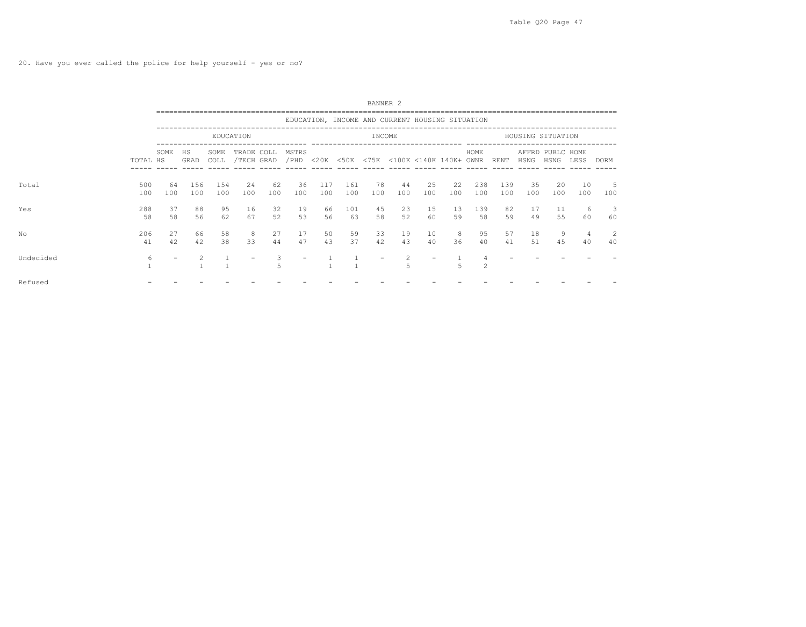|           |            |           |            |              |                          |           |               |            |            | BANNER <sub>2</sub> |                                                 |           |           |                |            |           |                          |           |             |  |
|-----------|------------|-----------|------------|--------------|--------------------------|-----------|---------------|------------|------------|---------------------|-------------------------------------------------|-----------|-----------|----------------|------------|-----------|--------------------------|-----------|-------------|--|
|           |            |           |            |              |                          |           |               |            |            |                     | EDUCATION, INCOME AND CURRENT HOUSING SITUATION |           |           |                |            |           |                          |           |             |  |
|           |            |           |            |              | EDUCATION                |           |               |            |            | INCOME              |                                                 |           |           |                |            |           | HOUSING SITUATION        |           |             |  |
|           | TOTAL HS   | SOME      | HS<br>GRAD | SOME<br>COLL | TRADE COLL<br>/TECH GRAD |           | MSTRS<br>/PHD |            |            |                     | <20K <50K <75K <100K <140K 140K+ OWNR           |           |           | HOME           | RENT       | HSNG      | AFFRD PUBLC HOME<br>HSNG | LESS      | <b>DORM</b> |  |
| Total     | 500<br>100 | 64<br>100 | 156<br>100 | 154<br>100   | 24<br>100                | 62<br>100 | 36<br>100     | 117<br>100 | 161<br>100 | 78<br>100           | 44<br>100                                       | 25<br>100 | 22<br>100 | 238<br>100     | 139<br>100 | 35<br>100 | 20<br>100                | 10<br>100 | -5<br>100   |  |
| Yes       | 288<br>58  | 37<br>58  | 88<br>56   | 95<br>62     | 16<br>67                 | 32<br>52  | 19<br>53      | 66<br>56   | 101<br>63  | 45<br>58            | 23<br>52                                        | 15<br>60  | 13<br>59  | 139<br>58      | 82<br>59   | 17<br>49  | 11<br>55                 | -6<br>60  | 3<br>60     |  |
| No        | 206<br>41  | 27<br>42  | 66<br>42   | 58<br>38     | 8<br>33                  | 27<br>44  | 17<br>47      | 50<br>43   | 59<br>37   | 33<br>42            | 19<br>43                                        | 10<br>40  | 8<br>36   | 95<br>40       | 57<br>41   | 18<br>51  | 9<br>45                  | 4<br>40   | 2<br>40     |  |
| Undecided | 6          |           |            |              |                          | 5         |               |            |            |                     | $\mathfrak{D}$<br>$\overline{5}$                |           | 5         | $\mathfrak{D}$ |            |           |                          |           |             |  |
| Refused   |            |           |            |              |                          |           |               |            |            |                     |                                                 |           |           |                |            |           |                          |           |             |  |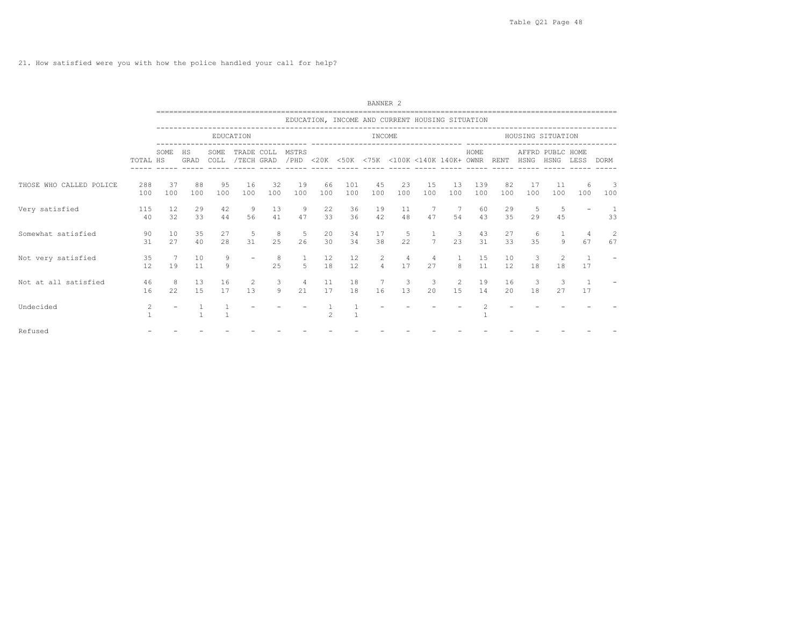21. How satisfied were you with how the police handled your call for help?

|                         |                |           |            |              |                          |           |               |           |            | BANNER <sub>2</sub> |                                                 |                |                               |            |           |                   |                          |           |                                 |
|-------------------------|----------------|-----------|------------|--------------|--------------------------|-----------|---------------|-----------|------------|---------------------|-------------------------------------------------|----------------|-------------------------------|------------|-----------|-------------------|--------------------------|-----------|---------------------------------|
|                         |                |           |            |              |                          |           |               |           |            |                     | EDUCATION, INCOME AND CURRENT HOUSING SITUATION |                |                               |            |           |                   |                          |           |                                 |
|                         |                |           |            |              | EDUCATION                |           |               |           |            | INCOME              |                                                 |                |                               |            |           | HOUSING SITUATION |                          |           |                                 |
|                         | TOTAL HS       | SOME      | HS<br>GRAD | SOME<br>COLL | TRADE COLL<br>/TECH GRAD |           | MSTRS<br>/PHD |           |            |                     | <20K <50K <75K <100K <140K 140K+ OWNR           |                |                               | HOME       | RENT      | HSNG              | AFFRD PUBLC HOME<br>HSNG | LESS      | <b>DORM</b>                     |
| THOSE WHO CALLED POLICE | 288<br>100     | 37<br>100 | 88<br>100  | 95<br>100    | 16<br>100                | 32<br>100 | 19<br>100     | 66<br>100 | 101<br>100 | 45<br>100           | 23<br>100                                       | 15<br>100      | 13<br>100                     | 139<br>100 | 82<br>100 | 17<br>100         | 11<br>100                | -6<br>100 | $\overline{\phantom{a}}$<br>100 |
| Very satisfied          | 115<br>40      | 12<br>32  | 29<br>33   | 42<br>44     | 9<br>56                  | 13<br>41  | 9<br>47       | 22<br>33  | 36<br>36   | 19<br>42            | 11<br>48                                        | 7<br>47        | $\overline{7}$<br>54          | 60<br>43   | 29<br>35  | 5<br>29           | -5<br>45                 |           | 33                              |
| Somewhat satisfied      | 90<br>31       | 10<br>27  | 35<br>40   | 27<br>28     | 5<br>31                  | 8<br>25   | - 5<br>26     | 20<br>30  | 34<br>34   | 17<br>38            | 5<br>22                                         | $\overline{7}$ | $\overline{\mathbf{3}}$<br>23 | 43<br>31   | 27<br>33  | 6<br>35           | Q                        | 4<br>67   | -2<br>67                        |
| Not very satisfied      | 35<br>12       | 19        | 10<br>11   | 9<br>9       |                          | 8<br>25   | 5             | 12<br>18  | 12<br>12   | 2<br>$\overline{4}$ | 4<br>17                                         | 4<br>27        | $\overline{1}$<br>8           | 15<br>11   | 10<br>12  | 3<br>18           | 2<br>18                  | 17        |                                 |
| Not at all satisfied    | 46<br>16       | 8<br>22   | 13<br>15   | 16<br>17     | 2<br>13                  | 3<br>9    | 4<br>21       | 11<br>17  | 18<br>18   | 7<br>16             | 3<br>13                                         | -3<br>20       | 2<br>15                       | 19<br>14   | 16<br>20  | 3<br>18           | 3<br>27                  | 17        |                                 |
| Undecided               | $\overline{c}$ |           |            |              |                          |           |               |           |            |                     |                                                 |                |                               |            |           |                   |                          |           |                                 |
| Refused                 |                |           |            |              |                          |           |               |           |            |                     |                                                 |                |                               |            |           |                   |                          |           |                                 |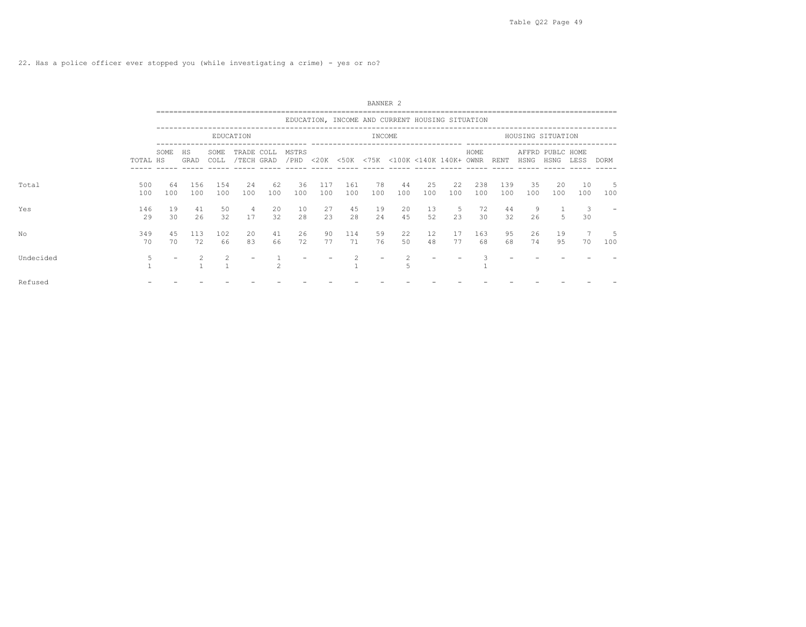|           |            |           |            |              |                          |           |               |            |            | BANNER <sub>2</sub> |                                                 |                         |           |            |            |           |                          |           |             |
|-----------|------------|-----------|------------|--------------|--------------------------|-----------|---------------|------------|------------|---------------------|-------------------------------------------------|-------------------------|-----------|------------|------------|-----------|--------------------------|-----------|-------------|
|           |            |           |            |              |                          |           |               |            |            |                     | EDUCATION, INCOME AND CURRENT HOUSING SITUATION |                         |           |            |            |           |                          |           |             |
|           |            |           |            |              | EDUCATION                |           |               |            |            | INCOME              |                                                 |                         |           |            |            |           | HOUSING SITUATION        |           |             |
|           | TOTAL HS   | SOME      | HS<br>GRAD | SOME<br>COLL | TRADE COLL<br>/TECH GRAD |           | MSTRS<br>/PHD |            |            |                     | <20K <50K <75K <100K <140K 140K+ OWNR           |                         |           | HOME       | RENT       | HSNG      | AFFRD PUBLC HOME<br>HSNG | LESS      | <b>DORM</b> |
| Total     | 500<br>100 | 64<br>100 | 156<br>100 | 154<br>100   | 24<br>100                | 62<br>100 | 36<br>100     | 117<br>100 | 161<br>100 | 78<br>100           | 44<br>100                                       | 25<br>100               | 22<br>100 | 238<br>100 | 139<br>100 | 35<br>100 | 20<br>100                | 10<br>100 | -5<br>100   |
| Yes       | 146<br>29  | 19<br>30  | 41<br>26   | 50<br>32     | 4<br>17                  | 20<br>32  | 10<br>28      | 27<br>23   | 45<br>28   | 19<br>24            | 20<br>45                                        | 13<br>52                | -5<br>23  | 72<br>30   | 44<br>32   | 9<br>26   | 5                        | 3<br>30   |             |
| No        | 349<br>70  | 45<br>70  | 113<br>72  | 102<br>66    | 20<br>83                 | 41<br>66  | 26<br>72      | 90<br>77   | 114<br>71  | 59<br>76            | 22<br>50                                        | $12 \overline{ }$<br>48 | 17<br>77  | 163<br>68  | 95<br>68   | 26<br>74  | 19<br>95                 | 70        | 5<br>100    |
| Undecided | 5          |           |            |              |                          |           |               |            |            |                     |                                                 |                         |           |            |            |           |                          |           |             |
| Refused   |            |           |            |              |                          |           |               |            |            |                     |                                                 |                         |           |            |            |           |                          |           |             |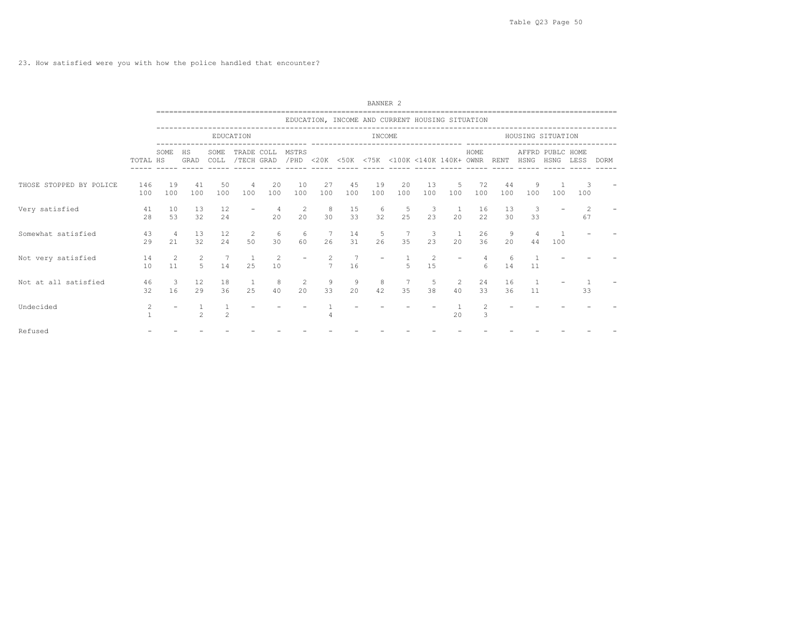23. How satisfied were you with how the police handled that encounter?

|                         |            |                      |                       |                |                          |           |                                                          |                      |                                                 | BANNER <sub>2</sub> |                       |                                |                      |                     |             |                   |                       |           |             |
|-------------------------|------------|----------------------|-----------------------|----------------|--------------------------|-----------|----------------------------------------------------------|----------------------|-------------------------------------------------|---------------------|-----------------------|--------------------------------|----------------------|---------------------|-------------|-------------------|-----------------------|-----------|-------------|
|                         |            |                      |                       |                |                          |           |                                                          |                      | EDUCATION, INCOME AND CURRENT HOUSING SITUATION |                     |                       |                                |                      |                     |             |                   |                       |           |             |
|                         |            |                      |                       |                | EDUCATION                |           |                                                          |                      |                                                 | INCOME              |                       |                                |                      |                     |             | HOUSING SITUATION |                       |           |             |
|                         | TOTAL HS   | SOME                 | HS<br>GRAD            | SOME<br>COLL   | TRADE COLL<br>/TECH GRAD |           | MSTRS<br>/PHD <20K <50K <75K <100K <140K 140K+ OWNR RENT |                      |                                                 |                     |                       |                                |                      | HOME                |             | HSNG HSNG         | AFFRD PUBLC HOME      | LESS      | <b>DORM</b> |
| THOSE STOPPED BY POLICE | 146<br>100 | 19<br>100            | 41<br>100             | 50<br>100      | 4<br>100                 | 20<br>100 | 10<br>100                                                | 27<br>100            | 45<br>100                                       | 19<br>100           | 20<br>100             | 13<br>100                      | 5<br>100             | 72<br>100           | 44<br>100   | 9<br>100          | 100                   | -3<br>100 |             |
| Very satisfied          | 41<br>28   | 10<br>53             | 13<br>32              | 12<br>24       |                          | 4<br>20   | $\overline{2}$<br>20                                     | $_{8}$<br>30         | 15<br>33                                        | 6<br>32             | 5<br>25               | $\overline{\mathbf{3}}$<br>23  | $\mathbf{1}$<br>20   | 16<br>22            | 13<br>30    | 3<br>33           |                       | - 2<br>67 |             |
| Somewhat satisfied      | 43<br>29   | $\overline{4}$<br>21 | 13<br>32              | 12<br>2.4      | <sup>2</sup><br>50       | 6<br>30   | - 6<br>60                                                | $\overline{7}$<br>26 | 14<br>31                                        | $5 -$<br>26         | $7\overline{ }$<br>35 | $\overline{\mathbf{3}}$<br>2.3 | $\overline{1}$<br>20 | 26<br>36            | 9<br>$20 -$ | 4<br>44           | $\overline{1}$<br>100 |           |             |
| Not very satisfied      | 14<br>10   | 2<br>11              | <sup>2</sup><br>$5 -$ | 7<br>14        | $\mathbf{1}$<br>2.5      | 2<br>10   |                                                          | $\mathcal{L}$        | 16                                              |                     | $5 -$                 | 2<br>15                        |                      | 6                   | 6<br>14     | 11                |                       |           |             |
| Not at all satisfied    | 46<br>32   | 3<br>16              | 12<br>29              | 18<br>36       | $\mathbf{1}$<br>25       | 8<br>40   | 2<br>20                                                  | 9<br>33              | 9<br>20                                         | 8<br>42             | 35                    | -5<br>38                       | $\overline{2}$<br>40 | 2.4<br>33           | 16<br>36    | 11                |                       | 33        |             |
| Undecided               | 2          |                      | $\mathfrak{D}$        | $\mathfrak{D}$ |                          |           |                                                          |                      |                                                 |                     |                       |                                | 2.0                  | $\overline{2}$<br>3 |             |                   |                       |           |             |
| Refused                 |            |                      |                       |                |                          |           |                                                          |                      |                                                 |                     |                       |                                |                      |                     |             |                   |                       |           |             |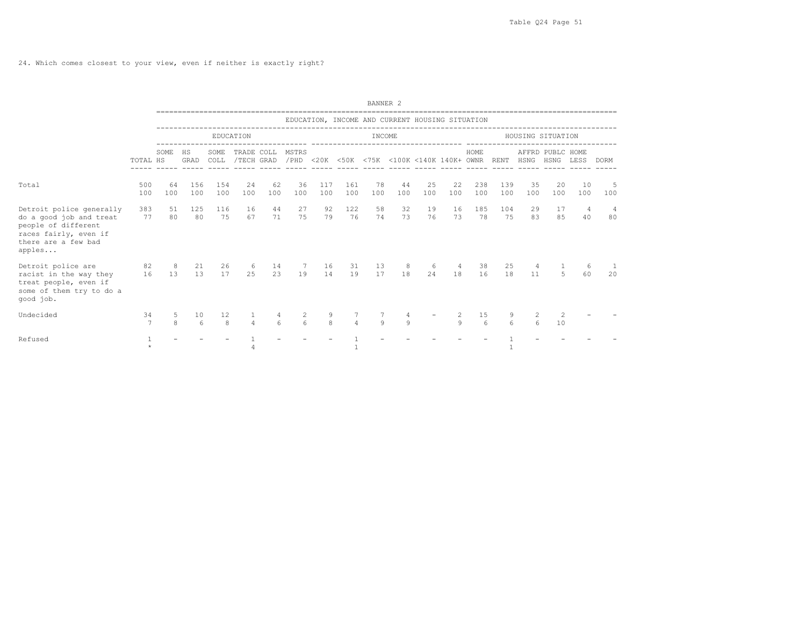24. Which comes closest to your view, even if neither is exactly right?

|                                                                                                                                      |            |           |                       |              |                          |                  |                            |                   |                | BANNER <sub>2</sub> |              |                                                 |           |            |            |                   |                          |           |             |  |
|--------------------------------------------------------------------------------------------------------------------------------------|------------|-----------|-----------------------|--------------|--------------------------|------------------|----------------------------|-------------------|----------------|---------------------|--------------|-------------------------------------------------|-----------|------------|------------|-------------------|--------------------------|-----------|-------------|--|
|                                                                                                                                      |            |           |                       |              |                          |                  |                            |                   |                |                     |              | EDUCATION, INCOME AND CURRENT HOUSING SITUATION |           |            |            |                   |                          |           |             |  |
|                                                                                                                                      |            |           |                       |              | EDUCATION                |                  |                            |                   |                | INCOME              |              |                                                 |           |            |            | HOUSING SITUATION |                          |           |             |  |
|                                                                                                                                      | TOTAL HS   | SOME      | HS<br>GRAD            | SOME<br>COLL | TRADE COLL<br>/TECH GRAD |                  | MSTRS                      |                   |                |                     |              | /PHD <20K <50K <75K <100K <140K 140K+ OWNR RENT |           | HOME       |            | HSNG              | AFFRD PUBLC HOME<br>HSNG | LESS      | <b>DORM</b> |  |
| Total                                                                                                                                | 500<br>100 | 64<br>100 | 156<br>100            | 154<br>100   | 24<br>100                | 62<br>100        | 36<br>100                  | 117<br>100        | 161<br>100     | 78<br>100           | 44<br>100    | 25<br>100                                       | 22<br>100 | 238<br>100 | 139<br>100 | 35<br>100         | 20<br>100                | 10<br>100 | -5<br>100   |  |
| Detroit police generally<br>do a good job and treat<br>people of different<br>races fairly, even if<br>there are a few bad<br>apples | 383<br>77  | 51<br>80  | 125<br>80             | 116<br>75    | 16<br>67                 | 44<br>71         | 27<br>75                   | 92<br>79          | 122<br>76      | 58<br>74            | 32<br>73     | 19<br>76                                        | 16<br>73  | 185<br>78  | 104<br>75  | 29<br>83          | 17<br>85                 | -4<br>40  | -4<br>80    |  |
| 82<br>Detroit police are<br>racist in the way they<br>treat people, even if<br>some of them try to do a<br>qood job.                 | 16         | 8<br>13   | 21<br>13              | 26<br>17     | 6<br>25                  | 14<br>23         | 7<br>19                    | 16<br>14          | 31<br>19       | 13<br>17            | 8<br>18      | 6<br>24                                         | 4<br>18   | 38<br>16   | 25<br>18   | 4<br>11           | 5                        | 6<br>60   | 20          |  |
| Undecided                                                                                                                            | 34<br>7    | 5<br>8    | 10<br>$6\overline{6}$ | 12<br>8      | $\overline{4}$           | $6 \overline{6}$ | $\overline{c}$<br>$\kappa$ | 9<br>$\mathbf{g}$ | $\overline{4}$ | Q                   | $\mathsf{Q}$ |                                                 | 2<br>9    | 15<br>6    | 6          | 6                 | 2<br>10                  |           |             |  |
| Refused                                                                                                                              |            |           |                       |              |                          |                  |                            |                   |                |                     |              |                                                 |           |            |            |                   |                          |           |             |  |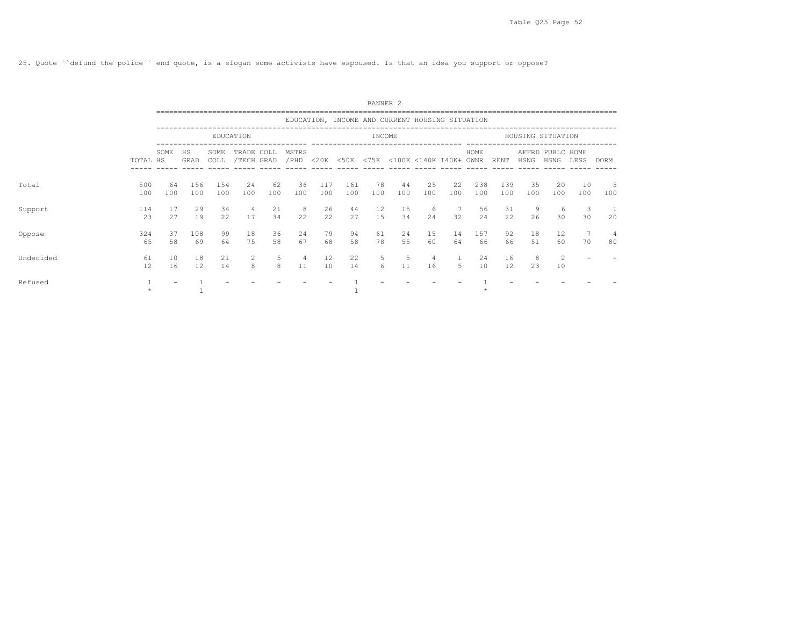25. Quote ``defund the police´´ end quote, is a slogan some activists have espoused. Is that an idea you support or oppose?

|           |            | BANNER 2  |            |              |                          |           |               |            |            |           |                                                 |           |                       |            |            |           |                          |           |          |
|-----------|------------|-----------|------------|--------------|--------------------------|-----------|---------------|------------|------------|-----------|-------------------------------------------------|-----------|-----------------------|------------|------------|-----------|--------------------------|-----------|----------|
|           |            |           |            |              |                          |           |               |            |            |           | EDUCATION, INCOME AND CURRENT HOUSING SITUATION |           |                       |            |            |           |                          |           |          |
|           |            |           |            |              | EDUCATION                |           |               |            |            | INCOME    |                                                 |           |                       |            |            |           | HOUSING SITUATION        |           |          |
|           | TOTAL HS   | SOME      | HS<br>GRAD | SOME<br>COLL | TRADE COLL<br>/TECH GRAD |           | MSTRS<br>/PHD | $<$ 20K    |            |           | <50K <75K <100K <140K 140K+ OWNR                |           |                       | HOME       | RENT       | HSNG      | AFFRD PUBLC HOME<br>HSNG | LESS      | DORM     |
| Total     | 500<br>100 | 64<br>100 | 156<br>100 | 154<br>100   | 24<br>100                | 62<br>100 | 36<br>100     | 117<br>100 | 161<br>100 | 78<br>100 | 44<br>100                                       | 25<br>100 | 22<br>100             | 238<br>100 | 139<br>100 | 35<br>100 | 20<br>100                | 10<br>100 | 5<br>100 |
| Support   | 114<br>23  | 17<br>27  | 29<br>19   | 34<br>22     | 4<br>17                  | 21<br>34  | 8<br>22       | 26<br>22   | 44<br>27   | 12<br>15  | 15<br>34                                        | -6<br>24  | $7\overline{)}$<br>32 | 56<br>24   | 31<br>22   | - 9<br>26 | -6<br>30                 | 3<br>30   | -1<br>20 |
| Oppose    | 324<br>65  | 37<br>58  | 108<br>69  | 99<br>64     | 18<br>75                 | 36<br>58  | 24<br>67      | 79<br>68   | 94<br>58   | 61<br>78  | 24<br>55                                        | 15<br>60  | 14<br>64              | 157<br>66  | 92<br>66   | 18<br>51  | 12<br>60                 | 70        | 4<br>80  |
| Undecided | 61<br>12   | 10<br>16  | 18<br>12   | 21<br>14     | 2<br>8                   | 5<br>8    | 4<br>11       | 12<br>10   | 22<br>14   | 5<br>6    | 5<br>11                                         | 4<br>16   | .5                    | 24<br>10   | 16<br>12   | 8<br>23   | $\overline{2}$<br>10     |           |          |
| Refused   |            |           |            |              |                          |           |               |            |            |           |                                                 |           |                       |            |            |           |                          |           |          |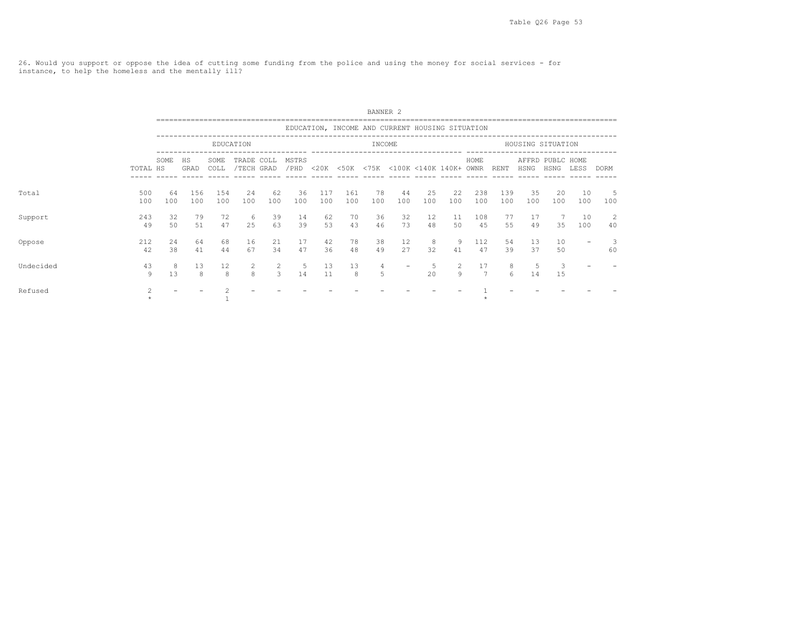26. Would you support or oppose the idea of cutting some funding from the police and using the money for social services - for instance, to help the homeless and the mentally ill?

|           |            |           |            |                        |                          |                    |               |            |            | BANNER <sub>2</sub> |                                                 |           |              |            |            |           |                          |           |          |
|-----------|------------|-----------|------------|------------------------|--------------------------|--------------------|---------------|------------|------------|---------------------|-------------------------------------------------|-----------|--------------|------------|------------|-----------|--------------------------|-----------|----------|
|           |            |           |            |                        |                          |                    |               |            |            |                     | EDUCATION, INCOME AND CURRENT HOUSING SITUATION |           |              |            |            |           |                          |           |          |
|           |            |           |            |                        | EDUCATION                |                    |               |            |            | INCOME              |                                                 |           |              |            |            |           | HOUSING SITUATION        |           |          |
|           | TOTAL HS   | SOME      | HS<br>GRAD | SOME<br>COLL           | TRADE COLL<br>/TECH GRAD |                    | MSTRS<br>/PHD |            |            |                     | <20K <50K <75K <100K <140K 140K+ OWNR           |           |              | HOME       | RENT       | HSNG      | AFFRD PUBLC HOME<br>HSNG | LESS      | DORM     |
| Total     | 500<br>100 | 64<br>100 | 156<br>100 | 154<br>100             | 24<br>100                | 62<br>100          | 36<br>100     | 117<br>100 | 161<br>100 | 78<br>100           | 44<br>100                                       | 25<br>100 | 22<br>100    | 238<br>100 | 139<br>100 | 35<br>100 | 20<br>100                | 10<br>100 | 5<br>100 |
| Support   | 243<br>49  | 32<br>50  | 79<br>51   | 72<br>47               | 6<br>25                  | 39<br>63           | 14<br>39      | 62<br>53   | 70<br>43   | 36<br>46            | 32<br>73                                        | 12<br>48  | 11<br>50     | 108<br>45  | 77<br>55   | 17<br>49  | 35                       | 10<br>100 | 2<br>40  |
| Oppose    | 212<br>42  | 24<br>38  | 64<br>41   | 68<br>44               | 16<br>67                 | 21<br>34           | 17<br>47      | 42<br>36   | 78<br>48   | 38<br>49            | 12<br>27                                        | - 8<br>32 | 9<br>41      | 112<br>47  | 54<br>39   | 13<br>37  | 10<br>50                 |           | 60       |
| Undecided | 43<br>9    | 8<br>13   | 13<br>8    | $12 \overline{ }$<br>8 | 2<br>8                   | 2<br>$\mathcal{E}$ | 5<br>14       | 13<br>11   | 13<br>8    | 4<br>5              |                                                 | -5<br>2.0 | $2^{1}$<br>9 | 17<br>7    | 8<br>6     | 5<br>14   | 3<br>15                  |           |          |
| Refused   |            |           |            |                        |                          |                    |               |            |            |                     |                                                 |           |              |            |            |           |                          |           |          |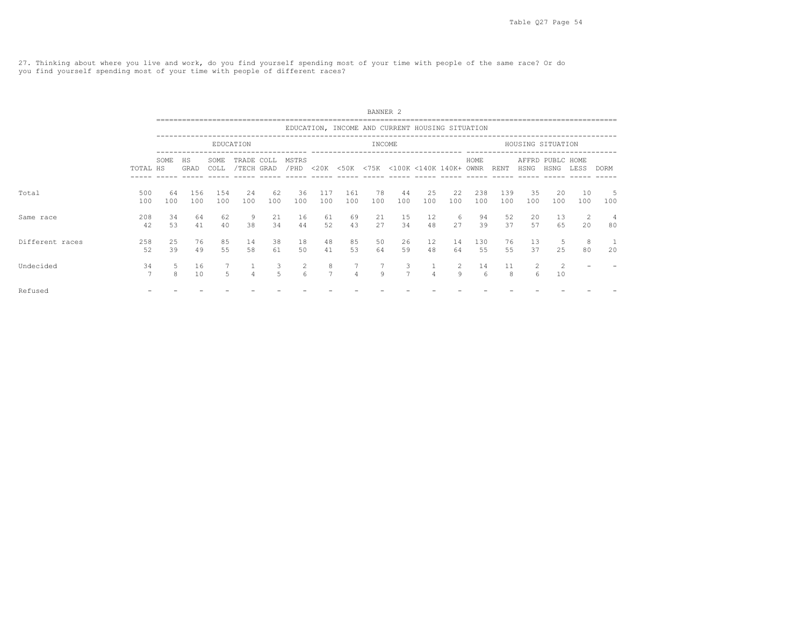27. Thinking about where you live and work, do you find yourself spending most of your time with people of the same race? Or do you find yourself spending most of your time with people of different races?

|                 |            | BANNER <sub>2</sub> |            |              |                          |                  |                      |                     |                               |           |                                                 |           |           |            |            |                     |                          |           |             |
|-----------------|------------|---------------------|------------|--------------|--------------------------|------------------|----------------------|---------------------|-------------------------------|-----------|-------------------------------------------------|-----------|-----------|------------|------------|---------------------|--------------------------|-----------|-------------|
|                 |            |                     |            |              |                          |                  |                      |                     |                               |           | EDUCATION, INCOME AND CURRENT HOUSING SITUATION |           |           |            |            |                     |                          |           |             |
|                 |            |                     |            |              | EDUCATION                |                  |                      |                     |                               | INCOME    |                                                 |           |           |            |            |                     | HOUSING SITUATION        |           |             |
|                 | TOTAL HS   | SOME                | HS<br>GRAD | SOME<br>COLL | TRADE COLL<br>/TECH GRAD |                  | MSTRS<br>/PHD        |                     |                               |           | <20K <50K <75K <100K <140K 140K+ OWNR           |           |           | HOME       | RENT       | HSNG                | AFFRD PUBLC HOME<br>HSNG | LESS      | <b>DORM</b> |
| Total           | 500<br>100 | 64<br>100           | 156<br>100 | 154<br>100   | 24<br>100                | 62<br>100        | 36<br>100            | 117<br>100          | 161<br>100                    | 78<br>100 | 44<br>100                                       | 25<br>100 | 22<br>100 | 238<br>100 | 139<br>100 | 35<br>100           | 20<br>100                | 10<br>100 | 5<br>100    |
| Same race       | 208<br>42  | 34<br>53            | 64<br>41   | 62<br>40     | -9<br>38                 | 21<br>34         | 16<br>44             | 61<br>52            | 69<br>43                      | 21<br>27  | 15<br>34                                        | 12<br>48  | 6<br>27   | 94<br>39   | 52<br>37   | 20<br>57            | 13<br>65                 | - 2<br>20 | 4<br>80     |
| Different races | 258<br>52  | 25<br>39            | 76<br>49   | 85<br>55     | 14<br>58                 | 38<br>61         | 18<br>50             | 48<br>41            | 85<br>53                      | 50<br>64  | 26<br>59                                        | 12<br>48  | 14<br>64  | 130<br>55  | 76<br>55   | 13<br>37            | -5<br>25                 | - 8<br>80 | 20          |
| Undecided       | 34<br>7    | 5<br>$\mathsf{R}$   | 16<br>10   | 5.           | $\Delta$                 | 3<br>$5^{\circ}$ | 2<br>$6\overline{6}$ | 8<br>$\overline{7}$ | $7^{\circ}$<br>$\overline{4}$ | Q         | 3<br>$\overline{7}$                             | $\Delta$  | 2<br>Q    | 14<br>6    | 11<br>8    | $\overline{2}$<br>6 | 2<br>10                  |           |             |
| Refused         |            |                     |            |              |                          |                  |                      |                     |                               |           |                                                 |           |           |            |            |                     |                          |           |             |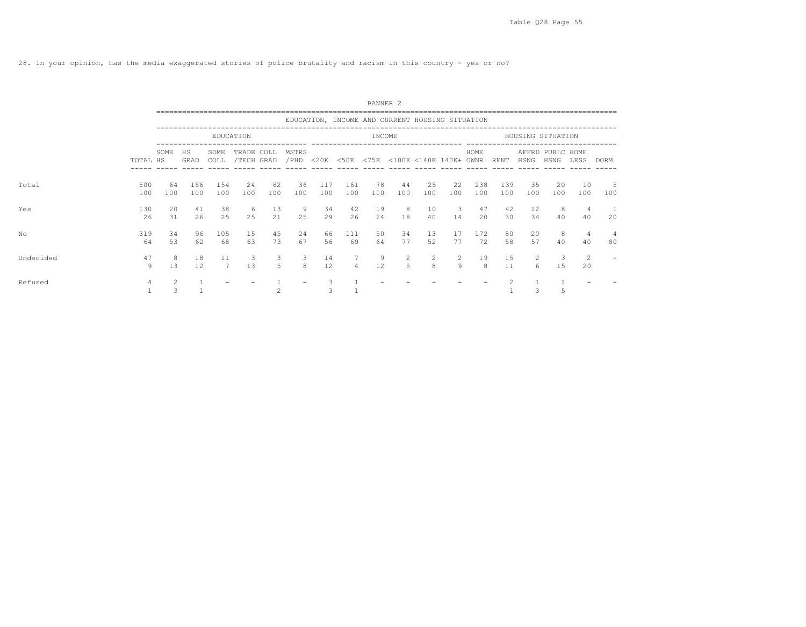28. In your opinion, has the media exaggerated stories of police brutality and racism in this country - yes or no?

|           |                      | BANNER <sub>2</sub> |            |                      |                          |           |               |            |                |           |                                                 |                     |                               |                    |            |           |                          |                      |             |
|-----------|----------------------|---------------------|------------|----------------------|--------------------------|-----------|---------------|------------|----------------|-----------|-------------------------------------------------|---------------------|-------------------------------|--------------------|------------|-----------|--------------------------|----------------------|-------------|
|           |                      |                     |            |                      |                          |           |               |            |                |           | EDUCATION, INCOME AND CURRENT HOUSING SITUATION |                     |                               |                    |            |           |                          |                      |             |
|           |                      |                     |            |                      | EDUCATION                |           |               |            |                | INCOME    |                                                 |                     |                               |                    |            |           | HOUSING SITUATION        |                      |             |
|           | TOTAL HS             | SOME                | HS<br>GRAD | SOME<br>COLL         | TRADE COLL<br>/TECH GRAD |           | MSTRS<br>/PHD |            |                |           | <20K <50K <75K <100K <140K 140K+ OWNR           |                     |                               | HOME               | RENT       | HSNG      | AFFRD PUBLC HOME<br>HSNG | LESS                 | <b>DORM</b> |
| Total     | 500<br>100           | 64<br>100           | 156<br>100 | 154<br>100           | 24<br>100                | 62<br>100 | 36<br>100     | 117<br>100 | 161<br>100     | 78<br>100 | 44<br>100                                       | 25<br>100           | 22<br>100                     | 238<br>100         | 139<br>100 | 35<br>100 | 20<br>100                | 10<br>100            | 5<br>100    |
| Yes       | 130<br>26            | 20<br>31            | 41<br>26   | 38<br>25             | -6<br>2.5                | 13<br>21  | 9<br>2.5      | 34<br>29   | 42<br>26       | 19<br>2.4 | 8<br>18                                         | 10<br>40            | $\overline{\mathbf{3}}$<br>14 | 47<br>$20^{\circ}$ | 42<br>30   | 12<br>34  | 8<br>40                  | $\overline{4}$<br>40 | 20          |
| No        | 319<br>64            | 34<br>53            | 96<br>62   | 105<br>68            | 15<br>63                 | 45<br>73  | 24<br>67      | 66<br>56   | 111<br>69      | 50<br>64  | 34<br>77                                        | 13<br>52            | 17<br>77                      | 172<br>72          | 80<br>58   | 20<br>57  | 8<br>40                  | 4<br>40              | 4<br>80     |
| Undecided | 47<br>$\overline{9}$ | -8<br>13            | 18<br>12   | 11<br>$\overline{7}$ | 3<br>13                  | 3<br>5    | 3<br>8        | 14<br>12   | $\overline{4}$ | 9<br>12   | 2<br>5                                          | 2<br>$\overline{8}$ | 2<br>9                        | 19<br>8            | 15<br>11   | 2<br>6    | -3<br>15                 | -2<br>20             |             |
| Refused   | 4                    |                     |            |                      |                          |           |               |            |                |           |                                                 |                     |                               |                    |            |           |                          |                      |             |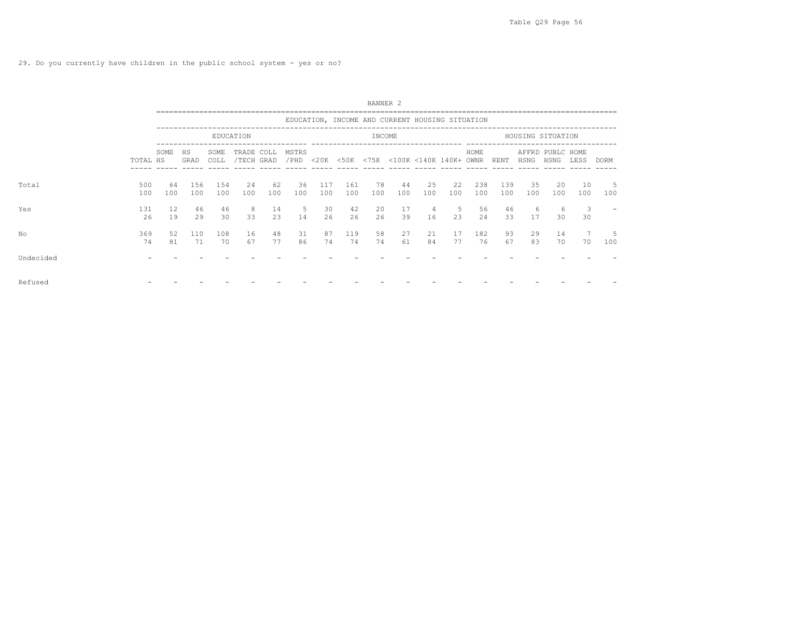|           |            |           |            |              |                          |           |                |            |            | BANNER <sub>2</sub> |                                                 |           |           |            |            |                   |                          |                               |           |
|-----------|------------|-----------|------------|--------------|--------------------------|-----------|----------------|------------|------------|---------------------|-------------------------------------------------|-----------|-----------|------------|------------|-------------------|--------------------------|-------------------------------|-----------|
|           |            |           |            |              |                          |           |                |            |            |                     | EDUCATION, INCOME AND CURRENT HOUSING SITUATION |           |           |            |            |                   |                          |                               |           |
|           |            |           |            |              | EDUCATION                |           |                |            |            | INCOME              |                                                 |           |           |            |            | HOUSING SITUATION |                          |                               |           |
|           | TOTAL HS   | SOME      | HS<br>GRAD | SOME<br>COLL | TRADE COLL<br>/TECH GRAD |           | MSTRS<br>/ PHD |            |            |                     | <20K <50K <75K <100K <140K 140K+ OWNR           |           |           | HOME       | RENT       | HSNG              | AFFRD PUBLC HOME<br>HSNG | LESS                          | DORM      |
| Total     | 500<br>100 | 64<br>100 | 156<br>100 | 154<br>100   | 24<br>100                | 62<br>100 | 36<br>100      | 117<br>100 | 161<br>100 | 78<br>100           | 44<br>100                                       | 25<br>100 | 22<br>100 | 238<br>100 | 139<br>100 | 35<br>100         | 20<br>100                | 10<br>100                     | -5<br>100 |
| Yes       | 131<br>26  | 12<br>19  | 46<br>29   | 46<br>30     | 8<br>33                  | 14<br>23  | 5<br>14        | 30<br>26   | 42<br>26   | 20<br>26            | 17<br>39                                        | 4<br>16   | -5<br>23  | 56<br>2.4  | 46<br>33   | 6<br>17           | 6<br>30                  | $\overline{\mathbf{3}}$<br>30 |           |
| No        | 369<br>74  | 52<br>81  | 110<br>71  | 108<br>70    | 16<br>67                 | 48<br>77  | 31<br>86       | 87<br>74   | 119<br>74  | 58<br>74            | 27<br>61                                        | 21<br>84  | 17<br>77  | 182<br>76  | 93<br>67   | 29<br>83          | 14<br>70                 | 70                            | -5<br>100 |
| Undecided |            |           |            |              |                          |           |                |            |            |                     |                                                 |           |           |            |            |                   |                          |                               |           |
| Refused   |            |           |            |              |                          |           |                |            |            |                     |                                                 |           |           |            |            |                   |                          |                               |           |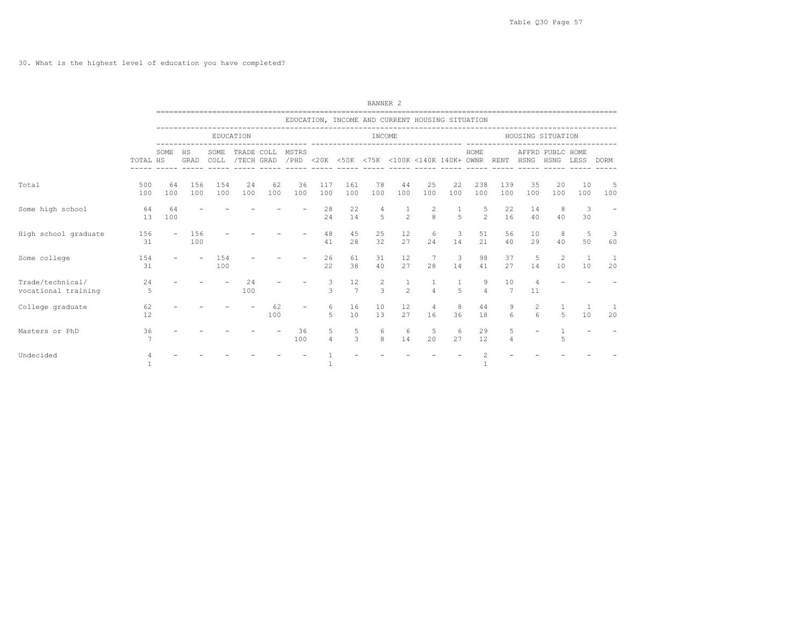30. What is the highest level of education you have completed?

|                                         |            |                          |            |              |            |           |                                                                      |                     |                      | BANNER <sub>2</sub>           |                                                 |                                |                               |                     |                       |                     |                   |                      |                      |  |
|-----------------------------------------|------------|--------------------------|------------|--------------|------------|-----------|----------------------------------------------------------------------|---------------------|----------------------|-------------------------------|-------------------------------------------------|--------------------------------|-------------------------------|---------------------|-----------------------|---------------------|-------------------|----------------------|----------------------|--|
|                                         |            |                          |            |              |            |           |                                                                      |                     |                      |                               | EDUCATION, INCOME AND CURRENT HOUSING SITUATION |                                |                               |                     |                       |                     |                   |                      |                      |  |
|                                         |            |                          |            |              | EDUCATION  |           |                                                                      |                     |                      | INCOME                        |                                                 |                                |                               |                     |                       | HOUSING SITUATION   |                   |                      |                      |  |
|                                         | TOTAL HS   | SOME                     | HS<br>GRAD | SOME<br>COLL | TRADE COLL |           | MSTRS<br>/TECH GRAD / PHD <20K <50K <75K <100K <140K 140K+ OWNR RENT |                     |                      |                               |                                                 |                                |                               | HOME                |                       |                     | AFFRD PUBLC HOME  | HSNG HSNG LESS       | DORM                 |  |
| Total                                   | 500<br>100 | 64<br>100                | 156<br>100 | 154<br>100   | 24<br>100  | 62<br>100 | 36<br>100                                                            | 117<br>100          | 161<br>100           | 78<br>100                     | 44<br>100                                       | 25<br>100                      | 22<br>100                     | 238<br>100          | 139<br>100            | 35<br>100           | 20<br>100         | 10<br>100            | - 5<br>100           |  |
| Some high school                        | 64<br>13   | 64<br>100                |            |              |            |           |                                                                      | 28<br>2.4           | 22<br>14             | $\overline{4}$<br>$5^{\circ}$ | 1<br>$\overline{2}$                             | 2<br>$\mathbf{g}$              | -1<br>5                       | 5<br>$\mathfrak{D}$ | 22<br>16              | 14<br>40            | 8<br>40           | 3<br>30              |                      |  |
| High school graduate                    | 156<br>31  | $\overline{\phantom{a}}$ | 156<br>100 |              |            |           |                                                                      | 48<br>41            | 45<br>28             | 25<br>32                      | 12<br>27                                        | 6<br>24                        | 3<br>14                       | 51<br>21            | 56<br>40              | 10<br>29            | 8<br>40           | 5<br>50              | -3<br>60             |  |
| Some college                            | 154<br>31  |                          |            | 154<br>100   |            |           |                                                                      | 26<br>22            | 61<br>38             | 31<br>40                      | 12<br>27                                        | 7<br>28                        | $\overline{\mathbf{3}}$<br>14 | 98<br>41            | 37<br>27              | 5<br>14             | 2<br>10           | $\overline{1}$<br>10 | $\overline{1}$<br>20 |  |
| Trade/technical/<br>vocational training | 24<br>5    |                          |            |              | 24<br>100  |           |                                                                      | 3<br>$\mathcal{R}$  | 12<br>$\overline{7}$ | 2<br>$\mathcal{L}$            | $\mathbf{1}$<br>$\overline{2}$                  | $\mathbf{1}$<br>$\overline{4}$ | -1<br>$\overline{a}$          | 9<br>$\Delta$       | 10<br>7               | 4<br>11             |                   |                      |                      |  |
| College graduate                        | 62<br>12   |                          |            |              |            | 62<br>100 |                                                                      | 6<br>5              | 16<br>10             | 10<br>13                      | 12<br>27                                        | $\overline{4}$<br>16           | 8<br>36                       | 44<br>18            | 9<br>$6 \overline{6}$ | $\overline{2}$<br>6 | 5                 | 10                   | 20                   |  |
| Masters or PhD                          | 36<br>7    |                          |            |              |            |           | 36<br>100                                                            | 5<br>$\overline{4}$ | 5<br>$\mathcal{E}$   | 6<br>8                        | 6<br>14                                         | 5<br>20                        | 6<br>27                       | 29<br>12            | 5<br>4                |                     | $\mathbf{1}$<br>5 |                      |                      |  |
| Undecided                               | 4          |                          |            |              |            |           |                                                                      |                     |                      |                               |                                                 |                                |                               | 1                   |                       |                     |                   |                      |                      |  |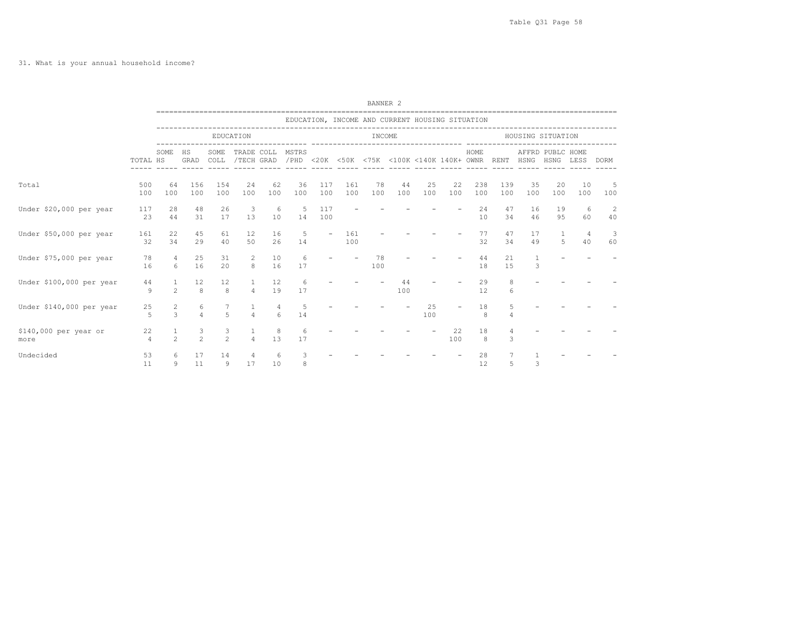|                               |                      |                                |                     |                    |                          |           |                                                                      |                          |            | BANNER <sub>2</sub> |                                                 |                   |           |            |            |                   |                  |           |            |  |
|-------------------------------|----------------------|--------------------------------|---------------------|--------------------|--------------------------|-----------|----------------------------------------------------------------------|--------------------------|------------|---------------------|-------------------------------------------------|-------------------|-----------|------------|------------|-------------------|------------------|-----------|------------|--|
|                               |                      |                                |                     |                    |                          |           |                                                                      |                          |            |                     | EDUCATION, INCOME AND CURRENT HOUSING SITUATION |                   |           |            |            |                   |                  |           |            |  |
|                               |                      |                                |                     |                    | EDUCATION                |           | ---------------------------                                          |                          |            | INCOME              |                                                 |                   |           |            |            | HOUSING SITUATION |                  |           |            |  |
|                               | TOTAL HS             | SOME                           | HS<br>GRAD          | SOME<br>COLL       | TRADE COLL               |           | MSTRS<br>/TECH GRAD / PHD <20K <50K <75K <100K <140K 140K+ OWNR RENT |                          |            |                     |                                                 | ----------------- |           | HOME       |            | HSNG HSNG LESS    | AFFRD PUBLC HOME |           | DORM       |  |
| Total                         | 500<br>100           | 64<br>100                      | 156<br>100          | 154<br>100         | 24<br>100                | 62<br>100 | 36<br>100                                                            | 117<br>100               | 161<br>100 | 78<br>100           | 44<br>100                                       | 25<br>100         | 22<br>100 | 238<br>100 | 139<br>100 | 35<br>100         | 20<br>100        | 10<br>100 | - 5<br>100 |  |
| Under \$20,000 per year       | 117<br>23            | 28<br>44                       | 48<br>31            | 26<br>17           | 3<br>13                  | -6<br>10  | 5<br>14                                                              | 117<br>100               |            |                     |                                                 |                   |           | 24<br>10   | 47<br>34   | 16<br>46          | 19<br>95         | 6<br>60   | -2<br>40   |  |
| Under \$50,000 per year       | 161<br>32            | 22<br>34                       | 45<br>29            | 61<br>40           | 12<br>50                 | 16<br>26  | -5<br>14                                                             | $\overline{\phantom{a}}$ | 161<br>100 |                     |                                                 |                   |           | 77<br>32   | 47<br>34   | 17<br>49          | 1<br>5           | 4<br>40   | -3<br>60   |  |
| Under \$75,000 per year       | 78<br>16             | $\overline{4}$<br>6            | 25<br>16            | 31<br>20           | $\overline{2}$<br>8      | 10<br>16  | 6<br>17                                                              |                          |            | 78<br>100           |                                                 |                   |           | 44<br>18   | 21<br>15   | $\mathbf{1}$<br>3 |                  |           |            |  |
| Under \$100,000 per year      | 44<br>9              | <sup>1</sup><br>$\mathcal{L}$  | 12<br>8             | 12<br>8            | $\mathbf{1}$<br>$\Delta$ | 12<br>19  | 6<br>17                                                              |                          |            |                     | 44<br>100                                       |                   |           | 29<br>12   | 8<br>6     |                   |                  |           |            |  |
| Under \$140,000 per year      | 25<br>5              | $\overline{2}$<br>3            | 6<br>$\overline{4}$ | 5                  | 1<br>$\overline{4}$      | 4<br>6    | 5<br>14                                                              |                          |            |                     |                                                 | 25<br>100         |           | 18<br>8    | 5<br>4     |                   |                  |           |            |  |
| \$140,000 per year or<br>more | 22<br>$\overline{4}$ | $\mathbf{1}$<br>$\mathfrak{D}$ | 3<br>$\mathfrak{D}$ | 3<br>$\mathcal{L}$ | 1<br>$\overline{4}$      | 8<br>13   | 6<br>17                                                              |                          |            |                     |                                                 |                   | 22<br>100 | 18<br>8    | 3          |                   |                  |           |            |  |
| Undecided                     | 53<br>11             | 6.<br>9                        | 17<br>11            | 14<br>9            | 4<br>17                  | 6<br>10   | 3<br>8                                                               |                          |            |                     |                                                 |                   |           | 28<br>12   | 5          | 3                 |                  |           |            |  |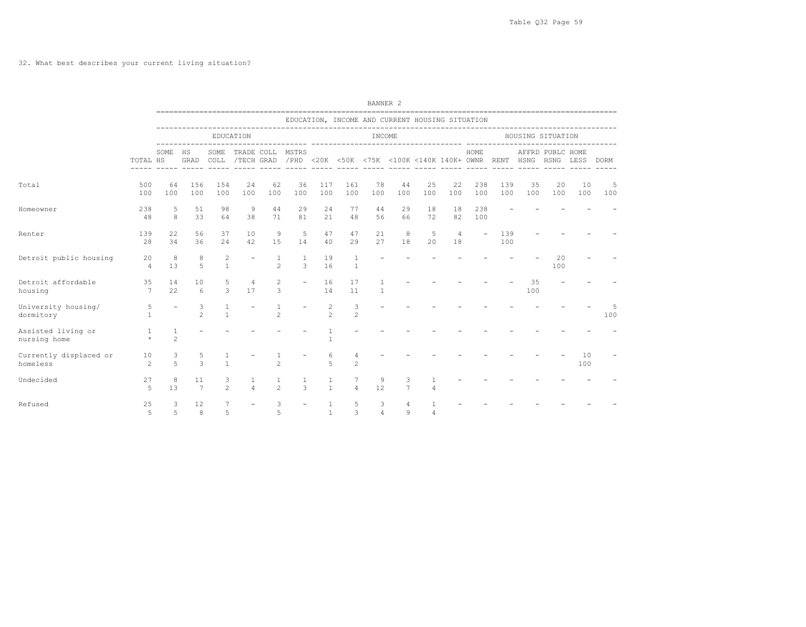|                                    |                             |                        |                       |                              |                          |                                |                          |                     |                     | BANNER <sub>2</sub> |                     |                                                                                          |                      |                          |            |                   |                     |           |           |
|------------------------------------|-----------------------------|------------------------|-----------------------|------------------------------|--------------------------|--------------------------------|--------------------------|---------------------|---------------------|---------------------|---------------------|------------------------------------------------------------------------------------------|----------------------|--------------------------|------------|-------------------|---------------------|-----------|-----------|
|                                    |                             |                        |                       |                              |                          |                                |                          |                     |                     |                     |                     | EDUCATION, INCOME AND CURRENT HOUSING SITUATION                                          |                      |                          |            |                   |                     |           |           |
|                                    |                             |                        |                       |                              | EDUCATION                |                                |                          |                     |                     | INCOME              |                     |                                                                                          |                      |                          |            | HOUSING SITUATION |                     |           |           |
|                                    | TOTAL HS                    | SOME                   | HS                    | SOME                         |                          |                                | TRADE COLL MSTRS         |                     |                     |                     |                     | GRAD COLL /TECH GRAD /PHD <20K <50K <75K <100K <140K 140K+ OWNR RENT HSNG HSNG LESS DORM |                      | HOME                     |            |                   | AFFRD PUBLC HOME    |           |           |
| Total                              | 500<br>100                  | 64<br>100              | 156<br>100            | 154<br>100                   | 24<br>100                | 62<br>100                      | -36<br>100               | 117<br>100          | 161<br>100          | 78<br>100           | 44<br>100           | 25<br>100                                                                                | 22<br>100            | 238<br>100               | 139<br>100 | 35<br>100         | - 20<br>100         | 10<br>100 | -5<br>100 |
| Homeowner                          | 238<br>48                   | 5<br>8                 | 51<br>33              | 98<br>64                     | 9<br>38                  | 44<br>71                       | 29<br>81                 | 24<br>21            | 77<br>48            | 44<br>56            | 29<br>66            | 18<br>72                                                                                 | 18<br>82             | 238<br>100               |            |                   |                     |           |           |
| Renter                             | 139<br>28                   | 2.2 <sub>1</sub><br>34 | 56<br>36              | 37<br>24                     | 10<br>42                 | 9<br>15                        | 5<br>14                  | 47<br>40            | 47<br>29            | 21<br>27            | 8<br>18             | 5<br>20                                                                                  | $\overline{4}$<br>18 | $\overline{\phantom{a}}$ | 139<br>100 |                   |                     |           |           |
| Detroit public housing             | 20<br>$\overline{4}$        | 8<br>1.3               | 8<br>5                | 2<br>$\overline{1}$          | $\overline{\phantom{a}}$ | $\mathbf{1}$<br>$\mathfrak{D}$ | $\overline{1}$<br>3      | 19<br>16            | 1<br>$\overline{1}$ |                     |                     |                                                                                          |                      |                          |            |                   | $20^{\circ}$<br>100 |           |           |
| Detroit affordable<br>housing      | 35<br>$7\overline{ }$       | 14<br>22.2             | 10<br>6               | 5<br>3                       | $\overline{4}$<br>17     | 2<br>3                         | $\overline{\phantom{a}}$ | 16<br>14            | 17<br>11            | $\mathbf{1}$        |                     |                                                                                          |                      |                          |            | 35<br>100         |                     |           |           |
| University housing/<br>dormitory   | $5^{\circ}$<br>$\mathbf{1}$ |                        | 3<br>$\mathfrak{D}$   | $\mathbf{1}$<br>$\mathbf{1}$ |                          | $\mathfrak{D}$                 |                          | 2<br>$\mathfrak{D}$ | 3<br>2              |                     |                     |                                                                                          |                      |                          |            |                   |                     |           | 100       |
| Assisted living or<br>nursing home | 1<br>$\star$                | $\mathbf{1}$<br>2      |                       |                              |                          |                                |                          | 1                   |                     |                     |                     |                                                                                          |                      |                          |            |                   |                     |           |           |
| Currently displaced or<br>homeless | 10<br>2                     | 3<br>$\overline{5}$    | 5<br>3                | $\mathbf{1}$                 |                          | $\overline{c}$                 |                          | 6<br>5              | 4<br>$\overline{c}$ |                     |                     |                                                                                          |                      |                          |            |                   |                     | 10<br>100 |           |
| Undecided                          | 27<br>$\overline{5}$        | 8<br>1.3               | 11<br>$7\phantom{.0}$ | 3<br>$\overline{2}$          | 1<br>$\Delta$            | $\mathfrak{D}$                 | $\mathbf{1}$<br>3        | 1<br>$\overline{1}$ | $\overline{a}$      | 9<br>12             | 3<br>$\overline{7}$ | 4                                                                                        |                      |                          |            |                   |                     |           |           |
| Refused                            | 25<br>5                     | 3<br>5                 | 12<br>8               | 7<br>5                       |                          | 3<br>5                         |                          | 1<br>$\overline{1}$ | -5<br>3             | 3<br>$\overline{4}$ | 4<br>9              | 4                                                                                        |                      |                          |            |                   |                     |           |           |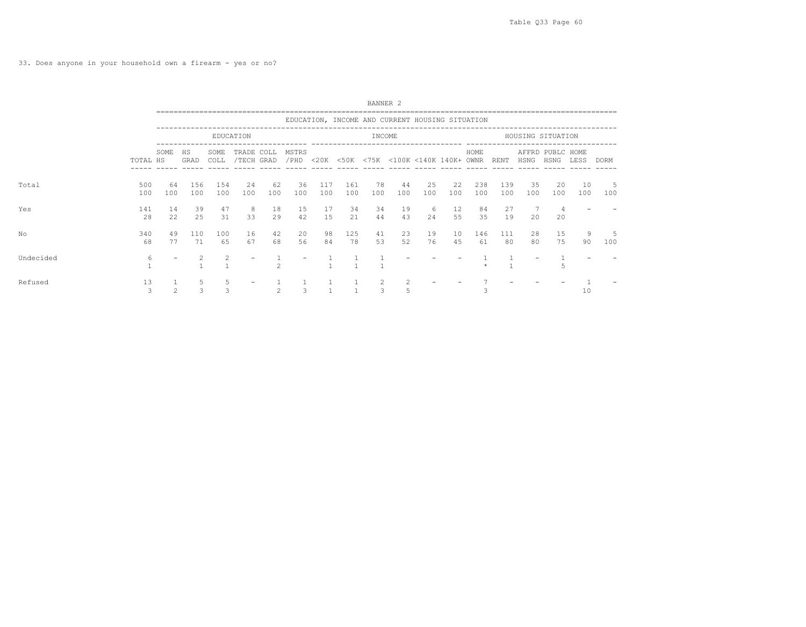33. Does anyone in your household own a firearm - yes or no?

|           |            |               |            |                    |                          |                                                                                                                                                               |           |            |            | BANNER <sub>2</sub> |                                                 |           |           |            |            |                   |                          |           |           |  |
|-----------|------------|---------------|------------|--------------------|--------------------------|---------------------------------------------------------------------------------------------------------------------------------------------------------------|-----------|------------|------------|---------------------|-------------------------------------------------|-----------|-----------|------------|------------|-------------------|--------------------------|-----------|-----------|--|
|           |            |               |            |                    |                          |                                                                                                                                                               |           |            |            |                     | EDUCATION, INCOME AND CURRENT HOUSING SITUATION |           |           |            |            |                   |                          |           |           |  |
|           |            |               |            |                    | EDUCATION                |                                                                                                                                                               |           |            |            | INCOME              |                                                 |           |           |            |            | HOUSING SITUATION |                          |           |           |  |
|           | TOTAL HS   | SOME          | HS<br>GRAD | SOME<br>COLL       | TRADE COLL<br>/TECH GRAD |                                                                                                                                                               | MSTRS     |            |            |                     | /PHD <20K <50K <75K <100K <140K 140K+ OWNR      |           |           | HOME       | RENT       | HSNG              | AFFRD PUBLC HOME<br>HSNG | LESS      | DORM      |  |
| Total     | 500<br>100 | 64<br>100     | 156<br>100 | 154<br>100         | 24<br>100                | 62<br>100                                                                                                                                                     | 36<br>100 | 117<br>100 | 161<br>100 | 78<br>100           | 44<br>100                                       | 25<br>100 | 22<br>100 | 238<br>100 | 139<br>100 | 35<br>100         | 20<br>100                | 10<br>100 | 5<br>100  |  |
| Yes       | 141<br>28  | 14<br>22      | 39<br>25   | 47<br>31           | 8<br>33                  | 18<br>29                                                                                                                                                      | 15<br>42  | 17<br>15   | 34<br>2.1  | 34<br>44            | 19<br>43                                        | 6<br>24   | 12<br>55  | 84<br>35   | 27<br>19   | 7<br>20           | 4<br>20                  |           |           |  |
| No        | 340<br>68  | 49<br>77      | 110<br>71  | 100<br>65          | 16<br>67                 | 42<br>68                                                                                                                                                      | 20<br>56  | 98<br>84   | 125<br>78  | 41<br>53            | 23<br>52                                        | 19<br>76  | 10<br>45  | 146<br>61  | 111<br>80  | 28<br>80          | 15<br>75                 | 9<br>90   | .5<br>100 |  |
| Undecided | 6          |               |            |                    |                          | $\mathfrak{D}_{1}^{2}(\mathfrak{D}_{1})=\mathfrak{D}_{2}^{2}(\mathfrak{D}_{2})=\mathfrak{D}_{2}^{2}(\mathfrak{D}_{1})=\mathfrak{D}_{2}^{2}(\mathfrak{D}_{2})$ |           |            |            |                     |                                                 |           |           |            |            |                   |                          |           |           |  |
| Refused   | 13<br>3    | $\mathcal{L}$ | 5<br>3     | 5<br>$\mathcal{L}$ |                          | $\mathfrak{D}$                                                                                                                                                | 3         |            |            | 2<br>3              | $\overline{2}$<br>5                             |           |           |            |            |                   |                          | 10        |           |  |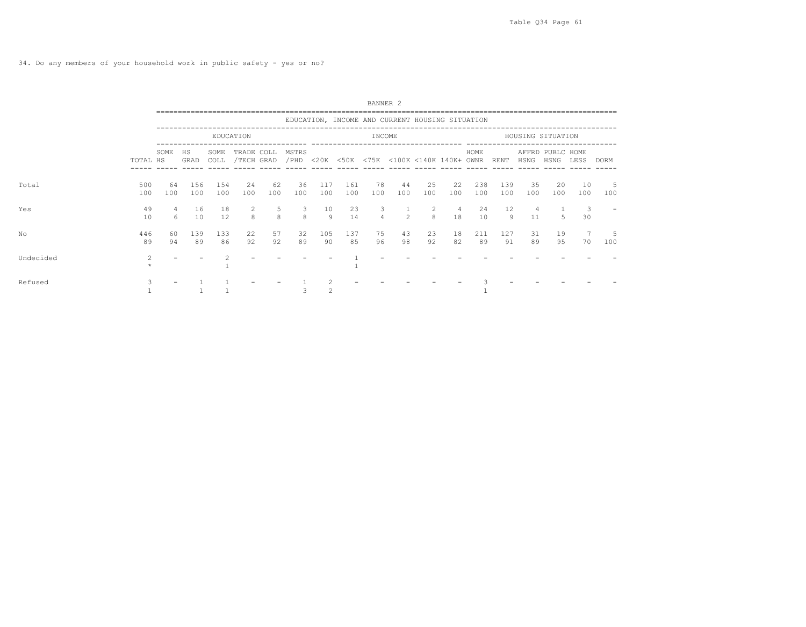|           |            |           |            |              |                          |           |           |            |            | BANNER <sub>2</sub> |                                                 |                    |                      |            |            |           |                          |                               |           |  |
|-----------|------------|-----------|------------|--------------|--------------------------|-----------|-----------|------------|------------|---------------------|-------------------------------------------------|--------------------|----------------------|------------|------------|-----------|--------------------------|-------------------------------|-----------|--|
|           |            |           |            |              |                          |           |           |            |            |                     | EDUCATION, INCOME AND CURRENT HOUSING SITUATION |                    |                      |            |            |           |                          |                               |           |  |
|           |            |           |            |              | EDUCATION                |           |           |            |            | INCOME              |                                                 |                    |                      |            |            |           | HOUSING SITUATION        |                               |           |  |
|           | TOTAL HS   | SOME      | HS<br>GRAD | SOME<br>COLL | TRADE COLL<br>/TECH GRAD |           | MSTRS     |            |            |                     | /PHD <20K <50K <75K <100K <140K 140K+ OWNR RENT |                    |                      | HOME       |            | HSNG      | AFFRD PUBLC HOME<br>HSNG | LESS                          | DORM      |  |
| Total     | 500<br>100 | 64<br>100 | 156<br>100 | 154<br>100   | 24<br>100                | 62<br>100 | 36<br>100 | 117<br>100 | 161<br>100 | 78<br>100           | 44<br>100                                       | 25<br>100          | 22<br>100            | 238<br>100 | 139<br>100 | 35<br>100 | -20<br>100               | 10<br>100                     | 5<br>100  |  |
| Yes       | 49<br>10   | 4<br>6    | 16<br>10   | 18<br>12.    | 2<br>8                   | 5<br>8    | 3<br>8    | 10<br>Q    | 23<br>14   | 3<br>$\overline{4}$ | $2^{1}$                                         | 2<br>$\mathcal{R}$ | $\overline{4}$<br>18 | 24<br>10   | 12<br>Q    | 4<br>11   | 5                        | $\overline{\mathbf{3}}$<br>30 |           |  |
| No        | 446<br>89  | 60<br>94  | 139<br>89  | 133<br>86    | 22<br>92                 | 57<br>92  | 32<br>89  | 105<br>90  | 137<br>85  | 75<br>96            | 43<br>98                                        | 23<br>92           | 18<br>82             | 211<br>89  | 127<br>91  | 31<br>89  | 19<br>95                 | 70                            | -5<br>100 |  |
| Undecided | 2          |           |            |              |                          |           |           |            |            |                     |                                                 |                    |                      |            |            |           |                          |                               |           |  |
| Refused   | 3          |           |            |              |                          |           |           |            |            |                     |                                                 |                    |                      |            |            |           |                          |                               |           |  |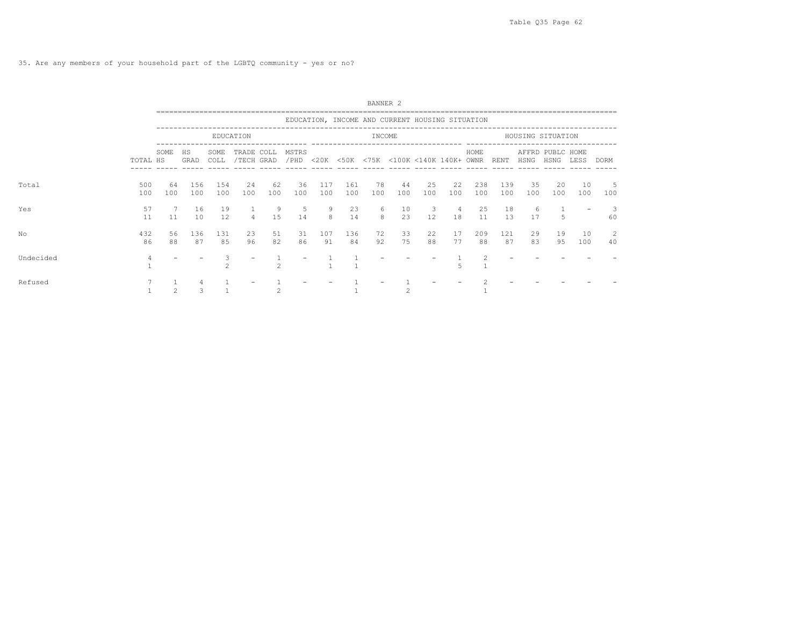|           |            |           |            |              |                          |           |           |            |            | BANNER <sub>2</sub> |                                                 |           |                      |            |            |           |                          |           |          |
|-----------|------------|-----------|------------|--------------|--------------------------|-----------|-----------|------------|------------|---------------------|-------------------------------------------------|-----------|----------------------|------------|------------|-----------|--------------------------|-----------|----------|
|           |            |           |            |              |                          |           |           |            |            |                     | EDUCATION, INCOME AND CURRENT HOUSING SITUATION |           |                      |            |            |           |                          |           |          |
|           |            |           |            |              | EDUCATION                |           |           |            |            | INCOME              |                                                 |           |                      |            |            |           | HOUSING SITUATION        |           |          |
|           | TOTAL HS   | SOME      | HS<br>GRAD | SOME<br>COLL | TRADE COLL<br>/TECH GRAD |           | MSTRS     |            |            |                     | /PHD <20K <50K <75K <100K <140K 140K+ OWNR RENT |           |                      | HOME       |            | HSNG      | AFFRD PUBLC HOME<br>HSNG | LESS      | DORM     |
| Total     | 500<br>100 | 64<br>100 | 156<br>100 | 154<br>100   | 24<br>100                | 62<br>100 | 36<br>100 | 117<br>100 | 161<br>100 | 78<br>100           | 44<br>100                                       | 25<br>100 | 22<br>100            | 238<br>100 | 139<br>100 | 35<br>100 | 20<br>100                | 10<br>100 | 5<br>100 |
| Yes       | 57<br>11   | 11        | 16<br>10   | 19<br>12.    | $\overline{4}$           | 9<br>15   | -5<br>14  | - 9<br>8   | 23<br>14   | 6<br>8              | 10<br>23                                        | 3<br>12.  | $\overline{4}$<br>18 | 25<br>11   | 18<br>1.3  | 6<br>17   |                          |           | 60       |
| No        | 432<br>86  | 56<br>88  | 136<br>87  | 131<br>85    | 23<br>96                 | 51<br>82  | 31<br>86  | 107<br>91  | 136<br>84  | 72<br>92            | 33<br>75                                        | 22<br>88  | 17<br>77             | 209<br>88  | 121<br>87  | 29<br>83  | 19<br>95                 | 10<br>100 | 2<br>40  |
| Undecided |            |           |            |              |                          |           |           |            |            |                     |                                                 |           |                      |            |            |           |                          |           |          |
| Refused   |            |           | 3          |              |                          |           |           |            |            |                     |                                                 |           |                      |            |            |           |                          |           |          |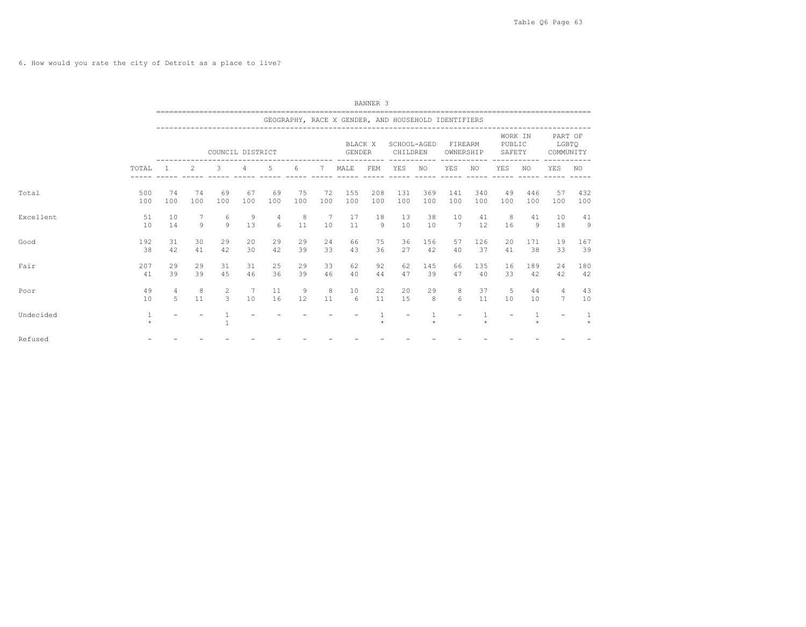6. How would you rate the city of Detroit as a place to live?

|           |            |                     |           |                     |                  |           |           |           |                          | BANNER <sub>3</sub> |                                                     |            |                       |            |                             |            |                                   |                      |
|-----------|------------|---------------------|-----------|---------------------|------------------|-----------|-----------|-----------|--------------------------|---------------------|-----------------------------------------------------|------------|-----------------------|------------|-----------------------------|------------|-----------------------------------|----------------------|
|           |            |                     |           |                     |                  |           |           |           |                          |                     | GEOGRAPHY, RACE X GENDER, AND HOUSEHOLD IDENTIFIERS |            |                       |            |                             |            |                                   |                      |
|           |            |                     |           |                     | COUNCIL DISTRICT |           |           |           | BLACK X<br><b>GENDER</b> |                     | SCHOOL-AGED<br>CHILDREN                             |            | FIREARM<br>OWNERSHIP  |            | WORK IN<br>PUBLIC<br>SAFETY |            | PART OF<br>LGBTO<br>COMMUNITY     |                      |
|           | TOTAL      |                     | 2         | 3                   | $\overline{4}$   | 5         | 6         | 7         | MALE                     | FEM                 | YES                                                 | NO.        | YES                   | NO         | YES                         | NO.        | <b>YES</b>                        | NO.                  |
| Total     | 500<br>100 | 74<br>100           | 74<br>100 | 69<br>100           | 67<br>100        | 69<br>100 | 75<br>100 | 72<br>100 | 155<br>100               | 208<br>100          | 131<br>100                                          | 369<br>100 | 141<br>100            | 340<br>100 | 49<br>100                   | 446<br>100 | 57<br>100                         | 432<br>100           |
| Excellent | 51<br>10   | 10<br>14            | 7<br>9    | 6<br>9              | 9<br>13          | 4<br>6    | 8<br>11   | 7<br>10   | 17<br>11                 | 18<br>$\circ$       | 13<br>10                                            | 38<br>10   | 10<br>$\overline{7}$  | 41<br>12   | 8<br>16                     | 41<br>9    | 10<br>18                          | 41<br>$\overline{9}$ |
| Good      | 192<br>38  | 31<br>42            | 30<br>41  | 29<br>42            | 20<br>30         | 29<br>42  | 29<br>39  | 24<br>33  | 66<br>43                 | 75<br>36            | 36<br>27                                            | 156<br>42  | 57<br>40              | 126<br>37  | 20<br>41                    | 171<br>38  | 19<br>33                          | 167<br>39            |
| Fair      | 207<br>41  | 29<br>39            | 29<br>39  | 31<br>45            | 31<br>46         | 25<br>36  | 29<br>39  | 33<br>46  | 62<br>40                 | 92<br>44            | 62<br>47                                            | 145<br>39  | 66<br>47              | 135<br>40  | 16<br>33                    | 189<br>42  | 24<br>42                          | 180<br>42            |
| Poor      | 49<br>10   | $\overline{4}$<br>5 | 8<br>11   | $\overline{2}$<br>3 | 7<br>10          | 11<br>16  | 9<br>12   | 8<br>11   | 10<br>6                  | 22<br>11            | 20<br>15                                            | 29<br>8    | 8<br>$6 \overline{6}$ | 37<br>11   | 5<br>10                     | 44<br>10   | $\overline{4}$<br>$7\phantom{.0}$ | 43<br>10             |
| Undecided | 1          |                     |           |                     |                  |           |           |           |                          |                     |                                                     | ÷          |                       |            |                             |            | $\overline{\phantom{0}}$          | $\star$              |
| Refused   |            |                     |           |                     |                  |           |           |           |                          |                     |                                                     |            |                       |            |                             |            |                                   |                      |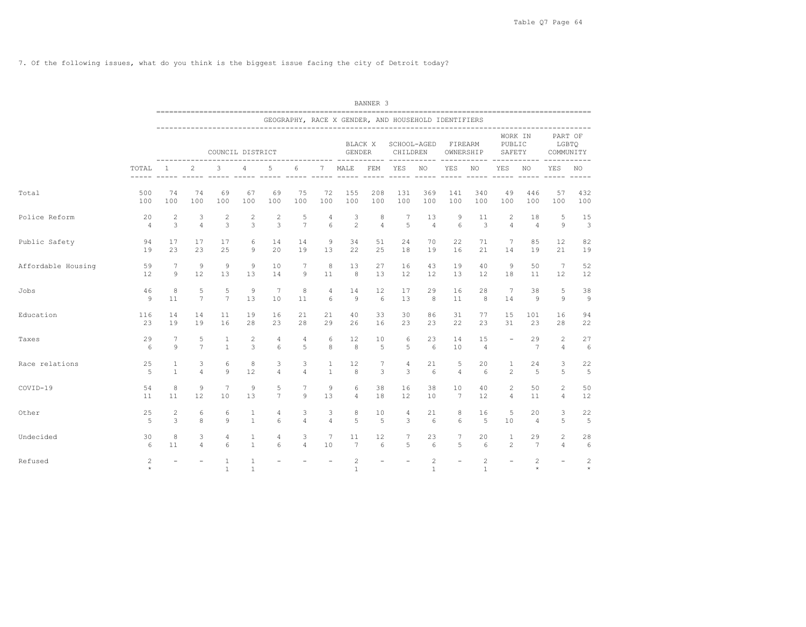7. Of the following issues, what do you think is the biggest issue facing the city of Detroit today?

|                    |                |                 |                     |                   |                   |                 |                |                 |                                                     | BANNER <sub>3</sub> |                         |                              |                          |                                |                                       |                |                               |              |
|--------------------|----------------|-----------------|---------------------|-------------------|-------------------|-----------------|----------------|-----------------|-----------------------------------------------------|---------------------|-------------------------|------------------------------|--------------------------|--------------------------------|---------------------------------------|----------------|-------------------------------|--------------|
|                    |                |                 |                     |                   |                   |                 |                |                 | GEOGRAPHY, RACE X GENDER, AND HOUSEHOLD IDENTIFIERS |                     |                         |                              |                          |                                |                                       |                |                               |              |
|                    |                |                 |                     | COUNCIL DISTRICT  |                   |                 |                |                 | BLACK X<br>GENDER                                   |                     | SCHOOL-AGED<br>CHILDREN |                              | FIREARM<br>OWNERSHIP     |                                | WORK IN<br>PUBLIC<br>SAFETY           |                | PART OF<br>LGBTQ<br>COMMUNITY |              |
|                    | TOTAL          | <sup>1</sup>    | 2<br>------ -----   | 3                 | 4                 | 5               | 6              | 7               | MALE                                                | FEM                 | YES                     | NO                           | YES<br>----- ----- ----- | ------<br>NO                   | $- - - - - -$<br>YES<br>$- - - - - -$ | NO.            | YES                           | NO.          |
| Total              | 500            | 74              | 74                  | 69                | 67                | 69              | 75             | 72              | 155                                                 | 208                 | 131                     | 369                          | 141                      | 340                            | 49                                    | 446            | 57                            | 432          |
|                    | 100            | 100             | 100                 | 100               | 100               | 100             | 100            | 100             | 100                                                 | 100                 | 100                     | 100                          | 100                      | 100                            | 100                                   | 100            | 100                           | 100          |
| Police Reform      | 20             | 2               | 3                   | 2                 | 2                 | $\overline{c}$  | 5              | 4               | 3                                                   | 8                   | 7                       | 13                           | 9                        | 11                             | 2                                     | 18             | 5                             | 15           |
|                    | $\overline{4}$ | 3               | $\overline{4}$      | 3                 | 3                 | $\mathbf{3}$    | $\overline{7}$ | 6               | $\overline{c}$                                      | $\overline{4}$      | 5                       | $\overline{4}$               | 6                        | 3                              | $\overline{4}$                        | $\overline{4}$ | 9                             | 3            |
| Public Safety      | 94             | 17              | 17                  | 17                | 6                 | 14              | 14             | 9               | 34                                                  | 51                  | 24                      | 70                           | 22                       | 71                             | 7                                     | 85             | 12                            | 82           |
|                    | 19             | 23              | 23                  | 25                | 9                 | 20              | 19             | 13              | 22                                                  | 25                  | 18                      | 19                           | 16                       | 21                             | 14                                    | 19             | 21                            | 19           |
| Affordable Housing | 59             | $7\phantom{.0}$ | 9                   | 9                 | 9                 | 10              | 7              | 8               | 13                                                  | 27                  | 16                      | 43                           | 19                       | 40                             | 9                                     | 50             | $7\phantom{.0}$               | 52           |
|                    | 12             | 9               | 12                  | 13                | 13                | 14              | 9              | 11              | 8                                                   | 13                  | 12                      | $12 \overline{ }$            | 13                       | 12                             | 18                                    | 11             | 12                            | 12           |
| Jobs               | 46             | 8               | 5                   | 5                 | 9                 | 7               | 8              | 4               | 14                                                  | 12                  | 17                      | 29                           | 16                       | 28                             | 7                                     | 38             | 5                             | 38           |
|                    | 9              | 11              | $7\phantom{.0}$     | $7\phantom{.0}$   | 13                | 10              | 11             | 6               | $\overline{9}$                                      | 6                   | 13                      | 8                            | 11                       | 8                              | 14                                    | 9              | 9                             | 9            |
| Education          | 116            | 14              | 14                  | 11                | 19                | 16              | 21             | 21              | 40                                                  | 33                  | 30                      | 86                           | 31                       | 77                             | 15                                    | 101            | 16                            | 94           |
|                    | 23             | 19              | 19                  | 16                | 28                | 23              | 28             | 29              | 26                                                  | 16                  | 23                      | 23                           | 22                       | 23                             | 31                                    | 23             | 28                            | 22           |
| Taxes              | 29<br>6        | 7<br>9          | 5<br>$\overline{7}$ | 1<br>$\mathbf{1}$ | 2<br>3            | 4<br>6          | 4<br>5         | 6<br>8          | 12<br>8                                             | 10<br>5             | 6<br>5                  | 23<br>6                      | 14<br>10                 | 15<br>$\overline{4}$           |                                       | 29<br>7        | 2<br>$\overline{4}$           | 27<br>6      |
| Race relations     | 25             | 1               | 3                   | 6                 | 8                 | 3               | 3              | $\mathbf{1}$    | 12                                                  | 7                   | $\overline{4}$          | 21                           | 5                        | 20                             | 1                                     | 24             | 3                             | 22           |
|                    | 5              | $\mathbf{1}$    | $\overline{4}$      | 9                 | 12                | $\overline{4}$  | $\overline{4}$ | $\mathbf{1}$    | 8                                                   | 3                   | 3                       | $6\overline{6}$              | $\overline{4}$           | 6                              | $\mathfrak{D}$                        | 5              | 5                             | 5            |
| COVID-19           | 54             | 8               | 9                   | $\overline{7}$    | 9                 | 5               | 7              | 9               | 6                                                   | 38                  | 16                      | 38                           | 10                       | 40                             | $\overline{c}$                        | 50             | $\overline{2}$                | 50           |
|                    | 11             | 11              | $12 \overline{ }$   | 10                | 13                | $7\phantom{.0}$ | 9              | 13              | $\overline{4}$                                      | 18                  | 12                      | 10                           | $7\phantom{.0}$          | 12                             | $\overline{4}$                        | 11             | 4                             | 12           |
| Other              | 25             | 2               | 6                   | 6                 | $\mathbf{1}$      | $\overline{4}$  | 3              | 3               | 8                                                   | 10                  | 4                       | 21                           | 8                        | 16                             | 5                                     | 20             | 3                             | 22           |
|                    | 5              | 3               | 8                   | 9                 | $\mathbf{1}$      | 6               | $\overline{4}$ | $\overline{4}$  | 5                                                   | 5                   | 3                       | $6\overline{6}$              | 6                        | 5                              | 10                                    | $\overline{4}$ | 5                             | 5            |
| Undecided          | 30             | 8               | 3                   | 4                 | 1                 | 4               | 3              | $7\phantom{.0}$ | 11                                                  | 12                  | $7\phantom{.0}$         | 23                           | 7                        | 20                             | 1                                     | 29             | $\mathbf{2}$                  | 28           |
|                    | 6              | 11              | $\overline{4}$      | 6                 | $\mathbf{1}$      | 6               | $\overline{4}$ | 10              | 7                                                   | 6                   | 5                       | 6                            | 5                        | 6                              | 2                                     | 7              | 4                             | 6            |
| Refused            | 2<br>$\star$   | $\equiv$        |                     | 1<br>$\mathbf{1}$ | 1<br>$\mathbf{1}$ |                 |                |                 | $\overline{c}$<br>$\overline{1}$                    |                     | $\equiv$                | $\mathbf{2}$<br>$\mathbf{1}$ | $\equiv$                 | $\overline{c}$<br>$\mathbf{1}$ | $\equiv$                              | 2<br>$\star$   | $\overline{\phantom{a}}$      | 2<br>$\star$ |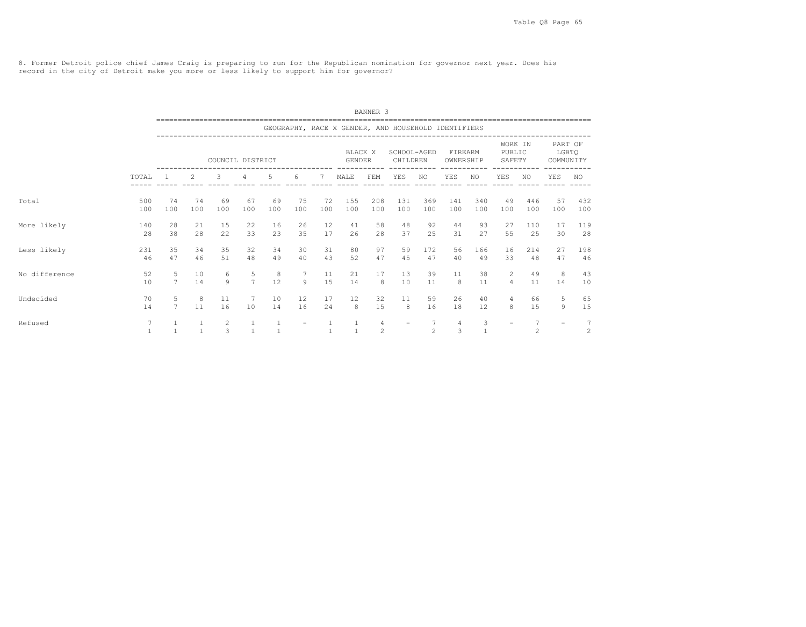8. Former Detroit police chief James Craig is preparing to run for the Republican nomination for governor next year. Does his record in the city of Detroit make you more or less likely to support him for governor?

|               |                |                     |                                                                                                                                                                                                                          |                    |                              |              |              |              |                                                     | BANNER <sub>3</sub>              |                         |                          |                                 |                     |                                  |                                  |                               |                                   |
|---------------|----------------|---------------------|--------------------------------------------------------------------------------------------------------------------------------------------------------------------------------------------------------------------------|--------------------|------------------------------|--------------|--------------|--------------|-----------------------------------------------------|----------------------------------|-------------------------|--------------------------|---------------------------------|---------------------|----------------------------------|----------------------------------|-------------------------------|-----------------------------------|
|               |                |                     |                                                                                                                                                                                                                          |                    |                              |              |              |              | GEOGRAPHY, RACE X GENDER, AND HOUSEHOLD IDENTIFIERS |                                  |                         |                          |                                 |                     |                                  |                                  |                               |                                   |
|               |                |                     |                                                                                                                                                                                                                          | COUNCIL DISTRICT   |                              |              |              |              | BLACK X<br>GENDER                                   |                                  | SCHOOL-AGED<br>CHILDREN |                          | FIREARM<br>OWNERSHIP            |                     | WORK IN<br>PUBLIC<br>SAFETY      |                                  | PART OF<br>LGBTO<br>COMMUNITY |                                   |
|               | TOTAL          |                     | YES<br>2<br>3<br>$\overline{4}$<br>.5.<br>6<br>7<br>MALE<br>FEM<br><b>YES</b><br><b>YES</b><br>YES<br>NO.<br>NO.<br>NO.<br>74<br>69<br>75<br>72<br>155<br>208<br>131<br>369<br>141<br>49<br>74<br>69<br>67<br>340<br>446 |                    |                              |              |              |              |                                                     |                                  |                         |                          |                                 |                     |                                  |                                  |                               | NO.                               |
| Total         | 500<br>100     | 100                 | 100                                                                                                                                                                                                                      | 100                | 100                          | 100          | 100          | 100          | 100                                                 | 100                              | 100                     | 100                      | 100                             | 100                 | 100                              | 100                              | 57<br>100                     | 432<br>100                        |
| More likely   | 140<br>28      | 28<br>38            | 21<br>28                                                                                                                                                                                                                 | 15<br>22           | 22<br>33                     | 16<br>23     | 26<br>35     | 12<br>17     | 41<br>26                                            | 58<br>28                         | 48<br>37                | 92<br>25                 | 44<br>31                        | 93<br>27            | 27<br>55                         | 110<br>25                        | 17<br>30                      | 119<br>28                         |
| Less likely   | 231<br>46      | 35<br>47            | 34<br>46                                                                                                                                                                                                                 | 35<br>51           | 32<br>48                     | 34<br>49     | 30<br>40     | 31<br>43     | 80<br>52                                            | 97<br>47                         | 59<br>45                | 172<br>47                | 56<br>40                        | 166<br>49           | 16<br>33                         | 214<br>48                        | 27<br>47                      | 198<br>46                         |
| No difference | 52<br>10       | 5<br>$\overline{7}$ | 10<br>14                                                                                                                                                                                                                 | 6<br>$\circ$       | 5<br>$\overline{7}$          | $_{8}$<br>12 | 7<br>$\circ$ | 11<br>15     | 21<br>14                                            | 17<br>8                          | 13<br>10                | 39<br>11                 | 11<br>8                         | 38<br>11            | $\overline{2}$<br>$\overline{4}$ | 49<br>11                         | 8<br>14                       | 43<br>10                          |
| Undecided     | 70<br>14       | 5<br>$\overline{7}$ | 8<br>11                                                                                                                                                                                                                  | 11<br>16           | 7<br>10                      | 10<br>14     | 12<br>16     | 17<br>24     | $12 \overline{ }$<br>8                              | 32<br>15                         | 11<br>8                 | 59<br>16                 | 26<br>18                        | 40<br>12            | 4<br>8                           | 66<br>15                         | 5<br>9                        | 65<br>15                          |
| Refused       | $\overline{7}$ | $\overline{1}$      | $\overline{1}$                                                                                                                                                                                                           | 2<br>$\mathcal{L}$ | $\mathbf{1}$<br>$\mathbf{1}$ |              |              | $\mathbf{1}$ | $\overline{1}$                                      | $\overline{4}$<br>$\mathfrak{D}$ |                         | $\tau$<br>$\mathfrak{D}$ | $\overline{4}$<br>$\mathcal{L}$ | 3<br>$\overline{1}$ |                                  | $\overline{7}$<br>$\mathfrak{D}$ |                               | $7\phantom{.0}$<br>$\overline{c}$ |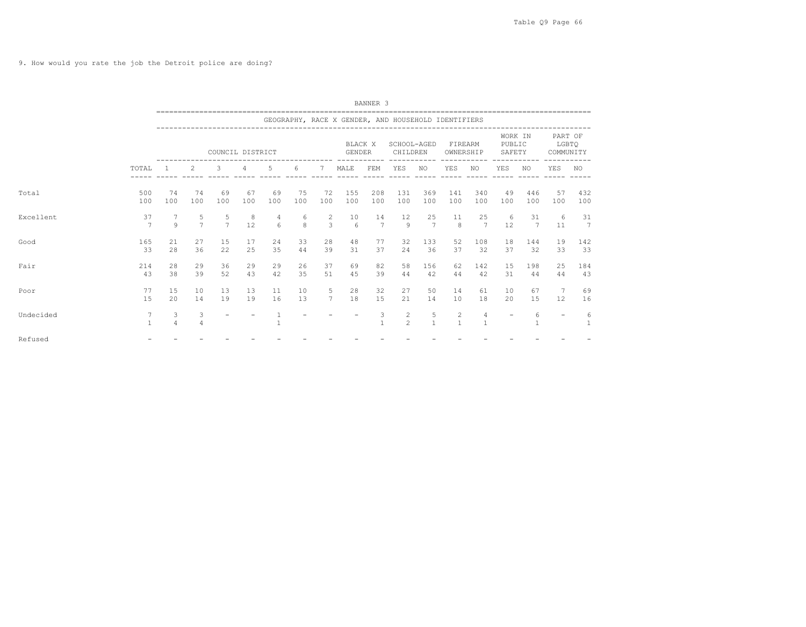9. How would you rate the job the Detroit police are doing?

|           |                      |                     |                     |                     |           |           |           |                     |                          | BANNER <sub>3</sub>  |                                                     |                   |                              |                     |                             |            |                               |            |  |
|-----------|----------------------|---------------------|---------------------|---------------------|-----------|-----------|-----------|---------------------|--------------------------|----------------------|-----------------------------------------------------|-------------------|------------------------------|---------------------|-----------------------------|------------|-------------------------------|------------|--|
|           |                      |                     |                     |                     |           |           |           |                     |                          |                      | GEOGRAPHY, RACE X GENDER, AND HOUSEHOLD IDENTIFIERS |                   |                              |                     |                             |            |                               |            |  |
|           |                      |                     |                     | COUNCIL DISTRICT    |           |           |           |                     | BLACK X<br><b>GENDER</b> |                      | SCHOOL-AGED<br>CHILDREN                             |                   | FIREARM<br>OWNERSHIP         |                     | WORK IN<br>PUBLIC<br>SAFETY |            | PART OF<br>LGBTO<br>COMMUNITY |            |  |
|           | TOTAL                |                     | 2                   | 3                   | 4         | 5         | -6        | 7                   | MALE                     | FEM                  | YES                                                 | NO.               | YES                          | NO.                 | YES                         | NO.        | YES                           | NO.        |  |
| Total     | 500<br>100           | 74<br>100           | 74<br>100           | 69<br>100           | 67<br>100 | 69<br>100 | 75<br>100 | 72<br>100           | 155<br>100               | 208<br>100           | 131<br>100                                          | 369<br>100        | 141<br>100                   | 340<br>100          | 49<br>100                   | 446<br>100 | 57<br>100                     | 432<br>100 |  |
| Excellent | 37<br>$\overline{7}$ | 9                   | 5<br>$\overline{7}$ | 5<br>$\overline{7}$ | 8<br>12   | 4<br>6    | 6<br>8    | 2<br>3              | 10<br>6                  | 14<br>$\overline{7}$ | 12<br>$\overline{9}$                                | 25<br>7           | 11<br>8                      | 25<br>7             | 6<br>12                     | 31<br>7    | 6<br>11                       | 31<br>7    |  |
| Good      | 165<br>33            | 21<br>28            | 27<br>36            | 15<br>22            | 17<br>25  | 24<br>35  | 33<br>44  | 28<br>39            | 48<br>31                 | 77<br>37             | 32<br>24                                            | 133<br>36         | 52<br>37                     | 108<br>32           | 18<br>37                    | 144<br>32  | 19<br>33                      | 142<br>33  |  |
| Fair      | 214<br>43            | 28<br>38            | 29<br>39            | 36<br>52            | 29<br>43  | 29<br>42  | 26<br>35  | 37<br>51            | 69<br>4.5                | 82<br>39             | 58<br>44                                            | 156<br>42         | 62<br>44                     | 142<br>42           | 15<br>31                    | 198<br>44  | 25<br>44                      | 184<br>43  |  |
| Poor      | 77<br>15             | 15<br>20            | 10<br>14            | 13<br>19            | 13<br>19  | 11<br>16  | 10<br>13  | 5<br>$\overline{7}$ | 28<br>18                 | 32<br>15             | 27<br>21                                            | 50<br>14          | 14<br>10                     | 61<br>18            | 10<br>$20^{\circ}$          | 67<br>15   | $7\phantom{.0}$<br>12         | 69<br>16   |  |
| Undecided | $\mathbf{1}$         | 3<br>$\overline{4}$ | 3<br>$\overline{4}$ |                     |           |           |           |                     |                          | 3                    | $\overline{c}$<br>$\overline{c}$                    | 5<br>$\mathbf{1}$ | $\mathbf{2}$<br>$\mathbf{1}$ | 4<br>$\overline{1}$ |                             | 6          | $\overline{\phantom{a}}$      | 6<br>1     |  |
| Refused   |                      |                     |                     |                     |           |           |           |                     |                          |                      |                                                     |                   |                              |                     |                             |            |                               |            |  |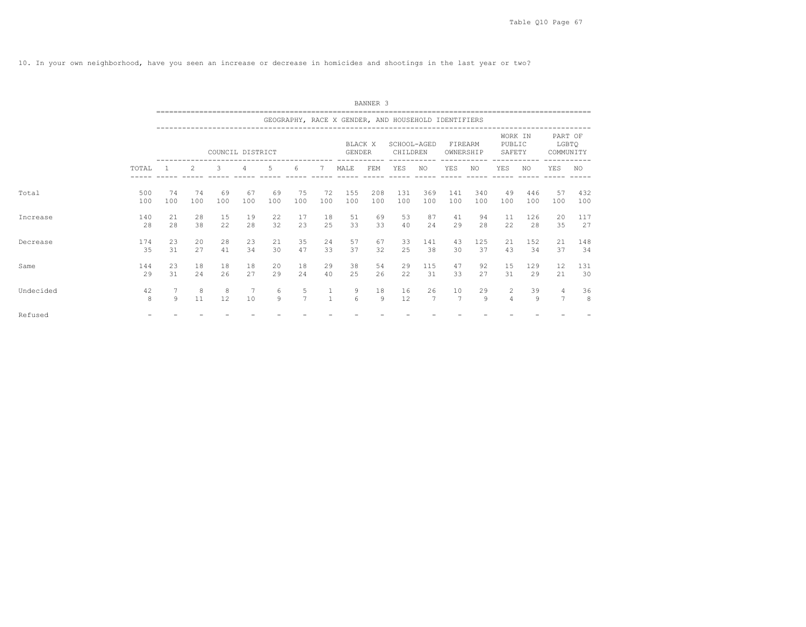10. In your own neighborhood, have you seen an increase or decrease in homicides and shootings in the last year or two?

|           |       |                |                                                                                                                                                                                                                                                                                                                                                                                                                            |                  |     |     |                |              |                                                     | BANNER <sub>3</sub> |                         |     |                      |     |                             |     |                               |     |
|-----------|-------|----------------|----------------------------------------------------------------------------------------------------------------------------------------------------------------------------------------------------------------------------------------------------------------------------------------------------------------------------------------------------------------------------------------------------------------------------|------------------|-----|-----|----------------|--------------|-----------------------------------------------------|---------------------|-------------------------|-----|----------------------|-----|-----------------------------|-----|-------------------------------|-----|
|           |       |                |                                                                                                                                                                                                                                                                                                                                                                                                                            |                  |     |     |                |              | GEOGRAPHY, RACE X GENDER, AND HOUSEHOLD IDENTIFIERS |                     |                         |     |                      |     |                             |     |                               |     |
|           |       |                |                                                                                                                                                                                                                                                                                                                                                                                                                            | COUNCIL DISTRICT |     |     |                |              | BLACK X<br><b>GENDER</b>                            |                     | SCHOOL-AGED<br>CHILDREN |     | FIREARM<br>OWNERSHIP |     | WORK IN<br>PUBLIC<br>SAFETY |     | PART OF<br>LGBTQ<br>COMMUNITY |     |
|           | TOTAL |                | $\mathfrak{D}_{1}^{2}(\mathfrak{D}_{1})=\mathfrak{D}_{2}^{2}(\mathfrak{D}_{2})=\mathfrak{D}_{2}^{2}(\mathfrak{D}_{1})=\mathfrak{D}_{2}^{2}(\mathfrak{D}_{2})=\mathfrak{D}_{2}^{2}(\mathfrak{D}_{1})=\mathfrak{D}_{2}^{2}(\mathfrak{D}_{1})=\mathfrak{D}_{2}^{2}(\mathfrak{D}_{1})=\mathfrak{D}_{2}^{2}(\mathfrak{D}_{1})=\mathfrak{D}_{2}^{2}(\mathfrak{D}_{1})=\mathfrak{D}_{2}^{2}(\mathfrak{D}_{1})=\mathfrak{D}_{2}^{$ | 3                | 4   | .5  | 6              | 7            | MALE                                                | FEM                 | YES                     | NO. | YES                  | NO. | <b>YES</b>                  | NO. | YES                           | NO  |
| Total     | 500   | 74             | 74                                                                                                                                                                                                                                                                                                                                                                                                                         | 69               | 67  | 69  | 75             | 72           | 155                                                 | 208                 | 131                     | 369 | 141                  | 340 | 49                          | 446 | 57                            | 432 |
|           | 100   | 100            | 100                                                                                                                                                                                                                                                                                                                                                                                                                        | 100              | 100 | 100 | 100            | 100          | 100                                                 | 100                 | 100                     | 100 | 100                  | 100 | 100                         | 100 | 100                           | 100 |
| Increase  | 140   | 21             | 28                                                                                                                                                                                                                                                                                                                                                                                                                         | 15               | 19  | 22  | 17             | 18           | 51                                                  | 69                  | 53                      | 87  | 41                   | 94  | 11                          | 126 | 20                            | 117 |
|           | 28    | 28             | 38                                                                                                                                                                                                                                                                                                                                                                                                                         | 22               | 28  | 32  | 23             | 25           | 33                                                  | 33                  | 40                      | 24  | 29                   | 28  | 22                          | 28  | 35                            | 27  |
| Decrease  | 174   | 23             | 20                                                                                                                                                                                                                                                                                                                                                                                                                         | 28               | 23  | 21  | 35             | 24           | 57                                                  | 67                  | 33                      | 141 | 43                   | 125 | 21                          | 152 | 21                            | 148 |
|           | 35    | 31             | 27                                                                                                                                                                                                                                                                                                                                                                                                                         | 41               | 34  | 30  | 47             | 33           | 37                                                  | 32                  | 25                      | 38  | 30                   | 37  | 43                          | 34  | 37                            | 34  |
| Same      | 144   | 23             | 18                                                                                                                                                                                                                                                                                                                                                                                                                         | 18               | 18  | 20  | 18             | 29           | 38                                                  | 54                  | 29                      | 115 | 47                   | 92  | 15                          | 129 | 12                            | 131 |
|           | 29    | 31             | 2.4                                                                                                                                                                                                                                                                                                                                                                                                                        | 26               | 27  | 29  | 2.4            | 40           | 25                                                  | 26                  | 22                      | 31  | 33                   | 27  | 31                          | 29  | 21                            | 30  |
| Undecided | 42    | 7              | 8                                                                                                                                                                                                                                                                                                                                                                                                                          | 8                | 7   | 6   | 5              | $\mathbf{1}$ | 9                                                   | 18                  | 16                      | 26  | 10                   | 29  | 2                           | 39  | $\overline{4}$                | 36  |
|           | 8     | $\overline{9}$ | 11                                                                                                                                                                                                                                                                                                                                                                                                                         | 12               | 10  | 9   | $\overline{7}$ | $\mathbf{1}$ | 6                                                   | 9                   | 12                      | 7   | $\overline{7}$       | 9   | $\Delta$                    | 9   | $\overline{7}$                | 8   |
| Refused   |       |                |                                                                                                                                                                                                                                                                                                                                                                                                                            |                  |     |     |                |              |                                                     |                     |                         |     |                      |     |                             |     |                               |     |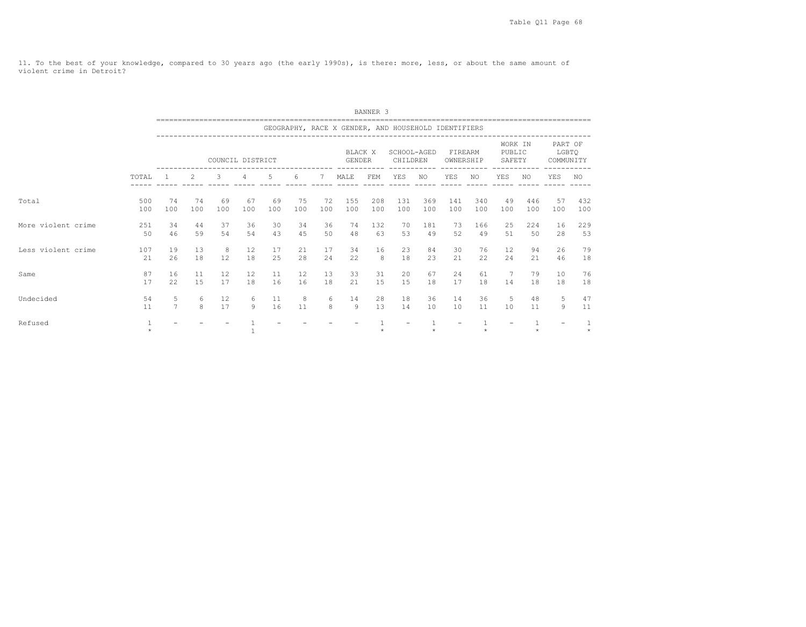11. To the best of your knowledge, compared to 30 years ago (the early 1990s), is there: more, less, or about the same amount of violent crime in Detroit?

|                    |            |                     |                                                                                                                                                                                                     |                  |              |          |           |          |                                                     | BANNER <sub>3</sub> |                         |           |                      |           |                             |           |                               |            |
|--------------------|------------|---------------------|-----------------------------------------------------------------------------------------------------------------------------------------------------------------------------------------------------|------------------|--------------|----------|-----------|----------|-----------------------------------------------------|---------------------|-------------------------|-----------|----------------------|-----------|-----------------------------|-----------|-------------------------------|------------|
|                    |            |                     |                                                                                                                                                                                                     |                  |              |          |           |          | GEOGRAPHY, RACE X GENDER, AND HOUSEHOLD IDENTIFIERS |                     |                         |           |                      |           |                             |           |                               |            |
|                    |            |                     |                                                                                                                                                                                                     | COUNCIL DISTRICT |              |          |           |          | <b>BLACK X</b><br>GENDER                            |                     | SCHOOL-AGED<br>CHILDREN |           | FIREARM<br>OWNERSHIP |           | WORK IN<br>PUBLIC<br>SAFETY |           | PART OF<br>LGBTQ<br>COMMUNITY |            |
|                    | TOTAL      |                     | 3<br>6<br>YES<br><b>YES</b><br>YES<br>$\mathcal{L}$<br>5.<br>MALE<br>FEM<br>4<br>NO.<br>NO.<br>NO.<br>74<br>155<br>208<br>131<br>369<br>141<br>340<br>446<br>74<br>69<br>67<br>69<br>75<br>72<br>49 |                  |              |          |           |          |                                                     |                     |                         |           |                      |           |                             |           | YES                           | NO.        |
| Total              | 500<br>100 | 100                 | 100                                                                                                                                                                                                 | 100              | 100          | 100      | 100       | 100      | 100                                                 | 100                 | 100                     | 100       | 100                  | 100       | 100                         | 100       | 57<br>100                     | 432<br>100 |
| More violent crime | 251<br>50  | 34<br>46            | 44<br>59                                                                                                                                                                                            | 37<br>54         | 36<br>54     | 30<br>43 | 34<br>45  | 36<br>50 | 74<br>48                                            | 132<br>63           | 70<br>53                | 181<br>49 | 73<br>52             | 166<br>49 | 25<br>51                    | 224<br>50 | 16<br>28                      | 229<br>53  |
| Less violent crime | 107<br>21  | 19<br>26            | 13<br>18                                                                                                                                                                                            | 8<br>12          | 12<br>18     | 17<br>25 | 21<br>2.8 | 17<br>24 | 34<br>22                                            | 16<br>8             | 23<br>18                | 84<br>23  | 30<br>2.1            | 76<br>22  | 12<br>24                    | 94<br>2.1 | 26<br>46                      | 79<br>18   |
| Same               | 87<br>17   | 16<br>22            | 11<br>15                                                                                                                                                                                            | 12<br>17         | 12<br>18     | 11<br>16 | 12<br>16  | 13<br>18 | 33<br>21                                            | 31<br>15            | 20<br>15                | 67<br>18  | 24<br>17             | 61<br>18  | 7<br>14                     | 79<br>18  | 10<br>18                      | 76<br>18   |
| Undecided          | 54<br>11   | 5<br>$\overline{7}$ | 6<br>$\mathsf{R}$                                                                                                                                                                                   | 12<br>17         | 6<br>$\circ$ | 11<br>16 | 8<br>11   | 6<br>8   | 14<br>$\circ$                                       | 28<br>13            | 18<br>14                | 36<br>10  | 14<br>10             | 36<br>11  | 5<br>10                     | 48<br>11  | 5<br>$\overline{9}$           | 47<br>11   |
| Refused            |            |                     |                                                                                                                                                                                                     |                  |              |          |           |          |                                                     |                     |                         |           |                      |           |                             |           |                               |            |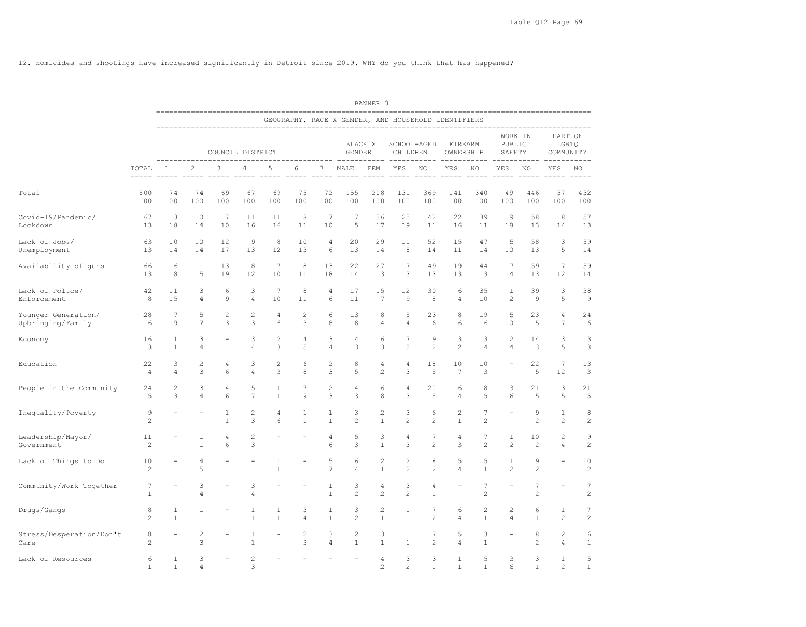12. Homicides and shootings have increased significantly in Detroit since 2019. WHY do you think that has happened?

|                                          |                      |                     |                     |                       |                      |                     |                     |                     |                                | BANNER 3             |                                                     |                                  |                     |                                                 |                             |                      |                                |                               |
|------------------------------------------|----------------------|---------------------|---------------------|-----------------------|----------------------|---------------------|---------------------|---------------------|--------------------------------|----------------------|-----------------------------------------------------|----------------------------------|---------------------|-------------------------------------------------|-----------------------------|----------------------|--------------------------------|-------------------------------|
|                                          |                      |                     |                     |                       |                      |                     |                     |                     |                                |                      | GEOGRAPHY, RACE X GENDER, AND HOUSEHOLD IDENTIFIERS |                                  |                     |                                                 |                             |                      |                                |                               |
|                                          |                      |                     |                     | COUNCIL DISTRICT      |                      |                     |                     |                     | BLACK X<br>GENDER              |                      | CHILDREN                                            | SCHOOL-AGED                      | OWNERSHIP           | FIREARM                                         | WORK IN<br>PUBLIC<br>SAFETY |                      |                                | PART OF<br>LGBTQ<br>COMMUNITY |
|                                          | TOTAL                | 1                   | 2                   | 3                     | 4                    | 5                   | 6                   | 7                   | MALE<br>$- - - - -$            | --------<br>FEM      | $\frac{1}{2}$<br><b>YES</b><br>$- - - - - -$        | NO.<br>------ -----              | YES                 | ------ ----------- ----<br>NO.<br>$- - - - - -$ | YES                         | NO.                  | YES                            | NO.                           |
| Total                                    | 500<br>100           | 74<br>100           | 74<br>100           | 69<br>100             | 67<br>100            | 69<br>100           | 75<br>100           | 72<br>100           | 155<br>100                     | 208<br>100           | 131<br>100                                          | 369<br>100                       | 141<br>100          | 340<br>100                                      | 49<br>100                   | 446<br>100           | 57<br>100                      | 432<br>100                    |
| Covid-19/Pandemic/<br>Lockdown           | 67<br>13             | 13<br>18            | 10<br>14            | $7\phantom{.0}$<br>10 | 11<br>16             | 11<br>16            | 8<br>11             | 7<br>10             | 7<br>5                         | 36<br>17             | 25<br>19                                            | 42<br>11                         | 22<br>16            | 39<br>11                                        | 9<br>18                     | 58<br>13             | 8<br>14                        | 57<br>13                      |
| Lack of Jobs/<br>Unemployment            | 63<br>13             | 10<br>14            | 10<br>14            | 12<br>17              | $\overline{9}$<br>13 | 8<br>12             | 10<br>13            | 4<br>6              | 20<br>13                       | 29<br>14             | 11<br>8                                             | 52<br>14                         | 15<br>11            | 47<br>14                                        | 5<br>10                     | 58<br>13             | 3<br>5                         | 59<br>14                      |
| Availability of guns                     | 66<br>13             | 6<br>8              | 11<br>15            | 13<br>19              | 8<br>12              | 7<br>10             | 8<br>11             | 13<br>18            | 22<br>14                       | 27<br>13             | 17<br>13                                            | 49<br>13                         | 19<br>13            | 44<br>13                                        | 7<br>14                     | 59<br>13             | $7\phantom{.0}$<br>12          | 59<br>14                      |
| Lack of Police/<br>Enforcement           | 42<br>8              | 11<br>15            | 3<br>4              | 6<br>$\mathcal{G}$    | 3<br>$\overline{4}$  | 7<br>10             | 8<br>11             | 4<br>6              | 17<br>11                       | 15<br>$\overline{7}$ | 12<br>9                                             | 30<br>8                          | 6<br>4              | 35<br>10                                        | 1<br>$\overline{c}$         | 39<br>$\overline{9}$ | 3<br>5                         | 38<br>9                       |
| Younger Generation/<br>Upbringing/Family | 28<br>6              | 7<br>9              | 5<br>$\overline{7}$ | $\mathbf{2}$<br>3     | $\overline{c}$<br>3  | 4<br>6              | 2<br>3              | 6<br>$\,$ 8 $\,$    | 13<br>8                        | 8<br>4               | 5<br>$\overline{4}$                                 | 23<br>6                          | 8<br>6              | 19<br>6                                         | 5<br>10                     | 23<br>5              | 4<br>$\tau$                    | 24<br>$\epsilon$              |
| Economy                                  | 16<br>3              | 1<br>$\mathbf{1}$   | 3<br>4              |                       | 3<br>$\overline{4}$  | $\overline{c}$<br>3 | 4<br>5              | 3<br>4              | 4<br>3                         | 6<br>3               | 7<br>5                                              | $\overline{9}$<br>$\mathbf{2}$   | 3<br>$\mathbf{2}$   | 13<br>4                                         | 2<br>4                      | 14<br>3              | 3<br>5                         | 13<br>3                       |
| Education                                | 22<br>$\overline{4}$ | 3<br>$\overline{4}$ | $\overline{c}$<br>3 | 4<br>6                | 3<br>4               | 2<br>3              | 6<br>8              | $\mathbf{2}$<br>3   | 8<br>5                         | 4<br>$\overline{c}$  | 4<br>3                                              | 18<br>5                          | 10<br>7             | 10<br>3                                         |                             | 22<br>5              | $\tau$<br>12                   | 13<br>3                       |
| People in the Community                  | 24<br>5              | 2<br>3              | 3<br>4              | 4<br>6                | 5<br>$\overline{7}$  | 1<br>$\mathbf{1}$   | 7<br>9              | 2<br>3              | 4<br>3                         | 16<br>8              | 4<br>3                                              | 20<br>5                          | 6<br>$\overline{4}$ | 18<br>5                                         | 3<br>6                      | 21<br>5              | 3<br>5                         | 21<br>5                       |
| Inequality/Poverty                       | 9<br>$\overline{2}$  |                     |                     | 1<br>$\mathbf{1}$     | 2<br>3               | 4<br>6              | 1<br>$\mathbf{1}$   | 1<br>$\mathbf{1}$   | 3<br>$\mathbf{2}$              | 2<br>$1\,$           | 3<br>$\overline{c}$                                 | 6<br>$\overline{c}$              | 2<br>$\mathbf{1}$   | 7<br>$\mathbf{2}$                               |                             | 9<br>2               | $\mathbf{1}$<br>$\overline{c}$ | 8<br>$\overline{c}$           |
| Leadership/Mayor/<br>Government          | 11<br>$\overline{c}$ |                     | 1<br>$\mathbf{1}$   | 4<br>6                | $\overline{c}$<br>3  |                     |                     | 4<br>6              | 5<br>3                         | 3<br>$\mathbf{1}$    | 4<br>3                                              | 7<br>$\overline{c}$              | 4<br>3              | 7<br>$\overline{c}$                             | 1<br>$\overline{c}$         | 10<br>2              | $\overline{c}$<br>4            | 9<br>$\overline{c}$           |
| Lack of Things to Do                     | 10<br>$\overline{2}$ |                     | 4<br>5              |                       |                      | 1<br>$\mathbf{1}$   |                     | 5<br>$\overline{7}$ | 6<br>4                         | 2<br>$\mathbf{1}$    | $\overline{c}$<br>$\overline{c}$                    | 8<br>$\overline{c}$              | 5<br>$\overline{4}$ | 5<br>$\mathbf{1}$                               | 1<br>$\overline{c}$         | 9<br>$\overline{c}$  | $\overline{\phantom{0}}$       | 10<br>$\overline{c}$          |
| Community/Work Together                  | 7<br>$\mathbf{1}$    |                     | 3<br>4              |                       | 3<br>$\overline{4}$  |                     |                     | 1<br>$\mathbf{1}$   | 3<br>$\overline{c}$            | 4<br>$\overline{c}$  | 3<br>$\overline{c}$                                 | 4<br>$\mathbf{1}$                |                     | 7<br>$\sqrt{2}$                                 |                             | 7<br>$\overline{c}$  |                                | 7<br>$\overline{c}$           |
| Drugs/Gangs                              | 8<br>$\overline{c}$  | 1<br>$\mathbf{1}$   | 1<br>$\mathbf{1}$   |                       | 1<br>$1\,$           | 1<br>$\mathbf{1}$   | 3<br>$\overline{4}$ | 1<br>$\mathbf{1}$   | 3<br>$\overline{c}$            | 2<br>$\mathbf{1}$    | 1<br>$\mathbf{1}$                                   | 7<br>$\overline{c}$              | 6<br>4              | $\overline{c}$<br>$\mathbf{1}$                  | 2<br>$\overline{4}$         | 6<br>1               | 1<br>$\overline{c}$            | 7<br>$\overline{c}$           |
| Stress/Desperation/Don't<br>Care         | 8<br>$\overline{c}$  |                     | $\overline{c}$<br>3 |                       | 1<br>$\mathbf{1}$    |                     | 2<br>3              | 3<br>$\overline{4}$ | $\overline{c}$<br>$\mathbf{1}$ | 3<br>$\mathbf{1}$    | 1<br>$\mathbf{1}$                                   | $\overline{7}$<br>$\overline{2}$ | 5<br>$\overline{4}$ | 3<br>$\mathbf{1}$                               |                             | 8<br>2               | 2<br>$\overline{4}$            | 6<br>$\mathbf{1}$             |
| Lack of Resources                        | 6<br>1               | $\mathbf{1}$<br>1   | 3<br>4              |                       | 2<br>3               |                     |                     |                     |                                | 4<br>$\overline{c}$  | 3<br>2                                              | 3<br>1                           | $\mathbf{1}$<br>1   | 5<br>1                                          | 3<br>6                      | 3<br>1               | 1<br>2                         | 5<br>$\mathbf{1}$             |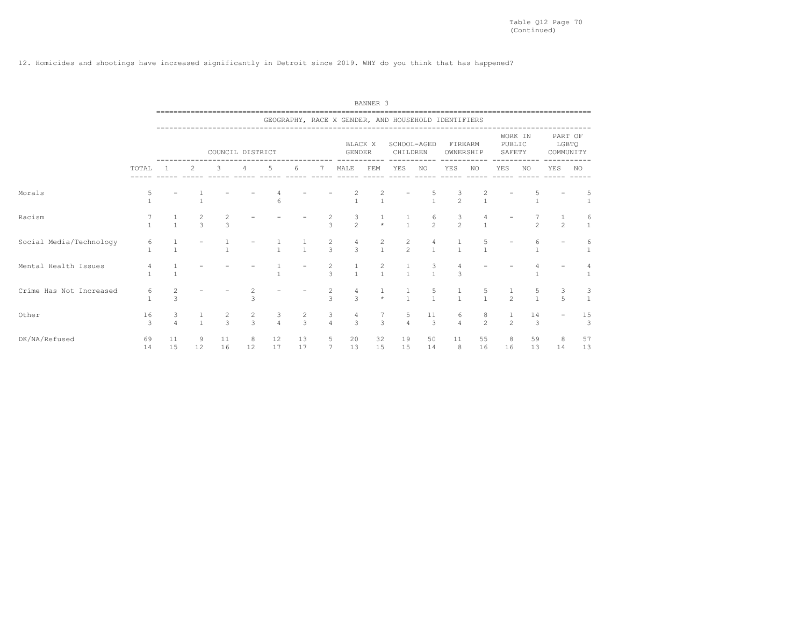12. Homicides and shootings have increased significantly in Detroit since 2019. WHY do you think that has happened?

|                         |          |                     |               |                                  |               |               |               |                                          |                     | BANNER <sub>3</sub>            |                                                     |                     |                              |                                       |                  |                      |                               |                                        |
|-------------------------|----------|---------------------|---------------|----------------------------------|---------------|---------------|---------------|------------------------------------------|---------------------|--------------------------------|-----------------------------------------------------|---------------------|------------------------------|---------------------------------------|------------------|----------------------|-------------------------------|----------------------------------------|
|                         |          |                     |               |                                  |               |               |               |                                          |                     |                                | GEOGRAPHY, RACE X GENDER, AND HOUSEHOLD IDENTIFIERS |                     |                              |                                       |                  |                      |                               |                                        |
|                         |          |                     |               | COUNCIL DISTRICT                 |               |               |               |                                          | <b>GENDER</b>       | BLACK X                        | CHILDREN                                            | SCHOOL-AGED         |                              | FIREARM<br>OWNERSHIP                  | PUBLIC<br>SAFETY | WORK IN              | PART OF<br>LGBTQ<br>COMMUNITY |                                        |
|                         | TOTAL    |                     | 2             | 3                                | 4             | 5             | 6             | 7                                        | MALE                | FEM                            | YES                                                 | NO                  | YES                          | NO.                                   | YES              | NO.                  | YES                           | NO.                                    |
| Morals                  |          |                     |               |                                  |               | 6             |               |                                          |                     | 2                              |                                                     |                     | $\frac{3}{2}$                |                                       |                  |                      |                               | 5                                      |
| Racism                  |          | $\mathbf{1}$        | $\frac{2}{3}$ | $\overline{c}$<br>$\overline{3}$ |               |               |               | 2<br>$\overline{3}$                      | 3<br>$\overline{c}$ | $\star$                        | $\frac{1}{1}$                                       | 6<br>$\overline{2}$ | $\frac{3}{2}$                | $\mathbf{1}$                          |                  | $\overline{2}$       | $\overline{2}$                | 6<br>$\mathbf{1}$                      |
| Social Media/Technology | 6        |                     |               |                                  |               |               | $\frac{1}{1}$ | $\overline{\mathbf{c}}$<br>$\mathcal{L}$ | 4<br>3              | $\frac{2}{1}$                  | $\frac{2}{2}$                                       | 4<br>$\mathbf{1}$   | $\mathbf{1}$<br>$\mathbf{1}$ | $\frac{5}{1}$                         |                  |                      |                               | 6<br>$1\,$                             |
| Mental Health Issues    |          |                     |               |                                  |               |               |               | 2<br>$\overline{3}$                      | $\overline{1}$      | $\overline{c}$<br>$\mathbf{1}$ | $\mathbf{1}$                                        | 3<br>$\mathbf{1}$   | 3                            |                                       |                  |                      |                               |                                        |
| Crime Has Not Increased | 6        | 2<br>3              |               |                                  | 3             |               |               | $\frac{2}{3}$                            | $\mathcal{L}$       | $\star$                        | $\frac{1}{1}$                                       | 5<br>$\mathbf{1}$   | $\frac{1}{1}$                | $\begin{array}{c} 5 \\ 1 \end{array}$ | $\mathfrak{D}$   | 5                    | 3<br>5                        | 3<br>$\mathbf{1}$                      |
| Other                   | 16<br>3  | 3<br>$\overline{4}$ | $\mathbf{1}$  | $\frac{2}{3}$                    | $\frac{2}{3}$ | $\frac{3}{4}$ | $\frac{2}{3}$ | $\frac{3}{4}$                            | 4<br>$\mathcal{E}$  | 7<br>3                         | $\frac{5}{4}$                                       | 11<br>$\mathcal{E}$ | 6<br>$\overline{4}$          | $\begin{array}{c} 8 \\ 2 \end{array}$ | $\mathfrak{D}$   | 14<br>$\overline{3}$ |                               | $\begin{array}{c} 15 \\ 3 \end{array}$ |
| DK/NA/Refused           | 69<br>14 | 11<br>15            | 9<br>12       | 11<br>16                         | 8<br>12       | 12<br>17      | 13<br>17      | 5<br>7                                   | 20<br>13            | 32<br>15                       | 19<br>15                                            | 50<br>14            | 11<br>8                      | 55<br>16                              | 8<br>16          | 59<br>13             | 8<br>14                       | 57<br>13                               |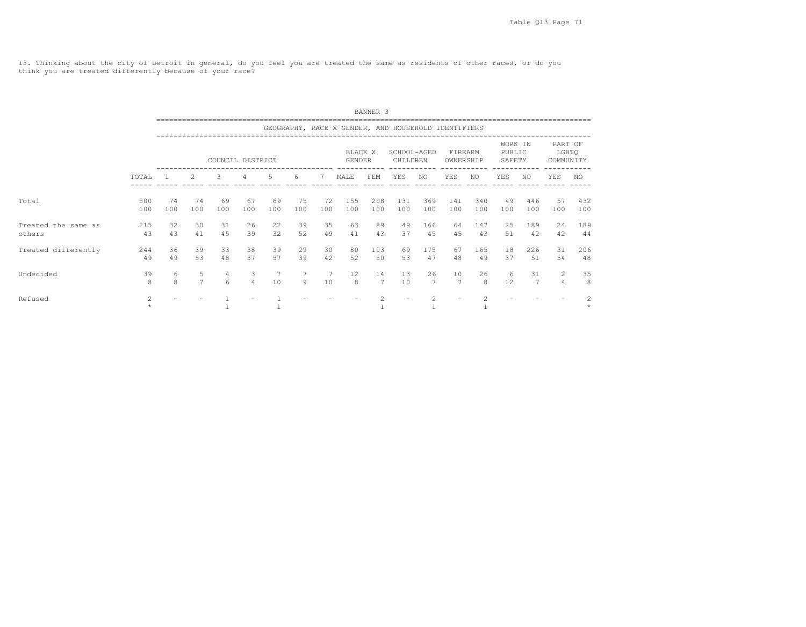13. Thinking about the city of Detroit in general, do you feel you are treated the same as residents of other races, or do you think you are treated differently because of your race?

|                               |                |                   |                     |                  |                     |           |           |           |                                                     | BANNER <sub>3</sub> |                         |            |                      |            |                             |            |                               |            |
|-------------------------------|----------------|-------------------|---------------------|------------------|---------------------|-----------|-----------|-----------|-----------------------------------------------------|---------------------|-------------------------|------------|----------------------|------------|-----------------------------|------------|-------------------------------|------------|
|                               |                |                   |                     |                  |                     |           |           |           | GEOGRAPHY, RACE X GENDER, AND HOUSEHOLD IDENTIFIERS |                     |                         |            |                      |            |                             |            |                               |            |
|                               |                |                   |                     | COUNCIL DISTRICT |                     |           |           |           | <b>BLACK X</b><br><b>GENDER</b>                     |                     | SCHOOL-AGED<br>CHILDREN |            | FIREARM<br>OWNERSHIP |            | WORK IN<br>PUBLIC<br>SAFETY |            | PART OF<br>LGBTQ<br>COMMUNITY |            |
|                               | TOTAL          |                   | $\mathcal{L}$       | 3                | 4                   | 5         | 6         | -7        | MALE                                                | FEM                 | YES                     | NO.        | YES                  | NO.        | YES                         | NO.        | YES                           | NO.        |
| Total                         | 500<br>100     | 74<br>100         | 74<br>100           | 69<br>100        | 67<br>100           | 69<br>100 | 75<br>100 | 72<br>100 | 155<br>100                                          | 208<br>100          | 131<br>100              | 369<br>100 | 141<br>100           | 340<br>100 | 49<br>100                   | 446<br>100 | 57<br>100                     | 432<br>100 |
| Treated the same as<br>others | 215<br>43      | 32<br>43          | 30<br>41            | 31<br>4.5        | 26<br>39            | 22<br>32  | 39<br>52  | 35<br>49  | 63<br>41                                            | 89<br>43            | 49<br>37                | 166<br>45  | 64<br>4.5            | 147<br>43  | 25<br>.51                   | 189<br>42  | 24<br>42                      | 189<br>44  |
| Treated differently           | 244<br>49      | 36<br>49          | 39<br>53            | 33<br>48         | 38<br>57            | 39<br>57  | 29<br>39  | 30<br>42  | 80<br>52                                            | 103<br>50           | 69<br>53                | 175<br>47  | 67<br>48             | 165<br>49  | 18<br>37                    | 226<br>51  | 31<br>54                      | 206<br>48  |
| Undecided                     | 39<br>8        | 6<br>$\mathsf{R}$ | 5<br>$\overline{7}$ | 4<br>6           | 3<br>$\overline{4}$ | 7<br>10   | 9         | 10        | $12 \overline{ }$<br>8                              | 14<br>7             | 13<br>10                | 26<br>7    | 10<br>$\overline{7}$ | 26<br>8    | 6<br>12                     | 31<br>7    | 2<br>$\overline{4}$           | 35<br>8    |
| Refused                       | $\overline{c}$ |                   |                     |                  |                     |           |           |           |                                                     |                     |                         |            |                      |            |                             |            |                               | $\star$    |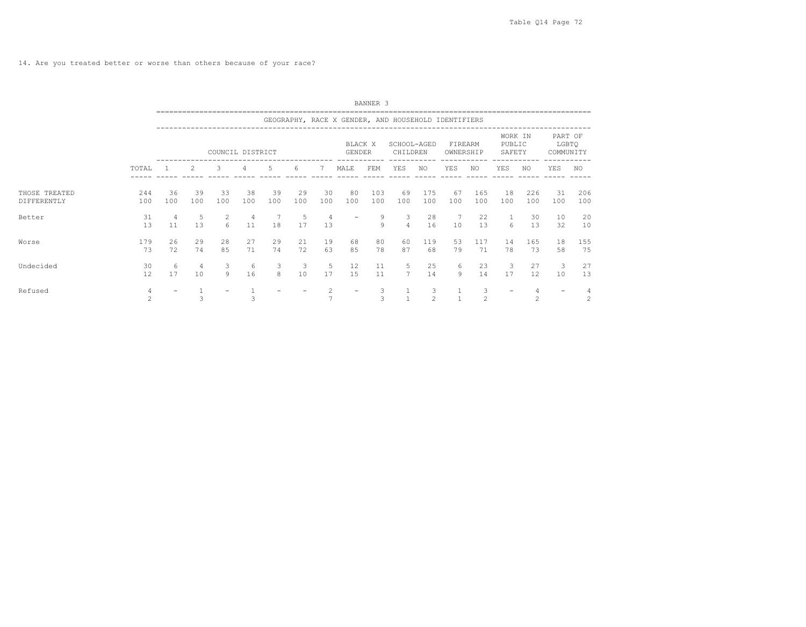14. Are you treated better or worse than others because of your race?

|                              |                |           |                 |                     |           |           |           |                     |                          | BANNER <sub>3</sub> |                                                     |            |                      |              |                             |                |                               |            |
|------------------------------|----------------|-----------|-----------------|---------------------|-----------|-----------|-----------|---------------------|--------------------------|---------------------|-----------------------------------------------------|------------|----------------------|--------------|-----------------------------|----------------|-------------------------------|------------|
|                              |                |           |                 |                     |           |           |           |                     |                          |                     | GEOGRAPHY, RACE X GENDER, AND HOUSEHOLD IDENTIFIERS |            |                      |              |                             |                |                               |            |
|                              |                |           | --------------- | COUNCIL DISTRICT    |           |           |           |                     | BLACK X<br><b>GENDER</b> |                     | SCHOOL-AGED<br>CHILDREN                             |            | FIREARM<br>OWNERSHIP |              | WORK IN<br>PUBLIC<br>SAFETY |                | PART OF<br>LGBTQ<br>COMMUNITY |            |
|                              | TOTAL          |           | 2               | 3                   | 4         | 5         | 6         | 7                   | MALE                     | FEM                 | YES                                                 | NO         | YES                  | ------<br>NO | YES                         | NO.            | YES                           | NO         |
| THOSE TREATED<br>DIFFERENTLY | 244<br>100     | 36<br>100 | 39<br>100       | 33<br>100           | 38<br>100 | 39<br>100 | 29<br>100 | 30<br>100           | 80<br>100                | 103<br>100          | 69<br>100                                           | 175<br>100 | 67<br>100            | 165<br>100   | 18<br>100                   | 226<br>100     | 31<br>100                     | 206<br>100 |
| Better                       | 31<br>13       | 4<br>11   | 5<br>13         | $\overline{2}$<br>6 | 4<br>11   | 18        | 5<br>17   | 4<br>13             |                          | 9<br>9              | 3<br>4                                              | 28<br>16   | 7<br>10              | 22<br>13     | 1<br>6                      | 30<br>13       | 10<br>32                      | 20<br>10   |
| Worse                        | 179<br>73      | 26<br>72  | 29<br>74        | 28<br>85            | 27<br>71  | 29<br>74  | 21<br>72  | 19<br>63            | 68<br>85                 | 80<br>78            | 60<br>87                                            | 119<br>68  | 53<br>79             | 117<br>71    | 14<br>78                    | 165<br>73      | 18<br>58                      | 155<br>75  |
| Undecided                    | 30<br>12       | 6<br>17   | 4<br>10         | 3<br>9              | 6<br>16   | 3<br>8    | 3<br>10   | 5<br>17             | 12<br>15                 | 11<br>11            | 5<br>$7^{\circ}$                                    | 25<br>14   | 6<br>9               | 23<br>14     | 3<br>17                     | 27<br>12       | 3<br>10                       | 27<br>13   |
| Refused                      | $\mathfrak{D}$ |           | 3               |                     |           |           |           | 2<br>$\overline{ }$ |                          | 3<br>3              | $\mathbf{1}$<br>$\mathbf{1}$                        | 3<br>2     |                      | 3<br>2       |                             | $\mathfrak{D}$ |                               | 2          |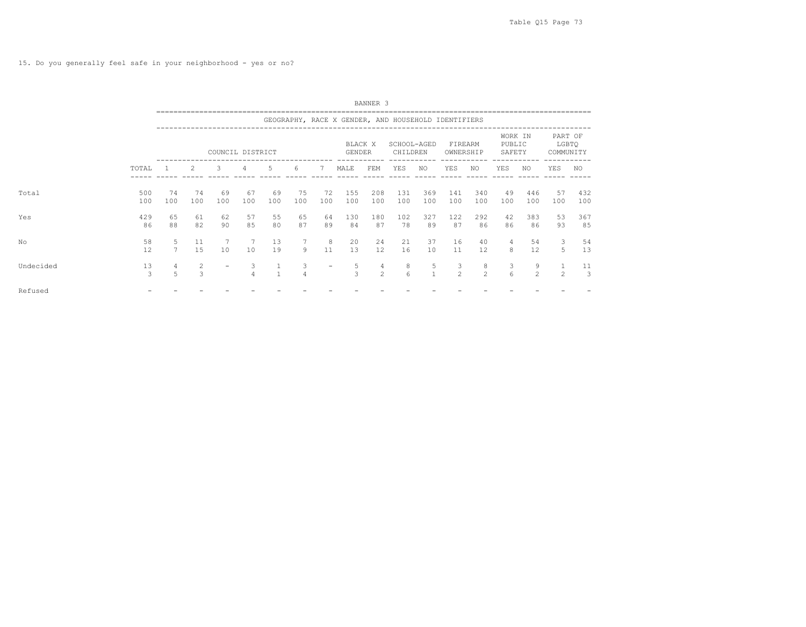15. Do you generally feel safe in your neighborhood - yes or no?

|           |            |                     |           |                          |                     |                                |           |                          |                                                     | BANNER 3   |                         |                   |                      |            |                             |                     |                               |                      |
|-----------|------------|---------------------|-----------|--------------------------|---------------------|--------------------------------|-----------|--------------------------|-----------------------------------------------------|------------|-------------------------|-------------------|----------------------|------------|-----------------------------|---------------------|-------------------------------|----------------------|
|           |            |                     |           |                          |                     |                                |           |                          | GEOGRAPHY, RACE X GENDER, AND HOUSEHOLD IDENTIFIERS |            |                         |                   |                      |            |                             |                     |                               |                      |
|           |            |                     |           | COUNCIL DISTRICT         |                     |                                |           |                          | BLACK X<br><b>GENDER</b>                            |            | SCHOOL-AGED<br>CHILDREN |                   | FIREARM<br>OWNERSHIP |            | WORK IN<br>PUBLIC<br>SAFETY |                     | PART OF<br>LGBTQ<br>COMMUNITY |                      |
|           | TOTAL      |                     | 2         | 3                        | 4                   | 5                              | 6         | 7                        | MALE                                                | FEM        | YES                     | NO.               | YES                  | NO.        | YES                         | NO.                 | YES                           | NO.                  |
| Total     | 500<br>100 | 74<br>100           | 74<br>100 | 69<br>100                | 67<br>100           | 69<br>100                      | 75<br>100 | 72<br>100                | 155<br>100                                          | 208<br>100 | 131<br>100              | 369<br>100        | 141<br>100           | 340<br>100 | 49<br>100                   | 446<br>100          | 57<br>100                     | 432<br>100           |
| Yes       | 429<br>86  | 65<br>88            | 61<br>82  | 62<br>90                 | 57<br>85            | 55<br>80                       | 65<br>87  | 64<br>89                 | 130<br>84                                           | 180<br>87  | 102<br>78               | 327<br>89         | 122<br>87            | 292<br>86  | 42<br>86                    | 383<br>86           | 53<br>93                      | 367<br>85            |
| No        | 58<br>12   | 5<br>$\overline{7}$ | 11<br>15  | 10                       | 7<br>10             | 13<br>19                       | 9         | 8<br>11                  | 20<br>13                                            | 24<br>12   | 21<br>16                | 37<br>10          | 16<br>11             | 40<br>12   | 4<br>8                      | 54<br>12            | 3<br>5                        | 54<br>13             |
| Undecided | 13<br>3    | 4<br>5              | 2<br>3    | $\overline{\phantom{a}}$ | 3<br>$\overline{4}$ | $\mathbf{1}$<br>$\overline{1}$ | 3<br>4    | $\overline{\phantom{0}}$ | 5<br>3                                              | 4<br>2     | 8<br>6                  | 5<br>$\mathbf{1}$ | 3<br>$\mathfrak{D}$  | 8<br>2     | 3<br>6                      | 9<br>$\mathfrak{D}$ | 1<br>$\overline{c}$           | 11<br>$\overline{3}$ |
| Refused   |            |                     |           |                          |                     |                                |           |                          |                                                     |            |                         |                   |                      |            |                             |                     |                               |                      |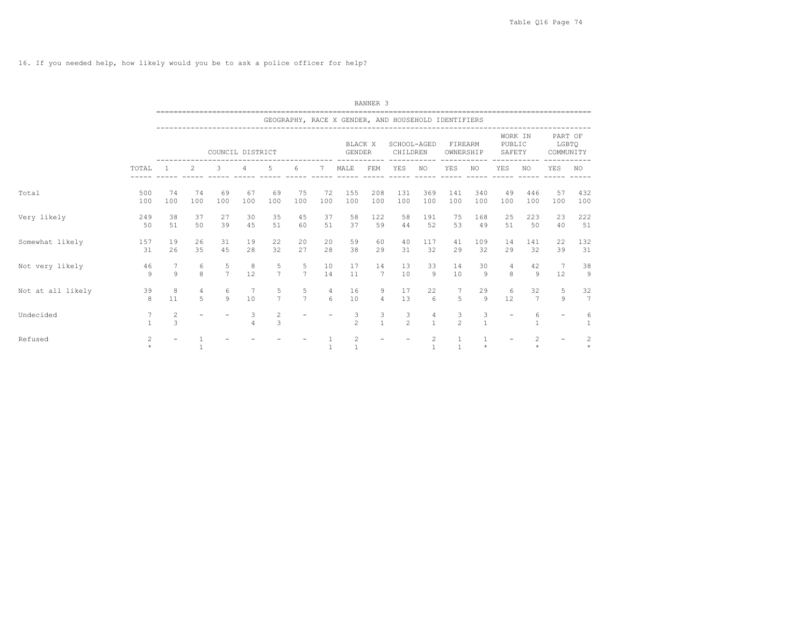16. If you needed help, how likely would you be to ask a police officer for help?

|                   |               |                                           |                            |                     |                       |                     |                     |                                    |                          | BANNER <sub>3</sub>  |                                                     |                                |                      |                      |                             |                      |                               |                                 |
|-------------------|---------------|-------------------------------------------|----------------------------|---------------------|-----------------------|---------------------|---------------------|------------------------------------|--------------------------|----------------------|-----------------------------------------------------|--------------------------------|----------------------|----------------------|-----------------------------|----------------------|-------------------------------|---------------------------------|
|                   |               |                                           | -------------------------- |                     |                       |                     |                     |                                    |                          |                      | GEOGRAPHY, RACE X GENDER, AND HOUSEHOLD IDENTIFIERS |                                |                      |                      |                             |                      |                               |                                 |
|                   |               |                                           |                            | COUNCIL DISTRICT    |                       |                     |                     |                                    | BLACK X<br><b>GENDER</b> |                      | SCHOOL-AGED<br>CHILDREN                             |                                | FIREARM<br>OWNERSHIP |                      | WORK IN<br>PUBLIC<br>SAFETY |                      | PART OF<br>LGBTO<br>COMMUNITY |                                 |
|                   | TOTAL         |                                           | 2                          | 3                   | 4                     | 5                   | 6                   | 7                                  | MALE                     | FEM                  | YES                                                 | NO.                            | YES                  | NO.                  | <b>YES</b>                  | NO.                  | YES                           | NO.                             |
| Total             | 500<br>100    | 74<br>100                                 | 74<br>100                  | 69<br>100           | 67<br>100             | 69<br>100           | 75<br>100           | 72<br>100                          | 155<br>100               | 208<br>100           | 131<br>100                                          | 369<br>100                     | 141<br>100           | 340<br>100           | 49<br>100                   | 446<br>100           | 57<br>100                     | 432<br>100                      |
| Very likely       | 249<br>50     | 38<br>51                                  | 37<br>50                   | 27<br>39            | 30<br>45              | 35<br>51            | 45<br>60            | 37<br>51                           | 58<br>37                 | 122<br>59            | 58<br>44                                            | 191<br>52                      | 75<br>53             | 168<br>49            | 25<br>51                    | 223<br>50            | 23<br>40                      | 222<br>51                       |
| Somewhat likely   | 157<br>31     | 19<br>26                                  | 26<br>35                   | 31<br>4.5           | 19<br>28              | 22<br>32            | 20<br>27            | 20<br>28                           | 59<br>38                 | 60<br>29             | 40<br>31                                            | 117<br>32                      | 41<br>29             | 109<br>32            | 14<br>29                    | 141<br>32            | 22<br>39                      | 132<br>31                       |
| Not very likely   | 46<br>$\circ$ | 7<br>9                                    | 6<br>8                     | 5<br>$\overline{7}$ | 8<br>12               | 5<br>$\overline{7}$ | 5<br>$\overline{7}$ | 10<br>14                           | 17<br>11                 | 14<br>$\overline{7}$ | 13<br>10                                            | 33<br>$\overline{9}$           | 14<br>10             | 30<br>9              | $\overline{4}$<br>8         | 42<br>$\mathcal{Q}$  | $\overline{7}$<br>12          | 38<br>$\overline{9}$            |
| Not at all likely | 39<br>8       | 8<br>11                                   | 4<br>5                     | 6<br>$\circ$        | $7\phantom{.0}$<br>10 | 5<br>$\overline{7}$ | 5<br>$\overline{7}$ | $\overline{4}$<br>$6 \overline{6}$ | 16<br>10                 | 9<br>$\overline{4}$  | 17<br>13                                            | 22<br>6                        | 5                    | 29<br>$\overline{9}$ | 6<br>12                     | 32<br>$\overline{7}$ | 5<br>9                        | 32<br>7                         |
| Undecided         | 7             | $\overline{c}$<br>$\overline{\mathbf{3}}$ |                            |                     | 3<br>$\overline{4}$   | 2<br>3              |                     |                                    | 3<br>$\mathfrak{D}$      | 3<br>$\mathbf{1}$    | 3<br>$\mathfrak{D}$                                 | 4<br>$\mathbf{1}$              | 3<br>$\overline{2}$  | 3<br>$\mathbf{1}$    |                             | 6                    |                               | 6<br>$\mathbf{1}$               |
| Refused           | 2             |                                           |                            |                     |                       |                     |                     | $\mathbf{1}$                       | 2<br>$\overline{1}$      |                      |                                                     | $\overline{c}$<br>$\mathbf{1}$ | $\overline{1}$       | $\star$              |                             | 2                    |                               | $\overline{c}$<br>$\ddot{\psi}$ |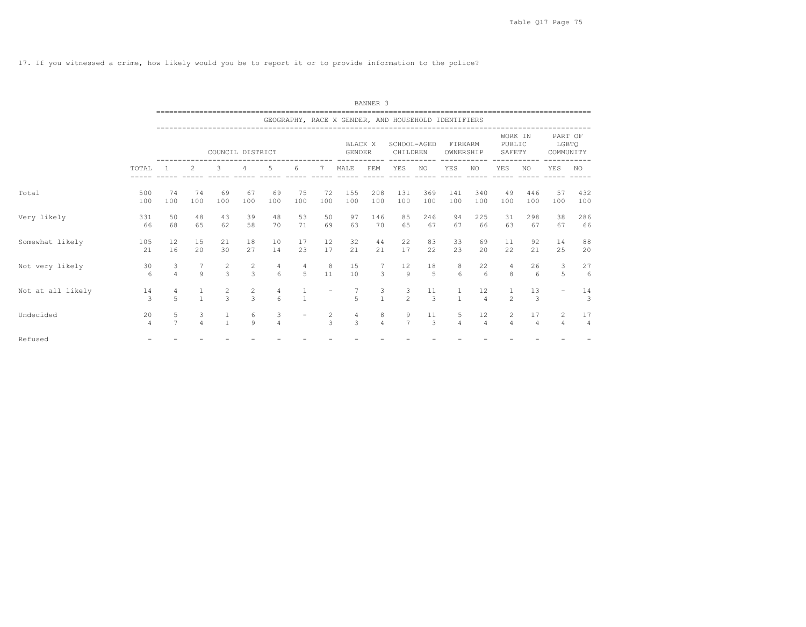17. If you witnessed a crime, how likely would you be to report it or to provide information to the police?

|                   |                |                     |                                |                                 |                                  |               |           |               |                   | BANNER <sub>3</sub>                   |                                                     |                               |                       |                      |                                  |                      |                                  |                      |
|-------------------|----------------|---------------------|--------------------------------|---------------------------------|----------------------------------|---------------|-----------|---------------|-------------------|---------------------------------------|-----------------------------------------------------|-------------------------------|-----------------------|----------------------|----------------------------------|----------------------|----------------------------------|----------------------|
|                   |                |                     | ----------------------------   |                                 |                                  |               |           |               |                   |                                       | GEOGRAPHY, RACE X GENDER, AND HOUSEHOLD IDENTIFIERS |                               |                       |                      |                                  |                      |                                  |                      |
|                   |                |                     |                                | COUNCIL DISTRICT                |                                  |               |           |               | BLACK X<br>GENDER |                                       | SCHOOL-AGED<br>CHILDREN                             |                               | FIREARM<br>OWNERSHIP  |                      | WORK IN<br>PUBLIC<br>SAFETY      |                      | PART OF<br>LGBTO<br>COMMUNITY    |                      |
|                   | TOTAL          | $\mathbf{1}$        | $\overline{2}$                 | 3                               | $\overline{4}$                   | 5             | 6         | 7             | MALE              | FEM                                   | YES                                                 | NO                            | YES                   | NO.                  | <b>YES</b>                       | ----------<br>NO.    | <b>YES</b>                       | NO.                  |
| Total             | 500<br>100     | 74<br>100           | 74<br>100                      | 69<br>100                       | 67<br>100                        | 69<br>100     | 75<br>100 | 72<br>100     | 155<br>100        | 208<br>100                            | 131<br>100                                          | 369<br>100                    | 141<br>100            | 340<br>100           | 49<br>100                        | 446<br>100           | 57<br>100                        | 432<br>100           |
| Very likely       | 331<br>66      | 50<br>68            | 48<br>65                       | 43<br>62                        | 39<br>58                         | 48<br>70      | 53<br>71  | 50<br>69      | 97<br>63          | 146<br>70                             | 85<br>65                                            | 246<br>67                     | 94<br>67              | 225<br>66            | 31<br>63                         | 298<br>67            | 38<br>67                         | 286<br>66            |
| Somewhat likely   | 105<br>21      | 12<br>16            | 15<br>20                       | 21<br>30                        | 18<br>27                         | 10<br>14      | 17<br>23  | 12<br>17      | 32<br>21          | 44<br>21                              | 22<br>17                                            | 83<br>22                      | 33<br>23              | 69<br>20             | 11<br>22                         | 92<br>21             | 14<br>25                         | 88<br>20             |
| Not very likely   | 30<br>6        | 3<br>$\overline{4}$ | $\overline{7}$<br>$\mathbf{Q}$ | $\overline{c}$<br>$\mathcal{L}$ | 2<br>$\overline{3}$              | 4<br>6        | 4<br>5    | 8<br>11       | 15<br>10          | $7\phantom{.0}$<br>3                  | 12<br>$\circ$                                       | 18<br>5                       | 8<br>$6 \overline{6}$ | 22<br>6              | 4<br>8                           | 26<br>6              | 3<br>5                           | 27<br>6              |
| Not at all likely | 14<br>3        | $\overline{4}$<br>5 | $\mathbf{1}$                   | $\frac{2}{3}$                   | $\overline{c}$<br>$\overline{3}$ | $\frac{4}{6}$ |           |               | 5                 | $\frac{3}{1}$                         | 3<br>$\overline{2}$                                 | 11<br>3                       | $\mathbf{1}$          | 12<br>$\overline{4}$ | $\mathfrak{D}$                   | 13<br>3              |                                  | 14<br>3              |
| Undecided         | 20<br>$\Delta$ | 5<br>$\overline{7}$ | $\frac{3}{4}$                  | $\frac{1}{1}$                   | 6<br>$\circ$                     | $\frac{3}{4}$ |           | $\frac{2}{3}$ | $\frac{4}{3}$     | $\begin{array}{c} 8 \\ 4 \end{array}$ | 9<br>$\overline{7}$                                 | 11<br>$\overline{\mathbf{3}}$ | 5<br>$\overline{4}$   | 12<br>$\overline{4}$ | $\overline{c}$<br>$\overline{a}$ | 17<br>$\overline{4}$ | $\overline{2}$<br>$\overline{4}$ | 17<br>$\overline{4}$ |
| Refused           |                |                     |                                |                                 |                                  |               |           |               |                   |                                       |                                                     |                               |                       |                      |                                  |                      |                                  |                      |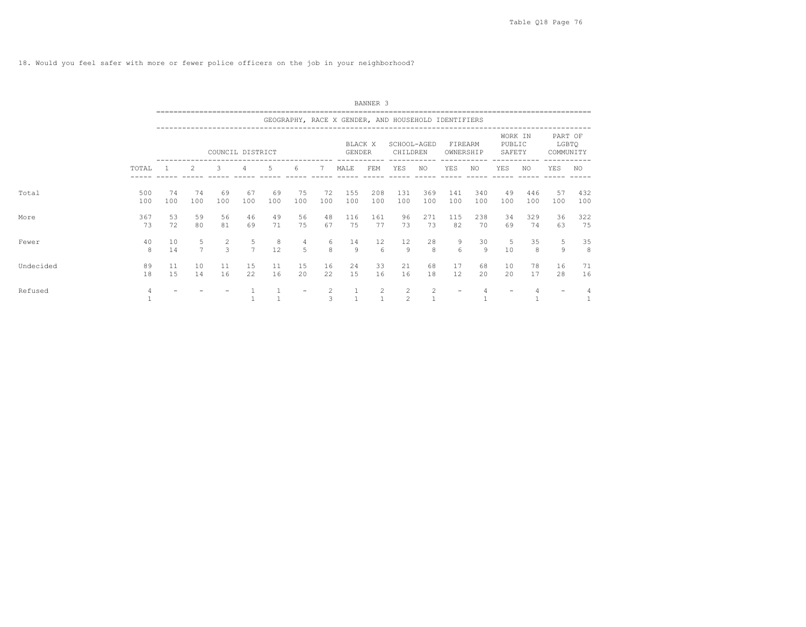18. Would you feel safer with more or fewer police officers on the job in your neighborhood?

|           |            |           |                     |                                  |                     |           |           |                   |                                                     | BANNER 3   |                         |                |                      |                      |                             |            |                               |            |
|-----------|------------|-----------|---------------------|----------------------------------|---------------------|-----------|-----------|-------------------|-----------------------------------------------------|------------|-------------------------|----------------|----------------------|----------------------|-----------------------------|------------|-------------------------------|------------|
|           |            |           |                     |                                  |                     |           |           |                   | GEOGRAPHY, RACE X GENDER, AND HOUSEHOLD IDENTIFIERS |            |                         |                |                      |                      |                             |            |                               |            |
|           |            |           |                     | COUNCIL DISTRICT                 |                     |           |           |                   | BLACK X<br>GENDER                                   |            | SCHOOL-AGED<br>CHILDREN |                | FIREARM<br>OWNERSHIP |                      | WORK IN<br>PUBLIC<br>SAFETY |            | PART OF<br>LGBTQ<br>COMMUNITY |            |
|           | TOTAL      |           | 2                   | 3                                | 4                   | 5         | 6         | 7                 | MALE                                                | FEM        | YES                     | NO             | YES                  | NO.                  | YES                         | NO.        | YES                           | NO.        |
| Total     | 500<br>100 | 74<br>100 | 74<br>100           | 69<br>100                        | 67<br>100           | 69<br>100 | 75<br>100 | 72<br>100         | 155<br>100                                          | 208<br>100 | 131<br>100              | 369<br>100     | 141<br>100           | 340<br>100           | 49<br>100                   | 446<br>100 | 57<br>100                     | 432<br>100 |
| More      | 367<br>73  | 53<br>72  | 59<br>80            | 56<br>81                         | 46<br>69            | 49<br>71  | 56<br>75  | 48<br>67          | 116<br>75                                           | 161<br>77  | 96<br>73                | 271<br>73      | 115<br>82            | 238<br>70            | 34<br>69                    | 329<br>74  | 36<br>63                      | 322<br>75  |
| Fewer     | 40<br>8    | 10<br>14  | 5<br>$\overline{7}$ | $\overline{c}$<br>$\overline{3}$ | 5<br>$\overline{7}$ | 8<br>12   | 4<br>5    | 6<br>8            | 14<br>9                                             | 12<br>6    | 12<br>$\overline{9}$    | 28<br>8        | 9<br>$\kappa$        | 30<br>$\overline{9}$ | 5<br>10                     | 35<br>8    | 5<br>9                        | 35<br>8    |
| Undecided | 89<br>18   | 11<br>15  | 10<br>14            | 11<br>16                         | 15<br>22            | 11<br>16  | 15<br>20  | 16<br>22          | 24<br>15                                            | 33<br>16   | 21<br>16                | 68<br>18       | 17<br>12             | 68<br>20             | 10<br>20                    | 78<br>17   | 16<br>28                      | 71<br>16   |
| Refused   | 4          |           |                     |                                  |                     |           |           | $\mathbf{2}$<br>3 | $\overline{1}$                                      | 2          | 2<br>$\mathfrak{D}$     | $\overline{c}$ |                      |                      |                             |            |                               |            |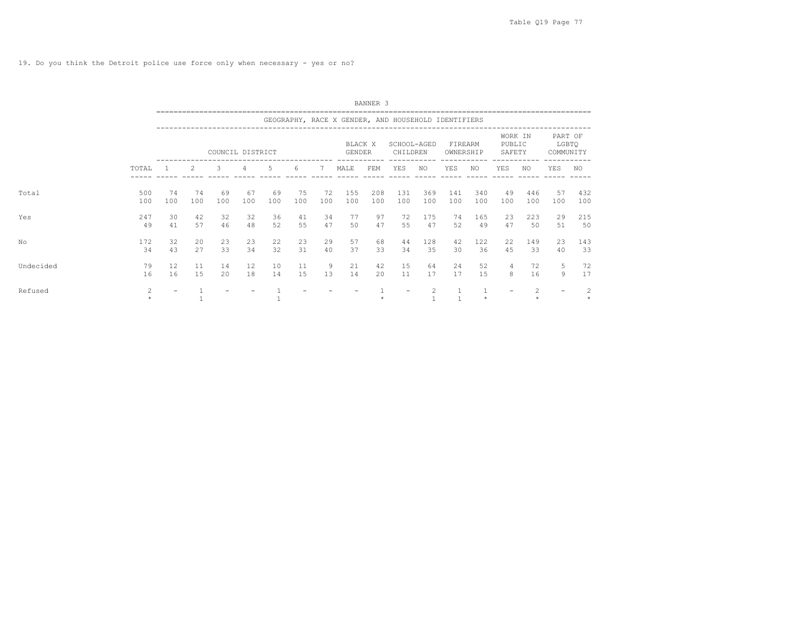|           |                |                   |           |                  |           |           |           |           |                                                     | BANNER <sub>3</sub> |                         |            |                      |               |                             |            |                               |            |
|-----------|----------------|-------------------|-----------|------------------|-----------|-----------|-----------|-----------|-----------------------------------------------------|---------------------|-------------------------|------------|----------------------|---------------|-----------------------------|------------|-------------------------------|------------|
|           |                |                   |           |                  |           |           |           |           | GEOGRAPHY, RACE X GENDER, AND HOUSEHOLD IDENTIFIERS |                     |                         |            |                      |               |                             |            |                               |            |
|           |                |                   |           | COUNCIL DISTRICT |           |           |           |           | BLACK X<br>GENDER                                   |                     | SCHOOL-AGED<br>CHILDREN |            | FIREARM<br>OWNERSHIP |               | WORK IN<br>PUBLIC<br>SAFETY |            | PART OF<br>LGBTQ<br>COMMUNITY |            |
|           | TOTAL          |                   | 2         | 3                | 4         | 5         | 6         | 7         | MALE                                                | FEM                 | YES                     | NO         | YES                  | ------<br>NO. | YES                         | NO.        | YES                           | NO.        |
| Total     | 500<br>100     | 74<br>100         | 74<br>100 | 69<br>100        | 67<br>100 | 69<br>100 | 75<br>100 | 72<br>100 | 155<br>100                                          | 208<br>100          | 131<br>100              | 369<br>100 | 141<br>100           | 340<br>100    | 49<br>100                   | 446<br>100 | 57<br>100                     | 432<br>100 |
| Yes       | 247<br>49      | 30<br>41          | 42<br>57  | 32<br>46         | 32<br>48  | 36<br>52  | 41<br>55  | 34<br>47  | 77<br>50                                            | 97<br>47            | 72<br>55                | 175<br>47  | 74<br>52             | 165<br>49     | 23<br>47                    | 223<br>50  | 29<br>51                      | 215<br>50  |
| Nο        | 172<br>34      | 32<br>43          | 20<br>27  | 23<br>33         | 23<br>34  | 22<br>32  | 23<br>31  | 29<br>40  | 57<br>37                                            | 68<br>33            | 44<br>34                | 128<br>35  | 42<br>30             | 122<br>36     | 22<br>45                    | 149<br>33  | 23<br>40                      | 143<br>33  |
| Undecided | 79<br>16       | 12<br>16          | 11<br>1.5 | 14<br>20         | 12<br>18  | 10<br>14  | 11<br>15  | 9<br>13   | 21<br>14                                            | 42<br>$20^{\circ}$  | 15<br>11                | 64<br>17   | 24<br>17             | 52<br>15      | $\overline{4}$<br>8         | 72<br>16   | 5<br>9                        | 72<br>17   |
| Refused   | $\overline{2}$ | $\qquad \qquad -$ |           |                  |           |           |           |           |                                                     |                     | $\qquad \qquad -$       | 2          |                      | $\star$       |                             |            | $\overline{\phantom{0}}$      | 2          |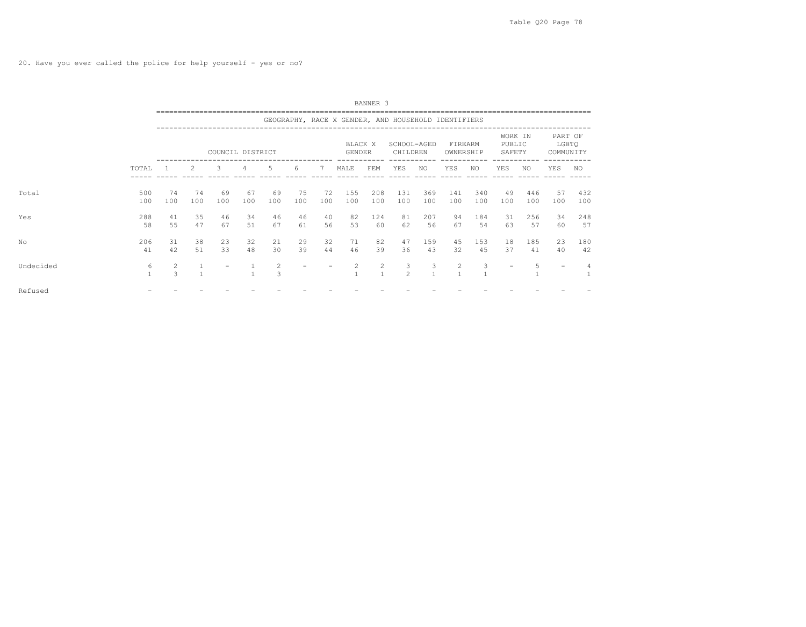20. Have you ever called the police for help yourself - yes or no?

|           |                   |           |           |                  |           |                     |           |           |                                                     | BANNER 3                       |                         |                   |                      |            |                             |            |                               |            |
|-----------|-------------------|-----------|-----------|------------------|-----------|---------------------|-----------|-----------|-----------------------------------------------------|--------------------------------|-------------------------|-------------------|----------------------|------------|-----------------------------|------------|-------------------------------|------------|
|           |                   |           |           |                  |           |                     |           |           | GEOGRAPHY, RACE X GENDER, AND HOUSEHOLD IDENTIFIERS |                                |                         |                   |                      |            |                             |            |                               |            |
|           |                   |           |           | COUNCIL DISTRICT |           |                     |           |           | BLACK X<br><b>GENDER</b>                            |                                | SCHOOL-AGED<br>CHILDREN |                   | FIREARM<br>OWNERSHIP |            | WORK IN<br>PUBLIC<br>SAFETY |            | PART OF<br>LGBTQ<br>COMMUNITY |            |
|           | TOTAL             |           | 2         | 3                | 4         | 5                   | 6         | 7         | MALE                                                | FEM                            | YES                     | NO                | YES                  | NO.        | YES                         | NO         | YES                           | NO.        |
| Total     | 500<br>100        | 74<br>100 | 74<br>100 | 69<br>100        | 67<br>100 | 69<br>100           | 75<br>100 | 72<br>100 | 155<br>100                                          | 208<br>100                     | 131<br>100              | 369<br>100        | 141<br>100           | 340<br>100 | 49<br>100                   | 446<br>100 | 57<br>100                     | 432<br>100 |
| Yes       | 288<br>58         | 41<br>55  | 35<br>47  | 46<br>67         | 34<br>51  | 46<br>67            | 46<br>61  | 40<br>56  | 82<br>53                                            | 124<br>60                      | 81<br>62                | 207<br>56         | 94<br>67             | 184<br>54  | 31<br>63                    | 256<br>57  | 34<br>60                      | 248<br>57  |
| No        | 206<br>41         | 31<br>42  | 38<br>51  | 23<br>33         | 32<br>48  | 21<br>30            | 29<br>39  | 32<br>44  | 71<br>46                                            | 82<br>39                       | 47<br>36                | 159<br>43         | 45<br>32             | 153<br>45  | 18<br>37                    | 185<br>41  | 23<br>40                      | 180<br>42  |
| Undecided | 6<br>$\mathbf{1}$ | 2<br>3    |           |                  |           | $\overline{c}$<br>3 |           |           | 2                                                   | $\overline{2}$<br>$\mathbf{1}$ | 3<br>2                  | 3<br>$\mathbf{1}$ | 2                    | 3          | $\overline{\phantom{0}}$    | 5          | $\overline{\phantom{0}}$      |            |
| Refused   |                   |           |           |                  |           |                     |           |           |                                                     |                                |                         |                   |                      |            |                             |            |                               |            |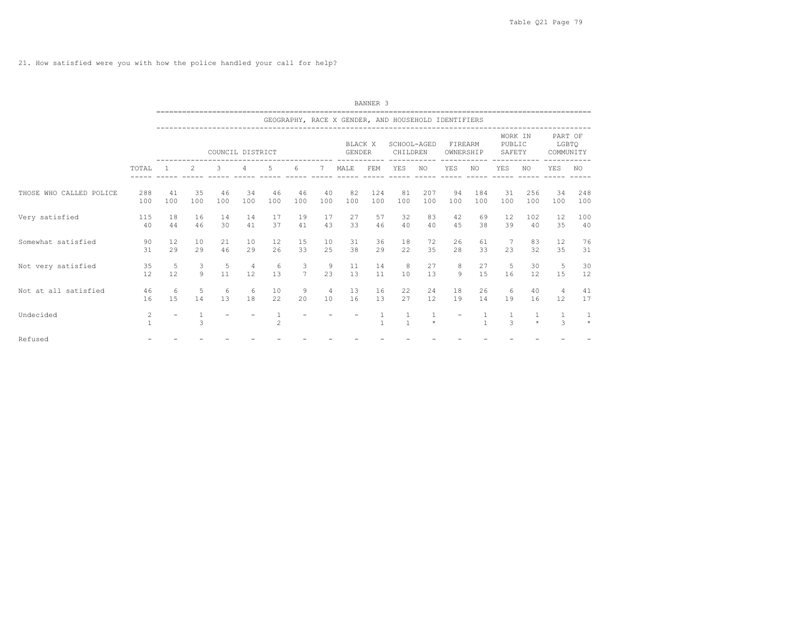21. How satisfied were you with how the police handled your call for help?

|                         |                              |           |              |           |                  |           |                     |                      |                          | BANNER <sub>3</sub> |                                                     |            |                      |              |                             |               |                                |              |
|-------------------------|------------------------------|-----------|--------------|-----------|------------------|-----------|---------------------|----------------------|--------------------------|---------------------|-----------------------------------------------------|------------|----------------------|--------------|-----------------------------|---------------|--------------------------------|--------------|
|                         |                              |           |              |           |                  |           |                     |                      |                          |                     | GEOGRAPHY, RACE X GENDER, AND HOUSEHOLD IDENTIFIERS |            |                      |              |                             |               |                                |              |
|                         |                              |           |              |           | COUNCIL DISTRICT |           |                     |                      | BLACK X<br><b>GENDER</b> |                     | SCHOOL-AGED<br>CHILDREN                             |            | FIREARM<br>OWNERSHIP |              | WORK IN<br>PUBLIC<br>SAFETY |               | PART OF<br>LGBTQ<br>COMMUNITY  |              |
|                         | TOTAL                        |           | 2            | 3         | 4                | 5         | 6                   | 7                    | MALE                     | FEM                 | YES                                                 | NO         | YES                  | NO.          | YES                         | NO.           | YES                            | NO.          |
| THOSE WHO CALLED POLICE | 288<br>100                   | 41<br>100 | 35<br>100    | 46<br>100 | 34<br>100        | 46<br>100 | 46<br>100           | 40<br>100            | 82<br>100                | 124<br>100          | 81<br>100                                           | 207<br>100 | 94<br>100            | 184<br>100   | 31<br>100                   | 256<br>100    | 34<br>100                      | 248<br>100   |
| Very satisfied          | 115<br>40                    | 18<br>44  | 16<br>46     | 14<br>30  | 14<br>41         | 17<br>37  | 19<br>41            | 17<br>43             | 27<br>33                 | 57<br>46            | 32<br>40                                            | 83<br>40   | 42<br>45             | 69<br>38     | 12<br>39                    | 102<br>40     | 12<br>35                       | 100<br>40    |
| Somewhat satisfied      | 90<br>31                     | 12<br>29  | 10<br>29     | 21<br>46  | 10<br>29         | 12<br>26  | 15<br>33            | 10<br>25             | 31<br>38                 | 36<br>29            | 18<br>22                                            | 72<br>35   | 26<br>28             | 61<br>33     | 23                          | 83<br>32      | 12<br>35                       | 76<br>31     |
| Not very satisfied      | 35<br>12                     | 5<br>12   | 3<br>$\circ$ | 5<br>11   | 4<br>12          | 6<br>13   | 3<br>$\overline{7}$ | 9<br>23              | 11<br>13                 | 14<br>11            | 8<br>10                                             | 27<br>13   | 8<br>9               | 27<br>15     | 5<br>16                     | 30<br>12      | 5<br>15                        | 30<br>12     |
| Not at all satisfied    | 46<br>16                     | 6<br>15   | 5<br>14      | 6<br>13   | 6<br>18          | 10<br>22  | 9<br>20             | $\overline{4}$<br>10 | 13<br>16                 | 16<br>13            | 22<br>27                                            | 24<br>12   | 18<br>19             | 26<br>14     | 6<br>19                     | 40<br>16      | $\overline{4}$<br>12           | 41<br>17     |
| Undecided               | $\mathbf{2}$<br>$\mathbf{1}$ |           | 3            |           |                  | 2         |                     |                      |                          |                     | $\frac{1}{1}$                                       | $\star$    |                      | $\mathbf{1}$ | $\mathcal{L}$               | $\ddot{\psi}$ | $\mathbf{1}$<br>$\overline{z}$ | 1<br>$\star$ |
| Refused                 |                              |           |              |           |                  |           |                     |                      |                          |                     |                                                     |            |                      |              |                             |               |                                |              |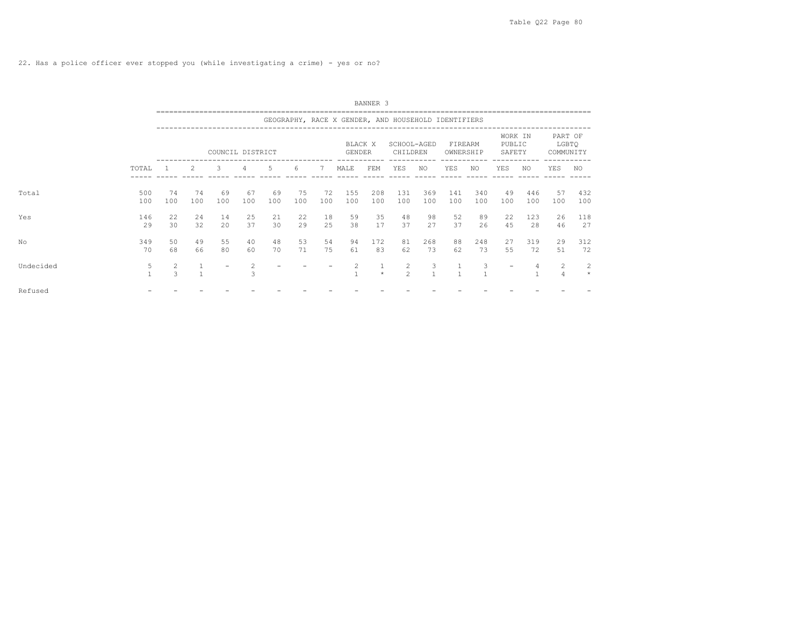|           |                   |           |                |                  |                |           |           |           |                   | BANNER 3   |                                                     |                     |                      |            |                             |            |                               |               |
|-----------|-------------------|-----------|----------------|------------------|----------------|-----------|-----------|-----------|-------------------|------------|-----------------------------------------------------|---------------------|----------------------|------------|-----------------------------|------------|-------------------------------|---------------|
|           |                   |           |                |                  |                |           |           |           |                   |            | GEOGRAPHY, RACE X GENDER, AND HOUSEHOLD IDENTIFIERS |                     |                      |            |                             |            |                               |               |
|           |                   |           |                | COUNCIL DISTRICT |                |           |           |           | BLACK X<br>GENDER |            | SCHOOL-AGED<br>CHILDREN                             |                     | FIREARM<br>OWNERSHIP |            | WORK IN<br>PUBLIC<br>SAFETY |            | PART OF<br>LGBTQ<br>COMMUNITY |               |
|           | TOTAL             |           | 2              | 3                | $\overline{4}$ | 5         | 6         | 7         | MALE              | FEM        | YES                                                 | NO                  | YES                  | NO.        | YES                         | NO.        | YES                           | NO            |
| Total     | 500<br>100        | 74<br>100 | 74<br>100      | 69<br>100        | 67<br>100      | 69<br>100 | 75<br>100 | 72<br>100 | 155<br>100        | 208<br>100 | 131<br>100                                          | 369<br>100          | 141<br>100           | 340<br>100 | 49<br>100                   | 446<br>100 | 57<br>100                     | 432<br>100    |
| Yes       | 146<br>29         | 22<br>30  | 24<br>32       | 14<br>20         | 25<br>37       | 21<br>30  | 22<br>29  | 18<br>25  | 59<br>38          | 35<br>17   | 48<br>37                                            | 98<br>27            | 52<br>37             | 89<br>26   | 22<br>45                    | 123<br>28  | 26<br>46                      | 118<br>27     |
| No        | 349<br>70         | 50<br>68  | 49<br>66       | 55<br>80         | 40<br>60       | 48<br>70  | 53<br>71  | 54<br>75  | 94<br>61          | 172<br>83  | 81<br>62                                            | 268<br>73           | 88<br>62             | 248<br>73  | 27<br>55                    | 319<br>72  | 29<br>51                      | 312<br>72     |
| Undecided | 5<br>$\mathbf{1}$ | 2<br>3    | $\overline{1}$ |                  | 2<br>3         |           |           |           |                   | $\star$    | $\overline{2}$<br>$\mathfrak{D}$                    | 3<br>$\overline{1}$ |                      | 3          | $\overline{\phantom{m}}$    |            | 2<br>$\overline{4}$           | -2<br>$\star$ |
| Refused   |                   |           |                |                  |                |           |           |           |                   |            |                                                     |                     |                      |            |                             |            |                               |               |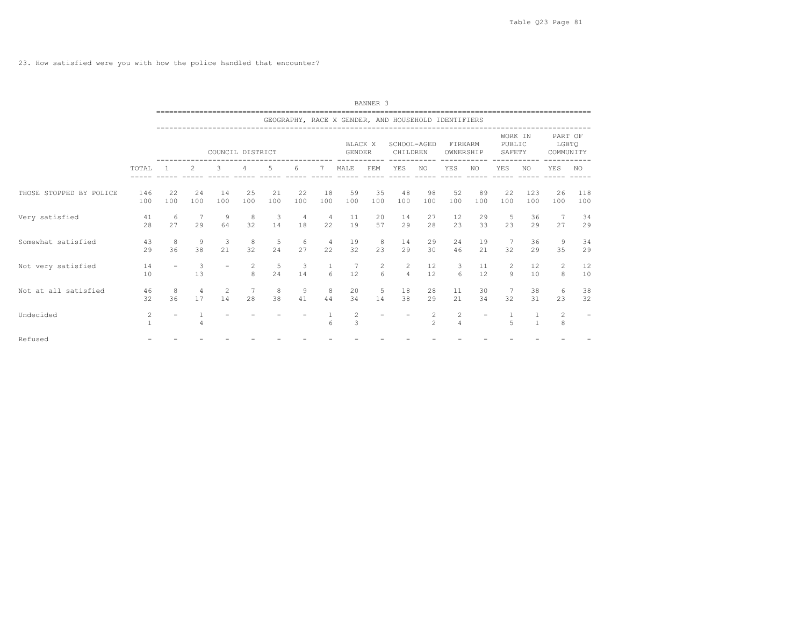23. How satisfied were you with how the police handled that encounter?

|                         |            |                          |                      |                  |           |           |           |                      |                          | BANNER <sub>3</sub> |                                                                                   |               |                                |           |                             |            |                               |            |
|-------------------------|------------|--------------------------|----------------------|------------------|-----------|-----------|-----------|----------------------|--------------------------|---------------------|-----------------------------------------------------------------------------------|---------------|--------------------------------|-----------|-----------------------------|------------|-------------------------------|------------|
|                         |            |                          |                      |                  |           |           |           |                      |                          |                     | --------------------------<br>GEOGRAPHY, RACE X GENDER, AND HOUSEHOLD IDENTIFIERS |               |                                |           |                             |            |                               |            |
|                         |            |                          |                      | COUNCIL DISTRICT |           |           |           |                      | BLACK X<br><b>GENDER</b> |                     | SCHOOL-AGED<br>CHILDREN                                                           |               | FIREARM<br>OWNERSHIP           |           | WORK IN<br>PUBLIC<br>SAFETY |            | PART OF<br>LGBTQ<br>COMMUNITY |            |
|                         | TOTAL      |                          | 2                    | 3                | 4         | 5         | 6         | 7                    | MALE                     | FEM                 | YES                                                                               | NO.           | <b>YES</b>                     | NO.       | YES                         | NO.        | <b>YES</b>                    | NO.        |
| THOSE STOPPED BY POLICE | 146<br>100 | 22<br>100                | 24<br>100            | 14<br>100        | 25<br>100 | 21<br>100 | 22<br>100 | 18<br>100            | 59<br>100                | 35<br>100           | 48<br>100                                                                         | 98<br>100     | 52<br>100                      | 89<br>100 | 22<br>100                   | 123<br>100 | 26<br>100                     | 118<br>100 |
| Very satisfied          | 41<br>28   | 6<br>27                  | -7<br>29             | 9<br>64          | 8<br>32   | 3<br>14   | 4<br>18   | 4<br>22              | 11<br>19                 | 20<br>57            | 14<br>29                                                                          | 27<br>28      | 12<br>23                       | 29<br>33  | 5<br>23                     | 36<br>29   | 7<br>27                       | 34<br>29   |
| Somewhat satisfied      | 43<br>29   | 8<br>36                  | $\overline{9}$<br>38 | 3<br>21          | 8<br>32   | 5<br>24   | 6<br>27   | $\overline{4}$<br>22 | 19<br>32                 | 8<br>23             | 14<br>29                                                                          | 29<br>30      | 24<br>46                       | 19<br>21  | - 7<br>32                   | 36<br>29   | 9<br>35                       | 34<br>29   |
| Not very satisfied      | 14<br>10   | $\overline{\phantom{a}}$ | 3<br>13              |                  | 2<br>8    | 5<br>24   | 3<br>14   | $\mathbf{1}$<br>6    | 12                       | $\overline{2}$<br>6 | $\overline{c}$<br>$\overline{4}$                                                  | 12<br>12      | 3<br>6                         | 11<br>12  | 2<br>9                      | 12<br>10   | $\overline{2}$<br>8           | 12<br>10   |
| Not at all satisfied    | 46<br>32   | 8<br>36                  | $\overline{4}$<br>17 | 2<br>14          | 7<br>28   | 8<br>38   | 9<br>41   | 8<br>44              | 20<br>34                 | 5<br>14             | 18<br>38                                                                          | 28<br>29      | 11<br>21                       | 30<br>34  | 32                          | 38<br>31   | 6<br>23                       | 38<br>32   |
| Undecided               | 2          |                          | 4                    |                  |           |           |           | 6                    | 2<br>$\overline{3}$      |                     |                                                                                   | $\frac{2}{2}$ | $\mathbf{2}$<br>$\overline{4}$ |           | $\overline{5}$              |            | $\overline{2}$<br>8           |            |
| Refused                 |            |                          |                      |                  |           |           |           |                      |                          |                     |                                                                                   |               |                                |           |                             |            |                               |            |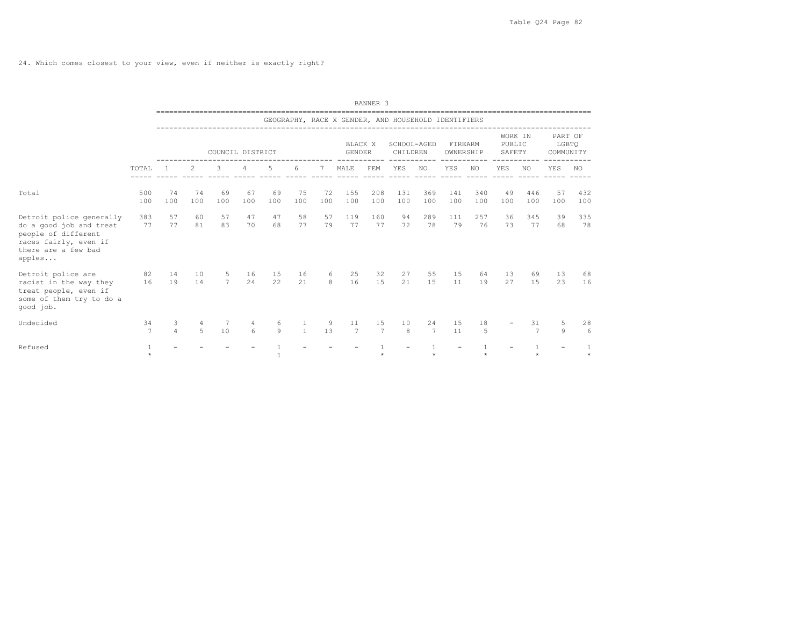24. Which comes closest to your view, even if neither is exactly right?

|                                                                                                                                      |            |           |           |           |                       |              |                      |           |                   | BANNER <sub>3</sub> |                                                     |                      |                      |            |                             |            |                               |            |
|--------------------------------------------------------------------------------------------------------------------------------------|------------|-----------|-----------|-----------|-----------------------|--------------|----------------------|-----------|-------------------|---------------------|-----------------------------------------------------|----------------------|----------------------|------------|-----------------------------|------------|-------------------------------|------------|
|                                                                                                                                      |            |           |           |           |                       |              |                      |           |                   |                     | GEOGRAPHY, RACE X GENDER, AND HOUSEHOLD IDENTIFIERS |                      |                      |            |                             |            |                               |            |
|                                                                                                                                      |            |           |           |           | COUNCIL DISTRICT      |              |                      |           | BLACK X<br>GENDER |                     | SCHOOL-AGED<br>CHILDREN                             |                      | FIREARM<br>OWNERSHIP |            | WORK IN<br>PUBLIC<br>SAFETY |            | PART OF<br>LGBTO<br>COMMUNITY |            |
|                                                                                                                                      | TOTAL      |           | 2         | 3         | 4                     | 5            | 6                    | 7         | MALE              | FEM                 | YES                                                 | NO.                  | YES                  | NO.        | <b>YES</b>                  | NO.        | YES                           | <b>NO</b>  |
| Total                                                                                                                                | 500<br>100 | 74<br>100 | 74<br>100 | 69<br>100 | 67<br>100             | 69<br>100    | 75<br>100            | 72<br>100 | 155<br>100        | 208<br>100          | 131<br>100                                          | 369<br>100           | 141<br>100           | 340<br>100 | 49<br>100                   | 446<br>100 | 57<br>100                     | 432<br>100 |
| Detroit police generally<br>do a good job and treat<br>people of different<br>races fairly, even if<br>there are a few bad<br>apples | 383<br>77  | 57<br>77  | 60<br>81  | 57<br>83  | 47<br>70              | 47<br>68     | 58<br>77             | 57<br>79  | 119<br>77         | 160<br>77           | 94<br>72                                            | 289<br>78            | 111<br>79            | 257<br>76  | 36<br>73                    | 345<br>77  | 39<br>68                      | 335<br>78  |
| Detroit police are<br>racist in the way they<br>treat people, even if<br>some of them try to do a<br>good job.                       | 82<br>16   | 14<br>19  | 10<br>14  | 5<br>7    | 16<br>24              | 15<br>22     | 16<br>21             | 6<br>8    | 25<br>16          | 32<br>15            | 27<br>21                                            | 55<br>1.5            | 15<br>11             | 64<br>19   | 13<br>27                    | 69<br>15   | 13<br>23                      | 68<br>16   |
| Undecided                                                                                                                            | 34<br>7    | 3<br>4    | 4<br>5    | 7<br>10   | 4<br>$6 \overline{6}$ | 6<br>9       | -1<br>$\overline{1}$ | 9<br>13   | 11<br>7           | 15<br>7             | 10<br>8                                             | 24<br>$\overline{7}$ | 15<br>11             | 18<br>5    |                             | 31<br>7    | 5<br>9                        | 28<br>6    |
| Refused                                                                                                                              | $\star$    |           |           |           |                       | $\mathbf{1}$ |                      |           |                   |                     |                                                     |                      |                      |            |                             |            |                               | $\star$    |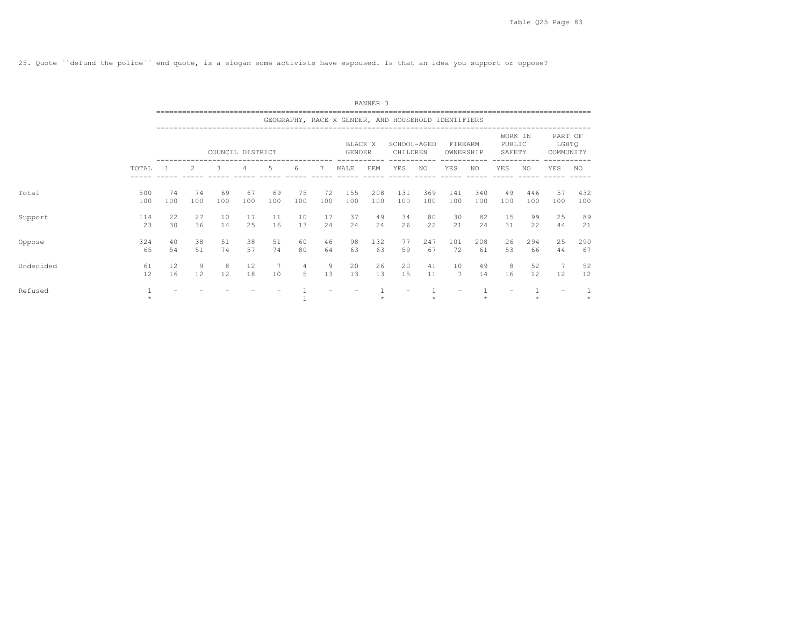25. Quote ``defund the police´´ end quote, is a slogan some activists have espoused. Is that an idea you support or oppose?

|           |            |           |           |                  |           |           |           |           |                                                     | BANNER 3   |                         |            |                      |               |                             |            |                               |            |
|-----------|------------|-----------|-----------|------------------|-----------|-----------|-----------|-----------|-----------------------------------------------------|------------|-------------------------|------------|----------------------|---------------|-----------------------------|------------|-------------------------------|------------|
|           |            |           |           |                  |           |           |           |           | GEOGRAPHY, RACE X GENDER, AND HOUSEHOLD IDENTIFIERS |            |                         |            |                      |               |                             |            |                               |            |
|           |            |           |           | COUNCIL DISTRICT |           |           |           |           | BLACK X<br>GENDER                                   |            | SCHOOL-AGED<br>CHILDREN |            | FIREARM<br>OWNERSHIP |               | WORK IN<br>PUBLIC<br>SAFETY |            | PART OF<br>LGBTO<br>COMMUNITY |            |
|           | TOTAL      |           | 2         | 3                | 4         | 5         | 6         | 7         | MALE                                                | FEM        | YES                     | NO.        | YES                  | ------<br>NO. | YES                         | NO.        | YES                           | NO.        |
| Total     | 500<br>100 | 74<br>100 | 74<br>100 | 69<br>100        | 67<br>100 | 69<br>100 | 75<br>100 | 72<br>100 | 155<br>100                                          | 208<br>100 | 131<br>100              | 369<br>100 | 141<br>100           | 340<br>100    | 49<br>100                   | 446<br>100 | 57<br>100                     | 432<br>100 |
| Support   | 114<br>23  | 22<br>30  | 27<br>36  | 10<br>14         | 17<br>25  | 11<br>16  | 10<br>13  | 17<br>24  | 37<br>24                                            | 49<br>24   | 34<br>26                | 80<br>22   | 30<br>21             | 82<br>24      | 15<br>31                    | 99<br>22   | 25<br>44                      | 89<br>21   |
| Oppose    | 324<br>65  | 40<br>54  | 38<br>51  | 51<br>74         | 38<br>57  | 51<br>74  | 60<br>80  | 46<br>64  | 98<br>63                                            | 132<br>63  | 77<br>59                | 247<br>67  | 101<br>72            | 208<br>61     | 26<br>53                    | 294<br>66  | 25<br>44                      | 290<br>67  |
| Undecided | 61<br>12   | 12<br>16  | 9<br>12   | 8<br>12          | 12<br>18  | -7<br>10  | 4<br>5    | 9<br>13   | 20<br>13                                            | 26<br>13   | 20<br>15                | 41<br>11   | 10<br>7              | 49<br>14      | 8<br>16                     | 52<br>12   | $7\phantom{.0}$<br>12         | 52<br>12   |
| Refused   | $\star$    |           |           |                  |           |           |           |           |                                                     |            |                         |            |                      |               |                             |            | $\overline{\phantom{a}}$      |            |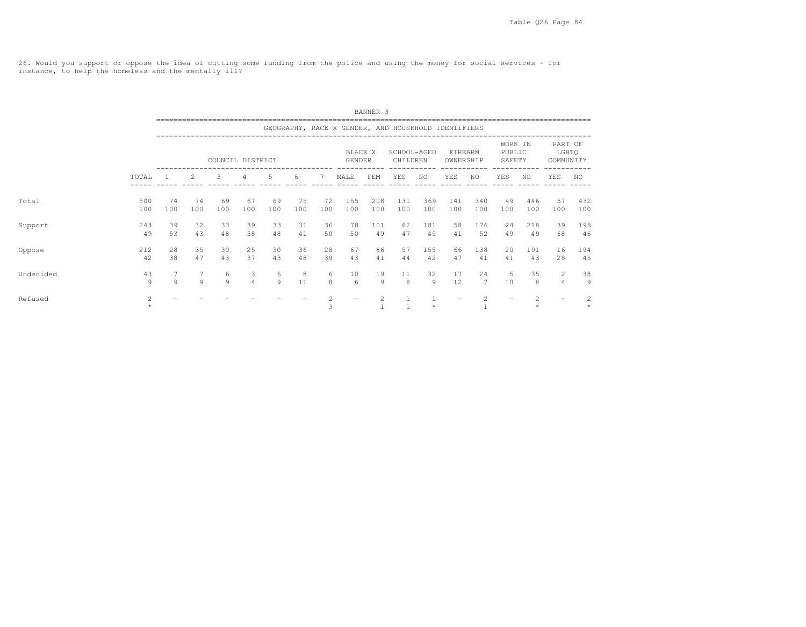26. Would you support or oppose the idea of cutting some funding from the police and using the money for social services - for instance, to help the homeless and the mentally ill?

|           |                |           |           |                  |                     |           |           |                     |                                                     | BANNER <sub>3</sub> |                         |            |                      |                |                             |            |                               |              |
|-----------|----------------|-----------|-----------|------------------|---------------------|-----------|-----------|---------------------|-----------------------------------------------------|---------------------|-------------------------|------------|----------------------|----------------|-----------------------------|------------|-------------------------------|--------------|
|           |                |           |           |                  |                     |           |           |                     | GEOGRAPHY, RACE X GENDER, AND HOUSEHOLD IDENTIFIERS |                     |                         |            |                      |                |                             |            |                               |              |
|           |                |           |           | COUNCIL DISTRICT |                     |           |           |                     | BLACK X<br><b>GENDER</b>                            |                     | SCHOOL-AGED<br>CHILDREN |            | FIREARM<br>OWNERSHIP |                | WORK IN<br>PUBLIC<br>SAFETY |            | PART OF<br>LGBTQ<br>COMMUNITY |              |
|           | TOTAL          |           | 2         | 3                | 4                   | 5         | 6         |                     | MALE                                                | FEM                 | YES                     | NO         | YES                  | NO.            | YES                         | NO.        | YES                           | NO.          |
| Total     | 500<br>100     | 74<br>100 | 74<br>100 | 69<br>100        | 67<br>100           | 69<br>100 | 75<br>100 | 72<br>100           | 155<br>100                                          | 208<br>100          | 131<br>100              | 369<br>100 | 141<br>100           | 340<br>100     | 49<br>100                   | 446<br>100 | 57<br>100                     | 432<br>100   |
| Support   | 243<br>49      | 39<br>53  | 32<br>43  | 33<br>48         | 39<br>58            | 33<br>48  | 31<br>41  | 36<br>50            | 78<br>50                                            | 101<br>49           | 62<br>47                | 181<br>49  | 58<br>41             | 176<br>52      | 24<br>49                    | 218<br>49  | 39<br>68                      | 198<br>46    |
| Oppose    | 212<br>42      | 28<br>38  | 35<br>47  | 30<br>43         | 25<br>37            | 30<br>43  | 36<br>48  | 28<br>39            | 67<br>43                                            | 86<br>41            | 57<br>44                | 155<br>42  | 66<br>47             | 138<br>41      | 20<br>41                    | 191<br>43  | 16<br>28                      | 194<br>45    |
| Undecided | 43<br>9        | 9         | 9         | 6<br>9           | 3<br>$\overline{4}$ | 6<br>9    | 8<br>11   | 6<br>8              | 10<br>6                                             | 19<br>9             | 11<br>8                 | 32<br>9    | 17<br>12             | 24<br>7        | 5<br>10                     | 35<br>8    | 2<br>$\overline{4}$           | 38<br>9      |
| Refused   | $\overline{c}$ |           |           |                  |                     |           |           | $\overline{c}$<br>3 |                                                     | 2                   |                         | $\star$    |                      | $\overline{c}$ |                             | 2          |                               | 2<br>$\star$ |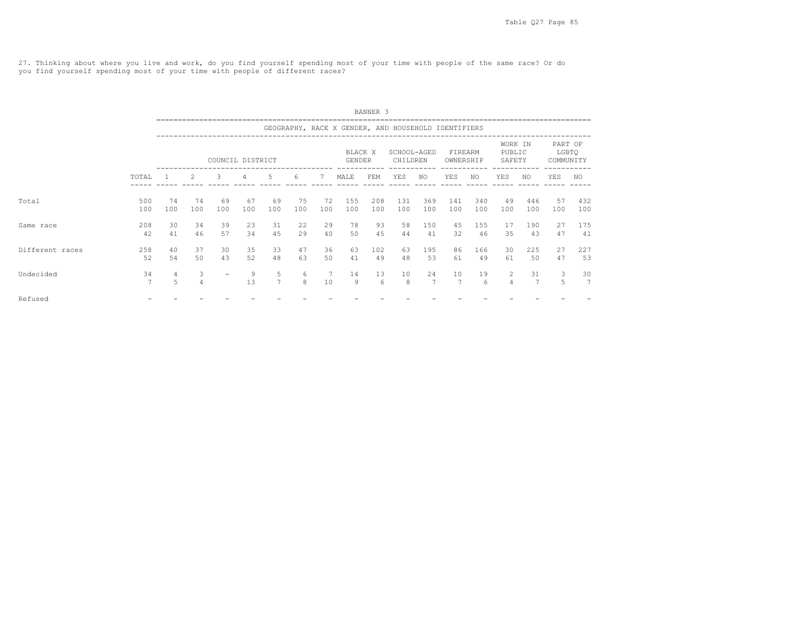27. Thinking about where you live and work, do you find yourself spending most of your time with people of the same race? Or do you find yourself spending most of your time with people of different races?

|                 |                      |                     |                     |                  |                |                     |           |                                    |                                                     | BANNER <sub>3</sub> |                         |                      |                      |            |                                  |            |                               |                      |
|-----------------|----------------------|---------------------|---------------------|------------------|----------------|---------------------|-----------|------------------------------------|-----------------------------------------------------|---------------------|-------------------------|----------------------|----------------------|------------|----------------------------------|------------|-------------------------------|----------------------|
|                 |                      |                     |                     |                  |                |                     |           |                                    | GEOGRAPHY, RACE X GENDER, AND HOUSEHOLD IDENTIFIERS |                     |                         |                      |                      |            |                                  |            |                               |                      |
|                 |                      |                     |                     | COUNCIL DISTRICT |                |                     |           |                                    | BLACK X<br>GENDER                                   |                     | SCHOOL-AGED<br>CHILDREN |                      | FIREARM<br>OWNERSHIP |            | WORK IN<br>PUBLIC<br>SAFETY      |            | PART OF<br>LGBTQ<br>COMMUNITY |                      |
|                 | TOTAL                |                     | $\mathcal{L}$       | 3                | $\overline{4}$ | .5                  | 6         | 7                                  | MALE                                                | FEM                 | YES                     | NO.                  | YES                  | NO.        | <b>YES</b>                       | NO.        | YES                           | NO.                  |
| Total           | 500<br>100           | 74<br>100           | 74<br>100           | 69<br>100        | 67<br>100      | 69<br>100           | 75<br>100 | 72<br>100                          | 155<br>100                                          | 208<br>100          | 131<br>100              | 369<br>100           | 141<br>100           | 340<br>100 | 49<br>100                        | 446<br>100 | 57<br>100                     | 432<br>100           |
| Same race       | 208<br>42            | 30<br>41            | 34<br>46            | 39<br>57         | 23<br>34       | 31<br>45            | 22<br>29  | 29<br>40                           | 78<br>50                                            | 93<br>45            | 58<br>44                | 150<br>41            | 45<br>32             | 155<br>46  | 17<br>35                         | 190<br>43  | 27<br>47                      | 175<br>41            |
| Different races | 258<br>52            | 40<br>54            | 37<br>50            | 30<br>43         | 35<br>52       | 33<br>48            | 47<br>63  | 36<br>50                           | 63<br>41                                            | 102<br>49           | 63<br>48                | 195<br>53            | 86<br>61             | 166<br>49  | 30<br>61                         | 225<br>50  | 27<br>47                      | 227<br>53            |
| Undecided       | 34<br>$\overline{7}$ | $\overline{4}$<br>5 | 3<br>$\overline{4}$ |                  | 9<br>13        | 5<br>7 <sup>7</sup> | 6<br>8    | $7\phantom{.0}\phantom{.0}7$<br>10 | 14<br>9                                             | 13<br>6             | 10<br>8                 | 24<br>$\overline{7}$ | 10<br>$\overline{7}$ | 19<br>-6   | $\overline{2}$<br>$\overline{4}$ | 31<br>7    | 3<br>5                        | 30<br>$\overline{7}$ |
| Refused         |                      |                     |                     |                  |                |                     |           |                                    |                                                     |                     |                         |                      |                      |            |                                  |            |                               |                      |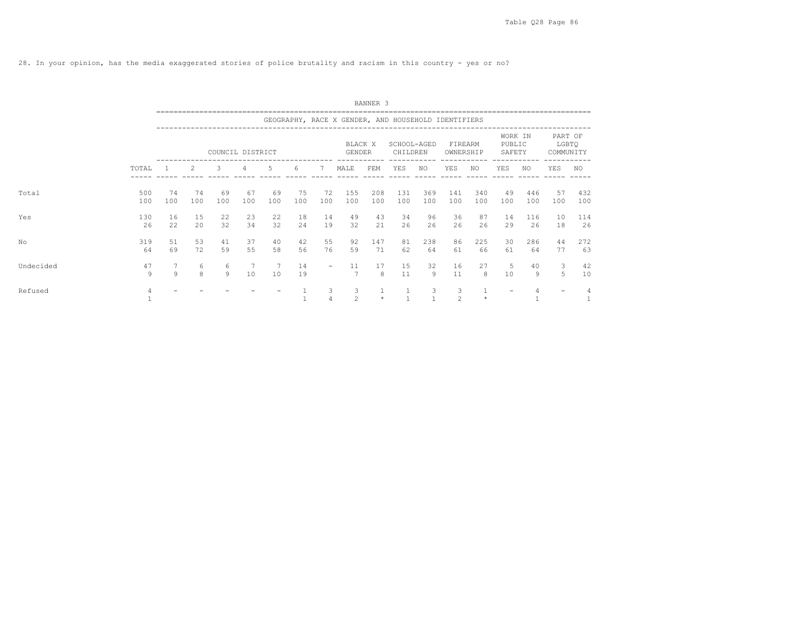28. In your opinion, has the media exaggerated stories of police brutality and racism in this country - yes or no?

|           |            | BANNER <sub>3</sub><br>GEOGRAPHY, RACE X GENDER, AND HOUSEHOLD IDENTIFIERS<br>WORK IN<br>BLACK X<br>PUBLIC<br>SCHOOL-AGED<br>FIREARM<br>COUNCIL DISTRICT<br><b>GENDER</b><br>CHILDREN<br>OWNERSHIP<br>SAFETY<br>2<br>5<br>3<br>MALE<br>FEM<br>YES<br>NO.<br>YES<br>YES<br>NO.<br>6<br>NO.<br>4<br>7<br>74<br>75<br>208<br>131<br>369<br>340<br>69<br>69<br>72<br>155<br>141<br>49<br>446<br>74<br>67<br>100<br>100<br>100<br>100<br>100<br>100<br>100<br>100<br>100<br>100<br>100<br>100<br>100<br>100<br>100 |           |          |          |          |          |                          |                     |           |                              |           |                     |              |          |           |                               |            |
|-----------|------------|---------------------------------------------------------------------------------------------------------------------------------------------------------------------------------------------------------------------------------------------------------------------------------------------------------------------------------------------------------------------------------------------------------------------------------------------------------------------------------------------------------------|-----------|----------|----------|----------|----------|--------------------------|---------------------|-----------|------------------------------|-----------|---------------------|--------------|----------|-----------|-------------------------------|------------|
|           |            |                                                                                                                                                                                                                                                                                                                                                                                                                                                                                                               |           |          |          |          |          |                          |                     |           |                              |           |                     |              |          |           |                               |            |
|           |            |                                                                                                                                                                                                                                                                                                                                                                                                                                                                                                               |           |          |          |          |          |                          |                     |           |                              |           |                     |              |          |           | PART OF<br>LGBTQ<br>COMMUNITY |            |
|           | TOTAL      |                                                                                                                                                                                                                                                                                                                                                                                                                                                                                                               |           |          |          |          |          |                          |                     |           |                              |           |                     |              |          |           | YES                           | NO.        |
| Total     | 500<br>100 |                                                                                                                                                                                                                                                                                                                                                                                                                                                                                                               |           |          |          |          |          |                          |                     |           |                              |           |                     |              |          |           | 57<br>100                     | 432<br>100 |
| Yes       | 130<br>26  | 16<br>22                                                                                                                                                                                                                                                                                                                                                                                                                                                                                                      | 15<br>2.0 | 22<br>32 | 23<br>34 | 22<br>32 | 18<br>24 | 14<br>19                 | 49<br>32            | 43<br>21  | 34<br>26                     | 96<br>26  | 36<br>26            | 87<br>26     | 14<br>29 | 116<br>26 | 10<br>18                      | 114<br>26  |
| No        | 319<br>64  | 51<br>69                                                                                                                                                                                                                                                                                                                                                                                                                                                                                                      | 53<br>72  | 41<br>59 | 37<br>55 | 40<br>58 | 42<br>56 | 55<br>76                 | 92<br>59            | 147<br>71 | 81<br>62                     | 238<br>64 | 86<br>61            | 225<br>66    | 30<br>61 | 286<br>64 | 44<br>77                      | 272<br>63  |
| Undecided | 47<br>9    | $\overline{7}$<br>9                                                                                                                                                                                                                                                                                                                                                                                                                                                                                           | 6<br>8    | 6<br>9   | 7<br>10  | 10       | 14<br>19 | $\overline{\phantom{a}}$ | 11                  | 17<br>8   | 15<br>11                     | 32<br>9   | 16<br>11            | 27<br>8      | 5<br>10  | 40<br>9   | 3<br>5                        | 42<br>10   |
| Refused   |            |                                                                                                                                                                                                                                                                                                                                                                                                                                                                                                               |           |          |          |          |          | 3<br>$\overline{4}$      | 3<br>$\overline{c}$ | $\star$   | $\mathbf{1}$<br>$\mathbf{1}$ | 3         | 3<br>$\overline{c}$ | $\mathbf{1}$ |          |           |                               |            |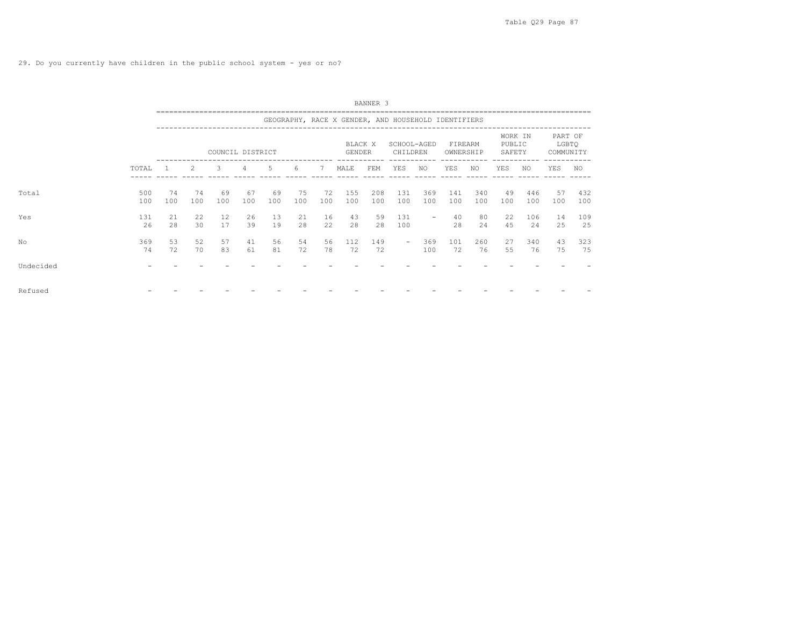|           |            |           |           |                  |           |           |           |           |                                                     | BANNER 3   |                         |                          |                      |            |                             |            |                               |            |  |
|-----------|------------|-----------|-----------|------------------|-----------|-----------|-----------|-----------|-----------------------------------------------------|------------|-------------------------|--------------------------|----------------------|------------|-----------------------------|------------|-------------------------------|------------|--|
|           |            |           |           |                  |           |           |           |           | GEOGRAPHY, RACE X GENDER, AND HOUSEHOLD IDENTIFIERS |            |                         |                          |                      |            |                             |            |                               |            |  |
|           |            |           |           | COUNCIL DISTRICT |           |           |           |           | GENDER                                              | BLACK X    | SCHOOL-AGED<br>CHILDREN |                          | FIREARM<br>OWNERSHIP |            | WORK IN<br>PUBLIC<br>SAFETY |            | PART OF<br>LGBTQ<br>COMMUNITY |            |  |
|           | TOTAL      |           | 2         | 3                | 4         | 5         | 6         | 7         | MALE                                                | FEM        | YES                     | NO.                      | YES                  | NO         | YES                         | NO.        | YES                           | NO         |  |
| Total     | 500<br>100 | 74<br>100 | 74<br>100 | 69<br>100        | 67<br>100 | 69<br>100 | 75<br>100 | 72<br>100 | 155<br>100                                          | 208<br>100 | 131<br>100              | 369<br>100               | 141<br>100           | 340<br>100 | 49<br>100                   | 446<br>100 | 57<br>100                     | 432<br>100 |  |
| Yes       | 131<br>26  | 21<br>28  | 22<br>30  | 12<br>17         | 26<br>39  | 13<br>19  | 21<br>28  | 16<br>22  | 43<br>28                                            | 59<br>28   | 131<br>100              | $\overline{\phantom{a}}$ | 40<br>2.8            | 80<br>24   | 22<br>45                    | 106<br>24  | 14<br>25                      | 109<br>25  |  |
| No        | 369<br>74  | 53<br>72  | 52<br>70  | 57<br>83         | 41<br>61  | 56<br>81  | 54<br>72  | 56<br>78  | 112<br>72                                           | 149<br>72  | $\sim$                  | 369<br>100               | 101<br>72            | 260<br>76  | 27<br>55                    | 340<br>76  | 43<br>75                      | 323<br>75  |  |
| Undecided |            |           |           |                  |           |           |           |           |                                                     |            |                         |                          |                      |            |                             |            |                               |            |  |
| Refused   |            |           |           |                  |           |           |           |           |                                                     |            |                         |                          |                      |            |                             |            |                               |            |  |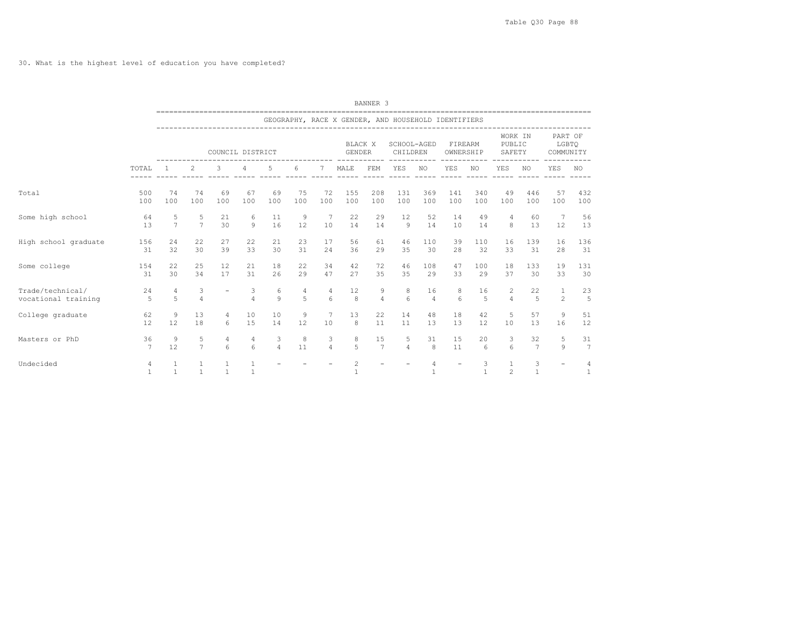30. What is the highest level of education you have completed?

|                                         |                       |                     | BANNER <sub>3</sub><br>GEOGRAPHY, RACE X GENDER, AND HOUSEHOLD IDENTIFIERS<br>WORK IN<br>BLACK X<br>SCHOOL-AGED<br>FIREARM<br>PUBLIC<br>COUNCIL DISTRICT<br>CHILDREN<br><b>GENDER</b><br>OWNERSHIP<br>SAFETY<br>-----<br>5<br>6<br>2<br>3<br>7<br>MALE<br>FEM<br>YES<br>NO<br>YES<br>YES<br>NO<br>NO<br>4<br>75<br>155<br>369<br>340<br>74<br>69<br>67<br>69<br>72<br>208<br>131<br>141<br>49<br>446<br>100<br>100<br>100<br>100<br>100<br>100<br>100<br>100<br>100<br>100<br>100<br>100<br>100<br>100<br>9<br>5<br>21<br>11<br>22<br>29<br>12<br>14<br>49<br>6<br>7<br>52<br>4<br>60<br>$\overline{7}$<br>30<br>9<br>16<br>12<br>14<br>$\overline{9}$<br>8<br>10<br>14<br>14<br>10<br>14<br>13<br>27<br>22<br>23<br>22<br>21<br>17<br>56<br>61<br>46<br>110<br>39<br>110<br>16<br>139<br>33<br>30<br>39<br>30<br>31<br>36<br>35<br>32<br>24<br>29<br>30<br>28<br>33<br>31<br>12<br>22<br>34<br>25<br>21<br>18<br>42<br>72<br>46<br>108<br>47<br>100<br>18<br>133 |                          |                       |                     |         |                     |                                |                     |                     |                      |          |                   |                                |                      |                                |                       |
|-----------------------------------------|-----------------------|---------------------|-------------------------------------------------------------------------------------------------------------------------------------------------------------------------------------------------------------------------------------------------------------------------------------------------------------------------------------------------------------------------------------------------------------------------------------------------------------------------------------------------------------------------------------------------------------------------------------------------------------------------------------------------------------------------------------------------------------------------------------------------------------------------------------------------------------------------------------------------------------------------------------------------------------------------------------------------------------------|--------------------------|-----------------------|---------------------|---------|---------------------|--------------------------------|---------------------|---------------------|----------------------|----------|-------------------|--------------------------------|----------------------|--------------------------------|-----------------------|
|                                         |                       |                     |                                                                                                                                                                                                                                                                                                                                                                                                                                                                                                                                                                                                                                                                                                                                                                                                                                                                                                                                                                   |                          |                       |                     |         |                     |                                |                     |                     |                      |          |                   |                                |                      |                                |                       |
|                                         |                       |                     |                                                                                                                                                                                                                                                                                                                                                                                                                                                                                                                                                                                                                                                                                                                                                                                                                                                                                                                                                                   |                          |                       |                     |         |                     |                                |                     |                     |                      |          |                   |                                |                      | PART OF<br>LGBTO<br>COMMUNITY  |                       |
|                                         | TOTAL                 |                     |                                                                                                                                                                                                                                                                                                                                                                                                                                                                                                                                                                                                                                                                                                                                                                                                                                                                                                                                                                   |                          |                       |                     |         |                     |                                |                     |                     |                      |          |                   |                                |                      | YES                            | NO.                   |
| Total                                   | 500<br>100            | 74<br>100           |                                                                                                                                                                                                                                                                                                                                                                                                                                                                                                                                                                                                                                                                                                                                                                                                                                                                                                                                                                   |                          |                       |                     |         |                     |                                |                     |                     |                      |          |                   |                                |                      | 57<br>100                      | 432<br>100            |
| Some high school                        | 64<br>13              | 5<br>$\overline{7}$ |                                                                                                                                                                                                                                                                                                                                                                                                                                                                                                                                                                                                                                                                                                                                                                                                                                                                                                                                                                   |                          |                       |                     |         |                     |                                |                     |                     |                      |          |                   |                                |                      | 7<br>12                        | 56<br>13              |
| High school graduate                    | 156<br>31             | 24<br>32            |                                                                                                                                                                                                                                                                                                                                                                                                                                                                                                                                                                                                                                                                                                                                                                                                                                                                                                                                                                   |                          |                       |                     |         |                     |                                |                     |                     |                      |          |                   |                                |                      | 16<br>28                       | 136<br>31             |
| Some college                            | 154<br>31             | 22<br>30            | 34                                                                                                                                                                                                                                                                                                                                                                                                                                                                                                                                                                                                                                                                                                                                                                                                                                                                                                                                                                | 17                       | 31                    | 26                  | 29      | 47                  | 27                             | 35                  | 35                  | 29                   | 33       | 29                | 37                             | 30                   | 19<br>33                       | 131<br>30             |
| Trade/technical/<br>vocational training | 24<br>5               | $\overline{4}$<br>5 | 3<br>$\overline{4}$                                                                                                                                                                                                                                                                                                                                                                                                                                                                                                                                                                                                                                                                                                                                                                                                                                                                                                                                               | $\overline{\phantom{a}}$ | 3<br>$\overline{4}$   | 6<br>9              | 4<br>5  | 4<br>6              | 12<br>8                        | 9<br>$\overline{4}$ | 8<br>6              | 16<br>$\overline{4}$ | 8<br>6   | 16<br>5           | 2<br>$\overline{4}$            | 22<br>$\overline{5}$ | $\mathbf{1}$<br>$\overline{c}$ | 23<br>5               |
| College graduate                        | 62<br>12              | 9<br>12             | 13<br>18                                                                                                                                                                                                                                                                                                                                                                                                                                                                                                                                                                                                                                                                                                                                                                                                                                                                                                                                                          | 4<br>6                   | 10<br>15              | 10<br>14            | 9<br>12 | 7<br>10             | 13<br>8                        | 22<br>11            | 14<br>11            | 48<br>13             | 18<br>13 | 42<br>12          | 5<br>10                        | 57<br>13             | 9<br>16                        | 51<br>12              |
| Masters or PhD                          | 36<br>$7\phantom{.0}$ | 9<br>12             | 5<br>$\overline{7}$                                                                                                                                                                                                                                                                                                                                                                                                                                                                                                                                                                                                                                                                                                                                                                                                                                                                                                                                               | 4<br>$6 \overline{6}$    | 4<br>$6 \overline{6}$ | 3<br>$\overline{4}$ | 8<br>11 | 3<br>$\overline{4}$ | 8<br>5                         | 15<br>7             | 5<br>$\overline{4}$ | 31<br>8              | 15<br>11 | 20<br>6           | 3<br>6                         | 32<br>7              | 5<br>9                         | 31<br>$7\phantom{.0}$ |
| Undecided                               | 4<br>$\mathbf{1}$     | 1<br>$\mathbf{1}$   | 1<br>$\mathbf{1}$                                                                                                                                                                                                                                                                                                                                                                                                                                                                                                                                                                                                                                                                                                                                                                                                                                                                                                                                                 | 1<br>$\overline{1}$      | 1<br>$\mathbf{1}$     |                     |         |                     | $\overline{c}$<br>$\mathbf{1}$ |                     |                     | 4<br>$\mathbf{1}$    |          | 3<br>$\mathbf{1}$ | $\mathbf{1}$<br>$\mathfrak{D}$ | 3<br>$\mathbf{1}$    |                                | 4<br>$\mathbf{1}$     |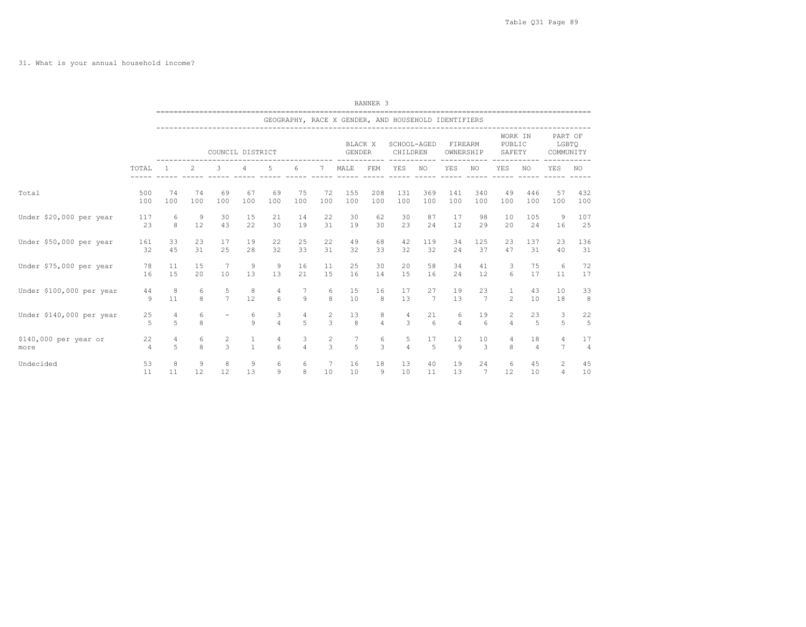|                          |         |                |        |                     |              |                     |                |        |                                                     | BANNER 3            |                         |                |                      |                       |                             |                      |                               |                |
|--------------------------|---------|----------------|--------|---------------------|--------------|---------------------|----------------|--------|-----------------------------------------------------|---------------------|-------------------------|----------------|----------------------|-----------------------|-----------------------------|----------------------|-------------------------------|----------------|
|                          |         |                |        |                     |              |                     |                |        | GEOGRAPHY, RACE X GENDER, AND HOUSEHOLD IDENTIFIERS |                     |                         |                |                      |                       |                             |                      |                               |                |
|                          |         |                |        | COUNCIL DISTRICT    |              |                     |                |        | BLACK X<br><b>GENDER</b>                            |                     | SCHOOL-AGED<br>CHILDREN |                | FIREARM<br>OWNERSHIP |                       | WORK IN<br>PUBLIC<br>SAFETY |                      | PART OF<br>LGBTO<br>COMMUNITY |                |
|                          | TOTAL   | $\overline{1}$ | 2      | 3                   | 4            | 5                   | 6              | 7      | MALE                                                | FEM                 | YES                     | NO.            | YES                  | NO.                   | YES                         | NO.                  | YES                           | NO.            |
| Total                    | 500     | 74             | 74     | 69                  | 67           | 69                  | 75             | 72     | 155                                                 | 208                 | 131                     | 369            | 141                  | 340                   | 49                          | 446                  | 57                            | 432            |
|                          | 100     | 100            | 100    | 100                 | 100          | 100                 | 100            | 100    | 100                                                 | 100                 | 100                     | 100            | 100                  | 100                   | 100                         | 100                  | 100                           | 100            |
| Under \$20,000 per year  | 117     | 6              | 9      | 30                  | 15           | 21                  | 14             | 22     | 30                                                  | 62                  | 30                      | 87             | 17                   | 98                    | 10                          | 105                  | 9                             | 107            |
|                          | 23      | 8              | 12     | 43                  | 22           | 30                  | 19             | 31     | 19                                                  | 30                  | 23                      | 24             | 12                   | 29                    | 20                          | 24                   | 16                            | 25             |
| Under \$50,000 per year  | 161     | 33             | 23     | 17                  | 19           | 22                  | 25             | 22     | 49                                                  | 68                  | 42                      | 119            | 34                   | 125                   | 23                          | 137                  | 23                            | 136            |
|                          | 32      | 45             | 31     | 25                  | 28           | 32                  | 33             | 31     | 32                                                  | 33                  | 32                      | 32             | 24                   | 37                    | 47                          | 31                   | 40                            | 31             |
| Under \$75,000 per year  | 78      | 11             | 15     | 7                   | 9            | 9                   | 16             | 11     | 25                                                  | 30                  | 20                      | 58             | 34                   | 41                    | 3                           | 75                   | 6                             | 72             |
|                          | 16      | 15             | 20     | 10                  | 13           | 13                  | 21             | 15     | 16                                                  | 14                  | 15                      | 16             | 24                   | 12                    | 6                           | 17                   | 11                            | 17             |
| Under \$100,000 per year | 44<br>9 | 8<br>11        | 6<br>8 | 5<br>$\overline{7}$ | 8<br>12      | 4<br>6              | 9              | 6<br>8 | 15<br>10                                            | 16<br>8             | 17<br>13                | 27<br>7        | 19<br>13             | 23<br>$7\phantom{.0}$ | $\mathbf{1}$<br>2           | 43<br>10             | 10<br>18                      | 33<br>8        |
| Under \$140,000 per year | 25<br>5 | 4<br>5         | 6<br>8 |                     | 6<br>9       | 3<br>$\overline{4}$ | 4<br>5         | 2<br>3 | 13<br>8                                             | 8<br>$\overline{4}$ | 4<br>3                  | 21<br>6        | 6<br>$\overline{4}$  | 19<br>6               | 2<br>$\overline{4}$         | 23<br>$\overline{5}$ | 3<br>5                        | 22<br>5        |
| \$140,000 per year or    | 22      | 4              | 6      | 2                   | 1            | 4                   | 3              | 2      | 7                                                   | 6                   | 5                       | 17             | 12                   | 10                    | 4                           | 18                   | 4                             | 17             |
| more                     | 4       | 5              | 8      | 3                   | $\mathbf{1}$ | 6                   | $\overline{4}$ | 3      | 5                                                   | 3                   | $\overline{4}$          | $\overline{5}$ | 9                    | 3                     | 8                           | $\overline{4}$       | $\overline{7}$                | $\overline{4}$ |
| Undecided                | 53      | 8              | 9      | 8                   | 9            | 6                   | 6              | 7      | 16                                                  | 18                  | 13                      | 40             | 19                   | 24                    | 6                           | 45                   | 2                             | 45             |
|                          | 11      | 11             | 12     | 12                  | 13           | 9                   | 8              | 10     | 10                                                  | 9                   | 10                      | 11             | 13                   | $7\phantom{.0}$       | 12                          | 10                   | $\overline{4}$                | 10             |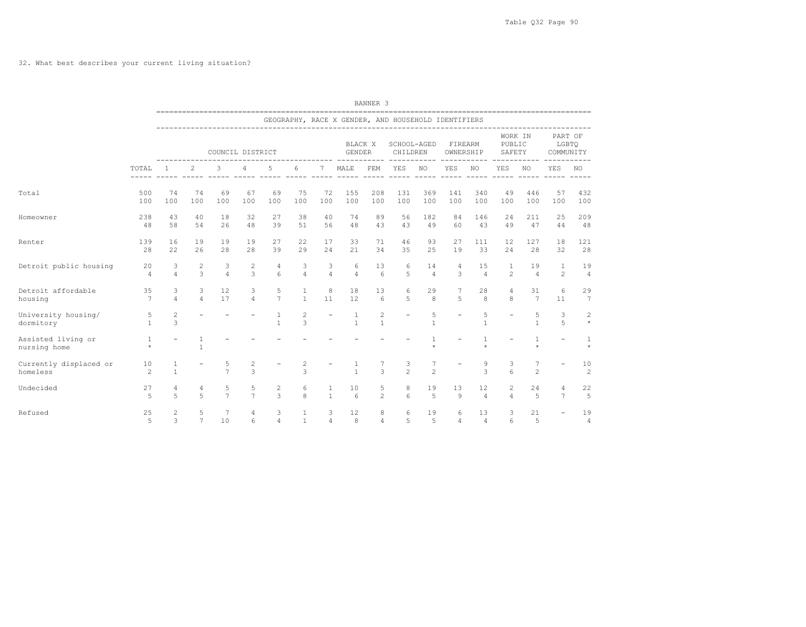32. What best describes your current living situation?

|                                    |                      | ___________________________  |                     |                     |                     |                      |                              |                                  |                          | BANNER 3            |                                                     |                      |                          |                      |                             |                       |                               |                      |
|------------------------------------|----------------------|------------------------------|---------------------|---------------------|---------------------|----------------------|------------------------------|----------------------------------|--------------------------|---------------------|-----------------------------------------------------|----------------------|--------------------------|----------------------|-----------------------------|-----------------------|-------------------------------|----------------------|
|                                    |                      |                              |                     |                     |                     |                      |                              |                                  |                          |                     | GEOGRAPHY, RACE X GENDER, AND HOUSEHOLD IDENTIFIERS |                      |                          |                      |                             |                       |                               |                      |
|                                    |                      |                              |                     | COUNCIL DISTRICT    |                     |                      |                              |                                  | BLACK X<br><b>GENDER</b> |                     | SCHOOL-AGED<br>CHILDREN                             |                      | FIREARM<br>OWNERSHIP     | ------               | WORK IN<br>PUBLIC<br>SAFETY |                       | PART OF<br>LGBTO<br>COMMUNITY |                      |
|                                    | TOTAL<br>-----       |                              | 2                   | 3<br>$- - - - - -$  | 4                   | 5                    | 6                            | $7\phantom{.0}$<br>$\frac{1}{2}$ | MALE                     | FEM                 | YES<br>$- - - - - -$                                | NO                   | YES<br>$\frac{1}{2}$     | NO<br>$- - - - -$    | YES                         | NO                    | YES                           | NO                   |
| Total                              | 500<br>100           | 74<br>100                    | 74<br>100           | 69<br>100           | 67<br>100           | 69<br>100            | 75<br>100                    | 72<br>100                        | 155<br>100               | 208<br>100          | 131<br>100                                          | 369<br>100           | 141<br>100               | 340<br>100           | 49<br>100                   | 446<br>100            | 57<br>100                     | 432<br>100           |
| Homeowner                          | 238<br>48            | 43<br>58                     | 40<br>54            | 18<br>26            | 32<br>48            | 27<br>39             | 38<br>51                     | 40<br>56                         | 74<br>48                 | 89<br>43            | 56<br>43                                            | 182<br>49            | 84<br>60                 | 146<br>43            | 24<br>49                    | 211<br>47             | 25<br>44                      | 209<br>48            |
| Renter                             | 139<br>28            | 16<br>2.2.                   | 19<br>26            | 19<br>28            | 19<br>28            | 27<br>39             | 22<br>29                     | 17<br>2.4                        | 33<br>21                 | 71<br>34            | 46<br>35                                            | 93<br>25             | 27<br>19                 | 111<br>33            | 12<br>2.4                   | 127<br>28             | 18<br>32                      | 121<br>28            |
| Detroit public housing             | 20<br>$\overline{4}$ | 3<br>$\overline{4}$          | $\overline{c}$<br>3 | 3<br>$\overline{4}$ | 2<br>3              | 4<br>$6\overline{6}$ | 3<br>$\overline{4}$          | 3<br>$\overline{4}$              | 6<br>$\overline{4}$      | 13<br>6             | 6<br>5                                              | 14<br>$\overline{4}$ | 4<br>3                   | 15<br>$\overline{4}$ | 1<br>$\mathfrak{D}$         | 19<br>$\overline{4}$  | 1<br>$\overline{2}$           | 19<br>$\overline{4}$ |
| Detroit affordable<br>housing      | 35<br>7              | 3<br>$\overline{4}$          | 3<br>$\overline{4}$ | 12<br>17            | 3<br>$\overline{4}$ | 5<br>$7\overline{ }$ | $\mathbf{1}$<br>$\mathbf{1}$ | 8<br>11                          | 18<br>12                 | 13<br>6             | 6<br>5                                              | 29<br>8              | 5                        | 28<br>8              | 4<br>8                      | 31<br>$7\phantom{.0}$ | 6<br>11                       | 29<br>7              |
| University housing/<br>dormitory   | 5<br>$\mathbf{1}$    | $\sqrt{2}$<br>$\overline{3}$ |                     |                     |                     | 1<br>$\mathbf{1}$    | 2<br>3                       | $\overline{\phantom{a}}$         | 1<br>$\mathbf{1}$        | 2<br>$\mathbf{1}$   | $\overline{\phantom{0}}$                            | 5<br>$\mathbf{1}$    | $\overline{\phantom{a}}$ | 5<br>$\mathbf{1}$    |                             | 5<br>$\mathbf{1}$     | 3<br>5                        | 2<br>$\star$         |
| Assisted living or<br>nursing home | 1<br>$\star$         | $\overline{\phantom{0}}$     | 1<br>$\mathbf{1}$   |                     |                     |                      |                              |                                  |                          |                     |                                                     | $\star$              |                          | 1<br>$\star$         |                             | 1<br>$\star$          |                               | 1<br>$\star$         |
| Currently displaced or<br>homeless | 10<br>2              | 1<br>$\mathbf{1}$            |                     | 5<br>$\overline{7}$ | 2<br>3              |                      | 2<br>3                       |                                  | $\mathbf{1}$             | 3                   | 3<br>$\mathfrak{D}$                                 | 7<br>$\overline{c}$  |                          | 9<br>3               | 3<br>6                      | 2                     |                               | 10<br>2              |
| Undecided                          | 27<br>$\overline{5}$ | 4<br>5                       | 4<br>$\overline{r}$ | 5<br>$\overline{7}$ | 5<br>$\overline{7}$ | 2<br>$\mathcal{L}$   | 6<br>8                       | 1<br>$\mathbf{1}$                | 10<br>$\epsilon$         | 5<br>$\overline{c}$ | 8<br>6                                              | 19<br>5              | 13<br>9                  | 12<br>$\overline{4}$ | 2<br>$\overline{a}$         | 24<br>$\overline{5}$  | 4<br>$\tau$                   | 22<br>5              |
| Refused                            | 25<br>5              | 2<br>3                       | 5<br>$\overline{7}$ | 7<br>10             | 4<br>6              | 3<br>$\overline{4}$  | 1<br>$\mathbf{1}$            | 3<br>$\overline{4}$              | 12<br>8                  | 8<br>$\overline{4}$ | 6<br>5                                              | 19<br>$\overline{5}$ | 6<br>$\overline{4}$      | 13<br>$\overline{4}$ | 3<br>6                      | 21<br>$\overline{5}$  |                               | 19<br>4              |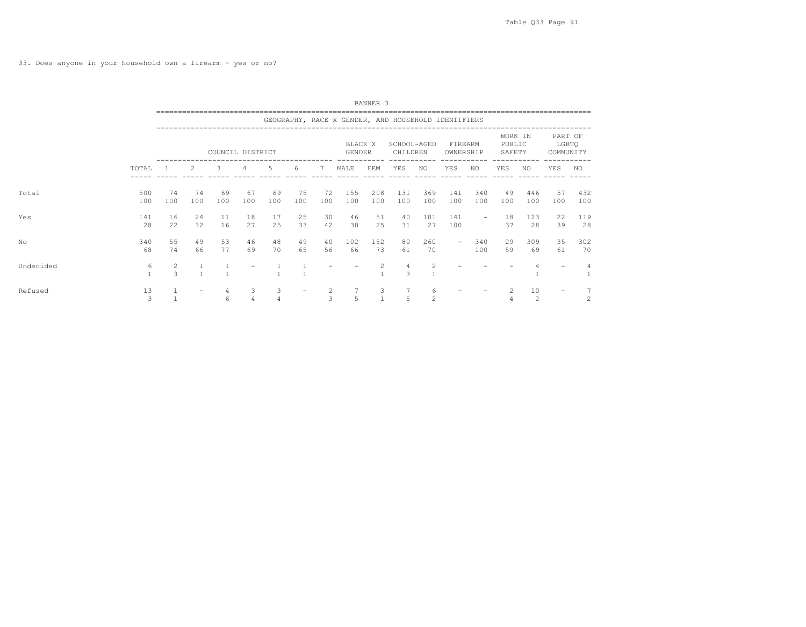33. Does anyone in your household own a firearm - yes or no?

|           |                   |          | BANNER 3<br>GEOGRAPHY, RACE X GENDER, AND HOUSEHOLD IDENTIFIERS<br>WORK IN<br>BLACK X<br>PUBLIC<br>SCHOOL-AGED<br>FIREARM<br>COUNCIL DISTRICT<br>CHILDREN<br>GENDER<br>OWNERSHIP<br>SAFETY<br>-----------<br>5<br>2<br>3<br>4<br>MALE<br>FEM<br>YES<br>YES<br>YES<br>NO<br>6<br>7<br>NO<br>NO<br>75<br>208<br>131<br>74<br>69<br>72<br>155<br>369<br>141<br>340<br>446<br>74<br>67<br>69<br>49<br>100<br>100<br>100<br>100<br>100<br>100<br>100<br>100<br>100<br>100<br>100<br>100<br>100<br>100<br>100<br>11<br>25<br>30<br>51<br>16<br>18<br>46<br>141<br>18<br>123<br>24<br>17<br>40<br>101<br>$\qquad \qquad -$ |          |                     |                     |          |                     |           |                |                     |                     |                          |            |          |           |                               |                |  |
|-----------|-------------------|----------|---------------------------------------------------------------------------------------------------------------------------------------------------------------------------------------------------------------------------------------------------------------------------------------------------------------------------------------------------------------------------------------------------------------------------------------------------------------------------------------------------------------------------------------------------------------------------------------------------------------------|----------|---------------------|---------------------|----------|---------------------|-----------|----------------|---------------------|---------------------|--------------------------|------------|----------|-----------|-------------------------------|----------------|--|
|           |                   |          |                                                                                                                                                                                                                                                                                                                                                                                                                                                                                                                                                                                                                     |          |                     |                     |          |                     |           |                |                     |                     |                          |            |          |           |                               |                |  |
|           |                   |          |                                                                                                                                                                                                                                                                                                                                                                                                                                                                                                                                                                                                                     |          |                     |                     |          |                     |           |                |                     |                     |                          |            |          |           | PART OF<br>LGBTQ<br>COMMUNITY |                |  |
|           | TOTAL             |          |                                                                                                                                                                                                                                                                                                                                                                                                                                                                                                                                                                                                                     |          |                     |                     |          |                     |           |                |                     |                     |                          |            |          |           | YES                           | NO             |  |
| Total     | 500<br>100        |          |                                                                                                                                                                                                                                                                                                                                                                                                                                                                                                                                                                                                                     |          |                     |                     |          |                     |           |                |                     |                     |                          |            |          |           | 57<br>100                     | 432<br>100     |  |
| Yes       | 141<br>28         | 22       | 32                                                                                                                                                                                                                                                                                                                                                                                                                                                                                                                                                                                                                  | 16       | 27                  | 25                  | 33       | 42                  | 30        | 25             | 31                  | 27                  | 100                      |            | 37       | 28        | 22<br>39                      | 119<br>28      |  |
| No        | 340<br>68         | 55<br>74 | 49<br>66                                                                                                                                                                                                                                                                                                                                                                                                                                                                                                                                                                                                            | 53<br>77 | 46<br>69            | 48<br>70            | 49<br>65 | 40<br>56            | 102<br>66 | 152<br>73      | 80<br>61            | 260<br>70           | $\overline{\phantom{m}}$ | 340<br>100 | 29<br>59 | 309<br>69 | 35<br>61                      | 302<br>70      |  |
| Undecided | 6<br>$\mathbf{1}$ | 2<br>3   | $\mathbf{1}$                                                                                                                                                                                                                                                                                                                                                                                                                                                                                                                                                                                                        |          |                     |                     |          |                     |           | $\overline{c}$ | $\overline{4}$<br>3 | $\overline{c}$      |                          |            |          |           |                               | $\overline{4}$ |  |
| Refused   | 13<br>3           |          | $\qquad \qquad -$                                                                                                                                                                                                                                                                                                                                                                                                                                                                                                                                                                                                   | 4<br>6   | 3<br>$\overline{4}$ | 3<br>$\overline{4}$ |          | $\overline{c}$<br>3 | 5         | 3              | 7<br>5              | 6<br>$\overline{2}$ |                          |            |          | 10<br>2   | $\qquad \qquad -$             | $\overline{c}$ |  |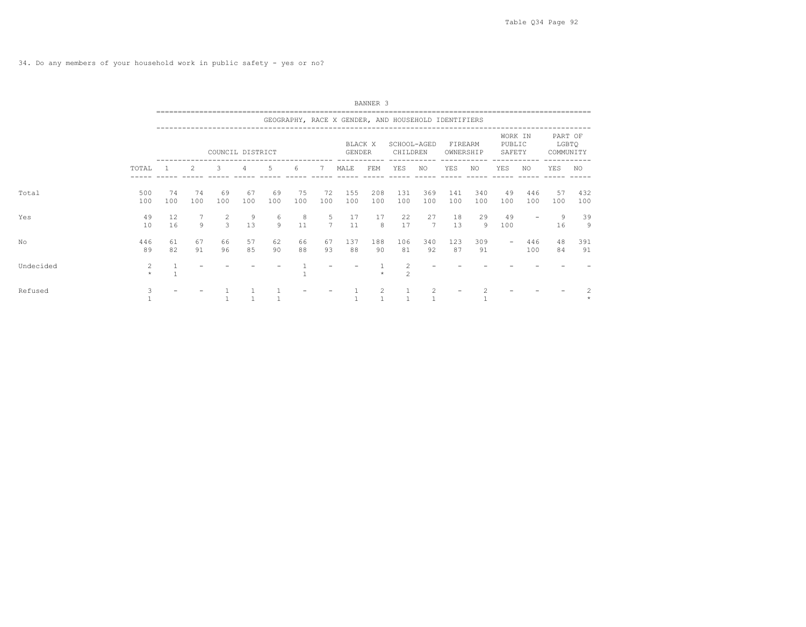|           |              | BANNER 3<br>GEOGRAPHY, RACE X GENDER, AND HOUSEHOLD IDENTIFIERS<br>WORK IN<br>PUBLIC<br>BLACK X<br>SCHOOL-AGED<br>FIREARM<br>COUNCIL DISTRICT<br>CHILDREN<br>GENDER<br>OWNERSHIP<br>SAFETY<br>2<br>$\overline{3}$<br>5<br>4<br>6<br>7<br>MALE<br>YES<br>YES<br>YES<br>NO.<br>FEM<br>NO<br>NO<br>69<br>75<br>74<br>67<br>69<br>72<br>155<br>208<br>131<br>141<br>340<br>49<br>446<br>74<br>369<br>100<br>100<br>100<br>100<br>100<br>100<br>100<br>100<br>100<br>100<br>100<br>100<br>100<br>100<br>100<br>$\overline{2}$<br>27<br>29<br>12<br>9<br>6<br>5<br>17<br>18<br>49<br>8<br>17<br>22 |          |                |          |          |          |             |           |           |                     |             |           |           |                          |            |                               |            |
|-----------|--------------|----------------------------------------------------------------------------------------------------------------------------------------------------------------------------------------------------------------------------------------------------------------------------------------------------------------------------------------------------------------------------------------------------------------------------------------------------------------------------------------------------------------------------------------------------------------------------------------------|----------|----------------|----------|----------|----------|-------------|-----------|-----------|---------------------|-------------|-----------|-----------|--------------------------|------------|-------------------------------|------------|
|           |              |                                                                                                                                                                                                                                                                                                                                                                                                                                                                                                                                                                                              |          |                |          |          |          |             |           |           |                     |             |           |           |                          |            |                               |            |
|           |              |                                                                                                                                                                                                                                                                                                                                                                                                                                                                                                                                                                                              |          |                |          |          |          |             |           |           |                     |             |           |           |                          |            | PART OF<br>LGBTQ<br>COMMUNITY |            |
|           | TOTAL        |                                                                                                                                                                                                                                                                                                                                                                                                                                                                                                                                                                                              |          |                |          |          |          |             |           |           |                     |             |           |           |                          |            | YES                           | NO.        |
| Total     | 500<br>100   |                                                                                                                                                                                                                                                                                                                                                                                                                                                                                                                                                                                              |          |                |          |          |          |             |           |           |                     |             |           |           |                          |            | 57<br>100                     | 432<br>100 |
| Yes       | 49<br>10     | 16                                                                                                                                                                                                                                                                                                                                                                                                                                                                                                                                                                                           | 9        | $\overline{3}$ | 13       | 9        | 11       | $7^{\circ}$ | 11        | 8         | 17                  | $7^{\circ}$ | 13        | 9         | 100                      |            | 9<br>16                       | 39<br>9    |
| No        | 446<br>89    | 61<br>82                                                                                                                                                                                                                                                                                                                                                                                                                                                                                                                                                                                     | 67<br>91 | 66<br>96       | 57<br>85 | 62<br>90 | 66<br>88 | 67<br>93    | 137<br>88 | 188<br>90 | 106<br>81           | 340<br>92   | 123<br>87 | 309<br>91 | $\overline{\phantom{a}}$ | 446<br>100 | 48<br>84                      | 391<br>91  |
| Undecided | 2<br>$\star$ |                                                                                                                                                                                                                                                                                                                                                                                                                                                                                                                                                                                              |          |                |          |          |          |             |           |           | 2<br>$\mathfrak{D}$ |             |           |           |                          |            |                               |            |
| Refused   |              |                                                                                                                                                                                                                                                                                                                                                                                                                                                                                                                                                                                              |          |                |          |          |          |             |           |           |                     | 2           |           |           |                          |            |                               |            |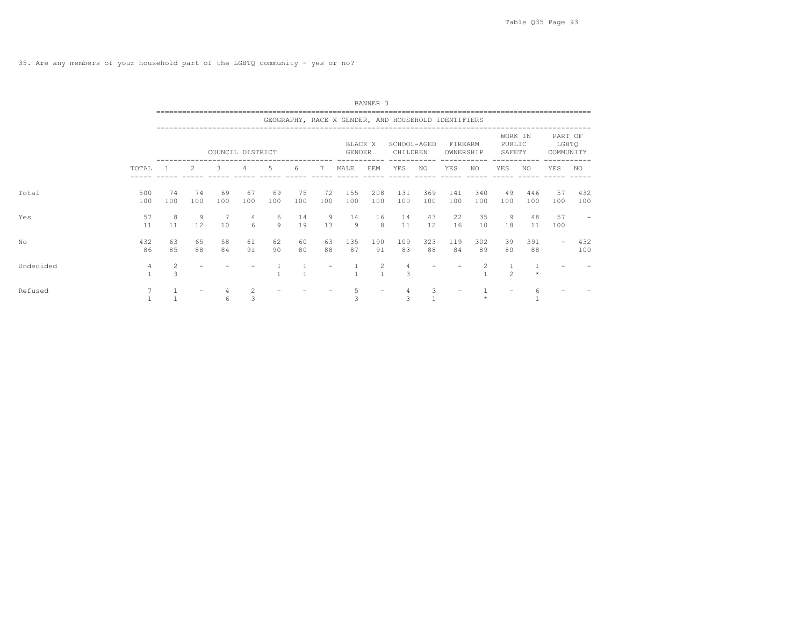|           |                | BANNER 3<br>GEOGRAPHY, RACE X GENDER, AND HOUSEHOLD IDENTIFIERS<br>WORK IN<br>BLACK X<br>PUBLIC<br>SCHOOL-AGED<br>FIREARM<br>COUNCIL DISTRICT<br>GENDER<br>CHILDREN<br>OWNERSHIP<br>SAFETY<br>2<br>3<br>-5<br>YES<br>4<br>7<br>MALE<br>FEM<br>YES<br>YES<br>NO.<br>6<br>NO<br>NO.<br>69<br>74<br>67<br>69<br>75<br>72<br>208<br>131<br>340<br>49<br>74<br>155<br>369<br>141<br>446<br>100<br>100<br>100<br>100<br>100<br>100<br>100<br>100<br>100<br>100<br>100<br>100<br>100<br>100<br>100 |          |          |                       |          |          |          |           |                |           |           |           |           |                                                                                                                                                               |           |                               |            |
|-----------|----------------|---------------------------------------------------------------------------------------------------------------------------------------------------------------------------------------------------------------------------------------------------------------------------------------------------------------------------------------------------------------------------------------------------------------------------------------------------------------------------------------------|----------|----------|-----------------------|----------|----------|----------|-----------|----------------|-----------|-----------|-----------|-----------|---------------------------------------------------------------------------------------------------------------------------------------------------------------|-----------|-------------------------------|------------|
|           |                |                                                                                                                                                                                                                                                                                                                                                                                                                                                                                             |          |          |                       |          |          |          |           |                |           |           |           |           |                                                                                                                                                               |           |                               |            |
|           |                |                                                                                                                                                                                                                                                                                                                                                                                                                                                                                             |          |          |                       |          |          |          |           |                |           |           |           |           |                                                                                                                                                               |           | PART OF<br>LGBTQ<br>COMMUNITY |            |
|           | TOTAL          |                                                                                                                                                                                                                                                                                                                                                                                                                                                                                             |          |          |                       |          |          |          |           |                |           |           |           |           |                                                                                                                                                               |           | YES                           | NO.        |
| Total     | 500<br>100     |                                                                                                                                                                                                                                                                                                                                                                                                                                                                                             |          |          |                       |          |          |          |           |                |           |           |           |           |                                                                                                                                                               |           | 57<br>100                     | 432<br>100 |
| Yes       | 57<br>11       | 8<br>11                                                                                                                                                                                                                                                                                                                                                                                                                                                                                     | 9<br>12  | 10       | 4<br>$6 \overline{6}$ | 6<br>9   | 14<br>19 | 9<br>13  | 14<br>9   | 16<br>8        | 14<br>11  | 43<br>12  | 22<br>16  | 35<br>10  | 9<br>18                                                                                                                                                       | 48<br>11  | 57<br>100                     |            |
| No        | 432<br>86      | 63<br>85                                                                                                                                                                                                                                                                                                                                                                                                                                                                                    | 65<br>88 | 58<br>84 | 61<br>91              | 62<br>90 | 60<br>80 | 63<br>88 | 135<br>87 | 190<br>91      | 109<br>83 | 323<br>88 | 119<br>84 | 302<br>89 | 39<br>80                                                                                                                                                      | 391<br>88 | $\overline{\phantom{a}}$      | 432<br>100 |
| Undecided | $\overline{4}$ | 2<br>3                                                                                                                                                                                                                                                                                                                                                                                                                                                                                      |          |          |                       |          |          |          |           | $\overline{c}$ | 4<br>3    |           |           | 2         | $\mathfrak{D}_{1}^{2}(\mathfrak{D}_{1})=\mathfrak{D}_{2}^{2}(\mathfrak{D}_{2})=\mathfrak{D}_{2}^{2}(\mathfrak{D}_{1})=\mathfrak{D}_{2}^{2}(\mathfrak{D}_{2})$ | $\star$   |                               |            |
| Refused   |                |                                                                                                                                                                                                                                                                                                                                                                                                                                                                                             |          | 6        | 2<br>3                |          |          |          |           |                | 3         |           |           |           |                                                                                                                                                               |           |                               |            |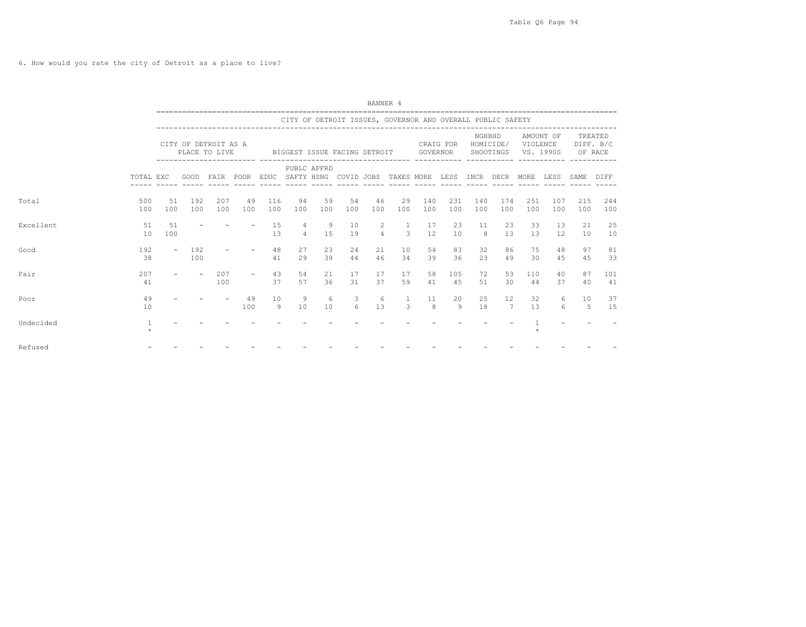6. How would you rate the city of Detroit as a place to live?

|           |                         | BANNER 4<br>CITY OF DETROIT ISSUES, GOVERNOR AND OVERALL PUBLIC SAFETY<br>NGHBHD<br>AMOUNT OF<br>CITY OF DETROIT AS A<br>HOMICIDE/<br>VIOLENCE<br>CRAIG FOR<br>PLACE TO LIVE<br>BIGGEST ISSUE FACING DETROIT<br>GOVERNOR<br>SHOOTINGS<br>VS. 1990S<br>------------------------ -----<br>PUBLC AFFRD<br>GOOD FAIR POOR EDUC SAFTY HSNG COVID JOBS TAXES MORE LESS INCR DECR<br>MORE<br>LESS<br>49<br>116<br>46<br>29<br>140<br>231<br>251<br>51<br>192<br>207<br>94<br>59<br>54<br>140<br>174<br>107<br>100<br>100<br>100<br>100<br>100<br>100<br>100<br>100<br>100<br>100<br>100<br>100<br>100<br>100<br>100<br>100<br>15<br>4<br>10<br>23<br>33<br>51<br>- 9<br>2<br>1<br>23<br>11<br>13<br>17<br>$\Delta$<br>$\mathcal{L}$<br>12<br>15<br>10<br>13<br>$\overline{a}$<br>19<br>$\mathcal{B}$<br>13<br>12<br>100<br>13 |                          |            |           |          |          |          |          |          |                   |          |           |          |          |           |           |            |                      |  |
|-----------|-------------------------|------------------------------------------------------------------------------------------------------------------------------------------------------------------------------------------------------------------------------------------------------------------------------------------------------------------------------------------------------------------------------------------------------------------------------------------------------------------------------------------------------------------------------------------------------------------------------------------------------------------------------------------------------------------------------------------------------------------------------------------------------------------------------------------------------------------------|--------------------------|------------|-----------|----------|----------|----------|----------|----------|-------------------|----------|-----------|----------|----------|-----------|-----------|------------|----------------------|--|
|           |                         |                                                                                                                                                                                                                                                                                                                                                                                                                                                                                                                                                                                                                                                                                                                                                                                                                        |                          |            |           |          |          |          |          |          |                   |          |           |          |          |           |           |            |                      |  |
|           |                         |                                                                                                                                                                                                                                                                                                                                                                                                                                                                                                                                                                                                                                                                                                                                                                                                                        |                          |            |           |          |          |          |          |          |                   |          |           |          |          |           |           | OF RACE    | TREATED<br>DIFF. B/C |  |
|           | TOTAL EXC               |                                                                                                                                                                                                                                                                                                                                                                                                                                                                                                                                                                                                                                                                                                                                                                                                                        |                          |            |           |          |          |          |          |          |                   |          |           |          |          |           |           | SAME       | DIFF                 |  |
| Total     | 500<br>100              |                                                                                                                                                                                                                                                                                                                                                                                                                                                                                                                                                                                                                                                                                                                                                                                                                        |                          |            |           |          |          |          |          |          |                   |          |           |          |          |           |           | 215<br>100 | 244<br>100           |  |
| Excellent | 51<br>10                |                                                                                                                                                                                                                                                                                                                                                                                                                                                                                                                                                                                                                                                                                                                                                                                                                        |                          |            |           |          |          |          |          |          |                   |          |           |          |          |           |           | 21<br>10   | 25<br>10             |  |
| Good      | 192<br>38               | $\overline{\phantom{a}}$                                                                                                                                                                                                                                                                                                                                                                                                                                                                                                                                                                                                                                                                                                                                                                                               | 192<br>100               |            |           | 48<br>41 | 27<br>29 | 23<br>39 | 24<br>44 | 21<br>46 | 10<br>34          | 54<br>39 | 83<br>36  | 32<br>23 | 86<br>49 | 75<br>30  | 48<br>4.5 | 97<br>4.5  | 81<br>33             |  |
| Fair      | 207<br>41               |                                                                                                                                                                                                                                                                                                                                                                                                                                                                                                                                                                                                                                                                                                                                                                                                                        | $\overline{\phantom{a}}$ | 207<br>100 | $\sim$    | 43<br>37 | 54<br>57 | 21<br>36 | 17<br>31 | 17<br>37 | 17<br>59          | 58<br>41 | 105<br>45 | 72<br>51 | 53<br>30 | 110<br>44 | 40<br>37  | 87<br>40   | 101<br>41            |  |
| Poor      | 49<br>10                |                                                                                                                                                                                                                                                                                                                                                                                                                                                                                                                                                                                                                                                                                                                                                                                                                        |                          |            | 49<br>100 | 10<br>9  | 9<br>10  | 6<br>10  | 3<br>6   | -6<br>13 | $\mathbf{1}$<br>3 | 11<br>8  | 20<br>9   | 25<br>18 | 12<br>7  | 32<br>13  | 6<br>6    | 10<br>5    | 37<br>15             |  |
| Undecided | $\mathbf{1}$<br>$\star$ |                                                                                                                                                                                                                                                                                                                                                                                                                                                                                                                                                                                                                                                                                                                                                                                                                        |                          |            |           |          |          |          |          |          |                   |          |           |          |          |           |           |            |                      |  |
| Refused   |                         |                                                                                                                                                                                                                                                                                                                                                                                                                                                                                                                                                                                                                                                                                                                                                                                                                        |                          |            |           |          |          |          |          |          |                   |          |           |          |          |           |           |            |                      |  |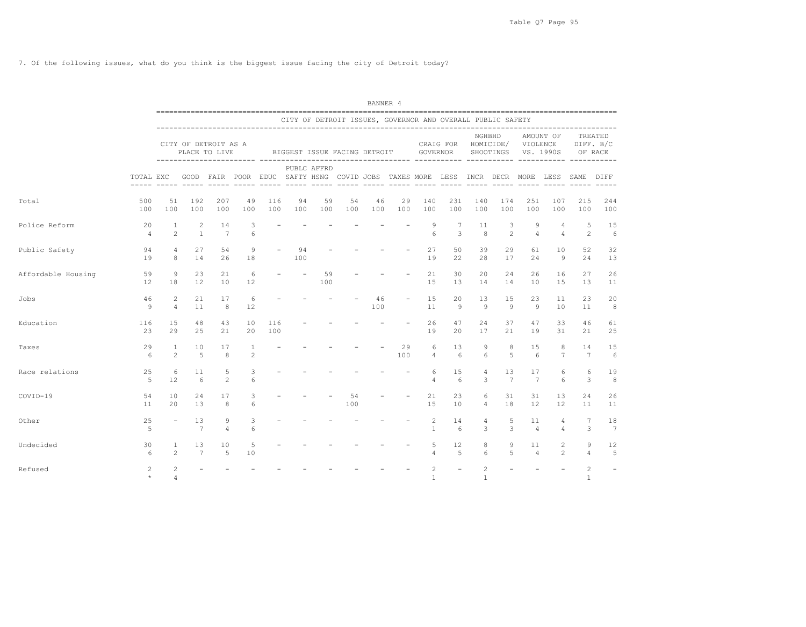7. Of the following issues, what do you think is the biggest issue facing the city of Detroit today?

|                    |                      |                                  |                       |                                       |                        |                          |           |             |                              | BANNER 4  |                                                            |                                |                              |                     |                     |                      |                                                                                         |                   |                       |
|--------------------|----------------------|----------------------------------|-----------------------|---------------------------------------|------------------------|--------------------------|-----------|-------------|------------------------------|-----------|------------------------------------------------------------|--------------------------------|------------------------------|---------------------|---------------------|----------------------|-----------------------------------------------------------------------------------------|-------------------|-----------------------|
|                    |                      |                                  |                       |                                       |                        |                          |           |             |                              |           | CITY OF DETROIT ISSUES, GOVERNOR AND OVERALL PUBLIC SAFETY |                                |                              |                     |                     |                      |                                                                                         |                   |                       |
|                    |                      |                                  |                       | CITY OF DETROIT AS A<br>PLACE TO LIVE |                        |                          |           |             | BIGGEST ISSUE FACING DETROIT |           |                                                            | GOVERNOR                       | CRAIG FOR HOMICIDE/ VIOLENCE | NGHBHD              | SHOOTINGS VS. 1990S |                      | AMOUNT OF                                                                               | OF RACE           | TREATED<br>DIFF. B/C  |
|                    | TOTAL EXC            |                                  |                       |                                       |                        |                          |           | PUBLC AFFRD |                              |           |                                                            |                                |                              |                     |                     |                      | GOOD FAIR POOR EDUC SAFTY-HSNG COVID-JOBS TAXES-MORE LESS INCR DECR MORE LESS SAME DIFF |                   |                       |
| Total              | 500<br>100           | 51<br>100                        | 192<br>100            | 207<br>100                            | 49<br>100              | 116<br>100               | 94<br>100 | 59<br>100   | 54<br>100                    | 46<br>100 | 29<br>100                                                  | 140<br>100                     | 231<br>100                   | 140<br>100          | 174<br>100          | 251<br>100           | 107<br>100                                                                              | 215<br>100        | 244<br>100            |
| Police Reform      | 20<br>$\overline{4}$ | 1<br>$\overline{2}$              | 2<br>$\overline{1}$   | 14<br>7                               | 3<br>6                 | $\overline{\phantom{m}}$ |           |             |                              |           |                                                            | 9<br>6                         | $7\phantom{.0}$<br>3         | 11<br>8             | 3<br>2              | 9<br>$\overline{4}$  | 4<br>$\overline{4}$                                                                     | 5<br>2            | 15<br>6               |
| Public Safety      | 94<br>19             | $\overline{4}$<br>8              | 27<br>14              | 54<br>26                              | 9<br>18                | $\overline{\phantom{a}}$ | 94<br>100 |             |                              |           |                                                            | 27<br>19                       | 50<br>22                     | 39<br>28            | 29<br>17            | 61<br>24             | 10<br>9                                                                                 | 52<br>24          | 32<br>13              |
| Affordable Housing | 59<br>12             | 9<br>18                          | 23<br>12              | 21<br>10                              | 6<br>$12 \overline{ }$ | $\overline{\phantom{m}}$ |           | 59<br>100   |                              |           |                                                            | 21<br>15                       | 30<br>13                     | 20<br>14            | 24<br>14            | 26<br>10             | 16<br>15                                                                                | 27<br>13          | 26<br>11              |
| Jobs               | 46<br>9              | $\overline{c}$<br>$\overline{4}$ | 21<br>11              | 17<br>8                               | 6<br>12                |                          |           |             |                              | 46<br>100 |                                                            | 15<br>11                       | 20<br>9                      | 13<br>9             | 15<br>9             | 23<br>9              | 11<br>10                                                                                | 23<br>11          | 20<br>8               |
| Education          | 116<br>23            | 15<br>29                         | 48<br>25              | 43<br>21                              | 10<br>20               | 116<br>100               |           |             |                              |           |                                                            | 26<br>19                       | 47<br>20                     | 24<br>17            | 37<br>21            | 47<br>19             | 33<br>31                                                                                | 46<br>21          | 61<br>25              |
| Taxes              | 29<br>-6             | $\mathbf{1}$<br>$\overline{2}$   | 10<br>$\overline{5}$  | 17<br>8                               | 1<br>2                 | $\overline{\phantom{a}}$ |           |             |                              |           | 29<br>100                                                  | 6<br>$\overline{4}$            | 13<br>6                      | 9<br>6              | 8<br>$\overline{5}$ | 15<br>6              | 8<br>$7\phantom{.0}$                                                                    | 14<br>7           | 15<br>6               |
| Race relations     | 25<br>-5             | 6<br>12                          | 11<br>6               | 5<br>$\overline{2}$                   | 3<br>6                 |                          |           |             |                              |           |                                                            | 6<br>$\overline{4}$            | 15<br>6                      | 4<br>3              | 13<br>7             | 17<br>7              | 6<br>6                                                                                  | 6<br>3            | 19<br>8               |
| COVID-19           | 54<br>11             | 10<br>20                         | 24<br>13              | 17<br>8                               | 3<br>6                 |                          |           |             | 54<br>100                    |           |                                                            | 21<br>15                       | 23<br>10                     | 6<br>$\overline{4}$ | 31<br>18            | 31<br>12             | 13<br>12                                                                                | 24<br>11          | 26<br>11              |
| Other              | 25<br>-5             | $\overline{\phantom{a}}$         | 13<br>$7\phantom{.0}$ | 9<br>$\overline{4}$                   | 3<br>6                 |                          |           |             |                              |           |                                                            | $\overline{c}$<br>$\mathbf{1}$ | 14<br>6                      | 4<br>3              | 5<br>3              | 11<br>$\overline{4}$ | 4<br>$\overline{4}$                                                                     | 7<br>3            | 18<br>$7\phantom{.0}$ |
| Undecided          | 30<br>6              | 1<br>$\mathfrak{D}$              | 13<br>$\overline{7}$  | 10<br>5                               | 5<br>10                |                          |           |             |                              |           |                                                            | 5<br>4                         | 12<br>5                      | 8<br>6              | 9<br>5              | 11<br>$\overline{a}$ | $\overline{2}$<br>$2^{1}$                                                               | 9<br>$\Delta$     | 12<br>5               |
| Refused            | 2                    | 2<br>$\overline{4}$              |                       |                                       |                        |                          |           |             |                              |           |                                                            | $\overline{2}$<br>$\mathbf{1}$ | $\equiv$                     | 2<br>$\mathbf{1}$   |                     |                      |                                                                                         | $\mathbf{2}$<br>1 |                       |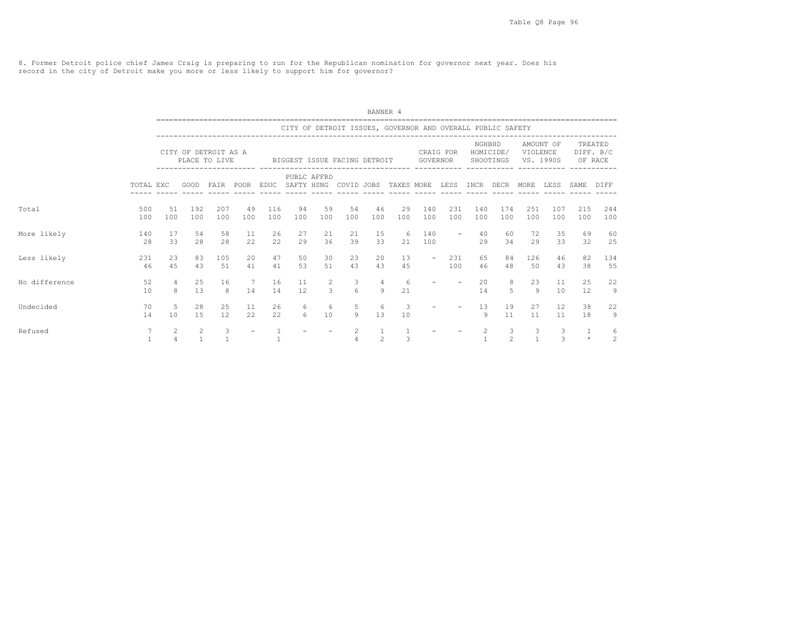8. Former Detroit police chief James Craig is preparing to run for the Republican nomination for governor next year. Does his record in the city of Detroit make you more or less likely to support him for governor?

|               |            |                                  |                     |                                       |             |             |                  |                                 |                              | BANNER 4                         |                                                            |                          |            |                    |                        |                      |                        |            |                                 |
|---------------|------------|----------------------------------|---------------------|---------------------------------------|-------------|-------------|------------------|---------------------------------|------------------------------|----------------------------------|------------------------------------------------------------|--------------------------|------------|--------------------|------------------------|----------------------|------------------------|------------|---------------------------------|
|               |            |                                  |                     |                                       |             |             |                  |                                 |                              |                                  | CITY OF DETROIT ISSUES, GOVERNOR AND OVERALL PUBLIC SAFETY |                          |            |                    |                        |                      |                        |            |                                 |
|               |            |                                  |                     | CITY OF DETROIT AS A<br>PLACE TO LIVE |             |             |                  |                                 | BIGGEST ISSUE FACING DETROIT |                                  |                                                            | GOVERNOR                 | CRAIG FOR  | NGHBHD             | HOMICIDE/<br>SHOOTINGS | VIOLENCE             | AMOUNT OF<br>VS. 1990S |            | TREATED<br>DIFF. B/C<br>OF RACE |
|               | TOTAL EXC  |                                  | GOOD                | FAIR                                  | <b>POOR</b> | <b>EDUC</b> | SAFTY HSNG       | PUBLC AFFRD                     | COVID JOBS                   |                                  | TAXES MORE                                                 |                          | LESS       | INCR               | DECR                   | MORE                 | LESS                   | SAME       | DIFF                            |
| Total         | 500<br>100 | 51<br>100                        | 192<br>100          | 207<br>100                            | 49<br>100   | 116<br>100  | 94<br>100        | 59<br>100                       | 54<br>100                    | 46<br>100                        | 29<br>100                                                  | 140<br>100               | 231<br>100 | 140<br>100         | 174<br>100             | 251<br>100           | 107<br>100             | 215<br>100 | 244<br>100                      |
| More likely   | 140<br>28  | 17<br>33                         | 54<br>2.8           | 58<br>28                              | 11<br>22    | 26<br>22    | 27<br>29         | 21<br>36                        | 21<br>39                     | 15<br>33                         | 6<br>2.1                                                   | 140<br>100               |            | 40<br>29           | 60<br>34               | 72<br>29             | 35<br>33               | 69<br>32   | 60<br>25                        |
| Less likely   | 231<br>46  | 23<br>45                         | 83<br>43            | 105<br>51                             | 20<br>41    | 47<br>41    | 50<br>53         | 30<br>51                        | 23<br>43                     | 20<br>43                         | 13<br>45                                                   | $\overline{\phantom{a}}$ | 231<br>100 | 65<br>46           | 84<br>48               | 126<br>50            | 46<br>43               | 82<br>38   | 134<br>55                       |
| No difference | 52<br>10   | $\overline{4}$<br>8              | 25<br>13            | 16<br>8                               | 7<br>14     | 16<br>14    | 11<br>12         | $\overline{2}$<br>$\mathcal{E}$ | 3<br>$6^{\circ}$             | $\overline{4}$<br>$\overline{9}$ | 6<br>21                                                    |                          |            | 20<br>14           | 8<br>5                 | 23<br>$\overline{9}$ | 11<br>10               | 25<br>12   | 22<br>9                         |
| Undecided     | 70<br>14   | -5<br>10                         | 28<br>15            | 25<br>12                              | 11<br>22    | 26<br>22    | 6<br>$6^{\circ}$ | 6<br>10                         | 5<br>9                       | 6<br>13                          | 3<br>10                                                    |                          |            | 13<br>$\mathsf{Q}$ | 19<br>11               | 27<br>11             | 12<br>11               | 38<br>18   | 22<br>$\mathcal{G}$             |
| Refused       | 7          | $\mathfrak{D}$<br>$\overline{4}$ | 2<br>$\overline{1}$ | 3<br>$\overline{1}$                   |             |             |                  |                                 | $\overline{2}$<br>4          | $\mathbf{1}$<br>$\mathfrak{D}$   | $\mathbf{1}$<br>3                                          |                          |            | 2<br>$\mathbf{1}$  | 3<br>$\mathfrak{D}$    | 3<br>$\mathbf{1}$    | 3<br>$\mathcal{L}$     | $\star$    | 6<br>2                          |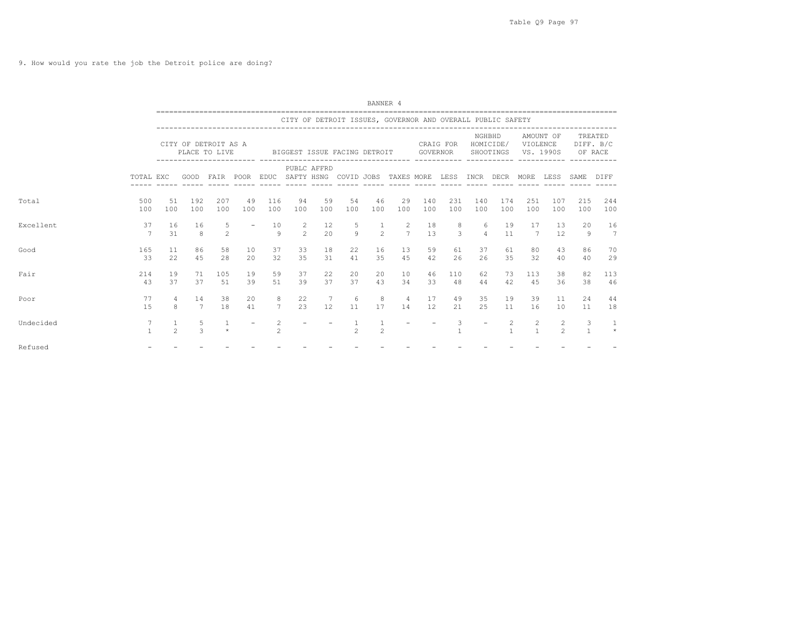9. How would you rate the job the Detroit police are doing?

|           |                   |                                |                                       |                     |                          |                                                           |                                                            |           |                | BANNER 4       |                      |            |                     |                     |                        |                       |                                  |                      |            |
|-----------|-------------------|--------------------------------|---------------------------------------|---------------------|--------------------------|-----------------------------------------------------------|------------------------------------------------------------|-----------|----------------|----------------|----------------------|------------|---------------------|---------------------|------------------------|-----------------------|----------------------------------|----------------------|------------|
|           |                   |                                |                                       |                     |                          |                                                           | CITY OF DETROIT ISSUES, GOVERNOR AND OVERALL PUBLIC SAFETY |           |                |                |                      |            |                     |                     |                        |                       |                                  |                      |            |
|           |                   |                                | CITY OF DETROIT AS A<br>PLACE TO LIVE |                     |                          |                                                           | BIGGEST ISSUE FACING DETROIT                               |           |                |                |                      | GOVERNOR   | CRAIG FOR           | NGHBHD              | HOMICIDE/<br>SHOOTINGS | VIOLENCE<br>VS. 1990S | AMOUNT OF                        | DIFF. B/C<br>OF RACE | TREATED    |
|           | TOTAL EXC         |                                | ----------------------- ----          |                     |                          | GOOD FAIR POOR EDUC SAFTY HSNG COVID JOBS TAXES MORE LESS | PUBLC AFFRD                                                |           |                |                |                      |            |                     | INCR DECR           |                        | MORE                  | LESS                             | SAME                 | DIFF       |
| Total     | 500<br>100        | 51<br>100                      | 192<br>100                            | 207<br>100          | 49<br>100                | 116<br>100                                                | 94<br>100                                                  | 59<br>100 | 54<br>100      | 46<br>100      | 29<br>100            | 140<br>100 | 231<br>100          | 140<br>100          | 174<br>100             | 251<br>100            | 107<br>100                       | 215<br>100           | 244<br>100 |
| Excellent | 37<br>7           | 16<br>31                       | 16<br>8                               | 5<br>$\overline{2}$ | $\overline{\phantom{a}}$ | 10<br>$\circ$                                             | $\overline{2}$<br>$\overline{2}$                           | 12<br>20  | 5<br>$\alpha$  | $\overline{2}$ | 2<br>$\overline{7}$  | 18<br>13   | 8<br>$\overline{3}$ | 6<br>$\overline{4}$ | 19<br>11               | 17<br>7               | 13<br>12                         | 20<br>9              | 16<br>7    |
| Good      | 165<br>-33        | 11<br>22                       | 86<br>4.5                             | 58<br>2.8           | 10<br>20                 | 37<br>32                                                  | 33<br>35                                                   | 18<br>31  | 22<br>41       | 16<br>35       | 13<br>45             | 59<br>42   | 61<br>26            | 37<br>26            | 61<br>35               | 80<br>32              | 43<br>40                         | 86<br>40             | 70<br>29   |
| Fair      | 214<br>43         | 19<br>37                       | 71<br>37                              | 105<br>51           | 19<br>39                 | 59<br>51                                                  | 37<br>39                                                   | 22<br>37  | 20<br>37       | 20<br>43       | 10<br>34             | 46<br>33   | 110<br>48           | 62<br>44            | 73<br>42               | 113<br>45             | 38<br>36                         | 82<br>38             | 113<br>46  |
| Poor      | 77<br>1.5         | $\overline{4}$<br>8            | 14<br>7                               | 38<br>18            | 20<br>41                 | 8<br>$7\overline{ }$                                      | 22<br>23                                                   | 7<br>12   | -6<br>11       | 8<br>17        | $\overline{4}$<br>14 | 17<br>12   | 49<br>21            | 35<br>25            | 19<br>11               | 39<br>16              | 11<br>10                         | 24<br>11             | 44<br>18   |
| Undecided | 7<br>$\mathbf{1}$ | $\mathbf{1}$<br>$\mathfrak{D}$ | 5<br>3                                | -1<br>$\star$       | $\overline{\phantom{a}}$ | 2<br>$\mathfrak{D}$                                       |                                                            |           | $\mathfrak{D}$ | $\overline{c}$ |                      |            | 3                   |                     | 2                      | 2<br>$\mathbf{1}$     | $\overline{2}$<br>$\mathfrak{D}$ | 3<br>$\overline{1}$  | $\star$    |
| Refused   |                   |                                |                                       |                     |                          |                                                           |                                                            |           |                |                |                      |            |                     |                     |                        |                       |                                  |                      |            |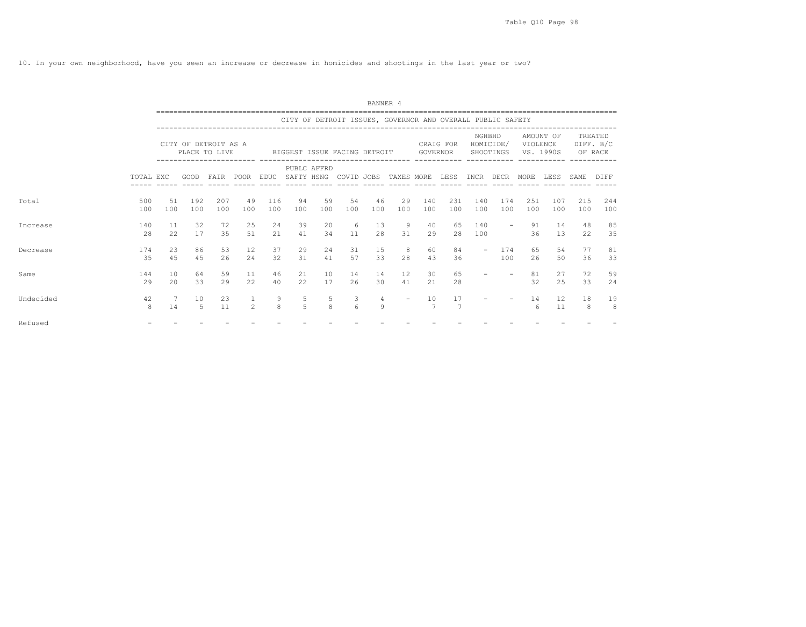10. In your own neighborhood, have you seen an increase or decrease in homicides and shootings in the last year or two?

|           |            |            |                                       |            |               |            |                     |             |                              | BANNER 4            |                                                            |            |            |                          |                          |            |                         |            |                                 |
|-----------|------------|------------|---------------------------------------|------------|---------------|------------|---------------------|-------------|------------------------------|---------------------|------------------------------------------------------------|------------|------------|--------------------------|--------------------------|------------|-------------------------|------------|---------------------------------|
|           |            |            |                                       |            |               |            |                     |             |                              |                     | CITY OF DETROIT ISSUES, GOVERNOR AND OVERALL PUBLIC SAFETY |            |            |                          |                          |            |                         |            |                                 |
|           |            |            | CITY OF DETROIT AS A<br>PLACE TO LIVE |            |               |            |                     |             | BIGGEST ISSUE FACING DETROIT |                     |                                                            | GOVERNOR   | CRAIG FOR  | NGHBHD                   | HOMICIDE/<br>SHOOTINGS   | VIOLENCE   | AMOUNT OF<br>VS. 1990S  |            | TREATED<br>DIFF. B/C<br>OF RACE |
|           | TOTAL EXC  |            | GOOD                                  | FAIR POOR  |               |            | EDUC SAFTY HSNG     | PUBLC AFFRD | COVID JOBS                   |                     | TAXES MORE                                                 |            | LESS       | INCR                     | DECR                     | MORE.      | LESS.                   | SAME.      | DIFF                            |
| Total     | 500<br>100 | 51<br>100  | 192<br>100                            | 207<br>100 | 49<br>100     | 116<br>100 | 94<br>100           | 59<br>100   | 54<br>100                    | 46<br>100           | 29<br>100                                                  | 140<br>100 | 231<br>100 | 140<br>100               | 174<br>100               | 251<br>100 | 107<br>100              | 215<br>100 | 244<br>100                      |
| Increase  | 140<br>2.8 | 11<br>22   | 32<br>17                              | 72<br>35   | 25<br>51      | 2.4<br>21  | 39<br>41            | 20<br>34    | 6<br>11                      | 13<br>2.8           | 9<br>31                                                    | 40<br>29   | 65<br>2.8  | 140<br>100               | $\overline{\phantom{0}}$ | 91<br>36   | 14<br>1.3               | 48<br>22   | 85<br>35                        |
| Decrease  | 174<br>35  | 2.3<br>4.5 | 86<br>4.5                             | 53<br>26   | 12.<br>2.4    | 37<br>32   | 29<br>31            | 24<br>41    | 31<br>57                     | 1.5<br>33           | 8<br>2.8                                                   | 60<br>43   | 84<br>36   | $\overline{\phantom{a}}$ | 174<br>100               | 65<br>26   | .54<br>50               | 77<br>36   | 81<br>33                        |
| Same      | 144<br>29  | 10<br>20   | 64<br>33                              | 59<br>29   | 11<br>22      | 46<br>40   | 21<br>22            | 10<br>17    | 14<br>26                     | 14<br>30            | $12 \overline{ }$<br>41                                    | 30<br>21   | 65<br>28   |                          |                          | 81<br>32   | 27<br>25                | 72<br>33   | 59<br>24                        |
| Undecided | 42<br>8    | 14         | 10<br>.5                              | 23<br>11   | $\mathcal{L}$ | 9<br>8     | 5<br>$\overline{5}$ | 5<br>8      | 3<br>$6 \overline{6}$        | $\overline{4}$<br>9 | $\overline{\phantom{a}}$                                   | 10<br>7    | 17         |                          |                          | 14<br>6    | $12 \overline{ }$<br>11 | 18<br>8    | 19<br>8                         |
| Refused   |            |            |                                       |            |               |            |                     |             |                              |                     |                                                            |            |            |                          |                          |            |                         |            |                                 |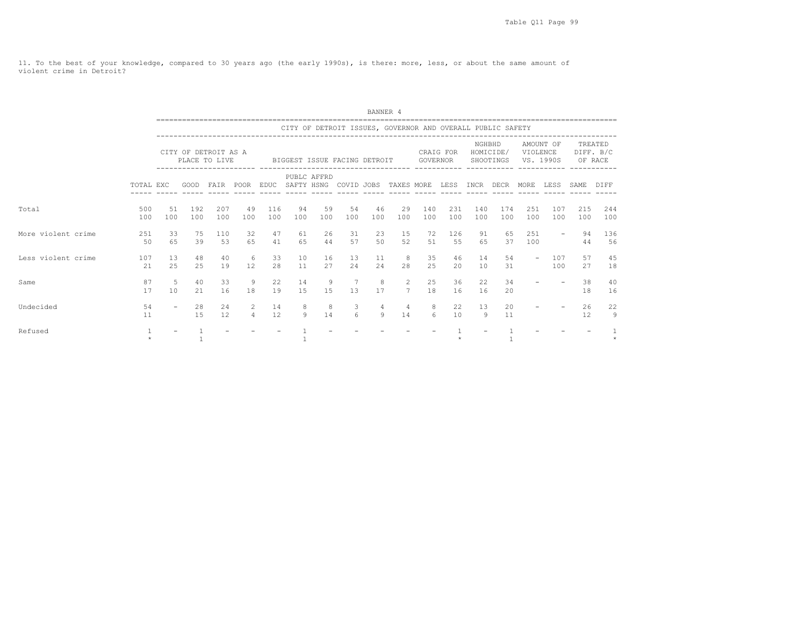11. To the best of your knowledge, compared to 30 years ago (the early 1990s), is there: more, less, or about the same amount of violent crime in Detroit?

|                    |            |                          |                                       |            |                     |                 |           |             |                              | BANNER 4  |                                                            |                 |            |            |                        |                          |                        |            |                      |
|--------------------|------------|--------------------------|---------------------------------------|------------|---------------------|-----------------|-----------|-------------|------------------------------|-----------|------------------------------------------------------------|-----------------|------------|------------|------------------------|--------------------------|------------------------|------------|----------------------|
|                    |            |                          |                                       |            |                     |                 |           |             |                              |           | CITY OF DETROIT ISSUES, GOVERNOR AND OVERALL PUBLIC SAFETY |                 |            |            |                        |                          |                        |            |                      |
|                    |            |                          | CITY OF DETROIT AS A<br>PLACE TO LIVE |            |                     |                 |           |             | BIGGEST ISSUE FACING DETROIT |           |                                                            | <b>GOVERNOR</b> | CRAIG FOR  | NGHBHD     | HOMICIDE/<br>SHOOTINGS | VIOLENCE                 | AMOUNT OF<br>VS. 1990S | OF RACE    | TREATED<br>DIFF. B/C |
|                    | TOTAL EXC  |                          | GOOD                                  | FAIR       | POOR                | EDUC SAFTY HSNG |           | PUBLC AFFRD | COVID JOBS                   |           | TAXES MORE                                                 |                 | LESS       | INCR       | DECR                   | MORE                     | LESS                   | SAME       | DIFF                 |
| Total              | 500<br>100 | 51<br>100                | 192<br>100                            | 207<br>100 | 49<br>100           | 116<br>100      | 94<br>100 | 59<br>100   | 54<br>100                    | 46<br>100 | 29<br>100                                                  | 140<br>100      | 231<br>100 | 140<br>100 | 174<br>100             | 251<br>100               | 107<br>100             | 215<br>100 | 244<br>100           |
| More violent crime | 251<br>50  | 33<br>65                 | 75<br>39                              | 110<br>53  | 32<br>65            | 47<br>41        | 61<br>65  | 26<br>44    | 31<br>57                     | 23<br>50  | 15<br>52                                                   | 72<br>51        | 126<br>55  | 91<br>65   | 65<br>37               | 251<br>100               |                        | 94<br>44   | 136<br>56            |
| Less violent crime | 107<br>21  | 13<br>25                 | 48<br>25                              | 40<br>19   | 6<br>12             | 33<br>28        | 10<br>11  | 16<br>27    | 13<br>24                     | 11<br>24  | 8<br>28                                                    | 35<br>25        | 46<br>20   | 14<br>10   | 54<br>31               | $\overline{\phantom{a}}$ | 107<br>100             | 57<br>27   | 45<br>18             |
| Same               | 87<br>17   | -5<br>10                 | 40<br>2.1                             | 33<br>16   | 9<br>18             | 22<br>19        | 14<br>1.5 | 9<br>1.5    | 13                           | 8<br>17   | 2<br>$\overline{7}$                                        | 25<br>18        | 36<br>16   | 22<br>16   | 34<br>$20^{\circ}$     |                          |                        | 38<br>18   | 40<br>16             |
| Undecided          | 54<br>11   | $\overline{\phantom{a}}$ | 28<br>1.5                             | 24<br>12   | 2<br>$\overline{4}$ | 14<br>12        | 8<br>9    | 8<br>14     | 3<br>6                       | 4<br>9    | 4<br>14                                                    | 8<br>$\epsilon$ | 22<br>10   | 13<br>9    | 20<br>11               |                          |                        | 26<br>12   | 22<br>9              |
| Refused            | $\star$    |                          |                                       |            |                     |                 |           |             |                              |           |                                                            |                 |            |            |                        |                          |                        |            |                      |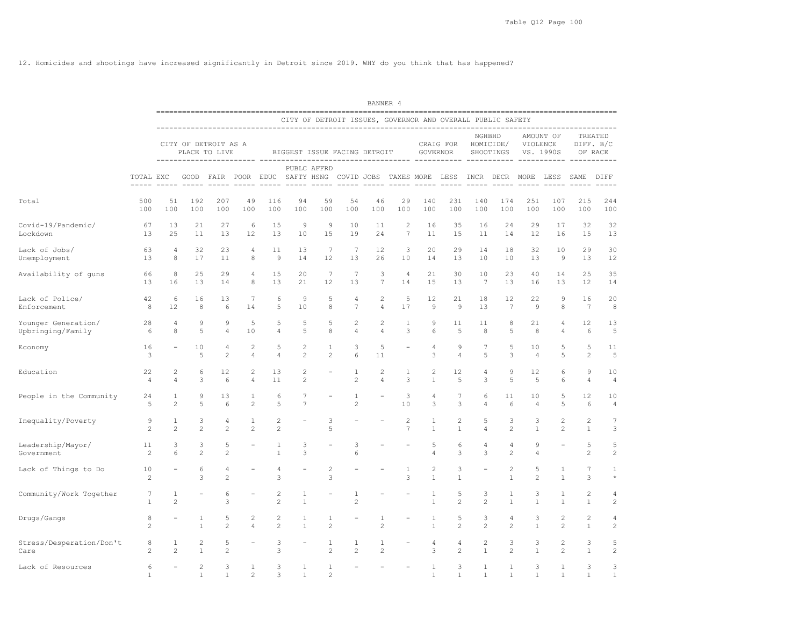12. Homicides and shootings have increased significantly in Detroit since 2019. WHY do you think that has happened?

|                                          |                      |                     |                                       |                     |                     |                                |                                  |                              |                            | BANNER 4            |                          |                                                                                         |                     |                       |                                |                     |                                    |                               |                                 |
|------------------------------------------|----------------------|---------------------|---------------------------------------|---------------------|---------------------|--------------------------------|----------------------------------|------------------------------|----------------------------|---------------------|--------------------------|-----------------------------------------------------------------------------------------|---------------------|-----------------------|--------------------------------|---------------------|------------------------------------|-------------------------------|---------------------------------|
|                                          |                      |                     |                                       |                     |                     |                                |                                  |                              |                            |                     |                          | CITY OF DETROIT ISSUES, GOVERNOR AND OVERALL PUBLIC SAFETY                              |                     |                       |                                |                     |                                    |                               |                                 |
|                                          |                      |                     | CITY OF DETROIT AS A<br>PLACE TO LIVE |                     |                     |                                |                                  | BIGGEST ISSUE FACING DETROIT |                            |                     |                          | GOVERNOR                                                                                | CRAIG FOR           | NGHBHD                | HOMICIDE/<br>SHOOTINGS         |                     | AMOUNT OF<br>VIOLENCE<br>VS. 1990S |                               | TREATED<br>DIFF. B/C<br>OF RACE |
|                                          | TOTAL EXC            |                     |                                       |                     |                     |                                |                                  | PUBLC AFFRD                  |                            |                     |                          | GOOD FAIR POOR EDUC SAFTY HSNG COVID JOBS TAXES MORE LESS INCR DECR MORE LESS SAME DIFF |                     |                       |                                |                     |                                    |                               |                                 |
| Total                                    | 500<br>100           | 51<br>100           | 192<br>100                            | 207<br>100          | 49<br>100           | 116<br>100                     | 94<br>100                        | 59<br>100                    | 54<br>100                  | 46<br>100           | 29<br>100                | 140<br>100                                                                              | 231<br>100          | 140<br>100            | 174<br>100                     | 251<br>100          | 107<br>100                         | 215<br>100                    | 244<br>100                      |
| Covid-19/Pandemic/<br>Lockdown           | 67<br>13             | 13<br>25            | 21<br>11                              | 27<br>13            | 6<br>12             | 15<br>13                       | 9<br>10                          | 9<br>15                      | 10<br>19                   | 11<br>24            | $\overline{c}$<br>7      | 16<br>11                                                                                | 35<br>15            | 16<br>11              | 24<br>14                       | 29<br>12            | 17<br>16                           | 32<br>15                      | 32<br>13                        |
| Lack of Jobs/<br>Unemployment            | 63<br>13             | 4<br>8              | 32<br>17                              | 23<br>11            | 4<br>8              | 11<br>9                        | 13<br>14                         | $7\phantom{.0}$<br>12        | $7\phantom{.0}$<br>13      | 12<br>26            | 3<br>10                  | 20<br>14                                                                                | 29<br>13            | 14<br>10              | 18<br>10                       | 32<br>13            | 10<br>9                            | 29<br>13                      | 30<br>12                        |
| Availability of guns                     | 66<br>13             | 8<br>16             | 25<br>13                              | 29<br>14            | 4<br>8              | 15<br>13                       | 20<br>21                         | $7\phantom{.0}$<br>12        | $7\phantom{.0}$<br>13      | 3<br>7              | $\overline{4}$<br>14     | 21<br>15                                                                                | 30<br>13            | 10<br>$7\phantom{.0}$ | 23<br>13                       | 40<br>16            | 14<br>13                           | 25<br>12                      | 35<br>14                        |
| Lack of Police/<br>Enforcement           | 42<br>8              | 6<br>12             | 16<br>8                               | 13<br>6             | 7<br>14             | 6<br>5                         | 9<br>10                          | 5<br>$\,$ 8 $\,$             | 4<br>$\overline{7}$        | 2<br>4              | 5<br>17                  | 12<br>$\mathcal{G}$                                                                     | 21<br>$\mathsf 9$   | 18<br>13              | 12<br>$7\phantom{.0}$          | 22<br>$\,9$         | 9<br>8                             | 16<br>$7\phantom{.0}$         | 20<br>$\,8\,$                   |
| Younger Generation/<br>Upbringing/Family | 28<br>6              | 4<br>8              | 9<br>5                                | 9<br>4              | 5<br>10             | 5<br>4                         | 5<br>5                           | 5<br>8                       | $\mathbf{2}$<br>4          | 2<br>4              | $\mathbf{1}$<br>3        | 9<br>6                                                                                  | 11<br>5             | 11<br>8               | 8<br>5                         | 21<br>8             | 4<br>4                             | 12<br>6                       | 13<br>5                         |
| Economy                                  | 16<br>3              |                     | 10<br>5                               | 4<br>$\overline{c}$ | 2<br>4              | 5<br>4                         | $\overline{c}$<br>2              | 1<br>$\mathbf{2}$            | 3<br>6                     | 5<br>11             |                          | 4<br>3                                                                                  | $\overline{9}$<br>4 | 7<br>5                | 5<br>3                         | 10<br>4             | 5<br>5                             | 5<br>2                        | 11<br>5                         |
| Education                                | 22<br>$\overline{4}$ | 2<br>$\overline{4}$ | 6<br>3                                | 12<br>6             | 2<br>4              | 13<br>11                       | $\overline{c}$<br>$\overline{c}$ |                              | $\mathbf{1}$<br>$\sqrt{2}$ | 2<br>4              | $\mathbf{1}$<br>3        | $\overline{c}$<br>$\mathbf{1}$                                                          | 12<br>5             | $\sqrt{4}$<br>3       | 9<br>5                         | 12<br>5             | 6<br>6                             | 9<br>$\overline{4}$           | 10<br>$\sqrt{4}$                |
| People in the Community                  | 24<br>5              | 1<br>$\overline{c}$ | 9<br>5                                | 13<br>6             | 1<br>$\overline{c}$ | 6<br>5                         | 7<br>$\overline{7}$              |                              | 1<br>$\overline{c}$        |                     | 3<br>10                  | 4<br>3                                                                                  | 7<br>3              | 6<br>$\sqrt{4}$       | 11<br>6                        | 10<br>4             | 5<br>5                             | 12<br>6                       | 10<br>$\sqrt{4}$                |
| Inequality/Poverty                       | 9<br>2               | 1<br>$\overline{c}$ | 3<br>$\overline{c}$                   | 4<br>$\mathbf{2}$   | 1<br>$\overline{c}$ | $\overline{c}$<br>$\mathbf{2}$ |                                  | 3<br>5                       |                            |                     | 2<br>$\overline{7}$      | 1<br>$\mathbf{1}$                                                                       | 2<br>$\mathbf{1}$   | 5<br>$\sqrt{4}$       | 3<br>$\overline{c}$            | 3<br>$\mathbf{1}$   | 2<br>$\overline{c}$                | 2<br>$\mathbf{1}$             | $\sqrt{ }$<br>3                 |
| Leadership/Mayor/<br>Government          | 11<br>2              | 3<br>6              | 3<br>$\mathbf{2}$                     | 5<br>$\mathbf{2}$   |                     | $\mathbf{1}$<br>$\mathbf{1}$   | 3<br>3                           |                              | 3<br>6                     |                     | $\overline{\phantom{0}}$ | 5<br>$\sqrt{4}$                                                                         | 6<br>3              | 4<br>3                | 4<br>2                         | 9<br>4              |                                    | $\mathbf 5$<br>$\overline{c}$ | 5<br>$\overline{2}$             |
| Lack of Things to Do                     | 10<br>2              |                     | 6<br>3                                | 4<br>$\overline{c}$ |                     | $\overline{4}$<br>3            |                                  | $\overline{c}$<br>3          |                            |                     | $\mathbf{1}$<br>3        | $\overline{c}$<br>$\mathbf{1}$                                                          | 3<br>$\mathbf{1}$   |                       | $\overline{c}$<br>$\mathbf{1}$ | 5<br>$\overline{c}$ | 1<br>$\overline{1}$                | $7\phantom{.0}$<br>3          | $\mathbf{1}$<br>$\star$         |
| Community/Work Together                  | 7<br>1               | 1<br>$\overline{c}$ |                                       | 6<br>3              |                     | $\mathbf{2}$<br>$\overline{c}$ | 1<br>$\mathbf{1}$                |                              | 1<br>$\overline{c}$        |                     |                          | 1<br>$\mathbf{1}$                                                                       | 5<br>$\mathbf{2}$   | 3<br>$\overline{c}$   | 1<br>$\mathbf{1}$              | 3<br>$\mathbf{1}$   | 1<br>1                             | 2<br>$\mathbf{1}$             | 4<br>$\overline{c}$             |
| Drugs/Gangs                              | 8<br>$\mathbf{2}$    |                     | 1<br>$1\,$                            | 5<br>$\mathbf{2}$   | 2<br>$\overline{4}$ | 2<br>$\mathbf{2}$              | 1<br>$\mathbf{1}$                | 1<br>$\overline{c}$          |                            | 1<br>$\overline{c}$ |                          | 1<br>$1\,$                                                                              | 5<br>$\mathbf{2}$   | 3<br>$\overline{c}$   | 4<br>$\overline{2}$            | 3<br>$\mathbf{1}$   | 2<br>$\overline{c}$                | 2<br>$\mathbf{1}$             | 4<br>$\sqrt{2}$                 |
| Stress/Desperation/Don't<br>Care         | 8<br>$\mathbf{2}$    | 1<br>$\mathbf{2}$   | 2<br>$\mathbf{1}$                     | 5<br>$\mathbf{2}$   |                     | 3<br>3                         |                                  | 1<br>$\mathbf{2}$            | 1<br>$\mathbf{2}$          | 1<br>$\overline{c}$ |                          | 4<br>3                                                                                  | 4<br>$\overline{2}$ | 2<br>$\mathbf{1}$     | 3<br>$\overline{c}$            | 3<br>$\mathbf{1}$   | 2<br>$\overline{c}$                | 3<br>$\mathbf{1}$             | 5<br>$\overline{c}$             |
| Lack of Resources                        | 6<br>$\mathbf{1}$    |                     | $\sqrt{2}$<br>1                       | 3<br>1              | 1<br>$\overline{c}$ | 3<br>3                         | 1<br>1                           | 1<br>2                       |                            |                     |                          | 1<br>$\mathbf{1}$                                                                       | 3<br>1              | $\mathbf{1}$<br>1     | $\mathbf{1}$<br>1              | 3<br>1              | 1<br>$\mathbf{1}$                  | 3<br>1                        | 3<br>1                          |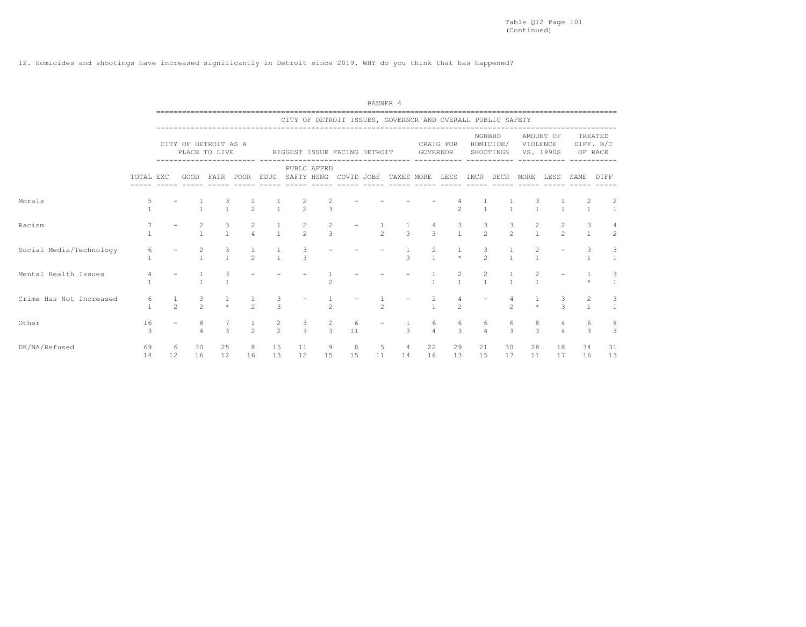12. Homicides and shootings have increased significantly in Detroit since 2019. WHY do you think that has happened?

|                         |                     |    |                                 |                     |                                      |               |                                |                                  |         | BANNER 4       |                                                            |                                       |                       |                     |                     |                         |                       |                     |                                                |
|-------------------------|---------------------|----|---------------------------------|---------------------|--------------------------------------|---------------|--------------------------------|----------------------------------|---------|----------------|------------------------------------------------------------|---------------------------------------|-----------------------|---------------------|---------------------|-------------------------|-----------------------|---------------------|------------------------------------------------|
|                         |                     |    |                                 |                     |                                      |               |                                |                                  |         |                | CITY OF DETROIT ISSUES, GOVERNOR AND OVERALL PUBLIC SAFETY |                                       |                       |                     |                     |                         |                       |                     |                                                |
|                         |                     |    | CITY OF DETROIT AS A            | PLACE TO LIVE       |                                      |               | BIGGEST ISSUE FACING DETROIT   |                                  |         |                |                                                            |                                       | CRAIG FOR<br>GOVERNOR |                     | NGHBHD<br>HOMICIDE/ | SHOOTINGS VS. 1990S     | AMOUNT OF<br>VIOLENCE |                     | TREATED<br>DIFF. B/C<br>OF RACE                |
|                         | TOTAL EXC           |    | GOOD                            |                     | FAIR POOR EDUC SAFTY HSNG COVID JOBS |               |                                | PUBLC AFFRD                      |         |                | TAXES MORE                                                 |                                       | LESS                  | INCR                | DECR                | MORE                    | LESS                  | SAME                | DIFF                                           |
| Morals                  |                     |    |                                 |                     | $\frac{1}{2}$                        |               | $\frac{2}{2}$<br>$\frac{1}{1}$ | $\overline{3}$                   |         |                |                                                            |                                       | $\mathfrak{D}$        |                     |                     |                         |                       |                     | $\overline{c}$<br>$\mathbf{1}$<br>$\mathbf{1}$ |
| Racism                  |                     |    | 2                               | $\mathbf{1}$        | $\frac{2}{4}$                        | $\frac{1}{1}$ | $\frac{2}{2}$                  | 2<br>$\overline{3}$              |         | $\mathfrak{D}$ | $\mathcal{L}$                                              | $\mathcal{L}$                         | 3<br>$\mathbf{1}$     | $\frac{3}{2}$       | $\frac{3}{2}$       | $\frac{2}{1}$           |                       | 2<br>$\mathfrak{D}$ | 3<br>$\mathbf{1}$<br>$\overline{c}$            |
| Social Media/Technology |                     |    | 2                               | 3<br>$\overline{1}$ | $\mathfrak{D}$                       | $\frac{1}{1}$ | 3<br>$\mathcal{L}$             |                                  |         |                | $\mathcal{L}$                                              |                                       | $\star$               | 3<br>$\mathcal{P}$  | $\mathbf{1}$        |                         |                       |                     |                                                |
| Mental Health Issues    |                     |    |                                 |                     |                                      |               |                                | $\overline{\phantom{0}}$         |         |                |                                                            |                                       | $\mathbf{1}$          | 2                   | $\mathbf{1}$        |                         |                       |                     |                                                |
| Crime Has Not Increased | 6<br>$\mathbf{1}$   |    | $\frac{3}{2}$<br>$\mathfrak{D}$ |                     | $\frac{1}{2}$                        | $\frac{3}{3}$ |                                | $\mathfrak{D}$                   |         | $\overline{2}$ |                                                            | $\begin{array}{c} 2 \\ 1 \end{array}$ | $\mathfrak{D}$        |                     | $\mathfrak{D}$      |                         |                       | $\mathcal{L}$       |                                                |
| Other                   | 16<br>$\mathcal{R}$ |    | 8                               | 3                   | $\overline{2}$                       | $\frac{2}{2}$ | 3<br>$\mathcal{L}$             | $\overline{c}$<br>$\overline{3}$ | 6<br>11 |                | $\mathcal{L}$                                              | 6<br>$\overline{4}$                   | 6<br>3                | 6<br>$\overline{4}$ | $\mathcal{L}$       | 8<br>6<br>$\mathcal{L}$ |                       | $\Delta$            | 8<br>6<br>3<br>3                               |
| DK/NA/Refused           | 69<br>14            | 12 | 30<br>6<br>16                   | 25<br>12            | 8<br>16                              | 15<br>13      | 11<br>12                       | 9<br>15                          | 8<br>15 | 5<br>11        | $\overline{4}$<br>14                                       | 22<br>16                              | 29<br>13              | 21<br>15            | 30<br>17            | 28<br>11                | 18<br>17              | 34<br>16            | 31<br>13                                       |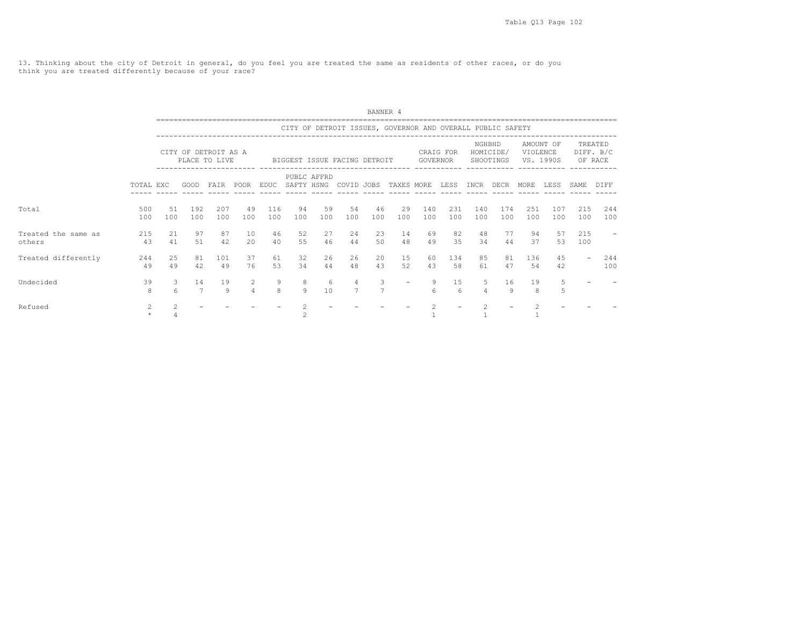13. Thinking about the city of Detroit in general, do you feel you are treated the same as residents of other races, or do you think you are treated differently because of your race?

|                               |                           |                 |                      |                                       |                            |                   |                                                            |           |                     | BANNER 4  |                          |                       |                  |                |                        |                       |            |                          |                                 |  |
|-------------------------------|---------------------------|-----------------|----------------------|---------------------------------------|----------------------------|-------------------|------------------------------------------------------------|-----------|---------------------|-----------|--------------------------|-----------------------|------------------|----------------|------------------------|-----------------------|------------|--------------------------|---------------------------------|--|
|                               |                           |                 |                      |                                       |                            |                   | CITY OF DETROIT ISSUES, GOVERNOR AND OVERALL PUBLIC SAFETY |           |                     |           |                          |                       |                  |                |                        |                       |            |                          |                                 |  |
|                               |                           |                 |                      | CITY OF DETROIT AS A<br>PLACE TO LIVE |                            |                   | BIGGEST ISSUE FACING DETROIT                               |           |                     |           |                          | GOVERNOR              | CRAIG FOR        | NGHBHD         | HOMICIDE/<br>SHOOTINGS | VIOLENCE<br>VS. 1990S | AMOUNT OF  |                          | TREATED<br>DIFF. B/C<br>OF RACE |  |
|                               | TOTAL EXC                 |                 | GOOD                 | FAIR POOR EDUC                        |                            |                   | PUBLC AFFRD<br>SAFTY HSNG COVID JOBS                       |           |                     |           | TAXES MORE               |                       | LESS             | INCR DECR      |                        | MORE                  | LESS       | SAME                     | DIFF                            |  |
| Total                         | 500<br>100                | 51<br>100       | 192<br>100           | 207<br>100                            | 49<br>100                  | 116<br>100        | 94<br>100                                                  | 59<br>100 | 54<br>100           | 46<br>100 | 29<br>100                | 140<br>100            | 231<br>100       | 140<br>100     | 174<br>100             | 251<br>100            | 107<br>100 | 215<br>100               | 244<br>100                      |  |
| Treated the same as<br>others | 215<br>43                 | 21<br>41        | 97<br>51             | 87<br>42                              | 10<br>20                   | 46<br>40          | 52<br>55                                                   | 27<br>46  | 24<br>44            | 23<br>50  | 14<br>48                 | 69<br>49              | 82<br>35         | 48<br>34       | 77<br>44               | 94<br>37              | 57<br>53   | 215<br>100               |                                 |  |
| Treated differently           | 244<br>49                 | 25<br>49        | 81<br>42.            | 101<br>49                             | 37<br>76                   | 61<br>53          | 32<br>34                                                   | 26<br>44  | 26<br>48            | 20<br>43  | 15<br>52                 | 60<br>43              | 134<br>58        | 85<br>61       | 81<br>47               | 136<br>54             | 4.5<br>42  | $\overline{\phantom{a}}$ | 244<br>100                      |  |
| Undecided                     | 39<br>8                   | 3<br>$\epsilon$ | 14<br>$\overline{7}$ | 19<br>Q                               | $\overline{2}$<br>$\Delta$ | 9<br>$\mathsf{R}$ | 8<br>9                                                     | 6<br>10   | 4<br>$\overline{7}$ | 3         | $\overline{\phantom{m}}$ | 9<br>$6 \overline{6}$ | 15<br>$\epsilon$ | .5             | 16<br>Q                | 19<br>8               | 5<br>5     |                          |                                 |  |
| Refused                       | $\overline{2}$<br>$\star$ | $\mathfrak{D}$  |                      |                                       |                            |                   | 2                                                          |           |                     |           |                          | $\mathfrak{D}$        |                  | $\mathfrak{D}$ |                        |                       |            |                          |                                 |  |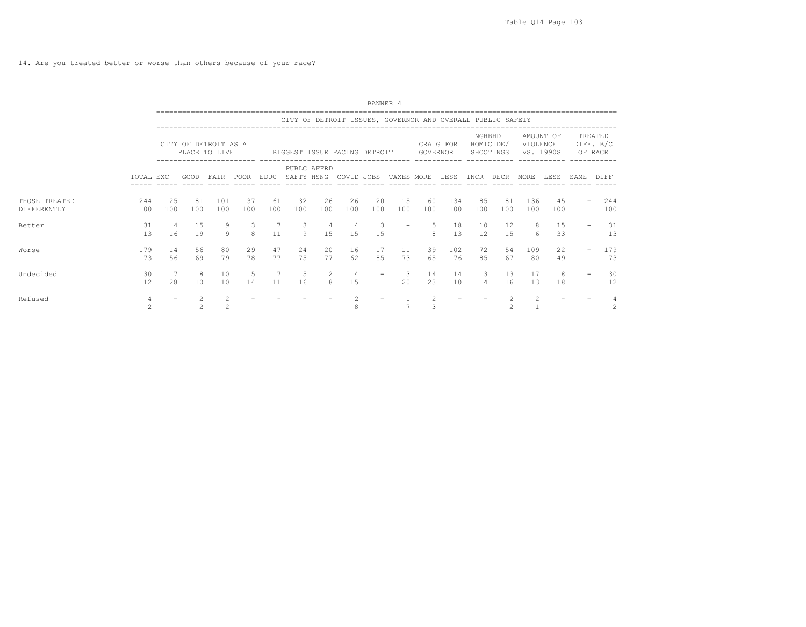14. Are you treated better or worse than others because of your race?

|                              |                     |            |                                                                                                                                                                                                       |                                  |           |                       |           |           |                                                            | BANNER 4                      |                |                     |            |                     |                |                       |                        |      |                                 |
|------------------------------|---------------------|------------|-------------------------------------------------------------------------------------------------------------------------------------------------------------------------------------------------------|----------------------------------|-----------|-----------------------|-----------|-----------|------------------------------------------------------------|-------------------------------|----------------|---------------------|------------|---------------------|----------------|-----------------------|------------------------|------|---------------------------------|
|                              |                     |            |                                                                                                                                                                                                       |                                  |           |                       |           |           | CITY OF DETROIT ISSUES, GOVERNOR AND OVERALL PUBLIC SAFETY |                               |                |                     |            |                     |                |                       |                        |      |                                 |
|                              |                     |            | CITY OF DETROIT AS A<br>CRAIG FOR<br>PLACE TO LIVE<br>GOVERNOR<br>BIGGEST ISSUE FACING DETROIT<br><br>PUBLC AFFRD<br>FAIR POOR EDUC SAFTY HSNG COVID JOBS TAXES MORE LESS INCR DECR MORE LESS<br>GOOD |                                  |           |                       |           |           |                                                            |                               |                |                     |            |                     |                | VIOLENCE              | AMOUNT OF<br>VS. 1990S |      | TREATED<br>DIFF. B/C<br>OF RACE |
|                              | TOTAL EXC           |            |                                                                                                                                                                                                       |                                  |           |                       |           |           |                                                            |                               |                |                     |            |                     |                |                       |                        | SAME | DIFF                            |
| THOSE TREATED<br>DIFFERENTLY | 244<br>100          | 2.5<br>100 | 81<br>100                                                                                                                                                                                             | 101<br>100                       | 37<br>100 | 61<br>100             | 32<br>100 | 26<br>100 | 26<br>100                                                  | 20<br>100                     | 15<br>100      | 60<br>100           | 134<br>100 | 85<br>100           | 81<br>100      | 136<br>100            | 45<br>100              |      | 244<br>100                      |
| Better                       | 31<br>13            | 4<br>16    | 15<br>19                                                                                                                                                                                              | 9<br>Q                           | 3<br>8    | 7<br>11               | 3<br>9    | 4<br>15   | $\overline{4}$<br>15                                       | $\overline{\mathbf{3}}$<br>15 |                | $\mathsf{R}$        | 18<br>13   | 10<br>12            | 12<br>1.5      | 8<br>$6 \overline{6}$ | 15<br>33               |      | 31<br>13                        |
| Worse                        | 179<br>73           | 14<br>56   | 56<br>69                                                                                                                                                                                              | 80<br>79                         | 29<br>78  | 47<br>77              | 24<br>75  | 20<br>77  | 16<br>62                                                   | 17<br>85                      | 11<br>73       | 39<br>65            | 102<br>76  | 72<br>85            | 54<br>67       | 109<br>80             | 22<br>49               |      | 179<br>73                       |
| Undecided                    | 30<br>12            | 28         | -8<br>10                                                                                                                                                                                              | 10<br>10                         | 5<br>14   | $7\overline{ }$<br>11 | 5<br>16   | 2<br>8    | $\overline{4}$<br>15                                       |                               | 3<br>2.0       | 14<br>2.3           | 14<br>10   | 3<br>$\overline{4}$ | 13<br>16       | 17<br>13              | 8<br>18                |      | 30<br>12                        |
| Refused                      | $\overline{4}$<br>2 |            | 2<br>$\mathfrak{D}$                                                                                                                                                                                   | $\overline{2}$<br>$\overline{2}$ |           |                       |           |           |                                                            |                               | $\overline{7}$ | $\overline{2}$<br>3 |            |                     | $\mathfrak{D}$ | $\overline{2}$        |                        |      | $\overline{c}$                  |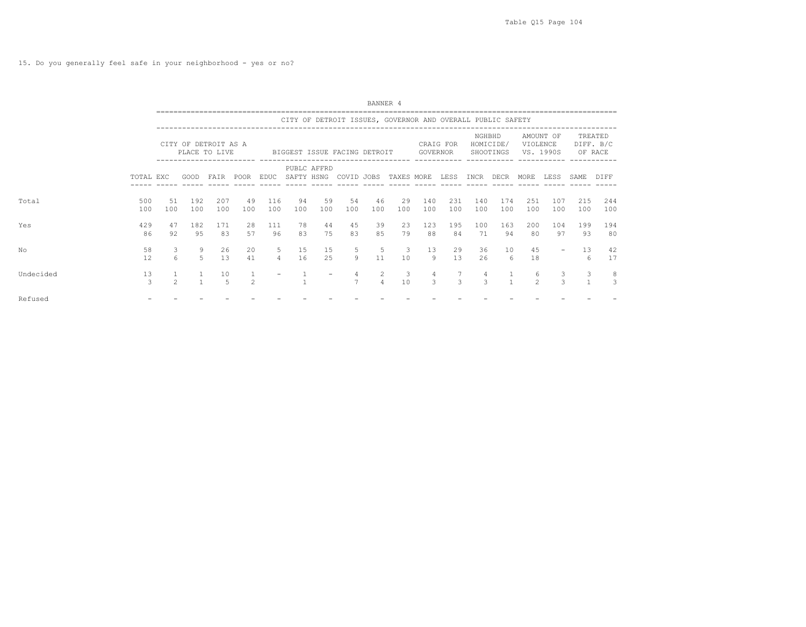15. Do you generally feel safe in your neighborhood - yes or no?

|           |                      |                |                                       |                      |                |                     |             |           |                              | BANNER 4                         |                                                            |                                 |                |               |                        |                     |                        |            |                                 |  |
|-----------|----------------------|----------------|---------------------------------------|----------------------|----------------|---------------------|-------------|-----------|------------------------------|----------------------------------|------------------------------------------------------------|---------------------------------|----------------|---------------|------------------------|---------------------|------------------------|------------|---------------------------------|--|
|           |                      |                |                                       |                      |                |                     |             |           |                              |                                  | CITY OF DETROIT ISSUES, GOVERNOR AND OVERALL PUBLIC SAFETY |                                 |                |               |                        |                     |                        |            |                                 |  |
|           |                      |                | CITY OF DETROIT AS A<br>PLACE TO LIVE |                      |                |                     |             |           | BIGGEST ISSUE FACING DETROIT |                                  |                                                            | GOVERNOR                        | CRAIG FOR      | NGHBHD        | HOMICIDE/<br>SHOOTINGS | VIOLENCE            | AMOUNT OF<br>VS. 1990S |            | TREATED<br>DIFF. B/C<br>OF RACE |  |
|           | TOTAL EXC            |                | GOOD                                  |                      | FAIR POOR EDUC |                     | PUBLC AFFRD |           | SAFTY HSNG COVID JOBS        |                                  | TAXES MORE                                                 |                                 | LESS INCR DECR |               |                        | MORE                | LESS                   | SAME       | DIFF                            |  |
| Total     | 500<br>100           | 51<br>100      | 192<br>100                            | 207<br>100           | 49<br>100      | 116<br>100          | 94<br>100   | 59<br>100 | 54<br>100                    | 46<br>100                        | 29<br>100                                                  | 140<br>100                      | 231<br>100     | 140<br>100    | 174<br>100             | 251<br>100          | 107<br>100             | 215<br>100 | 244<br>100                      |  |
| Yes       | 429<br>86            | 47<br>92       | 182<br>95                             | 171<br>83            | 28<br>57       | 111<br>96           | 78<br>83    | 44<br>75  | 45<br>83                     | 39<br>8.5                        | 23<br>79                                                   | 123<br>88                       | 195<br>84      | 100<br>71     | 163<br>94              | 200<br>80           | 104<br>97              | 199<br>93  | 194<br>80                       |  |
| No        | 58<br>12             | 3<br>6         | 9<br>5                                | 26<br>13             | 20<br>41       | 5<br>$\overline{4}$ | 15<br>16    | 15<br>25  | 5<br>$\overline{9}$          | 5<br>11                          | $\mathbf{3}$<br>10                                         | 13<br>9                         | 29<br>13       | 36<br>26      | 10<br>6                | 45<br>18            |                        | 13<br>6    | 42<br>17                        |  |
| Undecided | 13<br>$\overline{3}$ | $\mathfrak{D}$ |                                       | 10<br>$\overline{5}$ | $\mathfrak{D}$ |                     |             |           | 4<br>$\overline{7}$          | $\overline{2}$<br>$\overline{4}$ | $\mathcal{S}$<br>10                                        | $\overline{4}$<br>$\mathcal{L}$ | $\mathcal{R}$  | $\mathcal{L}$ |                        | 6<br>$\mathfrak{D}$ | $\mathcal{L}$          | 3          | -8<br>3                         |  |
| Refused   |                      |                |                                       |                      |                |                     |             |           |                              |                                  |                                                            |                                 |                |               |                        |                     |                        |            |                                 |  |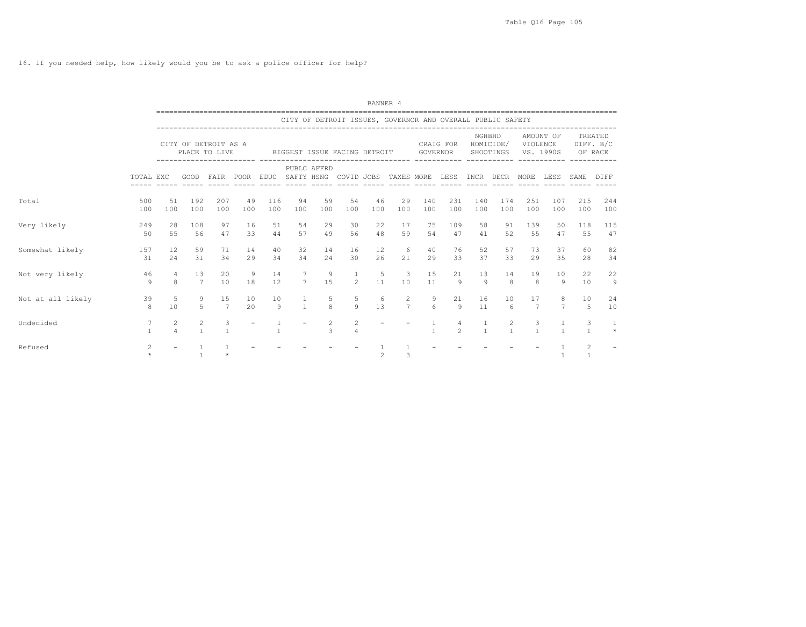16. If you needed help, how likely would you be to ask a police officer for help?

|                   |                                 |                          |                                  |                                       |           |                                      |                     |                                 |                                  | BANNER 4       |                                                            |                       |                      |              |                        |                       |                     |                                |                                 |
|-------------------|---------------------------------|--------------------------|----------------------------------|---------------------------------------|-----------|--------------------------------------|---------------------|---------------------------------|----------------------------------|----------------|------------------------------------------------------------|-----------------------|----------------------|--------------|------------------------|-----------------------|---------------------|--------------------------------|---------------------------------|
|                   |                                 |                          |                                  |                                       |           |                                      |                     |                                 |                                  |                | CITY OF DETROIT ISSUES, GOVERNOR AND OVERALL PUBLIC SAFETY |                       |                      |              |                        |                       |                     |                                |                                 |
|                   |                                 |                          |                                  | CITY OF DETROIT AS A<br>PLACE TO LIVE |           |                                      |                     | BIGGEST ISSUE FACING DETROIT    |                                  |                |                                                            | <b>GOVERNOR</b>       | CRAIG FOR            | NGHBHD       | HOMICIDE/<br>SHOOTINGS | VIOLENCE<br>VS. 1990S | AMOUNT OF           |                                | TREATED<br>DIFF. B/C<br>OF RACE |
|                   | TOTAL EXC                       |                          | GOOD                             |                                       |           | FAIR POOR EDUC SAFTY HSNG COVID JOBS | ------ ----- -----  | PUBLC AFFRD                     |                                  | $- - - - - -$  | TAXES MORE                                                 |                       | LESS                 | INCR         | DECR                   | MORE                  | LESS                | SAME                           | DIFF                            |
| Total             | 500<br>100                      | 51<br>100                | 192<br>100                       | 207<br>100                            | 49<br>100 | 116<br>100                           | 94<br>100           | 59<br>100                       | 54<br>100                        | 46<br>100      | 29<br>100                                                  | 140<br>100            | 231<br>100           | 140<br>100   | 174<br>100             | 251<br>100            | 107<br>100          | 215<br>100                     | 244<br>100                      |
| Very likely       | 249<br>50                       | 28<br>55                 | 108<br>56                        | 97<br>47                              | 16<br>33  | 51<br>44                             | 54<br>57            | 29<br>49                        | 30<br>56                         | 22<br>48       | 17<br>59                                                   | 75<br>54              | 109<br>47            | 58<br>41     | 91<br>52               | 139<br>55             | 50<br>47            | 118<br>55                      | 115<br>47                       |
| Somewhat likely   | 157<br>31                       | 12<br>24                 | 59<br>31                         | 71<br>34                              | 14<br>29  | 40<br>34                             | 32<br>34            | 14<br>24                        | 16<br>30                         | 12<br>26       | 6<br>21                                                    | 40<br>29              | 76<br>33             | 52<br>37     | 57<br>33               | 73<br>29              | 37<br>35            | 60<br>28                       | 82<br>34                        |
| Not very likely   | 46<br>9                         | 4<br>8                   | 13<br>7                          | 20<br>10                              | 9<br>18   | 14<br>12                             | 7<br>$\overline{7}$ | 9<br>15                         | $2^{\circ}$                      | 5<br>11        | 3<br>10                                                    | 15<br>11              | 21<br>$\mathcal{Q}$  | 13<br>9      | 14<br>8                | 19<br>8               | 10<br>-9            | 22<br>10                       | 22<br>$\overline{9}$            |
| Not at all likely | 39<br>8                         | 5<br>10                  | $\overline{9}$<br>$\overline{5}$ | 15<br>$7\overline{ }$                 | 10<br>20  | 10<br>$\overline{9}$                 | $\mathbf{1}$        | 5<br>$\mathbf{g}$               | 5<br>$\circ$                     | 6<br>13        | $\overline{2}$<br>$\overline{7}$                           | 9<br>$6 \overline{6}$ | 21<br>$\overline{9}$ | 16<br>11     | 10<br>6                | 17<br>7               | 8<br>$\overline{7}$ | 10<br>-5                       | 24<br>10                        |
| Undecided         | $7\phantom{.0}$<br>$\mathbf{1}$ | 2<br>$\overline{4}$      | 2<br>$\overline{1}$              | 3<br>$\overline{1}$                   |           | $\mathbf{1}$                         |                     | $\overline{2}$<br>$\mathcal{L}$ | $\overline{2}$<br>$\overline{4}$ |                |                                                            | $\mathbf{1}$          | $\mathfrak{D}$       | $\mathbf{1}$ | 2<br>$\overline{1}$    | 3<br>$\overline{1}$   | $\overline{1}$      | 3<br>$\mathbf{1}$              | 1<br>$\star$                    |
| Refused           | $\overline{2}$<br>$\star$       | $\overline{\phantom{0}}$ | $\overline{1}$                   | $\star$                               |           |                                      |                     |                                 |                                  | $\overline{2}$ | 3                                                          |                       |                      |              |                        |                       |                     | $\overline{2}$<br>$\mathbf{1}$ | $\overline{\phantom{a}}$        |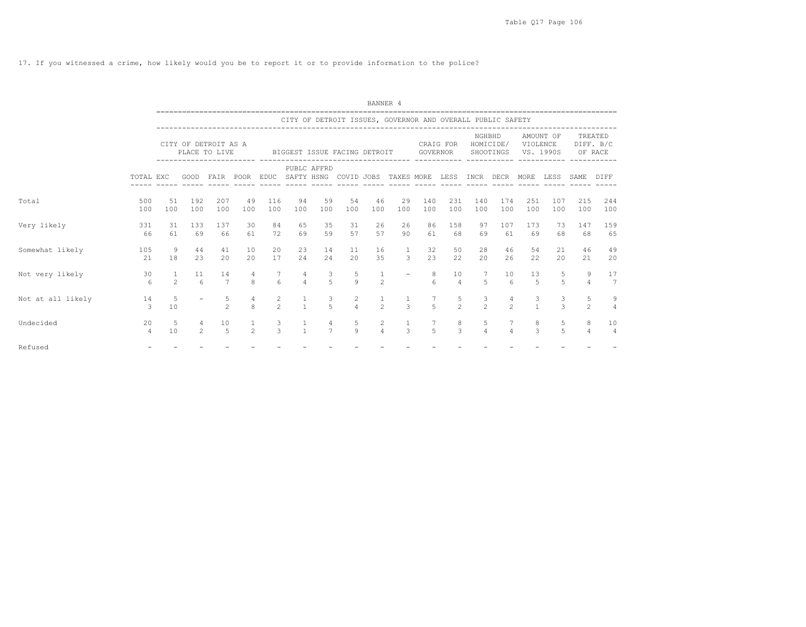17. If you witnessed a crime, how likely would you be to report it or to provide information to the police?

|                   |                      |                                |                                       |                      |                           |                      |                                |                                           |                                                            | BANNER 4                       |                                |                      |                      |                     |                                 |                                       |                     |                     |                                  |
|-------------------|----------------------|--------------------------------|---------------------------------------|----------------------|---------------------------|----------------------|--------------------------------|-------------------------------------------|------------------------------------------------------------|--------------------------------|--------------------------------|----------------------|----------------------|---------------------|---------------------------------|---------------------------------------|---------------------|---------------------|----------------------------------|
|                   |                      |                                |                                       |                      |                           |                      |                                |                                           | CITY OF DETROIT ISSUES, GOVERNOR AND OVERALL PUBLIC SAFETY |                                |                                |                      |                      |                     |                                 |                                       |                     |                     |                                  |
|                   |                      |                                | CITY OF DETROIT AS A<br>PLACE TO LIVE |                      |                           |                      |                                |                                           | BIGGEST ISSUE FACING DETROIT                               |                                |                                | GOVERNOR             | CRAIG FOR            | NGHBHD              | HOMICIDE/<br>SHOOTINGS          | VIOLENCE<br>VS. 1990S                 | AMOUNT OF           |                     | TREATED<br>DIFF. B/C<br>OF RACE  |
|                   | TOTAL EXC            |                                |                                       | GOOD FAIR POOR       |                           |                      |                                | PUBLC AFFRD                               | EDUC SAFTY HSNG COVID JOBS TAXES MORE LESS                 |                                |                                |                      |                      |                     | INCR DECR MORE                  |                                       | LESS                | SAME                | DIFF                             |
| Total             | 500<br>100           | 51<br>100                      | 192<br>100                            | 207<br>100           | 49<br>100                 | 116<br>100           | 94<br>100                      | 59<br>100                                 | 54<br>100                                                  | 46<br>100                      | 29<br>100                      | 140<br>100           | 231<br>100           | 140<br>100          | 174<br>100                      | 251<br>100                            | 107<br>100          | 215<br>100          | 244<br>100                       |
| Very likely       | 331<br>66            | 31<br>61                       | 133<br>69                             | 137<br>66            | 30<br>61                  | 84<br>72             | 65<br>69                       | 35<br>59                                  | 31<br>57                                                   | 26<br>57                       | 26<br>90                       | 86<br>61             | 158<br>68            | 97<br>69            | 107<br>61                       | 173<br>69                             | 73<br>68            | 147<br>68           | 159<br>65                        |
| Somewhat likely   | 105<br>21            | 9<br>18                        | 44<br>23                              | 41<br>20             | 10<br>20                  | 20<br>17             | 23<br>24                       | 14<br>24                                  | 11<br>20                                                   | 16<br>35                       | $\mathbf{1}$<br>$\mathbf{3}$   | 32<br>23             | 50<br>22             | 28<br>20            | 46<br>26                        | 54<br>22                              | 21<br>20            | 46<br>21            | 49<br>20                         |
| Not very likely   | 30<br>6              | $\mathbf{1}$<br>$\overline{c}$ | 11<br>$6 \overline{6}$                | 14<br>$\overline{7}$ | 4<br>8                    | $7\phantom{.0}$<br>6 | 4<br>$\overline{4}$            | $\overline{\mathbf{3}}$<br>$\overline{5}$ | 5<br>$\mathsf{Q}$                                          | $\mathbf{1}$<br>$\overline{c}$ |                                | 8<br>$\epsilon$      | 10<br>$\overline{4}$ | 7<br>5              | 10<br>$6\overline{6}$           | 13<br>5                               | 5<br>$\overline{5}$ | 9<br>$\overline{4}$ | 17<br>$7\phantom{.0}$            |
| Not at all likely | 14<br>3              | 5<br>10                        |                                       | 5<br>$\mathfrak{D}$  | $\overline{4}$<br>$\beta$ | 2<br>$\mathcal{P}$   | $\mathbf{1}$<br>$\overline{1}$ | $\mathbf{3}$<br>$\overline{5}$            | 2<br>$\overline{4}$                                        | $\mathfrak{D}$                 | $\mathbf{1}$<br>$\mathcal{L}$  | 7<br>$\overline{5}$  | 5<br>$\mathfrak{D}$  | 3<br>$\mathfrak{D}$ | $\overline{4}$<br>$\mathcal{P}$ | $\begin{array}{c} 3 \\ 1 \end{array}$ | 3<br>$\mathcal{R}$  | 5<br>$\mathfrak{D}$ | $\overline{9}$<br>$\overline{4}$ |
| Undecided         | 20<br>$\overline{4}$ | 5<br>10                        | 4<br>$\mathfrak{D}$                   | 10<br>5              | $\mathfrak{D}$            | 3<br>$\mathcal{L}$   | $\mathbf{1}$<br>$\overline{1}$ | 4<br>$\overline{7}$                       | 5<br>9                                                     | 2<br>$\overline{4}$            | $\mathbf{1}$<br>$\overline{3}$ | -7<br>$\overline{5}$ | 8<br>$\mathcal{L}$   | 5<br>$\overline{4}$ | $7\overline{ }$<br>$\Delta$     | 8<br>3                                | 5<br>$\overline{5}$ | 8<br>4              | 10<br>$\overline{4}$             |
| Refused           |                      |                                |                                       |                      |                           |                      |                                |                                           |                                                            |                                |                                |                      |                      |                     |                                 |                                       |                     |                     |                                  |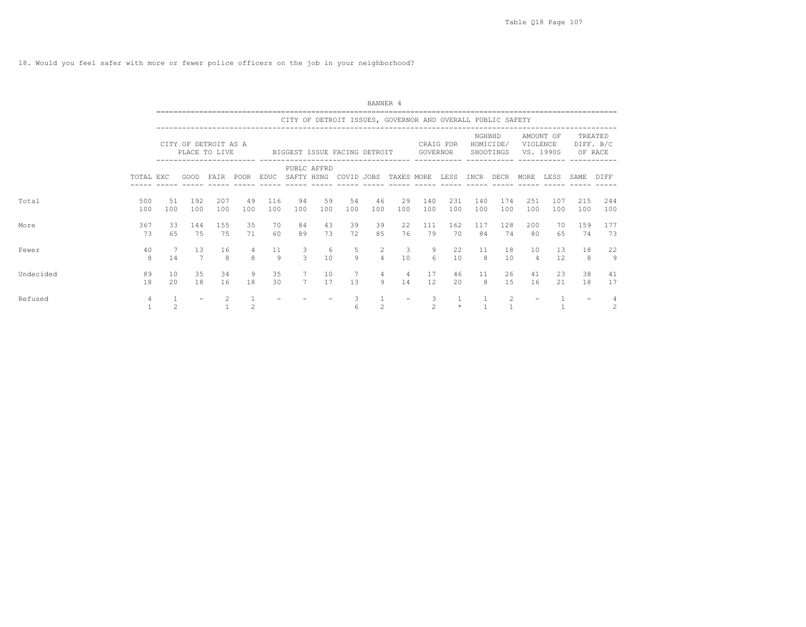18. Would you feel safer with more or fewer police officers on the job in your neighborhood?

|           |                |                |            |                                                            |                                                                                                                        |             |                     |             |                                                            | BANNER 4            |                      |                     |            |            |                        |                       |            |            |                      |
|-----------|----------------|----------------|------------|------------------------------------------------------------|------------------------------------------------------------------------------------------------------------------------|-------------|---------------------|-------------|------------------------------------------------------------|---------------------|----------------------|---------------------|------------|------------|------------------------|-----------------------|------------|------------|----------------------|
|           |                |                |            |                                                            |                                                                                                                        |             |                     |             | CITY OF DETROIT ISSUES, GOVERNOR AND OVERALL PUBLIC SAFETY |                     |                      |                     |            |            |                        |                       |            |            |                      |
|           |                |                |            | CITY OF DETROIT AS A<br>PLACE TO LIVE<br>------------- --- |                                                                                                                        |             |                     |             | BIGGEST ISSUE FACING DETROIT                               |                     |                      | GOVERNOR            | CRAIG FOR  | NGHBHD     | HOMICIDE/<br>SHOOTINGS | VIOLENCE<br>VS. 1990S | AMOUNT OF  | OF RACE    | TREATED<br>DIFF. B/C |
|           | TOTAL EXC      |                | GOOD       | FAIR                                                       | POOR                                                                                                                   | <b>EDUC</b> |                     | PUBLC AFFRD | SAFTY HSNG COVID JOBS TAXES MORE                           |                     |                      |                     | LESS       | INCR DECR  |                        | MORE                  | LESS       | SAME       | DIFF                 |
| Total     | 500<br>100     | 51<br>100      | 192<br>100 | 207<br>100                                                 | 49<br>100                                                                                                              | 116<br>100  | 94<br>100           | 59<br>100   | 54<br>100                                                  | 46<br>100           | 29<br>100            | 140<br>100          | 231<br>100 | 140<br>100 | 174<br>100             | 251<br>100            | 107<br>100 | 215<br>100 | 244<br>100           |
| More      | 367<br>73      | 33<br>65       | 144<br>75  | 155<br>75                                                  | 35<br>71                                                                                                               | 70<br>60    | 84<br>89            | 43<br>73    | 39<br>72                                                   | 39<br>85            | 22<br>76             | 111<br>79           | 162<br>70  | 117<br>84  | 128<br>74              | 200<br>80             | 70<br>65   | 159<br>74  | 177<br>73            |
| Fewer     | 40<br>8        | 14             | 13<br>7    | 16<br>8                                                    | 8                                                                                                                      | 11<br>9     | 3<br>3              | 6<br>10     | 5<br>9                                                     | 2<br>$\overline{4}$ | 3<br>10              | 9<br>6              | 22<br>10   | 11<br>8    | 18<br>10               | 10<br>$\overline{4}$  | 13<br>12   | 18<br>8    | 22<br>9              |
| Undecided | 89<br>18       | 10<br>2.0      | 35<br>18   | 34<br>16                                                   | 9<br>18                                                                                                                | 35<br>30    | 7<br>$\overline{7}$ | 10<br>17    | 7<br>13                                                    | 4<br>Q              | $\overline{4}$<br>14 | 17<br>12            | 46<br>20   | 11<br>8    | 26<br>1.5              | 41<br>16              | 23<br>21   | 38<br>18   | 41<br>17             |
| Refused   | $\overline{4}$ | $\mathfrak{D}$ |            | $\mathcal{L}$                                              | $\mathfrak{D}_{1}^{2}(\mathfrak{D}_{1})=\mathfrak{D}_{2}^{2}(\mathfrak{D}_{2})=\mathfrak{D}_{2}^{2}(\mathfrak{D}_{1})$ |             |                     |             | 3<br>6                                                     | $\mathfrak{D}$      |                      | 3<br>$\mathfrak{D}$ | $\star$    |            | $\mathcal{L}$          |                       |            |            | 2                    |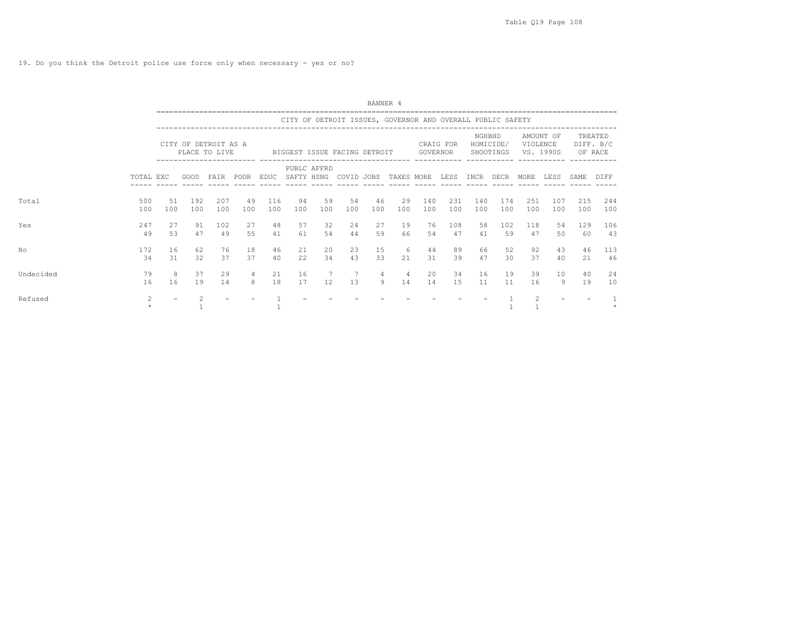|           |                          |                                                                                                                                                                                                                                                                 |            |            |                     |            |            |                       |           | BANNER 4            |                                                            |            |            |            |                       |               |            |                      |            |  |
|-----------|--------------------------|-----------------------------------------------------------------------------------------------------------------------------------------------------------------------------------------------------------------------------------------------------------------|------------|------------|---------------------|------------|------------|-----------------------|-----------|---------------------|------------------------------------------------------------|------------|------------|------------|-----------------------|---------------|------------|----------------------|------------|--|
|           |                          |                                                                                                                                                                                                                                                                 |            |            |                     |            |            |                       |           |                     | CITY OF DETROIT ISSUES, GOVERNOR AND OVERALL PUBLIC SAFETY |            |            |            |                       |               |            |                      |            |  |
|           |                          | NGHBHD<br>CITY OF DETROIT AS A<br>HOMICIDE/<br>CRAIG FOR<br>PLACE TO LIVE<br>BIGGEST ISSUE FACING DETROIT<br>GOVERNOR<br>SHOOTINGS<br>-------------- ----<br>PUBLC AFFRD<br>FAIR POOR EDUC<br>SAFTY HSNG COVID JOBS TAXES MORE LESS INCR DECR MORE LESS<br>GOOD |            |            |                     |            |            |                       |           |                     |                                                            |            |            |            | VIOLENCE<br>VS. 1990S | AMOUNT OF     | OF RACE    | TREATED<br>DIFF. B/C |            |  |
|           | TOTAL EXC                |                                                                                                                                                                                                                                                                 |            |            |                     |            |            |                       |           |                     |                                                            |            |            |            |                       |               |            | SAME                 | DIFF       |  |
| Total     | 500<br>100               | 51<br>100                                                                                                                                                                                                                                                       | 192<br>100 | 207<br>100 | 49<br>100           | 116<br>100 | 94<br>100  | 59<br>100             | 54<br>100 | 46<br>100           | 29<br>100                                                  | 140<br>100 | 231<br>100 | 140<br>100 | 174<br>100            | 251<br>100    | 107<br>100 | 215<br>100           | 244<br>100 |  |
| Yes       | 247<br>49                | 27<br>53                                                                                                                                                                                                                                                        | 91<br>47   | 102<br>49  | 27<br>55            | 48<br>41   | 57<br>61   | 32<br>54              | 24<br>44  | 27<br>59            | 19<br>66                                                   | 76<br>.54  | 108<br>47  | 58<br>41   | 102<br>59             | 118<br>47     | 54<br>50   | 129<br>60            | 106<br>43  |  |
| Nο        | 172<br>34                | 16<br>31                                                                                                                                                                                                                                                        | 62<br>32   | 76<br>37   | 18<br>37            | 46<br>40   | 21<br>22.2 | 20<br>34              | 23<br>43  | 15<br>33            | 6<br>21                                                    | 44<br>31   | 89<br>39   | 66<br>47   | 52<br>30              | 92<br>37      | 43<br>40   | 46<br>21             | 113<br>46  |  |
| Undecided | 79<br>16                 | 8<br>16                                                                                                                                                                                                                                                         | 37<br>19   | 29<br>14   | $\overline{4}$<br>8 | 21<br>18   | 16<br>17   | $7\phantom{.0}$<br>12 | 1.3       | $\overline{4}$<br>9 | $\overline{4}$<br>14                                       | 20<br>14   | 34<br>1.5  | 16<br>11   | 19<br>11              | 39<br>16      | 10<br>9    | 40<br>19             | 24<br>10   |  |
| Refused   | $\mathcal{L}$<br>$\star$ |                                                                                                                                                                                                                                                                 |            |            |                     |            |            |                       |           |                     |                                                            |            |            |            |                       | $\mathcal{P}$ |            |                      |            |  |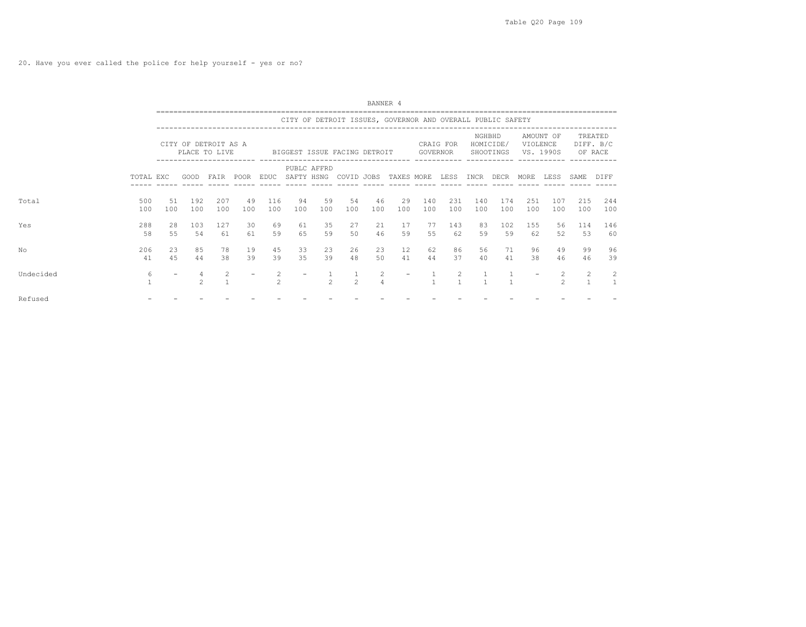20. Have you ever called the police for help yourself - yes or no?

|           | BANNER 4<br>CITY OF DETROIT ISSUES, GOVERNOR AND OVERALL PUBLIC SAFETY<br>NGHBHD<br>AMOUNT OF<br>TREATED<br>HOMICIDE/<br>DIFF. B/C<br>VIOLENCE<br>CITY OF DETROIT AS A<br>CRAIG FOR<br>PLACE TO LIVE<br>VS. 1990S<br>GOVERNOR<br>SHOOTINGS<br>OF RACE<br>BIGGEST ISSUE FACING DETROIT<br>PUBLC AFFRD<br>SAFTY HSNG COVID JOBS TAXES MORE<br>GOOD FAIR POOR EDUC<br>LESS INCR DECR MORE LESS<br>TOTAL EXC<br>SAME<br>500<br>192<br>207<br>49<br>116<br>94<br>59<br>54<br>46<br>29<br>140<br>231<br>140<br>174<br>251<br>107<br>215<br>51<br>100<br>100<br>100<br>100<br>100<br>100<br>100<br>100<br>100<br>100<br>100<br>100<br>100<br>100<br>100<br>100<br>100<br>100<br>288<br>35<br>27<br>21<br>17<br>28<br>103<br>127<br>30<br>69<br>77<br>143<br>83<br>102<br>155<br>61<br>114<br>56<br>46<br>65<br>59<br>50<br>59<br>55<br>53<br>58<br>55<br>54<br>59<br>62<br>59<br>59<br>52<br>61<br>61<br>62<br>206<br>85<br>78<br>19<br>45<br>23<br>26<br>23<br>12<br>86<br>56<br>99<br>23<br>33<br>62<br>71<br>96<br>49<br>39<br>35<br>39<br>50<br>39<br>4.5<br>38<br>48<br>41<br>37<br>38<br>41<br>44<br>44<br>40<br>41<br>46<br>46<br>6<br>2<br>2<br>$\frac{2}{1}$<br>$\mathfrak{D}$<br>$\mathfrak{D}$<br>$\mathcal{L}$<br>$\overline{4}$<br>$\mathfrak{D}$<br>$\mathfrak{D}$ |  |  |  |  |  |  |  |  |  |            |  |
|-----------|---------------------------------------------------------------------------------------------------------------------------------------------------------------------------------------------------------------------------------------------------------------------------------------------------------------------------------------------------------------------------------------------------------------------------------------------------------------------------------------------------------------------------------------------------------------------------------------------------------------------------------------------------------------------------------------------------------------------------------------------------------------------------------------------------------------------------------------------------------------------------------------------------------------------------------------------------------------------------------------------------------------------------------------------------------------------------------------------------------------------------------------------------------------------------------------------------------------------------------------------------------------------------|--|--|--|--|--|--|--|--|--|------------|--|
|           |                                                                                                                                                                                                                                                                                                                                                                                                                                                                                                                                                                                                                                                                                                                                                                                                                                                                                                                                                                                                                                                                                                                                                                                                                                                                           |  |  |  |  |  |  |  |  |  |            |  |
|           |                                                                                                                                                                                                                                                                                                                                                                                                                                                                                                                                                                                                                                                                                                                                                                                                                                                                                                                                                                                                                                                                                                                                                                                                                                                                           |  |  |  |  |  |  |  |  |  | DIFF       |  |
| Total     |                                                                                                                                                                                                                                                                                                                                                                                                                                                                                                                                                                                                                                                                                                                                                                                                                                                                                                                                                                                                                                                                                                                                                                                                                                                                           |  |  |  |  |  |  |  |  |  | 244<br>100 |  |
| Yes       |                                                                                                                                                                                                                                                                                                                                                                                                                                                                                                                                                                                                                                                                                                                                                                                                                                                                                                                                                                                                                                                                                                                                                                                                                                                                           |  |  |  |  |  |  |  |  |  | 146<br>60  |  |
| NΟ        |                                                                                                                                                                                                                                                                                                                                                                                                                                                                                                                                                                                                                                                                                                                                                                                                                                                                                                                                                                                                                                                                                                                                                                                                                                                                           |  |  |  |  |  |  |  |  |  | 96<br>39   |  |
| Undecided |                                                                                                                                                                                                                                                                                                                                                                                                                                                                                                                                                                                                                                                                                                                                                                                                                                                                                                                                                                                                                                                                                                                                                                                                                                                                           |  |  |  |  |  |  |  |  |  | 2          |  |
| Refused   |                                                                                                                                                                                                                                                                                                                                                                                                                                                                                                                                                                                                                                                                                                                                                                                                                                                                                                                                                                                                                                                                                                                                                                                                                                                                           |  |  |  |  |  |  |  |  |  |            |  |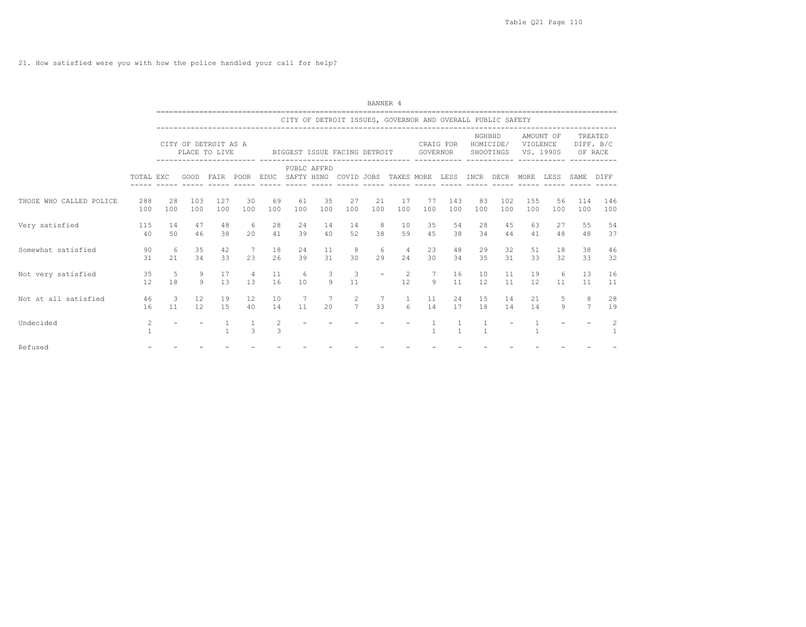21. How satisfied were you with how the police handled your call for help?

|                         |            |                                  |            |                                                                       |                                 |           |                         |                              |                                                                               | BANNER 4              |                       |                |                |                |                          |            |                                 |                                      |                      |
|-------------------------|------------|----------------------------------|------------|-----------------------------------------------------------------------|---------------------------------|-----------|-------------------------|------------------------------|-------------------------------------------------------------------------------|-----------------------|-----------------------|----------------|----------------|----------------|--------------------------|------------|---------------------------------|--------------------------------------|----------------------|
|                         |            |                                  |            |                                                                       |                                 |           |                         |                              | CITY OF DETROIT ISSUES, GOVERNOR AND OVERALL PUBLIC SAFETY                    |                       |                       |                |                |                |                          |            |                                 | -----------------------              |                      |
|                         |            |                                  |            | CITY OF DETROIT AS A<br>PLACE TO LIVE<br>----------------------- ---- |                                 |           |                         |                              | BIGGEST ISSUE FACING DETROIT                                                  |                       |                       |                | CRAIG FOR      |                | NGHBHD                   |            | AMOUNT OF<br>HOMICIDE/ VIOLENCE | GOVERNOR SHOOTINGS VS. 1990S OF RACE | TREATED<br>DIFF. B/C |
|                         | TOTAL EXC  |                                  |            |                                                                       |                                 |           |                         | PUBLC AFFRD                  | GOOD FAIR POOR EDUC SAFTY HSNG COVID JOBS TAXES_MORE LESS INCR DECR MORE LESS |                       |                       |                |                |                |                          |            |                                 | SAME                                 | DIFF                 |
| THOSE WHO CALLED POLICE | 288<br>100 | 28<br>100                        | 103<br>100 | 127<br>100                                                            | 30<br>100                       | 69<br>100 | 61<br>100               | 35<br>100                    | 27<br>100                                                                     | 21<br>100             | 17<br>100             | 77<br>100      | 143<br>100     | 83<br>100      | 102<br>100               | 155<br>100 | 56<br>100                       | 114<br>100                           | 146<br>100           |
| Very satisfied          | 115<br>40  | 14<br>50                         | 47<br>46   | 48<br>38                                                              | $6\overline{6}$<br>20           | 28<br>41  | 24<br>39                |                              | 14 14<br>40 52                                                                | 8 <sup>1</sup><br>38  | 10<br>59              | 35<br>45       | 54<br>38       | 28<br>34       | 45<br>44                 | 63         | 27<br>48<br>41                  | 55<br>48                             | 54<br>37             |
| Somewhat satisfied      | 90<br>31   | 6 <sup>6</sup><br>21             | 35<br>34   | 42<br>33                                                              | $7\phantom{0}$<br>23            | 18<br>26  | 24<br>39                | 11<br>31                     | 8<br>30                                                                       | - 6<br>29             | $\overline{4}$<br>2.4 | 23<br>30       | 48<br>34       | 29<br>35       | 32<br>31                 | 51<br>33   | 18<br>32                        | 38<br>33                             | 46<br>32             |
| Not very satisfied      | 35<br>12   | -5<br>18                         | 9          | 17<br>$9 \t 13$                                                       | $\overline{4}$<br>13            | 11<br>16  | - 6<br>10               | $\overline{\mathbf{3}}$<br>9 | 3<br>11                                                                       | $\sim$                | 12                    | 2 7<br>9       | 16<br>11       | 10<br>12       | 11<br>11                 | 19<br>12   | 6<br>11                         | 13<br>11                             | 16<br>11             |
| Not at all satisfied    | 46<br>16   | $\overline{\phantom{a}}$ 3<br>11 | 12<br>12   | 19<br>1.5                                                             | 12<br>40                        | 10<br>14  | $\overline{7}$<br>$-11$ | $7\phantom{0}$<br>20         | $\overline{2}$<br>7 <sup>7</sup>                                              | $7\phantom{.0}$<br>33 | $\mathbf{1}$<br>6     | 11<br>14       | 17             | 24<br>15<br>18 | 14<br>14                 | 14         | 21<br>5<br>9                    | 8<br>$7\overline{ }$                 | 28<br>19             |
| Undecided               | 2          | $\overline{\phantom{a}}$         |            | $\mathbf{1}$<br>$\mathbf{1}$                                          | $\overline{1}$<br>$\mathcal{E}$ | 2<br>3    |                         |                              |                                                                               |                       |                       | $\overline{1}$ | $\overline{1}$ | $\overline{1}$ | $\overline{\phantom{a}}$ |            | $\equiv$                        |                                      | $\mathcal{L}$        |
| Refused                 |            |                                  |            |                                                                       |                                 |           |                         |                              |                                                                               |                       |                       |                |                |                |                          |            |                                 |                                      |                      |
|                         |            |                                  |            |                                                                       |                                 |           |                         |                              |                                                                               |                       |                       |                |                |                |                          |            |                                 |                                      |                      |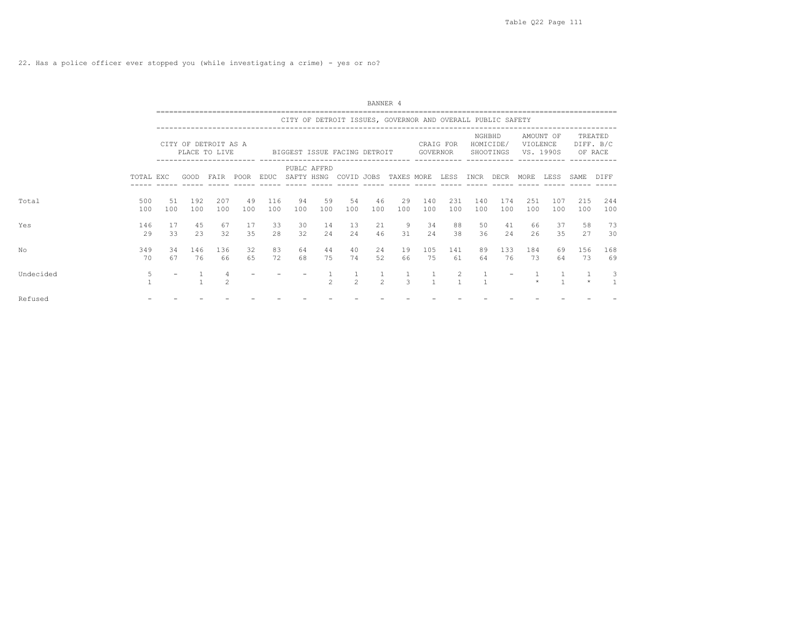|           |            |           | BANNER 4<br>CITY OF DETROIT ISSUES, GOVERNOR AND OVERALL PUBLIC SAFETY<br>NGHBHD<br>AMOUNT OF<br>TREATED<br>HOMICIDE/<br>DIFF. B/C<br>CITY OF DETROIT AS A<br>CRAIG FOR<br>VIOLENCE<br>PLACE TO LIVE<br>GOVERNOR<br>SHOOTINGS<br>OF RACE<br>BIGGEST ISSUE FACING DETROIT<br>VS. 1990S<br>PUBLC AFFRD<br>SAFTY HSNG COVID JOBS<br>FAIR POOR EDUC<br>TAXES MORE<br>LESS<br>INCR DECR<br>LESS<br>GOOD<br>MORE<br>SAME.<br><b>DIFF</b><br>192<br>207<br>49<br>116<br>54<br>46<br>140<br>174<br>107<br>215<br>244<br>94<br>59<br>29<br>231<br>140<br>251<br>100<br>100<br>100<br>100<br>100<br>100<br>100<br>100<br>100<br>100<br>100<br>100<br>100<br>100<br>100<br>100<br>100<br>9<br>73<br>45<br>67<br>33<br>30<br>14<br>50<br>37<br>58<br>17<br>13<br>21<br>34<br>88<br>41<br>66<br>35<br>2.3<br>32<br>2.8<br>32<br>2.4<br>46<br>35<br>27<br>30<br>2.4<br>31<br>2.4<br>38<br>36<br>2.4<br>26<br>83<br>146<br>32<br>40<br>133<br>184<br>136<br>64<br>44<br>24<br>19<br>105<br>141<br>89<br>156<br>168<br>69<br>76<br>65<br>72<br>68<br>75<br>74<br>52<br>66<br>75<br>61<br>76<br>73<br>73<br>69<br>66<br>64<br>64<br>2<br>3<br>$\mathfrak{D}$<br>$\overline{2}$<br>3<br>$\mathfrak{D}$<br>$\mathbf{1}$<br>$\mathbf{1}$<br>$\mathfrak{D}$<br>$\star$ |  |  |  |  |  |  |  |  |  |
|-----------|------------|-----------|---------------------------------------------------------------------------------------------------------------------------------------------------------------------------------------------------------------------------------------------------------------------------------------------------------------------------------------------------------------------------------------------------------------------------------------------------------------------------------------------------------------------------------------------------------------------------------------------------------------------------------------------------------------------------------------------------------------------------------------------------------------------------------------------------------------------------------------------------------------------------------------------------------------------------------------------------------------------------------------------------------------------------------------------------------------------------------------------------------------------------------------------------------------------------------------------------------------------------------------------------|--|--|--|--|--|--|--|--|--|
|           |            |           |                                                                                                                                                                                                                                                                                                                                                                                                                                                                                                                                                                                                                                                                                                                                                                                                                                                                                                                                                                                                                                                                                                                                                                                                                                                   |  |  |  |  |  |  |  |  |  |
|           |            |           |                                                                                                                                                                                                                                                                                                                                                                                                                                                                                                                                                                                                                                                                                                                                                                                                                                                                                                                                                                                                                                                                                                                                                                                                                                                   |  |  |  |  |  |  |  |  |  |
|           | TOTAL EXC  |           |                                                                                                                                                                                                                                                                                                                                                                                                                                                                                                                                                                                                                                                                                                                                                                                                                                                                                                                                                                                                                                                                                                                                                                                                                                                   |  |  |  |  |  |  |  |  |  |
| Total     | 500<br>100 | 51<br>100 |                                                                                                                                                                                                                                                                                                                                                                                                                                                                                                                                                                                                                                                                                                                                                                                                                                                                                                                                                                                                                                                                                                                                                                                                                                                   |  |  |  |  |  |  |  |  |  |
| Yes       | 146<br>29  | -17<br>33 |                                                                                                                                                                                                                                                                                                                                                                                                                                                                                                                                                                                                                                                                                                                                                                                                                                                                                                                                                                                                                                                                                                                                                                                                                                                   |  |  |  |  |  |  |  |  |  |
| Nο        | 349<br>70  | 34<br>67  |                                                                                                                                                                                                                                                                                                                                                                                                                                                                                                                                                                                                                                                                                                                                                                                                                                                                                                                                                                                                                                                                                                                                                                                                                                                   |  |  |  |  |  |  |  |  |  |
| Undecided | 5          |           |                                                                                                                                                                                                                                                                                                                                                                                                                                                                                                                                                                                                                                                                                                                                                                                                                                                                                                                                                                                                                                                                                                                                                                                                                                                   |  |  |  |  |  |  |  |  |  |
| Refused   |            |           |                                                                                                                                                                                                                                                                                                                                                                                                                                                                                                                                                                                                                                                                                                                                                                                                                                                                                                                                                                                                                                                                                                                                                                                                                                                   |  |  |  |  |  |  |  |  |  |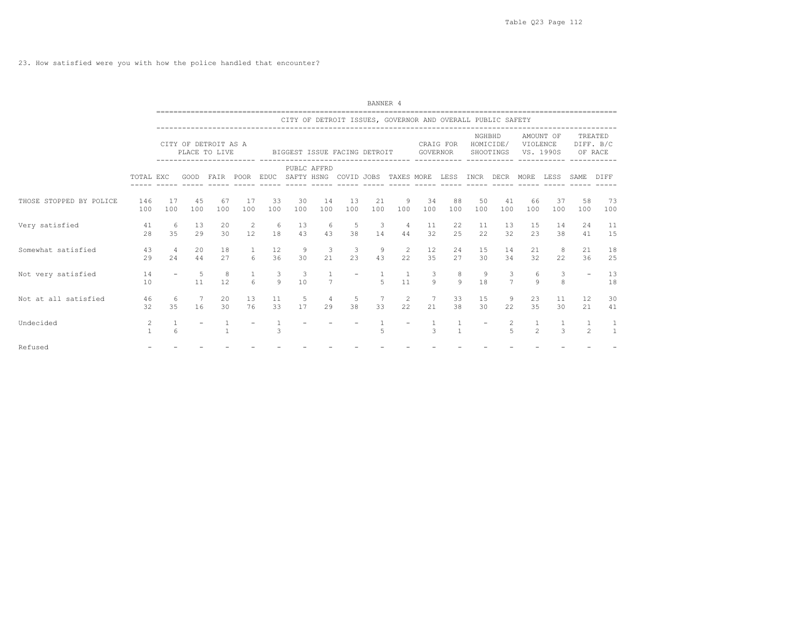23. How satisfied were you with how the police handled that encounter?

|                         |                   |                       |                      |                                       |                             |                          |                               |                                   |                                                                               | BANNER 4                       |                      |                         |                              |           |                      |                                |                                 |                             |                                |
|-------------------------|-------------------|-----------------------|----------------------|---------------------------------------|-----------------------------|--------------------------|-------------------------------|-----------------------------------|-------------------------------------------------------------------------------|--------------------------------|----------------------|-------------------------|------------------------------|-----------|----------------------|--------------------------------|---------------------------------|-----------------------------|--------------------------------|
|                         |                   |                       |                      |                                       |                             |                          |                               |                                   | CITY OF DETROIT ISSUES, GOVERNOR AND OVERALL PUBLIC SAFETY                    |                                |                      |                         |                              |           |                      |                                |                                 |                             |                                |
|                         |                   |                       |                      | CITY OF DETROIT AS A<br>PLACE TO LIVE |                             |                          |                               |                                   | BIGGEST ISSUE FACING DETROIT                                                  |                                |                      |                         | CRAIG FOR<br>GOVERNOR        |           | NGHBHD               |                                | AMOUNT OF<br>HOMICIDE/ VIOLENCE | SHOOTINGS VS. 1990S OF RACE | TREATED<br>DIFF. B/C           |
|                         | TOTAL EXC         |                       |                      | ----------------------- ----          |                             |                          |                               | PUBLC AFFRD                       | GOOD FAIR POOR EDUC SAFTY HSNG COVID JOBS TAXES MORE LESS INCR DECR MORE LESS |                                |                      |                         |                              |           |                      |                                |                                 | SAME                        | DIFF                           |
| THOSE STOPPED BY POLICE | 146<br>100        | 17<br>100             | 45<br>100            | 67<br>100                             | 17<br>100                   | 33<br>100                | 30<br>100                     | 14<br>100                         | 13<br>100                                                                     | 21<br>100                      | 9<br>100             | 34<br>100               | 88<br>100                    | 50<br>100 | 41<br>100            | 66<br>100                      | 37<br>100                       | 58<br>100                   | 73<br>100                      |
| Very satisfied          | 41<br>28          | 6<br>3.5              | 13<br>29             | 20<br>30                              | $\overline{\phantom{0}}$    | $6\overline{6}$<br>12 18 | 13<br>43                      | 6<br>43                           | - 5<br>38                                                                     | $\overline{\phantom{a}}$<br>14 | $\overline{4}$       | 11<br>44 32             | 22<br>25                     | 11<br>22  | 13<br>32             | 15<br>23                       | 14<br>38                        | 24<br>41                    | 11<br>15                       |
| Somewhat satisfied      | 43<br>29          | $\overline{4}$<br>2.4 | 20<br>44             | 18<br>27                              | $\mathbf{1}$<br>$6^{\circ}$ | 12<br>36                 | 9<br>30                       | $\overline{\mathbf{3}}$<br>$21 -$ | $\mathcal{B}$<br>23                                                           | 9<br>43                        | $\overline{2}$<br>22 | 12<br>35                | 24<br>27                     | 15<br>30  | 14<br>34             | 21<br>32                       | 8 <sup>8</sup><br>22            | 21<br>36                    | 18<br>25                       |
| Not very satisfied      | 14<br>10          | $\sim$                | $5 - 5$<br>11        | $\overline{8}$<br>12                  | $6 \overline{6}$            | $\mathbf{3}$<br>9        | $\overline{\mathbf{3}}$<br>10 | 7                                 |                                                                               | $\overline{5}$                 | $\mathbf{1}$<br>11   | $\overline{\mathbf{3}}$ | 8<br>$9 \qquad 9$            | 9<br>18   | 3<br>$7\overline{ }$ | 6<br>$\circ$                   | $\mathbf{3}$<br>8               |                             | 13<br>18                       |
| Not at all satisfied    | 46<br>32          | -6<br>35              | $\overline{7}$<br>16 | 20<br>30                              | 13<br>76                    | 11                       | $-5$<br>33 17                 | $\overline{4}$                    | -5<br>29 38                                                                   |                                | 7 2<br>33<br>22      | 21                      | 33<br>38                     | 15<br>30  | -9<br>22             | 23<br>35                       | 11<br>30                        | 12<br>21                    | 30<br>41                       |
| Undecided               | 2<br>$\mathbf{1}$ | $\mathbf{1}$<br>6     |                      |                                       |                             | 3                        |                               |                                   |                                                                               | 5                              |                      | $\mathcal{L}$           | $\mathbf{1}$<br>$\mathbf{1}$ |           | 2<br>$\overline{5}$  | $\mathbf{1}$<br>$\overline{2}$ | $\mathcal{L}$                   | 1.<br>$\mathfrak{D}$        | <sup>1</sup><br>$\overline{1}$ |
| Refused                 |                   |                       |                      |                                       |                             |                          |                               |                                   |                                                                               |                                |                      |                         |                              |           |                      |                                |                                 |                             |                                |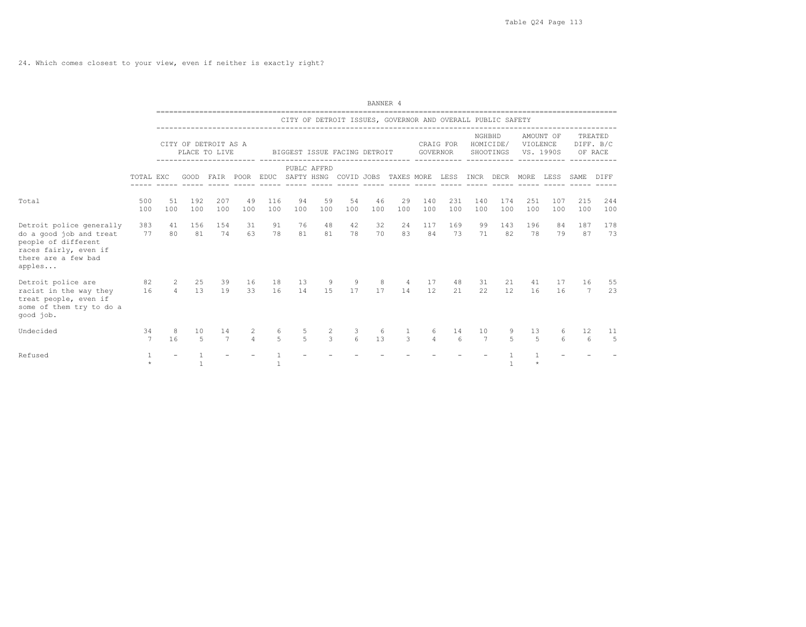24. Which comes closest to your view, even if neither is exactly right?

|                                                                                                                                      |            |                                  |             |                                       |                     |                            |                     |                              |               | BANNER 4  |                                                            |               |            |                       |                        |            |                        |                        |                                 |
|--------------------------------------------------------------------------------------------------------------------------------------|------------|----------------------------------|-------------|---------------------------------------|---------------------|----------------------------|---------------------|------------------------------|---------------|-----------|------------------------------------------------------------|---------------|------------|-----------------------|------------------------|------------|------------------------|------------------------|---------------------------------|
|                                                                                                                                      |            |                                  |             |                                       |                     |                            |                     |                              |               |           | CITY OF DETROIT ISSUES, GOVERNOR AND OVERALL PUBLIC SAFETY |               |            |                       |                        |            |                        |                        |                                 |
|                                                                                                                                      |            |                                  |             | CITY OF DETROIT AS A<br>PLACE TO LIVE |                     |                            |                     | BIGGEST ISSUE FACING DETROIT |               |           |                                                            | GOVERNOR      | CRAIG FOR  | NGHBHD                | HOMICIDE/<br>SHOOTINGS | VIOLENCE   | AMOUNT OF<br>VS. 1990S |                        | TREATED<br>DIFF. B/C<br>OF RACE |
|                                                                                                                                      | TOTAL EXC  |                                  | GOOD        | FAIR                                  | POOR                | EDUC SAFTY HSNG COVID JOBS |                     | PUBLC AFFRD                  |               |           | TAXES MORE LESS INCR DECR                                  |               |            |                       |                        | MORE LESS  |                        | SAME                   | DIFF                            |
| Total                                                                                                                                | 500<br>100 | 51<br>100                        | 192<br>100  | 207<br>100                            | 49<br>100           | 116<br>100                 | 94<br>100           | 59<br>100                    | 54<br>100     | 46<br>100 | 29<br>100                                                  | 140<br>100    | 231<br>100 | 140<br>100            | 174<br>100             | 251<br>100 | 107<br>100             | 215<br>100             | 244<br>100                      |
| Detroit police generally<br>do a good job and treat<br>people of different<br>races fairly, even if<br>there are a few bad<br>apples | 383<br>77  | 41<br>80                         | 156<br>81   | 154<br>74                             | 31<br>63            | 91<br>78                   | 76<br>81            | 48<br>81                     | 42<br>78      | 32<br>70  | 24<br>83                                                   | 117<br>84     | 169<br>73  | 99<br>71              | 143<br>82              | 196<br>78  | 84<br>79               | 187<br>87              | 178<br>73                       |
| Detroit police are<br>racist in the way they<br>treat people, even if<br>some of them try to do a<br>good job.                       | 82<br>16   | $\overline{c}$<br>$\overline{4}$ | 25<br>13    | 39<br>19                              | 16<br>33            | 18<br>16                   | 13<br>14            | 9<br>15                      | 9<br>17       | 8<br>17   | 4<br>14                                                    | 17<br>12      | 48<br>21   | 31<br>22              | 21<br>12.              | 41<br>16   | 17<br>16               | 16<br>7                | 55<br>23                        |
| Undecided                                                                                                                            | 34<br>7    | 8<br>16                          | 10<br>$5 -$ | 14<br>$\overline{7}$                  | 2<br>$\overline{4}$ | 6<br>5                     | 5<br>$\overline{a}$ | $\overline{2}$<br>3          | 3<br>$\kappa$ | 6<br>13   | 3                                                          | 6<br>$\Delta$ | 14<br>6    | 10<br>$7\phantom{.0}$ | $\overline{r}$         | 13<br>5    | 6<br>6                 | 12<br>$6 \overline{6}$ | 11<br>$\overline{5}$            |
| Refused                                                                                                                              | $\star$    |                                  |             |                                       |                     | $\overline{1}$             |                     |                              |               |           |                                                            |               |            |                       |                        | $\star$    |                        |                        |                                 |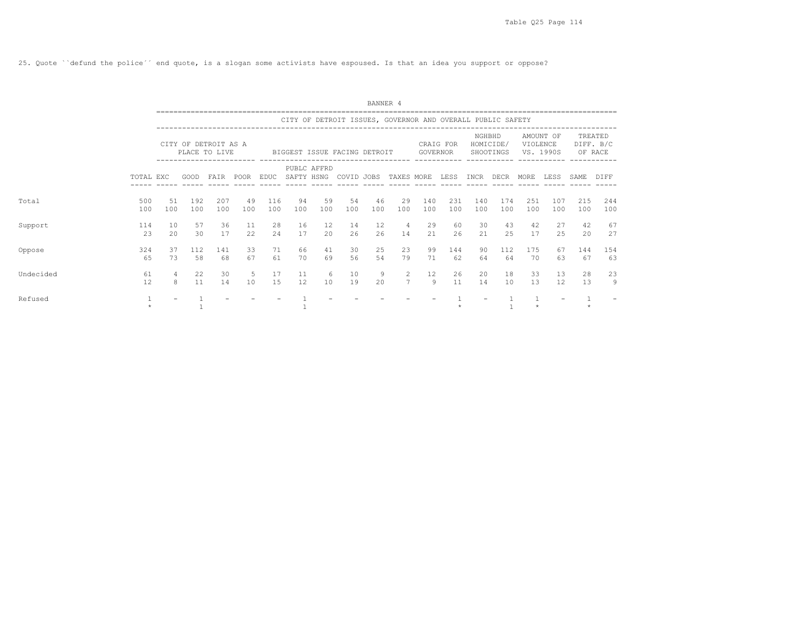25. Quote ``defund the police´´ end quote, is a slogan some activists have espoused. Is that an idea you support or oppose?

|           |            |                     |            |                                       |           |            |            |             |                                                            | BANNER 4  |                      |            |            |            |                        |            |                        |            |                                 |
|-----------|------------|---------------------|------------|---------------------------------------|-----------|------------|------------|-------------|------------------------------------------------------------|-----------|----------------------|------------|------------|------------|------------------------|------------|------------------------|------------|---------------------------------|
|           |            |                     |            |                                       |           |            |            |             | CITY OF DETROIT ISSUES, GOVERNOR AND OVERALL PUBLIC SAFETY |           |                      |            |            |            |                        |            |                        |            |                                 |
|           |            |                     |            | CITY OF DETROIT AS A<br>PLACE TO LIVE |           |            |            |             | BIGGEST ISSUE FACING DETROIT                               |           |                      | GOVERNOR   | CRAIG FOR  | NGHBHD     | HOMICIDE/<br>SHOOTINGS | VIOLENCE   | AMOUNT OF<br>VS. 1990S |            | TREATED<br>DIFF. B/C<br>OF RACE |
|           | TOTAL EXC  |                     | GOOD       | FAIR                                  | POOR      | EDUC       | SAFTY HSNG | PUBLC AFFRD | COVID JOBS TAXES MORE                                      |           |                      |            | LESS       | INCR       | DECR                   | MORE       | LESS                   | SAME       | DIFF                            |
| Total     | 500<br>100 | 51<br>100           | 192<br>100 | 207<br>100                            | 49<br>100 | 116<br>100 | 94<br>100  | 59<br>100   | 54<br>100                                                  | 46<br>100 | 29<br>100            | 140<br>100 | 231<br>100 | 140<br>100 | 174<br>100             | 251<br>100 | 107<br>100             | 215<br>100 | 244<br>100                      |
| Support   | 114<br>23  | 10<br>2.0           | 57<br>30   | 36<br>17                              | 11<br>22  | 28<br>24   | 16<br>17   | 12<br>20    | 14<br>26                                                   | 12<br>26  | $\overline{4}$<br>14 | 29<br>2.1  | 60<br>26   | 30<br>21   | 43<br>25               | 42<br>17   | 27<br>25               | 42<br>20   | 67<br>27                        |
| Oppose    | 324<br>65  | 37<br>73            | 112<br>58  | 141<br>68                             | 33<br>67  | 71<br>61   | 66<br>70   | 41<br>69    | 30<br>56                                                   | 25<br>54  | 23<br>79             | 99<br>71   | 144<br>62  | 90<br>64   | 112<br>64              | 175<br>70  | 67<br>63               | 144<br>67  | 154<br>63                       |
| Undecided | 61<br>12   | $\overline{4}$<br>8 | 22<br>11   | 30<br>14                              | 5<br>10   | 17<br>1.5  | 11<br>12   | 6<br>10     | 10<br>19                                                   | 9<br>20   | 2<br>$7\overline{ }$ | 12<br>9    | 26<br>11   | 20<br>14   | 18<br>10               | 33<br>13   | 13<br>12               | 28<br>13   | 23<br>9                         |
| Refused   | $\star$    |                     |            |                                       |           |            |            |             |                                                            |           |                      |            |            |            |                        |            |                        |            |                                 |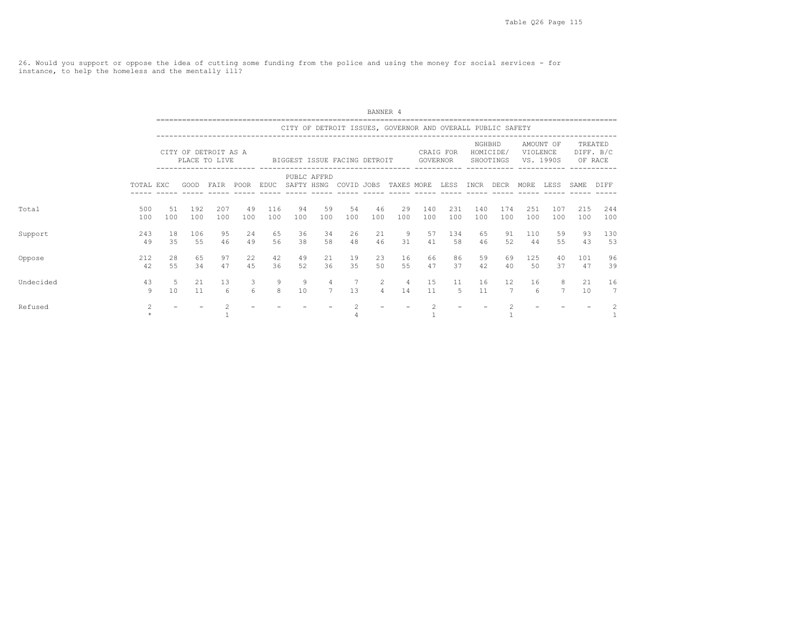26. Would you support or oppose the idea of cutting some funding from the police and using the money for social services - for instance, to help the homeless and the mentally ill?

|           |                           |           |            |                                       |                 |             |           |                                   |                                                            | BANNER 4           |                      |                |            |            |                        |            |                        |            |                                 |
|-----------|---------------------------|-----------|------------|---------------------------------------|-----------------|-------------|-----------|-----------------------------------|------------------------------------------------------------|--------------------|----------------------|----------------|------------|------------|------------------------|------------|------------------------|------------|---------------------------------|
|           |                           |           |            |                                       |                 |             |           |                                   | CITY OF DETROIT ISSUES, GOVERNOR AND OVERALL PUBLIC SAFETY |                    |                      |                |            |            |                        |            |                        |            |                                 |
|           |                           |           |            | CITY OF DETROIT AS A<br>PLACE TO LIVE |                 |             |           |                                   | BIGGEST ISSUE FACING DETROIT                               |                    |                      | GOVERNOR       | CRAIG FOR  | NGHBHD     | HOMICIDE/<br>SHOOTINGS | VIOLENCE   | AMOUNT OF<br>VS. 1990S |            | TREATED<br>DIFF. B/C<br>OF RACE |
|           | TOTAL EXC                 |           | GOOD       | FAIR                                  | POOR            | <b>EDUC</b> |           | PUBLC AFFRD                       | SAFTY HSNG COVID JOBS                                      |                    | TAXES MORE           |                | LESS       | INCR       | DECR                   | MORE       | LESS                   | SAME       | DIFF                            |
| Total     | 500<br>100                | 51<br>100 | 192<br>100 | 207<br>100                            | 49<br>100       | 116<br>100  | 94<br>100 | 59<br>100                         | 54<br>100                                                  | 46<br>100          | 29<br>100            | 140<br>100     | 231<br>100 | 140<br>100 | 174<br>100             | 251<br>100 | 107<br>100             | 215<br>100 | 244<br>100                      |
| Support   | 243<br>49                 | 18<br>35  | 106<br>55  | 95<br>46                              | 24<br>49        | 65<br>56    | 36<br>38  | 34<br>58                          | 26<br>48                                                   | 21<br>46           | 9<br>31              | 57<br>41       | 134<br>58  | 65<br>46   | 91<br>52               | 110<br>44  | 59<br>55               | 93<br>43   | 130<br>53                       |
| Oppose    | 212<br>42                 | 28<br>55  | 65<br>34   | 97<br>47                              | 22<br>4.5       | 42<br>36    | 49<br>52  | 21<br>36                          | 19<br>35                                                   | 23<br>50           | 16<br>55             | 66<br>47       | 86<br>37   | 59<br>42   | 69<br>40               | 125<br>.50 | 40<br>37               | 101<br>47  | 96<br>39                        |
| Undecided | 43<br>9                   | .5<br>10  | 21<br>11   | 13<br>6                               | 3<br>$\epsilon$ | 9<br>8      | 9<br>10   | $\overline{4}$<br>$7\overline{ }$ | 13                                                         | $\mathcal{L}$<br>4 | $\overline{4}$<br>14 | 15<br>11       | 11<br>-5   | 16<br>11   | 12<br>7                | 16<br>6    | 8<br>$\overline{7}$    | 21<br>10   | 16<br>$7\overline{ }$           |
| Refused   | $\overline{2}$<br>$\star$ |           |            |                                       |                 |             |           |                                   |                                                            |                    |                      | $\mathfrak{D}$ |            |            |                        |            |                        |            | 2                               |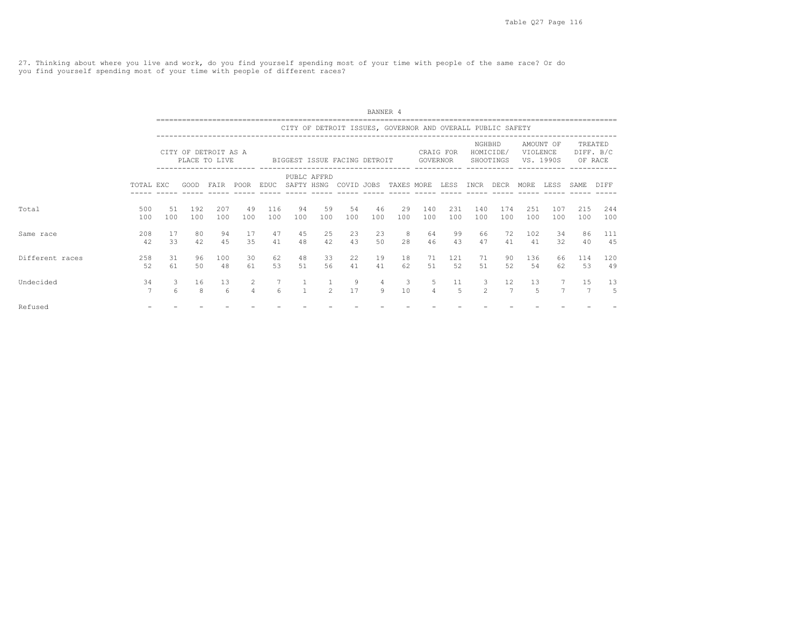27. Thinking about where you live and work, do you find yourself spending most of your time with people of the same race? Or do you find yourself spending most of your time with people of different races?

|                 |                      |                 |                     |                                       |                     |                       |              |                |                              | BANNER 4  |                                                            |                     |                      |                     |                                     |             |                        |            |                                 |
|-----------------|----------------------|-----------------|---------------------|---------------------------------------|---------------------|-----------------------|--------------|----------------|------------------------------|-----------|------------------------------------------------------------|---------------------|----------------------|---------------------|-------------------------------------|-------------|------------------------|------------|---------------------------------|
|                 |                      |                 |                     |                                       |                     |                       |              |                |                              |           | CITY OF DETROIT ISSUES, GOVERNOR AND OVERALL PUBLIC SAFETY |                     |                      |                     |                                     |             |                        |            |                                 |
|                 |                      |                 |                     | CITY OF DETROIT AS A<br>PLACE TO LIVE |                     |                       |              |                | BIGGEST ISSUE FACING DETROIT |           |                                                            | GOVERNOR            | CRAIG FOR            | NGHBHD              | HOMICIDE/<br>SHOOTINGS              | VIOLENCE    | AMOUNT OF<br>VS. 1990S |            | TREATED<br>DIFF. B/C<br>OF RACE |
|                 | TOTAL EXC            |                 | GOOD                | FAIR                                  | POOR                | EDUC                  | SAFTY HSNG   | PUBLC AFFRD    | COVID JOBS                   |           | TAXES MORE                                                 |                     | LESS                 | INCR                | DECR                                | <b>MORE</b> | <b>LESS</b>            | SAME.      | DIFF                            |
| Total           | 500<br>100           | 51<br>100       | 192<br>100          | 207<br>100                            | 49<br>100           | 116<br>100            | 94<br>100    | 59<br>100      | 54<br>100                    | 46<br>100 | 29<br>100                                                  | 140<br>100          | 231<br>100           | 140<br>100          | 174<br>100                          | 251<br>100  | 107<br>100             | 215<br>100 | 244<br>100                      |
| Same race       | 208<br>42            | 17<br>33        | 80<br>42            | 94<br>4.5                             | 17<br>35            | 47<br>41              | 45<br>48     | 25<br>42       | 23<br>43                     | 23<br>50  | 8<br>28                                                    | 64<br>46            | 99<br>43             | 66<br>47            | 72<br>41                            | 102<br>41   | 34<br>32               | 86<br>40   | 111<br>45                       |
| Different races | 258<br>52            | 31<br>61        | 96<br>50            | 100<br>48                             | 30<br>61            | 62<br>53              | 48<br>51     | 33<br>56       | 22<br>41                     | 19<br>41  | 18<br>62                                                   | 71<br>.51           | 121<br>52            | 71<br>51            | 90<br>52                            | 136<br>54   | 66<br>62               | 114<br>53  | 120<br>49                       |
| Undecided       | 34<br>$\overline{7}$ | 3<br>$\epsilon$ | 16<br>$\mathcal{R}$ | 13<br>6                               | 2<br>$\overline{a}$ | 7<br>$6 \overline{6}$ | $\mathbf{1}$ | $\overline{2}$ | 9<br>17                      | 4<br>9    | 3<br>10                                                    | 5<br>$\overline{4}$ | 11<br>$\overline{a}$ | 3<br>$\mathfrak{D}$ | $12 \overline{ }$<br>$\overline{7}$ | 13<br>5     | $\overline{7}$         | 15         | 13<br>.5                        |
| Refused         |                      |                 |                     |                                       |                     |                       |              |                |                              |           |                                                            |                     |                      |                     |                                     |             |                        |            |                                 |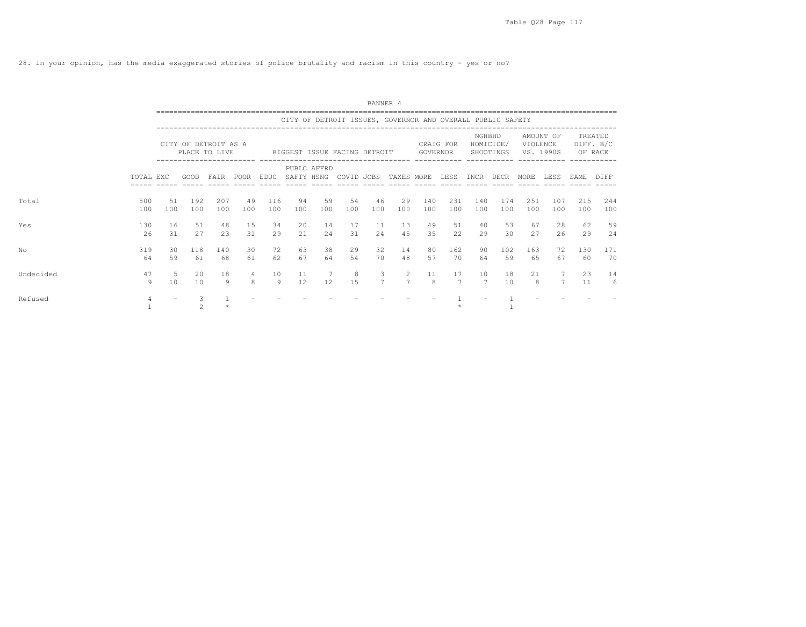28. In your opinion, has the media exaggerated stories of police brutality and racism in this country - yes or no?

|           |            |           |                                       |            |                     |            |            |             |                                                            | BANNER 4            |                                  |                     |            |            |                        |                       |                |            |                                 |
|-----------|------------|-----------|---------------------------------------|------------|---------------------|------------|------------|-------------|------------------------------------------------------------|---------------------|----------------------------------|---------------------|------------|------------|------------------------|-----------------------|----------------|------------|---------------------------------|
|           |            |           |                                       |            |                     |            |            |             | CITY OF DETROIT ISSUES, GOVERNOR AND OVERALL PUBLIC SAFETY |                     |                                  |                     |            |            |                        |                       |                |            |                                 |
|           |            |           | CITY OF DETROIT AS A<br>PLACE TO LIVE |            |                     |            |            |             | BIGGEST ISSUE FACING DETROIT                               |                     |                                  | GOVERNOR            | CRAIG FOR  | NGHBHD     | HOMICIDE/<br>SHOOTINGS | VIOLENCE<br>VS. 1990S | AMOUNT OF      |            | TREATED<br>DIFF. B/C<br>OF RACE |
|           | TOTAL EXC  |           | GOOD                                  | FAIR       | POOR                | EDUC       | SAFTY HSNG | PUBLC AFFRD | COVID JOBS                                                 |                     | TAXES MORE                       |                     | LESS       | INCR       | DECR                   | MORE                  | LESS           | SAME.      | DIFF                            |
| Total     | 500<br>100 | 51<br>100 | 192<br>100                            | 207<br>100 | 49<br>100           | 116<br>100 | 94<br>100  | 59<br>100   | 54<br>100                                                  | 46<br>100           | 29<br>100                        | 140<br>100          | 231<br>100 | 140<br>100 | 174<br>100             | 251<br>100            | 107<br>100     | 215<br>100 | 244<br>100                      |
| Yes       | 130<br>26  | 16<br>31  | 51<br>27                              | 48<br>23   | 15<br>31            | 34<br>29   | 20<br>21   | 14<br>24    | 17<br>31                                                   | 11<br>24            | 13<br>45                         | 49<br>35            | 51<br>22   | 40<br>29   | 53<br>30               | 67<br>27              | 28<br>26       | 62<br>29   | 59<br>24                        |
| No        | 319<br>64  | 30<br>59  | 118<br>61                             | 140<br>68  | 30<br>61            | 72<br>62   | 63<br>67   | 38<br>64    | 29<br>54                                                   | 32<br>70            | 14<br>48                         | 80<br>57            | 162<br>70  | 90<br>64   | 102<br>59              | 163<br>65             | 72<br>67       | 130<br>60  | 171<br>70                       |
| Undecided | 47<br>9    | -5<br>10  | 20<br>10                              | 18<br>9    | $\overline{4}$<br>8 | 10<br>9    | 11<br>12   | 12          | 8<br>1.5                                                   | 3<br>$\overline{7}$ | $\overline{2}$<br>$\overline{7}$ | 11<br>$\mathcal{R}$ | 17<br>7    | 10<br>7    | 18<br>10               | 21<br>8               | $\overline{7}$ | 23<br>11   | 14<br>6                         |
| Refused   | 4          |           | $\mathfrak{D}$                        | $\star$    |                     |            |            |             |                                                            |                     |                                  |                     |            |            |                        |                       |                |            |                                 |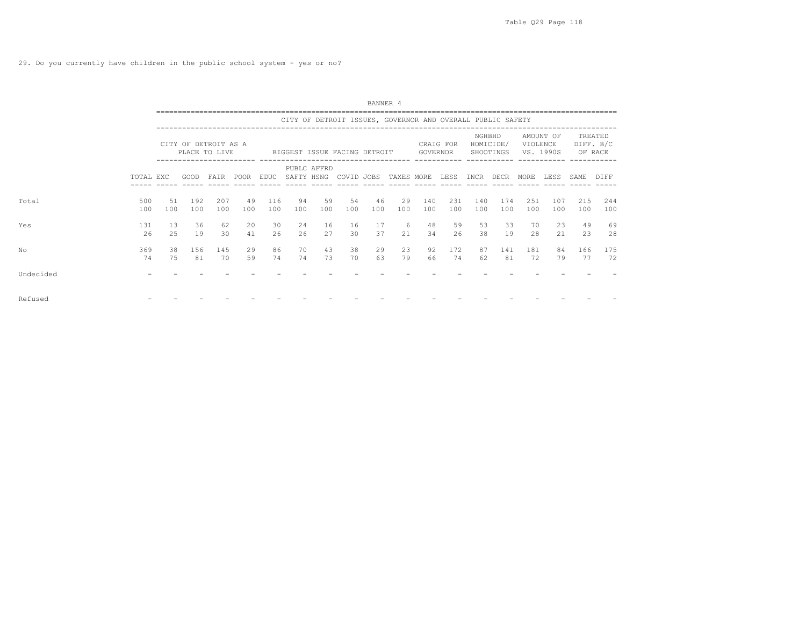|           | BANNER 4<br>CITY OF DETROIT ISSUES, GOVERNOR AND OVERALL PUBLIC SAFETY<br>NGHBHD<br>AMOUNT OF<br>TREATED<br>HOMICIDE/<br>DIFF. B/C<br>CITY OF DETROIT AS A<br>VIOLENCE<br>CRAIG FOR<br>PLACE TO LIVE<br>GOVERNOR<br>SHOOTINGS<br>VS. 1990S<br>OF RACE<br>BIGGEST ISSUE FACING DETROIT<br>PUBLC AFFRD<br>SAFTY HSNG COVID JOBS TAXES MORE LESS INCR DECR<br>FAIR POOR EDUC<br>LESS<br>TOTAL EXC<br>GOOD<br>MORE<br>SAME DIFF<br>49<br>59<br>46<br>500<br>192<br>207<br>116<br>94<br>54<br>29<br>140<br>231<br>174<br>251<br>107<br>215<br>51<br>140<br>100<br>100<br>100<br>100<br>100<br>100<br>100<br>100<br>100<br>100<br>100<br>100<br>100<br>100<br>100<br>100<br>100<br>100<br>49<br>20<br>30<br>6<br>59<br>53<br>131<br>36<br>62<br>24<br>16<br>16<br>17<br>48<br>33<br>70<br>23<br>13<br>37<br>34<br>26<br>2.5<br>19<br>41<br>26<br>26<br>27<br>30<br>26<br>38<br>2.1<br>23<br>30<br>21<br>19<br>28<br>43<br>29<br>369<br>156<br>29<br>86<br>38<br>23<br>172<br>38<br>145<br>70<br>92<br>87<br>141<br>181<br>166<br>84<br>63<br>79<br>74<br>72<br>81<br>70<br>59<br>74<br>74<br>73<br>70<br>66<br>62<br>81<br>74<br>75<br>79<br>77 |  |  |  |  |  |  |  |  |  |  |            |  |
|-----------|-------------------------------------------------------------------------------------------------------------------------------------------------------------------------------------------------------------------------------------------------------------------------------------------------------------------------------------------------------------------------------------------------------------------------------------------------------------------------------------------------------------------------------------------------------------------------------------------------------------------------------------------------------------------------------------------------------------------------------------------------------------------------------------------------------------------------------------------------------------------------------------------------------------------------------------------------------------------------------------------------------------------------------------------------------------------------------------------------------------------------------------------|--|--|--|--|--|--|--|--|--|--|------------|--|
|           |                                                                                                                                                                                                                                                                                                                                                                                                                                                                                                                                                                                                                                                                                                                                                                                                                                                                                                                                                                                                                                                                                                                                           |  |  |  |  |  |  |  |  |  |  |            |  |
|           |                                                                                                                                                                                                                                                                                                                                                                                                                                                                                                                                                                                                                                                                                                                                                                                                                                                                                                                                                                                                                                                                                                                                           |  |  |  |  |  |  |  |  |  |  |            |  |
| Total     |                                                                                                                                                                                                                                                                                                                                                                                                                                                                                                                                                                                                                                                                                                                                                                                                                                                                                                                                                                                                                                                                                                                                           |  |  |  |  |  |  |  |  |  |  | 244<br>100 |  |
| Yes       |                                                                                                                                                                                                                                                                                                                                                                                                                                                                                                                                                                                                                                                                                                                                                                                                                                                                                                                                                                                                                                                                                                                                           |  |  |  |  |  |  |  |  |  |  | 69<br>28   |  |
| NΟ        |                                                                                                                                                                                                                                                                                                                                                                                                                                                                                                                                                                                                                                                                                                                                                                                                                                                                                                                                                                                                                                                                                                                                           |  |  |  |  |  |  |  |  |  |  | 175<br>72  |  |
| Undecided |                                                                                                                                                                                                                                                                                                                                                                                                                                                                                                                                                                                                                                                                                                                                                                                                                                                                                                                                                                                                                                                                                                                                           |  |  |  |  |  |  |  |  |  |  |            |  |
| Refused   |                                                                                                                                                                                                                                                                                                                                                                                                                                                                                                                                                                                                                                                                                                                                                                                                                                                                                                                                                                                                                                                                                                                                           |  |  |  |  |  |  |  |  |  |  |            |  |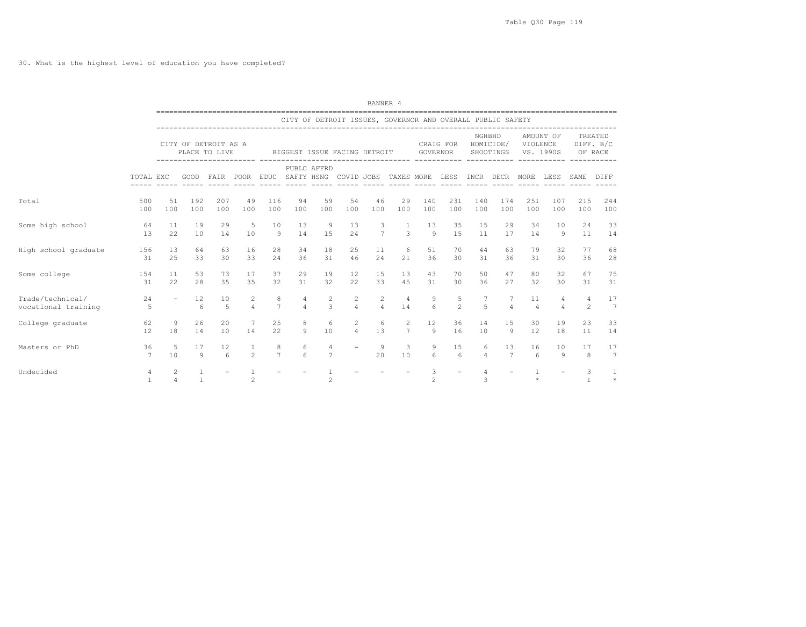## 30. What is the highest level of education you have completed?

|                      |                       |                          |              |                                       |                                |                     |               |                              |                              | BANNER 4        |                                                             |                 |                       |                     |                                        |                |                                       |                   |                                 |
|----------------------|-----------------------|--------------------------|--------------|---------------------------------------|--------------------------------|---------------------|---------------|------------------------------|------------------------------|-----------------|-------------------------------------------------------------|-----------------|-----------------------|---------------------|----------------------------------------|----------------|---------------------------------------|-------------------|---------------------------------|
|                      |                       |                          |              |                                       |                                |                     |               |                              |                              |                 | CITY OF DETROIT ISSUES, GOVERNOR AND OVERALL PUBLIC SAFETY  |                 |                       |                     |                                        |                |                                       |                   |                                 |
|                      |                       |                          |              | CITY OF DETROIT AS A<br>PLACE TO LIVE |                                |                     |               |                              | BIGGEST ISSUE FACING DETROIT |                 | ---------------------------- ---------                      | <b>GOVERNOR</b> | CRAIG FOR             | NGHBHD              | HOMICIDE/<br>SHOOTINGS<br>------------ | VIOLENCE       | AMOUNT OF<br>VS. 1990S<br>----------- |                   | TREATED<br>DIFF. B/C<br>OF RACE |
|                      | TOTAL EXC             |                          | GOOD         | FAIR POOR                             |                                |                     |               | PUBLC AFFRD<br>$- - - - - -$ |                              |                 | EDUC SAFTY HSNG COVID JOBS TAXES MORE<br>------ ----- ----- |                 | LESS                  | INCR                | DECR MORE                              |                | LESS                                  | SAME              | DIFF                            |
| Total                | 500                   | 51                       | 192          | 207                                   | 49                             | 116                 | 94            | 59                           | 54                           | 46              | 29                                                          | 140             | 231                   | 140                 | 174                                    | 251            | 107                                   | 215               | 244                             |
|                      | 100                   | 100                      | 100          | 100                                   | 100                            | 100                 | 100           | 100                          | 100                          | 100             | 100                                                         | 100             | 100                   | 100                 | 100                                    | 100            | 100                                   | 100               | 100                             |
| Some high school     | 64                    | 11                       | 19           | 29                                    | 5                              | 10                  | 13            | 9                            | 13                           | 3               | 1                                                           | 13              | 35                    | 15                  | 29                                     | 34             | 10                                    | 24                | 33                              |
|                      | 13                    | 22                       | 10           | 14                                    | 10                             | 9                   | 14            | 15                           | 24                           | $7\overline{ }$ | 3                                                           | $\mathcal{Q}$   | 15                    | 11                  | 17                                     | 14             | -9                                    | 11                | 14                              |
| High school graduate | 156                   | 13                       | 64           | 63                                    | 16                             | 28                  | 34            | 18                           | 25                           | 11              | 6                                                           | 51              | 70                    | 44                  | 63                                     | 79             | 32                                    | 77                | 68                              |
|                      | 31                    | 25                       | 33           | 30                                    | 33                             | 24                  | 36            | 31                           | 46                           | 24              | 21                                                          | 36              | 30                    | 31                  | 36                                     | 31             | 30                                    | 36                | 28                              |
| Some college         | 154                   | 11                       | 53           | 73                                    | 17                             | 37                  | 29            | 19                           | 12                           | 15              | 13                                                          | 43              | 70                    | 50                  | 47                                     | 80             | 32                                    | 67                | 75                              |
|                      | 31                    | 22                       | 28           | 35                                    | 35                             | 32                  | 31            | 32                           | 22                           | 33              | 45                                                          | 31              | 30                    | 36                  | 27                                     | 32             | 30                                    | 31                | 31                              |
| Trade/technical/     | 24                    | $\overline{\phantom{a}}$ | 12           | 10                                    | 2                              | 8                   | 4             | $\overline{c}$               | $\mathbf{2}$                 | 2               | $\overline{4}$                                              | 9               | 5                     | 7                   | 7                                      | 11             | 4                                     | 4                 | 17                              |
| vocational training  | 5                     |                          | 6            | 5                                     | $\Delta$                       | $\overline{7}$      | $\varDelta$   | 3                            | $\overline{4}$               | $\overline{4}$  | 14                                                          | $6\overline{6}$ | $\overline{c}$        | 5                   | $\Delta$                               | $\overline{4}$ | $\overline{a}$                        | 2                 | 7                               |
| College graduate     | 62                    | 9                        | 26           | 20                                    | 7                              | 25                  | 8             | 6                            | $\overline{2}$               | 6               | 2                                                           | 12              | 36                    | 14                  | 15                                     | 30             | 19                                    | 23                | 33                              |
|                      | 12                    | 18                       | 14           | 10                                    | 14                             | 22                  | 9             | 10                           | $\overline{4}$               | 13              | $7\overline{ }$                                             | 9               | 16                    | 10                  | 9                                      | 12             | 18                                    | 11                | 14                              |
| Masters or PhD       | 36<br>$7\overline{ }$ | .5<br>10                 | 17<br>9      | 12<br>$6\overline{6}$                 | $\mathbf{1}$<br>$\mathfrak{D}$ | 8<br>$\overline{7}$ | 6<br>$\kappa$ | 4<br>$\overline{7}$          |                              | 9<br>20         | 3<br>10                                                     | 9<br>6          | 15<br>$6\overline{6}$ | 6<br>$\overline{4}$ | 13<br>7                                | 16<br>6        | 10<br>9                               | 17<br>8           | 17<br>7                         |
| Undecided            | 4<br>$\overline{1}$   | 2<br>$\overline{4}$      | $\mathbf{1}$ |                                       | 2                              |                     |               | $\mathfrak{D}$               |                              |                 |                                                             | 3<br>2          |                       | $\overline{4}$<br>3 |                                        | $\star$        |                                       | 3<br>$\mathbf{1}$ | $\mathbf{1}$<br>$\star$         |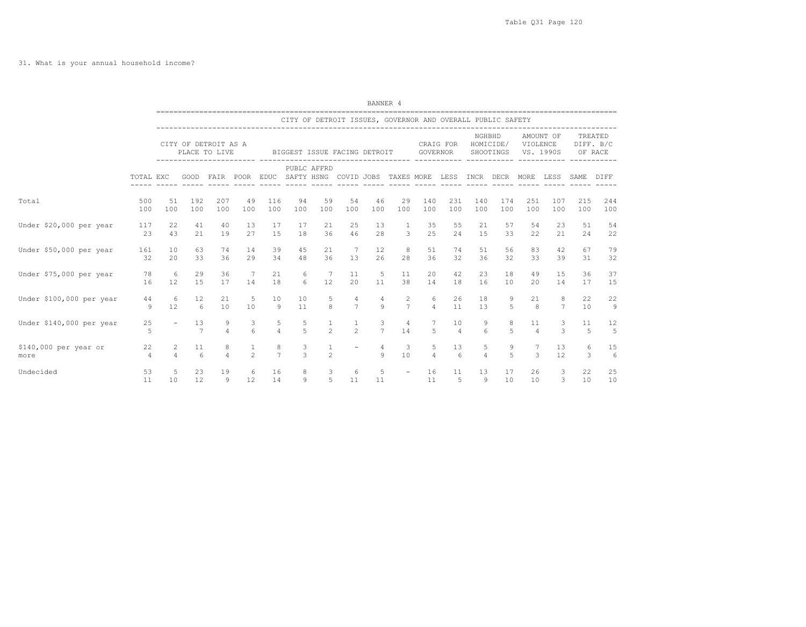|                               |                      |                     |                                       |                     |                     |                                                      |                     |                                  |                                                            | BANNER 4                |                                  |                      |                      |                     |                        |                      |                        |                    |                                 |
|-------------------------------|----------------------|---------------------|---------------------------------------|---------------------|---------------------|------------------------------------------------------|---------------------|----------------------------------|------------------------------------------------------------|-------------------------|----------------------------------|----------------------|----------------------|---------------------|------------------------|----------------------|------------------------|--------------------|---------------------------------|
|                               |                      |                     |                                       |                     |                     |                                                      |                     |                                  | CITY OF DETROIT ISSUES, GOVERNOR AND OVERALL PUBLIC SAFETY |                         |                                  |                      |                      |                     |                        |                      |                        |                    |                                 |
|                               |                      |                     | CITY OF DETROIT AS A<br>PLACE TO LIVE |                     |                     |                                                      |                     |                                  | BIGGEST ISSUE FACING DETROIT                               |                         |                                  | GOVERNOR             | CRAIG FOR            | NGHBHD              | HOMICIDE/<br>SHOOTINGS | VIOLENCE             | AMOUNT OF<br>VS. 1990S |                    | TREATED<br>DIFF. B/C<br>OF RACE |
|                               | TOTAL EXC            |                     | GOOD                                  |                     |                     | FAIR POOR EDUC SAFTY HSNG COVID JOBS TAXES MORE LESS |                     | PUBLC AFFRD                      |                                                            |                         |                                  |                      |                      | INCR DECR           |                        | MORE                 | LESS                   | SAME               | DIFF                            |
| Total                         | 500<br>100           | 51<br>100           | 192<br>100                            | 207<br>100          | 49<br>100           | 116<br>100                                           | 94<br>100           | 59<br>100                        | 54<br>100                                                  | 46<br>100               | 29<br>100                        | 140<br>100           | 231<br>100           | 140<br>100          | 174<br>100             | 251<br>100           | 107<br>100             | 215<br>100         | 244<br>100                      |
| Under \$20,000 per year       | 117<br>23            | 22<br>43            | 41<br>21                              | 40<br>19            | 13<br>27            | 17<br>15                                             | 17<br>18            | 21<br>36                         | 25<br>46                                                   | 13<br>28                | $\mathbf{1}$<br>$\mathbf{3}$     | 35<br>2.5            | 55<br>24             | 21<br>15            | 57<br>33               | 54<br>22             | 23<br>21               | 51<br>24           | 54<br>22                        |
| Under \$50,000 per year       | 161<br>32            | 10<br>20            | 63<br>33                              | 74<br>36            | 14<br>29            | 39<br>34                                             | 45<br>48            | 21<br>36                         | $\overline{7}$<br>13                                       | $12 \overline{ }$<br>26 | 8<br>28                          | 51<br>36             | 74<br>32             | 51<br>36            | 56<br>32               | 83<br>33             | 42<br>39               | 67<br>31           | 79<br>32                        |
| Under \$75,000 per year       | 78<br>16             | 6<br>12             | 29<br>15                              | 36<br>17            | 7<br>14             | 21<br>18                                             | 6<br>6              | 7<br>12                          | 11<br>20                                                   | 5<br>11                 | 11<br>38                         | 20<br>14             | 42<br>18             | 23<br>16            | 18<br>10               | 49<br>20             | 15<br>14               | 36<br>17           | 37<br>15                        |
| Under \$100,000 per year      | 44<br>Q              | -6<br>12            | $12 \overline{ }$<br>6                | 21<br>10            | 5<br>10             | 10<br>9                                              | 10<br>11            | 5<br>8                           | 4<br>$\overline{7}$                                        | 4<br>9                  | $\overline{c}$<br>$\overline{7}$ | -6<br>$\overline{a}$ | 26<br>11             | 18<br>13            | 9<br>5                 | 21<br>8              | 8<br>$\overline{7}$    | 22<br>10           | 22<br>9                         |
| Under \$140,000 per year      | 25<br>5              |                     | 13<br>7                               | 9<br>$\Delta$       | 3<br>6              | 5<br>$\overline{4}$                                  | 5<br>$\overline{5}$ | $\mathbf{1}$<br>2                | $\mathbf{1}$<br>$\mathfrak{D}$                             | 3<br>$\overline{7}$     | $\overline{4}$<br>14             | 7<br>5               | 10<br>$\overline{4}$ | 9<br>6              | 8<br>5                 | 11<br>$\overline{4}$ | 3<br>3                 | 11<br>-5           | 12<br>5                         |
| \$140,000 per year or<br>more | 22<br>$\overline{4}$ | 2<br>$\overline{4}$ | 11<br>$\kappa$                        | 8<br>$\overline{4}$ | 1<br>$\mathfrak{D}$ | 8<br>$\overline{7}$                                  | $\frac{3}{3}$       | $\overline{1}$<br>$\overline{2}$ |                                                            | 4<br>$\circ$            | 3<br>10                          | 5<br>$\overline{a}$  | 13<br>6              | 5<br>$\overline{4}$ | 9<br>5                 | 7<br>3               | 13<br>12               | 6<br>$\mathcal{L}$ | 15<br>6                         |
| Undecided                     | 53<br>11             | 5<br>10             | 23<br>12                              | 19<br>9             | 6<br>12             | 16<br>14                                             | 8<br>9              | 3<br>5                           | 6<br>11                                                    | 5<br>11                 | <b>Contract Contract</b>         | 16<br>11             | 11<br>-5             | 13<br>9             | 17<br>10               | 26<br>10             | 3<br>3                 | 22<br>10           | 25<br>10                        |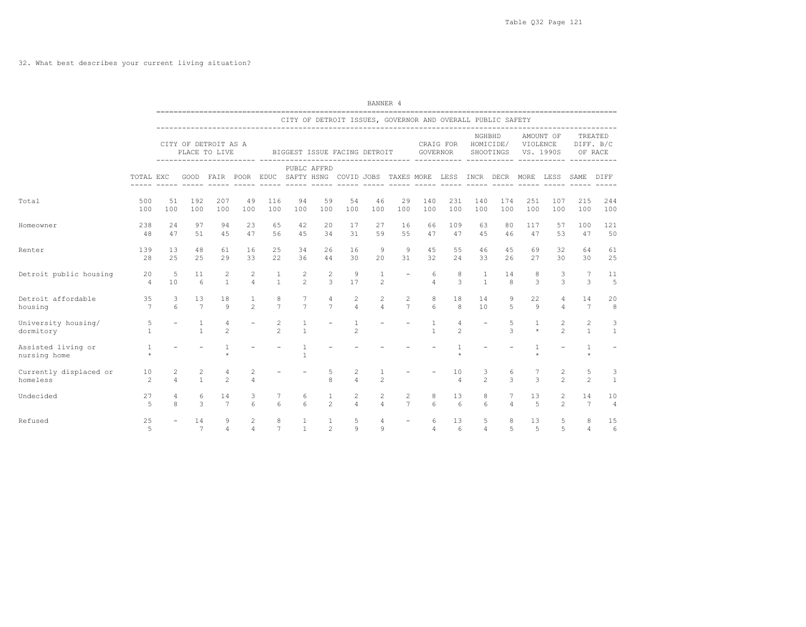## 32. What best describes your current living situation?

|                                    |                         |                       |                                |                                       |                                  |                                 |                                  |                                  |                                  | BANNER 4                       |                                                                               |                              |                        |                              |                                   |                         |                                |                     |                      |
|------------------------------------|-------------------------|-----------------------|--------------------------------|---------------------------------------|----------------------------------|---------------------------------|----------------------------------|----------------------------------|----------------------------------|--------------------------------|-------------------------------------------------------------------------------|------------------------------|------------------------|------------------------------|-----------------------------------|-------------------------|--------------------------------|---------------------|----------------------|
|                                    |                         |                       |                                |                                       |                                  |                                 |                                  |                                  |                                  |                                | CITY OF DETROIT ISSUES, GOVERNOR AND OVERALL PUBLIC SAFETY                    |                              |                        |                              |                                   |                         |                                |                     |                      |
|                                    |                         |                       |                                | CITY OF DETROIT AS A<br>PLACE TO LIVE |                                  | ------------------------ ------ |                                  | BIGGEST ISSUE FACING DETROIT     |                                  |                                |                                                                               | GOVERNOR                     | CRAIG FOR              | NGHBHD                       | HOMICIDE/<br>SHOOTINGS            | VIOLENCE<br>VS. 1990S   | AMOUNT OF                      | OF RACE             | TREATED<br>DIFF. B/C |
|                                    | TOTAL EXC               |                       |                                |                                       |                                  |                                 |                                  | PUBLC AFFRD                      |                                  |                                | GOOD FAIR POOR EDUC SAFTY HSNG COVID JOBS TAXES MORE LESS INCR DECR MORE LESS |                              |                        |                              |                                   |                         |                                | SAME                | DIFF                 |
| Total                              | 500<br>100              | 51<br>100             | 192<br>100                     | 207<br>100                            | 49<br>100                        | 116<br>100                      | 94<br>100                        | 59<br>100                        | 54<br>100                        | 46<br>100                      | 29<br>100                                                                     | 140<br>100                   | 231<br>100             | 140<br>100                   | 174<br>100                        | 251<br>100              | 107<br>100                     | 215<br>100          | 244<br>100           |
| Homeowner                          | 238<br>48               | 24<br>47              | 97<br>51                       | 94<br>45                              | 23<br>47                         | 65<br>56                        | 42<br>4.5                        | 20<br>34                         | 17<br>31                         | 27<br>59                       | 16<br>55                                                                      | 66<br>47                     | 109<br>47              | 63<br>45                     | 80<br>46                          | 117<br>47               | 57<br>53                       | 100<br>47           | 121<br>50            |
| Renter                             | 139<br>28               | 13<br>25              | 48<br>25                       | 61<br>29                              | 16<br>33                         | 25<br>22                        | 34<br>36                         | 26<br>44                         | 16<br>30                         | 9<br>20                        | $\overline{9}$<br>31                                                          | 45<br>32                     | 55<br>24               | 46<br>33                     | 45<br>26                          | 69<br>27                | 32<br>30                       | 64<br>30            | 61<br>25             |
| Detroit public housing             | 20<br>$\overline{4}$    | 5<br>10               | 11<br>6                        | $\overline{c}$<br>$\overline{1}$      | 2<br>$\overline{4}$              | $\mathbf{1}$<br>$\mathbf{1}$    | $\overline{c}$<br>$\mathfrak{D}$ | $\overline{c}$<br>$\overline{3}$ | 9<br>17                          | $\mathbf{1}$<br>$\mathfrak{D}$ | $\overline{\phantom{a}}$                                                      | 6<br>$\overline{4}$          | 8<br>3                 | $\mathbf{1}$<br>$\mathbf{1}$ | 14<br>$\mathsf{R}$                | 8<br>3                  | 3<br>3                         | 7<br>3              | 11<br>$\overline{5}$ |
| Detroit affordable<br>housing      | 35<br>$\overline{7}$    | 3<br>$6 \overline{6}$ | 13<br>$\overline{7}$           | 18<br>$\mathsf{Q}$                    | $\mathbf{1}$<br>$2^{1}$          | 8<br>$\overline{7}$             | 7<br>$\overline{7}$              | $\overline{4}$<br>$\overline{7}$ | $\overline{c}$<br>$\overline{4}$ | $\mathbf{2}$<br>$\overline{4}$ | 2<br>$\overline{7}$                                                           | 8<br>6                       | 18<br>8                | 14<br>10                     | 9<br>5                            | 22<br>9                 | 4<br>4                         | 14<br>7             | 20<br>8              |
| University housing/<br>dormitory   | 5<br>$\overline{1}$     |                       | $\mathbf{1}$<br>$\overline{1}$ | 4<br>$\overline{c}$                   |                                  | 2<br>$\mathfrak{D}$             | 1<br>$\mathbf{1}$                |                                  | $\overline{c}$                   |                                |                                                                               | $\mathbf{1}$<br>$\mathbf{1}$ | 4<br>$\overline{c}$    |                              | 5<br>$\mathcal{L}$                | $\mathbf{1}$<br>$\star$ | 2<br>$\mathfrak{D}$            | 2<br>$\overline{1}$ | 3<br>$\mathbf{1}$    |
| Assisted living or<br>nursing home | <sup>1</sup><br>$\star$ |                       |                                |                                       |                                  |                                 | $\mathbf{1}$<br>$\mathbf{1}$     |                                  |                                  |                                |                                                                               |                              |                        |                              |                                   | $\mathbf{1}$            |                                |                     |                      |
| Currently displaced or<br>homeless | 10<br>$\mathfrak{D}$    | 2<br>$\overline{4}$   | $\overline{c}$<br>$\mathbf{1}$ | 4<br>$\mathfrak{D}$                   | 2<br>$\overline{4}$              |                                 |                                  | 5<br>8                           | 2<br>$\Delta$                    | $\mathfrak{D}$                 |                                                                               |                              | 10<br>$\overline{4}$   | 3<br>$\mathfrak{D}$          | 6<br>$\mathcal{L}$                | 7<br>$\mathcal{L}$      | 2<br>$\overline{2}$            | 5<br>$\mathfrak{D}$ | 3<br>$\overline{1}$  |
| Undecided                          | 27<br>$\overline{5}$    | 4<br>$\mathsf{R}$     | 6<br>3                         | 14<br>$\overline{7}$                  | 3<br>6                           | $7^{\circ}$<br>6                | 6<br>$6 \overline{6}$            | $\mathbf{1}$<br>$\mathfrak{D}$   | $\overline{c}$<br>$\overline{4}$ | 2<br>$\overline{4}$            | 2<br>$\overline{7}$                                                           | 8<br>6                       | 13<br>$6\overline{6}$  | 8<br>6                       | $7\phantom{.0}$<br>$\overline{4}$ | 13<br>5                 | $\mathbf{2}$<br>$\mathfrak{D}$ | 14<br>7             | 10<br>$\overline{4}$ |
| Refused                            | 25<br>$\overline{5}$    |                       | 14<br>$\overline{7}$           | 9<br>$\Delta$                         | $\overline{2}$<br>$\overline{4}$ | 8<br>$7\overline{ }$            | $\mathbf{1}$<br>$\mathbf{1}$     | $\overline{1}$<br>$\mathfrak{D}$ | 5<br>$\circ$                     | 4<br>$\mathsf{Q}$              |                                                                               | 6<br>$\overline{4}$          | 13<br>$6 \overline{6}$ | 5<br>$\overline{4}$          | 8<br>5                            | 13<br>5                 | 5<br>5                         | 8<br>$\overline{4}$ | 15<br>6              |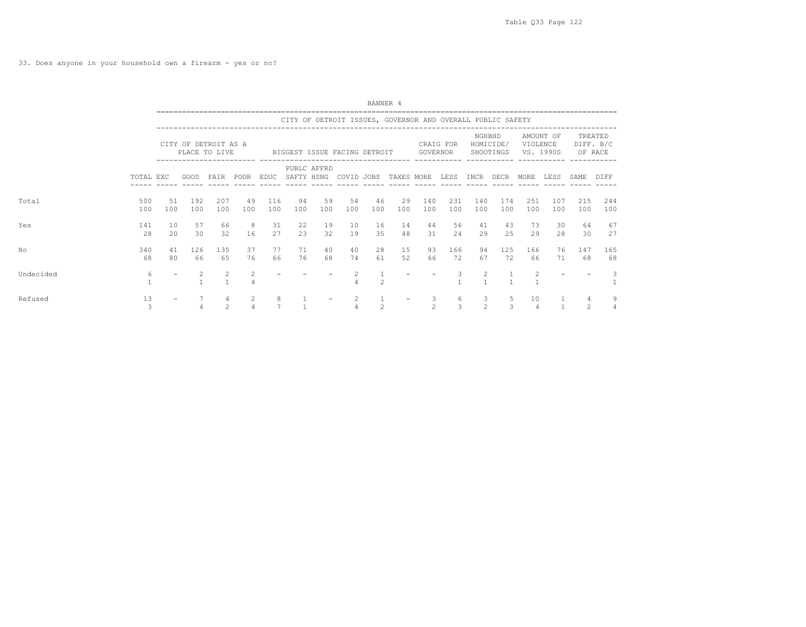33. Does anyone in your household own a firearm - yes or no?

|           |            |           |                                       |                     |           |            |           |                                                            |           | BANNER 4       |            |                       |                    |                     |                        |                |                        |                    |                                 |  |
|-----------|------------|-----------|---------------------------------------|---------------------|-----------|------------|-----------|------------------------------------------------------------|-----------|----------------|------------|-----------------------|--------------------|---------------------|------------------------|----------------|------------------------|--------------------|---------------------------------|--|
|           |            |           |                                       |                     |           |            |           | CITY OF DETROIT ISSUES, GOVERNOR AND OVERALL PUBLIC SAFETY |           |                |            |                       |                    |                     |                        |                |                        |                    |                                 |  |
|           |            |           | CITY OF DETROIT AS A<br>PLACE TO LIVE | ------------- ----  |           |            |           | BIGGEST ISSUE FACING DETROIT                               |           |                |            | CRAIG FOR<br>GOVERNOR |                    | NGHBHD              | HOMICIDE/<br>SHOOTINGS | VIOLENCE       | AMOUNT OF<br>VS. 1990S |                    | TREATED<br>DIFF. B/C<br>OF RACE |  |
|           | TOTAL EXC  |           | GOOD                                  | FAIR                | POOR      | EDUC       |           | PUBLC AFFRD<br>SAFTY HSNG COVID JOBS                       |           |                | TAXES MORE |                       | LESS               | INCR DECR           |                        | MORE           | LESS                   | SAME               | DIFF                            |  |
| Total     | 500<br>100 | 51<br>100 | 192<br>100                            | 207<br>100          | 49<br>100 | 116<br>100 | 94<br>100 | 59<br>100                                                  | 54<br>100 | 46<br>100      | 29<br>100  | 140<br>100            | 231<br>100         | 140<br>100          | 174<br>100             | 251<br>100     | 107<br>100             | 215<br>100         | 244<br>100                      |  |
| Yes       | 141<br>28  | 10<br>20  | 57<br>30                              | 66<br>32            | 8<br>16   | 31<br>27   | 22<br>23  | 19<br>32                                                   | 10<br>19  | 16<br>35       | 14<br>48   | 44<br>31              | 56<br>24           | 41<br>29            | 43<br>25               | 73<br>29       | 30<br>28               | 64<br>30           | 67<br>27                        |  |
| No        | 340<br>68  | 41<br>80  | 126<br>66                             | 135<br>65           | 37<br>76  | 77<br>66   | 71<br>76  | 40<br>68                                                   | 40<br>74  | 28<br>61       | 15<br>52   | 93<br>66              | 166<br>72          | 94<br>67            | 125<br>72              | 166<br>66      | 76<br>71               | 147<br>68          | 165<br>68                       |  |
| Undecided | 6          |           |                                       | $\overline{c}$      | 2         |            |           |                                                            | 4         | $\mathfrak{D}$ |            |                       | 3                  |                     |                        | 2              |                        |                    | 3                               |  |
| Refused   | 13<br>3    |           |                                       | 4<br>$\mathfrak{D}$ | 2         | 8          |           |                                                            | 2         | $\mathfrak{D}$ |            | 3<br>$\mathfrak{D}$   | 6<br>$\mathcal{R}$ | 3<br>$\mathfrak{D}$ | 5<br>$\mathcal{L}$     | 10<br>$\Delta$ |                        | 4<br>$\mathcal{D}$ | 9<br>$\overline{4}$             |  |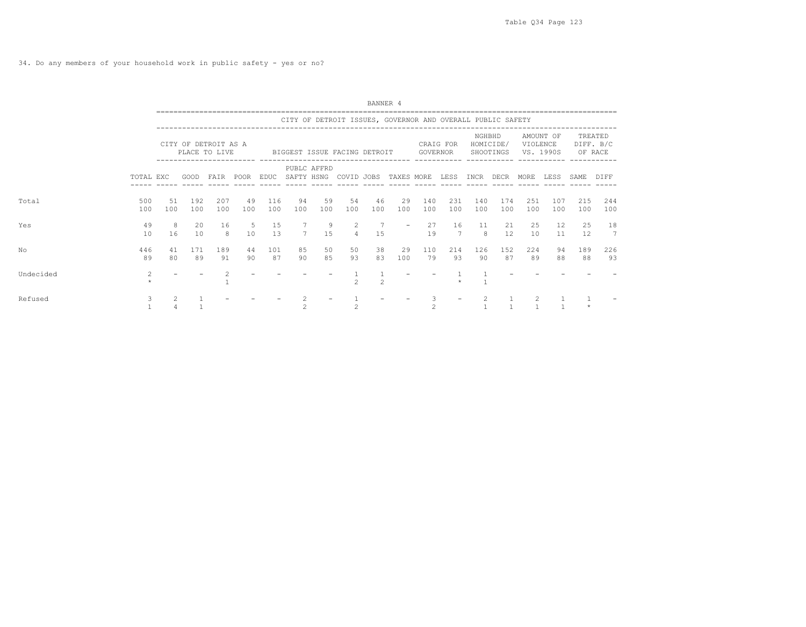34. Do any members of your household work in public safety - yes or no?

|           |                |            |            |                                           |           |            |                |                                                            |                     | BANNER 4       |            |                |            |                |                        |            |                        |            |                                 |  |
|-----------|----------------|------------|------------|-------------------------------------------|-----------|------------|----------------|------------------------------------------------------------|---------------------|----------------|------------|----------------|------------|----------------|------------------------|------------|------------------------|------------|---------------------------------|--|
|           |                |            |            |                                           |           |            |                | CITY OF DETROIT ISSUES, GOVERNOR AND OVERALL PUBLIC SAFETY |                     |                |            |                |            |                |                        |            |                        |            |                                 |  |
|           |                |            |            | CITY OF DETROIT AS A<br>PLACE TO LIVE     |           |            |                | BIGGEST ISSUE FACING DETROIT                               |                     |                |            | GOVERNOR       | CRAIG FOR  | NGHBHD         | HOMICIDE/<br>SHOOTINGS | VIOLENCE   | AMOUNT OF<br>VS. 1990S |            | TREATED<br>DIFF. B/C<br>OF RACE |  |
|           | TOTAL EXC      |            | GOOD       | . _ _ _ _ _ _ _ _ _ _ _ _ _ _ _ _<br>FAIR | POOR      | EDUC       |                | PUBLC AFFRD<br>SAFTY HSNG COVID JOBS                       |                     |                | TAXES MORE |                |            | LESS INCR DECR |                        | MORE       | LESS                   | SAME       | DIFF                            |  |
| Total     | 500<br>100     | .51<br>100 | 192<br>100 | 207<br>100                                | 49<br>100 | 116<br>100 | 94<br>100      | 59<br>100                                                  | 54<br>100           | 46<br>100      | 29<br>100  | 140<br>100     | 231<br>100 | 140<br>100     | 174<br>100             | 251<br>100 | 107<br>100             | 215<br>100 | 244<br>100                      |  |
| Yes       | 49<br>10       | 8<br>16    | 20<br>10   | 16<br>8                                   | 5<br>10   | 15<br>13   | $\overline{7}$ | 9<br>1.5                                                   | 2<br>$\overline{a}$ | 7<br>1.5       |            | 27<br>19       | 16<br>7    | 11<br>8        | 21<br>12.              | 25<br>10   | 12<br>11               | 25<br>12   | 18<br>7                         |  |
| No        | 446<br>89      | 41<br>80   | 171<br>89  | 189<br>91                                 | 44<br>90  | 101<br>87  | 85<br>90       | 50<br>85                                                   | 50<br>93            | 38<br>83       | 29<br>100  | 110<br>79      | 214<br>93  | 126<br>90      | 152<br>87              | 224<br>89  | 94<br>88               | 189<br>88  | 226<br>93                       |  |
| Undecided | $\overline{2}$ |            |            |                                           |           |            |                |                                                            |                     | $\mathfrak{D}$ |            |                |            |                |                        |            |                        |            |                                 |  |
| Refused   | 3              |            |            |                                           |           |            |                |                                                            |                     |                |            | $\mathfrak{D}$ |            |                |                        |            |                        |            |                                 |  |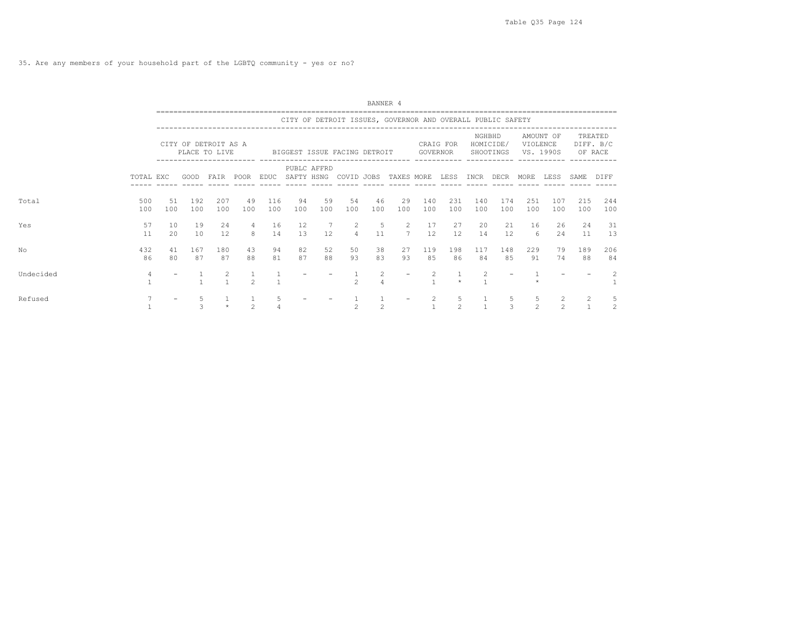|           |            |           |                                       |                                   |                     |            |           |                        |                              | BANNER 4       |                                                            |                                |                       |            |                        |                     |                        |            |                                 |
|-----------|------------|-----------|---------------------------------------|-----------------------------------|---------------------|------------|-----------|------------------------|------------------------------|----------------|------------------------------------------------------------|--------------------------------|-----------------------|------------|------------------------|---------------------|------------------------|------------|---------------------------------|
|           |            |           |                                       |                                   |                     |            |           |                        |                              |                | CITY OF DETROIT ISSUES, GOVERNOR AND OVERALL PUBLIC SAFETY |                                |                       |            |                        |                     |                        |            |                                 |
|           |            |           | CITY OF DETROIT AS A<br>PLACE TO LIVE |                                   |                     |            |           |                        | BIGGEST ISSUE FACING DETROIT |                |                                                            |                                | CRAIG FOR<br>GOVERNOR | NGHBHD     | HOMICIDE/<br>SHOOTINGS | VIOLENCE            | AMOUNT OF<br>VS. 1990S |            | TREATED<br>DIFF. B/C<br>OF RACE |
|           | TOTAL EXC  |           | GOOD                                  | --------------- ----<br>FAIR POOR |                     | EDUC       |           | PUBLC AFFRD            | SAFTY HSNG COVID JOBS        |                | TAXES MORE                                                 |                                | LESS                  | INCR DECR  |                        | MORE                | LESS                   | SAME       | DIFF                            |
| Total     | 500<br>100 | 51<br>100 | 192<br>100                            | 207<br>100                        | 49<br>100           | 116<br>100 | 94<br>100 | 59<br>100              | 54<br>100                    | 46<br>100      | 29<br>100                                                  | 140<br>100                     | 231<br>100            | 140<br>100 | 174<br>100             | 251<br>100          | 107<br>100             | 215<br>100 | 244<br>100                      |
| Yes       | 57<br>11   | 10<br>20  | 19<br>10                              | 24<br>12                          | $\overline{4}$<br>8 | 16<br>14   | 12<br>1.3 | 7<br>$12 \overline{ }$ | 2<br>$\overline{4}$          | 5<br>11        | 2<br>7                                                     | 17<br>12                       | 27<br>12              | 20<br>14   | 21<br>12               | 16<br>6             | 26<br>2.4              | 24<br>11   | 31<br>13                        |
| No        | 432<br>86  | 41<br>80  | 167<br>87                             | 180<br>87                         | 43<br>88            | 94<br>81   | 82<br>87  | 52<br>88               | 50<br>93                     | 38<br>83       | 27<br>93                                                   | 119<br>85                      | 198<br>86             | 117<br>84  | 148<br>85              | 229<br>91           | 79<br>74               | 189<br>88  | 206<br>84                       |
| Undecided | 4          |           |                                       | $\overline{1}$                    | $\mathfrak{D}$      |            |           |                        | $\mathcal{P}$                | $\overline{2}$ |                                                            |                                | $\star$               | 2          |                        |                     |                        |            | 2                               |
| Refused   |            |           | 5                                     | $\star$                           | $\mathfrak{D}$      | .5         |           |                        | $\mathfrak{D}$               | $\mathfrak{D}$ |                                                            | $\overline{2}$<br>$\mathbf{1}$ | 5<br>$\mathfrak{D}$   |            | 5<br>$\mathcal{L}$     | 5<br>$\mathfrak{D}$ | $\mathfrak{D}$         |            | 5<br>$\mathbf{2}$               |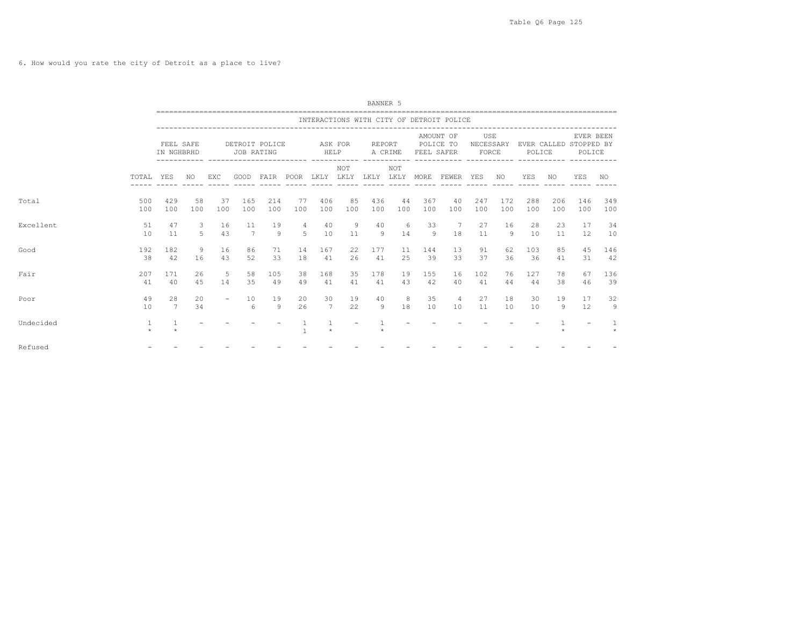6. How would you rate the city of Detroit as a place to live?

|           |                         |                         |           |           |                              |            |                              |                       |           | BANNER 5          |           |                         |                                              |                           |                 |            |            |                                               |              |
|-----------|-------------------------|-------------------------|-----------|-----------|------------------------------|------------|------------------------------|-----------------------|-----------|-------------------|-----------|-------------------------|----------------------------------------------|---------------------------|-----------------|------------|------------|-----------------------------------------------|--------------|
|           |                         |                         |           |           |                              |            |                              |                       |           |                   |           |                         | INTERACTIONS WITH CITY OF DETROIT POLICE     |                           |                 |            |            |                                               |              |
|           |                         | FEEL SAFE<br>IN NGHBRHD |           |           | DETROIT POLICE<br>JOB RATING |            |                              | ASK FOR<br>HELP       |           | REPORT<br>A CRIME |           | POLICE TO<br>FEEL SAFER | AMOUNT OF                                    | USE<br>NECESSARY<br>FORCE |                 | POLICE     |            | EVER BEEN<br>EVER CALLED STOPPED BY<br>POLICE |              |
|           | TOTAL                   | YES                     | NO.       | EXC.      | GOOD                         |            |                              |                       | NOT       |                   | NOT       |                         | FAIR POOR LKLY LKLY LKLY LKLY MORE FEWER YES |                           | NO <sub>N</sub> | YES        | NO         | <b>YES</b>                                    | NO           |
| Total     | 500<br>100              | 429<br>100              | 58<br>100 | 37<br>100 | 165<br>100                   | 214<br>100 | 77<br>100                    | 406<br>100            | 85<br>100 | 436<br>100        | 44<br>100 | 367<br>100              | 40<br>100                                    | 247<br>100                | 172<br>100      | 288<br>100 | 206<br>100 | 146<br>100                                    | 349<br>100   |
| Excellent | 51<br>10                | 47<br>11                | 3<br>5    | 16<br>43  | 11<br>7                      | 19<br>9    | 4<br>5                       | 40<br>10              | 9<br>11   | 40<br>9           | 6<br>14   | 33<br>9                 | 7<br>18                                      | 27<br>11                  | 16<br>9         | 28<br>10   | 23<br>11   | 17<br>12                                      | 34<br>10     |
| Good      | 192<br>38               | 182<br>42               | 9<br>16   | 16<br>43  | 86<br>52                     | 71<br>33   | 14<br>18                     | 167<br>41             | 22<br>26  | 177<br>41         | 11<br>2.5 | 144<br>39               | 13<br>33                                     | 91<br>37                  | 62<br>36        | 103<br>36  | 85<br>41   | 45<br>31                                      | 146<br>42    |
| Fair      | 207<br>41               | 171<br>40               | 26<br>45  | -5<br>14  | 58<br>35                     | 105<br>49  | 38<br>49                     | 168<br>41             | 35<br>41  | 178<br>41         | 19<br>43  | 155<br>42               | 16<br>40                                     | 102<br>41                 | 76<br>44        | 127<br>44  | 78<br>38   | 67<br>46                                      | 136<br>39    |
| Poor      | 49<br>10                | 28<br>$7\phantom{.0}$   | 20<br>34  | $\sim$    | 10<br>6                      | 19<br>9    | 20<br>26                     | 30<br>$7\phantom{.0}$ | 19<br>22  | 40<br>9           | 8<br>18   | 35<br>10                | 4<br>10                                      | 27<br>11                  | 18<br>10        | 30<br>10   | 19<br>-9   | 17<br>12                                      | 32<br>9      |
| Undecided | $\mathbf{1}$<br>$\star$ |                         |           |           |                              |            | $\mathbf{1}$<br>$\mathbf{1}$ | $\star$               |           |                   |           |                         |                                              |                           |                 |            |            |                                               | $\mathbf{1}$ |
| Refused   |                         |                         |           |           |                              |            |                              |                       |           |                   |           |                         |                                              |                           |                 |            |            |                                               |              |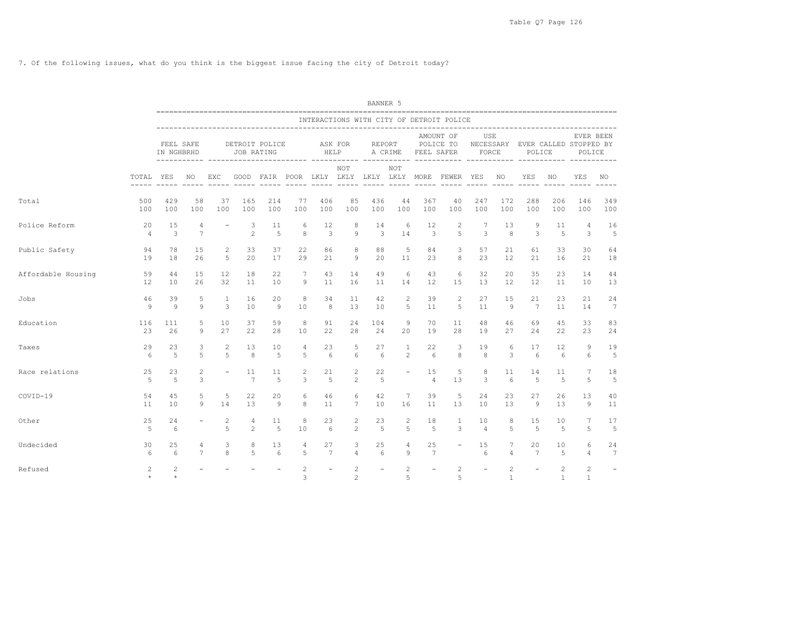7. Of the following issues, what do you think is the biggest issue facing the city of Detroit today?

|                    |                      |                         |                     |                          |                              |            |                                   |                      |                                  | BANNER 5                 |                              |                          |                                                   |                          |                                |                                            |                              |                              |                          |
|--------------------|----------------------|-------------------------|---------------------|--------------------------|------------------------------|------------|-----------------------------------|----------------------|----------------------------------|--------------------------|------------------------------|--------------------------|---------------------------------------------------|--------------------------|--------------------------------|--------------------------------------------|------------------------------|------------------------------|--------------------------|
|                    |                      |                         |                     |                          |                              |            |                                   |                      |                                  |                          |                              |                          | INTERACTIONS WITH CITY OF DETROIT POLICE          |                          |                                |                                            |                              |                              |                          |
|                    |                      | FEEL SAFE<br>IN NGHBRHD |                     | ------------ ----------- | DETROIT POLICE<br>JOB RATING |            | ---------- ----------- ---------- | HELP                 | ASK FOR                          |                          | REPORT<br>A CRIME            | FEEL SAFER               | AMOUNT OF<br>POLICE TO                            | USE<br>FORCE             |                                | NECESSARY EVER CALLED STOPPED BY<br>POLICE |                              | EVER BEEN<br>POLICE          |                          |
|                    | TOTAL YES            |                         | NO.                 | EXC                      |                              |            |                                   | $- - - - - -$        | NOT<br>$\frac{1}{2}$             |                          | <b>NOT</b>                   | $- - - - - -$            | GOOD FAIR POOR LKLY LKLY LKLY LKLY MORE FEWER YES |                          | NO.                            | YES<br>----- ----- -----                   | NO.<br>$\frac{1}{2}$         | YES<br>$- - - - - -$         | NO.<br>$- - - - -$       |
| Total              | 500<br>100           | 429<br>100              | 58<br>100           | 37<br>100                | 165<br>100                   | 214<br>100 | 77<br>100                         | 406<br>100           | 85<br>100                        | 436<br>100               | 44<br>100                    | 367<br>100               | 40<br>100                                         | 247<br>100               | 172<br>100                     | 288<br>100                                 | 206<br>100                   | 146<br>100                   | 349<br>100               |
| Police Reform      | 20<br>$\overline{4}$ | 15<br>3                 | 4<br>7              | $\overline{\phantom{a}}$ | 3<br>2                       | 11<br>5    | 6<br>8                            | 12<br>3              | 8<br>$\mathcal{G}$               | 14<br>3                  | 6<br>14                      | 12<br>3                  | $\mathbf{2}$<br>5                                 | $7\phantom{.0}$<br>3     | 13<br>8                        | 9<br>3                                     | 11<br>5                      | 4<br>3                       | 16<br>5                  |
| Public Safety      | 94<br>19             | 78<br>18                | 15<br>26            | 2<br>5                   | 33<br>20                     | 37<br>17   | 22<br>29                          | 86<br>21             | 8<br>9                           | 88<br>20                 | 5<br>11                      | 84<br>23                 | 3<br>8                                            | 57<br>23                 | 21<br>12                       | 61<br>21                                   | 33<br>16                     | 30<br>21                     | 64<br>18                 |
| Affordable Housing | 59<br>12             | 44<br>10                | 15<br>26            | 12<br>32                 | 18<br>11                     | 22<br>10   | 7<br>9                            | 43<br>11             | 14<br>16                         | 49<br>11                 | 6<br>14                      | 43<br>$12 \overline{ }$  | 6<br>15                                           | 32<br>13                 | 20<br>12                       | 35<br>12                                   | 23<br>11                     | 14<br>10                     | 44<br>13                 |
| Jobs               | 46<br>9              | 39<br>9                 | 5<br>9              | $\mathbf{1}$<br>3        | 16<br>10                     | 20<br>9    | 8<br>10                           | 34<br>8              | 11<br>13                         | 42<br>10                 | 2<br>5                       | 39<br>11                 | $\mathbf{2}$<br>5                                 | 27<br>11                 | 15<br>9                        | 21<br>7                                    | 23<br>11                     | 21<br>14                     | 24<br>$7\phantom{.0}$    |
| Education          | 116<br>23            | 111<br>26               | 5<br>9              | 10<br>27                 | 37<br>22                     | 59<br>28   | 8<br>10                           | 91<br>22             | 24<br>28                         | 104<br>24                | 9<br>20                      | 70<br>19                 | 11<br>28                                          | 48<br>19                 | 46<br>27                       | 69<br>24                                   | 45<br>22                     | 33<br>23                     | 83<br>24                 |
| Taxes              | 29<br>6              | 23<br>5                 | 3<br>5              | $\mathbf{2}$<br>5        | 13<br>8                      | 10<br>5    | 4<br>5                            | 23<br>6              | 5<br>6                           | 27<br>6                  | $\mathbf{1}$<br>$\mathbf{2}$ | 22<br>6                  | 3<br>8                                            | 19<br>8                  | 6<br>3                         | 17<br>6                                    | 12<br>6                      | 9<br>6                       | 19<br>5                  |
| Race relations     | 25<br>5              | 23<br>$\overline{5}$    | $\overline{c}$<br>3 | $\overline{\phantom{a}}$ | 11<br>$7\phantom{.0}$        | 11<br>5    | 2<br>3                            | 21<br>5              | 2<br>$\overline{2}$              | 22<br>5                  | $\overline{\phantom{a}}$     | 15<br>$\overline{4}$     | 5<br>13                                           | 8<br>3                   | 11<br>6                        | 14<br>5                                    | 11<br>5                      | 7<br>5.                      | 18<br>5                  |
| COVID-19           | 54<br>11             | 45<br>10                | 5<br>9              | 5<br>14                  | 22<br>13                     | 20<br>9    | 6<br>8                            | 46<br>11             | 6<br>$7\phantom{.0}$             | 42<br>10                 | $7\phantom{.0}$<br>16        | 39<br>11                 | 5<br>13                                           | 24<br>10                 | 23<br>13                       | 27<br>9                                    | 26<br>13                     | 13<br>9                      | 40<br>11                 |
| Other              | 25<br>5              | 24<br>6                 |                     | $\sqrt{2}$<br>5          | 4<br>2                       | 11<br>5    | 8<br>10                           | 23<br>6              | $\overline{c}$<br>$\overline{2}$ | 23<br>5                  | $\overline{c}$<br>5          | 18<br>-5                 | 1<br>3                                            | 10<br>$\overline{4}$     | 8<br>5                         | 15<br>5                                    | 10<br>5                      | 7<br>5                       | 17<br>5                  |
| Undecided          | 30<br>6              | 25<br>6                 | 4<br>$\overline{7}$ | 3<br>8                   | 8<br>5                       | 13<br>6    | 4<br>$\overline{5}$               | 27<br>$\overline{7}$ | 3<br>$\overline{4}$              | 25<br>6                  | 4<br>9                       | 25<br>7                  |                                                   | 15<br>6                  | 7<br>4                         | 20<br>7                                    | 10<br>5                      | 6<br>4                       | 24<br>7                  |
| Refused            | 2                    | $\overline{c}$          |                     |                          |                              |            | $\mathbf{2}$<br>3                 |                      | 2<br>$\overline{c}$              | $\overline{\phantom{a}}$ | $\mathbf{2}$<br>5            | $\overline{\phantom{a}}$ | $\mathbf{2}$<br>5                                 | $\overline{\phantom{a}}$ | $\overline{c}$<br>$\mathbf{1}$ | $\overline{\phantom{a}}$                   | $\mathbf{2}$<br>$\mathbf{1}$ | $\mathbf{2}$<br>$\mathbf{1}$ | $\overline{\phantom{a}}$ |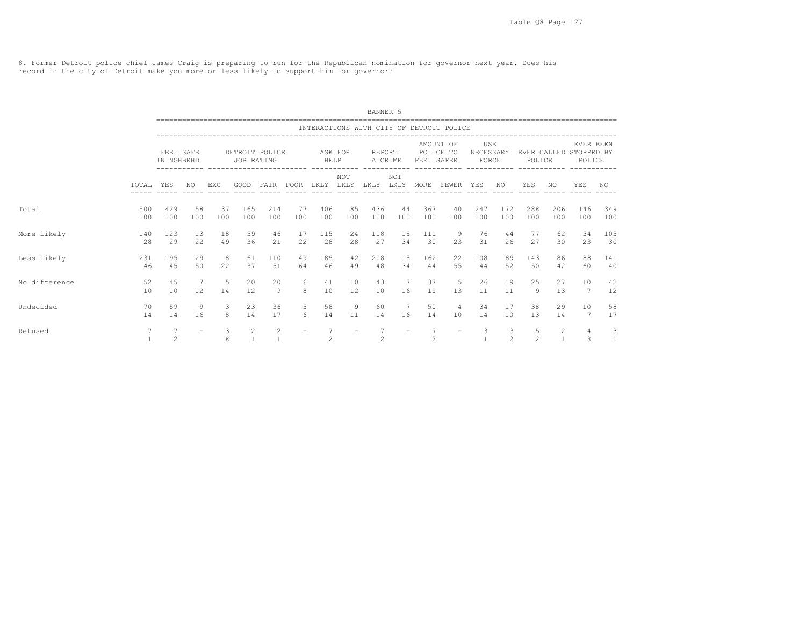8. Former Detroit police chief James Craig is preparing to run for the Republican nomination for governor next year. Does his record in the city of Detroit make you more or less likely to support him for governor?

|               |                                 |                         |                          |        |            |                   |                          |                |                          | BANNER 5       |                    |                |                                          |                           |                     |                     |                                  |                                               |                   |
|---------------|---------------------------------|-------------------------|--------------------------|--------|------------|-------------------|--------------------------|----------------|--------------------------|----------------|--------------------|----------------|------------------------------------------|---------------------------|---------------------|---------------------|----------------------------------|-----------------------------------------------|-------------------|
|               |                                 |                         |                          |        |            |                   |                          |                |                          |                |                    |                | INTERACTIONS WITH CITY OF DETROIT POLICE |                           |                     |                     |                                  |                                               |                   |
|               |                                 | FEEL SAFE<br>IN NGHBRHD |                          |        | JOB RATING | DETROIT POLICE    |                          | HELP           | ASK FOR                  | REPORT         | A CRIME            | FEEL SAFER     | AMOUNT OF<br>POLICE TO                   | USE<br>NECESSARY<br>FORCE |                     | POLICE              |                                  | EVER BEEN<br>EVER CALLED STOPPED BY<br>POLICE |                   |
|               | TOTAL                           | YES                     | NO.                      | EXC    | GOOD       | FAIR              | POOR                     | LKLY           | NOT<br>LKLY              | LKLY           | <b>NOT</b><br>LKLY | MORE           | FEWER                                    | YES                       | NO.                 | YES                 | NO.                              | YES                                           | NO.               |
| Total         | 500                             | 429                     | 58                       | 37     | 165        | 214               | 77                       | 406            | 85                       | 436            | 44                 | 367            | 40                                       | 247                       | 172                 | 288                 | 206                              | 146                                           | 349               |
|               | 100                             | 100                     | 100                      | 100    | 100        | 100               | 100                      | 100            | 100                      | 100            | 100                | 100            | 100                                      | 100                       | 100                 | 100                 | 100                              | 100                                           | 100               |
| More likely   | 140                             | 123                     | 13                       | 18     | 59         | 46                | 17                       | 115            | 24                       | 118            | 15                 | 111            | -9                                       | 76                        | 44                  | 77                  | 62                               | 34                                            | 105               |
|               | 28                              | 29                      | 22                       | 49     | 36         | 21                | 22                       | 28             | 28                       | 27             | 34                 | 30             | 23                                       | 31                        | 26                  | 27                  | 30                               | 23                                            | 30                |
| Less likely   | 231                             | 195                     | 29                       | 8      | 61         | 110               | 49                       | 185            | 42                       | 208            | 15                 | 162            | 22                                       | 108                       | 89                  | 143                 | 86                               | 88                                            | 141               |
|               | 46                              | 45                      | 50                       | 22     | 37         | 51                | 64                       | 46             | 49                       | 48             | 34                 | 44             | 55                                       | 44                        | 52                  | 50                  | 42                               | 60                                            | 40                |
| No difference | 52                              | 45                      | 7                        | 5      | 20         | 20                | 6                        | 41             | 10                       | 43             | $7\phantom{.0}$    | 37             | 5                                        | 26                        | 19                  | 25                  | 27                               | 10                                            | 42                |
|               | 10                              | 10                      | 12                       | 14     | 12         | 9                 | 8                        | 10             | 12                       | 10             | 16                 | 10             | 13                                       | 11                        | 11                  | 9                   | 13                               | $7\phantom{.0}$                               | 12                |
| Undecided     | 70                              | 59                      | 9                        | 3      | 23         | 36                | 5                        | 58             | 9                        | 60             | 7                  | 50             | $\overline{4}$                           | 34                        | 17                  | 38                  | 29                               | 10                                            | 58                |
|               | 14                              | 14                      | 16                       | 8      | 14         | 17                | 6                        | 14             | 11                       | 14             | 16                 | 14             | 10                                       | 14                        | 10                  | 13                  | 14                               | 7                                             | 17                |
| Refused       | $7\overline{ }$<br>$\mathbf{1}$ | $\overline{7}$<br>2     | $\overline{\phantom{a}}$ | 3<br>8 | 2          | 2<br>$\mathbf{1}$ | $\overline{\phantom{a}}$ | $\overline{c}$ | $\overline{\phantom{a}}$ | $\mathfrak{D}$ | $\equiv$           | $\mathfrak{D}$ | $\overline{\phantom{0}}$                 | 3                         | 3<br>$\mathfrak{D}$ | 5<br>$\mathfrak{D}$ | $\overline{c}$<br>$\overline{1}$ | 4<br>3                                        | 3<br>$\mathbf{1}$ |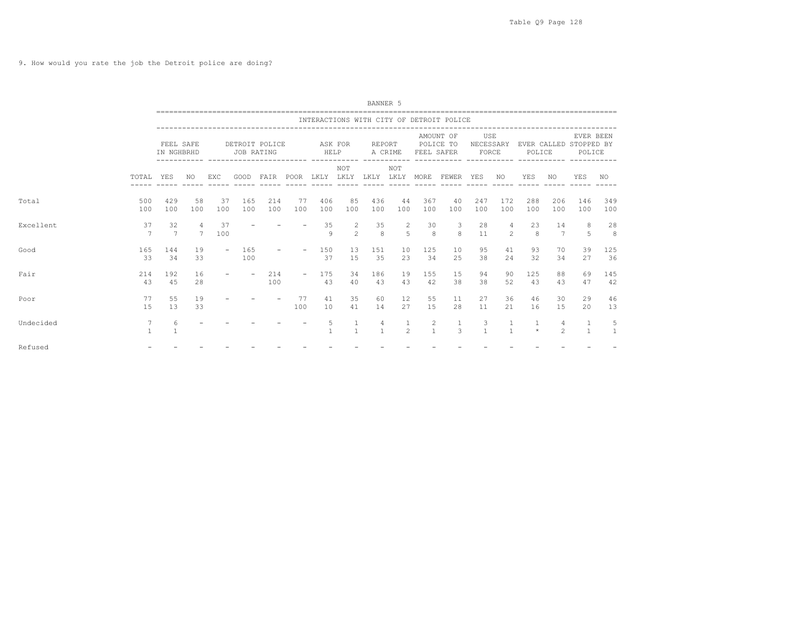9. How would you rate the job the Detroit police are doing?

|           |                                 |                         |                      |           |                                                  |            |                          |                   |                     | BANNER 5                           |                     |                         |                                                                                      |                           |                     |              |                     |                                               |            |
|-----------|---------------------------------|-------------------------|----------------------|-----------|--------------------------------------------------|------------|--------------------------|-------------------|---------------------|------------------------------------|---------------------|-------------------------|--------------------------------------------------------------------------------------|---------------------------|---------------------|--------------|---------------------|-----------------------------------------------|------------|
|           |                                 |                         |                      |           |                                                  |            |                          |                   |                     |                                    |                     |                         | INTERACTIONS WITH CITY OF DETROIT POLICE                                             |                           |                     |              |                     |                                               |            |
|           |                                 | FEEL SAFE<br>IN NGHBRHD |                      |           | DETROIT POLICE<br>JOB RATING                     |            |                          | ASK FOR<br>HELP   |                     | REPORT                             | A CRIME             | POLICE TO<br>FEEL SAFER | ---------------------------------<br>AMOUNT OF<br>----------- ----------- ---------- | USE<br>NECESSARY<br>FORCE |                     | POLICE       |                     | EVER BEEN<br>EVER CALLED STOPPED BY<br>POLICE |            |
|           | TOTAL                           | YES                     | NO                   | EXC       | ----------- ------------------------ ---<br>GOOD |            |                          |                   | NOT                 | FAIR POOR LKLY LKLY LKLY LKLY MORE | NOT                 |                         | FEWER YES                                                                            |                           | NO.                 | YES          | NO                  | YES                                           | NO         |
| Total     | 500<br>100                      | 429<br>100              | 58<br>100            | 37<br>100 | 165<br>100                                       | 214<br>100 | - 77<br>100              | 406<br>100        | 85<br>100           | 436<br>100                         | 44<br>100           | 367<br>100              | 40<br>100                                                                            | 247<br>100                | 172<br>100          | 288<br>100   | 206<br>100          | 146<br>100                                    | 349<br>100 |
| Excellent | 37<br>7                         | 32<br>$\overline{7}$    | 4<br>$7\overline{ }$ | 37<br>100 |                                                  |            |                          | 35<br>$\circ$     | 2<br>$\mathfrak{D}$ | 35<br>8                            | 2<br>$\overline{5}$ | 30<br>8                 | -3<br>$\mathbf{g}$                                                                   | 28<br>11                  | 4<br>$\mathfrak{D}$ | 23<br>8      | 14<br>7             | 8<br>5                                        | 28<br>8    |
| Good      | 165<br>-33                      | 144<br>34               | 19<br>33             |           | 165<br>100                                       |            |                          | 150<br>37         | 13<br>1.5           | 151<br>35                          | 10<br>23            | 125<br>34               | 10<br>25                                                                             | 95<br>38                  | 41<br>24            | 93<br>32     | 70<br>34            | 39<br>27                                      | 125<br>36  |
| Fair      | 214<br>43                       | 192<br>45               | 16<br>28             |           | $\overline{\phantom{a}}$                         | 214<br>100 | $\overline{\phantom{a}}$ | 175<br>43         | 34<br>40            | 186<br>43                          | 19<br>43            | 155<br>42               | 15<br>38                                                                             | 94<br>38                  | 90<br>52            | 125<br>43    | 88<br>43            | 69<br>47                                      | 145<br>42  |
| Poor      | 77<br>15                        | 55<br>13                | 19<br>33             |           |                                                  |            | 77<br>100                | 41<br>10          | 35<br>41            | 60<br>14                           | 12<br>27            | 55<br>15                | 11<br>28                                                                             | 27<br>11                  | 36<br>21            | 46<br>16     | 30<br>15            | 29<br>20                                      | 46<br>13   |
| Undecided | $7\phantom{.0}$<br>$\mathbf{1}$ | 6                       |                      |           |                                                  |            |                          | 5<br>$\mathbf{1}$ | $\mathbf{1}$        | 4<br>$\mathbf{1}$                  | 1<br>$\mathfrak{D}$ | 2<br>$\mathbf{1}$       | <sup>1</sup><br>3                                                                    | 3<br>$\mathbf{1}$         | $\mathbf{1}$        | 1<br>$\star$ | 4<br>$\mathfrak{D}$ | -1<br>$\overline{1}$                          | 5<br>1     |
| Refused   |                                 |                         |                      |           |                                                  |            |                          |                   |                     |                                    |                     |                         |                                                                                      |                           |                     |              |                     |                                               |            |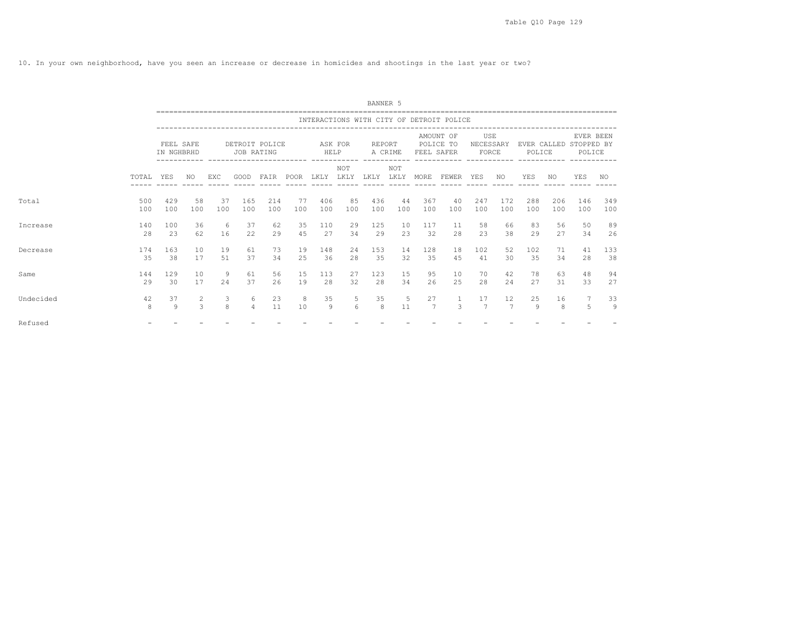10. In your own neighborhood, have you seen an increase or decrease in homicides and shootings in the last year or two?

|           |            |                         |                     |            |                     |                |                                        |            |             | BANNER 5      |                    |            |                                          |                           |                        |            |            |                                               |            |
|-----------|------------|-------------------------|---------------------|------------|---------------------|----------------|----------------------------------------|------------|-------------|---------------|--------------------|------------|------------------------------------------|---------------------------|------------------------|------------|------------|-----------------------------------------------|------------|
|           |            |                         |                     |            |                     |                |                                        |            |             |               |                    |            | INTERACTIONS WITH CITY OF DETROIT POLICE |                           |                        |            |            |                                               |            |
|           |            | FEEL SAFE<br>IN NGHBRHD |                     |            | JOB RATING          | DETROIT POLICE | -------------------------------------- | HELP       | ASK FOR     | <b>REPORT</b> | A CRIME            | FEEL SAFER | AMOUNT OF<br>POLICE TO                   | USE<br>NECESSARY<br>FORCE |                        | POLICE     |            | EVER BEEN<br>EVER CALLED STOPPED BY<br>POLICE |            |
|           | TOTAL      | YES                     | NO.                 | <b>EXC</b> | GOOD                | FATR           | POOR                                   | LKLY       | NOT<br>LKLY | LKLY          | <b>NOT</b><br>LKLY | MORE       | FEWER                                    | YES                       | NO.                    | YES        | NO.        | YES                                           | NO.        |
| Total     | 500<br>100 | 429<br>100              | 58<br>100           | 37<br>100  | 165<br>100          | 214<br>100     | 77<br>100                              | 406<br>100 | 85<br>100   | 436<br>100    | 44<br>100          | 367<br>100 | 40<br>100                                | 247<br>100                | 172<br>100             | 288<br>100 | 206<br>100 | 146<br>100                                    | 349<br>100 |
| Increase  | 140<br>28  | 100<br>23               | 36<br>62            | 6<br>16    | 37<br>22            | 62<br>29       | 35<br>45                               | 110<br>27  | 29<br>34    | 125<br>29     | 10<br>23           | 117<br>32  | 11<br>28                                 | 58<br>23                  | 66<br>38               | 83<br>29   | 56<br>27   | 50<br>34                                      | 89<br>26   |
| Decrease  | 174<br>35  | 163<br>38               | 10<br>17            | 19<br>51   | 61<br>37            | 73<br>34       | 19<br>25                               | 148<br>36  | 2.4<br>28   | 153<br>35     | 14<br>32           | 128<br>35  | 18<br>45                                 | 102<br>41                 | 52<br>30               | 102<br>35  | 71<br>34   | 41<br>28                                      | 133<br>38  |
| Same      | 144<br>29  | 129<br>30               | 10<br>17            | 9<br>2.4   | 61<br>37            | 56<br>26       | 1.5<br>19                              | 113<br>28  | 27<br>32    | 123<br>2.8    | 15<br>34           | 95<br>26   | 10<br>25                                 | 70<br>28                  | 42<br>2.4              | 78<br>27   | 63<br>31   | 48<br>33                                      | 94<br>27   |
| Undecided | 42<br>8    | 37<br>9                 | $\overline{2}$<br>3 | 3<br>8     | 6<br>$\overline{4}$ | 23<br>11       | 8<br>10                                | 35<br>9    | 5<br>6      | 35<br>8       | 5<br>11            | 27<br>7    | 3                                        | 17<br>7                   | $12 \overline{ }$<br>7 | 25<br>9    | 16<br>8    | 5                                             | 33<br>9    |
| Refused   |            |                         |                     |            |                     |                |                                        |            |             |               |                    |            |                                          |                           |                        |            |            |                                               |            |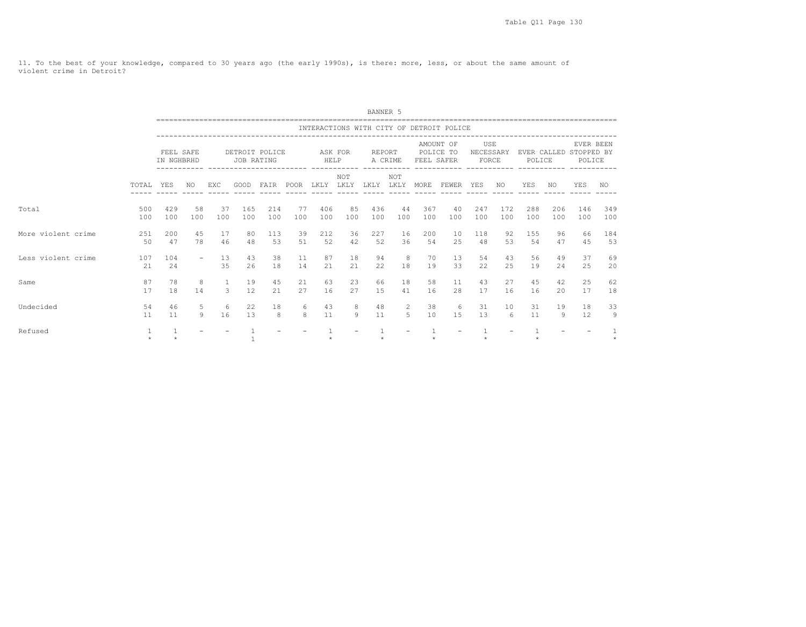11. To the best of your knowledge, compared to 30 years ago (the early 1990s), is there: more, less, or about the same amount of violent crime in Detroit?

|                    |            |                         |           |                   |            |                |           |            |             | BANNER 5   |                     |            |                                          |                           |            |                       |            |                                   |            |
|--------------------|------------|-------------------------|-----------|-------------------|------------|----------------|-----------|------------|-------------|------------|---------------------|------------|------------------------------------------|---------------------------|------------|-----------------------|------------|-----------------------------------|------------|
|                    |            |                         |           |                   |            |                |           |            |             |            |                     |            | INTERACTIONS WITH CITY OF DETROIT POLICE |                           |            |                       |            |                                   |            |
|                    |            | FEEL SAFE<br>IN NGHBRHD |           |                   | JOB RATING | DETROIT POLICE |           | HELP       | ASK FOR     | REPORT     | A CRIME             | FEEL SAFER | AMOUNT OF<br>POLICE TO                   | USE<br>NECESSARY<br>FORCE |            | EVER CALLED<br>POLICE |            | EVER BEEN<br>STOPPED BY<br>POLICE |            |
|                    | TOTAL.     | <b>YES</b>              | NO.       | EXC               | GOOD       | FAIR           | POOR      | LKLY       | NOT<br>LKLY | LKLY       | NOT<br>LKLY         | MORE       | FEWER                                    | YES                       | NO.        | YES                   | NO         | YES                               | NO.        |
| Total              | 500<br>100 | 429<br>100              | 58<br>100 | 37<br>100         | 165<br>100 | 214<br>100     | 77<br>100 | 406<br>100 | 85<br>100   | 436<br>100 | 44<br>100           | 367<br>100 | 40<br>100                                | 247<br>100                | 172<br>100 | 288<br>100            | 206<br>100 | 146<br>100                        | 349<br>100 |
| More violent crime | 251<br>50  | 200<br>47               | 45<br>78  | 17<br>46          | 80<br>48   | 113<br>53      | 39<br>51  | 212<br>52  | 36<br>42    | 227<br>52  | 16<br>36            | 200<br>54  | 10<br>25                                 | 118<br>48                 | 92<br>53   | 155<br>54             | 96<br>47   | 66<br>45                          | 184<br>53  |
| Less violent crime | 107<br>2.1 | 104<br>24               | $\sim$    | 13<br>35          | 43<br>26   | 38<br>18       | 11<br>14  | 87<br>2.1  | 18<br>21    | 94<br>22   | 8<br>18             | 70<br>19   | 13<br>33                                 | 54<br>22                  | 43<br>2.5  | 56<br>19              | 49<br>2.4  | 37<br>25                          | 69<br>20   |
| Same               | 87<br>17   | 78<br>18                | 8<br>14   | $\mathbf{1}$<br>3 | 19<br>12   | 45<br>21       | 21<br>27  | 63<br>16   | 23<br>27    | 66<br>15   | 18<br>41            | 58<br>16   | 11<br>28                                 | 43<br>17                  | 27<br>16   | 45<br>16              | 42<br>20   | 25<br>17                          | 62<br>18   |
| Undecided          | 54<br>11   | 46<br>11                | 5<br>9    | 6<br>16           | 22<br>13   | 18<br>8        | 6<br>8    | 43<br>11   | 8<br>9      | 48<br>11   | $\overline{2}$<br>5 | 38<br>10   | - 6<br>15                                | 31<br>13                  | 10<br>6    | 31<br>11              | 19<br>-9   | 18<br>12                          | 33<br>9    |
| Refused            | $\star$    |                         |           |                   |            |                |           |            |             |            |                     |            |                                          |                           |            |                       |            |                                   |            |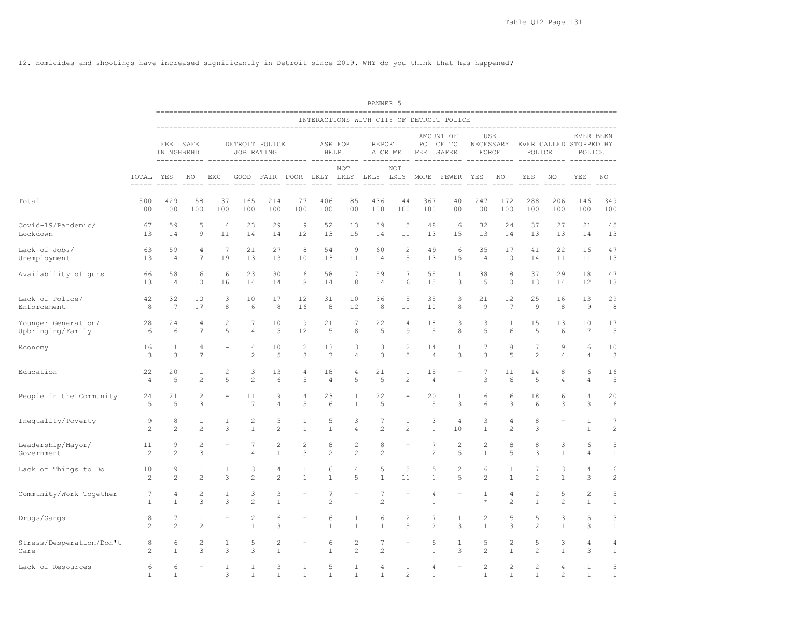12. Homicides and shootings have increased significantly in Detroit since 2019. WHY do you think that has happened?

|                                          |                      |                         |                              |                       |                     |                     |                              |                                   |                     | BANNER 5            |                                |                                  |                                                   |                         |                      |                                            |                   |            |                   |
|------------------------------------------|----------------------|-------------------------|------------------------------|-----------------------|---------------------|---------------------|------------------------------|-----------------------------------|---------------------|---------------------|--------------------------------|----------------------------------|---------------------------------------------------|-------------------------|----------------------|--------------------------------------------|-------------------|------------|-------------------|
|                                          |                      |                         |                              |                       |                     |                     |                              |                                   |                     |                     |                                |                                  | INTERACTIONS WITH CITY OF DETROIT POLICE          |                         |                      |                                            |                   |            |                   |
|                                          |                      | FEEL SAFE<br>IN NGHBRHD |                              |                       | JOB RATING          | DETROIT POLICE      |                              | HELP                              | ASK FOR             | REPORT              | A CRIME                        | FEEL SAFER                       | AMOUNT OF<br>POLICE TO                            |                         | USE<br>FORCE         | NECESSARY EVER CALLED STOPPED BY<br>POLICE |                   | POLICE     | EVER BEEN         |
|                                          | TOTAL YES            | -----------             | NO                           | EXC                   |                     |                     |                              |                                   | NOT                 |                     | NOT                            |                                  | GOOD FAIR POOR LKLY LKLY LKLY LKLY MORE FEWER YES |                         | NO <sub>N</sub>      | YES                                        | NO                | YES        | NO                |
| Total                                    | 500<br>100           | 429<br>100              | 58<br>100                    | 37<br>100             | 165<br>100          | 214<br>100          | 77<br>100                    | 406<br>100                        | 85<br>100           | 436<br>100          | 44<br>100                      | 367<br>100                       | 40<br>100                                         | 247<br>100              | 172<br>100           | 288<br>100                                 | 206<br>100        | 146<br>100 | 349<br>100        |
| Covid-19/Pandemic/<br>Lockdown           | 67<br>13             | 59<br>14                | 5<br>9                       | $\overline{4}$<br>11  | 23<br>14            | 29<br>14            | 9<br>12                      | 52<br>13                          | 13<br>15            | 59<br>14            | 5<br>11                        | 48<br>13                         | 6<br>15                                           | 32<br>13                | 24<br>14             | 37<br>13                                   | 27<br>13          | 21<br>14   | 45<br>13          |
| Lack of Jobs/<br>Unemployment            | 63<br>13             | 59<br>14                | 4<br>7                       | $7\phantom{.0}$<br>19 | 21<br>13            | 27<br>13            | 8<br>10                      | 54<br>13                          | 9<br>11             | 60<br>14            | $\overline{c}$<br>5            | 49<br>13                         | 6<br>15                                           | 35<br>14                | 17<br>10             | 41<br>14                                   | 22<br>11          | 16<br>11   | 47<br>13          |
| Availability of guns                     | 66<br>13             | 58<br>14                | 6<br>10                      | 6<br>16               | 23<br>14            | 30<br>14            | 6<br>8                       | 58<br>14                          | 7<br>8              | 59<br>14            | 7<br>16                        | 55<br>15                         | 1<br>3                                            | 38<br>15                | 18<br>10             | 37<br>13                                   | 29<br>14          | 18<br>12   | 47<br>13          |
| Lack of Police/<br>Enforcement           | 42<br>8              | 32<br>7                 | 10<br>17                     | 3<br>8                | 10<br>6             | 17<br>8             | 12<br>16                     | 31<br>8                           | 10<br>12            | 36<br>8             | 5<br>11                        | 35<br>10                         | 3<br>8                                            | 21<br>$\overline{9}$    | 12<br>7              | 25<br>9                                    | 16<br>8           | 13<br>9    | 29<br>8           |
| Younger Generation/<br>Upbringing/Family | 28<br>6              | 24<br>6                 | 4<br>$\overline{7}$          | 2<br>5                | 7<br>4              | 10<br>5             | 9<br>12                      | 21<br>5                           | 7<br>8              | 22<br>5             | 4<br>9                         | 18<br>5                          | 3<br>8                                            | 13<br>5                 | 11<br>6              | 15<br>5                                    | 13<br>6           | 10<br>7    | 17<br>5           |
| Economy                                  | 16<br>3              | 11<br>3                 | 4<br>7                       |                       | 4<br>2              | 10<br>5             | 2<br>3                       | 13<br>3                           | 3<br>4              | 13<br>3             | 2<br>5                         | 14<br>4                          | 1<br>3                                            | 7<br>3                  | 8<br>5               | 7<br>2                                     | 9<br>4            | 6<br>4     | 10<br>3           |
| Education                                | 22<br>$\overline{4}$ | 20<br>5                 | 1<br>$\mathbf{2}$            | 2<br>5                | 3<br>$\overline{c}$ | 13<br>6             | 4<br>5                       | 18<br>$\overline{4}$              | $\overline{4}$<br>5 | 21<br>5             | $\mathbf{1}$<br>$\overline{c}$ | 15<br>$\sqrt{4}$                 |                                                   | $7\phantom{.0}$<br>3    | 11<br>6              | 14<br>5                                    | 8<br>4            | 6<br>4     | 16<br>5           |
| People in the Community                  | 24<br>5              | 21<br>5                 | $\overline{c}$<br>3          | $\equiv$              | 11<br>7             | 9<br>4              | 4<br>5                       | 23<br>6                           | 1<br>$\mathbf{1}$   | 22<br>5             | $\equiv$                       | 20<br>5                          | 1<br>3                                            | 16<br>6                 | 6<br>3               | 18<br>6                                    | 6<br>3            | 4<br>3     | 20<br>6           |
| Inequality/Poverty                       | 9<br>2               | 8<br>$\overline{c}$     | 1<br>$\overline{c}$          | 1<br>3                | 2<br>$\mathbf{1}$   | 5<br>$\overline{c}$ | 1<br>$\mathbf{1}$            | 5<br>$\mathbf{1}$                 | 3<br>4              | 7<br>2              | 1<br>$\overline{c}$            | 3<br>$\mathbf{1}$                | 4<br>10                                           | 3<br>$\mathbf{1}$       | 4<br>$\overline{2}$  | 8<br>3                                     |                   | 1<br>1     | 7<br>$\sqrt{2}$   |
| Leadership/Mayor/<br>Government          | 11<br>2              | 9<br>$\overline{c}$     | $\overline{c}$<br>3          |                       | 7<br>$\overline{4}$ | 2<br>$\mathbf{1}$   | 2<br>3                       | 8<br>$\mathbf{2}$                 | 2<br>$\mathbf{2}$   | 8<br>2              |                                | $\overline{7}$<br>$\overline{c}$ | $\overline{c}$<br>5                               | 2<br>$\mathbf{1}$       | 8<br>5               | 8<br>3                                     | 3<br>$\mathbf{1}$ | 6<br>4     | 5<br>$\mathbf{1}$ |
| Lack of Things to Do                     | 10<br>$\overline{c}$ | 9<br>$\overline{c}$     | $\mathbf{1}$<br>$\mathbf{2}$ | 1<br>3                | 3<br>2              | $\overline{4}$<br>2 | $\mathbf{1}$<br>$\mathbf{1}$ | 6<br>1                            | 4<br>5              | 5<br>1              | 5<br>11                        | 5<br>$\mathbf{1}$                | $\overline{c}$<br>5                               | 6<br>$\overline{c}$     | 1<br>$\mathbf{1}$    | 7<br>$\overline{c}$                        | 3<br>$\mathbf{1}$ | 4<br>3     | 6<br>$\sqrt{2}$   |
| Community/Work Together                  | 7<br>1               | 4<br>$\mathbf{1}$       | $\overline{c}$<br>3          | 1<br>3                | 3<br>$\overline{2}$ | 3<br>$\mathbf{1}$   |                              | $7\phantom{.0}$<br>$\overline{c}$ |                     | 7<br>$\overline{c}$ |                                | 4<br>$\mathbf{1}$                |                                                   | $\mathbf{1}$<br>$\star$ | 4<br>2               | $\overline{\mathbf{c}}$<br>$\mathbf{1}$    | 5<br>2            | 2<br>1     | 5<br>$\mathbf{1}$ |
| Drugs/Gangs                              | 8<br>$\overline{c}$  | 7<br>$\overline{c}$     | 1<br>$\mathbf{2}$            |                       | 2<br>$\mathbf{1}$   | 6<br>3              |                              | 6<br>$\mathbf{1}$                 | 1<br>$\mathbf{1}$   | 6<br>$\mathbf{1}$   | 2<br>5                         | 7<br>$\overline{c}$              | 1<br>3                                            | 2<br>$\mathbf{1}$       | 5<br>3               | 5<br>$\overline{c}$                        | 3<br>$\mathbf{1}$ | 5<br>3     | 3<br>$\mathbf{1}$ |
| Stress/Desperation/Don't<br>Care         | 8<br>2               | 6<br>$\mathbf{1}$       | $\overline{c}$<br>3          | 1<br>3                | 5<br>3              | 2<br>$\mathbf{1}$   |                              | 6<br>$\mathbf{1}$                 | 2<br>$\sqrt{2}$     | 7<br>$\overline{c}$ |                                | 5<br>$\mathbf 1$                 | 1<br>3                                            | 5<br>$\sqrt{2}$         | 2<br>$\mathbf{1}$    | 5<br>$\overline{c}$                        | 3<br>$\mathbf{1}$ | 4<br>3     | 4<br>$\mathbf{1}$ |
| Lack of Resources                        | 6<br>-1              | 6<br>1                  |                              | 1<br>3                | 1<br>$\mathbf{1}$   | 3<br>1              | 1<br>1                       | 5<br>$\mathbf{1}$                 | 1<br>1              | 4<br>$\mathbf{1}$   | 1<br>$\overline{2}$            | 4<br>$\mathbf{1}$                |                                                   | $\overline{c}$<br>1     | $\overline{c}$<br>-1 | $\overline{c}$<br>1                        | 4<br>2            | 1<br>1     | 5<br>1            |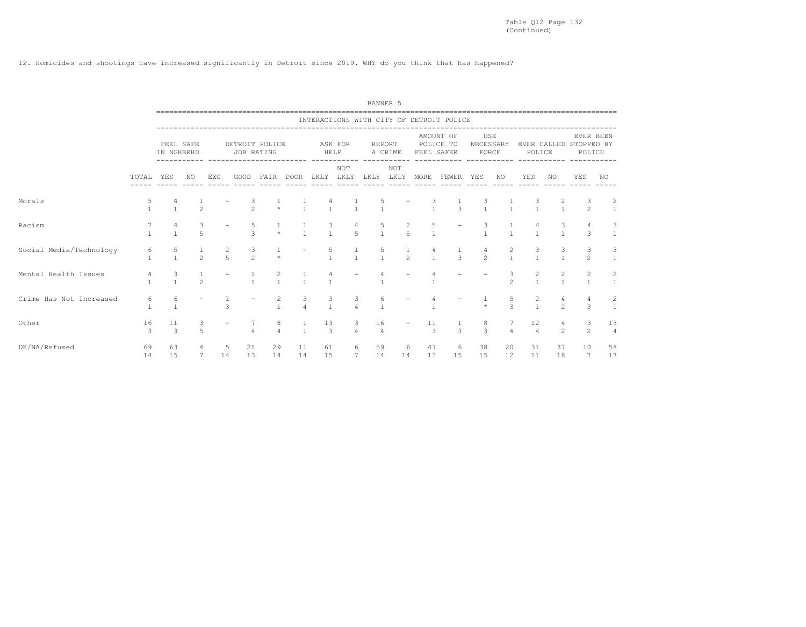12. Homicides and shootings have increased significantly in Detroit since 2019. WHY do you think that has happened?

|                         |                   |                     |                     |               |                              |                                       |                     |                               |                       | BANNER 5             |               |                    |                                          |                    |                    |                                       |                |                                  |                                |
|-------------------------|-------------------|---------------------|---------------------|---------------|------------------------------|---------------------------------------|---------------------|-------------------------------|-----------------------|----------------------|---------------|--------------------|------------------------------------------|--------------------|--------------------|---------------------------------------|----------------|----------------------------------|--------------------------------|
|                         |                   |                     |                     |               |                              |                                       |                     |                               |                       |                      |               |                    | INTERACTIONS WITH CITY OF DETROIT POLICE |                    |                    |                                       |                |                                  |                                |
|                         |                   | IN NGHBRHD          | FEEL SAFE           |               | DETROIT POLICE<br>JOB RATING |                                       |                     | ASK FOR<br>HELP               |                       | REPORT               | A CRIME       | FEEL SAFER         | AMOUNT OF<br>POLICE TO<br>------------   | USE                | NECESSARY<br>FORCE | POLICE                                |                | EVER CALLED STOPPED BY<br>POLICE | EVER BEEN                      |
|                         | TOTAL             | YES                 | NO.                 | EXC           | GOOD                         | FAIR                                  | POOR                | LKLY                          | NOT<br>LKLY LKLY LKLY |                      | NOT           | MORE               | FEWER                                    | YES                | NO.                | YES                                   | NO             | YES                              | NO.                            |
| Morals                  | 5                 |                     | $\mathfrak{D}$      |               | З<br>$\overline{2}$          | $\star$                               |                     |                               | $\mathbf{1}$          | $\mathbf{1}$         |               |                    | $\mathcal{L}$                            | З<br>$\mathbf{1}$  | $\mathbf{1}$       | $\frac{3}{1}$                         | $\frac{2}{1}$  | 3<br>$\mathfrak{D}$              | 2<br>$\mathbf{1}$              |
| Racism                  | $\mathbf{1}$      | 4<br>$\overline{1}$ | 3<br>$\overline{5}$ |               | 5<br>$\mathcal{L}$           | 1<br>$\star$                          | $\overline{1}$      | $\frac{3}{1}$                 | 4<br>$\overline{5}$   | $\frac{5}{1}$        | $\frac{2}{5}$ | 5<br>$\mathbf{1}$  | $\overline{\phantom{a}}$                 | 3<br>$\mathbf{1}$  | 1<br>$\mathbf{1}$  | 4<br>$\overline{1}$                   | 3              | 3                                | 3<br><sup>1</sup>              |
| Social Media/Technology | 6<br>$\mathbf{1}$ | $\frac{5}{1}$       | $\frac{1}{2}$       | $\frac{2}{5}$ | $\frac{3}{2}$                | $\star$                               |                     | $\frac{5}{1}$                 | $\frac{1}{1}$         | $\frac{5}{1}$        | $\frac{1}{2}$ | $\mathbf{1}$       | $\mathbf{R}$                             | 4<br>$\mathcal{P}$ | $\frac{2}{1}$      | $\frac{3}{1}$                         | $\frac{3}{1}$  | 3<br>$\mathfrak{D}$              | 3<br>$\overline{1}$            |
| Mental Health Issues    | 4<br>$\mathbf{1}$ | $\frac{3}{1}$       | $\mathfrak{D}$      |               | $\frac{1}{1}$                | $\begin{array}{c} 2 \\ 1 \end{array}$ | $\frac{1}{1}$       | 4<br>$\overline{1}$           |                       | $\mathbf{1}$         |               | $\overline{1}$     |                                          |                    | $\frac{3}{2}$      | $\begin{array}{c} 2 \\ 1 \end{array}$ | $\frac{2}{1}$  | $\overline{c}$<br>$\mathbf{1}$   | $\overline{c}$<br><sup>1</sup> |
| Crime Has Not Increased | 6<br>$\mathbf{1}$ | 6<br>$\overline{1}$ |                     | 3             |                              | 2<br>$\mathbf{1}$                     | 3<br>$\overline{a}$ | $\mathcal{S}$<br>$\mathbf{1}$ | 3<br>$\overline{4}$   | 6<br>$\mathbf{1}$    |               | $\overline{1}$     |                                          | $\star$            | 5<br>$\mathcal{L}$ | $\overline{c}$<br>$\mathbf{1}$        | $\overline{2}$ | 3                                | 2<br>$\mathbf{1}$              |
| Other                   | 16<br>3           | 11<br>$\mathcal{E}$ | 3<br>5              |               | $\overline{4}$               | 8<br>$\overline{4}$                   | 1<br>$\sim$ 1       | 13<br>$\overline{\mathbf{3}}$ | 3<br>$\overline{4}$   | 16<br>$\overline{4}$ |               | 11<br>$\mathbf{3}$ | 3                                        | 8<br>$\mathcal{E}$ | $\overline{4}$     | 12<br>$\overline{4}$                  | $\overline{2}$ | 3<br>2                           | 13<br>$\overline{4}$           |
| DK/NA/Refused           | 69<br>14          | 63<br>15            | 4<br>7              | 5<br>14       | 21<br>13                     | 29<br>14                              | 11<br>14            | 61<br>15                      | 6<br>$7^{\circ}$      | 59<br>14             | 6<br>14       | 47<br>13           | 6<br>15                                  | 38<br>15           | 20<br>12           | 31<br>11                              | 37<br>18       | 10<br>7                          | 58<br>17                       |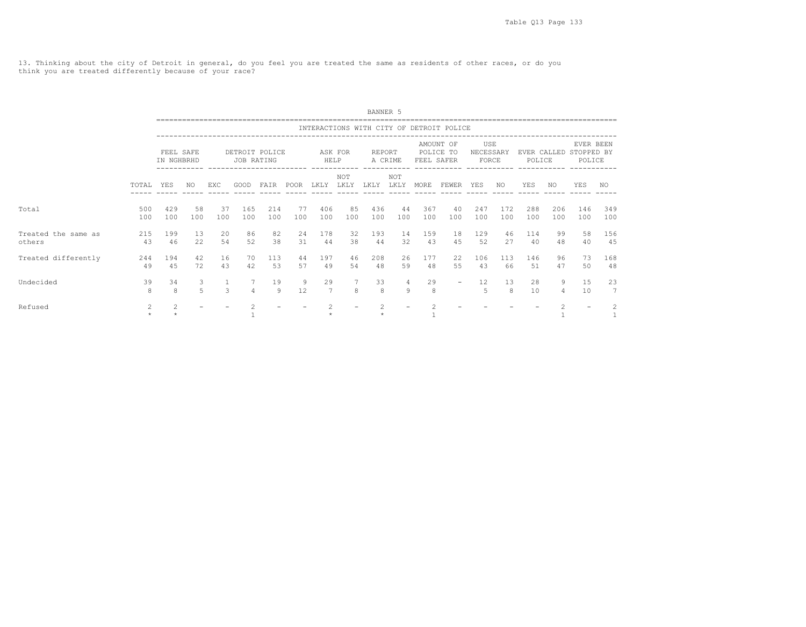13. Thinking about the city of Detroit in general, do you feel you are treated the same as residents of other races, or do you think you are treated differently because of your race?

|                               |            |                         |                     |               |               |                |           |               |               | BANNER 5      |             |            |                                          |                           |            |                       |            |                                   |                                |
|-------------------------------|------------|-------------------------|---------------------|---------------|---------------|----------------|-----------|---------------|---------------|---------------|-------------|------------|------------------------------------------|---------------------------|------------|-----------------------|------------|-----------------------------------|--------------------------------|
|                               |            |                         |                     |               |               |                |           |               |               |               |             |            | INTERACTIONS WITH CITY OF DETROIT POLICE |                           |            |                       |            |                                   |                                |
|                               |            | FEEL SAFE<br>IN NGHBRHD |                     |               | JOB RATING    | DETROIT POLICE |           | HELP          | ASK FOR       | <b>REPORT</b> | A CRIME     | FEEL SAFER | AMOUNT OF<br>POLICE TO                   | USE<br>NECESSARY<br>FORCE |            | EVER CALLED<br>POLICE |            | EVER BEEN<br>STOPPED BY<br>POLICE |                                |
|                               | TOTAL      | YES                     | NO.                 | EXC.          | GOOD          | FAIR           | POOR      | LKLY          | NOT<br>LKLY   | LKLY          | NOT<br>LKLY | MORE       | FEWER                                    | YES                       | NO.        | YES                   | NO.        | YES                               | NO.                            |
| Total                         | 500<br>100 | 429<br>100              | 58<br>100           | 37<br>100     | 165<br>100    | 214<br>100     | 77<br>100 | 406<br>100    | 85<br>100     | 436<br>100    | 44<br>100   | 367<br>100 | 40<br>100                                | 247<br>100                | 172<br>100 | 288<br>100            | 206<br>100 | 146<br>100                        | 349<br>100                     |
| Treated the same as<br>others | 215<br>43  | 199<br>46               | 13<br>22            | 20<br>54      | 86<br>52      | 82<br>38       | 24<br>31  | 178<br>44     | 32<br>38      | 193<br>44     | 14<br>32    | 159<br>43  | 18<br>45                                 | 129<br>52                 | 46<br>27   | 114<br>40             | 99<br>48   | 58<br>40                          | 156<br>45                      |
| Treated differently           | 244<br>49  | 194<br>45               | 42<br>72            | 16<br>43      | 70<br>42      | 113<br>53      | 44<br>57  | 197<br>49     | 46<br>54      | 208<br>48     | 26<br>59    | 177<br>48  | 22<br>55                                 | 106<br>43                 | 113<br>66  | 146<br>51             | 96<br>47   | 73<br>50                          | 168<br>48                      |
| Undecided                     | 39<br>8    | 34<br>$\mathsf{R}$      | 3<br>$\overline{5}$ | $\mathcal{L}$ | 7<br>$\Delta$ | 19<br>9        | 9<br>12   | 29<br>7       | $\mathcal{R}$ | 33<br>8       | 4<br>9      | 29<br>8    | $\overline{\phantom{0}}$                 | 12<br>5                   | 13<br>8    | 28<br>10              | 9<br>4     | 15<br>10                          | 23<br>7                        |
| Refused                       | 2<br>$\pm$ | 2                       |                     |               |               |                |           | $\mathcal{D}$ |               |               |             |            |                                          |                           |            |                       | 2          |                                   | $\overline{c}$<br>$\mathbf{1}$ |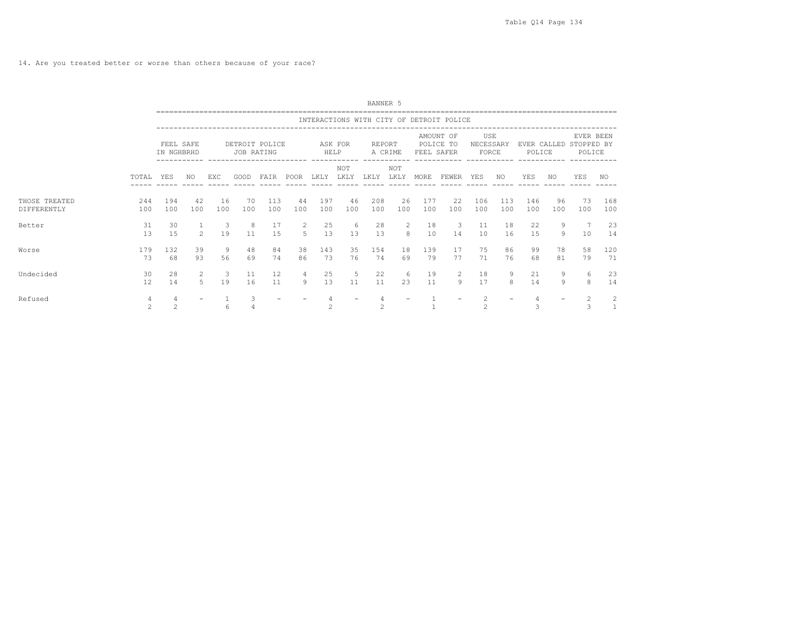14. Are you treated better or worse than others because of your race?

|                              |                                  |                         |                     |           |            |                |                  |                |             | BANNER 5                                                                                                                    |             |            |                                          |                           |            |                     |                   |                                               |                   |
|------------------------------|----------------------------------|-------------------------|---------------------|-----------|------------|----------------|------------------|----------------|-------------|-----------------------------------------------------------------------------------------------------------------------------|-------------|------------|------------------------------------------|---------------------------|------------|---------------------|-------------------|-----------------------------------------------|-------------------|
|                              |                                  |                         |                     |           |            |                |                  |                |             |                                                                                                                             |             |            | INTERACTIONS WITH CITY OF DETROIT POLICE |                           |            |                     |                   |                                               |                   |
|                              |                                  | FEEL SAFE<br>IN NGHBRHD |                     |           | JOB RATING | DETROIT POLICE | -----------      | HELP           | ASK FOR     | REPORT                                                                                                                      | A CRIME     | FEEL SAFER | AMOUNT OF<br>POLICE TO                   | USE<br>NECESSARY<br>FORCE |            | POLICE              |                   | EVER BEEN<br>EVER CALLED STOPPED BY<br>POLICE |                   |
|                              | TOTAL                            | YES                     | NO                  | EXC       | GOOD       | FAIR           | POOR LKLY        |                | NOT<br>LKLY | LKLY                                                                                                                        | NOT<br>LKLY | MORE       | FEWER YES                                |                           | NO         | YES                 | NO                | YES                                           | NO                |
| THOSE TREATED<br>DIFFERENTLY | 244<br>100                       | 194<br>100              | 42<br>100           | 16<br>100 | 70<br>100  | 113<br>100     | 44<br>100        | 197<br>100     | 46<br>100   | 208<br>100                                                                                                                  | 26<br>100   | 177<br>100 | 22<br>100                                | 106<br>100                | 113<br>100 | 146<br>100          | 96<br>100         | 73<br>100                                     | 168<br>100        |
| Better                       | 31<br>13                         | 30<br>15                | 1<br>$\overline{2}$ | -3<br>19  | -8<br>11   | 17<br>15       | 2<br>$5^{\circ}$ | 25<br>13       | -6<br>13    | 28<br>13                                                                                                                    | 2<br>8      | 18<br>10   | $\overline{\mathbf{3}}$<br>14            | 11<br>10                  | 18<br>16   | 22<br>15            | 9<br>9            | 10                                            | 23<br>14          |
| Worse                        | 179<br>73                        | 132<br>68               | 39<br>93            | 9<br>56   | 48<br>69   | 84<br>74       | 38<br>86         | 143<br>73      | 35<br>76    | 154<br>74                                                                                                                   | 18<br>69    | 139<br>79  | 17<br>77                                 | 75<br>71                  | 86<br>76   | 99<br>68            | 78<br>81          | 58<br>79                                      | 120<br>71         |
| Undecided                    | 30<br>12                         | 28<br>14                | 2<br>5              | -3<br>19  | 11<br>16   | 12<br>11       | 4<br>Q           | 25<br>13       | 5<br>11     | 22<br>11                                                                                                                    | 6<br>2.3    | 19<br>11   | 2<br>9                                   | 18<br>17                  | 9<br>8     | 21<br>14            | 9<br>$\mathsf{Q}$ | 6<br>8                                        | 23<br>14          |
| Refused                      | $\overline{4}$<br>$\overline{2}$ | 4<br>$\overline{c}$     |                     | 6         | 3          |                |                  | $\mathfrak{D}$ |             | 4<br>$\mathfrak{D}_{1}^{2}(\mathfrak{D}_{1})=\mathfrak{D}_{2}^{2}(\mathfrak{D}_{2})=\mathfrak{D}_{2}^{2}(\mathfrak{D}_{1})$ |             |            |                                          | 2<br>$\mathfrak{D}$       |            | $\overline{4}$<br>3 |                   | $\mathcal{L}$                                 | 2<br><sup>1</sup> |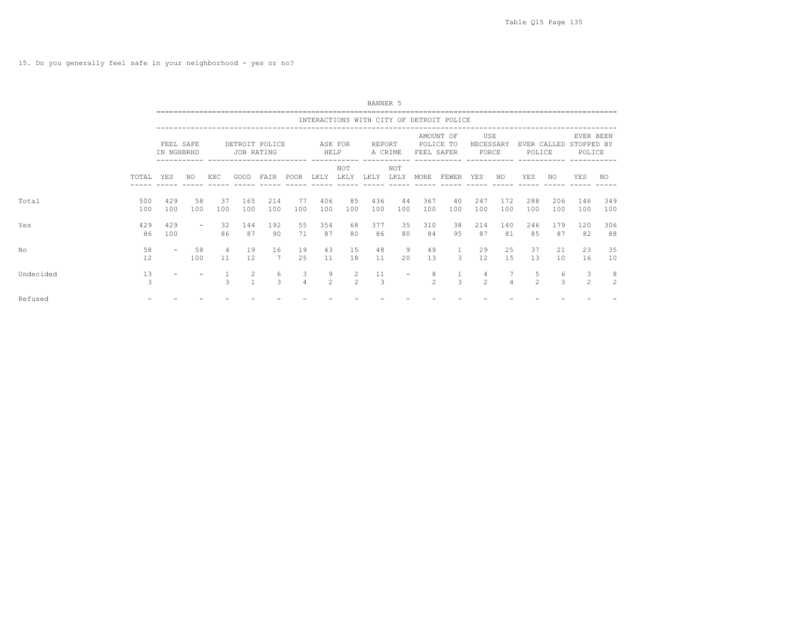15. Do you generally feel safe in your neighborhood - yes or no?

|           |            |                         |                          |               |                              |                       |                     |                     |                    | BANNER 5            |             |                     |                                          |                     |            |                     |            |                                               |                     |  |
|-----------|------------|-------------------------|--------------------------|---------------|------------------------------|-----------------------|---------------------|---------------------|--------------------|---------------------|-------------|---------------------|------------------------------------------|---------------------|------------|---------------------|------------|-----------------------------------------------|---------------------|--|
|           |            |                         |                          |               |                              |                       |                     |                     |                    |                     |             |                     | INTERACTIONS WITH CITY OF DETROIT POLICE |                     |            |                     |            |                                               |                     |  |
|           |            | FEEL SAFE<br>IN NGHBRHD |                          |               | DETROIT POLICE<br>JOB RATING |                       |                     | HELP                | ASK FOR            | REPORT              | A CRIME     | FEEL SAFER          | AMOUNT OF<br>POLICE TO                   | USE<br>NECESSARY    | FORCE      | POLICE              |            | EVER BEEN<br>EVER CALLED STOPPED BY<br>POLICE |                     |  |
|           | TOTAL YES  |                         | NO                       | EXC           | GOOD                         | FAIR POOR LKLY LKLY   |                     |                     | NOT                | LKLY                | NOT<br>LKLY | MORE                | FEWER YES                                |                     | NO.        | YES                 | NO         | YES                                           | NO                  |  |
| Total     | 500<br>100 | 429<br>100              | 58<br>100                | 37<br>100     | 165<br>100                   | 214<br>100            | 77<br>100           | 406<br>100          | 85<br>100          | 436<br>100          | 44<br>100   | 367<br>100          | 40<br>100                                | 247<br>100          | 172<br>100 | 288<br>100          | 206<br>100 | 146<br>100                                    | 349<br>100          |  |
| Yes       | 429<br>86  | 429<br>100              | $\overline{\phantom{m}}$ | 32<br>86      | 144<br>87                    | 192<br>90             | 55<br>71            | 354<br>87           | 68<br>80           | 377<br>86           | 35<br>80    | 310<br>84           | 38<br>95                                 | 214<br>87           | 140<br>81  | 246<br>85           | 179<br>87  | 120<br>82                                     | 306<br>88           |  |
| Nο        | 58<br>12   |                         | 58<br>100                | 4<br>11       | 19<br>12                     | 16<br>$7\phantom{.0}$ | 19<br>25            | 43<br>11            | 15<br>18           | 48<br>11            | 9<br>20     | 49<br>13            | $\mathbf{1}$<br>$\mathbf{3}$             | 29<br>12            | 25<br>15   | 37<br>13            | 21<br>10   | 23<br>16                                      | 35<br>10            |  |
| Undecided | 13<br>3    |                         |                          | $\mathcal{L}$ | 2<br>$\mathbf{1}$            | 6<br>3                | 3<br>$\overline{4}$ | 9<br>$\overline{2}$ | 2<br>$\mathcal{P}$ | 11<br>$\mathcal{A}$ |             | 8<br>$\mathfrak{D}$ | $\frac{1}{3}$                            | 4<br>$\overline{2}$ |            | 5<br>$\mathfrak{D}$ | 6<br>3     | 3<br>$\mathfrak{D}$                           | 8<br>$\overline{2}$ |  |
| Refused   |            |                         |                          |               |                              |                       |                     |                     |                    |                     |             |                     |                                          |                     |            |                     |            |                                               |                     |  |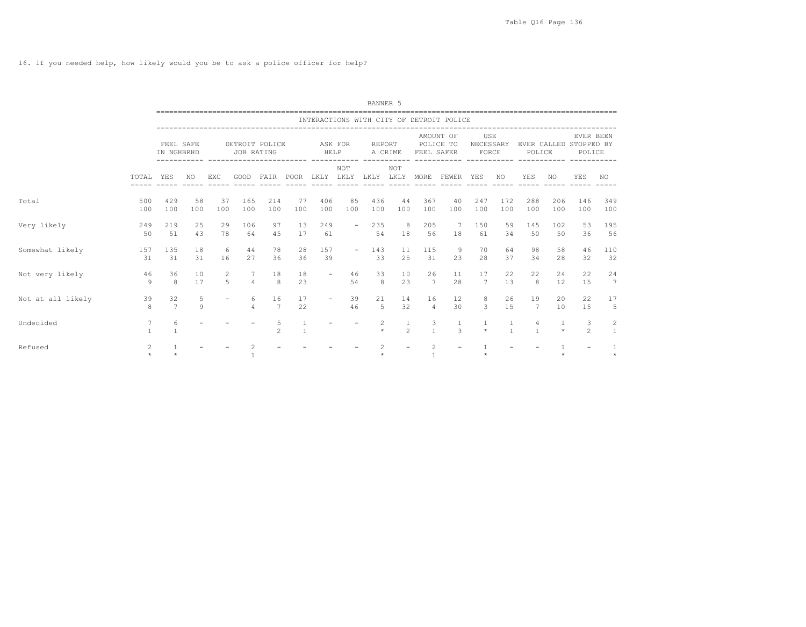16. If you needed help, how likely would you be to ask a police officer for help?

|                   |                                 |                         |                   |                                         |               |                                                     |           |                          |                             | BANNER 5     |                     |                                  |                                          |                           |                              |                     |            |                                               |                                |
|-------------------|---------------------------------|-------------------------|-------------------|-----------------------------------------|---------------|-----------------------------------------------------|-----------|--------------------------|-----------------------------|--------------|---------------------|----------------------------------|------------------------------------------|---------------------------|------------------------------|---------------------|------------|-----------------------------------------------|--------------------------------|
|                   |                                 |                         |                   |                                         |               |                                                     |           |                          |                             |              |                     |                                  | INTERACTIONS WITH CITY OF DETROIT POLICE |                           |                              |                     |            |                                               |                                |
|                   |                                 | FEEL SAFE<br>IN NGHBRHD |                   |                                         | JOB RATING    | DETROIT POLICE                                      |           | HELP                     | ASK FOR                     | REPORT       | A CRIME             | FEEL SAFER                       | AMOUNT OF<br>POLICE TO                   | USE<br>NECESSARY<br>FORCE |                              | POLICE              |            | EVER BEEN<br>EVER CALLED STOPPED BY<br>POLICE |                                |
|                   | TOTAL                           | YES                     | NO.               | EXC                                     | GOOD          | ------------ -------------------------<br>FAIR POOR |           | LKLY                     | ------------<br>NOT<br>LKLY | LKLY LKLY    | ------------<br>NOT | MORE                             | ____________________________<br>FEWER    | YES                       | NO                           | ------------<br>YES | NO.        | YES                                           | NO.                            |
| Total             | 500<br>100                      | 429<br>100              | 58<br>100         | 37<br>100                               | 165<br>100    | 214<br>100                                          | 77<br>100 | 406<br>100               | 85<br>100                   | 436<br>100   | 44<br>100           | 367<br>100                       | 40<br>100                                | 247<br>100                | 172<br>100                   | 288<br>100          | 206<br>100 | 146<br>100                                    | 349<br>100                     |
| Very likely       | 249<br>50                       | 219<br>.51              | 25<br>43          | 29<br>78                                | 106<br>64     | 97<br>45                                            | 13<br>17  | 249<br>61                | $\overline{\phantom{0}}$    | 235<br>54    | 8<br>18             | 205<br>56                        | 7<br>18                                  | 150<br>61                 | 59<br>34                     | 145<br>50           | 102<br>50  | 53<br>36                                      | 195<br>56                      |
| Somewhat likely   | 157<br>31                       | 135<br>31               | 18<br>31          | 6<br>16                                 | 44<br>27      | 78<br>36                                            | 28<br>36  | 157<br>39                |                             | 143<br>33    | 11<br>25            | 115<br>31                        | 9<br>23                                  | 70<br>28                  | 64<br>37                     | 98<br>34            | 58<br>28   | 46<br>32                                      | 110<br>32                      |
| Not very likely   | 46<br>$\circ$                   | 36<br>8                 | 10<br>17          | $\mathbf{2}^{\prime}$<br>$\overline{5}$ | 7<br>$\Delta$ | 18<br>8                                             | 18<br>23  |                          | 46<br>54                    | 33<br>8      | 10<br>23            | 26<br>$7\phantom{.0}$            | 11<br>2.8                                | 17<br>$7\phantom{.0}$     | 22<br>13                     | 22<br>8             | 24<br>12   | 22<br>15                                      | 24<br>7                        |
| Not at all likely | 39<br>8                         | 32<br>7                 | 5<br>$\mathsf{Q}$ | $\overline{\phantom{0}}$                | 6<br>$\Delta$ | 16<br>$\overline{7}$                                | 17<br>22  | $\overline{\phantom{a}}$ | 39<br>46                    | 21<br>$-5$   | 14<br>32            | 16<br>$\overline{4}$             | 12 <sup>°</sup><br>30                    | 8<br>3                    | 26<br>15                     | 19<br>7             | 20<br>10   | 22<br>15                                      | 17<br>5                        |
| Undecided         | $7\phantom{.0}$<br>$\mathbf{1}$ | 6                       |                   |                                         |               | 5<br>2                                              |           |                          |                             | 2<br>$\star$ | 1<br>$\overline{c}$ | 3<br>$\overline{1}$              | $\mathcal{L}$                            | 1<br>$\star$              | $\mathbf{1}$<br>$\mathbf{1}$ | 4<br>$\mathbf{1}$   | $\star$    | 3<br>$\mathcal{P}$                            | $\mathbf{2}$<br>$\overline{1}$ |
| Refused           | $\overline{c}$                  |                         |                   |                                         |               |                                                     |           |                          |                             |              |                     | $\overline{2}$<br>$\overline{1}$ |                                          |                           |                              |                     |            |                                               |                                |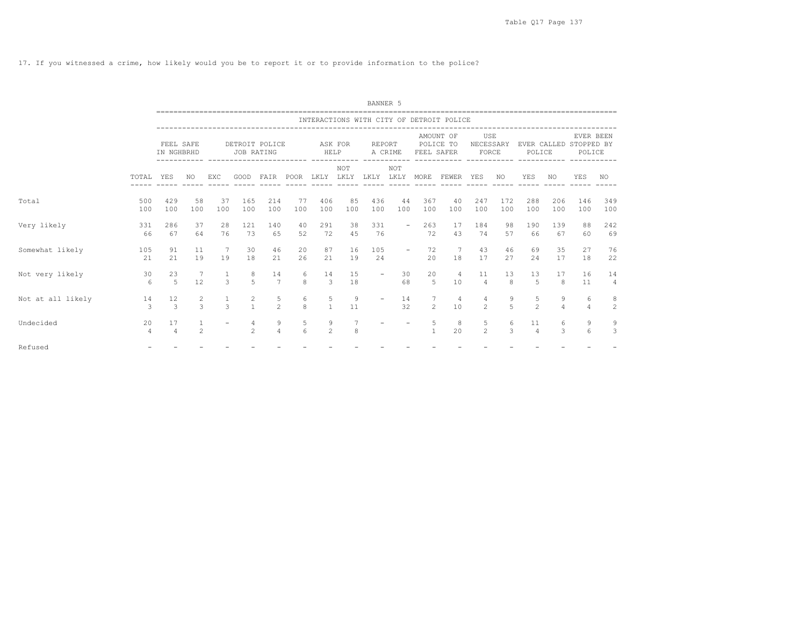17. If you witnessed a crime, how likely would you be to report it or to provide information to the police?

|                   |                      |                         |                |               |                                  |                     |                                      |                     |                    | BANNER 5                           |                     |                               |                                          |                                  |                     |                      |                                  |                     |                     |  |
|-------------------|----------------------|-------------------------|----------------|---------------|----------------------------------|---------------------|--------------------------------------|---------------------|--------------------|------------------------------------|---------------------|-------------------------------|------------------------------------------|----------------------------------|---------------------|----------------------|----------------------------------|---------------------|---------------------|--|
|                   |                      |                         |                |               |                                  |                     |                                      |                     |                    |                                    |                     |                               | INTERACTIONS WITH CITY OF DETROIT POLICE |                                  |                     |                      |                                  |                     |                     |  |
|                   |                      | FEEL SAFE<br>IN NGHBRHD |                |               | DETROIT POLICE<br>JOB RATING     |                     | ----------                           | HELP                | ASK FOR            | REPORT<br>------------ ----------- | A CRIME             | FEEL SAFER                    | AMOUNT OF<br>POLICE TO                   | USE<br>NECESSARY<br>FORCE        |                     |                      | EVER CALLED STOPPED BY<br>POLICE | POLICE              | EVER BEEN           |  |
|                   | TOTAL                | YES                     | NO.            | EXC           | GOOD                             | $- - - - - -$       | FAIR POOR LKLY LKLY<br>$- - - - - -$ |                     | NOT<br>----- ----- | LKLY                               | NOT<br>------ ----- | LKLY MORE<br>$- - - - - -$    | FEWER YES<br>$- - - - - -$               | -----                            | NO                  | <b>YES</b>           | NO.                              | <b>YES</b>          | NO.                 |  |
| Total             | 500<br>100           | 429<br>100              | 58<br>100      | 37<br>100     | 165<br>100                       | 214<br>100          | 77<br>100                            | 406<br>100          | 85<br>100          | 436<br>100                         | 44<br>100           | 367<br>100                    | 40<br>100                                | 247<br>100                       | 172<br>100          | 288<br>100           | 206<br>100                       | 146<br>100          | 349<br>100          |  |
| Very likely       | 331<br>66            | 286<br>67               | 37<br>64       | 28<br>76      | 121<br>73                        | 140<br>65           | 40<br>52                             | 291<br>72           | 38<br>45           | 331<br>76                          |                     | 263<br>$\sim$ 100 $\mu$<br>72 | 17<br>43                                 | 184<br>74                        | 98<br>57            | 190<br>66            | 139<br>67                        | 88<br>60            | 242<br>69           |  |
| Somewhat likely   | 105<br>21            | 91<br>21                | 11<br>19       | 7<br>19       | 30<br>18                         | 46<br>21            | 20<br>26                             | 87<br>21            | 16<br>19           | 105<br>24                          | $\sim$              | 72<br>20                      | $\overline{7}$<br>18                     | 43<br>17                         | 46<br>27            | 69<br>24             | 35<br>17                         | 27<br>18            | 76<br>22            |  |
| Not very likely   | 30<br>$6^{6}$        | 23<br>$5^{\circ}$       | - 7<br>12      | $\mathcal{L}$ | 8<br>$\overline{5}$              | 14<br>7             | 6<br>8                               | 14<br>$\mathcal{B}$ | 15<br>18           |                                    | 30<br>68            | 20<br>$5^{\circ}$             | $\overline{4}$<br>10                     | 11<br>$\overline{4}$             | 13<br>8             | 13<br>5              | 17<br>8                          | 16<br>11            | 14<br>4             |  |
| Not at all likely | 14<br>3              | 12<br>$\mathcal{L}$     | $\frac{2}{3}$  | $\mathcal{R}$ | $\overline{c}$<br>$\mathbf{1}$   | 5<br>$\mathfrak{D}$ | 6<br>$\mathsf{R}$                    | 5<br>$\overline{1}$ | 9<br>11            |                                    | 14<br>32            | 7<br>$\mathcal{L}$            | $\overline{4}$<br>10                     | $\overline{4}$<br>$\mathfrak{D}$ | 9<br>$\overline{5}$ | 5<br>$\overline{2}$  | 9<br>$\overline{4}$              | 6<br>$\overline{4}$ | 8<br>$\overline{c}$ |  |
| Undecided         | 20<br>$\overline{4}$ | 17<br>$\overline{4}$    | $\mathfrak{D}$ |               | $\overline{4}$<br>$\mathfrak{D}$ | 9<br>$\overline{4}$ | 5<br>6                               | 9<br>$\mathfrak{D}$ | 8                  |                                    |                     | 5<br>$\mathbf{1}$             | 8<br>20                                  | 5<br>$2^{\circ}$                 | 6<br>3              | 11<br>$\overline{4}$ | 6<br>3                           | 9<br>6              | 9<br>3              |  |
| Refused           |                      |                         |                |               |                                  |                     |                                      |                     |                    |                                    |                     |                               |                                          |                                  |                     |                      |                                  |                     |                     |  |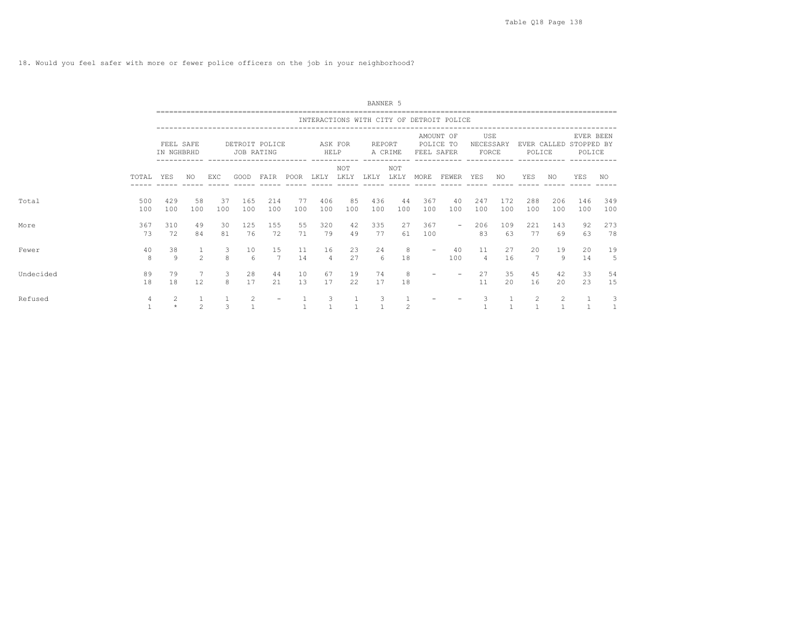18. Would you feel safer with more or fewer police officers on the job in your neighborhood?

|           |                   |                         |                                |               |                              |                          |             |                      |            | BANNER 5   |                    |                          |                                          |                           |                    |                       |            |                                               |                   |
|-----------|-------------------|-------------------------|--------------------------------|---------------|------------------------------|--------------------------|-------------|----------------------|------------|------------|--------------------|--------------------------|------------------------------------------|---------------------------|--------------------|-----------------------|------------|-----------------------------------------------|-------------------|
|           |                   |                         |                                |               |                              |                          |             |                      |            |            |                    |                          | INTERACTIONS WITH CITY OF DETROIT POLICE |                           |                    |                       |            |                                               |                   |
|           |                   | FEEL SAFE<br>IN NGHBRHD |                                |               | DETROIT POLICE<br>JOB RATING |                          |             | HELP                 | ASK FOR    | REPORT     | A CRIME            | FEEL SAFER               | AMOUNT OF<br>POLICE TO                   | USE<br>NECESSARY<br>FORCE |                    | POLICE                |            | EVER BEEN<br>EVER CALLED STOPPED BY<br>POLICE |                   |
|           | TOTAL             | YES                     | NO                             | EXC           | GOOD                         | FAIR                     | POOR        | LKLY LKLY            | <b>NOT</b> | LKLY       | <b>NOT</b><br>LKLY | MORE                     | FEWER                                    | YES                       | NO.                | YES                   | NO         | YES                                           | NO                |
| Total     | 500<br>100        | 429<br>100              | 58<br>100                      | 37<br>100     | 165<br>100                   | 214<br>100               | - 77<br>100 | 406<br>100           | 85<br>100  | 436<br>100 | 44<br>100          | 367<br>100               | 40<br>100                                | 247<br>100                | 172<br>100         | 288<br>100            | 206<br>100 | 146<br>100                                    | 349<br>100        |
| More      | 367<br>73         | 310<br>72               | 49<br>84                       | 30<br>81      | 125<br>76                    | 155<br>72                | 55<br>71    | 320<br>79            | 42<br>49   | 335<br>77  | 27<br>61           | 367<br>100               | $\sim$                                   | 206<br>83                 | 109<br>63          | 221<br>77             | 143<br>69  | 92<br>63                                      | 273<br>78         |
| Fewer     | 40<br>8           | 38<br>9                 | $\mathbf{1}$<br>$\mathfrak{D}$ | 3<br>8        | 10<br>6                      | 15<br>7                  | 11<br>14    | 16<br>$\overline{4}$ | 23<br>27   | 24<br>6    | 8<br>18            | $\overline{\phantom{a}}$ | 40<br>100                                | 11<br>$\overline{4}$      | 27<br>16           | 20<br>$7\phantom{.0}$ | 19<br>9    | 20<br>14                                      | 19<br>5           |
| Undecided | 89<br>18          | 79<br>18                | 7<br>12.                       | 3<br>8        | 28<br>17                     | 44<br>21                 | 10<br>1.3   | 67<br>17             | 19<br>22   | 74<br>17   | 8<br>18            | $\overline{\phantom{a}}$ |                                          | 27<br>11                  | 35<br>$20^{\circ}$ | 45<br>16              | 42<br>20   | 33<br>23                                      | 54<br>15          |
| Refused   | 4<br>$\mathbf{1}$ | 2<br>$\star$            | $\mathbf{1}$<br>$\mathfrak{D}$ | $\mathcal{L}$ | 2                            | $\overline{\phantom{0}}$ |             | 3                    |            | 3          | $\mathfrak{D}$     |                          |                                          | 3                         |                    | 2<br>$\mathbf{1}$     | 2          |                                               | 3<br>$\mathbf{1}$ |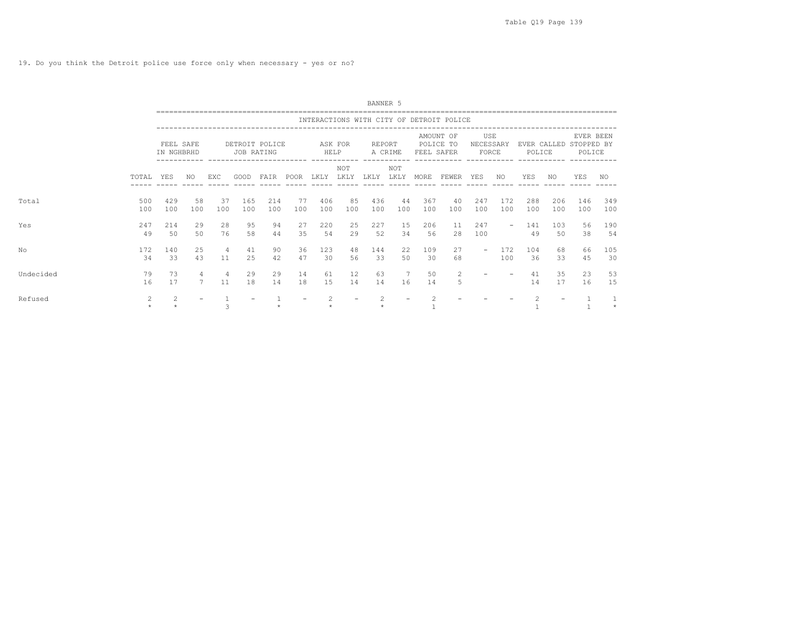19. Do you think the Detroit police use force only when necessary - yes or no?

|           |            |                         |           |           |            |                |           |            |             | BANNER 5   |             |            |                                          |                           |                          |                       |            |                                   |            |
|-----------|------------|-------------------------|-----------|-----------|------------|----------------|-----------|------------|-------------|------------|-------------|------------|------------------------------------------|---------------------------|--------------------------|-----------------------|------------|-----------------------------------|------------|
|           |            |                         |           |           |            |                |           |            |             |            |             |            | INTERACTIONS WITH CITY OF DETROIT POLICE |                           |                          |                       |            |                                   |            |
|           |            | FEEL SAFE<br>IN NGHBRHD |           |           | JOB RATING | DETROIT POLICE |           | HELP       | ASK FOR     | REPORT     | A CRIME     | FEEL SAFER | AMOUNT OF<br>POLICE TO                   | USE<br>NECESSARY<br>FORCE |                          | EVER CALLED<br>POLICE |            | EVER BEEN<br>STOPPED BY<br>POLICE |            |
|           | TOTAL      | YES                     | NO.       | EXC       | GOOD       | FAIR           | POOR      | LKLY       | NOT<br>LKLY | LKLY       | NOT<br>LKLY | MORE       | FEWER                                    | YES                       | NO.                      | YES                   | NO         | <b>YES</b>                        | NO.        |
| Total     | 500<br>100 | 429<br>100              | 58<br>100 | 37<br>100 | 165<br>100 | 214<br>100     | 77<br>100 | 406<br>100 | 85<br>100   | 436<br>100 | 44<br>100   | 367<br>100 | 40<br>100                                | 247<br>100                | 172<br>100               | 288<br>100            | 206<br>100 | 146<br>100                        | 349<br>100 |
| Yes       | 247<br>49  | 214<br>50               | 29<br>50  | 28<br>76  | 95<br>58   | 94<br>44       | 27<br>35  | 220<br>54  | 25<br>29    | 227<br>52  | 15<br>34    | 206<br>56  | 11<br>28                                 | 247<br>100                | $\overline{\phantom{0}}$ | 141<br>49             | 103<br>50  | 56<br>38                          | 190<br>54  |
| No        | 172<br>34  | 140<br>33               | 25<br>43  | 4<br>11   | 41<br>25   | 90<br>42       | 36<br>47  | 123<br>30  | 48<br>56    | 144<br>33  | 22<br>50    | 109<br>30  | 27<br>68                                 |                           | 172<br>100               | 104<br>36             | 68<br>33   | 66<br>45                          | 105<br>30  |
| Undecided | 79<br>16   | 73<br>17                | 4         | 4<br>11   | 29<br>18   | 29<br>14       | 14<br>18  | 61<br>1.5  | 12<br>14    | 63<br>14   | 7<br>16     | 50<br>14   | 2<br>5                                   |                           |                          | 41<br>14              | 35<br>17   | 23<br>16                          | 53<br>15   |
| Refused   | 2          | 2                       |           | 3         |            |                |           |            |             |            |             |            |                                          |                           |                          |                       |            |                                   | $\star$    |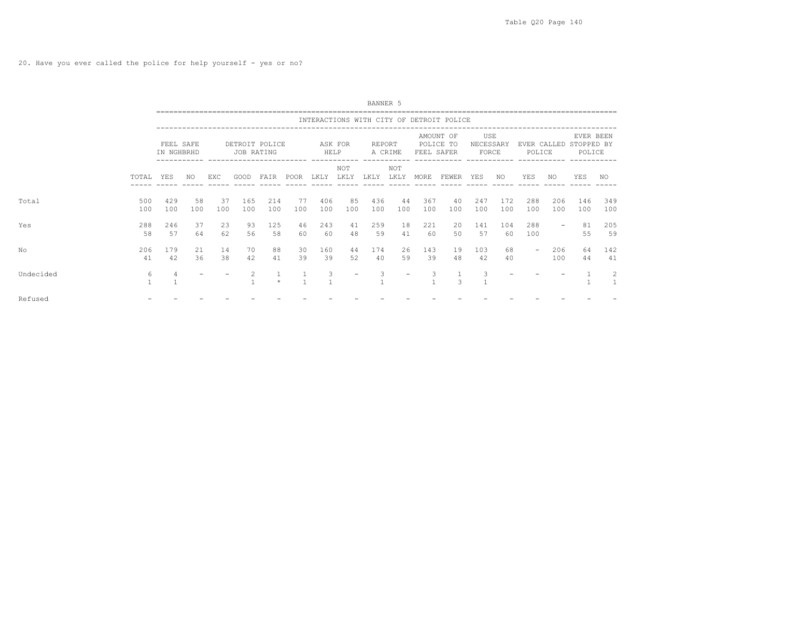20. Have you ever called the police for help yourself - yes or no?

|           |                   |                         |           |           |            |                |           |            |                    | BANNER 5   |                         |            |                                          |                           |            |                       |            |                                   |            |
|-----------|-------------------|-------------------------|-----------|-----------|------------|----------------|-----------|------------|--------------------|------------|-------------------------|------------|------------------------------------------|---------------------------|------------|-----------------------|------------|-----------------------------------|------------|
|           |                   |                         |           |           |            |                |           |            |                    |            |                         |            | INTERACTIONS WITH CITY OF DETROIT POLICE |                           |            |                       |            |                                   |            |
|           |                   | FEEL SAFE<br>IN NGHBRHD |           |           | JOB RATING | DETROIT POLICE |           | HELP       | ASK FOR<br>------- | REPORT     | A CRIME<br>------------ | FEEL SAFER | AMOUNT OF<br>POLICE TO                   | USE<br>NECESSARY<br>FORCE |            | EVER CALLED<br>POLICE |            | EVER BEEN<br>STOPPED BY<br>POLICE |            |
|           | TOTAL             | YES                     | NO.       | EXC       | GOOD       | FAIR           | POOR LKLY |            | NOT<br>LKLY        | LKLY       | <b>NOT</b><br>LKLY      | MORE       | FEWER YES                                |                           | NO.        | YES                   | NO.        | YES                               | NO         |
| Total     | 500<br>100        | 429<br>100              | 58<br>100 | 37<br>100 | 165<br>100 | 214<br>100     | 77<br>100 | 406<br>100 | 85<br>100          | 436<br>100 | 44<br>100               | 367<br>100 | 40<br>100                                | 247<br>100                | 172<br>100 | 288<br>100            | 206<br>100 | 146<br>100                        | 349<br>100 |
| Yes       | 288<br>58         | 246<br>57               | 37<br>64  | 23<br>62  | 93<br>56   | 125<br>58      | 46<br>60  | 243<br>60  | 41<br>48           | 259<br>59  | 18<br>41                | 221<br>60  | 20<br>50                                 | 141<br>57                 | 104<br>60  | 288<br>100            |            | 81<br>55                          | 205<br>59  |
| No        | 206<br>41         | 179<br>42               | 21<br>36  | 14<br>38  | 70<br>42   | 88<br>41       | 30<br>39  | 160<br>39  | 44<br>52           | 174<br>40  | 26<br>59                | 143<br>39  | 19<br>48                                 | 103<br>42                 | 68<br>40   | $\sim$                | 206<br>100 | 64<br>44                          | 142<br>41  |
| Undecided | 6<br>$\mathbf{1}$ |                         |           |           |            | $\star$        |           | 3          |                    | 3          |                         |            | 3                                        |                           |            |                       |            |                                   | 2          |
| Refused   |                   |                         |           |           |            |                |           |            |                    |            |                         |            |                                          |                           |            |                       |            |                                   |            |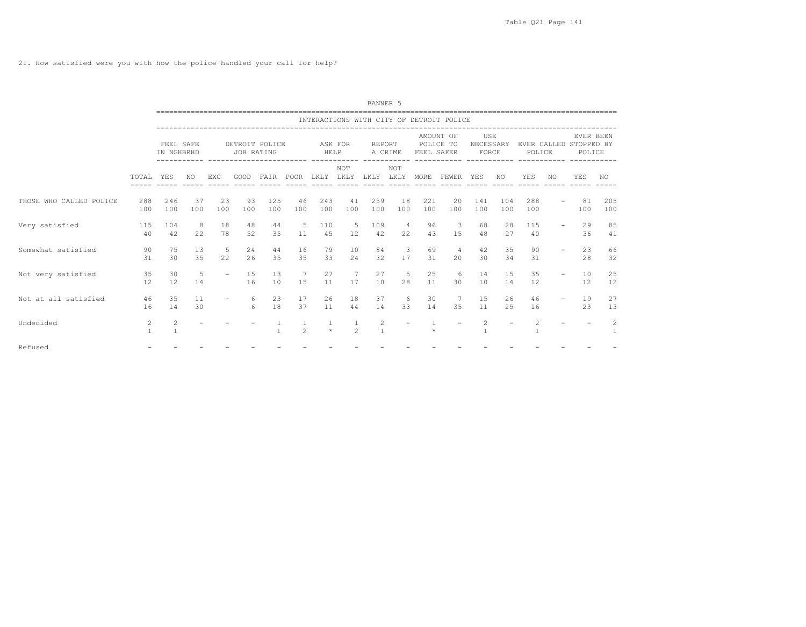21. How satisfied were you with how the police handled your call for help?

|                         |                   |                         |                  |           |            |                |                      |                 |                                | BANNER 5          |                                         |            |                                          |                           |                          |            |     |                                               |                   |
|-------------------------|-------------------|-------------------------|------------------|-----------|------------|----------------|----------------------|-----------------|--------------------------------|-------------------|-----------------------------------------|------------|------------------------------------------|---------------------------|--------------------------|------------|-----|-----------------------------------------------|-------------------|
|                         |                   |                         |                  |           |            |                |                      |                 |                                |                   |                                         |            | INTERACTIONS WITH CITY OF DETROIT POLICE |                           |                          |            |     |                                               |                   |
|                         |                   | FEEL SAFE<br>IN NGHBRHD |                  |           | JOB RATING | DETROIT POLICE |                      | ASK FOR<br>HELP |                                | REPORT            | A CRIME<br>____________________________ | FEEL SAFER | AMOUNT OF<br>POLICE TO<br>-----------    | USE<br>NECESSARY<br>FORCE |                          | POLICE     |     | EVER BEEN<br>EVER CALLED STOPPED BY<br>POLICE |                   |
|                         | TOTAL             | <b>YES</b>              | NO.              | EXC       | GOOD       | FAIR           | POOR                 | LKLY            | NOT<br>LKLY                    | LKLY LKLY         | NOT                                     | MORE       | FEWER                                    | YES                       | NO.                      | YES        | NO. | YES                                           | NO.               |
| THOSE WHO CALLED POLICE | 288<br>100        | 246<br>100              | 37<br>100        | 23<br>100 | 93<br>100  | 125<br>100     | 46<br>100            | 243<br>100      | 41<br>100                      | 259<br>100        | 18<br>100                               | 221<br>100 | 20<br>100                                | 141<br>100                | 104<br>100               | 288<br>100 |     | 81<br>100                                     | 205<br>100        |
| Very satisfied          | 115<br>40         | 104<br>42               | $_{\rm 8}$<br>22 | 18<br>78  | 48<br>52   | 44<br>35       | - 5<br>11            | 110<br>45       | -5<br>12                       | 109<br>42         | $\overline{4}$<br>22                    | 96<br>43   | $\overline{\phantom{a}}$<br>1.5          | 68<br>48                  | 28<br>27                 | 115<br>40  |     | 29<br>36                                      | 85<br>41          |
| Somewhat satisfied      | 90<br>31          | 75<br>30                | 13<br>35         | -5<br>22  | 24<br>26   | 44<br>35       | 16<br>35             | 79<br>33        | 10<br>24                       | 84<br>32          | $\mathbf{3}$<br>17                      | 69<br>31   | $\overline{4}$<br>20                     | 42<br>30                  | 35<br>34                 | 90<br>31   |     | 23<br>28                                      | 66<br>32          |
| Not very satisfied      | 35<br>12          | 30<br>12                | 5<br>14          | $\sim$    | 15<br>16   | 13<br>10       | $\overline{7}$<br>15 | 27<br>11        | 7<br>17                        | 27<br>10          | $-5$<br>28                              | 25<br>11   | -6<br>30                                 | 14<br>10                  | 1.5<br>14                | 35<br>12   |     | 10<br>12                                      | 25<br>12          |
| Not at all satisfied    | 46<br>16          | 35<br>14                | 11<br>30         |           | 6<br>6     | 23<br>18       | 17<br>37             | 26<br>11        | 18<br>44                       | 37<br>14          | 6<br>33                                 | 30<br>14   | $7\overline{ }$<br>35                    | 15<br>11                  | 26<br>2.5                | 46<br>16   |     | 19<br>23                                      | 27<br>13          |
| Undecided               | 2<br>$\mathbf{1}$ | 2<br>$\mathbf{1}$       |                  |           |            | $\mathbf{1}$   | $\mathfrak{D}$       | $\star$         | $\mathbf{1}$<br>$\overline{2}$ | 2<br>$\mathbf{1}$ | $\overline{\phantom{a}}$                |            |                                          | 2                         | $\overline{\phantom{a}}$ |            |     |                                               | 2<br><sup>1</sup> |
| Refused                 |                   |                         |                  |           |            |                |                      |                 |                                |                   |                                         |            |                                          |                           |                          |            |     |                                               |                   |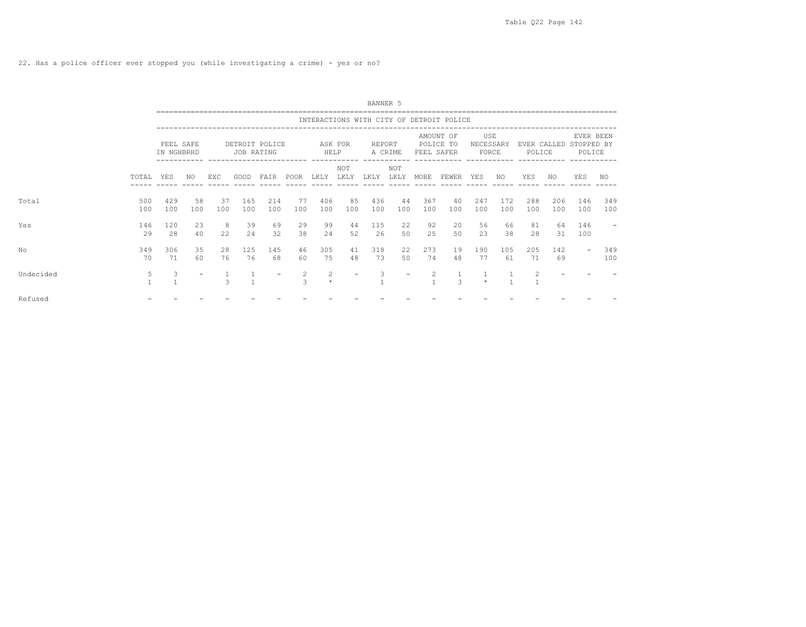|           |            |                         |           |               |                                                                      |            |                    |                           |             | BANNER 5   |             |            |                                          |                           |            |            |            |                                               |            |
|-----------|------------|-------------------------|-----------|---------------|----------------------------------------------------------------------|------------|--------------------|---------------------------|-------------|------------|-------------|------------|------------------------------------------|---------------------------|------------|------------|------------|-----------------------------------------------|------------|
|           |            |                         |           |               |                                                                      |            |                    |                           |             |            |             |            | INTERACTIONS WITH CITY OF DETROIT POLICE |                           |            |            |            |                                               |            |
|           |            | FEEL SAFE<br>IN NGHBRHD |           |               | DETROIT POLICE<br>JOB RATING<br>----------- ------------------------ |            |                    | HELP                      | ASK FOR     | REPORT     | A CRIME     | FEEL SAFER | AMOUNT OF<br>POLICE TO                   | USE<br>NECESSARY<br>FORCE |            | POLICE     |            | EVER BEEN<br>EVER CALLED STOPPED BY<br>POLICE |            |
|           | TOTAL      | YES                     | NO        | EXC           | GOOD                                                                 | FAIR       | POOR               | LKLY                      | NOT<br>LKLY | LKLY       | NOT<br>LKLY | MORE       | FEWER YES                                |                           | NO.        | YES        | NO         | <b>YES</b>                                    | NO         |
| Total     | 500<br>100 | 429<br>100              | 58<br>100 | 37<br>100     | 165<br>100                                                           | 214<br>100 | 77<br>100          | 406<br>100                | 85<br>100   | 436<br>100 | 44<br>100   | 367<br>100 | 40<br>100                                | 247<br>100                | 172<br>100 | 288<br>100 | 206<br>100 | 146<br>100                                    | 349<br>100 |
| Yes       | 146<br>29  | 120<br>28               | 23<br>40  | -8<br>22      | 39<br>24                                                             | 69<br>32   | 29<br>38           | 99<br>24                  | 44<br>52    | 115<br>26  | 22<br>50    | 92<br>25   | 20<br>50                                 | 56<br>23                  | 66<br>38   | 81<br>28   | 64<br>31   | 146<br>100                                    |            |
| No        | 349<br>70  | 306<br>71               | 35<br>60  | 28<br>76      | 125<br>76                                                            | 145<br>68  | 46<br>60           | 305<br>75                 | 41<br>48    | 318<br>73  | 22<br>50    | 273<br>74  | 19<br>48                                 | 190<br>77                 | 105<br>61  | 205<br>71  | 142<br>69  | $\overline{\phantom{a}}$                      | 349<br>100 |
| Undecided | 5          | 3                       |           | $\mathcal{L}$ |                                                                      |            | 2<br>$\mathcal{L}$ | $\overline{c}$<br>$\star$ |             |            |             |            | $\frac{1}{3}$                            |                           |            | 2          |            |                                               |            |
| Refused   |            |                         |           |               |                                                                      |            |                    |                           |             |            |             |            |                                          |                           |            |            |            |                                               |            |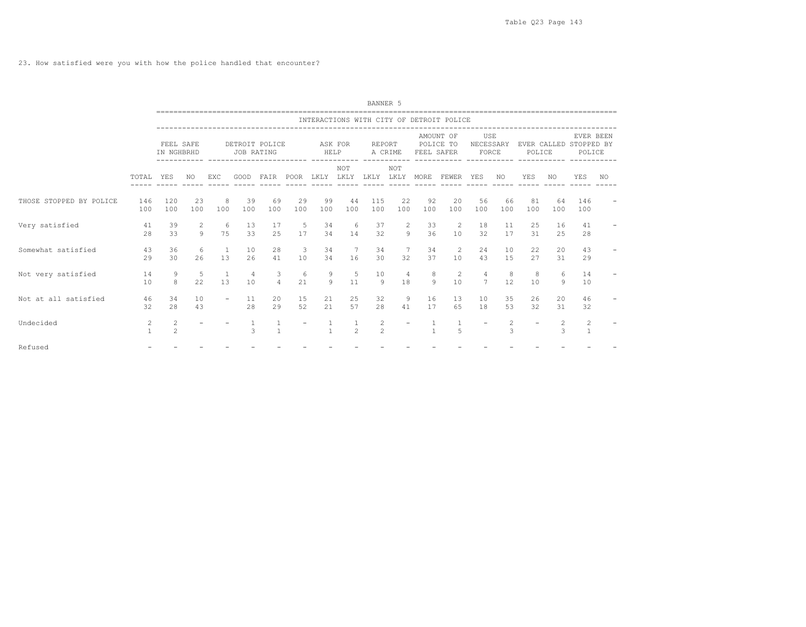23. How satisfied were you with how the police handled that encounter?

|                         |                   |                         |           |                          |                      |                                |                               |                 |                                | BANNER 5            |                          |                |                                                                                |                                   |           |                          |              |                                               |     |
|-------------------------|-------------------|-------------------------|-----------|--------------------------|----------------------|--------------------------------|-------------------------------|-----------------|--------------------------------|---------------------|--------------------------|----------------|--------------------------------------------------------------------------------|-----------------------------------|-----------|--------------------------|--------------|-----------------------------------------------|-----|
|                         |                   |                         |           |                          |                      |                                |                               |                 |                                |                     |                          |                | INTERACTIONS WITH CITY OF DETROIT POLICE<br>---------------------------------- |                                   |           |                          |              |                                               |     |
|                         |                   | FEEL SAFE<br>IN NGHBRHD |           |                          | JOB RATING           | DETROIT POLICE                 |                               | ASK FOR<br>HELP |                                | REPORT              | A CRIME                  | FEEL SAFER     | AMOUNT OF<br>POLICE TO                                                         | USE<br>NECESSARY<br>FORCE         |           | POLICE                   |              | EVER BEEN<br>EVER CALLED STOPPED BY<br>POLICE |     |
|                         | TOTAL.            | <b>YES</b>              | NO.       | EXC                      | GOOD                 | FAIR POOR                      |                               |                 | NOT<br>LKLY LKLY LKLY LKLY     |                     | <b>NOT</b>               | MORE           | FEWER YES                                                                      |                                   | NO.       | YES                      | NO.          | YES                                           | NO. |
| THOSE STOPPED BY POLICE | 146<br>100        | 120<br>100              | 23<br>100 | 8<br>100                 | 39<br>100            | 69<br>100                      | 29<br>100                     | 99<br>100       | 44<br>100                      | 115<br>100          | 22<br>100                | 92<br>100      | 20<br>100                                                                      | 56<br>100                         | 66<br>100 | 81<br>100                | 64<br>100    | 146<br>100                                    |     |
| Very satisfied          | 41<br>2.8         | 39<br>33                | 2<br>Q    | 6<br>75                  | 13<br>33             | 17<br>2.5                      | -5<br>17                      | 34<br>34        | 6<br>14                        | 37<br>32            | 2<br>$\circ$             | 33<br>36       | 2<br>10                                                                        | 18<br>32                          | 11<br>17  | 25<br>31                 | 16<br>2.5    | 41<br>28                                      |     |
| Somewhat satisfied      | 43<br>29          | 36<br>30                | 6<br>26   | $\overline{1}$<br>1.3    | 10<br>26             | 28<br>41                       | $\overline{\mathbf{3}}$<br>10 | 34<br>34        | 7<br>16                        | 34<br>30            | 7<br>32                  | 34<br>37       | 2<br>10                                                                        | 2.4<br>43                         | 10<br>1.5 | 22.<br>27                | 20<br>31     | 43<br>29                                      |     |
| Not very satisfied      | 14<br>10          | 9<br>8                  | -5<br>22  | $\overline{1}$<br>1.3    | $\overline{4}$<br>10 | 3<br>$\overline{4}$            | 6<br>21                       | 9<br>9          | -5<br>11                       | 10<br>-9            | $\overline{4}$<br>18     | 8<br>Q         | 2<br>10                                                                        | $\overline{4}$<br>$7\phantom{.0}$ | 8<br>12   | 8<br>10                  | 6<br>9       | 14<br>10                                      |     |
| Not at all satisfied    | 46<br>32          | 34<br>2.8               | 10<br>43  | $\overline{\phantom{0}}$ | 11<br>2.8            | 20<br>29                       | 15<br>52                      | 21<br>21        | 25<br>57                       | 32<br>2.8           | 9<br>41                  | 16<br>17       | 13<br>65                                                                       | 10<br>18                          | 35<br>53  | 26<br>32                 | 20<br>31     | 46<br>32                                      |     |
| Undecided               | 2<br>$\mathbf{1}$ | 2<br>$\overline{c}$     |           |                          | $\overline{1}$<br>3  | $\mathbf{1}$<br>$\overline{1}$ |                               | $\mathbf{1}$    | $\mathbf{1}$<br>$\mathfrak{D}$ | 2<br>$\mathfrak{D}$ | $\overline{\phantom{a}}$ | $\overline{1}$ | 5                                                                              | $\overline{\phantom{a}}$          | 2<br>3    | $\overline{\phantom{a}}$ | $2^{1}$<br>3 | $\overline{2}$<br>$\mathbf{1}$                |     |
| Refused                 |                   |                         |           |                          |                      |                                |                               |                 |                                |                     |                          |                |                                                                                |                                   |           |                          |              |                                               |     |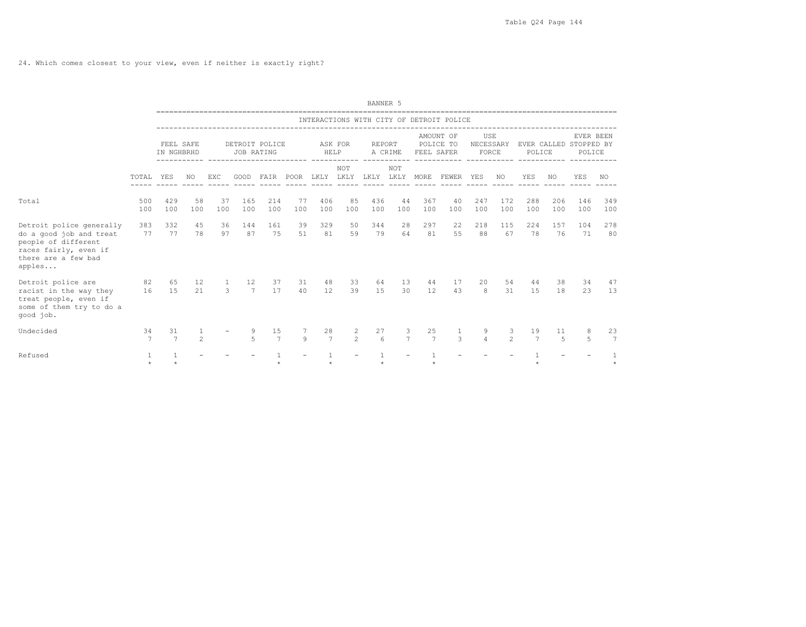24. Which comes closest to your view, even if neither is exactly right?

|                                                                                                                                      |                         |                         |                     |                                          |                      |                      |           |                      |                     | BANNER 5               |                     |            |                                                   |                           |                     |                       |            |                                               |              |
|--------------------------------------------------------------------------------------------------------------------------------------|-------------------------|-------------------------|---------------------|------------------------------------------|----------------------|----------------------|-----------|----------------------|---------------------|------------------------|---------------------|------------|---------------------------------------------------|---------------------------|---------------------|-----------------------|------------|-----------------------------------------------|--------------|
|                                                                                                                                      |                         |                         |                     |                                          |                      |                      |           |                      |                     |                        |                     |            | INTERACTIONS WITH CITY OF DETROIT POLICE          |                           |                     |                       |            |                                               |              |
|                                                                                                                                      |                         | FEEL SAFE<br>IN NGHBRHD |                     |                                          | JOB RATING           | DETROIT POLICE       |           | HELP                 | ASK FOR             | REPORT                 | A CRIME             | FEEL SAFER | AMOUNT OF<br>POLICE TO                            | USE<br>NECESSARY<br>FORCE |                     | POLICE                |            | EVER BEEN<br>EVER CALLED STOPPED BY<br>POLICE |              |
|                                                                                                                                      | TOTAL                   | YES                     | NO.                 | EXC                                      |                      |                      |           |                      | NOT                 |                        | <b>NOT</b>          |            | GOOD FAIR POOR LKLY LKLY LKLY LKLY MORE FEWER YES |                           | NO.                 | YES                   | NO.        | YES                                           | NO.          |
| Total                                                                                                                                | 500<br>100              | 429<br>100              | 58<br>100           | 37<br>100                                | 165<br>100           | 214<br>100           | 77<br>100 | 406<br>100           | 85<br>100           | 436<br>100             | 44<br>100           | 367<br>100 | 40<br>100                                         | 247<br>100                | 172<br>100          | 288<br>100            | 206<br>100 | 146<br>100                                    | 349<br>100   |
| Detroit police generally<br>do a good job and treat<br>people of different<br>races fairly, even if<br>there are a few bad<br>apples | 383<br>77               | 332<br>77               | 45<br>78            | 36<br>97                                 | 144<br>87            | 161<br>75            | 39<br>51  | 329<br>81            | 50<br>59            | 344<br>79              | 28<br>64            | 297<br>81  | 22<br>55                                          | 218<br>88                 | 115<br>67           | 224<br>78             | 157<br>76  | 104<br>71                                     | 278<br>80    |
| Detroit police are<br>racist in the way they<br>treat people, even if<br>some of them try to do a<br>qood job.                       | 82<br>16                | 65<br>15                | 12<br>21            | $\mathbf{1}$<br>$\overline{\phantom{a}}$ | 12<br>$\overline{7}$ | 37<br>17             | 31<br>40  | 48<br>12             | 33<br>39            | 64<br>15               | 13<br>30            | 44<br>12   | 17<br>43                                          | 20<br>8                   | 54<br>31            | 44<br>15              | 38<br>18   | 34<br>23                                      | 47<br>13     |
| Undecided                                                                                                                            | 34<br>$7\phantom{.0}$   | 31<br>$\overline{7}$    | 1<br>$\mathfrak{D}$ |                                          | 9<br>$\overline{a}$  | 15<br>$\overline{7}$ | 9         | 28<br>$\overline{7}$ | 2<br>$\mathfrak{D}$ | 27<br>$6 \overline{6}$ | 3<br>$\overline{7}$ | 25<br>7    | 1<br>$\mathcal{R}$                                | 9<br>$\overline{4}$       | 3<br>$\mathfrak{D}$ | 19<br>$7\overline{ }$ | 11<br>5    | 8<br>5                                        | 23<br>7      |
| Refused                                                                                                                              | $\mathbf{1}$<br>$\star$ |                         |                     |                                          |                      |                      |           |                      |                     |                        |                     |            |                                                   |                           |                     |                       |            |                                               | 1<br>$\star$ |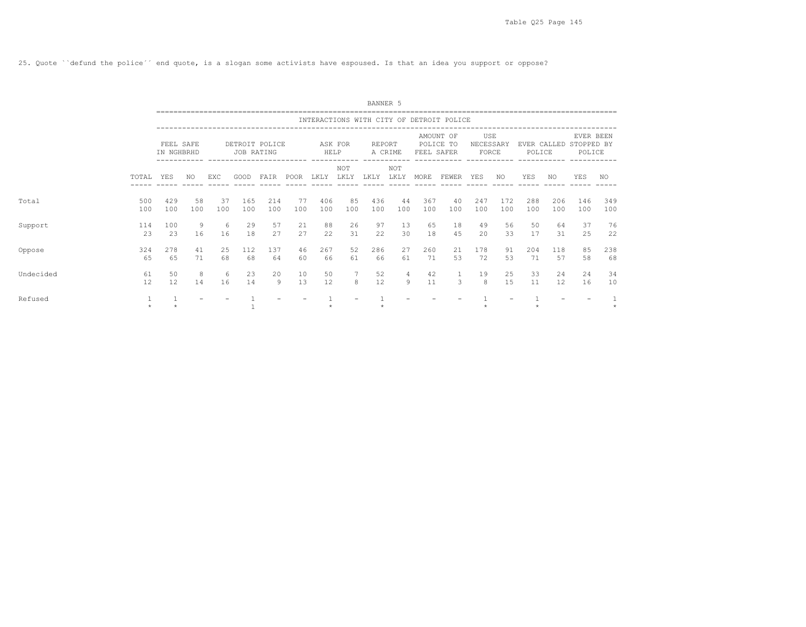25. Quote ``defund the police´´ end quote, is a slogan some activists have espoused. Is that an idea you support or oppose?

|           |            |                         |           |           |            |                |           |            |                        | BANNER 5   |                         |            |                                          |                           |            |                       |            |                                   |            |
|-----------|------------|-------------------------|-----------|-----------|------------|----------------|-----------|------------|------------------------|------------|-------------------------|------------|------------------------------------------|---------------------------|------------|-----------------------|------------|-----------------------------------|------------|
|           |            |                         |           |           |            |                |           |            |                        |            |                         |            | INTERACTIONS WITH CITY OF DETROIT POLICE |                           |            |                       |            |                                   |            |
|           |            | FEEL SAFE<br>IN NGHBRHD |           |           | JOB RATING | DETROIT POLICE |           | HELP       | ASK FOR<br>----------- | REPORT     | A CRIME<br>------------ | FEEL SAFER | AMOUNT OF<br>POLICE TO                   | USE<br>NECESSARY<br>FORCE |            | EVER CALLED<br>POLICE |            | EVER BEEN<br>STOPPED BY<br>POLICE |            |
|           | TOTAL      | YES                     | NO.       | EXC       | GOOD       | FAIR           | POOR      | LKLY       | NOT<br>LKLY            | LKLY       | NOT<br>LKLY             | MORE       | FEWER                                    | YES                       | NO.        | YES                   | NO.        | YES                               | NO.        |
| Total     | 500<br>100 | 429<br>100              | 58<br>100 | 37<br>100 | 165<br>100 | 214<br>100     | 77<br>100 | 406<br>100 | 85<br>100              | 436<br>100 | 44<br>100               | 367<br>100 | 40<br>100                                | 247<br>100                | 172<br>100 | 288<br>100            | 206<br>100 | 146<br>100                        | 349<br>100 |
| Support   | 114<br>23  | 100<br>23               | 9<br>16   | 6<br>16   | 29<br>18   | 57<br>27       | 21<br>2.7 | 88<br>22   | 26<br>31               | 97<br>22   | 13<br>30                | 65<br>18   | 18<br>45                                 | 49<br>20                  | 56<br>33   | 50<br>17              | 64<br>31   | 37<br>25                          | 76<br>22   |
| Oppose    | 324<br>65  | 278<br>65               | 41<br>71  | 25<br>68  | 112<br>68  | 137<br>64      | 46<br>60  | 267<br>66  | 52<br>61               | 286<br>66  | 27<br>61                | 260<br>71  | 21<br>53                                 | 178<br>72                 | 91<br>53   | 204<br>71             | 118<br>57  | 85<br>58                          | 238<br>68  |
| Undecided | 61<br>12   | 50<br>12                | 8<br>14   | 6<br>16   | 23<br>14   | 20<br>9        | 10<br>13  | 50<br>12   | $\overline{7}$<br>8    | 52<br>12   | $\overline{4}$<br>9     | 42<br>11   | 3                                        | 19<br>8                   | 25<br>1.5  | 33<br>11              | 24<br>12   | 24<br>16                          | 34<br>10   |
| Refused   | $\star$    |                         |           |           |            |                |           |            |                        |            |                         |            |                                          |                           |            |                       |            |                                   | $\star$    |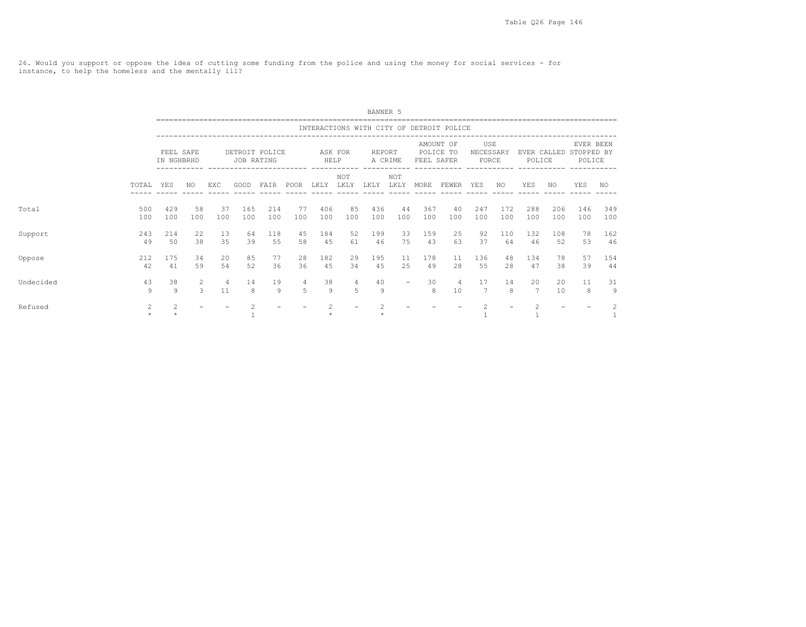26. Would you support or oppose the idea of cutting some funding from the police and using the money for social services - for instance, to help the homeless and the mentally ill?

|           |              |                           |           |           |            |                |            |                 |                     | BANNER 5   |                                  |                     |                                          |                           |            |                       |            |                                   |                                                                                                                                                                                                                                                                                                                                                                                                                            |
|-----------|--------------|---------------------------|-----------|-----------|------------|----------------|------------|-----------------|---------------------|------------|----------------------------------|---------------------|------------------------------------------|---------------------------|------------|-----------------------|------------|-----------------------------------|----------------------------------------------------------------------------------------------------------------------------------------------------------------------------------------------------------------------------------------------------------------------------------------------------------------------------------------------------------------------------------------------------------------------------|
|           |              |                           |           |           |            |                |            |                 |                     |            |                                  |                     | INTERACTIONS WITH CITY OF DETROIT POLICE |                           |            |                       |            |                                   |                                                                                                                                                                                                                                                                                                                                                                                                                            |
|           |              | FEEL SAFE<br>IN NGHBRHD   |           |           | JOB RATING | DETROIT POLICE | ---------- | ASK FOR<br>HELP |                     | REPORT     | A CRIME<br>--------- ----------- | FEEL SAFER          | AMOUNT OF<br>POLICE TO                   | USE<br>NECESSARY<br>FORCE |            | EVER CALLED<br>POLICE |            | EVER BEEN<br>STOPPED BY<br>POLICE |                                                                                                                                                                                                                                                                                                                                                                                                                            |
|           | TOTAL        | YES                       | NO.       | EXC       | GOOD       | FAIR           | POOR       | LKLY            | NOT<br>LKLY         | LKLY       | NOT<br>LKLY                      | MORE                | ------------<br>FEWER                    | YES                       | NO.        | YES                   | NO.        | YES                               | NO.                                                                                                                                                                                                                                                                                                                                                                                                                        |
| Total     | 500<br>100   | 429<br>100                | 58<br>100 | 37<br>100 | 165<br>100 | 214<br>100     | 77<br>100  | 406<br>100      | 85<br>100           | 436<br>100 | 44<br>100                        | 367<br>100          | 40<br>100                                | 247<br>100                | 172<br>100 | 288<br>100            | 206<br>100 | 146<br>100                        | 349<br>100                                                                                                                                                                                                                                                                                                                                                                                                                 |
| Support   | 243<br>49    | 214<br>50                 | 22<br>38  | 13<br>35  | 64<br>39   | 118<br>55      | 45<br>58   | 184<br>45       | 52<br>61            | 199<br>46  | 33<br>75                         | 159<br>43           | 25<br>63                                 | 92<br>37                  | 110<br>64  | 132<br>46             | 108<br>52  | 78<br>53                          | 162<br>46                                                                                                                                                                                                                                                                                                                                                                                                                  |
| Oppose    | 212<br>42    | 175<br>41                 | 34<br>59  | 20<br>54  | 85<br>52   | 77<br>36       | 28<br>36   | 182<br>45       | 29<br>34            | 195<br>4.5 | 11<br>2.5                        | 178<br>49           | 11<br>2.8                                | 136<br>55                 | 48<br>2.8  | 134<br>47             | 78<br>38   | 57<br>39                          | 154<br>44                                                                                                                                                                                                                                                                                                                                                                                                                  |
| Undecided | 43<br>9      | 38<br>9                   | 2<br>3    | 4<br>11   | 14<br>8    | 19<br>9        | 4<br>5     | 38<br>9         | $\overline{4}$<br>5 | 40<br>9    | $\overline{\phantom{m}}$         | 30<br>$\mathcal{R}$ | $\overline{4}$<br>10                     | 17<br>$7\overline{ }$     | 14<br>8    | 20<br>$\overline{7}$  | 20<br>10   | 11<br>8                           | 31<br>9                                                                                                                                                                                                                                                                                                                                                                                                                    |
| Refused   | 2<br>$\star$ | $\mathfrak{D}$<br>$\star$ |           |           |            |                |            | $\mathfrak{D}$  |                     | $\star$    |                                  |                     |                                          | 2                         |            | $\mathfrak{D}$        |            |                                   | $\mathfrak{D}_{1}^{2}(\mathfrak{D}_{1})=\mathfrak{D}_{2}^{2}(\mathfrak{D}_{2})=\mathfrak{D}_{2}^{2}(\mathfrak{D}_{1})=\mathfrak{D}_{2}^{2}(\mathfrak{D}_{2})=\mathfrak{D}_{2}^{2}(\mathfrak{D}_{1})=\mathfrak{D}_{2}^{2}(\mathfrak{D}_{1})=\mathfrak{D}_{2}^{2}(\mathfrak{D}_{1})=\mathfrak{D}_{2}^{2}(\mathfrak{D}_{1})=\mathfrak{D}_{2}^{2}(\mathfrak{D}_{1})=\mathfrak{D}_{2}^{2}(\mathfrak{D}_{1})=\mathfrak{D}_{2}^{$ |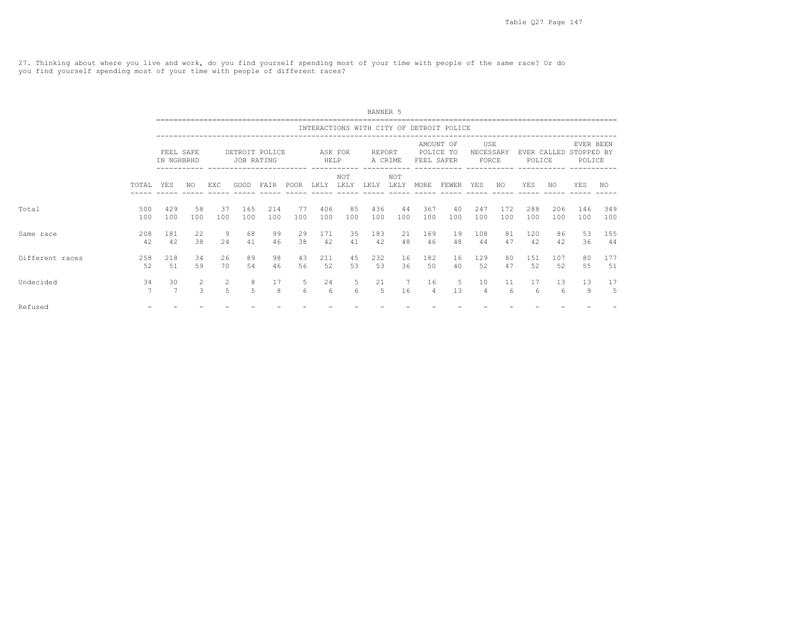27. Thinking about where you live and work, do you find yourself spending most of your time with people of the same race? Or do you find yourself spending most of your time with people of different races?

|                 |                      |                         |                     |           |                     |                |           |                 |             | BANNER 5      |             |            |                                          |                           |            |                       |            |                                   |            |
|-----------------|----------------------|-------------------------|---------------------|-----------|---------------------|----------------|-----------|-----------------|-------------|---------------|-------------|------------|------------------------------------------|---------------------------|------------|-----------------------|------------|-----------------------------------|------------|
|                 |                      |                         |                     |           |                     |                |           |                 |             |               |             |            | INTERACTIONS WITH CITY OF DETROIT POLICE |                           |            |                       |            |                                   |            |
|                 |                      | FEEL SAFE<br>IN NGHBRHD |                     |           | JOB RATING          | DETROIT POLICE |           | ASK FOR<br>HELP |             | <b>REPORT</b> | A CRIME     | FEEL SAFER | AMOUNT OF<br>POLICE TO                   | USE<br>NECESSARY<br>FORCE |            | EVER CALLED<br>POLICE |            | EVER BEEN<br>STOPPED BY<br>POLICE |            |
|                 | TOTAL                | <b>YES</b>              | NO.                 | EXC       | GOOD                | FAIR           | POOR      | LKLY            | NOT<br>LKLY | LKLY          | NOT<br>LKLY | MORE       | FEWER YES                                |                           | NO         | <b>YES</b>            | NO.        | <b>YES</b>                        | NO.        |
| Total           | 500<br>100           | 429<br>100              | 58<br>100           | 37<br>100 | 165<br>100          | 214<br>100     | 77<br>100 | 406<br>100      | 85<br>100   | 436<br>100    | 44<br>100   | 367<br>100 | 40<br>100                                | 247<br>100                | 172<br>100 | 288<br>100            | 206<br>100 | 146<br>100                        | 349<br>100 |
| Same race       | 208<br>42            | 181<br>42               | 22<br>38            | 9<br>2.4  | 68<br>41            | 99<br>46       | 29<br>38  | 171<br>42       | 35<br>41    | 183<br>42     | 21<br>48    | 169<br>46  | 19<br>48                                 | 108<br>44                 | 81<br>47   | 120<br>42             | 86<br>42   | 53<br>36                          | 155<br>44  |
| Different races | 258<br>52            | 218<br>51               | 34<br>59            | 26<br>70  | 89<br>54            | 98<br>46       | 43<br>56  | 211<br>52       | 45<br>53    | 232<br>53     | 16<br>36    | 182<br>50  | 16<br>40                                 | 129<br>52                 | 80<br>47   | 151<br>52             | 107<br>52  | 80<br>55                          | 177<br>51  |
| Undecided       | 34<br>$\overline{7}$ | 30<br>$\overline{7}$    | 2<br>$\overline{3}$ | 2<br>5    | 8<br>$\overline{5}$ | 17<br>8        | 5<br>6    | 24<br>6         | 5<br>6      | 21<br>5       | 7<br>16     | 16<br>4    | -5<br>13                                 | 10<br>$\overline{4}$      | 11<br>6    | 17<br>6               | 13<br>6    | 13<br>9                           | 17<br>5    |
| Refused         |                      |                         |                     |           |                     |                |           |                 |             |               |             |            |                                          |                           |            |                       |            |                                   |            |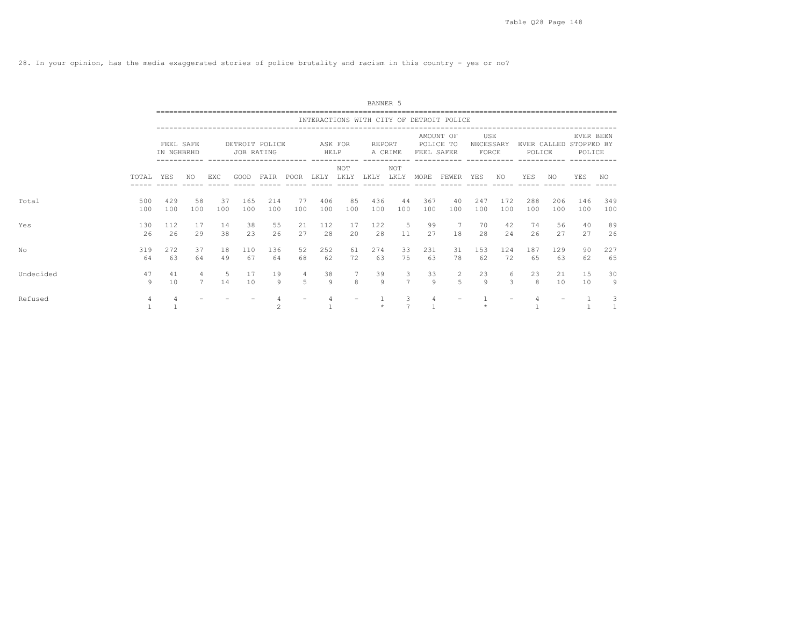28. In your opinion, has the media exaggerated stories of police brutality and racism in this country - yes or no?

|           |            |                         |                     |           |            |                |                          |                 |                      | BANNER 5             |                     |            |                                          |                           |            |                       |            |                                   |            |
|-----------|------------|-------------------------|---------------------|-----------|------------|----------------|--------------------------|-----------------|----------------------|----------------------|---------------------|------------|------------------------------------------|---------------------------|------------|-----------------------|------------|-----------------------------------|------------|
|           |            |                         |                     |           |            |                |                          |                 |                      |                      |                     |            | INTERACTIONS WITH CITY OF DETROIT POLICE |                           |            |                       |            |                                   |            |
|           |            | FEEL SAFE<br>IN NGHBRHD |                     |           | JOB RATING | DETROIT POLICE |                          | ASK FOR<br>HELP |                      | REPORT               | A CRIME             | FEEL SAFER | AMOUNT OF<br>POLICE TO                   | USE<br>NECESSARY<br>FORCE |            | EVER CALLED<br>POLICE |            | EVER BEEN<br>STOPPED BY<br>POLICE |            |
|           | TOTAL      | YES                     | NO.                 | EXC       | GOOD       | FAIR           | POOR                     | LKLY            | NOT<br>LKLY          | LKLY                 | NOT<br>LKLY         | MORE       | FEWER                                    | YES                       | NO.        | YES                   | NO.        | <b>YES</b>                        | NO.        |
| Total     | 500<br>100 | 429<br>100              | 58<br>100           | 37<br>100 | 165<br>100 | 214<br>100     | 77<br>100                | 406<br>100      | 85<br>100            | 436<br>100           | 44<br>100           | 367<br>100 | 40<br>100                                | 247<br>100                | 172<br>100 | 288<br>100            | 206<br>100 | 146<br>100                        | 349<br>100 |
| Yes       | 130<br>26  | 112<br>26               | 17<br>29            | 14<br>38  | 38<br>23   | 55<br>26       | 21<br>27                 | 112<br>2.8      | 17<br>20             | 122<br>28            | 5<br>11             | 99<br>27   | $\overline{7}$<br>18                     | 70<br>28                  | 42<br>2.4  | 74<br>26              | 56<br>2.7  | 40<br>27                          | 89<br>26   |
| No        | 319<br>64  | 272<br>63               | 37<br>64            | 18<br>49  | 110<br>67  | 136<br>64      | 52<br>68                 | 252<br>62       | 61<br>72             | 274<br>63            | 33<br>75            | 231<br>63  | 31<br>78                                 | 153<br>62                 | 124<br>72  | 187<br>65             | 129<br>63  | 90<br>62                          | 227<br>65  |
| Undecided | 47<br>9    | 41<br>10                | $\overline{4}$<br>7 | -5<br>14  | 17<br>10   | 19<br>9        | 4<br>$\overline{5}$      | 38<br>-9        | $7\phantom{.0}$<br>8 | 39<br>$\overline{9}$ | 3<br>$\overline{7}$ | 33<br>9    | $\overline{c}$<br>$\overline{5}$         | 23<br>$\circ$             | 6<br>3     | 23<br>8               | 21<br>10   | 15<br>10                          | 30<br>9    |
| Refused   | 4          | 4                       |                     |           |            |                | $\overline{\phantom{a}}$ |                 |                      |                      | 3<br>$\overline{7}$ | 4          |                                          |                           |            |                       |            |                                   | 3          |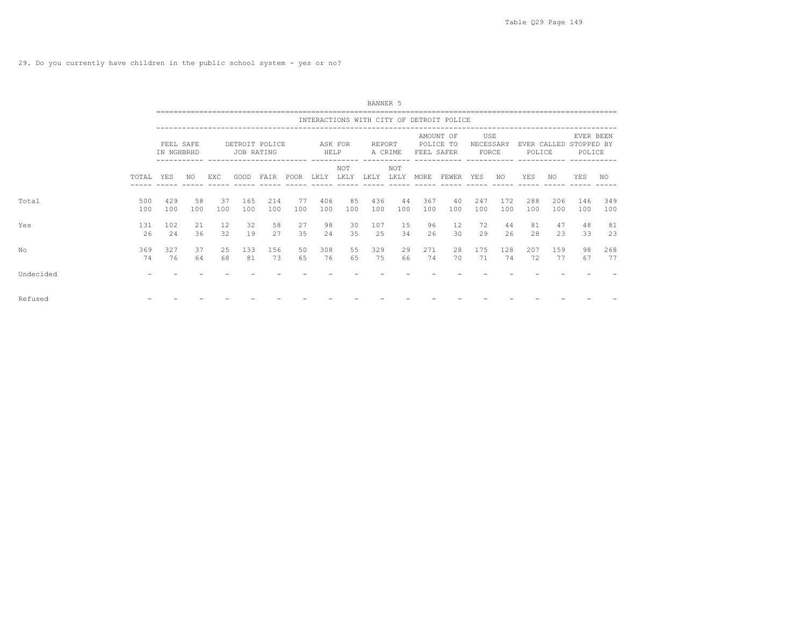29. Do you currently have children in the public school system - yes or no?

|           |            |                         |           |           |            |                |           |            |             | BANNER 5   |                        |            |                                          |                           |            |            |            |                                               |            |
|-----------|------------|-------------------------|-----------|-----------|------------|----------------|-----------|------------|-------------|------------|------------------------|------------|------------------------------------------|---------------------------|------------|------------|------------|-----------------------------------------------|------------|
|           |            |                         |           |           |            |                |           |            |             |            |                        |            | INTERACTIONS WITH CITY OF DETROIT POLICE |                           |            |            |            |                                               |            |
|           |            | FEEL SAFE<br>IN NGHBRHD |           |           | JOB RATING | DETROIT POLICE |           | HELP       | ASK FOR     | REPORT     | A CRIME<br>----------- | FEEL SAFER | AMOUNT OF<br>POLICE TO                   | USE<br>NECESSARY<br>FORCE |            | POLICE     |            | EVER BEEN<br>EVER CALLED STOPPED BY<br>POLICE |            |
|           | TOTAL YES  |                         | NO.       | EXC.      | GOOD       | FAIR           | POOR      | LKLY       | NOT<br>LKLY | LKLY       | NOT<br>LKLY            | MORE       | FEWER                                    | YES                       | NO.        | YES        | NO         | <b>YES</b>                                    | NO.        |
| Total     | 500<br>100 | 429<br>100              | 58<br>100 | 37<br>100 | 165<br>100 | 214<br>100     | 77<br>100 | 406<br>100 | 85<br>100   | 436<br>100 | 44<br>100              | 367<br>100 | 40<br>100                                | 247<br>100                | 172<br>100 | 288<br>100 | 206<br>100 | 146<br>100                                    | 349<br>100 |
| Yes       | 131<br>26  | 102<br>24               | 21<br>36  | 12<br>32  | 32<br>19   | 58<br>27       | 27<br>35  | 98<br>24   | 30<br>35    | 107<br>25  | 15<br>34               | 96<br>26   | 12<br>30                                 | 72<br>29                  | 44<br>26   | 81<br>28   | 47<br>23   | 48<br>33                                      | 81<br>23   |
| No        | 369<br>74  | 327<br>76               | 37<br>64  | 25<br>68  | 133<br>81  | 156<br>73      | 50<br>65  | 308<br>76  | 55<br>65    | 329<br>75  | 29<br>66               | 271<br>74  | 28<br>70                                 | 175<br>71                 | 128<br>74  | 207<br>72  | 159<br>77  | 98<br>67                                      | 268<br>77  |
| Undecided |            |                         |           |           |            |                |           |            |             |            |                        |            |                                          |                           |            |            |            |                                               |            |
| Refused   |            |                         |           |           |            |                |           |            |             |            |                        |            |                                          |                           |            |            |            |                                               |            |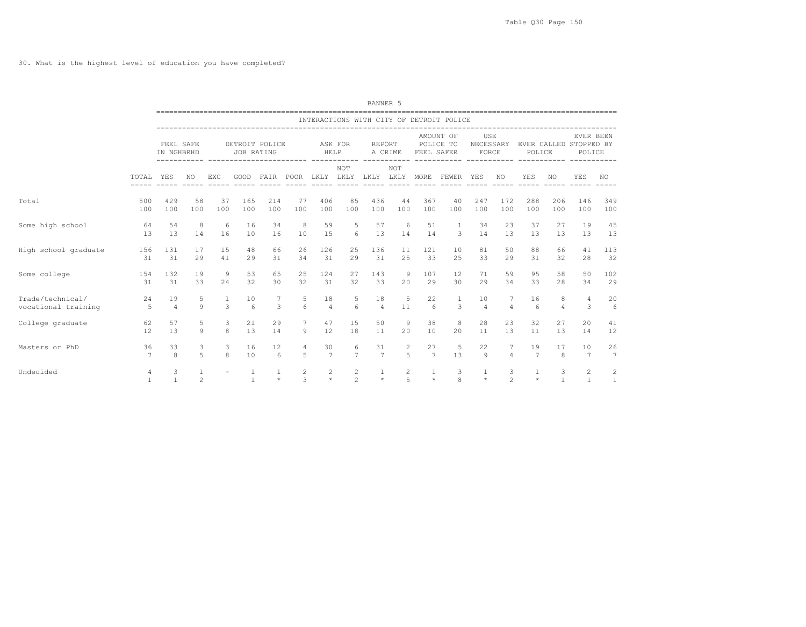30. What is the highest level of education you have completed?

|                      |                   |                         |                |                          |                 |                                    |                |                                 |                                  | BANNER 5       |                     |              |                                          |                   |                     |                |                   |                                                         |                   |
|----------------------|-------------------|-------------------------|----------------|--------------------------|-----------------|------------------------------------|----------------|---------------------------------|----------------------------------|----------------|---------------------|--------------|------------------------------------------|-------------------|---------------------|----------------|-------------------|---------------------------------------------------------|-------------------|
|                      |                   |                         |                |                          |                 |                                    |                |                                 |                                  |                |                     |              | INTERACTIONS WITH CITY OF DETROIT POLICE |                   |                     |                |                   |                                                         |                   |
|                      |                   | FEEL SAFE<br>IN NGHBRHD |                |                          | JOB RATING      | DETROIT POLICE                     |                | ASK FOR<br>HELP                 |                                  | REPORT         | A CRIME             | FEEL SAFER   | AMOUNT OF<br>POLICE TO                   | USE<br>FORCE      |                     | POLICE         |                   | EVER BEEN<br>NECESSARY EVER CALLED STOPPED BY<br>POLICE |                   |
|                      | TOTAL YES         |                         | NO.            | <b>EXC</b>               | GOOD            | FAIR POOR LKLY LKLY LKLY LKLY MORE |                |                                 | NOT                              |                | <b>NOT</b>          |              | FEWER YES<br>------ -----                | ----- ----- ----- | NO.                 | YES            | NO.               | <b>YES</b>                                              | NO.               |
| Total                | 500               | 429                     | 58             | 37                       | 165             | 214                                | 77             | 406                             | 85                               | 436            | 44                  | 367          | 40                                       | 247               | 172                 | 288            | 206               | 146                                                     | 349               |
|                      | 100               | 100                     | 100            | 100                      | 100             | 100                                | 100            | 100                             | 100                              | 100            | 100                 | 100          | 100                                      | 100               | 100                 | 100            | 100               | 100                                                     | 100               |
| Some high school     | 64                | 54                      | -8             | 6                        | 16              | 34                                 | 8              | 59                              | 5                                | 57             | 6                   | 51           | -1                                       | 34                | 23                  | 37             | 27                | 19                                                      | 45                |
|                      | 13                | 13                      | 14             | 16                       | 10              | 16                                 | 10             | 15                              | 6                                | 13             | 14                  | 14           | $\overline{\mathbf{3}}$                  | 14                | 1.3                 | 13             | 1.3               | 13                                                      | 13                |
| High school graduate | 156               | 131                     | 17             | 15                       | 48              | 66                                 | 26             | 126                             | 25                               | 136            | 11                  | 121          | 10                                       | 81                | 50                  | 88             | 66                | 41                                                      | 113               |
|                      | 31                | 31                      | 29             | 41                       | 29              | 31                                 | 34             | 31                              | 29                               | 31             | 25                  | 33           | 25                                       | 33                | 29                  | 31             | 32                | 28                                                      | 32                |
| Some college         | 154               | 132                     | 19             | 9                        | 53              | 65                                 | 25             | 124                             | 27                               | 143            | 9                   | 107          | 12                                       | 71                | 59                  | 95             | 58                | 50                                                      | 102               |
|                      | 31                | 31                      | 33             | 24                       | 32              | 30                                 | 32             | 31                              | 32                               | 33             | 20                  | 29           | 30                                       | 29                | 34                  | 33             | 28                | 34                                                      | 29                |
| Trade/technical/     | 24                | 19                      | 5              | $\mathcal{L}$            | 10              | 7                                  | 5              | 18                              | 5                                | 18             | 5                   | 22           | 1                                        | 10                | 7                   | 16             | 8                 | 4                                                       | 20                |
| vocational training  | 5                 | $\overline{4}$          | $\mathbf{Q}$   |                          | $6\overline{6}$ | 3                                  | 6              | $\overline{4}$                  | 6                                | $\overline{4}$ | 11                  | 6            | 3                                        | $\overline{4}$    | $\overline{4}$      | 6              | $\overline{4}$    | 3                                                       | 6                 |
| College graduate     | 62                | 57                      | 5              | 3                        | 21              | 29                                 | 7              | 47                              | 15                               | 50             | 9                   | 38           | 8                                        | 28                | 23                  | 32             | 27                | 20                                                      | 41                |
|                      | 12                | 13                      | 9              | 8                        | 13              | 14                                 | 9              | 12                              | 18                               | 11             | 20                  | 10           | 20                                       | 11                | 13                  | 11             | 13                | 14                                                      | 12                |
| Masters or PhD       | 36                | 33                      | 3              | 3                        | 16              | 12                                 | 4              | 30                              | 6                                | 31             | $\overline{c}$      | 27           | -5                                       | 22                | 7                   | 19             | 17                | 10                                                      | 26                |
|                      | 7                 | $\mathcal{R}$           | $\overline{5}$ | $\mathcal{R}$            | 10              | 6                                  | $\overline{5}$ | 7                               | $\overline{7}$                   | $\overline{7}$ | 5                   | $7^{\circ}$  | 13                                       | Q                 | $\overline{4}$      | $\overline{7}$ | 8                 | $7\overline{ }$                                         | 7                 |
| Undecided            | 4<br>$\mathbf{1}$ | 3<br>$\mathbf{1}$       | $\mathfrak{D}$ | $\overline{\phantom{a}}$ | $\mathbf{1}$    | 1<br>$\star$                       | 2<br>3         | $\overline{c}$<br>$\rightarrow$ | $\overline{c}$<br>$\mathfrak{D}$ | $\star$        | $\overline{c}$<br>5 | 1<br>$\star$ | 3<br>8                                   | 1<br>$\star$      | 3<br>$\overline{2}$ | 1<br>$\star$   | 3<br>$\mathbf{1}$ | 2<br>$\overline{1}$                                     | 2<br>$\mathbf{1}$ |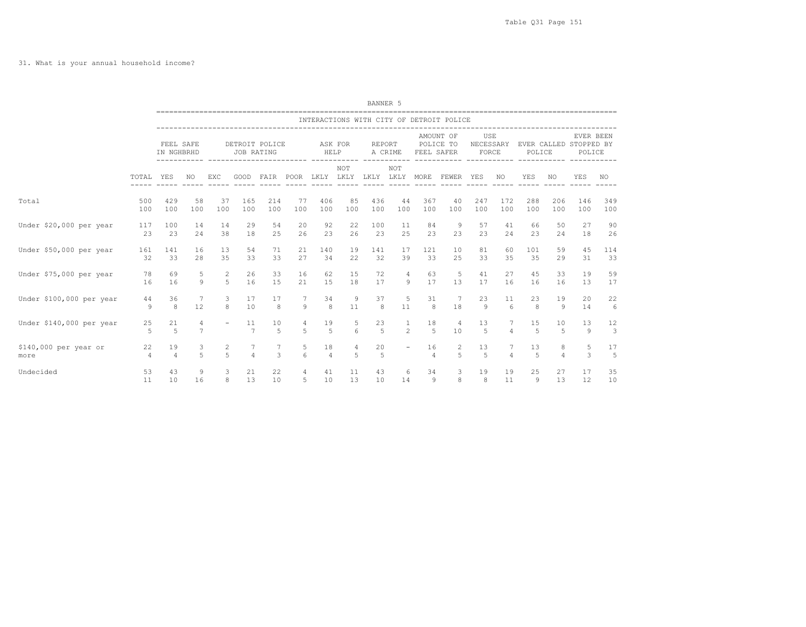|                          |                      |                         |                     |                |                |                                                            |        |                                    |         | BANNER 5                                        |                               |                                      |                                          |                |                     |                                            |                      |                     |                               |
|--------------------------|----------------------|-------------------------|---------------------|----------------|----------------|------------------------------------------------------------|--------|------------------------------------|---------|-------------------------------------------------|-------------------------------|--------------------------------------|------------------------------------------|----------------|---------------------|--------------------------------------------|----------------------|---------------------|-------------------------------|
|                          |                      |                         |                     |                |                | --------------------------------------                     |        |                                    |         |                                                 |                               |                                      | INTERACTIONS WITH CITY OF DETROIT POLICE |                |                     |                                            |                      |                     |                               |
|                          |                      | FEEL SAFE<br>IN NGHBRHD |                     |                | JOB RATING     | DETROIT POLICE<br>----------- ------------------------ --- |        | HELP                               | ASK FOR | <b>REPORT</b><br>A CRIME<br>------------------- |                               | AMOUNT OF<br>POLICE TO<br>FEEL SAFER |                                          | USE<br>FORCE   |                     | NECESSARY EVER CALLED STOPPED BY<br>POLICE |                      | EVER BEEN<br>POLICE |                               |
|                          | TOTAL YES            |                         | NO.                 | EXC            | GOOD           |                                                            |        | FAIR POOR LKLY LKLY LKLY LKLY MORE | NOT     |                                                 | NOT                           | ------------                         | FEWER YES                                | -------------  | NO.                 | YES                                        | NO.                  | YES                 | NO.                           |
| Total                    | 500                  | 429                     | 58                  | 37             | 165            | 214                                                        | 77     | 406                                | 85      | 436                                             | 44                            | 367                                  | 40                                       | 247            | 172                 | 288                                        | 206                  | 146                 | 349                           |
|                          | 100                  | 100                     | 100                 | 100            | 100            | 100                                                        | 100    | 100                                | 100     | 100                                             | 100                           | 100                                  | 100                                      | 100            | 100                 | 100                                        | 100                  | 100                 | 100                           |
| Under \$20,000 per year  | 117                  | 100                     | 14                  | 14             | 29             | 54                                                         | 20     | 92                                 | 22      | 100                                             | 11                            | 84                                   | 9                                        | 57             | 41                  | 66                                         | 50                   | 27                  | 90                            |
|                          | 23                   | 23                      | 24                  | 38             | 18             | 25                                                         | 26     | 23                                 | 26      | 23                                              | 25                            | 23                                   | 23                                       | 23             | 24                  | 23                                         | 24                   | 18                  | 26                            |
| Under \$50,000 per year  | 161                  | 141                     | 16                  | 13             | 54             | 71                                                         | 21     | 140                                | 19      | 141                                             | 17                            | 121                                  | 10                                       | 81             | 60                  | 101                                        | 59                   | 45                  | 114                           |
|                          | 32                   | 33                      | 28                  | 35             | 33             | 33                                                         | 27     | 34                                 | 22      | 32                                              | 39                            | 33                                   | 25                                       | 33             | 35                  | 35                                         | 29                   | 31                  | 33                            |
| Under \$75,000 per year  | 78                   | 69                      | 5                   | 2              | 26             | 33                                                         | 16     | 62                                 | 15      | 72                                              | 4                             | 63                                   | -5                                       | 41             | 27                  | 45                                         | 33                   | 19                  | 59                            |
|                          | 16                   | 16                      | 9                   | 5              | 16             | 15                                                         | 21     | 15                                 | 18      | 17                                              | 9                             | 17                                   | 13                                       | 17             | 16                  | 16                                         | 16                   | 13                  | 17                            |
| Under \$100,000 per year | 44                   | 36                      | 7                   | 3              | 17             | 17                                                         | 7      | 34                                 | 9       | 37                                              | 5                             | 31                                   | 7                                        | 23             | 11                  | 23                                         | 19                   | 20                  | 22                            |
|                          | 9                    | 8                       | 12                  | 8              | 10             | 8                                                          | 9      | 8                                  | 11      | 8                                               | 11                            | 8                                    | 18                                       | 9              | 6                   | 8                                          | 9                    | 14                  | 6                             |
| Under \$140,000 per year | 25<br>$\overline{5}$ | 21<br>$\overline{5}$    | 4<br>$\overline{7}$ |                | 11<br>7        | 10<br>5                                                    | 4<br>5 | 19<br>$\overline{5}$               | 5<br>6  | 23<br>$\overline{5}$                            | $\mathbf{1}$<br>$\mathcal{L}$ | 18<br>5                              | 4<br>10                                  | 13<br>5        | 7<br>$\overline{4}$ | 15<br>5                                    | 10<br>$\overline{5}$ | 13<br>9             | 12<br>$\overline{\mathbf{3}}$ |
| \$140,000 per year or    | 22                   | 19                      | 3                   | $\overline{c}$ | 7              | $7\phantom{.0}$                                            | 5      | 18                                 | 4       | 20                                              | $\overline{\phantom{a}}$      | 16                                   | $\overline{c}$                           | 13             | 7                   | 13                                         | 8                    | 5                   | 17                            |
| more                     | $\overline{4}$       | $\overline{4}$          | 5                   | $\overline{a}$ | $\overline{a}$ | 3                                                          | 6      | $\overline{4}$                     | .5      | 5                                               |                               | $\overline{4}$                       | $\overline{a}$                           | $\overline{5}$ | $\Delta$            | 5                                          | $\Delta$             | $\mathcal{L}$       | 5                             |
| Undecided                | 53                   | 43                      | 9                   | 3              | 21             | 22                                                         | 4      | 41                                 | 11      | 43                                              | 6                             | 34                                   | $\mathbf{3}$                             | 19             | 19                  | 25                                         | 27                   | 17                  | 35                            |
|                          | 11                   | 10                      | 16                  | 8              | 13             | 10                                                         | 5      | 10                                 | 13      | 10                                              | 14                            | 9                                    | 8                                        | 8              | 11                  | 9                                          | 13                   | 12                  | 10                            |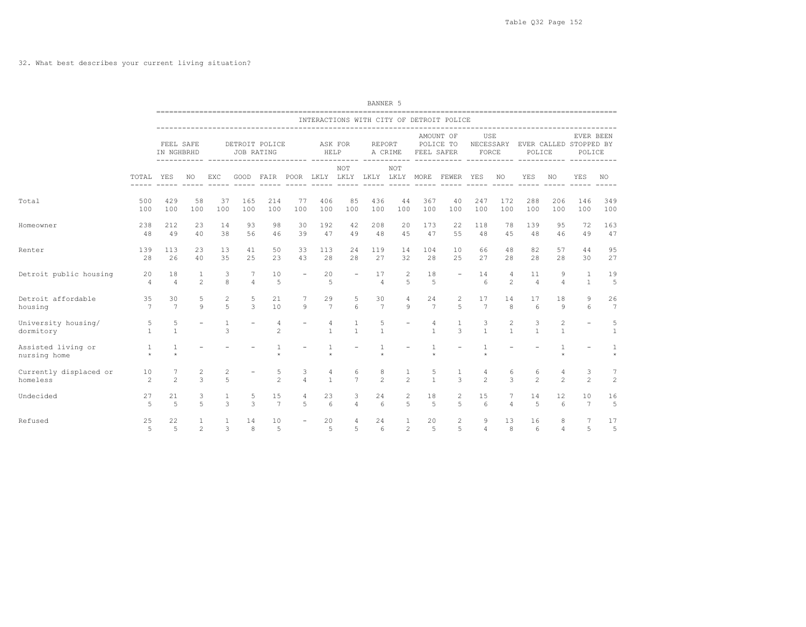## 32. What best describes your current living situation?

|                                    |                      |                         |                     |                   |                     |                                                                                     |                          |                   |                     | BANNER 5               |                                |                         |                                          |                           |                     |                                  |                     |                       |                      |
|------------------------------------|----------------------|-------------------------|---------------------|-------------------|---------------------|-------------------------------------------------------------------------------------|--------------------------|-------------------|---------------------|------------------------|--------------------------------|-------------------------|------------------------------------------|---------------------------|---------------------|----------------------------------|---------------------|-----------------------|----------------------|
|                                    |                      |                         |                     |                   |                     |                                                                                     |                          |                   |                     |                        |                                |                         | INTERACTIONS WITH CITY OF DETROIT POLICE |                           |                     |                                  |                     |                       |                      |
|                                    |                      | FEEL SAFE<br>IN NGHBRHD |                     |                   | JOB RATING          | DETROIT POLICE                                                                      |                          | HELP              | ASK FOR             | REPORT                 | A CRIME                        | FEEL SAFER              | AMOUNT OF<br>POLICE TO                   | USE<br>NECESSARY<br>FORCE |                     | EVER CALLED STOPPED BY<br>POLICE |                     | EVER BEEN<br>POLICE   |                      |
|                                    | TOTAL                | YES                     | NO.                 | EXC               |                     | ----------- ------------------------ ---<br>GOOD FAIR POOR LKLY LKLY LKLY LKLY MORE |                          |                   | ------ -----<br>NOT |                        | -----<br><b>NOT</b>            |                         | FEWER YES                                |                           | NO                  | YES                              | NO                  | YES                   | NO.                  |
| Total                              | 500<br>100           | 429<br>100              | 58<br>100           | 37<br>100         | 165<br>100          | 214<br>100                                                                          | 77<br>100                | 406<br>100        | 85<br>100           | 436<br>100             | 44<br>100                      | 367<br>100              | 40<br>100                                | 247<br>100                | 172<br>100          | 288<br>100                       | 206<br>100          | 146<br>100            | 349<br>100           |
| Homeowner                          | 238<br>48            | 212<br>49               | 23<br>40            | 14<br>38          | 93<br>56            | 98<br>46                                                                            | 30<br>39                 | 192<br>47         | 42<br>49            | 208<br>48              | 20<br>45                       | 173<br>47               | 22<br>55                                 | 118<br>48                 | 78<br>45            | 139<br>48                        | 95<br>46            | 72<br>49              | 163<br>47            |
| Renter                             | 139<br>28            | 113<br>26               | 23<br>40            | 13<br>35          | 41<br>25            | 50<br>23                                                                            | 33<br>43                 | 113<br>28         | 24<br>28            | 119<br>27              | 14<br>32                       | 104<br>28               | 10<br>25                                 | 66<br>27                  | 48<br>28            | 82<br>28                         | 57<br>28            | 44<br>30              | 95<br>27             |
| Detroit public housing             | 20<br>$\overline{4}$ | 18<br>$\overline{4}$    | 1<br>$\mathfrak{D}$ | 3<br>8            | 7<br>$\overline{4}$ | 10<br>5                                                                             | $\overline{\phantom{a}}$ | 20<br>5           |                     | 17<br>$\overline{4}$   | 2<br>5                         | 18<br>$\overline{5}$    | $\overline{\phantom{a}}$                 | 14<br>6                   | 4<br>$\mathfrak{D}$ | 11<br>$\overline{4}$             | 9<br>$\overline{4}$ | 1<br>$\mathbf{1}$     | 19<br>5              |
| Detroit affordable<br>housing      | 35<br>7              | 30<br>$\overline{7}$    | 5<br>$\mathbf{Q}$   | $\mathbf{2}$<br>5 | 5<br>3              | 21<br>10                                                                            | 7<br>9                   | 29<br>7           | 5<br>6              | 30<br>$\overline{7}$   | $\overline{4}$<br>9            | 24<br>$7\phantom{.0}$   | 2<br>5                                   | 17<br>$7\phantom{.0}$     | 14<br>8             | 17<br>$6\overline{6}$            | 18<br>9             | 9<br>6                | 26<br>$\overline{7}$ |
| University housing/<br>dormitory   | 5<br>$\mathbf{1}$    | 5<br>$\mathbf{1}$       |                     | 1<br>3            |                     | 4<br>$\overline{c}$                                                                 |                          | 4<br>$\mathbf{1}$ | 1<br>$\mathbf{1}$   | 5<br>$\mathbf{1}$      |                                | 4<br>$\mathbf{1}$       | 3                                        | 3<br>$\mathbf{1}$         | 2<br>$\mathbf{1}$   | 3<br>$\mathbf{1}$                | 2<br>$\mathbf{1}$   |                       | 5<br>1               |
| Assisted living or<br>nursing home | 1<br>$\star$         | 1                       |                     |                   |                     | $\ddot{\psi}$                                                                       |                          | -1<br>$\star$     |                     |                        |                                | $\mathbf{1}$<br>$\star$ |                                          |                           |                     |                                  |                     |                       | 1                    |
| Currently displaced or<br>homeless | 10<br>$\mathcal{L}$  | 7<br>$\mathfrak{D}$     | 2<br>$\overline{3}$ | 2<br>5            |                     | 5<br>$\mathfrak{D}$                                                                 | 3<br>$\overline{4}$      | 4<br>$\mathbf{1}$ | 6<br>$\overline{7}$ | 8<br>$\mathfrak{D}$    | 1<br>$\mathfrak{D}$            | 5<br>$\mathbf{1}$       | 1<br>3                                   | 4<br>$\mathfrak{D}$       | 6<br>3              | 6<br>2                           | 4<br>$\mathfrak{D}$ | 3<br>$\mathfrak{D}$   | 7<br>$\overline{c}$  |
| Undecided                          | 27<br>5              | 21<br>$\overline{5}$    | 3<br>5              | 1<br>3            | 5<br>3              | 15<br>7                                                                             | $\overline{4}$<br>5      | 23<br>6           | 3<br>$\overline{4}$ | 24<br>6                | $\overline{2}$<br>5            | 18<br>5                 | $\overline{c}$<br>5                      | 15<br>6                   | 7<br>$\overline{4}$ | 14<br>5                          | 12<br>6             | 10<br>$7\phantom{.0}$ | 16<br>5              |
| Refused                            | 25<br>5              | 22<br>$\overline{5}$    | 1<br>$\overline{c}$ | $\mathbf{1}$<br>3 | 14<br>8             | 10<br>5                                                                             |                          | 20<br>5           | 4<br>5              | 24<br>$6 \overline{6}$ | $\mathbf{1}$<br>$\overline{2}$ | 20<br>5                 | $\overline{2}$<br>5                      | 9<br>$\overline{4}$       | 13<br>8             | 16<br>$6^{\circ}$                | 8<br>$\overline{4}$ | 7<br>5                | 17<br>5              |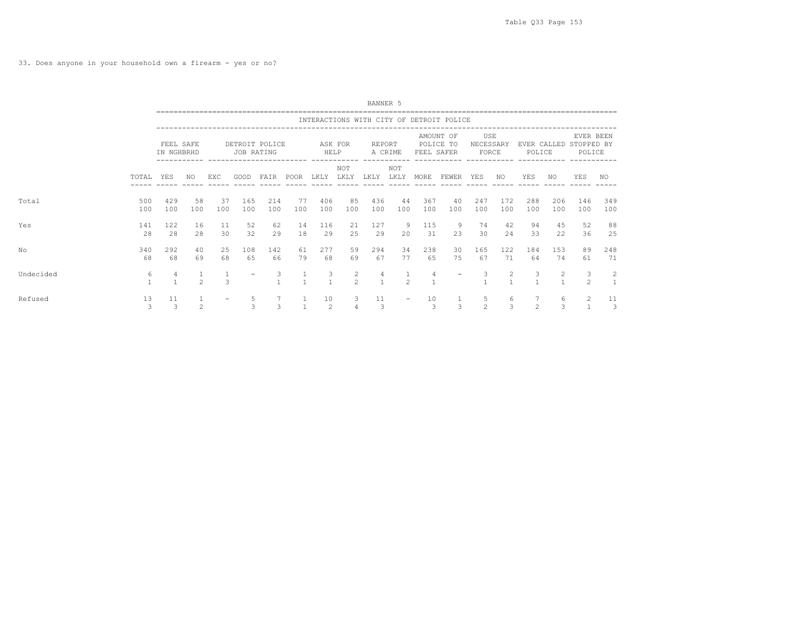33. Does anyone in your household own a firearm - yes or no?

|           |            |                         |                |           |                              |               |           |                      |                     | BANNER 5   |                          |            |                                          |                           |                    |                     |            |                                               |            |
|-----------|------------|-------------------------|----------------|-----------|------------------------------|---------------|-----------|----------------------|---------------------|------------|--------------------------|------------|------------------------------------------|---------------------------|--------------------|---------------------|------------|-----------------------------------------------|------------|
|           |            |                         |                |           |                              |               |           |                      |                     |            |                          |            | INTERACTIONS WITH CITY OF DETROIT POLICE |                           |                    |                     |            |                                               |            |
|           |            | FEEL SAFE<br>IN NGHBRHD |                |           | DETROIT POLICE<br>JOB RATING |               |           | HELP                 | ASK FOR             | REPORT     | A CRIME                  | FEEL SAFER | AMOUNT OF<br>POLICE TO                   | USE<br>NECESSARY<br>FORCE |                    | POLICE              |            | EVER BEEN<br>EVER CALLED STOPPED BY<br>POLICE |            |
|           | TOTAL      | YES                     | NO.            | EXC       | GOOD                         | FAIR          | POOR      | LKLY                 | NOT<br>LKLY         | LKLY       | NOT<br>LKLY              | MORE       | FEWER                                    | YES                       | NO.                | YES                 | NO         | YES                                           | NO.        |
| Total     | 500<br>100 | 429<br>100              | 58<br>100      | 37<br>100 | 165<br>100                   | 214<br>100    | 77<br>100 | 406<br>100           | 85<br>100           | 436<br>100 | 44<br>100                | 367<br>100 | 40<br>100                                | 247<br>100                | 172<br>100         | 288<br>100          | 206<br>100 | 146<br>100                                    | 349<br>100 |
| Yes       | 141<br>28  | 122<br>28               | 16<br>28       | 11<br>30  | 52<br>32                     | 62<br>29      | 14<br>18  | 116<br>29            | 21<br>25            | 127<br>29  | 9<br>20                  | 115<br>31  | - 9<br>23                                | 74<br>30                  | 42<br>24           | 94<br>33            | 45<br>22   | 52<br>36                                      | 88<br>25   |
| No        | 340<br>68  | 292<br>68               | 40<br>69       | 25<br>68  | 108<br>65                    | 142<br>66     | 61<br>79  | 277<br>68            | 59<br>69            | 294<br>67  | 34<br>77                 | 238<br>65  | 30<br>75                                 | 165<br>67                 | 122<br>71          | 184<br>64           | 153<br>74  | 89<br>61                                      | 248<br>71  |
| Undecided | 6          | 4                       | $\mathfrak{D}$ | 3         |                              | 3             |           | 3<br>$\mathbf{1}$    | 2<br>$\mathfrak{D}$ | 4          | $\mathfrak{D}$           | 4          | $\overline{\phantom{a}}$                 | 3                         | 2                  | 3                   | 2          | 3<br>$\mathfrak{D}$                           | 2          |
| Refused   | 13<br>3    | 11<br>3                 | $\mathfrak{D}$ |           | 5<br><b>S</b>                | $\mathcal{L}$ |           | 10<br>$\overline{c}$ | 3                   | 11<br>3    | $\overline{\phantom{0}}$ | 10<br>3    | $\mathcal{R}$                            | 5<br>$\mathfrak{D}$       | 6<br>$\mathcal{L}$ | 7<br>$\mathfrak{D}$ | 6<br>3     | 2                                             | 11<br>3    |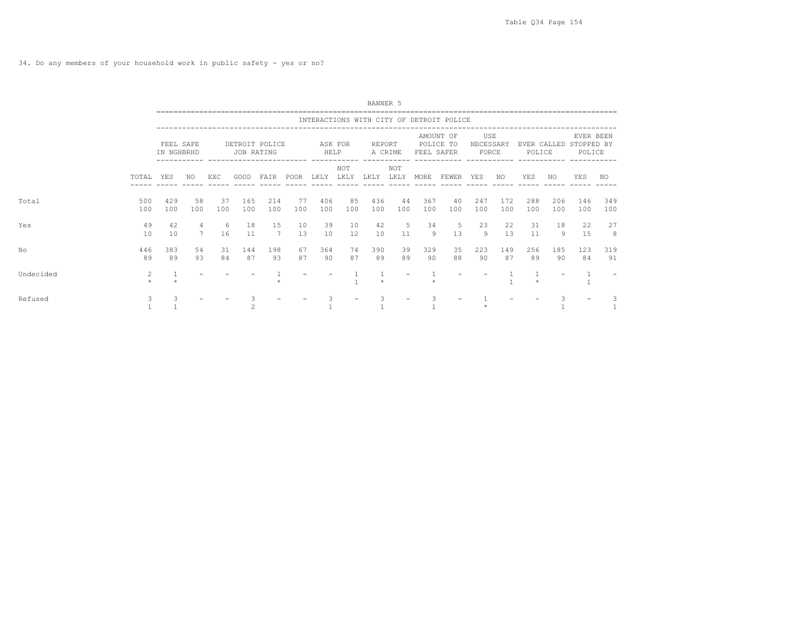34. Do any members of your household work in public safety - yes or no?

|           |              |                         |                      |           |            |                |           |            |             | BANNER 5   |             |            |                                          |                           |            |            |            |                                               |            |
|-----------|--------------|-------------------------|----------------------|-----------|------------|----------------|-----------|------------|-------------|------------|-------------|------------|------------------------------------------|---------------------------|------------|------------|------------|-----------------------------------------------|------------|
|           |              |                         |                      |           |            |                |           |            |             |            |             |            | INTERACTIONS WITH CITY OF DETROIT POLICE |                           |            |            |            |                                               |            |
|           |              | FEEL SAFE<br>IN NGHBRHD |                      |           | JOB RATING | DETROIT POLICE |           | HELP       | ASK FOR     | REPORT     | A CRIME     | FEEL SAFER | AMOUNT OF<br>POLICE TO                   | USE<br>NECESSARY<br>FORCE |            | POLICE     |            | EVER BEEN<br>EVER CALLED STOPPED BY<br>POLICE |            |
|           | TOTAL        | YES                     | NO.                  | EXC       | GOOD       | FAIR           | POOR      | LKLY       | NOT<br>LKLY | LKLY       | NOT<br>LKLY | MORE       | FEWER                                    | YES                       | NO.        | YES        | NO         | <b>YES</b>                                    | NO         |
| Total     | 500<br>100   | 429<br>100              | 58<br>100            | 37<br>100 | 165<br>100 | 214<br>100     | 77<br>100 | 406<br>100 | 85<br>100   | 436<br>100 | 44<br>100   | 367<br>100 | 40<br>100                                | 247<br>100                | 172<br>100 | 288<br>100 | 206<br>100 | 146<br>100                                    | 349<br>100 |
| Yes       | 49<br>10     | 42<br>10                | 4<br>$7\overline{ }$ | -6<br>16  | 18<br>11   | 15<br>7        | 10<br>13  | 39<br>10   | 10<br>12    | 42<br>10   | 5<br>11     | 34<br>9    | -5<br>13                                 | 23<br>9                   | 22<br>13   | 31<br>11   | 18<br>9    | 22<br>15                                      | 27<br>8    |
| No        | 446<br>89    | 383<br>89               | 54<br>93             | 31<br>84  | 144<br>87  | 198<br>93      | 67<br>87  | 364<br>90  | 74<br>87    | 390<br>89  | 39<br>89    | 329<br>90  | 35<br>88                                 | 223<br>90                 | 149<br>87  | 256<br>89  | 185<br>90  | 123<br>84                                     | 319<br>91  |
| Undecided | 2<br>$\star$ |                         |                      |           |            |                |           |            |             |            |             |            |                                          |                           |            |            |            |                                               |            |
| Refused   | 3            |                         |                      |           |            |                |           |            |             |            |             |            |                                          |                           |            |            |            |                                               |            |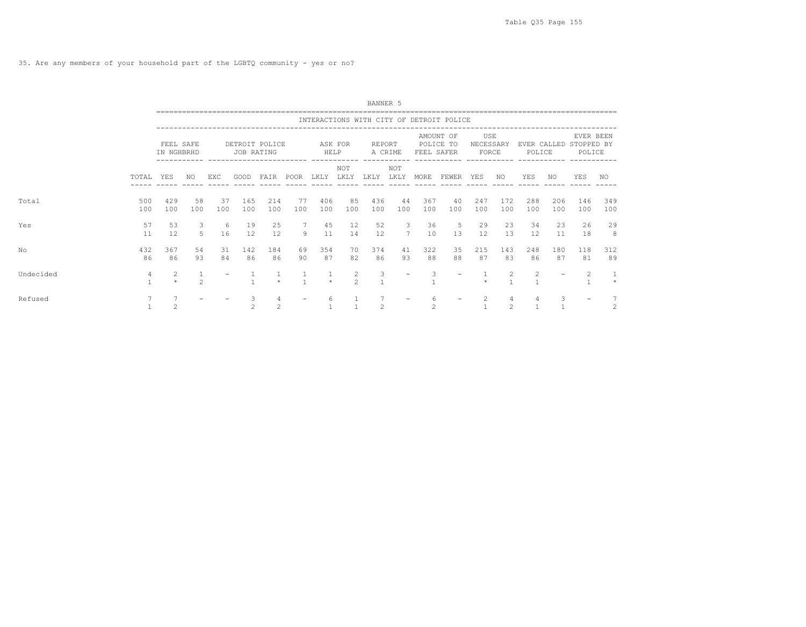|           |            |                         |                |           |                              |            |                    |              |                    | BANNER 5      |                                |            |                                          |                           |                     |            |            |                                               |            |
|-----------|------------|-------------------------|----------------|-----------|------------------------------|------------|--------------------|--------------|--------------------|---------------|--------------------------------|------------|------------------------------------------|---------------------------|---------------------|------------|------------|-----------------------------------------------|------------|
|           |            |                         |                |           |                              |            |                    |              |                    |               |                                |            | INTERACTIONS WITH CITY OF DETROIT POLICE |                           |                     |            |            |                                               |            |
|           |            | FEEL SAFE<br>IN NGHBRHD |                |           | DETROIT POLICE<br>JOB RATING |            |                    | HELP         | ASK FOR            | REPORT        | A CRIME                        | FEEL SAFER | AMOUNT OF<br>POLICE TO                   | USE<br>NECESSARY<br>FORCE |                     | POLICE     |            | EVER BEEN<br>EVER CALLED STOPPED BY<br>POLICE |            |
|           | TOTAL      | YES                     | NO.            | EXC       | GOOD                         | FAIR       | ----------<br>POOR | LKLY         | NOT<br>LKLY        | LKLY          | <b>NOT</b><br>LKLY             | MORE       | FEWER                                    | YES                       | NO.                 | <b>YES</b> | NO.        | YES                                           | NO.        |
| Total     | 500<br>100 | 429<br>100              | 58<br>100      | 37<br>100 | 165<br>100                   | 214<br>100 | 77<br>100          | 406<br>100   | 85<br>100          | 436<br>100    | 44<br>100                      | 367<br>100 | 40<br>100                                | 247<br>100                | 172<br>100          | 288<br>100 | 206<br>100 | 146<br>100                                    | 349<br>100 |
| Yes       | 57<br>11   | 53<br>12                | 3<br>5         | -6<br>16  | 19<br>12                     | 25<br>12   | 7<br>9             | 45<br>11     | 12<br>14           | 52<br>12      | $\mathbf{3}$<br>$\overline{7}$ | 36<br>10   | -5<br>13                                 | 29<br>12                  | 23<br>1.3           | 34<br>12   | 23<br>11   | 26<br>18                                      | 29<br>8    |
| No        | 432<br>86  | 367<br>86               | 54<br>93       | 31<br>84  | 142<br>86                    | 184<br>86  | 69<br>90           | 354<br>87    | 70<br>82           | 374<br>86     | 41<br>93                       | 322<br>88  | 35<br>88                                 | 215<br>87                 | 143<br>83           | 248<br>86  | 180<br>87  | 118<br>81                                     | 312<br>89  |
| Undecided | 4          | 2<br>$\star$            | $\mathfrak{D}$ |           |                              | $\star$    |                    | 1<br>$\star$ | 2<br>$\mathcal{P}$ | 3             | $\overline{\phantom{0}}$       | 3          |                                          |                           | 2                   | 2          |            | 2                                             | $\star$    |
| Refused   |            | $\overline{c}$          |                |           | 3<br>$\mathfrak{D}$          | 4<br>2     |                    | 6            |                    | $\mathcal{L}$ |                                | 6<br>2     |                                          | 2                         | 4<br>$\mathfrak{D}$ | 4          | 3          |                                               | 2          |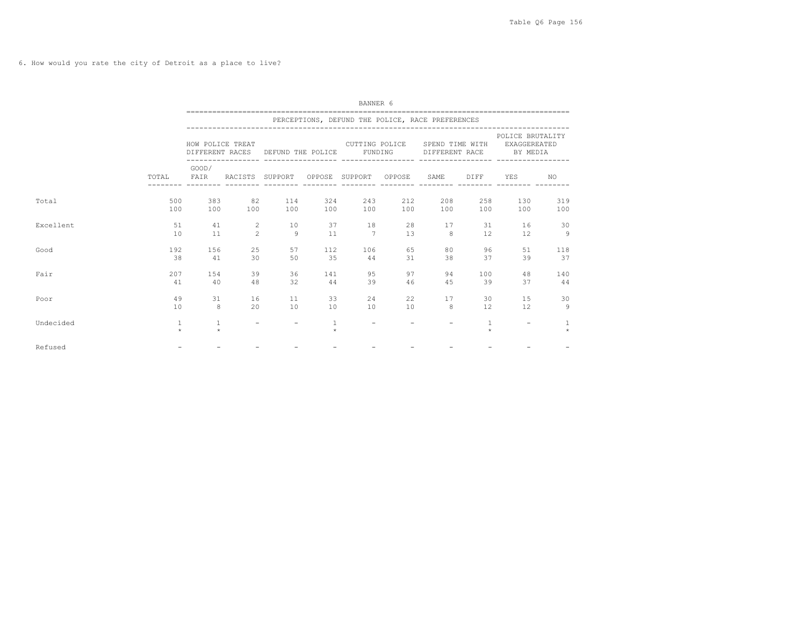6. How would you rate the city of Detroit as a place to live?

|           |                         |                         |                          |                                   |                         | BANNER 6                                         |            |                                   |                         |                                              |                         |
|-----------|-------------------------|-------------------------|--------------------------|-----------------------------------|-------------------------|--------------------------------------------------|------------|-----------------------------------|-------------------------|----------------------------------------------|-------------------------|
|           |                         |                         |                          |                                   |                         | PERCEPTIONS, DEFUND THE POLICE, RACE PREFERENCES |            |                                   |                         |                                              |                         |
|           |                         | HOW POLICE TREAT        |                          | DIFFERENT RACES DEFUND THE POLICE |                         | CUTTING POLICE<br>FUNDING                        |            | SPEND TIME WITH<br>DIFFERENT RACE |                         | POLICE BRUTALITY<br>EXAGGEREATED<br>BY MEDIA |                         |
|           | TOTAL FAIR              | GOOD/                   | RACISTS SUPPORT          |                                   |                         | -----------------<br>OPPOSE SUPPORT OPPOSE       |            | SAME                              | DIFF                    | YES                                          | NO.                     |
| Total     | 500<br>100              | 383<br>100              | 82<br>100                | 114<br>100                        | 324<br>100              | 243<br>100                                       | 212<br>100 | 208<br>100                        | 258<br>100              | 130<br>100                                   | 319<br>100              |
| Excellent | 51<br>10                | 41<br>11                | 2<br>$\overline{c}$      | 10<br>Q                           | 37<br>11                | <sup>18</sup><br>$\overline{7}$                  | 28<br>13   | 17<br>8                           | 31<br>12                | 16<br>12                                     | 30<br>$\overline{9}$    |
| Good      | 192<br>38               | 156<br>41               | 25<br>30                 | 57<br>50                          | 112<br>35               | 106<br>44                                        | 65<br>31   | 80<br>38                          | 96<br>37                | 51<br>39                                     | 118<br>37               |
| Fair      | 207<br>41               | 154<br>40               | 39<br>48                 | 36<br>32                          | 141<br>44               | 95<br>39                                         | 97<br>46   | 94<br>45                          | 100<br>39               | 48<br>37                                     | 140<br>44               |
| Poor      | 49<br>10                | 31<br>8                 | 16<br>20                 | 11<br>10                          | 33<br>10                | 24<br>10                                         | 22<br>10   | 17<br>8                           | 30<br>12                | 15<br>12                                     | 30<br>$\overline{9}$    |
| Undecided | $\mathbf{1}$<br>$\star$ | $\mathbf{1}$<br>$\star$ | $\overline{\phantom{m}}$ | $\overline{\phantom{a}}$          | $\mathbf{1}$<br>$\star$ | $\overline{\phantom{a}}$                         |            |                                   | $\mathbf{1}$<br>$\star$ | $\overline{\phantom{a}}$                     | $\mathbf{1}$<br>$\star$ |
| Refused   |                         |                         |                          |                                   |                         |                                                  |            |                                   |                         |                                              |                         |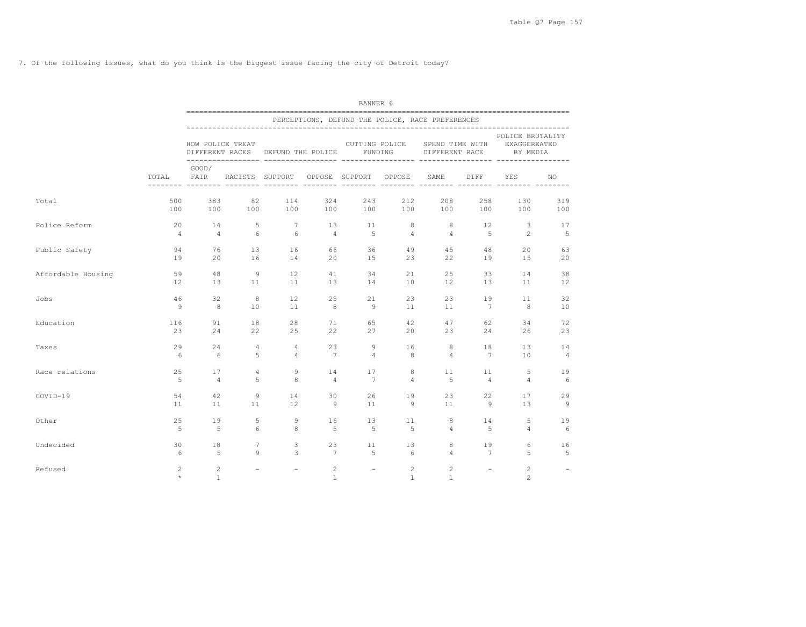7. Of the following issues, what do you think is the biggest issue facing the city of Detroit today?

|                    |                           | BANNER 6                            |                          |                          |                                |                          |                   |                                                  |                              |                                              |                |  |  |  |
|--------------------|---------------------------|-------------------------------------|--------------------------|--------------------------|--------------------------------|--------------------------|-------------------|--------------------------------------------------|------------------------------|----------------------------------------------|----------------|--|--|--|
|                    |                           |                                     |                          |                          |                                |                          |                   | PERCEPTIONS, DEFUND THE POLICE, RACE PREFERENCES |                              |                                              |                |  |  |  |
|                    |                           | HOW POLICE TREAT<br>DIFFERENT RACES |                          | DEFUND THE POLICE        |                                | FUNDING                  | CUTTING POLICE    | SPEND TIME WITH<br>DIFFERENT RACE                |                              | POLICE BRUTALITY<br>EXAGGEREATED<br>BY MEDIA |                |  |  |  |
|                    | TOTAL                     | GOOD/<br>FAIR                       | RACISTS SUPPORT          | ---- ---                 |                                | OPPOSE SUPPORT           | OPPOSE            | SAME                                             | DIFF                         | YES                                          | NO.            |  |  |  |
| Total              | 500                       | 383                                 | 82                       | 114                      | 324                            | 243                      | 212               | 208                                              | 258                          | 130                                          | 319            |  |  |  |
|                    | 100                       | 100                                 | 100                      | 100                      | 100                            | 100                      | 100               | 100                                              | 100                          | 100                                          | 100            |  |  |  |
| Police Reform      | 20                        | 14                                  | $-5$                     | 7                        | 13                             | 11                       | 8                 | 8                                                | 12                           | 3                                            | 17             |  |  |  |
|                    | $\overline{4}$            | $\overline{4}$                      | 6                        | 6                        | $\overline{4}$                 | $-5$                     | $\overline{4}$    | $\overline{4}$                                   | $-5$                         | 2                                            | - 5            |  |  |  |
| Public Safety      | 94                        | 76                                  | 13                       | 16                       | 66                             | 36                       | 49                | 45                                               | 48                           | 20                                           | 63             |  |  |  |
|                    | 19                        | 20                                  | 16                       | 14                       | 20                             | 1.5                      | 2.3               | 22                                               | 19                           | 15                                           | 20             |  |  |  |
| Affordable Housing | 59                        | 48                                  | $\overline{9}$           | 12                       | 41                             | 34                       | 21                | 25                                               | 33                           | 14                                           | 38             |  |  |  |
|                    | 12                        | 13                                  | 11                       | 11                       | 13                             | 14                       | 10                | 12                                               | 13                           | 11                                           | 12             |  |  |  |
| Jobs               | 46                        | 32                                  | 8                        | $12 \overline{ }$        | 25                             | 21                       | 23                | 23                                               | 19                           | 11                                           | 32             |  |  |  |
|                    | 9                         | - 8                                 | 10                       | 11                       | 8                              | $\overline{9}$           | 11                | 11                                               | $7\phantom{.0}\phantom{.0}7$ | 8                                            | 10             |  |  |  |
| Education          | 116                       | 91                                  | 18                       | 28                       | 71                             | 65                       | 42                | 47                                               | 62                           | 34                                           | 72             |  |  |  |
|                    | 23                        | 24                                  | 22                       | 25                       | 22                             | 27                       | 20                | 23                                               | 24                           | 26                                           | 23             |  |  |  |
| Taxes              | 29                        | 24                                  | $\overline{4}$           | $\overline{4}$           | 23                             | 9                        | 16                | 8                                                | 18                           | 13                                           | 14             |  |  |  |
|                    | 6                         | - 6                                 | 5                        | $\overline{4}$           | 7                              | $\overline{4}$           | 8                 | $\overline{4}$                                   | $7\phantom{.0}\phantom{.0}7$ | 10                                           | $\overline{4}$ |  |  |  |
| Race relations     | 25                        | 17                                  | $\overline{4}$           | 9                        | 14                             | 17                       | 8                 | 11                                               | 11                           | 5                                            | 19             |  |  |  |
|                    | 5                         | $\overline{4}$                      | 5                        | 8                        | $\overline{4}$                 | $\overline{7}$           | $\overline{4}$    | 5                                                | $\overline{4}$               | $\overline{4}$                               | 6              |  |  |  |
| COVID-19           | 54                        | 42                                  | $\overline{9}$           | 14                       | 30                             | 26                       | 19                | 23                                               | 22                           | 17                                           | 29             |  |  |  |
|                    | 11                        | 11                                  | - 11                     | $12 \overline{ }$        | 9                              | 11                       | 9                 | 11                                               | $^{\circ}$                   | 13                                           | $\overline{9}$ |  |  |  |
| Other              | 25                        | 19                                  | 5                        | 9                        | 16                             | 13                       | 11                | 8                                                | 14                           | 5                                            | 19             |  |  |  |
|                    | $\overline{5}$            | $-5$                                | 6                        | 8                        | 5                              | $-5$                     | 5                 | $\overline{4}$                                   | $\overline{5}$               | $\overline{4}$                               | 6              |  |  |  |
| Undecided          | 30                        | 18                                  | $7\phantom{.0}$          | 3                        | 23                             | 11                       | 13                | 8                                                | 19                           | 6                                            | 16             |  |  |  |
|                    | $6 \overline{6}$          | 5                                   | 9                        | 3                        | $7\phantom{.0}$                | $\overline{5}$           | 6                 | $\overline{4}$                                   | 7                            | 5                                            | 5              |  |  |  |
| Refused            | $\overline{c}$<br>$\star$ | 2<br>$\mathbf{1}$                   | $\overline{\phantom{a}}$ | $\overline{\phantom{a}}$ | $\overline{c}$<br>$\mathbf{1}$ | $\overline{\phantom{a}}$ | 2<br>$\mathbf{1}$ | $\mathbf{2}$<br>$\mathbf{1}$                     | $\sim$                       | 2<br>$\overline{c}$                          |                |  |  |  |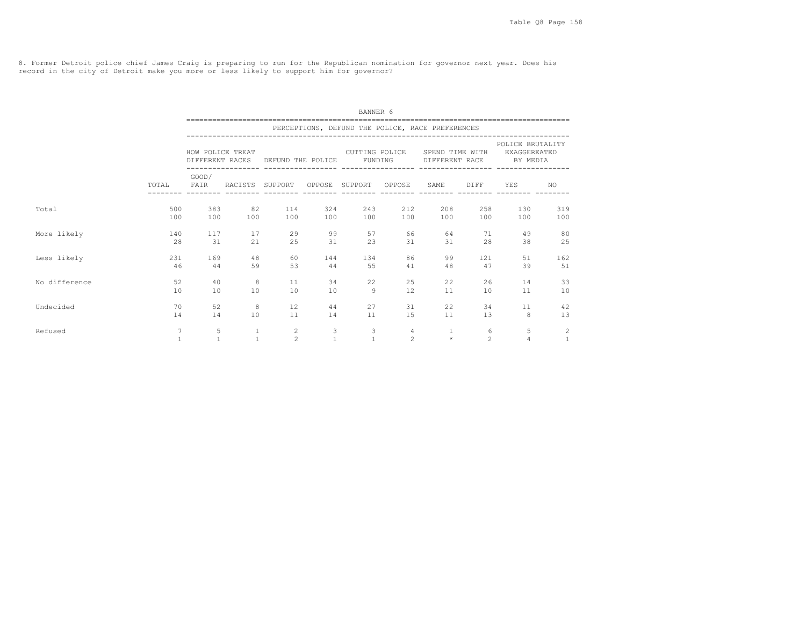8. Former Detroit police chief James Craig is preparing to run for the Republican nomination for governor next year. Does his record in the city of Detroit make you more or less likely to support him for governor?

|               |                                | BANNER 6            |                              |                                                                                          |                                |                           |                                  |                                                  |                     |                                                              |                                |  |  |  |  |
|---------------|--------------------------------|---------------------|------------------------------|------------------------------------------------------------------------------------------|--------------------------------|---------------------------|----------------------------------|--------------------------------------------------|---------------------|--------------------------------------------------------------|--------------------------------|--|--|--|--|
|               |                                |                     |                              |                                                                                          |                                |                           |                                  | PERCEPTIONS, DEFUND THE POLICE, RACE PREFERENCES |                     |                                                              |                                |  |  |  |  |
|               |                                |                     |                              | HOW POLICE TREAT THE SERVICE OUTTING POLICE<br>DIFFERENT RACES DEFUND THE POLICE FUNDING |                                |                           |                                  | DIFFERENT RACE                                   |                     | POLICE BRUTALITY<br>SPEND TIME WITH EXAGGEREATED<br>BY MEDIA |                                |  |  |  |  |
|               |                                | GOOD/<br>TOTAL FAIR |                              | RACISTS SUPPORT OPPOSE SUPPORT OPPOSE SAME DIFF                                          |                                |                           |                                  |                                                  |                     | YES                                                          | NO                             |  |  |  |  |
| Total         | 500<br>100                     |                     | 383 82<br>100 100            | 114<br>100                                                                               |                                | 324 243<br>100 100        | 212                              | 208<br>100 100                                   | 258<br>100          | 130<br>100                                                   | 319<br>100                     |  |  |  |  |
| More likely   | 140<br>2.8                     | 117<br>31           | 17<br>21                     | 29<br>2.5                                                                                |                                | 99 7 1<br>57<br>31<br>2.3 | 66<br>31                         | 31                                               | 64 64<br>71<br>28   | 49<br>38                                                     | 80<br>25                       |  |  |  |  |
| Less likely   | 231<br>46                      | 169<br>44           | 48<br>59                     | 60<br>53                                                                                 | 144<br>44                      | 134<br>55                 | 86<br>41                         | 99<br>48                                         | 121<br>47           | 51<br>39                                                     | 162<br>51                      |  |  |  |  |
| No difference | 52<br>10                       | 40<br>10            | 8<br>10                      | 11<br>10                                                                                 | 10                             | 22<br>34<br>9             | 25<br>12                         | 22<br>11                                         | 26<br>10            | 14<br>11                                                     | 33<br>10                       |  |  |  |  |
| Undecided     | 70<br>14                       | 52<br>14            | 8<br>10                      | $12 \overline{ }$<br>11                                                                  |                                | 27<br>44 \<br>14 11       | 31<br>15                         | 22<br>11                                         | 34<br>13            | 11<br>8                                                      | 42<br>13                       |  |  |  |  |
| Refused       | $\overline{7}$<br>$\mathbf{1}$ | 5<br>$\mathbf{1}$   | $\mathbf{1}$<br>$\mathbf{1}$ | 2<br>2                                                                                   | $\mathbf{3}$<br>$\overline{1}$ | 3<br>1                    | $\overline{4}$<br>$\mathfrak{D}$ | $\mathbf{1}$<br>$\pm$                            | 6<br>$\mathfrak{D}$ | 5<br>$\overline{4}$                                          | $\overline{2}$<br>$\mathbf{1}$ |  |  |  |  |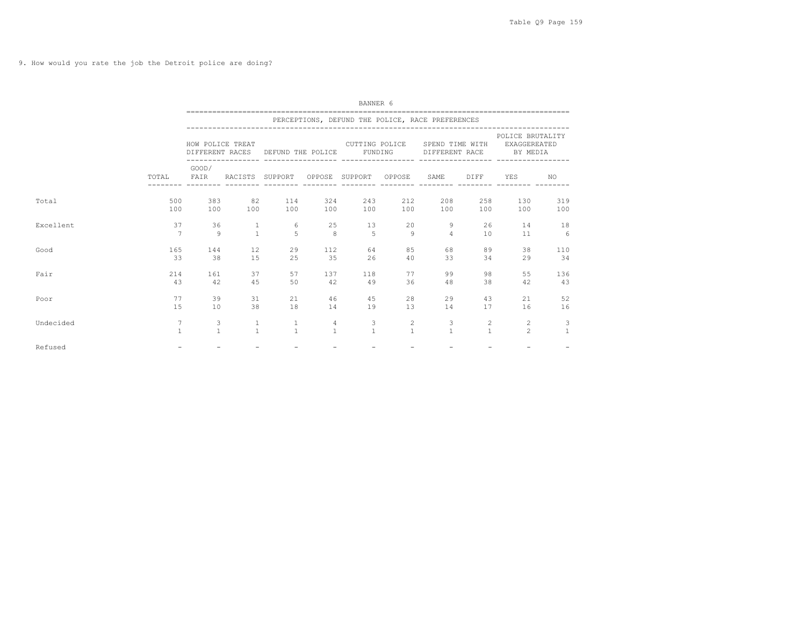9. How would you rate the job the Detroit police are doing?

|           | BANNER 6        |                  |                 |                    |                |                                                  |              |                                   |                       |                                                     |              |  |  |
|-----------|-----------------|------------------|-----------------|--------------------|----------------|--------------------------------------------------|--------------|-----------------------------------|-----------------------|-----------------------------------------------------|--------------|--|--|
|           |                 |                  |                 |                    |                | PERCEPTIONS, DEFUND THE POLICE, RACE PREFERENCES |              |                                   |                       |                                                     |              |  |  |
|           |                 | HOW POLICE TREAT | DIFFERENT RACES | DEFUND THE POLICE  |                | CUTTING POLICE<br>FUNDING                        |              | SPEND TIME WITH<br>DIFFERENT RACE |                       | POLICE BRUTALITY<br><b>EXAGGEREATED</b><br>BY MEDIA |              |  |  |
|           | TOTAL           | GOOD/<br>FAIR    | RACISTS SUPPORT | ------------------ |                | __________________<br>OPPOSE SUPPORT OPPOSE      |              | SAME                              | <b>DIFF</b>           | ------------------ ---------<br>YES                 | NO.          |  |  |
| Total     | 500             | 383              | 82              | 114                | 324            | 243                                              | 212          | 208                               | 258                   | 130                                                 | 319          |  |  |
|           | 100             | 100              | 100             | 100                | 100            | 100                                              | 100          | 100                               | 100                   | 100                                                 | 100          |  |  |
| Excellent | 37              | 36               | $\mathbf{1}$    | 6                  | 25             | 13                                               | 20           | 9                                 | 26                    | 14                                                  | 18           |  |  |
|           | $\overline{7}$  | $\overline{q}$   | $\mathbf{1}$    | $\overline{2}$     | 8              | 5                                                | 9            | $\overline{4}$                    | 10                    | 11                                                  | 6            |  |  |
| Good      | 165             | 144              | 12              | 29                 | 112            | 64                                               | 85           | 68                                | 89                    | 38                                                  | 110          |  |  |
|           | 33              | 38               | 1.5             | 25                 | 35             | 26                                               | 40           | 33                                | 34                    | 29                                                  | 34           |  |  |
| Fair      | 214             | 161              | 37              | 57                 | 137            | 118                                              | 77           | 99                                | 98                    | 55                                                  | 136          |  |  |
|           | 43              | 42               | 45              | 50                 | 42             | 49                                               | 36           | 48                                | 38                    | 42                                                  | 43           |  |  |
| Poor      | 77              | 39               | 31              | 21                 | 46             | 45                                               | 28           | 29                                | 43                    | 21                                                  | 52           |  |  |
|           | 15              | 10               | 38              | 18                 | 14             | 19                                               | 13           | 14                                | 17                    | 16                                                  | 16           |  |  |
| Undecided | $7\phantom{.0}$ | 3                | $\mathbf{1}$    | $\mathbf{1}$       | $\overline{4}$ | 3                                                | 2            | 3                                 | $\mathbf{2}^{\prime}$ | $\overline{2}$                                      | 3            |  |  |
|           | $\mathbf{1}$    | $\mathbf{1}$     | $\mathbf{1}$    | $\overline{1}$     | $\mathbf{1}$   | $\mathbf{1}$                                     | $\mathbf{1}$ | $\mathbf{1}$                      | $\mathbf{1}$          | $\mathfrak{D}$                                      | $\mathbf{1}$ |  |  |
| Refused   | $\equiv$        | $\equiv$         |                 | $\equiv$           |                | $\equiv$                                         | $\equiv$     |                                   | $\equiv$              |                                                     |              |  |  |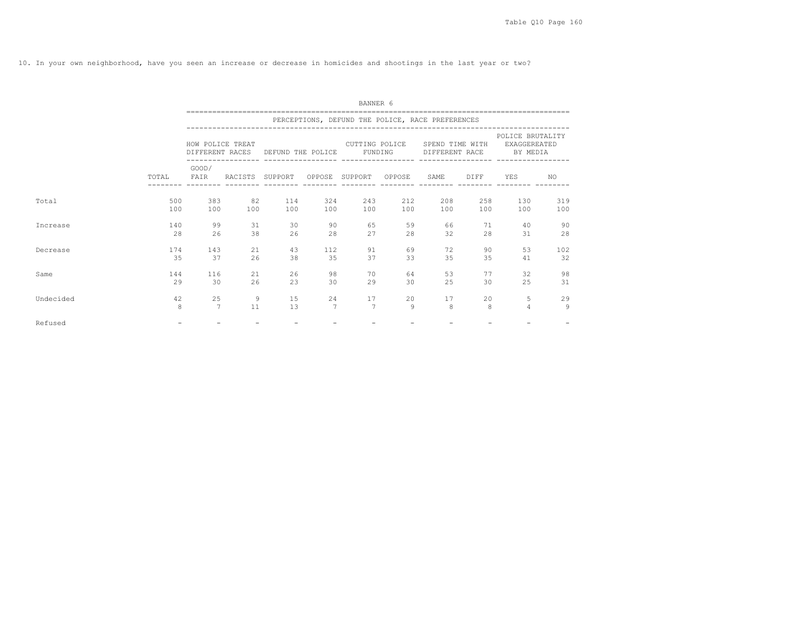10. In your own neighborhood, have you seen an increase or decrease in homicides and shootings in the last year or two?

|           |       | BANNER 6         |                 |                                   |                 |                                                  |     |                                   |      |                                              |     |  |  |  |  |
|-----------|-------|------------------|-----------------|-----------------------------------|-----------------|--------------------------------------------------|-----|-----------------------------------|------|----------------------------------------------|-----|--|--|--|--|
|           |       |                  |                 |                                   |                 | PERCEPTIONS, DEFUND THE POLICE, RACE PREFERENCES |     |                                   |      |                                              |     |  |  |  |  |
|           |       | HOW POLICE TREAT |                 | DIFFERENT RACES DEFUND THE POLICE |                 | CUTTING POLICE<br>FUNDING                        |     | SPEND TIME WITH<br>DIFFERENT RACE |      | POLICE BRUTALITY<br>EXAGGEREATED<br>BY MEDIA |     |  |  |  |  |
|           | TOTAL | GOOD/<br>FAIR    | RACISTS SUPPORT |                                   |                 | OPPOSE SUPPORT OPPOSE                            |     | SAME                              | DIFF | YES                                          | NO. |  |  |  |  |
| Total     | 500   | 383              | 82              | 114                               | 324             | 243                                              | 212 | 208                               | 258  | 130                                          | 319 |  |  |  |  |
|           | 100   | 100              | 100             | 100                               | 100             | 100                                              | 100 | 100                               | 100  | 100                                          | 100 |  |  |  |  |
| Increase  | 140   | 99               | 31              | 30                                | 90              | 65                                               | 59  | 66                                | 71   | 40                                           | 90  |  |  |  |  |
|           | 2.8   | 26               | 38              | 26                                | 28              | 2.7                                              | 2.8 | 32                                | 2.8  | 31                                           | 28  |  |  |  |  |
| Decrease  | 174   | 143              | 21              | 43                                | 112             | 91                                               | 69  | 72                                | 90   | 53                                           | 102 |  |  |  |  |
|           | 35    | 37               | 26              | 38                                | 35              | 37                                               | 33  | 35                                | 35   | 41                                           | 32  |  |  |  |  |
| Same      | 144   | 116              | 21              | 26                                | 98              | 70                                               | 64  | 53                                | 77   | 32                                           | 98  |  |  |  |  |
|           | 29    | 30               | 26              | 23                                | 30              | 29                                               | 30  | 25                                | 30   | 25                                           | 31  |  |  |  |  |
| Undecided | 42    | 25               | 9               | 15                                | 24              | 17                                               | 20  | 17                                | 20   | 5                                            | 29  |  |  |  |  |
|           | 8     | 7                | 11              | 13                                | $7\phantom{.0}$ | 7                                                | 9   | 8                                 | 8    | $\overline{4}$                               | 9   |  |  |  |  |
| Refused   |       |                  |                 |                                   |                 |                                                  |     |                                   |      |                                              |     |  |  |  |  |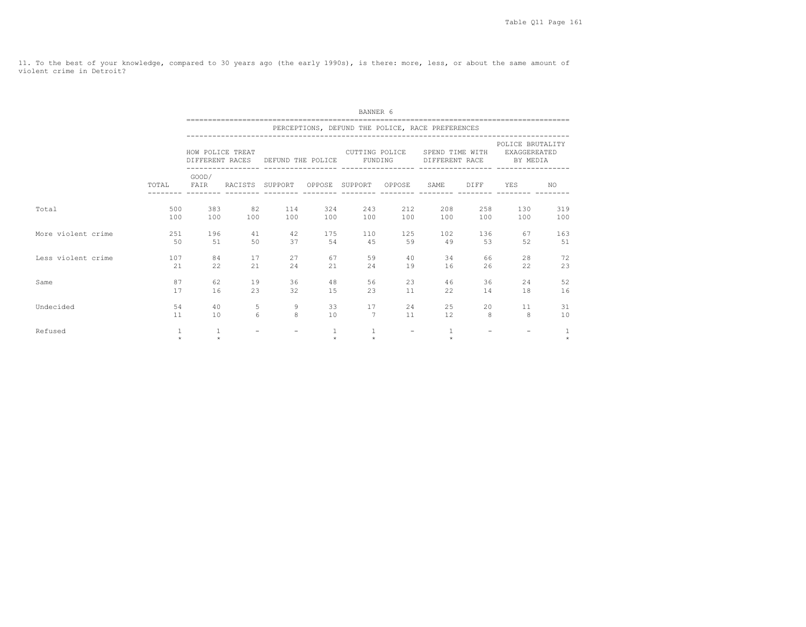11. To the best of your knowledge, compared to 30 years ago (the early 1990s), is there: more, less, or about the same amount of violent crime in Detroit?

|                    |             | BANNER 6                |                       |                          |     |                                      |           |                                                  |                   |                                                                                                                                            |            |  |  |  |  |
|--------------------|-------------|-------------------------|-----------------------|--------------------------|-----|--------------------------------------|-----------|--------------------------------------------------|-------------------|--------------------------------------------------------------------------------------------------------------------------------------------|------------|--|--|--|--|
|                    |             |                         |                       |                          |     |                                      |           | PERCEPTIONS, DEFUND THE POLICE, RACE PREFERENCES |                   |                                                                                                                                            |            |  |  |  |  |
|                    |             |                         |                       |                          |     |                                      |           |                                                  |                   | POLICE BRUTALITY<br>HOW POLICE TREAT THE SPEND TIME WITH EXAGGEREATED<br>DIFFERENT RACES DEFUND THE POLICE FUNDING DIFFERENT RACE BY MEDIA |            |  |  |  |  |
|                    |             | GOOD/                   |                       | --------- --------       |     |                                      |           |                                                  |                   | TOTAL FAIR RACISTS SUPPORT OPPOSE SUPPORT OPPOSE SAME DIFF YES                                                                             | NO         |  |  |  |  |
| Total              | 500<br>100  |                         | 383 82<br>100 100     |                          |     | 114 324 243<br>100 100 100           |           | 212<br>208<br>100 100                            |                   | 258<br>130<br>100<br>100                                                                                                                   | 319<br>100 |  |  |  |  |
| More violent crime | 251<br>50   | 51                      | 196 - 196<br>41<br>50 | 42<br>37                 | 175 | 110<br>54<br>4.5                     | 125<br>59 | 102<br>49                                        | 53                | 136 - 136<br>67<br>52                                                                                                                      | 163<br>51  |  |  |  |  |
| Less violent crime | 107<br>21   | 84<br>22                | 17<br>21              | 27<br>2.4                | 21  | 67 — 1<br>59<br>2.4                  | 40<br>19  | 16                                               | 34 6<br>66<br>26  | 28<br>22.2                                                                                                                                 | 72<br>23   |  |  |  |  |
| Same               | 87<br>17    | 62.<br>16               | 19<br>23              | 36<br>32                 | 15  | 48<br>56<br>23                       | 23<br>11  | 46<br>22                                         | 36<br>14          | 2.4<br>18                                                                                                                                  | 52<br>16   |  |  |  |  |
| Undecided          | .54<br>11   | 10 <sup>1</sup>         | 40                    | $5 - 1$<br>9<br>8<br>6 - | 10  | $33^{\circ}$<br>17<br>$\overline{7}$ | 11        | 24<br>12                                         | 25<br>$20 -$<br>8 | 11<br>8                                                                                                                                    | 31<br>10   |  |  |  |  |
| Refused            | 1<br>$\Phi$ | $\mathbf{1}$<br>$\star$ |                       | $\qquad \qquad -$        | 1   | $\mathbf{1}$<br>$\star$              | $ \,$     | 1<br>$\star$                                     |                   |                                                                                                                                            | $\star$    |  |  |  |  |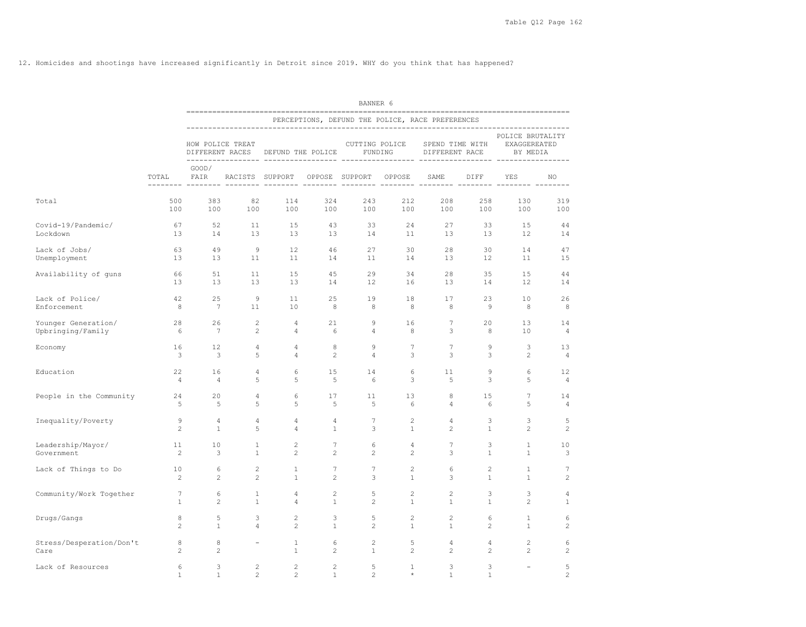12. Homicides and shootings have increased significantly in Detroit since 2019. WHY do you think that has happened?

|                                          |                         | BANNER 6                     |                                |                                                          |                                   |                                  |                         |                                                  |                   |                                                                             |                      |  |  |  |
|------------------------------------------|-------------------------|------------------------------|--------------------------------|----------------------------------------------------------|-----------------------------------|----------------------------------|-------------------------|--------------------------------------------------|-------------------|-----------------------------------------------------------------------------|----------------------|--|--|--|
|                                          |                         |                              |                                |                                                          |                                   |                                  |                         | PERCEPTIONS, DEFUND THE POLICE, RACE PREFERENCES |                   |                                                                             |                      |  |  |  |
|                                          |                         | HOW POLICE TREAT             |                                | DIFFERENT RACES DEFUND THE POLICE FUNDING DIFFERENT RACE |                                   |                                  |                         |                                                  |                   | POLICE BRUTALITY<br>CUTTING POLICE SPEND TIME WITH EXAGGEREATED<br>BY MEDIA |                      |  |  |  |
|                                          | TOTAL                   | GOOD/                        |                                | FAIR RACISTS SUPPORT OPPOSE SUPPORT OPPOSE               |                                   |                                  |                         | SAME                                             | DIFF              | YES                                                                         | NO                   |  |  |  |
| Total                                    | 500                     | 383                          | 82                             | 114                                                      | 324                               | 243                              | 212                     | 208                                              | 258               | 130                                                                         | 319                  |  |  |  |
|                                          | 100                     | 100                          | 100                            | 100                                                      | 100                               | 100                              | 100                     | 100                                              | 100               | 100                                                                         | 100                  |  |  |  |
| Covid-19/Pandemic/<br>Lockdown           | 67<br>13                | 52<br>14                     | 11<br>13                       | 1.5<br>13                                                | 43<br>13                          | 33<br>14                         | 2.4                     | 2.7<br>$11 \qquad \qquad 13$                     | 33<br>13          | 1.5<br>$12 \overline{ }$                                                    | 44<br>14             |  |  |  |
| Lack of Jobs/                            | 63                      | 49                           | $\overline{9}$                 | 12                                                       | 46                                | 27                               | 30                      | 28                                               | 30                | 14                                                                          | 47                   |  |  |  |
| Unemployment                             | 13                      | 13                           | 11                             | 11                                                       | 14                                | 11                               | 14                      | 13                                               | 12                | 11                                                                          | 15                   |  |  |  |
| Availability of guns                     | 66                      | 51                           | 11                             | 15                                                       | 45                                | 29                               | 34                      | 28                                               | 35                | 15                                                                          | 44                   |  |  |  |
|                                          | 13                      | 13                           | 13                             | 13                                                       | 14                                | 12                               | 16                      | 13                                               | 14                | 12                                                                          | 14                   |  |  |  |
| Lack of Police/                          | 42                      | 25                           | 9                              | 11                                                       | 25                                | 19                               | 18                      | 17                                               | 23                | 10                                                                          | 26                   |  |  |  |
| Enforcement                              | 8 <sup>8</sup>          | $7\phantom{.0}\phantom{.0}7$ | 11                             | 10                                                       | 8                                 | 8                                | 8                       | 8                                                | - 9               | 8                                                                           | 8                    |  |  |  |
| Younger Generation/<br>Upbringing/Family | $6\overline{6}$         | 28<br>26<br>$7\phantom{.0}$  | 2<br>2                         | $\overline{4}$<br>$\overline{4}$                         | 21<br>6                           | $\overline{9}$<br>$\overline{4}$ | 16<br>- 8               | $7\phantom{.0}$<br>3                             | 20<br>8           | 13<br>10                                                                    | 14<br>$\overline{4}$ |  |  |  |
| Economy                                  | 16                      | 12                           | $\overline{4}$                 | $\overline{4}$                                           | 8                                 | 9                                | 7                       | $\overline{7}$                                   | $\mathcal{Q}$     | 3                                                                           | 13                   |  |  |  |
|                                          | $\overline{\mathbf{3}}$ | $\overline{\phantom{a}}$     | 5                              | $\overline{4}$                                           | 2                                 | $\overline{4}$                   | 3                       | $\mathbf{3}$                                     | 3                 | 2                                                                           | $\overline{4}$       |  |  |  |
| Education                                | 22                      | 16                           | $\overline{4}$                 | 6                                                        | 15                                | 14                               | 6                       | 11                                               | $\mathcal{Q}$     | 6                                                                           | 12                   |  |  |  |
|                                          | $\overline{4}$          | $\overline{4}$               | 5                              | 5                                                        | 5                                 | 6                                | $\mathbf{3}$            | 5                                                | 3                 | 5                                                                           | $\overline{4}$       |  |  |  |
| People in the Community                  | 24                      | 20                           | $\overline{4}$                 | 6                                                        | 17                                | 11                               | 13                      | 8                                                | 15                | $7\phantom{.0}$                                                             | 14                   |  |  |  |
|                                          | $5^{\circ}$             | $-5$                         | 5                              | 5                                                        | 5                                 | $5^{\circ}$                      | 6                       | $\overline{4}$                                   | 6                 | 5                                                                           | $\overline{4}$       |  |  |  |
| Inequality/Poverty                       | 9                       | $\overline{4}$               | $\overline{4}$                 | $\overline{4}$                                           | $\overline{4}$                    | $7\phantom{.0}\phantom{.0}7$     | $\overline{c}$          | $\overline{4}$                                   | 3                 | 3                                                                           | 5                    |  |  |  |
|                                          | 2                       | $\mathbf{1}$                 | 5                              | $\overline{4}$                                           | $\mathbf{1}$                      | 3                                | 1                       | $\overline{c}$                                   | $\mathbf{1}$      | $\overline{c}$                                                              | $\overline{2}$       |  |  |  |
| Leadership/Mayor/<br>Government          | 11<br>2                 | 10<br>3                      | $\overline{1}$<br>$\mathbf{1}$ | 2<br>2                                                   | $7\phantom{.0}$<br>$\overline{2}$ | 6<br>$\overline{2}$              | $\overline{4}$<br>2     | $\overline{\phantom{a}}$<br>3                    | 3<br><sup>1</sup> | $\mathbf{1}$<br>$\mathbf{1}$                                                | 10<br>3              |  |  |  |
| Lack of Things to Do                     | 10                      | 6                            | 2                              | 1                                                        | $7\phantom{.0}$                   | $7\phantom{.0}$                  | 2                       | 6                                                | $\overline{c}$    | $\mathbf{1}$                                                                | 7                    |  |  |  |
|                                          | 2                       | 2                            | 2                              | 1                                                        | $\overline{2}$                    | 3                                | $\mathbf{1}$            | 3                                                | $\mathbf{1}$      | 1                                                                           | $\overline{c}$       |  |  |  |
| Community/Work Together                  | $7\overline{ }$         | 6                            | 1                              | 4                                                        | $\overline{c}$                    | 5                                | 2                       | $\overline{c}$                                   | 3                 | 3                                                                           | 4                    |  |  |  |
|                                          | $\mathbf{1}$            | $\overline{2}$               | $\mathbf{1}$                   | $\overline{4}$                                           | $\mathbf{1}$                      | $\overline{c}$                   | $\mathbf{1}$            | $\mathbf{1}$                                     | $\mathbf{1}$      | $\overline{c}$                                                              | $\mathbf{1}$         |  |  |  |
| Drugs/Gangs                              | 8                       | 5                            | 3                              | 2                                                        | 3                                 | 5                                | 2                       | $\overline{c}$                                   | 6                 | $\mathbf{1}$                                                                | 6                    |  |  |  |
|                                          | $\overline{2}$          | $\mathbf{1}$                 | $\overline{4}$                 | 2                                                        | $\mathbf{1}$                      | $\overline{c}$                   | 1                       | $\mathbf{1}$                                     | $\overline{c}$    | 1                                                                           | $\overline{c}$       |  |  |  |
| Stress/Desperation/Don't                 | 8                       | 8                            | $\overline{\phantom{a}}$       | $\mathbf{1}$                                             | 6                                 | $\overline{c}$                   | 5                       | $\overline{4}$                                   | $\overline{4}$    | $\mathbf{2}$                                                                | 6                    |  |  |  |
| Care                                     | 2                       | $\overline{c}$               |                                | $\mathbf{1}$                                             | $\mathbf{2}$                      | <sup>1</sup>                     | 2                       | $\overline{c}$                                   | $\overline{c}$    | $\mathbf{2}$                                                                | $\sqrt{2}$           |  |  |  |
| Lack of Resources                        | 6<br>$\mathbf{1}$       | 3<br>$\mathbf{1}$            | 2<br>$\mathfrak{D}$            | 2<br>$\mathfrak{D}$                                      | $\overline{c}$<br>$\overline{1}$  | 5<br>$\mathfrak{D}$              | $\mathbf{1}$<br>$\star$ | 3<br>$\mathbf{1}$                                | 3<br>$\mathbf{1}$ | $\sim$                                                                      | 5<br>$\mathfrak{D}$  |  |  |  |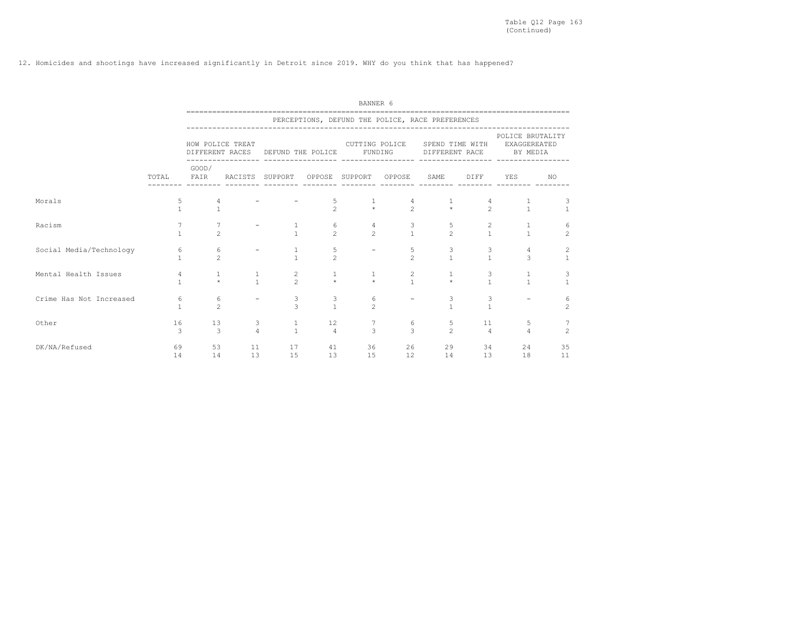12. Homicides and shootings have increased significantly in Detroit since 2019. WHY do you think that has happened?

|                         | BANNER 6<br>------------------- |                                     |                     |                              |                      |                         |                     |                                                  |                                       |                                                     |                                       |  |  |
|-------------------------|---------------------------------|-------------------------------------|---------------------|------------------------------|----------------------|-------------------------|---------------------|--------------------------------------------------|---------------------------------------|-----------------------------------------------------|---------------------------------------|--|--|
|                         |                                 |                                     |                     |                              |                      |                         |                     | PERCEPTIONS, DEFUND THE POLICE, RACE PREFERENCES |                                       |                                                     |                                       |  |  |
|                         |                                 | HOW POLICE TREAT<br>DIFFERENT RACES | ------------------- | DEFUND THE POLICE            |                      | CUTTING POLICE          | FUNDING             | SPEND TIME WITH<br>DIFFERENT RACE                |                                       | POLICE BRUTALITY<br><b>EXAGGEREATED</b><br>BY MEDIA |                                       |  |  |
|                         | TOTAL                           | GOOD/<br>FAIR                       | RACISTS             | SUPPORT                      |                      | OPPOSE SUPPORT OPPOSE   |                     | SAME                                             | DIFF                                  | <b>YES</b>                                          | NO.                                   |  |  |
| Morals                  | 5<br>$\mathbf{1}$               |                                     |                     |                              | 5<br>$\overline{2}$  | $\mathbf{1}$<br>$\star$ | $\mathfrak{D}$      | $\star$                                          | 4<br>$\overline{2}$                   | $\mathbf{1}$                                        | 3<br>$\overline{1}$                   |  |  |
| Racism                  | $\overline{7}$<br>$\mathbf{1}$  | $\mathfrak{D}$                      |                     |                              | 6<br>$\mathfrak{D}$  | 4<br>$\mathfrak{D}$     | $\frac{3}{1}$       | 5<br>$\mathfrak{D}$                              | $\begin{array}{c} 2 \\ 1 \end{array}$ | 1<br>$\mathbf{1}$                                   | 6<br>$\mathfrak{D}$                   |  |  |
| Social Media/Technology | 6                               | 6<br>$\mathfrak{D}$                 |                     | $\frac{1}{1}$                | 5<br>$\mathfrak{D}$  |                         | 5<br>$\mathfrak{D}$ | 3<br>$\mathbf{1}$                                | 3<br>$\mathbf{1}$                     | $\overline{4}$<br>$\mathcal{L}$                     | $\begin{array}{c} 2 \\ 1 \end{array}$ |  |  |
| Mental Health Issues    | 4<br>$\mathbf{1}$               | 1<br>$\star$                        | $\frac{1}{1}$       | 2<br>$\mathfrak{D}$          | 1<br>$\star$         | 1<br>$\star$            | $\frac{2}{1}$       | $\star$                                          | 3<br>$\mathbf{1}$                     | $\mathbf{1}$<br>$\mathbf{1}$                        | 3<br>$\overline{1}$                   |  |  |
| Crime Has Not Increased | 6<br>1                          | 6<br>$\overline{2}$                 |                     | 3<br>$\overline{3}$          | 3<br>$\mathbf{1}$    | 6<br>$\overline{2}$     |                     | 3<br>1                                           | 3<br>$\mathbf{1}$                     |                                                     | 6<br>$\overline{c}$                   |  |  |
| Other                   | 16<br>3                         | 13<br>$\mathcal{L}$                 | 3<br>4              | $\mathbf{1}$<br>$\mathbf{1}$ | 12<br>$\overline{4}$ | 7<br>$\mathcal{L}$      | 6<br>$\mathcal{L}$  | 5<br>$\mathfrak{D}$                              | 11<br>$\overline{4}$                  | 5<br>4                                              | $\mathfrak{D}$                        |  |  |
| DK/NA/Refused           | 69<br>14                        | 53<br>14                            | 11<br>13            | 17<br>15                     | 41<br>13             | 36<br>15                | 12                  | 26<br>29<br>14                                   | 34<br>13                              | 24<br>18                                            | 35<br>11                              |  |  |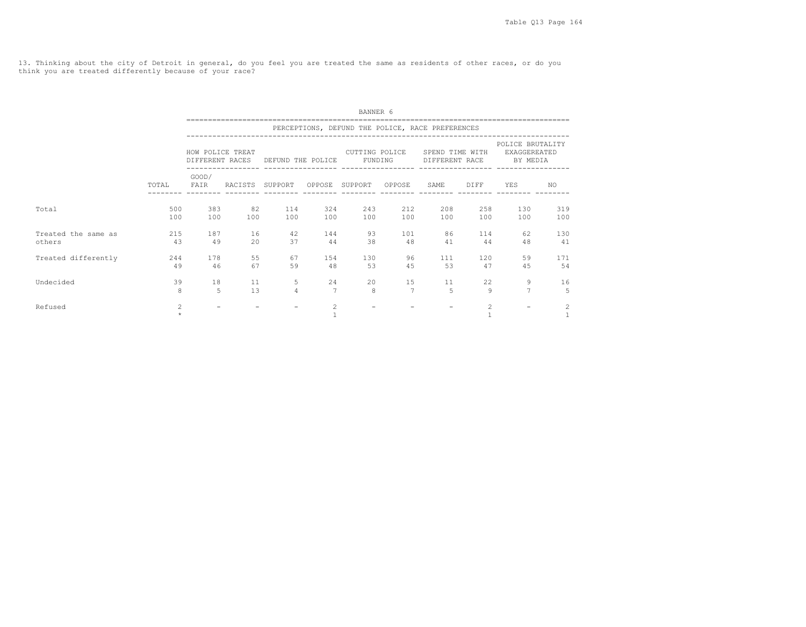13. Thinking about the city of Detroit in general, do you feel you are treated the same as residents of other races, or do you think you are treated differently because of your race?

|                               |                          | BANNER 6                            |                 |                     |            |                                                  |                      |                                   |            |                                                     |                   |  |  |  |  |
|-------------------------------|--------------------------|-------------------------------------|-----------------|---------------------|------------|--------------------------------------------------|----------------------|-----------------------------------|------------|-----------------------------------------------------|-------------------|--|--|--|--|
|                               |                          |                                     |                 |                     |            | PERCEPTIONS, DEFUND THE POLICE, RACE PREFERENCES |                      |                                   |            |                                                     |                   |  |  |  |  |
|                               |                          | HOW POLICE TREAT<br>DIFFERENT RACES |                 | DEFUND THE POLICE   |            | CUTTING POLICE<br>FUNDING                        |                      | SPEND TIME WITH<br>DIFFERENT RACE |            | POLICE BRUTALITY<br><b>EXAGGEREATED</b><br>BY MEDIA |                   |  |  |  |  |
|                               | TOTAL<br>500             | GOOD/<br>FAIR                       | RACISTS SUPPORT |                     | OPPOSE     | SUPPORT                                          | OPPOSE               | SAME                              | DIFF       | <b>YES</b>                                          | NO.               |  |  |  |  |
| Total                         | 100                      | 383<br>100                          | 82<br>100       | 114<br>100          | 324<br>100 | 243<br>100                                       | 212<br>100           | 208<br>100                        | 258<br>100 | 130<br>100                                          | 319<br>100        |  |  |  |  |
| Treated the same as<br>others | 215<br>43                | 187<br>49                           | 16<br>20        | 42<br>37            | 144<br>44  | 93<br>38                                         | 101<br>48            | 86<br>41                          | 114<br>44  | 62<br>48                                            | 130<br>41         |  |  |  |  |
| Treated differently           | 244<br>49                | 178<br>46                           | 55<br>67        | 67<br>59            | 154<br>48  | 130<br>53                                        | 96<br>45             | 111<br>53                         | 120<br>47  | 59<br>4.5                                           | 171<br>54         |  |  |  |  |
| Undecided                     | 39<br>8                  | 18<br>5                             | 11<br>13        | 5<br>$\overline{4}$ | 24<br>7    | 20<br>8                                          | 15<br>$\overline{7}$ | 11<br>5                           | 22<br>Q    | 9<br>$\overline{7}$                                 | 16<br>5           |  |  |  |  |
| Refused                       | $\overline{2}$<br>$\Phi$ | $-$                                 |                 |                     | 2          |                                                  |                      | $\overline{\phantom{0}}$          | 2          | $\overline{\phantom{0}}$                            | 2<br>$\mathbf{1}$ |  |  |  |  |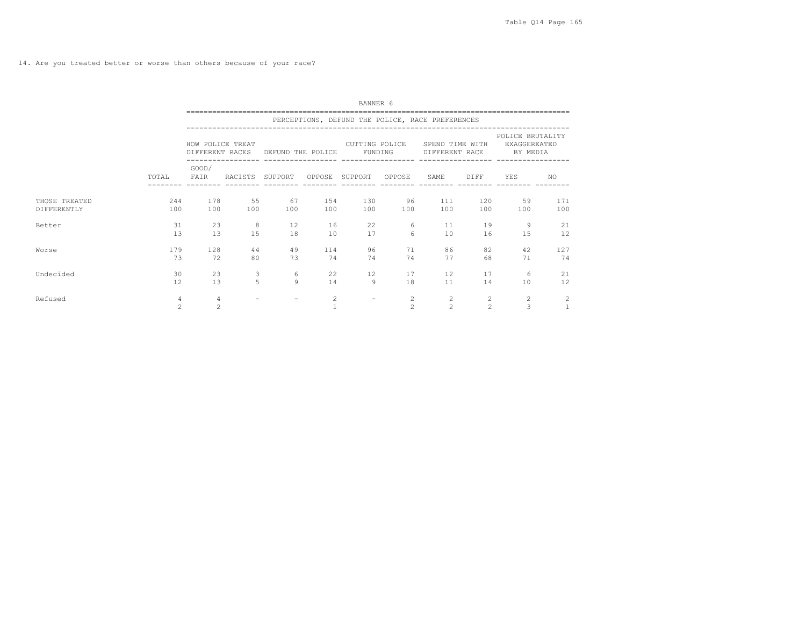14. Are you treated better or worse than others because of your race?

|                              |                     | BANNER 6<br>=================================== |                     |                                                             |                |                                                  |                                  |                                         |                                |                                                             |                |  |  |  |  |
|------------------------------|---------------------|-------------------------------------------------|---------------------|-------------------------------------------------------------|----------------|--------------------------------------------------|----------------------------------|-----------------------------------------|--------------------------------|-------------------------------------------------------------|----------------|--|--|--|--|
|                              |                     |                                                 |                     |                                                             |                | PERCEPTIONS, DEFUND THE POLICE, RACE PREFERENCES |                                  |                                         |                                |                                                             |                |  |  |  |  |
|                              |                     | HOW POLICE TREAT                                |                     | CUTTING POLICE<br>DIFFERENT RACES DEFUND THE POLICE FUNDING |                |                                                  |                                  | SPEND TIME WITH                         |                                | POLICE BRUTALITY<br>EXAGGEREATED<br>DIFFERENT RACE BY MEDIA |                |  |  |  |  |
|                              | TOTAL               | GOOD/<br>FAIR                                   | RACISTS SUPPORT     |                                                             |                | OPPOSE SUPPORT OPPOSE                            |                                  | SAME                                    | DIFF                           | YES                                                         | NO.            |  |  |  |  |
| THOSE TREATED<br>DIFFERENTLY | 244<br>100          | 178<br>100                                      | 55<br>100           | 67<br>100                                                   | 154<br>100     | 130<br>100                                       | 96<br>100                        | 111<br>100                              | 120<br>100                     | 59<br>100                                                   | 171<br>100     |  |  |  |  |
| Better                       | 31<br>13            | 23<br>13                                        | 8<br>1.5            | 12<br>18                                                    | 16<br>10       | 22<br>17                                         | 6<br>$6 \overline{6}$            | 11<br>10                                | 19<br>16                       | 9<br>15                                                     | 21<br>12       |  |  |  |  |
| Worse                        | 179<br>73           | 128<br>72                                       | 44<br>80            | 49<br>73                                                    | 114<br>74      | 96<br>74                                         | 71<br>74                         | 86<br>77                                | 82<br>68                       | 42<br>71                                                    | 127<br>74      |  |  |  |  |
| Undecided                    | 30<br>12.           | 23<br>13                                        | 3<br>$\overline{a}$ | 6<br>$\mathsf{Q}$                                           | 22<br>14       | 12<br>9                                          | 17<br>18                         | 12<br>11                                | 17<br>14                       | 6<br>10                                                     | 21<br>12       |  |  |  |  |
| Refused                      | $\overline{4}$<br>2 | $\overline{4}$<br>$\overline{c}$                |                     |                                                             | $\overline{2}$ | $\overline{\phantom{0}}$                         | $\overline{2}$<br>$\mathfrak{D}$ | $\mathbf{2}^{\prime}$<br>$\overline{c}$ | $\mathbf{2}$<br>$\mathfrak{D}$ | 2<br>3                                                      | $\overline{c}$ |  |  |  |  |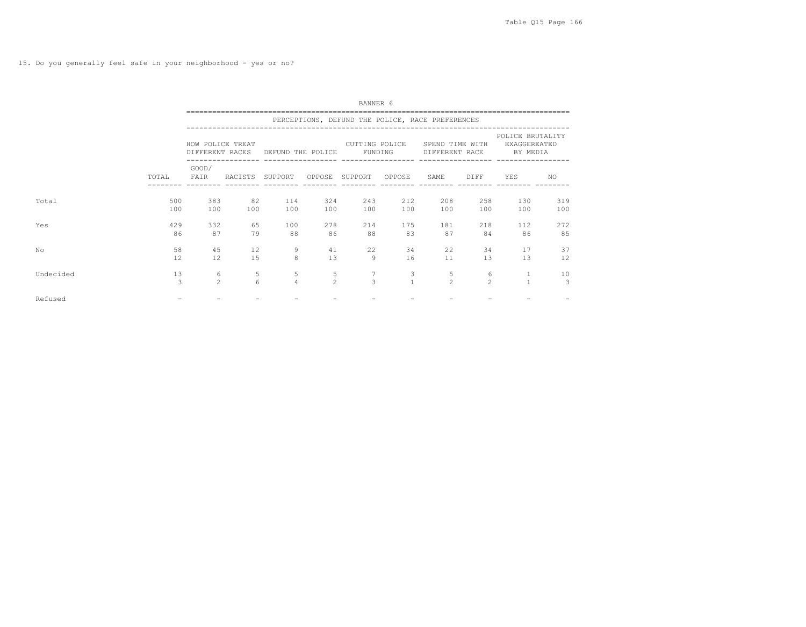15. Do you generally feel safe in your neighborhood - yes or no?

|           |            | BANNER 6                            |           |                     |                     |                           |                   |                                                  |                     |                                                     |            |  |  |  |  |
|-----------|------------|-------------------------------------|-----------|---------------------|---------------------|---------------------------|-------------------|--------------------------------------------------|---------------------|-----------------------------------------------------|------------|--|--|--|--|
|           |            |                                     |           |                     |                     |                           |                   | PERCEPTIONS, DEFUND THE POLICE, RACE PREFERENCES |                     |                                                     |            |  |  |  |  |
|           |            | HOW POLICE TREAT<br>DIFFERENT RACES |           | DEFUND THE POLICE   |                     | CUTTING POLICE<br>FUNDING |                   | SPEND TIME WITH<br>DIFFERENT RACE                |                     | POLICE BRUTALITY<br><b>EXAGGEREATED</b><br>BY MEDIA |            |  |  |  |  |
|           | TOTAL      | GOOD/<br>FAIR                       | RACISTS   | SUPPORT             |                     | OPPOSE SUPPORT            | OPPOSE            | SAME                                             | DIFF                | YES                                                 | NO.        |  |  |  |  |
| Total     | 500<br>100 | 383<br>100                          | 82<br>100 | 114<br>100          | 324<br>100          | 243<br>100                | 212<br>100        | 208<br>100                                       | 258<br>100          | 130<br>100                                          | 319<br>100 |  |  |  |  |
| Yes       | 429<br>86  | 332<br>87                           | 65<br>79  | 100<br>88           | 278<br>86           | 214<br>88                 | 175<br>83         | 181<br>87                                        | 218<br>84           | 112<br>86                                           | 272<br>85  |  |  |  |  |
| No        | 58<br>12   | 45<br>12                            | 12<br>15  | 9<br>8              | 41<br>13            | 22<br>$\overline{9}$      | 34<br>16          | 22<br>11                                         | 34<br>13            | 17<br>13                                            | 37<br>12   |  |  |  |  |
| Undecided | 13<br>3    | 6<br>$\overline{2}$                 | 5<br>6    | 5<br>$\overline{4}$ | 5<br>$\mathfrak{D}$ | 7<br>$\overline{3}$       | 3<br>$\mathbf{1}$ | 5<br>$\mathfrak{D}$                              | 6<br>$\mathfrak{D}$ | 1<br>$\mathbf{1}$                                   | 10<br>3    |  |  |  |  |
| Refused   |            |                                     |           |                     |                     |                           |                   |                                                  |                     |                                                     |            |  |  |  |  |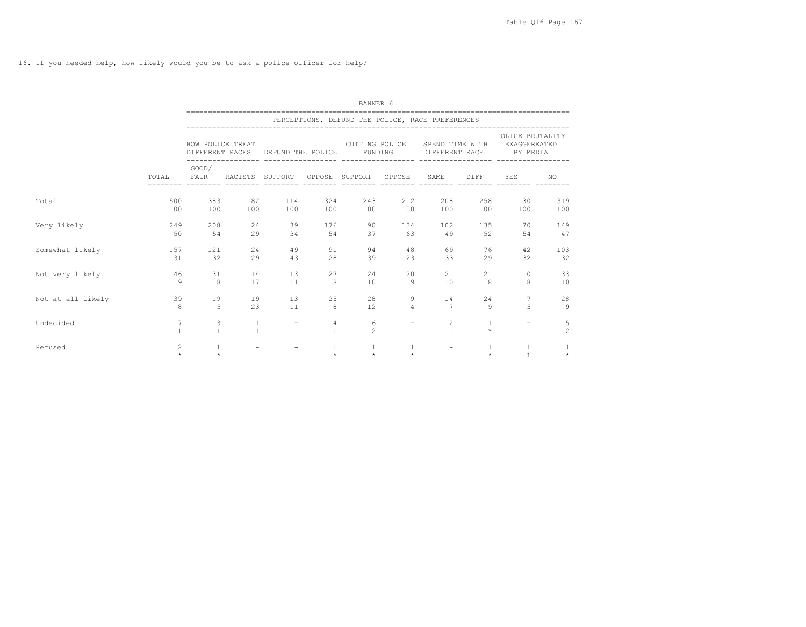16. If you needed help, how likely would you be to ask a police officer for help?

|                   |                   | BANNER 6                            |                   |                          |                   |                                                  |                          |                                   |                         |                                                     |                      |  |  |  |
|-------------------|-------------------|-------------------------------------|-------------------|--------------------------|-------------------|--------------------------------------------------|--------------------------|-----------------------------------|-------------------------|-----------------------------------------------------|----------------------|--|--|--|
|                   |                   |                                     |                   |                          |                   | PERCEPTIONS, DEFUND THE POLICE, RACE PREFERENCES |                          |                                   |                         |                                                     |                      |  |  |  |
|                   |                   | HOW POLICE TREAT<br>DIFFERENT RACES |                   | DEFUND THE POLICE        |                   | CUTTING POLICE<br>FUNDING                        |                          | SPEND TIME WITH<br>DIFFERENT RACE |                         | POLICE BRUTALITY<br><b>EXAGGEREATED</b><br>BY MEDIA |                      |  |  |  |
|                   | TOTAL             | GOOD/<br>FAIR                       | RACISTS SUPPORT   |                          |                   | ------------------<br>OPPOSE SUPPORT             | OPPOSE                   | SAME                              | <b>DIFF</b>             | YES                                                 | NO.                  |  |  |  |
| Total             | 500<br>100        | 383<br>100                          | 82<br>100         | 114<br>100               | 324<br>100        | 243<br>100                                       | 212<br>100               | 208<br>100                        | 258<br>100              | 130<br>100                                          | 319<br>100           |  |  |  |
| Very likely       | 249<br>50         | 208<br>54                           | 24<br>29          | 39<br>34                 | 176<br>54         | 90<br>37                                         | 134<br>63                | 102<br>49                         | 135<br>52               | 70<br>54                                            | 149<br>47            |  |  |  |
| Somewhat likely   | 157<br>31         | 121<br>32                           | 2.4<br>29         | 49<br>43                 | 91<br>28          | 94<br>39                                         | 48<br>23                 | 69<br>33                          | 76<br>29                | 42<br>32                                            | 103<br>32            |  |  |  |
| Not very likely   | 46<br>9           | 31<br>8                             | 14<br>17          | 13<br>11                 | 27<br>8           | 24<br>10                                         | 20<br>$\mathcal{Q}$      | 21<br>10                          | 21<br>8                 | 10<br>8                                             | 33<br>10             |  |  |  |
| Not at all likely | 39<br>8           | 19<br>5                             | 19<br>23          | 13<br>11                 | 25<br>8           | 28<br>12                                         | 9<br>$\overline{4}$      | 14<br>$\overline{7}$              | 24<br>9                 | 7<br>5                                              | 28<br>$\overline{9}$ |  |  |  |
| Undecided         | 7<br>$\mathbf{1}$ | 3<br>$\mathbf{1}$                   | 1<br>$\mathbf{1}$ | $\overline{\phantom{a}}$ | 4<br>$\mathbf{1}$ | 6<br>$\overline{c}$                              | $\overline{\phantom{m}}$ | $\overline{c}$<br>$\mathbf{1}$    | $\mathbf{1}$<br>$\star$ |                                                     | 5<br>$\overline{c}$  |  |  |  |
| Refused           | 2<br>÷.           | 1<br>$\pm$                          |                   | $\overline{\phantom{m}}$ | $\pm$             | $\mathbf{1}$<br>$\Phi^+$                         | 1<br>$\star$             | $\overline{\phantom{0}}$          | $\pm$                   | 1<br>$\mathbf{1}$                                   | 1<br>$\star$         |  |  |  |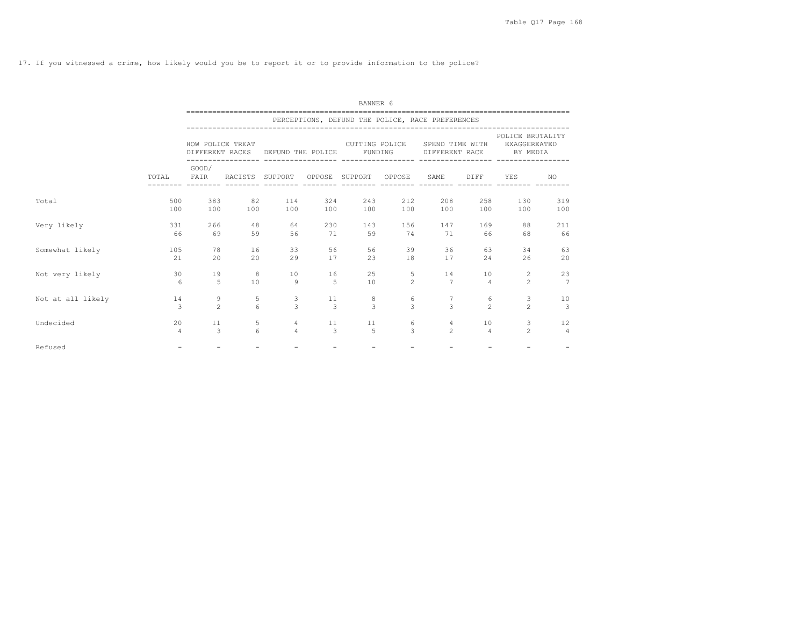17. If you witnessed a crime, how likely would you be to report it or to provide information to the police?

|                   |                | BANNER 6         |                  |                                   |     |                       |                |                                                  |                |                                              |               |  |  |  |
|-------------------|----------------|------------------|------------------|-----------------------------------|-----|-----------------------|----------------|--------------------------------------------------|----------------|----------------------------------------------|---------------|--|--|--|
|                   |                |                  |                  |                                   |     |                       |                | PERCEPTIONS, DEFUND THE POLICE, RACE PREFERENCES |                |                                              |               |  |  |  |
|                   |                | HOW POLICE TREAT |                  | DIFFERENT RACES DEFUND THE POLICE |     | FUNDING               | CUTTING POLICE | SPEND TIME WITH<br>DIFFERENT RACE                |                | POLICE BRUTALITY<br>EXAGGEREATED<br>BY MEDIA |               |  |  |  |
|                   | TOTAL          | GOOD/<br>FAIR    | RACISTS SUPPORT  |                                   |     | OPPOSE SUPPORT OPPOSE |                | SAME                                             | DIFF           | YES                                          | NO.           |  |  |  |
| Total             | 500            | 383              | 82               | 114                               | 324 | 243                   | 212            | 208                                              | 258            | 130                                          | 319           |  |  |  |
|                   | 100            | 100              | 100              | 100                               | 100 | 100                   | 100            | 100                                              | 100            | 100                                          | 100           |  |  |  |
| Very likely       | 331            | 266              | 48               | 64                                | 230 | 143                   | 156            | 147                                              | 169            | 88                                           | 211           |  |  |  |
|                   | 66             | 69               | 59               | 56                                | 71  | 59                    | 74             | 71                                               | 66             | 68                                           | 66            |  |  |  |
| Somewhat likely   | 105            | 78               | 16               | 33                                | 56  | 56                    | 39             | 36                                               | 63             | 34                                           | 63            |  |  |  |
|                   | 21             | 20               | 2.0              | 29                                | 17  | 2.3                   | 18             | 17                                               | 2.4            | 26                                           | 20            |  |  |  |
| Not very likely   | 30             | 19               | 8                | 10                                | 16  | 25                    | 5              | 14                                               | 10             | 2                                            | 23            |  |  |  |
|                   | 6              | $\overline{5}$   | 10               | 9                                 | 5   | 10                    | $\mathfrak{D}$ | $\overline{7}$                                   | $\overline{4}$ | $\mathfrak{D}$                               | 7             |  |  |  |
| Not at all likely | 14             | 9                | 5                | 3                                 | 11  | 8                     | 6              | 7                                                | 6              | 3                                            | 10            |  |  |  |
|                   | $\mathcal{L}$  | $\overline{2}$   | $6 \overline{6}$ | $\mathcal{L}$                     | 3   | $\mathbf{R}$          | $\mathcal{L}$  | $\mathcal{L}$                                    | $\mathfrak{D}$ | $\mathfrak{D}$                               | $\mathcal{B}$ |  |  |  |
| Undecided         | 20             | 11               | 5                | $\overline{4}$                    | 11  | 11                    | 6              | $\overline{4}$                                   | 10             | 3                                            | 12            |  |  |  |
|                   | $\overline{a}$ | 3                | 6                | $\overline{4}$                    | 3   | $\overline{5}$        | $\mathcal{L}$  | 2 <sup>1</sup>                                   | $\Delta$       | $\mathfrak{D}$                               | $\varDelta$   |  |  |  |
| Refused           |                |                  |                  |                                   |     |                       |                |                                                  |                |                                              |               |  |  |  |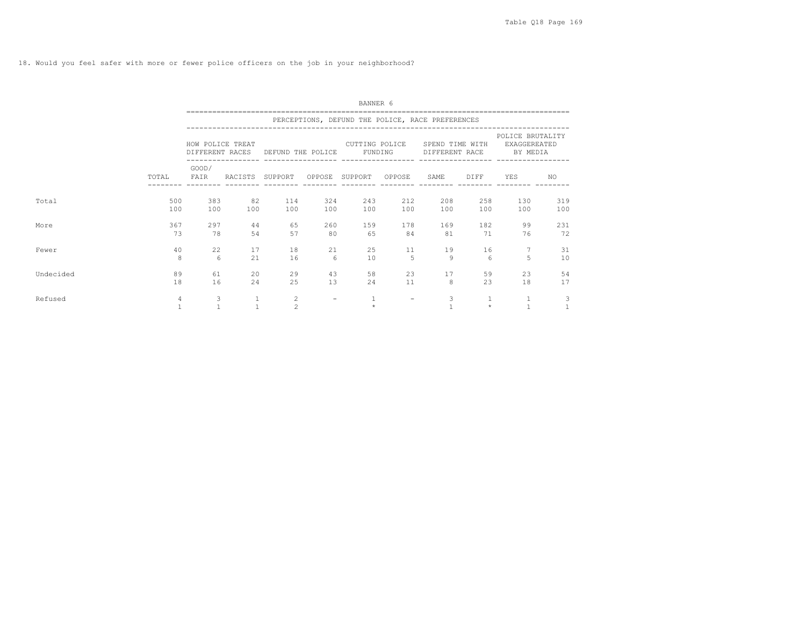18. Would you feel safer with more or fewer police officers on the job in your neighborhood?

|           |            | BANNER 6          |                 |                                         |            |                                                             |                      |                 |                         |                                                                    |            |  |  |  |
|-----------|------------|-------------------|-----------------|-----------------------------------------|------------|-------------------------------------------------------------|----------------------|-----------------|-------------------------|--------------------------------------------------------------------|------------|--|--|--|
|           |            |                   |                 |                                         |            | PERCEPTIONS, DEFUND THE POLICE, RACE PREFERENCES            |                      |                 |                         |                                                                    |            |  |  |  |
|           |            | HOW POLICE TREAT  |                 |                                         |            | CUTTING POLICE<br>DIFFERENT RACES DEFUND THE POLICE FUNDING |                      | SPEND TIME WITH |                         | POLICE BRUTALITY<br><b>EXAGGEREATED</b><br>DIFFERENT RACE BY MEDIA |            |  |  |  |
|           | TOTAL      | GOOD/<br>FAIR     | RACISTS SUPPORT |                                         |            | OPPOSE SUPPORT OPPOSE                                       |                      | SAME            | DIFF                    | YES                                                                | NO.        |  |  |  |
| Total     | 500<br>100 | 383<br>100        | 82<br>100       | 114<br>100                              | 324<br>100 | 243<br>100                                                  | 212<br>100           | 208<br>100      | 258<br>100              | 130<br>100                                                         | 319<br>100 |  |  |  |
| More      | 367<br>73  | 297<br>78         | 44<br>54        | 65<br>57                                | 260<br>80  | 159<br>65                                                   | 178<br>84            | 169<br>81       | 182<br>71               | 99<br>76                                                           | 231<br>72  |  |  |  |
| Fewer     | 40<br>8    | 22<br>-6          | 17<br>21        | 18<br>16                                | 21<br>6    | 25<br>10                                                    | 11<br>$\overline{5}$ | 19<br>9         | 16<br>6                 | 5                                                                  | 31<br>10   |  |  |  |
| Undecided | 89<br>18   | 61<br>16          | 20<br>24        | 29<br>25                                | 43<br>13   | 58<br>24                                                    | 23<br>11             | 17<br>8         | 59<br>23                | 23<br>18                                                           | 54<br>17   |  |  |  |
| Refused   | 4          | 3<br>$\mathbf{1}$ |                 | $\mathbf{2}^{\prime}$<br>$\overline{c}$ |            | $\mathbf{1}$<br>$\star$                                     |                      | 3               | $\mathbf{1}$<br>$\star$ | $\mathbf{1}$                                                       | 3          |  |  |  |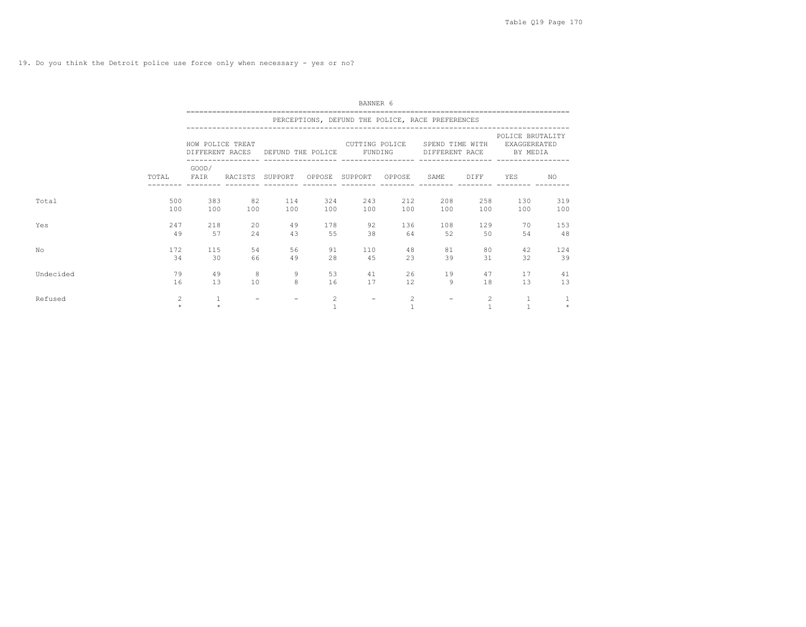|           |              | BANNER 6         |                 |                                   |            |                                                  |                |                                   |            |                                              |            |  |  |  |
|-----------|--------------|------------------|-----------------|-----------------------------------|------------|--------------------------------------------------|----------------|-----------------------------------|------------|----------------------------------------------|------------|--|--|--|
|           |              |                  |                 |                                   |            | PERCEPTIONS, DEFUND THE POLICE, RACE PREFERENCES |                |                                   |            |                                              |            |  |  |  |
|           |              | HOW POLICE TREAT |                 | DIFFERENT RACES DEFUND THE POLICE |            | CUTTING POLICE                                   | FUNDING        | SPEND TIME WITH<br>DIFFERENT RACE |            | POLICE BRUTALITY<br>EXAGGEREATED<br>BY MEDIA |            |  |  |  |
|           | TOTAL        | GOOD/<br>FAIR    | RACISTS SUPPORT |                                   |            | OPPOSE SUPPORT                                   | OPPOSE         | SAME                              | DIFF       | YES                                          | NO.        |  |  |  |
| Total     | 500<br>100   | 383<br>100       | 82<br>100       | 114<br>100                        | 324<br>100 | 243<br>100                                       | 212<br>100     | 208<br>100                        | 258<br>100 | 130<br>100                                   | 319<br>100 |  |  |  |
| Yes       | 247<br>49    | 218<br>57        | 20<br>24        | 49<br>43                          | 178<br>55  | 92<br>38                                         | 136<br>64      | 108<br>52                         | 129<br>50  | 70<br>54                                     | 153<br>48  |  |  |  |
| No        | 172<br>34    | 115<br>30        | 54<br>66        | 56<br>49                          | 91<br>28   | 110<br>45                                        | 48<br>23       | 81<br>39                          | 80<br>31   | 42<br>32                                     | 124<br>39  |  |  |  |
| Undecided | 79<br>16     | 49<br>13         | 8<br>10         | 9<br>8                            | 53<br>16   | 41<br>17                                         | 26<br>12       | 19<br>9                           | 47<br>18   | 17<br>13                                     | 41<br>13   |  |  |  |
| Refused   | 2<br>$\star$ | 1<br>$\star$     |                 | $\overline{\phantom{0}}$          | 2          | $\overline{\phantom{m}}$                         | $\overline{2}$ |                                   | 2          | $\mathbf{1}$                                 | $\star$    |  |  |  |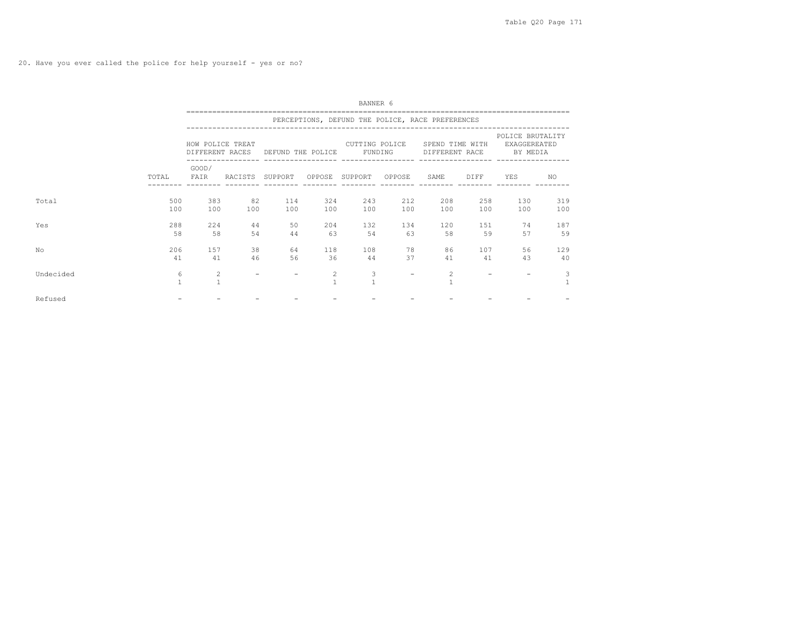20. Have you ever called the police for help yourself - yes or no?

|           |                   | BANNER 6                            |           |                   |                   |                           |            |                                                  |            |                                              |            |  |  |  |
|-----------|-------------------|-------------------------------------|-----------|-------------------|-------------------|---------------------------|------------|--------------------------------------------------|------------|----------------------------------------------|------------|--|--|--|
|           |                   |                                     |           |                   |                   |                           |            | PERCEPTIONS, DEFUND THE POLICE, RACE PREFERENCES |            |                                              |            |  |  |  |
|           |                   | HOW POLICE TREAT<br>DIFFERENT RACES |           | DEFUND THE POLICE |                   | CUTTING POLICE<br>FUNDING |            | SPEND TIME WITH<br>DIFFERENT RACE                |            | POLICE BRUTALITY<br>EXAGGEREATED<br>BY MEDIA |            |  |  |  |
|           | TOTAL             | GOOD/<br>FAIR                       | RACISTS   | SUPPORT           | OPPOSE            | SUPPORT                   | OPPOSE     | SAME                                             | DIFF       | YES                                          | NO.        |  |  |  |
| Total     | 500<br>100        | 383<br>100                          | 82<br>100 | 114<br>100        | 324<br>100        | 243<br>100                | 212<br>100 | 208<br>100                                       | 258<br>100 | 130<br>100                                   | 319<br>100 |  |  |  |
| Yes       | 288<br>58         | 224<br>58                           | 44<br>54  | 50<br>44          | 204<br>63         | 132<br>54                 | 134<br>63  | 120<br>58                                        | 151<br>59  | 74<br>57                                     | 187<br>59  |  |  |  |
| No        | 206<br>41         | 157<br>41                           | 38<br>46  | 64<br>56          | 118<br>36         | 108<br>44                 | 78<br>37   | 86<br>41                                         | 107<br>41  | 56<br>43                                     | 129<br>40  |  |  |  |
| Undecided | 6<br>$\mathbf{1}$ | $\overline{c}$<br>$\mathbf{1}$      |           |                   | 2<br>$\mathbf{1}$ | 3                         |            | 2                                                |            |                                              | 3          |  |  |  |
| Refused   |                   |                                     |           |                   |                   |                           |            |                                                  |            |                                              |            |  |  |  |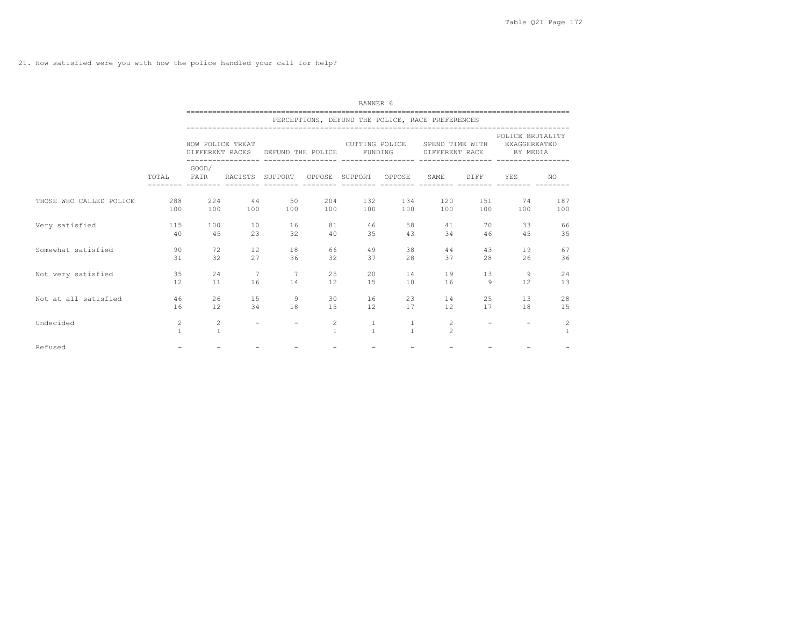21. How satisfied were you with how the police handled your call for help?

|                         |                                | BANNER 6          |                          |                                    |                                |                                                  |                              |                                   |                          |                                                     |                            |  |  |  |
|-------------------------|--------------------------------|-------------------|--------------------------|------------------------------------|--------------------------------|--------------------------------------------------|------------------------------|-----------------------------------|--------------------------|-----------------------------------------------------|----------------------------|--|--|--|
|                         |                                |                   |                          |                                    |                                | PERCEPTIONS, DEFUND THE POLICE, RACE PREFERENCES |                              |                                   |                          |                                                     |                            |  |  |  |
|                         |                                | HOW POLICE TREAT  | DIFFERENT RACES          | DEFUND THE POLICE                  |                                | CUTTING POLICE<br>FUNDING                        |                              | SPEND TIME WITH<br>DIFFERENT RACE |                          | POLICE BRUTALITY<br><b>EXAGGEREATED</b><br>BY MEDIA |                            |  |  |  |
|                         | TOTAL                          | GOOD/<br>FAIR     | RACISTS SUPPORT          |                                    |                                | -----------------<br>OPPOSE SUPPORT OPPOSE       |                              | SAME                              | DIFF                     | YES                                                 | NO.                        |  |  |  |
| THOSE WHO CALLED POLICE | 288<br>100                     | 224<br>100        | 44<br>100                | 50<br>100                          | 204<br>100                     | 132<br>100                                       | 134<br>100                   | 120<br>100                        | 151<br>100               | 74<br>100                                           | 187<br>100                 |  |  |  |
| Very satisfied          | 115<br>40                      | 100<br>45         | 10<br>23                 | 16<br>32                           | 81<br>40                       | 46<br>35                                         | 58<br>43                     | 41<br>34                          | 70<br>46                 | 33<br>45                                            | 66<br>35                   |  |  |  |
| Somewhat satisfied      | 90<br>31                       | 72<br>32          | 12<br>27                 | 18<br>36                           | 66<br>32                       | 49<br>37                                         | 38<br>2.8                    | 44<br>37                          | 43<br>2.8                | 19<br>26                                            | 67<br>36                   |  |  |  |
| Not very satisfied      | 35<br>12                       | 24<br>11          | $7\phantom{.0}$<br>16    | $7\phantom{.0}\phantom{.0}7$<br>14 | 25<br>12                       | 20<br>15                                         | 14<br>10                     | 19<br>16                          | 13<br>9                  | 9<br>12                                             | 24<br>13                   |  |  |  |
| Not at all satisfied    | 46<br>16                       | 26<br>12          | 15<br>34                 | 9<br>18                            | 30<br>15                       | 16<br>12                                         | 23<br>17                     | 14<br>12                          | 25<br>17                 | 13<br>18                                            | 28<br>15                   |  |  |  |
| Undecided               | $\overline{c}$<br>$\mathbf{1}$ | 2<br>$\mathbf{1}$ | $\overline{\phantom{m}}$ | $\overline{\phantom{0}}$           | $\overline{c}$<br>$\mathbf{1}$ | $\mathbf{1}$<br>$\mathbf{1}$                     | $\mathbf{1}$<br>$\mathbf{1}$ | 2<br>$\mathfrak{D}$               | $\overline{\phantom{a}}$ |                                                     | $\sqrt{2}$<br>$\mathbf{1}$ |  |  |  |
| Refused                 | $\overline{\phantom{0}}$       |                   |                          |                                    |                                |                                                  |                              |                                   |                          |                                                     |                            |  |  |  |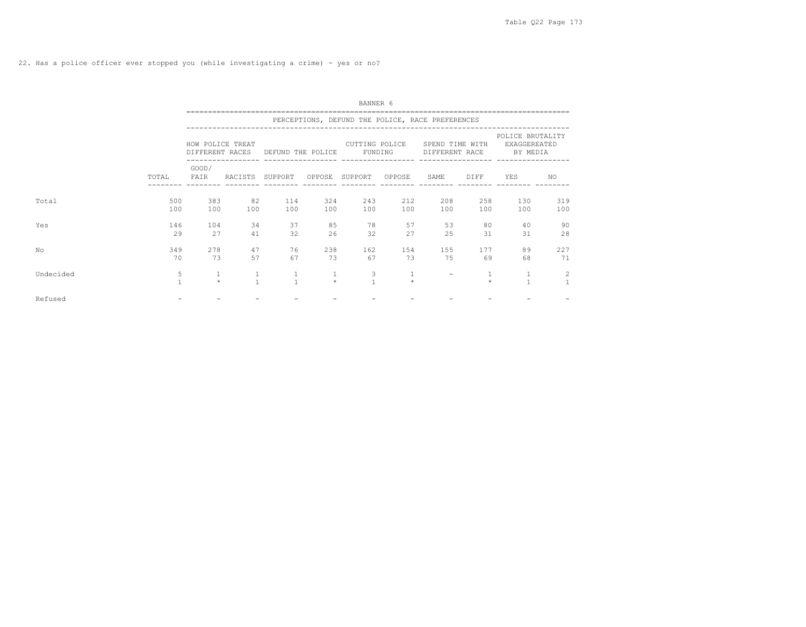|           |                   | BANNER 6         |                   |                   |                         |                                                  |              |                                   |            |                                              |            |  |  |  |  |
|-----------|-------------------|------------------|-------------------|-------------------|-------------------------|--------------------------------------------------|--------------|-----------------------------------|------------|----------------------------------------------|------------|--|--|--|--|
|           |                   |                  |                   |                   |                         | PERCEPTIONS, DEFUND THE POLICE, RACE PREFERENCES |              |                                   |            |                                              |            |  |  |  |  |
|           |                   | HOW POLICE TREAT | DIFFERENT RACES   | DEFUND THE POLICE |                         | CUTTING POLICE<br>FUNDING                        |              | SPEND TIME WITH<br>DIFFERENT RACE |            | POLICE BRUTALITY<br>EXAGGEREATED<br>BY MEDIA |            |  |  |  |  |
|           | TOTAL             | GOOD/<br>FAIR    | RACISTS           | SUPPORT           |                         | OPPOSE SUPPORT                                   | OPPOSE       | SAME                              | DIFF       | YES                                          | NO.        |  |  |  |  |
| Total     | 500<br>100        | 383<br>100       | 82<br>100         | 114<br>100        | 324<br>100              | 243<br>100                                       | 212<br>100   | 208<br>100                        | 258<br>100 | 130<br>100                                   | 319<br>100 |  |  |  |  |
| Yes       | 146<br>29         | 104<br>27        | 34<br>41          | 37<br>32          | 85<br>26                | 78<br>32                                         | 57<br>27     | 53<br>25                          | 80<br>31   | 40<br>31                                     | 90<br>28   |  |  |  |  |
| No        | 349<br>70         | 278<br>73        | 47<br>57          | 76<br>67          | 238<br>73               | 162<br>67                                        | 154<br>73    | 155<br>75                         | 177<br>69  | 89<br>68                                     | 227<br>71  |  |  |  |  |
| Undecided | 5<br>$\mathbf{1}$ | 1<br>$\star$     | 1<br>$\mathbf{1}$ | $\mathbf{1}$      | $\mathbf{1}$<br>$\star$ | $\frac{3}{1}$                                    | 1<br>$\star$ |                                   | $\Phi$     | $\mathbf{1}$                                 | 2          |  |  |  |  |
| Refused   |                   |                  |                   |                   |                         |                                                  |              |                                   |            |                                              |            |  |  |  |  |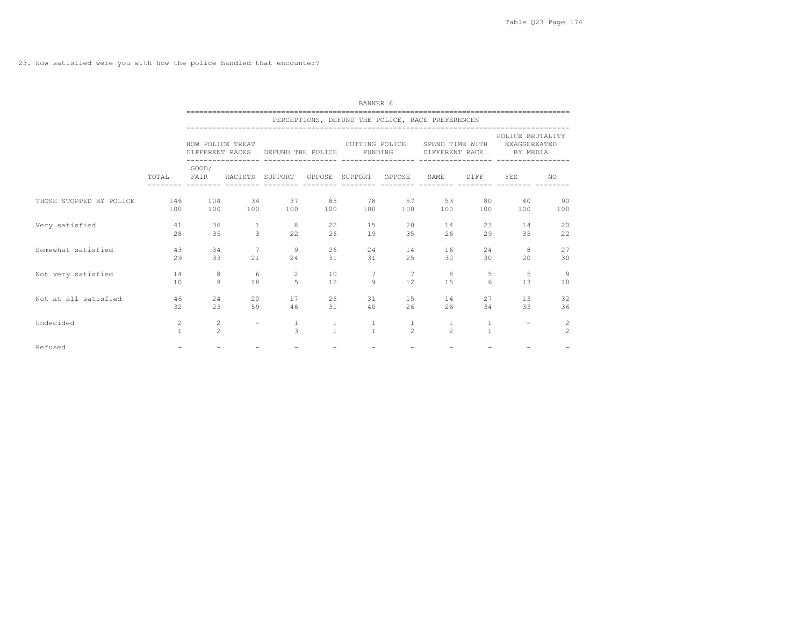23. How satisfied were you with how the police handled that encounter?

|                         |                   | BANNER 6                            |                 |                               |                              |                                                  |                                |                                   |                   |                                                     |                     |  |  |  |
|-------------------------|-------------------|-------------------------------------|-----------------|-------------------------------|------------------------------|--------------------------------------------------|--------------------------------|-----------------------------------|-------------------|-----------------------------------------------------|---------------------|--|--|--|
|                         |                   |                                     |                 |                               |                              | PERCEPTIONS, DEFUND THE POLICE, RACE PREFERENCES |                                |                                   |                   |                                                     |                     |  |  |  |
|                         |                   | HOW POLICE TREAT<br>DIFFERENT RACES |                 | DEFUND THE POLICE             |                              | CUTTING POLICE<br>FUNDING                        |                                | SPEND TIME WITH<br>DIFFERENT RACE |                   | POLICE BRUTALITY<br><b>EXAGGEREATED</b><br>BY MEDIA |                     |  |  |  |
|                         | TOTAL             | GOOD/<br>FAIR                       | RACISTS SUPPORT |                               |                              | OPPOSE SUPPORT OPPOSE                            |                                | SAME                              | DIFF              | YES<br>----- -------- -------- ------- ----         | NO.                 |  |  |  |
| THOSE STOPPED BY POLICE | 146<br>100        | 104<br>100                          | 34<br>100       | 37<br>100                     | 85<br>100                    | 78<br>100                                        | 57<br>100                      | 53<br>100                         | 80<br>100         | 40<br>100                                           | 90<br>100           |  |  |  |
| Very satisfied          | 41<br>2.8         | 36<br>35                            | 1<br>3          | 8<br>22                       | 22<br>26                     | 15<br>19                                         | 20<br>35                       | 14<br>26                          | 23<br>29          | 14<br>35                                            | 20<br>22            |  |  |  |
| Somewhat satisfied      | 43<br>29          | 34<br>33                            | 21              | 9<br>2.4                      | 26<br>31                     | 2.4<br>31                                        | 14<br>2.5                      | 16<br>30                          | 24<br>30          | 8<br>20                                             | 27<br>30            |  |  |  |
| Not very satisfied      | 14<br>10          | 8<br>8                              | -6<br>18        | 2<br>$\overline{5}$           | 10<br>12                     | 7<br>$\overline{9}$                              | 7<br>12                        | 8<br>1.5                          | 5<br>6            | 5<br>13                                             | 9<br>10             |  |  |  |
| Not at all satisfied    | 46<br>32          | 24<br>23                            | 20<br>59        | 17<br>46                      | 26<br>31                     | 31<br>40                                         | 15<br>26                       | 14<br>26                          | 27<br>34          | 13<br>33                                            | 32<br>36            |  |  |  |
| Undecided               | 2<br>$\mathbf{1}$ | 2<br>$\overline{2}$                 |                 | $\mathbf{1}$<br>$\mathcal{L}$ | $\mathbf{1}$<br>$\mathbf{1}$ | $\mathbf{1}$<br>$\mathbf{1}$                     | $\mathbf{1}$<br>$\overline{2}$ | 1<br>$\mathfrak{D}$               | 1<br>$\mathbf{1}$ |                                                     | 2<br>$\overline{2}$ |  |  |  |
| Refused                 |                   |                                     |                 |                               |                              |                                                  | $\overline{\phantom{a}}$       |                                   |                   |                                                     |                     |  |  |  |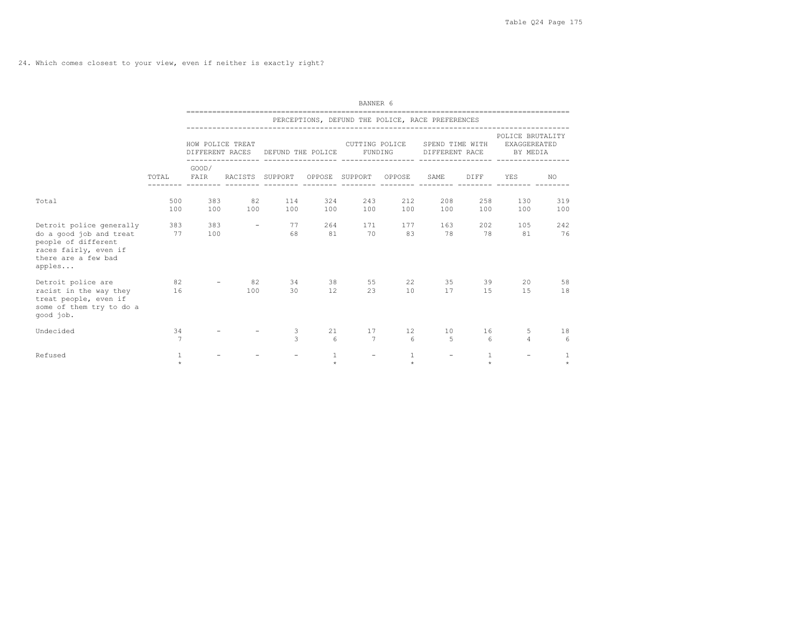24. Which comes closest to your view, even if neither is exactly right?

|                                                                                                                                      | BANNER 6             |                     |                          |                                   |                         |                                                  |                            |                                   |                        |                                                     |               |  |
|--------------------------------------------------------------------------------------------------------------------------------------|----------------------|---------------------|--------------------------|-----------------------------------|-------------------------|--------------------------------------------------|----------------------------|-----------------------------------|------------------------|-----------------------------------------------------|---------------|--|
|                                                                                                                                      |                      |                     |                          |                                   |                         | PERCEPTIONS, DEFUND THE POLICE, RACE PREFERENCES |                            |                                   |                        |                                                     |               |  |
|                                                                                                                                      |                      |                     | HOW POLICE TREAT         | DIFFERENT RACES DEFUND THE POLICE |                         | CUTTING POLICE                                   | FUNDING                    | SPEND TIME WITH<br>DIFFERENT RACE |                        | POLICE BRUTALITY<br><b>EXAGGEREATED</b><br>BY MEDIA |               |  |
|                                                                                                                                      |                      | GOOD/<br>TOTAL FAIR |                          |                                   |                         | RACISTS SUPPORT OPPOSE SUPPORT OPPOSE            |                            | SAME                              | DIFF                   | <b>YES</b>                                          | NO.           |  |
| Total                                                                                                                                | 100                  | 500 383<br>100      | 82<br>100                | 1 1 4<br>100                      | 324<br>100              | 100                                              | 243<br>212<br>100          | 208<br>100                        | 258<br>100             | 130<br>100                                          | 319<br>100    |  |
| Detroit police generally<br>do a good job and treat<br>people of different<br>races fairly, even if<br>there are a few bad<br>apples | 383 383<br>77        | 100                 | $\overline{\phantom{0}}$ | 68                                | 77 —<br>264<br>81       | 70                                               | 171<br>177<br>83           | 163<br>78                         | 202<br>78              | 105<br>81                                           | 2.42<br>76    |  |
| Detroit police are<br>racist in the way they 16<br>treat people, even if<br>some of them try to do a<br>qood job.                    |                      |                     | 82<br>100                | 30                                | 34 38<br>12             | 23                                               | 22<br>55<br>10             | 35<br>17                          | 15                     | 39<br>20<br>15                                      | 58<br>18      |  |
| Undecided                                                                                                                            | 34<br>$\overline{7}$ |                     |                          | 3<br>3                            | 21<br>$6\overline{6}$   | 17<br>$7\phantom{.0}\phantom{.0}7$               | 12 <sup>°</sup><br>$6^{6}$ | 10<br>5                           | 16<br>$6 \overline{6}$ | 5<br>$\overline{4}$                                 | 18<br>6       |  |
| Refused                                                                                                                              | 1<br>÷               |                     |                          |                                   | $\mathbf{1}$<br>$\star$ | $\overline{\phantom{a}}$                         | 1<br>$\star$               |                                   | 1                      |                                                     | $\ddot{\psi}$ |  |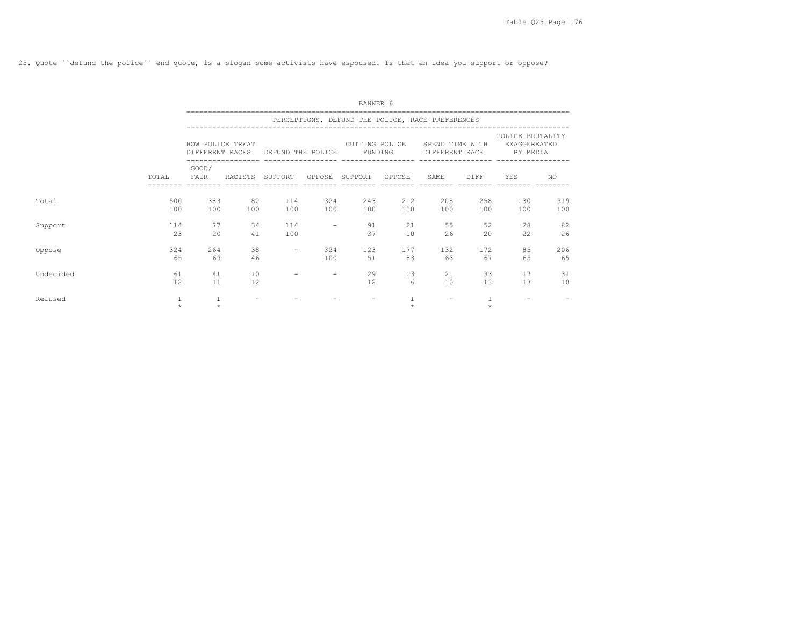25. Quote ``defund the police´´ end quote, is a slogan some activists have espoused. Is that an idea you support or oppose?

|           |              | BANNER 6         |                          |                          |                          |                                                  |            |                                   |              |                                                     |            |  |  |  |
|-----------|--------------|------------------|--------------------------|--------------------------|--------------------------|--------------------------------------------------|------------|-----------------------------------|--------------|-----------------------------------------------------|------------|--|--|--|
|           |              |                  |                          |                          |                          | PERCEPTIONS, DEFUND THE POLICE, RACE PREFERENCES |            |                                   |              |                                                     |            |  |  |  |
|           |              | HOW POLICE TREAT | DIFFERENT RACES          | DEFUND THE POLICE        |                          | CUTTING POLICE<br>FUNDING                        |            | SPEND TIME WITH<br>DIFFERENT RACE |              | POLICE BRUTALITY<br><b>EXAGGEREATED</b><br>BY MEDIA |            |  |  |  |
|           | TOTAL        | GOOD/<br>FAIR    | RACISTS SUPPORT          |                          |                          | OPPOSE SUPPORT                                   | OPPOSE     | SAME                              | DIFF         | YES                                                 | NO.        |  |  |  |
| Total     | 500<br>100   | 383<br>100       | 82<br>100                | 114<br>100               | 324<br>100               | 243<br>100                                       | 212<br>100 | 208<br>100                        | 258<br>100   | 130<br>100                                          | 319<br>100 |  |  |  |
| Support   | 114<br>23    | 77<br>20         | 34<br>41                 | 114<br>100               | $\overline{\phantom{m}}$ | 91<br>37                                         | 21<br>10   | 55<br>26                          | 52<br>20     | 28<br>22                                            | 82<br>26   |  |  |  |
| Oppose    | 324<br>65    | 264<br>69        | 38<br>46                 | $\overline{\phantom{a}}$ | 324<br>100               | 123<br>51                                        | 177<br>83  | 132<br>63                         | 172<br>67    | 85<br>65                                            | 206<br>65  |  |  |  |
| Undecided | 61<br>12     | 41<br>11         | 10<br>12                 |                          |                          | 29<br>12                                         | 13<br>6    | 21<br>10                          | 33<br>13     | 17<br>13                                            | 31<br>10   |  |  |  |
| Refused   | 1<br>$\star$ | 1<br>$\star$     | $\overline{\phantom{0}}$ |                          |                          | $\overline{\phantom{0}}$                         | $\pm$      | $\overline{\phantom{a}}$          | 1<br>$\star$ | $\overline{\phantom{0}}$                            |            |  |  |  |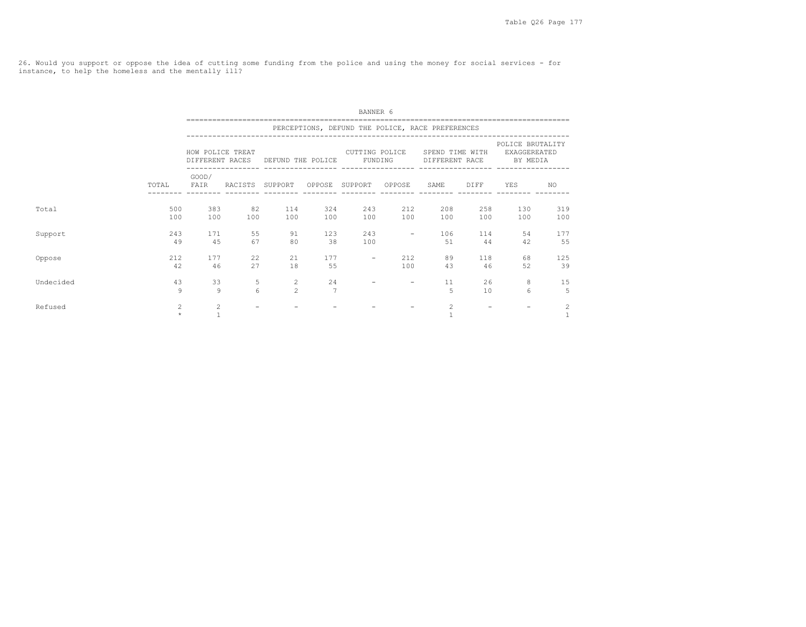26. Would you support or oppose the idea of cutting some funding from the police and using the money for social services - for instance, to help the homeless and the mentally ill?

|           |            |                                |                          |                                                     |                      | BANNER 6                 |                          |                                                  |            |                                              |            |
|-----------|------------|--------------------------------|--------------------------|-----------------------------------------------------|----------------------|--------------------------|--------------------------|--------------------------------------------------|------------|----------------------------------------------|------------|
|           |            |                                |                          |                                                     |                      |                          |                          | PERCEPTIONS, DEFUND THE POLICE, RACE PREFERENCES |            |                                              |            |
|           |            | HOW POLICE TREAT               |                          | CUTTING POLICE<br>DIFFERENT RACES DEFUND THE POLICE |                      | FUNDING                  |                          | SPEND TIME WITH<br>DIFFERENT RACE                |            | POLICE BRUTALITY<br>EXAGGEREATED<br>BY MEDIA |            |
|           | TOTAL      | GOOD/<br>FAIR                  |                          | RACISTS SUPPORT OPPOSE SUPPORT OPPOSE               |                      |                          |                          | SAME                                             | DIFF       | YES                                          | NO.        |
| Total     | 500<br>100 | 383<br>100                     | 82<br>100                | 114<br>100                                          | 324<br>100           | 243<br>100               | 212<br>100               | 208<br>100                                       | 258<br>100 | 130<br>100                                   | 319<br>100 |
| Support   | 243<br>49  | 171<br>45                      | 55<br>67                 | 91<br>80                                            | 123<br>38            | 243<br>100               | $\overline{\phantom{a}}$ | 106<br>51                                        | 114<br>44  | 54<br>42                                     | 177<br>55  |
| Oppose    | 212<br>42  | 177<br>46                      | 22<br>27                 | 21<br>18                                            | 177<br>55            | $\overline{\phantom{a}}$ | 212<br>100               | 89<br>43                                         | 118<br>46  | 68<br>52                                     | 125<br>39  |
| Undecided | 43<br>9    | 33<br>9                        | 5<br>6                   | $\overline{c}$<br>$\mathfrak{D}$                    | 24<br>$\overline{7}$ |                          | $\overline{\phantom{0}}$ | 11<br>5                                          | 26<br>10   | 8<br>6                                       | 15<br>5    |
| Refused   | 2<br>÷     | $\overline{c}$<br>$\mathbf{1}$ | $\overline{\phantom{0}}$ |                                                     |                      |                          |                          | $\overline{c}$                                   |            |                                              | 2          |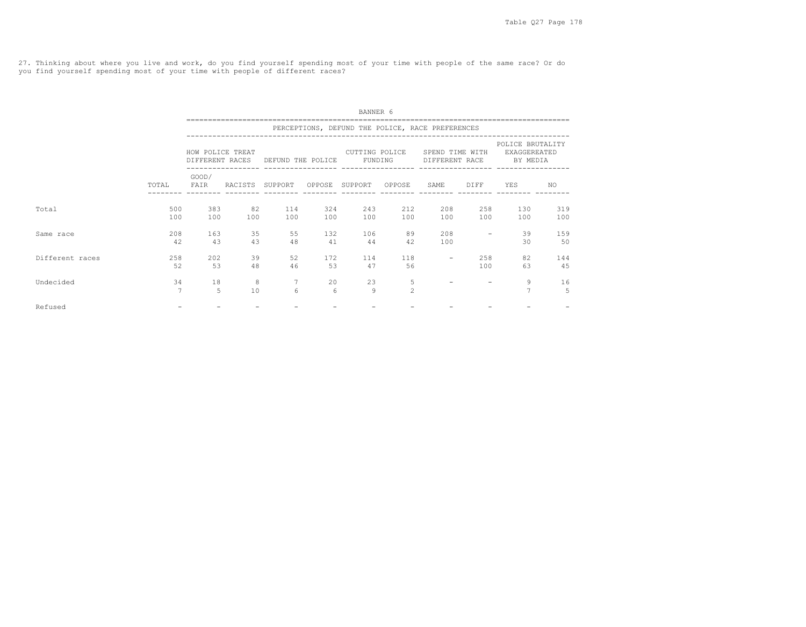27. Thinking about where you live and work, do you find yourself spending most of your time with people of the same race? Or do you find yourself spending most of your time with people of different races?

|                 |                      |                  |           |                                   |            | BANNER 6                  |                     |                                                  |            |                                              |            |
|-----------------|----------------------|------------------|-----------|-----------------------------------|------------|---------------------------|---------------------|--------------------------------------------------|------------|----------------------------------------------|------------|
|                 |                      |                  |           |                                   |            |                           |                     | PERCEPTIONS, DEFUND THE POLICE, RACE PREFERENCES |            |                                              |            |
|                 |                      | HOW POLICE TREAT |           | DIFFERENT RACES DEFUND THE POLICE |            | CUTTING POLICE<br>FUNDING |                     | SPEND TIME WITH<br>DIFFERENT RACE                |            | POLICE BRUTALITY<br>EXAGGEREATED<br>BY MEDIA |            |
|                 | TOTAL<br>500         | GOOD/<br>FAIR    | RACISTS   | SUPPORT                           | OPPOSE     | SUPPORT                   | OPPOSE              | SAME                                             | DIFF       | YES                                          | NO.        |
| Total           | 100                  | 383<br>100       | 82<br>100 | 114<br>100                        | 324<br>100 | 243<br>100                | 212<br>100          | 208<br>100                                       | 258<br>100 | 130<br>100                                   | 319<br>100 |
| Same race       | 208<br>42            | 163<br>43        | 35<br>43  | 55<br>48                          | 132<br>41  | 106<br>44                 | 89<br>42            | 208<br>100                                       |            | 39<br>30                                     | 159<br>50  |
| Different races | 2.58<br>52           | 202<br>53        | 39<br>48  | 52<br>46                          | 172<br>53  | 114<br>47                 | 118<br>56           | $\overline{\phantom{m}}$                         | 258<br>100 | 82<br>63                                     | 144<br>45  |
| Undecided       | 34<br>$\overline{7}$ | 18<br>5          | 8<br>10   | 7<br>6                            | 20<br>6    | 23<br>9                   | 5<br>$\mathfrak{D}$ |                                                  |            | 9<br>$\overline{7}$                          | 16<br>5    |
| Refused         |                      |                  |           |                                   |            |                           |                     |                                                  |            |                                              |            |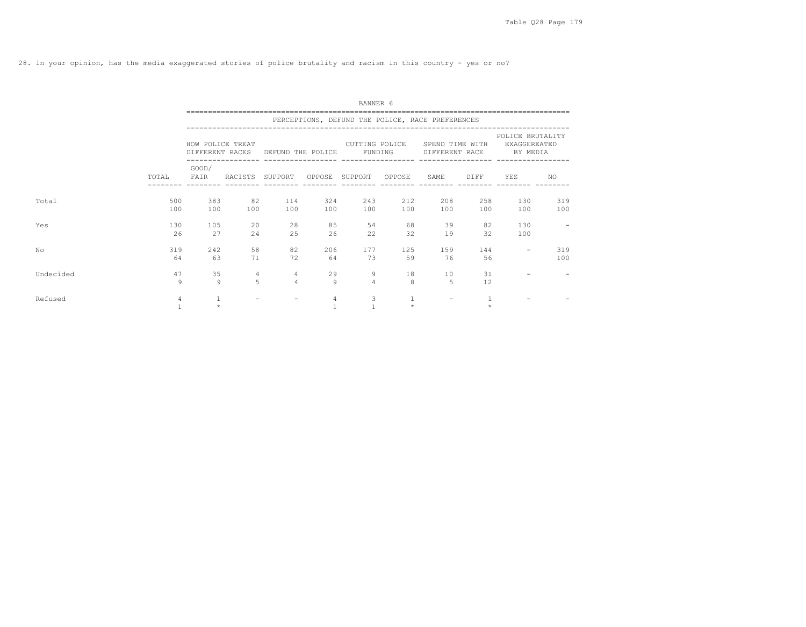28. In your opinion, has the media exaggerated stories of police brutality and racism in this country - yes or no?

|           |                     | BANNER 6         |                          |                                   |            |                                                  |            |                          |              |                                                                    |            |  |  |  |
|-----------|---------------------|------------------|--------------------------|-----------------------------------|------------|--------------------------------------------------|------------|--------------------------|--------------|--------------------------------------------------------------------|------------|--|--|--|
|           |                     |                  |                          |                                   |            | PERCEPTIONS, DEFUND THE POLICE, RACE PREFERENCES |            |                          |              |                                                                    |            |  |  |  |
|           |                     | HOW POLICE TREAT |                          | DIFFERENT RACES DEFUND THE POLICE |            | CUTTING POLICE<br>FUNDING                        |            | SPEND TIME WITH          |              | POLICE BRUTALITY<br><b>EXAGGEREATED</b><br>DIFFERENT RACE BY MEDIA |            |  |  |  |
|           | TOTAL               | GOOD/<br>FAIR    | RACISTS SUPPORT          |                                   |            | OPPOSE SUPPORT OPPOSE                            |            | SAME                     | DIFF         | YES                                                                | NO.        |  |  |  |
| Total     | 500<br>100          | 383<br>100       | 82<br>100                | 114<br>100                        | 324<br>100 | 243<br>100                                       | 212<br>100 | 208<br>100               | 258<br>100   | 130<br>100                                                         | 319<br>100 |  |  |  |
| Yes       | 130<br>26           | 105<br>2.7       | 20<br>2.4                | 28<br>25                          | 85<br>26   | 54<br>22                                         | 68<br>32   | 39<br>19                 | 82<br>32     | 130<br>100                                                         |            |  |  |  |
| No        | 319<br>64           | 242<br>63        | 58<br>71                 | 82<br>72                          | 206<br>64  | 177<br>73                                        | 125<br>59  | 159<br>76                | 144<br>56    | $\qquad \qquad -$                                                  | 319<br>100 |  |  |  |
| Undecided | 47<br>$\mathcal{Q}$ | 35<br>9          | 4<br>5                   | $\overline{4}$<br>$\overline{4}$  | 29<br>9    | 9<br>$\overline{4}$                              | 18<br>8    | 10<br>$\overline{5}$     | 31<br>12     |                                                                    |            |  |  |  |
| Refused   | 4                   | 1<br>$\star$     | $\overline{\phantom{0}}$ | $\overline{\phantom{a}}$          | 4          | 3                                                | $\star$    | $\overline{\phantom{a}}$ | $\mathbf{v}$ |                                                                    |            |  |  |  |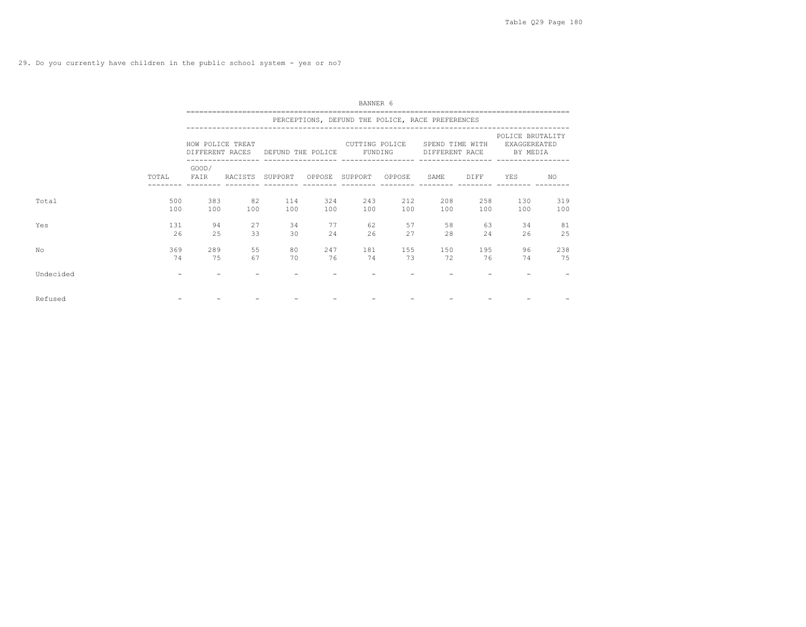|           |            | BANNER 6<br>=============================== |                 |                   |            |                                                  |            |                                   |            |                                              |            |  |  |  |  |
|-----------|------------|---------------------------------------------|-----------------|-------------------|------------|--------------------------------------------------|------------|-----------------------------------|------------|----------------------------------------------|------------|--|--|--|--|
|           |            |                                             |                 |                   |            | PERCEPTIONS, DEFUND THE POLICE, RACE PREFERENCES |            |                                   |            |                                              |            |  |  |  |  |
|           |            | HOW POLICE TREAT<br>DIFFERENT RACES         |                 | DEFUND THE POLICE |            | CUTTING POLICE<br>FUNDING                        |            | SPEND TIME WITH<br>DIFFERENT RACE |            | POLICE BRUTALITY<br>EXAGGEREATED<br>BY MEDIA |            |  |  |  |  |
|           | TOTAL      | GOOD/<br>FAIR                               | RACISTS SUPPORT |                   |            | OPPOSE SUPPORT                                   | OPPOSE     | SAME                              | DIFF       | YES                                          | NO.        |  |  |  |  |
| Total     | 500<br>100 | 383<br>100                                  | 82<br>100       | 114<br>100        | 324<br>100 | 243<br>100                                       | 212<br>100 | 208<br>100                        | 258<br>100 | 130<br>100                                   | 319<br>100 |  |  |  |  |
| Yes       | 131<br>26  | 94<br>25                                    | 27<br>33        | 34<br>30          | 77<br>24   | 62<br>26                                         | 57<br>27   | 58<br>28                          | 63<br>24   | 34<br>26                                     | 81<br>25   |  |  |  |  |
| No        | 369<br>74  | 289<br>75                                   | 55<br>67        | 80<br>70          | 247<br>76  | 181<br>74                                        | 155<br>73  | 150<br>72                         | 195<br>76  | 96<br>74                                     | 238<br>75  |  |  |  |  |
| Undecided | $\equiv$   |                                             |                 |                   |            |                                                  |            |                                   |            |                                              |            |  |  |  |  |
| Refused   |            |                                             |                 |                   |            |                                                  |            |                                   |            |                                              |            |  |  |  |  |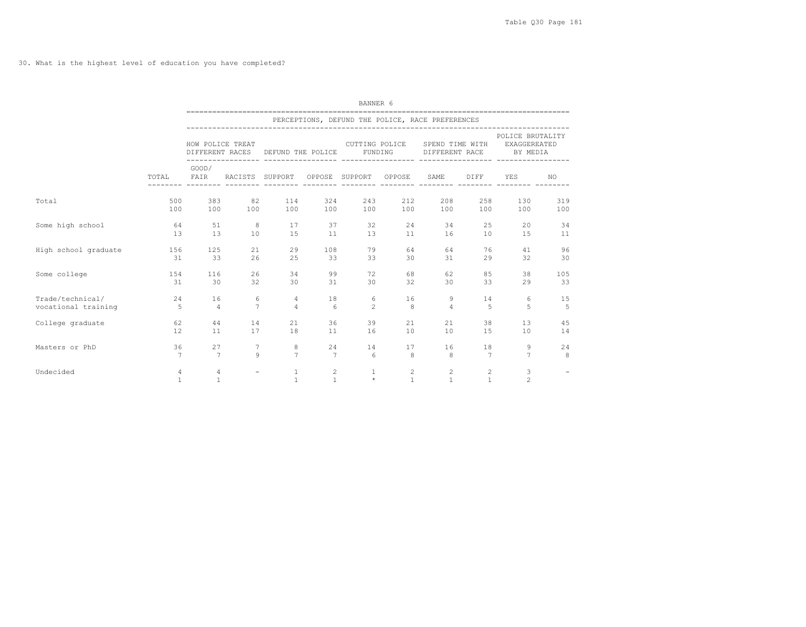## 30. What is the highest level of education you have completed?

|                      | BANNER 6          |                                                  |                          |                              |                   |                                      |                   |                                   |                   |                                                     |                          |  |  |  |
|----------------------|-------------------|--------------------------------------------------|--------------------------|------------------------------|-------------------|--------------------------------------|-------------------|-----------------------------------|-------------------|-----------------------------------------------------|--------------------------|--|--|--|
|                      |                   | PERCEPTIONS, DEFUND THE POLICE, RACE PREFERENCES |                          |                              |                   |                                      |                   |                                   |                   |                                                     |                          |  |  |  |
|                      |                   | HOW POLICE TREAT<br>DIFFERENT RACES              |                          | DEFUND THE POLICE            |                   | CUTTING POLICE<br>FUNDING            |                   | SPEND TIME WITH<br>DIFFERENT RACE |                   | POLICE BRUTALITY<br><b>EXAGGEREATED</b><br>BY MEDIA |                          |  |  |  |
|                      | TOTAL             | GOOD/<br>FAIR                                    | RACISTS SUPPORT          |                              |                   | ------------------<br>OPPOSE SUPPORT | OPPOSE            | SAME                              | DIFF              | YES                                                 | NO.                      |  |  |  |
| Total                | 500               | 383                                              | 82                       | 114                          | 324               | 243                                  | 212               | 208                               | 258               | 130                                                 | 319                      |  |  |  |
|                      | 100               | 100                                              | 100                      | 100                          | 100               | 100                                  | 100               | 100                               | 100               | 100                                                 | 100                      |  |  |  |
| Some high school     | 64                | 51                                               | 8                        | 17                           | 37                | 32                                   | 24                | 34                                | 25                | 20                                                  | 34                       |  |  |  |
|                      | 1.3               | 13                                               | 10                       | 15                           | 11                | 13                                   | 11                | 16                                | 10                | 15                                                  | 11                       |  |  |  |
| High school graduate | 156               | 125                                              | 21                       | 29                           | 108               | 79                                   | 64                | 64                                | 76                | 41                                                  | 96                       |  |  |  |
|                      | 31                | 33                                               | 26                       | 25                           | 33                | 33                                   | 30                | 31                                | 29                | 32                                                  | 30                       |  |  |  |
| Some college         | 154               | 116                                              | 26                       | 34                           | 99                | 72                                   | 68                | 62                                | 85                | 38                                                  | 105                      |  |  |  |
|                      | 31                | 30                                               | 32                       | 30                           | 31                | 30                                   | 32                | 30                                | 33                | 29                                                  | 33                       |  |  |  |
| Trade/technical/     | 24                | 16                                               | 6                        | $\overline{4}$               | 18                | 6                                    | 16                | 9                                 | 14                | 6                                                   | 15                       |  |  |  |
| vocational training  | 5                 | $\overline{4}$                                   | $\overline{7}$           | $\overline{4}$               | 6                 | $\overline{c}$                       | $\mathsf{R}$      | $\varDelta$                       | 5                 | $\overline{a}$                                      | $\overline{5}$           |  |  |  |
| College graduate     | 62                | 44                                               | 14                       | 21                           | 36                | 39                                   | 21                | 21                                | 38                | 13                                                  | 45                       |  |  |  |
|                      | 12.               | 11                                               | 17                       | 18                           | 11                | 16                                   | 10                | 10                                | 1.5               | 10                                                  | 14                       |  |  |  |
| Masters or PhD       | 36                | 27                                               | 7                        | 8                            | 24                | 14                                   | 17                | 16                                | 18                | 9                                                   | 24                       |  |  |  |
|                      | $\overline{7}$    | $\overline{7}$                                   | $\circ$                  | $\overline{7}$               | $\overline{7}$    | $6\overline{6}$                      | 8                 | 8                                 | $\overline{7}$    | $\overline{7}$                                      | 8                        |  |  |  |
| Undecided            | 4<br>$\mathbf{1}$ | 4<br>$\mathbf{1}$                                | $\overline{\phantom{a}}$ | $\mathbf{1}$<br>$\mathbf{1}$ | 2<br>$\mathbf{1}$ | $\mathbf{1}$<br>$\star$              | 2<br>$\mathbf{1}$ | $\overline{c}$<br>$\mathbf{1}$    | 2<br>$\mathbf{1}$ | 3<br>$\overline{c}$                                 | $\overline{\phantom{a}}$ |  |  |  |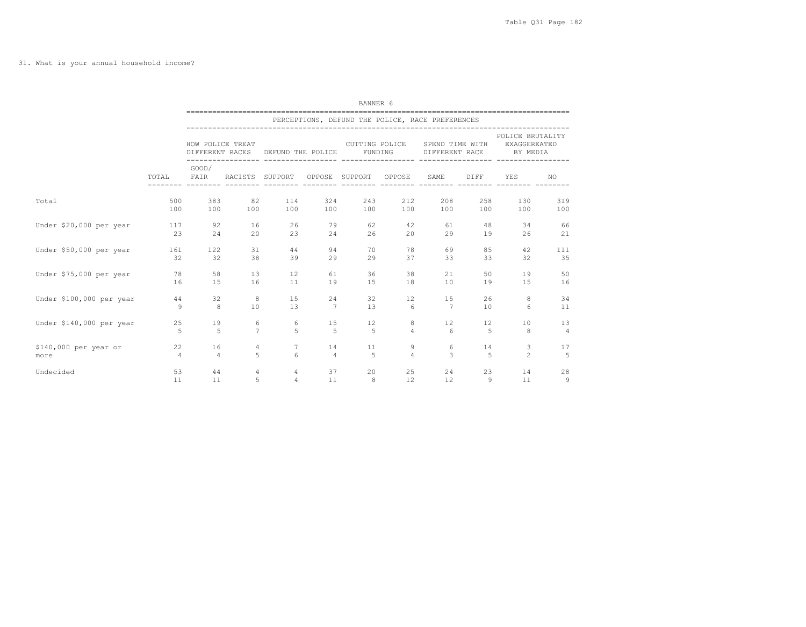|                          | BANNER 6<br>=================<br>====================== |                                                  |                 |                   |                |                           |                             |                                   |                |                                              |                |  |  |
|--------------------------|---------------------------------------------------------|--------------------------------------------------|-----------------|-------------------|----------------|---------------------------|-----------------------------|-----------------------------------|----------------|----------------------------------------------|----------------|--|--|
|                          |                                                         | PERCEPTIONS, DEFUND THE POLICE, RACE PREFERENCES |                 |                   |                |                           |                             |                                   |                |                                              |                |  |  |
|                          | TOTAL                                                   | HOW POLICE TREAT                                 | DIFFERENT RACES | DEFUND THE POLICE |                | CUTTING POLICE<br>FUNDING |                             | SPEND TIME WITH<br>DIFFERENT RACE |                | POLICE BRUTALITY<br>EXAGGEREATED<br>BY MEDIA |                |  |  |
|                          |                                                         | GOOD/<br>FAIR                                    | RACISTS SUPPORT |                   |                | OPPOSE SUPPORT            | -----------------<br>OPPOSE | SAME                              | DIFF           | YES                                          | NO.            |  |  |
| Total                    | 500                                                     | 383                                              | 82              | 114               | 324            | 243                       | 212                         | 208                               | 258            | 130                                          | 319            |  |  |
|                          | 100                                                     | 100                                              | 100             | 100               | 100            | 100                       | 100                         | 100                               | 100            | 100                                          | 100            |  |  |
| Under \$20,000 per year  | 117                                                     | 92                                               | 16              | 26                | 79             | 62                        | 42                          | 61                                | 48             | 34                                           | 66             |  |  |
|                          | 23                                                      | 24                                               | 20              | 23                | 24             | 26                        | 20                          | 29                                | 19             | 26                                           | 21             |  |  |
| Under \$50,000 per year  | 161                                                     | 122                                              | 31              | 44                | 94             | 70                        | 78                          | 69                                | 85             | 42                                           | 111            |  |  |
|                          | 32                                                      | 32                                               | 38              | 39                | 29             | 29                        | 37                          | 33                                | 33             | 32                                           | 35             |  |  |
| Under \$75,000 per year  | 78                                                      | 58                                               | 13              | $12 \overline{ }$ | 61             | 36                        | 38                          | 21                                | 50             | 19                                           | 50             |  |  |
|                          | 16                                                      | 15                                               | 16              | 11                | 19             | 15                        | 18                          | 10                                | 19             | 15                                           | 16             |  |  |
| Under \$100,000 per year | 44                                                      | 32                                               | 8               | 15                | 24             | 32                        | 12                          | 15                                | 26             | 8                                            | 34             |  |  |
|                          | Q                                                       | 8                                                | 10              | 13                | $\overline{7}$ | 13                        | 6                           | 7                                 | 10             | 6                                            | 11             |  |  |
| Under \$140,000 per year | 25                                                      | 19                                               | 6               | 6                 | 15             | 12                        | 8                           | 12                                | 12             | 10                                           | 13             |  |  |
|                          | 5                                                       | 5                                                | $\overline{7}$  | 5                 | 5              | 5                         | $\overline{4}$              | 6                                 | 5              | 8                                            | $\overline{4}$ |  |  |
| \$140,000 per year or    | 22                                                      | 16                                               | $\overline{4}$  | 7                 | 14             | 11                        | 9                           | 6                                 | 14             | 3                                            | 17             |  |  |
| more                     | $\overline{4}$                                          | $\overline{4}$                                   | 5               | $\epsilon$        | $\overline{4}$ | 5                         | $\Delta$                    | $\mathcal{L}$                     | $\overline{5}$ | $\mathfrak{D}$                               | 5              |  |  |
| Undecided                | 53                                                      | 44                                               | 4               | 4                 | 37             | 20                        | 25                          | 24                                | 23             | 14                                           | 28             |  |  |
|                          | 11                                                      | 11                                               | 5               | $\overline{4}$    | 11             | 8                         | 12                          | 12                                | 9              | 11                                           | 9              |  |  |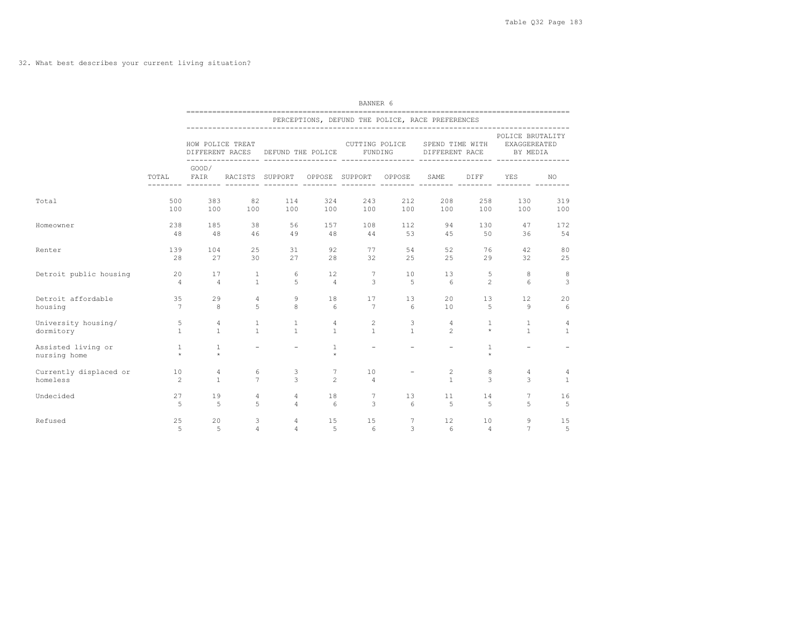## 32. What best describes your current living situation?

|                                    |                         | BANNER 6                                         |                          |                                                  |                   |                          |                          |                                                  |                         |                                                     |              |  |  |  |
|------------------------------------|-------------------------|--------------------------------------------------|--------------------------|--------------------------------------------------|-------------------|--------------------------|--------------------------|--------------------------------------------------|-------------------------|-----------------------------------------------------|--------------|--|--|--|
|                                    |                         | PERCEPTIONS, DEFUND THE POLICE, RACE PREFERENCES |                          |                                                  |                   |                          |                          |                                                  |                         |                                                     |              |  |  |  |
|                                    |                         |                                                  | HOW POLICE TREAT         | DIFFERENT RACES DEFUND THE POLICE FUNDING        |                   |                          |                          | CUTTING POLICE SPEND TIME WITH<br>DIFFERENT RACE |                         | POLICE BRUTALITY<br><b>EXAGGEREATED</b><br>BY MEDIA |              |  |  |  |
|                                    |                         | GOOD/                                            |                          | TOTAL FAIR RACISTS SUPPORT OPPOSE SUPPORT OPPOSE |                   |                          |                          | SAME                                             | DIFF                    | YES                                                 | NO.          |  |  |  |
| Total                              | 500<br>100              | 383<br>100                                       | 82<br>100                | 100                                              | 324<br>114<br>100 | 243<br>100               | 212<br>100               | 208<br>100                                       | 258<br>100              | 130<br>100                                          | 319<br>100   |  |  |  |
| Homeowner                          | 238                     | 185                                              | 38                       | 56                                               | 1.57              | 108                      | 112                      | 94                                               | 130                     | 47                                                  | 172          |  |  |  |
|                                    | 48                      | 48                                               | 46                       | 49                                               | 48                | 44                       | 53                       | 4.5                                              | 50                      | 36                                                  | 54           |  |  |  |
| Renter                             | 139                     | 104                                              | 2.5                      | 31                                               | 92                | 77                       | 54                       | 52                                               | 76                      | 42                                                  | 80           |  |  |  |
|                                    | 2.8                     | 27                                               | 30                       | 27                                               | 28                | 32                       | 25                       | 2.5                                              | 29                      | 32                                                  | 25           |  |  |  |
| Detroit public housing             | 20                      | 17                                               | <sup>1</sup>             | 6                                                | 12                | $7\phantom{.0}$          | 10                       | 13                                               | 5                       | 8                                                   | 8            |  |  |  |
|                                    | $\overline{4}$          | $\overline{4}$                                   | $\overline{1}$           | $\overline{5}$                                   | $\overline{4}$    | 3                        | $5^{\circ}$              | - 6                                              | $\mathcal{L}$           | 6                                                   | 3            |  |  |  |
| Detroit affordable                 | 35                      | 29                                               | $\overline{4}$           | 9                                                | 18                | 17                       | 13                       | 20                                               | 13                      | $12 \overline{ }$                                   | 20           |  |  |  |
| housing                            | $7\overline{ }$         | 8                                                | 5                        | 8                                                | 6                 | $\overline{7}$           | 6                        | 10                                               | 5                       | 9                                                   | 6            |  |  |  |
| University housing/                | 5                       | 4                                                | $\mathbf{1}$             | 1                                                | $\overline{4}$    | 2                        | 3                        | $\overline{4}$                                   | $\mathbf{1}$            | $\mathbf{1}$                                        | 4            |  |  |  |
| dormitory                          | $\mathbf{1}$            | $\mathbf{1}$                                     | $\mathbf{1}$             | $\mathbf{1}$                                     | $\overline{1}$    | $\mathbf{1}$             | $\overline{1}$           | $\overline{2}$                                   | $\star$                 | $\mathbf{1}$                                        | $\mathbf{1}$ |  |  |  |
| Assisted living or<br>nursing home | <sup>1</sup><br>$\star$ | $\mathbf{1}$<br>$\star$                          | $\overline{\phantom{0}}$ | $\overline{\phantom{a}}$                         | 1<br>$\star$      | $\overline{\phantom{a}}$ | $\overline{\phantom{a}}$ | $\overline{\phantom{a}}$                         | $\mathbf{1}$<br>$\star$ | $\overline{\phantom{0}}$                            |              |  |  |  |
| Currently displaced or             | 10                      | $\overline{4}$                                   | 6                        | 3                                                | $7\overline{ }$   | 10                       | $\overline{\phantom{a}}$ | 2                                                | 8                       | 4                                                   | 4            |  |  |  |
| homeless                           | 2                       | $\mathbf{1}$                                     | $\overline{7}$           | 3                                                | $\mathfrak{D}$    | $\overline{4}$           |                          | $\overline{1}$                                   | 3                       | 3                                                   | $\mathbf{1}$ |  |  |  |
| Undecided                          | 27                      | 19                                               | $\overline{4}$           | $\overline{4}$                                   | 18                | $7\phantom{.0}$          | 13                       | 11                                               | 14                      | 7                                                   | 16           |  |  |  |
|                                    | 5                       | 5                                                | 5                        | $\overline{4}$                                   | 6                 | 3                        | 6                        | $-5$                                             | 5                       | 5                                                   | 5            |  |  |  |
| Refused                            | 25                      | 20                                               | 3                        | $\overline{4}$                                   | 15                | 15                       | $7\phantom{.0}$          | 12                                               | 10                      | 9                                                   | 15           |  |  |  |
|                                    | 5                       | 5                                                | $\overline{4}$           | $\overline{4}$                                   | 5                 | $6\overline{6}$          | 3                        | 6                                                | $\overline{4}$          | $\overline{7}$                                      | 5            |  |  |  |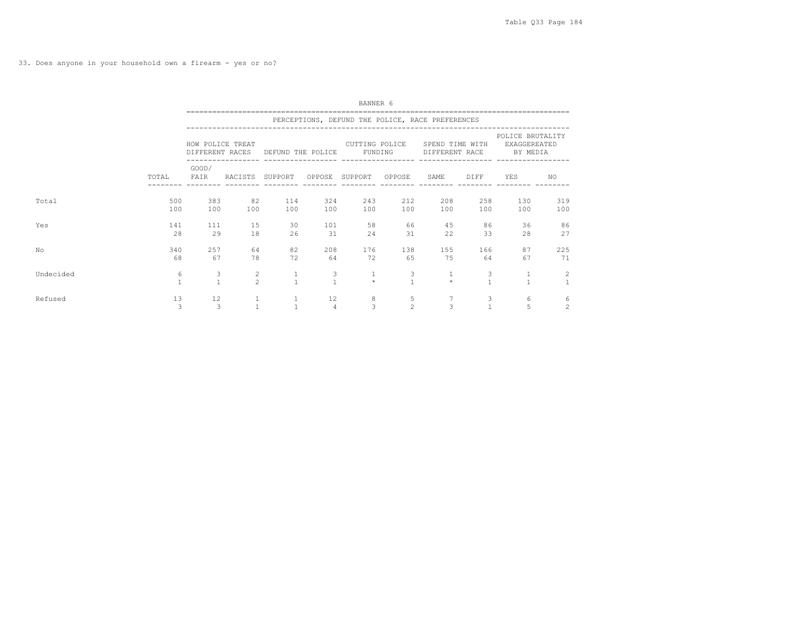33. Does anyone in your household own a firearm - yes or no?

|           |                   | BANNER 6<br>PERCEPTIONS, DEFUND THE POLICE, RACE PREFERENCES |                                         |                              |                      |                           |                     |                                   |                   |                                              |                     |  |  |  |
|-----------|-------------------|--------------------------------------------------------------|-----------------------------------------|------------------------------|----------------------|---------------------------|---------------------|-----------------------------------|-------------------|----------------------------------------------|---------------------|--|--|--|
|           |                   |                                                              |                                         |                              |                      |                           |                     |                                   |                   |                                              |                     |  |  |  |
|           | TOTAL             | HOW POLICE TREAT<br>DIFFERENT RACES                          |                                         | DEFUND THE POLICE            |                      | CUTTING POLICE<br>FUNDING |                     | SPEND TIME WITH<br>DIFFERENT RACE |                   | POLICE BRUTALITY<br>EXAGGEREATED<br>BY MEDIA |                     |  |  |  |
|           |                   | GOOD/<br>FAIR                                                | RACISTS SUPPORT                         |                              |                      | OPPOSE SUPPORT            | OPPOSE              | SAME                              | DIFF              | YES                                          | NO.                 |  |  |  |
| Total     | 500<br>100        | 383<br>100                                                   | 82<br>100                               | 114<br>100                   | 324<br>100           | 243<br>100                | 212<br>100          | 208<br>100                        | 258<br>100        | 130<br>100                                   | 319<br>100          |  |  |  |
| Yes       | 141<br>28         | 111<br>29                                                    | 15<br>18                                | 30<br>26                     | 101<br>31            | 58<br>24                  | 66<br>31            | 45<br>22                          | 86<br>33          | 36<br>28                                     | 86<br>27            |  |  |  |
| No        | 340<br>68         | 257<br>67                                                    | 64<br>78                                | 82<br>72                     | 208<br>64            | 176<br>72                 | 138<br>65           | 155<br>75                         | 166<br>64         | 87<br>67                                     | 225<br>71           |  |  |  |
| Undecided | 6<br>$\mathbf{1}$ | 3<br>$\mathbf{1}$                                            | $\mathbf{2}^{\prime}$<br>$\mathfrak{D}$ | $\mathbf{1}$<br>$\mathbf{1}$ | 3<br>$\mathbf{1}$    | $\mathbf{1}$<br>$\star$   | 3<br>$\overline{1}$ |                                   | 3<br>$\mathbf{1}$ |                                              | 2<br>$\overline{1}$ |  |  |  |
| Refused   | 13<br>3           | 12<br>3                                                      |                                         | $\mathbf{1}$<br>$\mathbf{1}$ | 12<br>$\overline{4}$ | 8<br>3                    | 5<br>$\overline{c}$ | 3                                 | 3<br>$\mathbf{1}$ | 6<br>5                                       | 6<br>2              |  |  |  |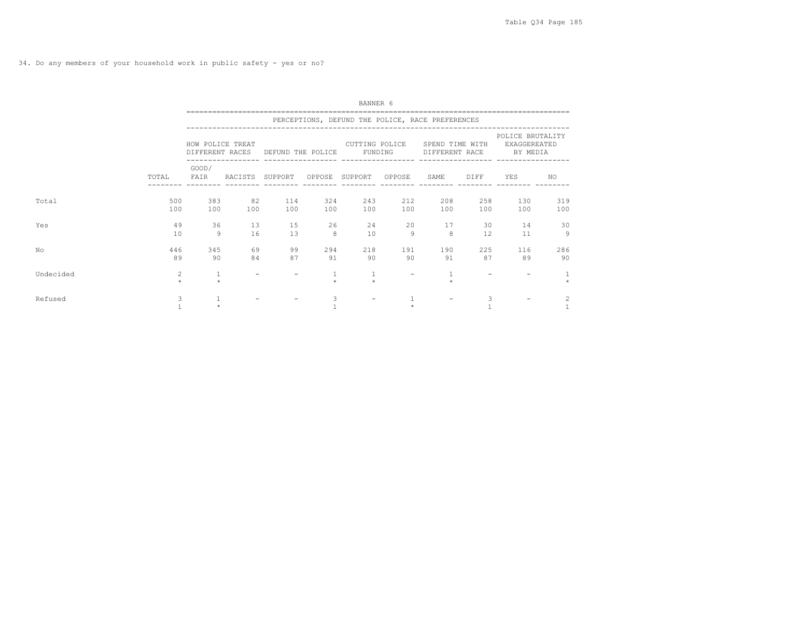|           |            | BANNER 6                                         |                 |                                   |                       |                           |                   |                                   |            |                                              |            |  |  |  |
|-----------|------------|--------------------------------------------------|-----------------|-----------------------------------|-----------------------|---------------------------|-------------------|-----------------------------------|------------|----------------------------------------------|------------|--|--|--|
|           |            | PERCEPTIONS, DEFUND THE POLICE, RACE PREFERENCES |                 |                                   |                       |                           |                   |                                   |            |                                              |            |  |  |  |
|           |            | HOW POLICE TREAT                                 |                 | DIFFERENT RACES DEFUND THE POLICE |                       | CUTTING POLICE<br>FUNDING |                   | SPEND TIME WITH<br>DIFFERENT RACE |            | POLICE BRUTALITY<br>EXAGGEREATED<br>BY MEDIA |            |  |  |  |
|           | TOTAL      | GOOD/<br>FAIR                                    | RACISTS SUPPORT |                                   |                       | OPPOSE SUPPORT OPPOSE     |                   | SAME                              | DIFF       | YES                                          | NO.        |  |  |  |
| Total     | 500<br>100 | 383<br>100                                       | 82<br>100       | 114<br>100                        | 324<br>100            | 243<br>100                | 212<br>100        | 208<br>100                        | 258<br>100 | 130<br>100                                   | 319<br>100 |  |  |  |
| Yes       | 49<br>10   | 36<br>9                                          | 13<br>16        | 15<br>13                          | 26<br>8               | 24<br>10                  | 20<br>9           | 17<br>8                           | 30<br>12.  | 14<br>11                                     | 30<br>9    |  |  |  |
| No        | 446<br>89  | 345<br>90                                        | 69<br>84        | 99<br>87                          | 294<br>91             | 218<br>90                 | 191<br>90         | 190<br>91                         | 225<br>87  | 116<br>89                                    | 286<br>90  |  |  |  |
| Undecided | 2<br>$\pm$ | 1<br>$\pm$                                       |                 |                                   | $\mathbf{1}$<br>$\pm$ | $\mathbf{1}$<br>$\Phi$    | $\qquad \qquad -$ |                                   |            |                                              |            |  |  |  |
| Refused   | 3          | $\star$                                          |                 |                                   | 3                     | $\overline{\phantom{a}}$  |                   |                                   | 3          |                                              | 2          |  |  |  |